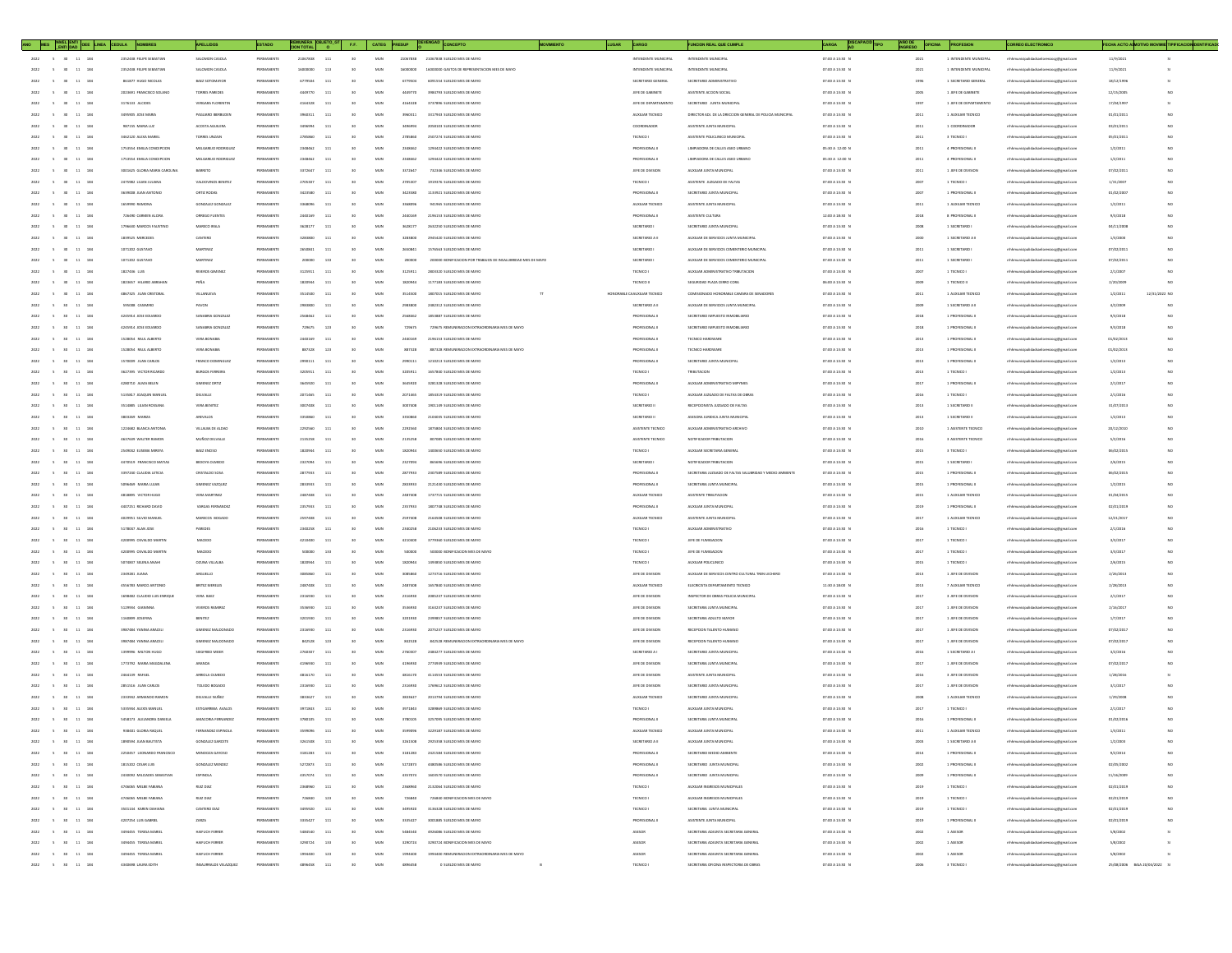| ANO MES NIVEL ENTI OEE LINEA CEDULA           | NOMBRES                      | <b>APELLIDOS</b>                          | ESTADO           |                | $\mathsf{FE}_t$        | CATEG        | PRESUP   |                                                              |                | LUGAR<br>CARGO                | <b>FUNCION REAL QUE CUMPLI</b>                           | CARGA<br><b>TPO</b> | OFICINA |                                       | RREO ELECTRONICO                       |                                   | FECHA ACTO A MOTIVO MOVIME TIPIFICACION DENTIFICAD |
|-----------------------------------------------|------------------------------|-------------------------------------------|------------------|----------------|------------------------|--------------|----------|--------------------------------------------------------------|----------------|-------------------------------|----------------------------------------------------------|---------------------|---------|---------------------------------------|----------------------------------------|-----------------------------------|----------------------------------------------------|
| $5$ 30 11 184                                 | 2352438 FELIPE SEBASTIAL     | SALOMON CASOLA                            | PERMANENTE       | 21067838       | 111<br>30              | MUN          | 21067838 | 21067838 SUELDO MES DE MAYO                                  |                | INTENDENTE MUNICIPAL          | INTENDENTE MUNICIPA                                      | 07:00 A 13:30 1     | 2021    | 1 INTENDENTE MUNICIPAL                | mhhmunicipalidadsanlorenzoog@gmail.co  | 11/9/202                          |                                                    |
| 30 <sup>°</sup><br>11 184<br>2022<br>$\sim$   | 2552458 FFLIPF SFRASTIAN     | SALOMON CASOLA                            | PERMANENTE       | 16000000       | 113<br>30 <sub>0</sub> | MUN          | 16000000 | 1600000 GASTOS DE REPRESENTACIÓN MES DE MAYO                 |                | INTENDENTE MUNICIPAL          | INTENDENTE MUNICIPAL                                     | 07:00 A 13:30 N     | 2021    | 1 INTENDENTE MUNICIPAL                | mhmunicipalidadsanlorenzoce@email.com  | 11/9/2023                         |                                                    |
| 2022<br>$\sim$ 5<br>30 <sup>°</sup><br>11 184 | 861877 HUGO NICOLAS          | BAEZ SOTOMAYOR                            | PERMANENTE       | 6779504        | 111<br>30 <sub>2</sub> | MUN          | 6779504  | 6091554 SUELDO MES DE MAYO                                   |                | SECRETARIO GENERAL            | SECRETARIO ADMINISTRATIVO                                | 07:00 A 13:30 N     | 1996    | 1 SECRETARIO GENERAL                  | nhhmunicipalidadsanlorenzocg@gmail.com | 18/12/1996                        |                                                    |
| 2022<br>11 184<br>$\sim$<br>30                | 2023691 FRANCISCO SOLANO     | TORRES PAREDES                            | PERMANENTE       | 4449770        | 111<br>30 <sub>2</sub> | MUN          | 4449770  | 3984793 SUELDO MES DE MAYO                                   |                | JEFE DE GABINETE              | ASISTENTE ACCION SOCIAL                                  | 07:00 A 13:30 N     | 2005    | 1 JEFE DE GABINETE                    | mhmunicipalidadsanlorenzoce@email.com  | 12/15/2005                        | NO                                                 |
| $11 - 18$                                     | 3176133 ALCIDES              | VERGARA FLORENTI                          | PERMANEN         |                |                        | MUN          | 4164328  | 3737896 SUELDO MES DE MAYO                                   |                | JEFE DE DEPARTAMENTO          | SECRETARIO JUNTA MUNICIPA                                | 07:00 A 13:30 N     | 1997    | 1 JEFE DE DEPARTAMENTO                | mhhmunicipalidadsanlorenzoog@gmail.com | 17/04/199                         |                                                    |
| 11 184                                        | 3495905 JOSE MARV            | PAGLIARO IBERBUDE                         | PERMANENT        | tosnitt        | 30<br>333              | MUN          |          | 3317943 SUELDO MES DE MAYO                                   |                | AUXILIAR TECNICO              | HECTOR ADJ. DE LA DRECCIÓN GENERAL DE POLICIA MUNICIPAL  | 07:00 A 13:30 N     | 2011    | AUXILIAR TECNICO                      |                                        | 01/01/201                         | NO                                                 |
| 11 18<br>2022<br>$-6$                         | 987155 MARIA LUZ             | ACOSTA AGUILERA                           | PERMANENTE       | <b>SASHINA</b> | 111<br>sn              | MUN          | 3496934  | 2058103 SUELDO MES DE MAYO                                   |                | COORDINADOR                   | ASSTENTE UNTA MUNICIPAL                                  | 07:00 A 13:30 N     | 2011    | 1 COORDINADOR                         | mhmunicipalidadsanlorenzoce@email.com  | 03/01/2011                        | NO                                                 |
|                                               |                              |                                           |                  |                |                        |              |          |                                                              |                |                               |                                                          |                     |         |                                       |                                        |                                   |                                                    |
| 2022<br>11 184<br>$\sim$<br>30 <sub>1</sub>   | 3462120 ALEXA MARIEL         | TORRES UNZAIN                             | PERMANENT        | 2785860        | 111<br>30 <sub>2</sub> | MUN          | 2785860  | 2507274 SUELDO MES DE MAYO                                   |                | TECNICO I                     | ASISTENTE POLICLINICO MUNICIPAL                          | 07:00 A 13:30 N     | 2011    | 3 TECNICO I                           | nhhmunicipalidadsanlorenzocg@gmail.com | 05/01/2011                        |                                                    |
| 2022<br>11 184<br>$\sim$                      | 1753554 EMILIA CONCEPCION    | MELGAREJO RODRIGUEZ                       | PERMANENTE       | 2348462        | 111<br>30 <sub>2</sub> | MUN          | 2348462  | 1294422 SUELDO MES DE MAYO                                   |                | PROFESIONAL II                | LIMPIADORA DE CALLES ASEO URBANO                         | 05:30 A 12:00 N     | 2011    | 4 PROFESIONAL I                       | nhhmunicipalidadsanlorenzocg@gmail.com | 1/2/2011                          | NO                                                 |
| $11 - 184$<br>2022<br>$\sim$                  | 1753554 EMILIA CONCEPCION    | MELGAREIO RODRIGUEZ                       | PERMANENT        |                | 111                    | MUN          | 2348462  | 1294422 SUELDO MES DE MAYO                                   |                | PROFESIONAL I                 | LIMPIADORA DE CALLES ASEO URBAN                          | 05:30 A 12:00 N     | 2011    | 4 PROFESIONAL I                       | nhhmunicipalidadsanlorenzocg@gmail.com | 1/2/2011                          | NO                                                 |
| 11                                            | 3001625 GLORIA MARIA CAROLIN |                                           |                  | 117264         | 30                     | MUN          |          | 732346 SUELDO MES DE MAYO                                    |                | JEFE DE DIVISIO               | AUXULIAR JUNTA MUNICIPA                                  | 07:00 A 13:30 1     | 2011    | LIEFE DE DIVISIO                      |                                        | 07/02/20:                         |                                                    |
| 11 184<br>2022<br>$-6$                        | 2475982 LILIAN JULIANA       | VALDOVINOS BENITEZ                        | PERMANENTI       | 2705307        | 111<br>30 <sub>1</sub> | MUN          | 2705307  | 1919376 SUELDO MES DE MAYO                                   |                | TECNICO I                     | ASISTENTE JUZGADO DE FALTAS                              | 07:00 A 13:30 N     | 2007    | 1 TECNICO                             | mhmunicipalidadsanlorenzoce@email.com  | 1/31/2007                         | NO                                                 |
| 2022<br>$\sim$<br>11 184                      | 3639008 JUAN ANTONIO         | ORTIZ RODAS                               | PERMANENT        | 3423580        | 111<br>30 <sub>2</sub> | MUN          | 3423580  | 1133921 SUELDO MES DE MAYO                                   |                | PROFESIONAL II                | SECRETARIO JUNTA MUNICIPA                                | 07:00 A 13:30 N     | 2007    | 1 PROFESIONAL I                       | nhhmunicipalidadsanlorenzocg@gmail.com | 01/02/200                         |                                                    |
| 2022<br>11 184<br>$\sim$                      | 1659990 RAMONA               | GONZALEZ GONZALEZ                         | PERMANENT        | 3368096        | 111<br>30 <sub>2</sub> | MUN          | 3368096  | 941965 SUELDO MES DE MAYO                                    |                | AUXILIAR TECNICO              | ASISTENTE JUNTA MUNICIPAL                                | 07:00 A 13:30 N     | 2011    | 1 AUXILIAR TECNICO                    | nhhmunicipalidadsanlorenzocg@gmail.com | 1/2/2011                          | NO                                                 |
| $11 - 18$<br>$\sim$                           | 726490 CARMEN ALCIM          | ORREGO FUENTES                            | PERMANEN         |                |                        | MUN          | 2440169  | 2196153 SUELDO MES DE MAYO                                   |                | PROFESIONAL II                | ASISTENTE CULTURA                                        | 12:00 A 18:30 N     | 2018    | 8 PROFESIONAL I                       | nhhmunicipalidadsanlorenzocg@gmail.com | 9/3/2018                          |                                                    |
| 11 184                                        | 1796630 MARCOS FAUSTIN       | MARECO IRALI                              | PERMANENT        | 362817         | 30<br>111              | MUN          |          | 2632250 SUELDO MES DE MAYO                                   |                | SECRETARIO I                  | SECRETARIO JUNTA MUNICIPA                                | 07:00 A 13:30 N     | 2008    | 1 SECRETARIO                          |                                        | 04/11/20                          | NO                                                 |
| 11 184<br>2022<br>$-6$                        | 1839525 MERCEDES             | CANTERO                                   | PERMANENTE       | 3283800        | 111<br>sn              | MUN          | 3283800  | 2945420 SUELDO MES DE MAYO                                   |                | SECRETARIO A II               | AUXILIAR DE SERVICIOS JUNTA MUNICIPAL                    | 07:00 A 13:30 N     | 2000    | 1 SECRETARIO A I                      | mhmunicipalidadsanlorenzoce@email.com  | 1/3/2000                          | NO                                                 |
| 2022<br>$\sim$<br>11 184<br>$30-1$            | 1071202 GUSTAVO              | <b>MARTINEZ</b>                           | PERMANENT        | 2650843        | 111<br>30 <sub>2</sub> | MUN          | 2650841  | 1576563 SUELDO MES DE MAYO                                   |                | SECRETARIO I                  | AUXILIAR DE SERVICIOS CEMENTERIO MUNICIPA                | 07:00 A 13:30 N     | 2011    | 1 SECRETARIO                          | nhhmunicipalidadsanlorenzocg@gmail.com | 07/02/201                         | NO                                                 |
| 2022<br>11 184<br>$\sim$                      | 1071202 GUSTAVO              | <b>MARTINEZ</b>                           | PERMANENT        |                | 133<br>30 <sub>2</sub> | MUN          | 200000   | 200000 BONIFICACION POR TRABAJOS DE INSALUBRIDAD MES DE MAYO |                | SECRETARIO I                  | AUXILIAR DE SERVICIOS CEMENTERIO MUNICIPAL               | 07:00 A 13:30 N     | 2011    | 1 SECRETARIO                          | nhhmunicipalidadsanlorenzocg@gmail.com | 07/02/201                         | NO                                                 |
| 2022<br>$11 - 18$<br>$\sim$                   | 1827436 LUS                  | <b>RIVEROS GIMENE</b>                     | PERMANENT        |                |                        | MUN          | 3125911  | 2803320 SUELDO MES DE MAYO                                   |                | TECNICO I                     | AUXILIAR ADMINISTRATIVO TRIBUTACION                      | 07:00 A 13:30 N     | 2007    | 1 TECNICO                             | nhhmunicipalidadsanlorenzocg@gmail.com | 2/1/2007                          |                                                    |
| $11\,$<br>184                                 | 1823657 HILARIO ABRAHA       | 0584                                      | PERMANE          |                | 111<br>30              | MUN          |          | 1177183 SUELDO MES DE MAYO                                   |                | TECNICO I                     | EGURIDAD PLAZA CERRO COR                                 | 06:00 A 13:30 1     | 2009    | TECNICO                               |                                        | 2/20/200                          |                                                    |
| 2022<br>$-6$<br>11 184                        | 4867325 JUAN CRISTOBAL       | VILLANUEVX                                | PERMANENTI       | 3514500        | 111<br>30 <sub>1</sub> | MUN          | 3514500  | 1807015 SUELDO MES DE MAYO                                   |                | HONORABLE CA AUXILIAR TECNICO | COMISIONADO HONORABLE CAMARA DE SENADORES                | 07:00 A 13:30 N     | 2011    | 1 AUXILIAR TECNICO                    | mhmunicipalidadsanlorenzoce@email.com  | 1/2/2011                          | 12/31/2022 NO                                      |
| 2022<br>11 184<br>$\sim$                      | 595008 CASIMIRO              | PAVON                                     | PERMANENT        | 2983800        | 111<br>30 <sub>2</sub> | MUN          | 2083800  | 2482312 SUELDO MES DE MAYO                                   |                | SECRETARIO A II               | AUXILIAR DE SERVICIOS JUNTA MUNICIPAL                    | 07:00 A 13:30 N     | 2009    | 1 SECRETARIO A I                      | nhhmunicipalidadsanlorenzocg@gmail.com | 4/2/2009                          |                                                    |
| 2022<br>11 184<br>$\sim$ 5<br>30              | 4245914 JOSE EDUARDO         | SANABRIA GONZALEZ                         | PERMANENTE       | 2568462        | 111<br>30 <sub>2</sub> | MUN          | 2568462  | 1853887 SUELDO MES DE MAYO                                   |                | PROFESIONAL II                | SECRETARIO IMPUESTO INMOBILIARIO                         | 07:00 A 13:30 N     | 2018    | 1 PROFESIONAL I                       | nhhmunicipalidadsanlorenzocg@gmail.com | 9/3/2018                          | NO                                                 |
| $11 - 18$<br>$\sim$                           | 4245914 JOSE EDUARDO         | SANABRIA GONZALEZ                         | PERMANENT        | 29675          | 123                    | MUN          | 729675   | 729675 REMUNERACION EXTRAORDINARIA MES DE MAY                |                | PROFESIONAL II                | SECRETARIO IMPUESTO INMOBILIARIO                         | 07:00 A 13:30 N     | 2018    | 1 PROFESIONAL                         | mhmunicipalidadsanlorenzoog@gmail.com  | 9/3/2018                          |                                                    |
| 11 184                                        | 1528054 RAUL ALBERTO         | VERA BONABI                               |                  |                | 111<br>30              | MUN          |          | 2196153 SUELDO MES DE MAYO                                   |                | PROFESIONAL I                 | TECNICO HARDWAI                                          | 07:00 A 13:30 N     | 2013    | PROFESIONAL                           |                                        | 01/02/201                         |                                                    |
| 11 184<br>2022<br>$-6$                        | 1528054 RAUL ALBERTO         | VERA BONABIA                              | PERMANENTE       | 887328         | 123<br><b>SO</b>       | MUN          | 887328   | 887328 BEMINEBACION EXTRAORDINABIA MES DE MAYO               |                | PROFESIONAL II                | TECNICO HARDWARE                                         | 07:00 A 13:30 N     | 2013    | 1 PROFESIONAL I                       | mhhmunicipalidadsanlorenzoce@email.com | 01/02/2019                        | NO <sub>1</sub>                                    |
| 2022<br>$\sim$<br>11 184<br>$30-1$            | 1570009 JUAN CARLOS          | FRANCO DOMINGUEZ                          | PERMANENT        | 2990111        | 111<br>30              | MUN          | 2000111  | 1210213 SUELDO MES DE MAYO                                   |                | PROFESIONAL I                 | SECRETARIO JUNTA MUNICIPAL                               | 07:00 A 13:30 N     | 2013    | 1 PROFESIONAL I                       | nhhmunicipalidadsanlorenzocg@gmail.com | 1/2/2013                          | NO                                                 |
|                                               |                              |                                           |                  |                |                        |              |          |                                                              |                |                               |                                                          |                     |         |                                       |                                        |                                   |                                                    |
| 2022<br>11 184<br>$\sim$                      | 3627395 VICTOR RICARDO       | <b>BURGOS FERREIRA</b>                    | PERMANENT        | 3205911        | 111<br>30              | MUN          | 3205911  | 1657840 SUELDO MES DE MAYO                                   |                | TECNICO I                     | TRIBUTACION<br>AUXUAR ADMINISTRATIVO MIPYMES             | 07:00 A 13:30 N     | 2013    | 1 TECNICO I                           | nhhmunicipalidadsanlorenzocg@gmail.com | 1/2/2013                          | NO                                                 |
| $11\,$<br>18                                  | 4280710 ALMA BELEN           | GIMENEZ ORTIZ                             | PERMANENT        |                |                        | MUN          | 3645920  | 3281328 SUELDO MES DE MAYO                                   |                | PROFESIONAL I                 |                                                          | 07:00 A 13:30 N     | 2017    | 1 PROFESIONAL                         | nhhmunicipalidadsanlorenzocg@gmail.com | 2/1/201                           |                                                    |
| 11 184                                        | 5135817 JOAQUIN MANUEL       | DELVALLE                                  | PERMANENT        | 207146         | 111<br>30              | MUN          |          | 1854319 SUELDO MES DE MAYO                                   |                | TECNICO I                     | AUXILIAR JUZGADO DE FALTAS DE OBRA                       | 07:00 A 13:30 N     | 2016    | TECNICO                               |                                        | 2/1/2016                          |                                                    |
| 2022<br>$\sim$<br>11 184                      | 3514885 LILIAN ROSSANA       | VERA BENITEZ                              | PERMANENTI       | 3007408        | 111<br>30              | MUN          | 3007408  | 1901149 SUELDO MES DE MAYO                                   |                | SECRETARIO II                 | RECEPCIONISTA JUZGADO DE FALTAS                          | 07:00 A 13:30 N     | 2013    | 1 SECRETANO II                        | mhmunicipalidadsanlorenzoce@email.com  | 31/07/2013                        | NO                                                 |
| 2022<br>11 184<br>$\sim$                      | 3803269 MARZA                | AREVALOS                                  | PERMANENT        | 3350860        | 111<br>30              | MUN          | 3350860  | 2104035 SUELDO MES DE MAYO                                   |                | SECRETARIO II                 | ASESORA JURIDICA JUNTA MUNICIPAL                         | 07:00 A 13:30 N     | 2013    | 1 SECRETARIO II                       | nhhmunicipalidadsanlorenzocg@gmail.com | 1/2/2013                          |                                                    |
| 2022<br>11 184<br>$\sim$ 5<br>30              | 1224682 BLANCA ANTONIA       | VILLALBA DE ALDAC                         | PERMANENTE       | 2292560        | 111<br>30              | MUN          | 2292560  | 1875804 SUELDO MES DE MAYO                                   |                | ASISTENTE TECNICO             | AUXILIAR ADMINISTRATIVO ARCHIVO                          | 07:00 A 13:30 N     | 2010    | 1 ASISTENTE TECNICO                   | nhhmunicipalidadsanlorenzocg@gmail.com | 20/12/2010                        | NO                                                 |
| 2022<br>$\sim$<br>11 18                       | 4637639 WALTER RAMON         | MUÑOZ DELVALLE                            | PERMANENT        | 2135258        | 111                    | MUN          | 2135258  | 807085 SUELDO MES DE MAYO                                    |                | ASISTENTE TECNICO             | NOTHICADOR TRIBUTACION                                   | 07:00 A 13:30 N     | 2016    | 3 ASISTENTE TECNICO                   | mhmunicipalidadsanlorenzocg@gmail.com  | 5/2/2016                          | NO                                                 |
| 11<br>184                                     | 2549042 EUSEBIA MIREYA       | BAEZ ENCISO                               | <b>DEBAALAFM</b> |                | 111<br>30              | MUN          |          | MADESO SUFLIDO MES DE MAYO                                   |                | TECNICO I                     | ALDOLIAR SECRETARIA GENER                                | 07:00 A 13:30 N     | 2015    | TECNICO                               |                                        | 06/02/20:                         |                                                    |
| 11 184<br>2022<br>$-6$                        | 4470519 FRANCISCO MATIAS     | BEDOVA OLMEDI                             | PERMANENTE       | 2327094        | 111<br>sn              | MUN          | 2327094  | 865696 SUELDO MES DE MAYO                                    |                | SECRETARIO I                  | NOTIFICADOR TRIBUTACION                                  | 07:00 A 13:30 N     | 2015    | 1 SECRETARIO                          | mhmunicipalidadsanlorenzoce@email.com  | 2/6/2015                          | NO <sub>1</sub>                                    |
| 2022<br>$\sim$<br>11 184<br>30 <sup>°</sup>   | 3397240 CLAUDIA LETICIA      | CRISTALDO SOSA                            | PERMANENTE       | 2877933        | 111<br>30 <sub>2</sub> | MUN          | 2877933  | 2307589 SUELDO MES DE MAYO                                   |                | PROFESIONAL II                | SECRETARIA JUZGADO DE FALTAS SALUBRIDAD Y MEDIO AMBIENTI | 07:00 A 13:30 N     | 2015    | 1 PROFESIONAL I                       | nhhmunicipalidadsanlorenzocg@gmail.com | 06/02/2015                        | NO                                                 |
| 2022<br>11 184<br>$\sim$ 5<br>30              | 5096469 MARIA LUJAN          | GIMENEZ VAZQUEZ                           | PERMANENTE       | 2833933        | 111<br>30 <sub>2</sub> | MUN          | 2833933  | 2121430 SUELDO MES DE MAYO                                   |                | PROFESIONAL II                | SECRETARIA JUNTA MUNICIPA                                | 07:00 A 13:30 N     | 2015    | 1 PROFESIONAL I                       | nhhmunicipalidadsanlorenzocg@gmail.com | 1/2/2015                          | NO                                                 |
| 11                                            | 4818895 VICTOR HUGO          | <b>VERA MARTINEZ</b>                      | PERMANEN         |                |                        | MUN          | 2487408  | 1737715 SUELDO MES DE MAYO                                   |                | AUXILIAR TECNICO              | ASISTENTE TRIBUTACION                                    | 07:00 A 13:30 N     | 2015    | 1 AUXILIAR TECNICO                    | mhhmunicipalidadsanlorenzoog@gmail.com | 01/04/201                         |                                                    |
| 11 184                                        | 4407251 RICHARD DAVID        | VARGAS FERN                               | <b>DEBAALAFM</b> | 2352033        | 111<br>30              | MUN          | 235703   | 1807748 SUELDO MES DE MAYO                                   |                | PROFESIONAL I                 | AUXILIAR JUNTA MUNICIPA                                  | 07:00 A 13:30 N     | 2019    | PROFESIONAL                           |                                        | 02/01/201                         |                                                    |
| 11 184<br>2022<br>$-6$                        | 4029951 SILVIO MANUEL        | MARECOS BOGADO                            | PERMANENTI       | 2597408        | 111<br>30 <sub>2</sub> | MUN          | 2597408  | 2164508 SUELDO MES DE MAYO                                   |                | AUXILIAR TECNICO              | ASISTENTE JUNTA MUNICIPAL                                | 07:00 A 13:30 N     | 2017    | 1 AUXILIAR TECNICO                    | mhmunicipalidadsanlorenzoce@email.com  | 12/21/2017                        | NO                                                 |
| 2022<br>11 184<br>$\sim$                      | 5178047 ALAN JOSE            | PAREDES                                   | PERMANENT        | 2340258        | 111<br>30 <sub>2</sub> | MUN          | 2340258  | 2106233 SUELDO MES DE MAYO                                   |                | TECNICO I                     | AUXILIAR ADMINISTRATIVO                                  | 07:00 A 13:30 N     | 2016    | 1 TECNICO I                           | nhhmunicipalidadsanlorenzocg@gmail.com | 2/1/2016                          |                                                    |
| 2022<br>11 184<br>$\sim$<br>30                | 4200995 OSVALDO MARTIN       | MACEDO                                    | PERMANENTE       | 4210400        | 111<br>30 <sub>2</sub> | MUN          | 4210400  | 3779360 SUELDO MES DE MAYO                                   |                | TECNICO I                     | JEFE DE FUMIGACIÓN                                       | 07:00 A 13:30 N     | 2017    | 1 TECNICO I                           | nhhmunicipalidadsanlorenzocg@gmail.com | 3/3/2017                          | NO                                                 |
| 2022<br>$\sim$<br>11 18                       | 4200995 OSVALDO MARTIN       | MACEDI                                    | PERMANENT        |                | 133                    | MUN          | 500000   | 500000 BONIFICACION MES DE MAY                               |                | TECNICO I                     | JEFE DE FUMIGACION                                       | 07:00 A 13:30 N     | 2017    | 1 TECNICO                             | nhhmunicipalidadsanlorenzocg@gmail.com | 3/3/2017                          | NO                                                 |
| 11                                            | 5074837 SELENA ANAH          | <b>GZUNA VILLALI</b>                      | <b>DEBALLAGE</b> |                | 111<br>30              | MUN          |          | 1493850 SUELDO MES DE MAYO                                   |                | TECNICO                       | AUXILIAR POLICUNICO                                      | 07:00 A 13:30 N     | 2015    | TECNICO                               |                                        | 2/6/201                           |                                                    |
| 11 184<br>2022<br>$-6$                        | 2349281 JUANA                | <b>ARGUELLO</b>                           | PERMANENTI       | tokskin        | 111<br>30 <sub>0</sub> | MUN          | 3085860  | 1273716 SUELDO MES DE MAYO                                   |                | JEFE DE DIVISION              | AUXILIAR DE SERVICOS CENTRO CULTURAL TREN LECHERO        | 07:00 A 13:30 N     | 2013    | 1 JEFE DE DIVISION                    | mhmunicipalidadsanlorenzoce@email.com  | 2/26/2019                         | NO <sub>1</sub>                                    |
| 2022<br>$\sim$<br>11 184                      | 4556783 MARCO ANTONIO        | BRITEZ MERELES                            | PERMANENT        | 2487408        | 111<br>30 <sub>2</sub> | MUN          | 2487408  | 1657840 SUELDO MES DE MAYO                                   |                | AUXILIAR TECNICO              | ELECRICISTA DEPARTAMENTO TECNICO                         | 11:30 A 18:00 N     | 2013    | 7 AUXILIAR TECNICO                    | nhhmunicipalidadsanlorenzocg@gmail.com | 2/28/2013                         | NO                                                 |
| 2022<br>11 184<br>$\sim$ 5<br>$30-1$          | 1698482 CLAUDIO LUIS ENRIQUE | VERA BAEZ                                 | PERMANENT        | 2316930        | 111<br>30 <sub>2</sub> | MUN          | 2316930  | 2085237 SUELDO MES DE MAYO                                   |                | JEFE DE DIVISION              | INSPECTOR DE OBRAS POLICIA MUNICIPAL                     | 07:00 A 13:30 N     | 2017    | 3 JEFE DE DIVISION                    | nhhmunicipalidadsanlorenzocg@gmail.com | 2/1/2017                          | NO                                                 |
| 11<br>18                                      | 5129934 GIANINNA             | VIVEROS RAMIRE                            | PERMANEN         |                |                        | MUN          | 3536930  | 3163237 SUELDO MES DE MAYO                                   |                | JEFE DE DIVISION              | SECRETARIA JUNTA MUNICIPA                                | 07:00 A 13:30 N     | 2017    | 1 JEFE DE DIVISION                    | nhhmunicipalidadsanlorenzocg@gmail.com | 2/16/201                          |                                                    |
| 11 184                                        | 1160899 JOSEFINA             | BENITEZ                                   | <b>DEBALLAGE</b> | 3201930        | 30<br>111              | MUN          |          | 2399857 SUELDO MES DE MAYO                                   |                | JEFE DE DIVISION              | SECRETARIA ADULTO MAYOR                                  | 07:00 A 13:30 N     | 2017    | LIEFE DE DIVISION                     |                                        | 1/7/201                           | NO                                                 |
| 11 184<br>2022<br>$\sim$                      | 3987484 YANINA ARACELI       | GIMENEZ MALDONADO                         | PERMANENTI       | 2316930        | 111<br>30 <sub>2</sub> | MUN          | 2316930  | 2075237 SUELDO MES DE MAYO                                   |                | JEFE DE DIVISION              | RECEPCION TALENTO HUMANO                                 | 07:00 A 13:30 N     | 2017    | 1 JEFE DE DIVISION                    | mhmunicipalidadsanlorenzoce@email.com  | 07/02/201                         | NO                                                 |
| 2022<br>$\sim$<br>11 184<br>$30-1$            | 3987484 YANINA ARACELI       | GIMENEZ MALDONADO                         | PERMANENT        | 842528         | 123<br>30 <sub>2</sub> | MUN          | 842528   | 842528 REMUNERACION EXTRAORDINARIA MES DE MAYO               |                | JEFE DE DIVISION              | RECEPCION TALENTO HUMANO                                 | 07:00 A 13:30 N     | 2017    | 1 JEFE DE DIVISION                    | nhhmunicipalidadsanlorenzocg@gmail.com | 07/02/201                         | NO                                                 |
| 2022<br>11 184<br>$\sim$<br>30                | 1399996 MILTON HUGO          | SIEGFRIED MEIER                           | PERMANENTE       | 2760307        | 111<br>30 <sub>2</sub> | MUN          | 2760307  | 2484277 SUELDO MES DE MAYO                                   |                | SECRETARIO A I                | SECRETARIO JUNTA MUNICIPAL                               | 07:00 A 13:30 N     | 2016    | 1 SECRETARIO A I                      | nhhmunicipalidadsanlorenzocg@gmail.com | 3/2/2016                          | NO                                                 |
| 2022<br>$11 - 18$<br>$\sim$                   | 1773792 MARA MAGDALENA       | ARANDA                                    | PERMANENT        |                | 111                    | MUN          | 4196930  | 2774939 SUELDO MES DE MAYO                                   |                | JEFE DE DIVISION              | SECRETARIA JUNTA MUNICIPA                                | 07:00 A 13:30 N     | 2017    | 1 JEFE DE DIVISION                    | mhmunicipalidadsanlorenzocg@gmail.com  | 07/02/201                         | NO                                                 |
| 11<br>184                                     | 2464139 RAFAEL               | <b><i>UNIOLA OLMEDO</i></b>               |                  | 481617         | 111<br>30              | MUN          |          | 4114553 SUELDO MES DE MAYO                                   |                | JEFE DE DIVISION              | ASISTENTE JUNTA MUNICIPAL                                | 07:00 A 13:30 1     | 2016    | EFE DE DIVISION                       |                                        | 1/28/201                          |                                                    |
| 2022<br>$\sim$<br>11 184                      | 2851516 JUAN CARLOS          | TOLEDO BOGADO                             | PERMANENTI       | 2316930        | 111<br>30 <sub>1</sub> | MUN          | 2316930  | 1769612 SUELDO MES DE MAYO                                   |                | JEFE DE DIVISION              | SECRETARIO JUNTA MUNICIPA                                | 07:00 A 13:30 N     | 2017    | 1 JEFE DE DIVISION                    | mhmunicipalidadsanlorenzoce@email.com  | 3/1/2017                          | NO                                                 |
| 2022<br>$\sim$ 5<br>11 184<br>30              | 2333942 ARMANDO RAMON        | DELVALLE NUÑEZ                            | PERMANENT        | 3833627        | 111<br>30 <sub>2</sub> | MUN          | 3833627  | 2013794 SUELDO MES DE MAYO                                   |                | AUXILIAR TECNICO              | SECRETARIO JUNTA MUNICIPA                                | 07:00 A 13:30 N     | 2008    | 1 AUXILIAR TECNICO                    | nhhmunicipalidadsanlorenzocg@gmail.com | 1/29/2008                         | NO                                                 |
|                                               |                              |                                           |                  |                |                        |              |          |                                                              |                |                               |                                                          |                     |         |                                       |                                        |                                   |                                                    |
| 2022<br>5 30<br>11 184                        | 5335944 ALEXIS MANUEL        | ESTIGARRIBIA AVALOS                       | PERMANENT        | 3971843        | 111<br>30 <sub>2</sub> | MUN          | 3971843  | 3289869 SUELDO MES DE MAYO                                   |                | TECNICO I                     | AUXILIAR JUNTA MUNICIPAL                                 | 07:00 A 13:30 N     | 2017    | 1 TECNICO I                           | nhhmunicipalidadsanlorenzocg@gmail.com | 2/1/2017                          | NO                                                 |
| 2022 5 30 11 184<br>2022 5 30 11 184          | 5458173 ALEJANDRA DANIELA    | AMACORIA FERNANDEZ<br>FFRN ANDEZ ESPINDLA |                  | 3780105        | 30<br>111              | MUN          | 3780105  | 3257095 SUELDO MES DE MAYO                                   |                | PROFESIONAL I                 | SECRETARIA JUNTA MUNICIPA<br>AUXUAR JUNTA MUNICIPA       | 07:00 A 13:30 N     | 2016    | 1 PROFESIONAL I<br>1 AUXILIAR TECNICO | mhhmunicipalidadsanlorenzoog@gmail.com | 01/02/201                         |                                                    |
|                                               | 938401 GLORIA RAQUEL         |                                           | PERMANENTE       | 359909         | 30<br>111              | $_{\rm MUN}$ | 3599096  | 3229187 SUELDO MES DE MAYO                                   |                | AUXILIAR TECNICO              |                                                          | 07:00 A 13:30 N     | 2011    |                                       | mhmunicipalidadsanlorenzoce@email.com  | 1/3/2011                          |                                                    |
| 2022<br>11 184                                | 1800504 HIAN RAILISTA        | GONZALEZ GARCET                           |                  |                |                        | ALC N        | \$261508 | 2025/558 SUFLOO MFS OF MAY                                   |                | SECRETARIO A II               | ALDO 148 EINTA MEINICIPA                                 | 07:00 A 13:30 N     |         | 1 SECRETARIO A I                      |                                        | 1/2/200                           |                                                    |
| 2022 5 30 11 184                              | 2250457 LEONARDO FRANCISCO   | MENDOZA GAYOSO                            | PERMANENTE       | 3181283 111    | 30                     | MUN          |          | 3181283 2421584 SUELDO MES DE MAYO                           |                | PROFESIONAL II                | SECRETARIO MEDIO AMBIENTE                                | 07:00 A 13:30 N     | 2014    | 1 PROFESIONAL I                       | nhhmunicipalidadsanlorenzocg@gmail.com | 9/2/2014                          | NO                                                 |
| 2022 5 30 11 184                              | 1815202 CESAR LUIS           | GONZALEZ MENDEZ                           | PERMANENTE       | 5272873 111    | 30 <sup>°</sup>        | MUN          |          | 5272873 4480586 SUELDO MES DE MAYO                           |                | PROFESIONAL II                | SECRETARIO JUNTA MUNICIPAL                               | 07:00 A 13:30 N     | 2002    | 1 PROFESIONAL I                       | mhmunicipalidadsanlorenzoce@email.com  | 02/05/2002                        | NO                                                 |
| 5 30 11 184<br>2022                           | 2430092 MILCIADES SEBASTIAN  | ESPINOLA                                  | PERMANENTE       | 4357074        | 111<br>30              | MUN          | 4357074  | 1603570 SUELDO MES DE MAYO                                   |                | PROFESIONAL I                 | SECRETARIO JUNTA MUNICIPAL                               | 07:00 A 13:30 N     | 2009    | 1 PROFESIONAL I                       | mhmunicipalidadsanlorenzocg@gmail.com  | 11/16/2009                        |                                                    |
| $30\qquad11\qquad184$<br>$\sim$ 5             | 4746065 MELBE FABIANA        | RUIZ DIAZ                                 | PERMANENTE       | 2368960        | 30<br>111              | MUN          | 2368960  | 2132064 SUELDO MES DE MAYO                                   |                | TECNICO I                     | ALDOLIAR INGRESOS MUNICIPALES                            | 07:00 A 13:30 N     | 2019    | 1 TECNICO                             | unicipalidadsanlorenzocg@gmail.com     | 02/01/2019                        | NO                                                 |
| 2022 5 30 11 184                              | 4746065 MELBE FABIANA        | RUZ DIAZ                                  | PERMANENTE       | 726840         | 123<br>30 <sub>2</sub> | MUN          | 726840   | 726840 BONIFICACION MES DE MAYO                              |                | TECNICO I                     | ALDO HAR INVERSION MUNICIPALIS.                          | 07:00 A 13:30 N     | 2019    | 1 TECNICO I                           | mhhmunicipalidadsanlorenzoog@gmail.com | 02/01/2019                        | NO.                                                |
| 2022 5 30 11 184                              | 3501144 KAREN DAHIANA        | CANTERO DIAZ                              | PERMANENTE       | 3495920        | 111<br>30 <sub>2</sub> | MUN          | 3495920  | 3136328 SUELDO MES DE MAYO                                   |                | TECNICO I                     | SECRETARIA JUNTA MUNICIPAL                               | 07:00 A 13:30 N     | 2019    | 1 TECNICO I                           | mhmunicipalidadsanlorenzoce@email.com  | 02/01/2019                        | NO                                                 |
| 2022 5 30 11 184                              | 4207254 LUIS GABRIEL         | 2ARZA                                     | PERMANENTE       | 3335427<br>111 | 30                     | MUN          | 3335427  | 3001885 SUELDO MES DE MAYO                                   |                | PROFESIONAL II                | ASISTENTE JUNTA MUNICIPAL                                | 07:00 A 13:30 N     | 2019    | 1 PROFESIONAL I                       | mhmunicipalidadsanlorenzoce@email.com  | 02/01/2019                        | NO                                                 |
| 2022 5 30 11 184                              | 3494455 TERESA MARIE         | HAIFUCH FERRER                            | PERMANENTE       | 5484540        | 111<br>30              | MUN          | 5484540  | 4926086 SUELDO MES DE MAYO                                   |                | ASESOR                        | SECRETARIA ADJUNTA SECRETARIA GENERAL                    | 07:00 A 13:30 N     | 2002    | 1 ASESOR                              | mhmunicipalidadsanlorenzocg@gmail.com  | 5/8/2002                          |                                                    |
| $5$ $30$ $11$ $184$                           | 3494455 TERESA MARIE         | HAIFUCH FERRER                            | PERMANENTE       | 3200724        | 30<br>133              | MUN          | 3290724  | 3290724 BONIFICACION MES DE MAYO                             |                | ASESOR                        | SECRETARIA ADJUNTA SECRETARIA GENERAL                    | 07:00 A 13:30 N     | 2002    | 1 ASESOR                              | nicipalidadsanlorenzocg@gmail.cor      | 5/8/2002                          |                                                    |
| 2022 5 30 11 184                              | 3494455 TERESA MARIEL        | HAIFUCH FERRER                            | PERMANENTE       | 1994400<br>123 | 30 <sub>2</sub>        | MUN          | 1994400  | 1994400 REMUNERACION EXTRAORDINARIA MES DE MAYO              |                | <b>ASESOR</b>                 | SECRETARIA ADJUNTA SECRETARIA GENERAL                    | 07:00 A 13:30 N     | 2002    | 1 ASESOR                              | mhhmunicipalidadsanlorenzoog@gmail.com | 5/8/2002                          |                                                    |
| 2022 5 30 11 184                              | 4340698 LAURA EDITH          | INSAURRALDE VELAZQUEZ                     | PERMANENTE       | 4896458 111    | 30                     | MUN          | 4896458  | 0 SUELDO MÉS DE MAYO                                         | $\overline{b}$ | TECNICO I                     | SECRETARIA OFICINA INSPECTORIA DE OBRAS                  | 07:00 A 13:30 N     | 2006    | 3 TECNICO                             | mhhmunicipalidadsanlorenzocg@gmail.com | 25/08/2006   8AJA 20/04/2022   51 |                                                    |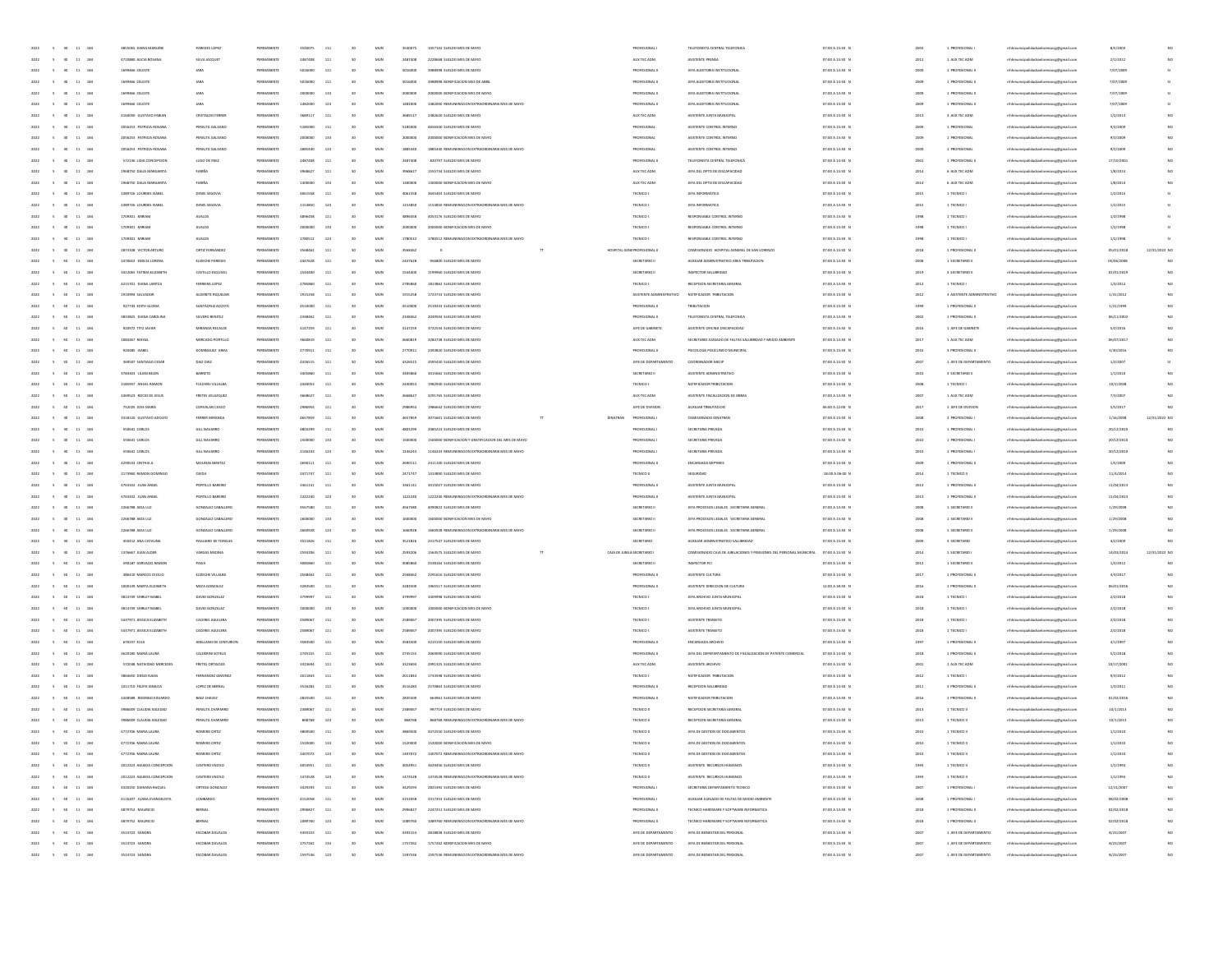| 2022<br>$\sim$<br>30 <sub>2</sub>                                                                              | 11 184<br>3855065 DIANA MARLENI                  | PAREDES LOPEZ                      | PERMANENT               | 3540075            | 111          | 30              | MUN                 | 3540075            | 1057102 SUELDO MES DE MAYO                                                          | PROFESIONAL I                                | TELEFONISTA CENTRAL TELEFONICA                                      | 07:00 A 13:30 N                    | 200          | 1 PROFESIONAL                                    | mhhmunicipalidadsanlorenzocg@gmail.com                                          | 8/5/2003               |               |
|----------------------------------------------------------------------------------------------------------------|--------------------------------------------------|------------------------------------|-------------------------|--------------------|--------------|-----------------|---------------------|--------------------|-------------------------------------------------------------------------------------|----------------------------------------------|---------------------------------------------------------------------|------------------------------------|--------------|--------------------------------------------------|---------------------------------------------------------------------------------|------------------------|---------------|
| 2022                                                                                                           | $11 - 184$<br>4710880 AUCIA ROSANA               | SILVA JACQUET                      | PERMANENT               | 2487408            | $_{\rm 111}$ | 30              | MUN                 | 2487408            | 2228668 SUELDO MES DE MAYO                                                          | AUX TEC ADM                                  | ASISTENTE PRENSA                                                    | 07:00 A 13:30 N                    | 2012         | 1 AUX TEC ADM                                    | mhhmunicipalidadsanlorenzoog@gmail.com                                          | 2/1/2012               |               |
| $11\,$                                                                                                         | 184<br>1699466 CELEST                            |                                    |                         | 501                | 111          |                 | $_{\rm MUN}$        |                    |                                                                                     |                                              | <b>DRIA INSTITUCIONA</b>                                            | 07:00 A 13:30 1                    | 200          |                                                  | raocg@gmail.cor                                                                 | 7/07/200               |               |
| 2022<br>$\sim$                                                                                                 | 11 184<br>1699466 CELESTE                        |                                    | PERMANENT               | 5016000            | 111          | 30              | MUN                 | 5016000            | 3988998 BONIFICACION MES DE ABRI                                                    | PROFESIONAL II                               | JEFA AUDITORIA INSTITUCIONAL                                        | 07:00 A 13:30 N                    | 2009         | 1 PROFESIONAL I                                  | mhhmunicipalidadsanlorenzocg@gmail.com                                          | 7/07/2009              |               |
| 2022                                                                                                           | 11 184<br>1699466 CELESTE                        |                                    | PERMANENT               | 2000000            | 133          |                 | MUN                 | 2000000            | 2000000 BONIFICACION MES DE MAYO                                                    | PROFESIONAL II                               | JEFA AUDITORIA INSTITUCIONA                                         | 07:00 A 13:30 N                    | 200          | 1 PROFESIONAL II                                 | mhhmunicipalidadsanlorenzocg@gmail.com                                          | 7/07/2009              |               |
| $\mathbf{11}$<br>2022                                                                                          | 184<br>1699466 CELESTE                           | JARA                               | PERMANEN                | 1482000            | 123          |                 | MUN                 | 1482000            | 1482000 REMUNERACION EXTRAORDINARIA MES DE MAYO                                     | PROFESIONAL II                               | JEFA AUDITORIA INSTITUCIONAL                                        | 07:00 A 13:30 1                    | 2009         | 1 PROFESIONAL I                                  | mhhmunicipalidadsanlorenzoog@gmail.com                                          | 7/07/2009              |               |
| $11\,$<br>2022                                                                                                 | 184<br>4160030 GUSTAVO FABIA                     | CRISTALDO FERREI                   | PERMANENT               | 3689117            | 111          |                 | MUN                 | 3689117            | 2382620 SUELDO MES DE MAYO                                                          | AUX TEC ADM                                  | ASISTENTE JUNTA MUNICIPAL                                           | 07:00 A 13:30 N                    | 2013         | 3 AUX TEC ADM                                    |                                                                                 | 1/2/2013               |               |
|                                                                                                                | 184                                              | PERALTA GAL                        |                         | 5185               | 11           |                 |                     | 518500             | 4656500 SUELDO MES DE MAY                                                           |                                              | ASISTENTE CONTROL INTERNI                                           |                                    |              |                                                  | mhhmunicipalidadsanlorenzoog@gmail.com                                          |                        |               |
| $\bf{11}$                                                                                                      | 2056253 PATRICIA ROSAN<br>2056253 PATROLA ROSANA |                                    |                         |                    |              |                 | MUN                 |                    |                                                                                     | PROFESIONA                                   |                                                                     | 07:00 A 13:30 1                    | 200          |                                                  | enzocg@gmail.com                                                                | 9/2/200                |               |
| 11<br>2022<br>$\sim$                                                                                           | 184                                              | PERALTA GALEANO                    | PERMANENT               | 2000000            | 133          |                 | MUN                 | 2000000            | 2000000 BONIFICACION MES DE MAYO                                                    | PROFESIONAL                                  | ASISTENTE CONTROL INTERNO                                           | 07:00 A 13:30 N                    | 2009         | 1 PROFESIONAL                                    | mhhmunicipalidadsanlorenzocg@gmail.com                                          | 9/2/2009               |               |
| 2022<br>$\sim$                                                                                                 | 11 184<br>2056253 PATRICIA ROSANA                | PERALTA GALEANO                    | PERMANENT               | 1885440            | 123          | 30              | MUN                 | 1885440            | 1885440 REMUNERACION EXTRAORDINARIA MES DE MAYO                                     | PROFESIONAL                                  | ASISTENTE CONTROL INTERNO                                           | 07:00 A 13:30 N                    | 200          | 1 PROFESIONAL                                    | mhhmunicipalidadsanlorenzocg@gmail.com                                          | 9/2/2009               |               |
| $\mathbf{11}$<br>2022                                                                                          | 184<br>572156 LIDIA CONCEPCION                   | LUGO DE PAEZ                       | PERMANEN                | 2487408            | 111          |                 | $_{\rm MUN}$        | 2487408            | 820797 SUELDO MES DE MAYO                                                           | PROFESIONAL I                                | TELEFONISTA CENTRAL TELEFONICA                                      | 07:00 A 13:30 N                    | 2001         | 1 PROFESIONAL I                                  | mhhmunicipalidadsanlorenzoog@gmail.com                                          | 17/10/200              |               |
| $11\,$<br>2022                                                                                                 | 184<br>1968750 DALIA MARGARITA                   | FARIÑA                             | PERMANENT               | 3968627            | 111          |                 | MUN                 | 3968627            | 1555734 SUELDO MES DE MAYO                                                          | AUX TEC ADM                                  | JEFA DEL DPTO DE DISCAPACIDAD                                       | 07:00 A 13:30 N                    | $201 -$      | 6 AUX TEC ADM                                    | mhmunicipalidadsanlorenzocg@gmail.com                                           | 1/8/2014               |               |
| $11\,$                                                                                                         | 184<br>1958750 DALIA MARGARIT                    | FARIÑA                             |                         |                    | 133          | 30              | $_{\rm MUN}$        | 130000             | 1300000 BONIFICACION MES DE MAYO                                                    | AUX TEC ADM                                  | JEFA DEL DPTO DE DISCAPACIDAD                                       | 07:00 A 13:30 1                    | $201 -$      | 6 AUX TEC ADS                                    | naocg@gmail.cor                                                                 | 1/8/201                |               |
| 11<br>2022<br>$\sim$                                                                                           | 184<br>2389726 LOURDES ISABEL                    | DENIS SEGOVIA                      | PERMANENT               | 4061558            | 111          |                 | MUN                 | 4061558            | 3645403 SUELDO MES DE MAYO                                                          | TECNICO I                                    | JEFA INFORMATICA                                                    | 07:00 A 13:30 N                    | 2015         | 1 TECNICO I                                      | mhhmunicipalidadsanlorenzocg@gmail.com                                          | 1/2/2015               |               |
| 2022<br>$\sim$                                                                                                 | 11 184<br>2389726 LOURDES ISABEI                 | DENIS SEGOVIA                      | PERMANENT               | 1153850            | 123          | 30              | MUN                 | 1153850            | 1153850 REMUNERACION EXTRAORDINARIA MES DE MAYO                                     | TECNICO I                                    | JEFA INFORMATICA                                                    | 07:00 A 13:30 N                    | 2015         | 1 TECNICO I                                      | mhhmunicipalidadsanlorenzocg@gmail.com                                          | 1/2/2015               |               |
| 2022                                                                                                           | 11 184<br>1709301 MIRIAN                         | <b>AVALOS</b>                      | PERMANENT               | 4896458            | 111          |                 | MUN                 | 4896458            | 4053176 SUELDO MES DE MAYO                                                          | TECNICO I                                    | RESPONSABLE CONTROL INTERNO                                         | 07:00 A 13:30 1                    | 1998         | 1 TECNICO I                                      | mhhmunicipalidadsanlorenzoog@gmail.com                                          | 1/2/1998               |               |
| 2022                                                                                                           | $11 - 184$<br>1709301 MIRIAN                     | <b>AVALOS</b>                      | PERMANENT               | 2000000            | 133          |                 | MUN                 | 2000000            | 2000000 BONIFICACION MES DE MAYO                                                    | TECNICO I                                    | RESPONSABLE CONTROL INTERNO                                         | 07:00 A 13:30 1                    | 1991         | 1 TECNICO I                                      | mhhmunicipalidadsanlorenzoog@gmail.com                                          | 1/2/1998               |               |
|                                                                                                                | $11 - 184$<br>1709301 MIRIAN                     | <b>AVALOS</b>                      |                         | 1780512            | 123          | 50 <sub>2</sub> | $_{\rm MUN}$        | 1780512            | 1780512 REMUNERACION EXTRAORDINARIA MES DE MAYO                                     | TECNICO I                                    | RESPONSABLE CONTROL INTERNO                                         | 07:00 A 13:30 1                    | 1991         |                                                  | naocg@gmail.cor                                                                 | 1/2/199                |               |
| 2022<br>$\sim$                                                                                                 | 11 184<br>2673108 VICTOR ARTURO                  | ORTIZ FERNANDEZ                    | PERMANENT               | 3568462            | 111          | 30 <sub>1</sub> | MUN                 | 356846             |                                                                                     | HOSPITAL GENEPROFESIONAL I                   | COMISIONADO HOSPITAL GENERAL DE SAN LORENZO                         | 07:00 A 13:30 N                    | 2018         | 1 PROFESIONAL I                                  | mhhmunicipalidadsanlorenzocg@gmail.com                                          | 05/01/2018             | 12/31/2022 NO |
| 2022<br>$\sim$                                                                                                 | 11 184<br>2470652 EMILSE LORENA                  | ELIZECHE PAREDES                   | PERMANENTE              | 2447628            | 111          | 30              | MUN                 | 2447628            | 956800 SUELDO MES DE MAYO                                                           | SECRETARIO II                                | AUXILIAR ADMINISTRATIVO AREA TRIBUTACIÓN                            | 07:00 A 13:30 N                    | 200          | 1 SECRETARIO II                                  | mhhmunicipalidadsanlorenzocg@gmail.com                                          | 05/06/2008             |               |
| $11\,$<br>2022                                                                                                 | 184<br>3412065 FATIMA ELIZABET                   | CASTILLO ESQUIVEI                  | PERMANENT               | 1544400            | 111          |                 | MUN                 | 1544400            | 1199960 SUELDO MES DE MAYO                                                          | SECRETARIO II                                | INSPECTOR SALUBRIDAD                                                | 07:00 A 13:30 N                    | 2019         | 3 SECRETARIO II                                  | mhhmunicipalidadsanlorenzoog@gmail.com                                          | 02/01/2019             |               |
|                                                                                                                |                                                  |                                    |                         |                    |              |                 |                     |                    |                                                                                     |                                              |                                                                     |                                    |              |                                                  |                                                                                 |                        |               |
| 2022                                                                                                           | 11 184<br>4215701 DIANA LANTZA                   | FERREIRA LOPEZ                     | PERMANENT               | 2785860            | 111          |                 | MUN                 | 2785860            | 1813862 SUELDO MES DE MAYO                                                          | TECNICO I                                    | RECEPCION SECRETARIA GENERAL                                        | 07:00 A 13:30 1                    | 2012         | 1 TECNICO I                                      | mhhmunicipalidadsanlorenzocg@gmail.com                                          | 1/3/2012               |               |
| $\bf{11}$                                                                                                      | 184<br>1910994 SALVADOR                          | ALDERETE RIQUELN                   |                         | 19152              | 11           |                 | MUN                 | 1915258            | 1723733 SUELDO MES DE MAY                                                           | ASISTENTE ADMINISTRATIVO                     | NOTIFICADOR TRIBUTACION                                             | 07:00 A 13:30 1                    | 201          | 3 ASISTENTE ADMINISTRAT                          | lidadsanlorenzocg@gmail.cor                                                     | 1/31/2012              |               |
| 2022<br>$\sim$                                                                                                 | 11 184<br>927743 EDITH GLORIA                    | SANTACINIZ ACOSTA                  | PERMANENT               | 4510000            | 111          | 30              | MUN                 | 4510000            | 2519233 SUELDO MES DE MAYO                                                          | PROFESIONAL II                               | TRIBUTACION                                                         | 07:00 A 13:30 N                    | 1999         | 1 PROFESIONAL II                                 | mhhmunicipalidadsanlorenzocg@gmail.com                                          | 1/21/1999              | NO.           |
| 2022<br>$\sim$                                                                                                 | 11 184<br>3833825 DIANA CAROLINA                 | SILVERO BENITEZ                    | PERMANENT               | 2348462            | 111          |                 | MUN                 | 2348462            | 2039504 SUELDO MES DE MAYO                                                          | PROFESIONAL II                               | TELEFONISTA CENTRAL TELEFONICA                                      | 07:00 A 13:30 N                    | 200          | 1 PROFESIONAL II                                 | mhhmunicipalidadsanlorenzocg@gmail.com                                          | 06/11/2002             |               |
| $\mathbf{11}$<br>2022                                                                                          | 920972 TITO JAVIE<br>184                         | MIRANDA RECALDE                    | PERMANENT               | 4147259            | 111          |                 | $_{\rm MUN}$        | 4147259            | 3722534 SUELDO MES DE MAYO                                                          | JEFE DE GABINETE                             | ASISTENTE OFICINA DISCAPACIDAD                                      | 07:00 A 13:30 N                    | 2016         | 1 JEFE DE GABINETI                               | mhhmunicipalidadsanlorenzoog@gmail.com                                          | 5/2/2016               |               |
| 2022<br>$11\,$                                                                                                 | 184<br>1084267 RAFAEL                            | MERCADO PORTILLO                   | PERMANENT               |                    | 111          |                 | MUN                 | 3660819            | 3284738 SUELDO MES DE MAYO                                                          | AUX TEC ADM                                  | SECRETARIO JUZGADO DE FALTAS SALUBRIDAD Y MEDIO AMBIENTE            | 07:00 A 13:30 1                    | 2013         | 1 AUX TEC ADM                                    | mhhmunicipalidadsanlorenzocg@gmail.com                                          | 06/07/201              |               |
| $\bf{11}$                                                                                                      | 184<br>920485 ISABE                              | DOMINGUEZ ARM                      |                         |                    | 11           |                 | MUN                 | 277091             | 2493820 SUELDO MES DE MAY                                                           | PROFESIONAL I                                | PSICOLOGA POLICLINICO MUNICIPA                                      | 07:00 A 13:30 1                    | 201          |                                                  | crenzocg@gmail.con                                                              | 3/30/2016              |               |
| 2022<br>$\sim$                                                                                                 | 11 184<br>369507 SANTIAGO CESAR                  | DIAZ DIAZ                          | PERMANENT               | 4326515            | 111          | $0$             | MUN                 | 4326515            | INGRANO SUFLIDO MES DE MAYO                                                         | IFFE DE DERARTAMENTO                         | COORDINADOR MECIP                                                   | 07:00 A 13:30 N                    | 2007         | 1 JEFE DE DEPARTAMENTO                           | mhhmunicipalidadsanlorenzocg@gmail.com                                          | 1/2/2007               |               |
| 2022<br>$\sim$                                                                                                 | 11 184<br>3784303 LILIAN BELEN                   | BARRETO                            | PERMANENT               | 3405860            | 111          | 30              | MUN                 | 3405860            | 3015662 SUELDO MES DE MAYO                                                          | SECRETARIO II                                | ASISTENTE ADMINISTRATIVO                                            | 07:00 A 13:30 N                    | 2010         | 3 SECRETARIO II                                  | mhhmunicipalidadsanlorenzocg@gmail.com                                          | 1/1/2010               |               |
| $\mathbf{11}$<br>2022                                                                                          | 184<br>3185937 ANGEL RAMOR                       | FULCHINI VILLALBA                  | PERMANEN                | 2440053            | 111          |                 | $_{\rm MUN}$        | 2440053            | 1982940 SUELDO MES DE MAYO                                                          | TECNICO I                                    | NOTIFICADOR TRIBUTACION                                             | 07:00 A 13:30 N                    | 2008         | 1 TECNICO I                                      |                                                                                 | 10/2/2008              |               |
|                                                                                                                |                                                  |                                    |                         |                    |              |                 |                     |                    |                                                                                     |                                              |                                                                     |                                    |              |                                                  | mhhmunicipalidadsanlorenzoog@gmail.com                                          |                        |               |
| $11\,$<br>2022                                                                                                 | 184<br>2469523 ROCIO DE JESUS                    | FRETES VELAZQUEZ                   | PERMANENT               |                    | 111          |                 | MUN                 | 3668627            | 3291765 SUELDO MES DE MAYO                                                          | AUX TEC ADM                                  | ASISTENTE FISCALIZACION DE OBRA:                                    | 07:00 A 13:30 N                    | 200          | 1 AUX TEC ADM                                    | mhhmunicipalidadsanlorenzoog@gmail.com                                          | 7/3/200                |               |
| $11\,$                                                                                                         | 184<br>752025 JOSE MARI                          | CORVALAN CASO                      |                         |                    | 111          |                 | $_{\rm MUN}$        |                    | 1986642 SUELDO MES DE MAY                                                           | JEFE DE DIVISIO                              | AUXILIAR TRIBUTACIÓN                                                | 06:00 A 12:00 1                    | 201          | 1 JEFE DE DIVISIO                                | naocg@gmail.cor                                                                 | 5/5/201                |               |
| 11<br>2022                                                                                                     | 184<br>3318120 GIRTANO ADDIED                    | FERRER MIRANDA                     | PERMANENT               | 4657859            | 111          |                 | MUN                 | 4657859            | 3075601 SUELDO MES DE MAYO<br>DINATRAN                                              | PROFESIONAL I                                | COMISIONADO DINATRAN                                                | 07:00 A 13:30 N                    | 2008         | 3 PROFESIONAL                                    | mhhmunicipalidadsanlorenzocg@gmail.com                                          | 1/16/2008              | 12/31/2022 NO |
| 2022<br>$\sim$                                                                                                 | 11 184<br>550641 CARLOS                          | GILL NAVARRO                       | PERMANENT               | 4803299            | 111          | 30              | MUN                 | 4803299            | 2085223 SUELDO MES DE MAYO                                                          | PROFESIONAL I                                | SECRETARIA PRIVADA                                                  | 07:00 A 13:30 N                    | 2010         | 1 PROFESIONAL                                    | mhhmunicipalidadsanlorenzocg@gmail.com                                          | 20/12/2010             | NO            |
| $11\,$<br>2022                                                                                                 | 184<br>550641 CARLOS                             | GILL NAVARRO                       | PERMANENT               | 1500000            | 133          |                 | MUN                 | 1500000            | 1500000 BONIFICACION Y GRATIFICACION DEL MES DE MAYO                                | PROFESIONAL I                                | SECRETARIA PRIVADA                                                  | 07:00 A 13:30 N                    | 2010         | 1 PROFESIONAL                                    | mhhmunicipalidadsanlorenzoog@gmail.com                                          | 20/12/2010             |               |
| 2022                                                                                                           | $11 - 184$<br>550641 CARLOS                      | GILL NAVARRO                       | PERMANENT               | 1146243            | 123          |                 | MUN                 | 1146243            | 1146243 REMUNERACION EXTRAORDINARIA MES DE MAYO                                     | PROFESIONAL I                                | SECRETARIA PRIVADA                                                  | 07:00 A 13:30 1                    | 2010         | 1 PROFESIONAL                                    | mhmunicipalidadsanlorenzocg@gmail.com                                           | 20/12/2010             |               |
|                                                                                                                | $11 - 184$<br>4290533 CINTHIA A                  | MOLINAS BENITE                     |                         |                    | 111          | 50 <sub>2</sub> | $_{\rm MUN}$        | 2690111            | 2411100 SUELDO MES DE MAYO                                                          | PROFESIONAL I                                |                                                                     | 07:00 A 13:30 1                    | 2001         |                                                  | naocg@gmail.cor                                                                 | 1/5/200                |               |
| 2022<br>$\sim$                                                                                                 | 11 184<br>2173960 RAMON DOMINGO                  | <b>QJEDA</b>                       | PERMANENT               | 2471747            | 111          | 30 <sub>1</sub> | MUN                 | 2471747            | 1314890 SUFLDO MFS DE MAYO                                                          | TECNICO II                                   | SEGURIDAD                                                           | 18:00 A 06:00 N                    | 2014         | 1 TECNICO II                                     | mhhmunicipalidadsanlorenzocg@gmail.com                                          | 11/4/2014              |               |
| 2022                                                                                                           | 11 184<br>4763342 JUAN ANGEL                     | PORTILLO BAREIRO                   | PERMANENT               | 3361141            | 111          | 30              | MUN                 | 3361141            | 3015027 SUELDO MES DE MAYO                                                          | PROFESIONAL II                               | ASISTENTE JUNTA MUNICIPAL                                           | 07:00 A 13:30 N                    | 2013         | 1 PROFESIONAL II                                 | mhhmunicipalidadsanlorenzocg@gmail.com                                          | 11/04/2019             |               |
| $11\,$<br>2022                                                                                                 | 4763342 JUAN ANGEL<br>184                        | PORTILLO BAREIRO                   | PERMANENT               | 1222240            | 123          |                 | MUN                 | 1222240            | 1222240 REMUNERACION EXTRAORDINARIA MES DE MAYO                                     | PROFESIONAL II                               | ASISTENTE JUNTA MUNICIPAL                                           | 07:00 A 13:30 N                    | 2013         | 1 PROFESIONAL II                                 | mhhmunicipalidadsanlorenzoog@gmail.com                                          | 11/04/2019             |               |
|                                                                                                                |                                                  |                                    |                         |                    |              |                 |                     |                    |                                                                                     |                                              |                                                                     |                                    |              |                                                  |                                                                                 |                        |               |
| 2022                                                                                                           | 11 184<br>2266788 AIDA LUZ                       | GONZALEZ CABALLERO                 | PERMANENT               | 4567580            | 111          |                 | MUN                 | 4567580            | 4090822 SUELDO MES DE MAYO                                                          | SECRETARIO II                                | JEFA PROCESOS LEGALES SECRETARIA GENERA                             | 07:00 A 13:30 1                    | 2008         | 1 SECRETARIO II                                  | mhmunicipalidadsanlorenzocg@gmail.com                                           | 1/29/2008              |               |
| $\bf{11}$                                                                                                      | 184<br>2266788 ADA LU2                           | GONZALEZ CABA                      |                         |                    | 133          |                 | $_{\rm MUN}$        |                    | 1600000 BONIFICACION MES DE MAYO                                                    | SECRETARIO I                                 | IEFA PROCESOS LEGALES SECRETARIA GENERA                             | 07:00 A 13:30 1                    | 200          | 1 SECRETARIO                                     | naocg@gmail.cor                                                                 | 1/29/2008              |               |
| 2022<br>$\sim$                                                                                                 | 11 184<br>2266788 ADA LUZ                        | GONZALEZ CABALLERO                 | PERMANENT               | 1660928            | 123          | $0$             | MUN                 | 1660928            | 1660928 REMUNERACION EXTRAORDINARIA MES DE MAYO                                     | SECRETARIO II                                | JEFA PROCESOS LEGALES SECRETARIA GENERA                             | 07:00 A 13:30 N                    | 2008         | 1 SECRETARIO II                                  | mhhmunicipalidadsanlorenzocg@gmail.com                                          | 1/29/2008              | NO            |
| 2022<br>$\sim$                                                                                                 | 11 184<br>450412 ANA CATALINA                    | PAGLIARO DE TORALE                 | PERMANENT               | 3521826            | 111          |                 | MUN                 | 3521826            | 2317547 SUELDO MES DE MAYO                                                          | SECRETARIO                                   | AUXILIAR ADMINISTRATIVO SALUBRIDAD                                  | 07:00 A 13:30 N                    | 200          | 3 SECRETARIO                                     | mhhmunicipalidadsanlorenzocg@gmail.com                                          | 4/2/2009               |               |
| 2022<br>$11\,$                                                                                                 | 184<br>1376667 JUAN ALDER                        | VARGAS MEDINA                      | PERMANENT               | 2593206            | 111          |                 | $_{\rm MUN}$        | 2593206            | 1563575 SUELDO MES DE MAYO                                                          | CAIA DE JUBILA SECRETARIO I                  | COMISIONADO CAJA DE JUBILACIONES Y PENSIONES DEL PERSONAL MUNICIPAL | 07:00 A 13:30 N                    | 2014         | 1 SECRETARIO                                     | mhhmunicipalidadsanlorenzoog@gmail.com                                          | 14/03/2014             | 12/31/2022 NO |
| $11\,$<br>2022                                                                                                 | 184<br>590187 GERVACIO RAMO                      | PANA                               | PERMANENT               | 3085860            | 111          |                 | MUN                 | 3085860            | 2538164 SUELDO MES DE MAYO                                                          | SECRETARIO II                                | INSPECTOR PCI                                                       | 07:00 A 13:30 1                    | 2012         | 1 SECRETANO I                                    | mhhmunicipalidadsanlorenzoog@gmail.com                                          | 1/3/2012               |               |
| $\bf{11}$                                                                                                      | 18<br>386410 MARCOS CECILIO                      | ELIZECHE VILLALB                   |                         |                    | $11\,$       |                 | MUN                 |                    |                                                                                     |                                              | ASISTENTE CULTUR                                                    | 07:00 A 13:30 1                    | 201          |                                                  | enzocg@gmail.com                                                                | 4/3/201                |               |
| 2022<br>$\sim$                                                                                                 | 11 184<br>1000149 MARTA ELIZABETH                | MEZA GONZALEZ                      | PERMANENT               | 3283500            | 111          | $0$             | MUN                 | 3283500            | 1965517 SUELDO MES DE MAYO                                                          | PROFESIONAL I                                | ASISTENTE DIRECCION DE CULTURA                                      | 12:00 A 18:30 N                    | 2016         | 1 PROFESIONAL I                                  | mhhmunicipalidadsanlorenzocg@gmail.com                                          | 06/01/2016             | NO            |
| 2022<br>$\sim$                                                                                                 | 11 184<br>3814749 SHIRLEY MABEL                  | DAVID GONZALEZ                     | PERMANENT               | 3709097            | 111          |                 | MUN                 | 3799997            | 3409998 SUELDO MES DE MAYO                                                          | TECNICO I                                    | JEFA ARCHIVO JUNTA MUNICIPAL                                        | 07:00 A 13:30 N                    | 2018         | 1 TECNICO I                                      | mhhmunicipalidadsanlorenzocg@gmail.com                                          | 2/2/2018               |               |
| $11\,$<br>2022                                                                                                 | 184<br>3814749 SHIRLEY MABEL                     | DAVID GONZALEZ                     | PERMANENT               | 1000000            | 133          |                 | MUN                 | 1000000            | 1000000 BONIFICACION MES DE MAYO                                                    | TECNICO I                                    | JEFA ARCHIVO JUNTA MUNICIPAL                                        | 07:00 A 13:30 N                    | 2018         | 1 TECNICO I                                      | mhhmunicipalidadsanlorenzoog@gmail.com                                          | 2/2/2018               |               |
| $11\,$                                                                                                         | 184<br>5437971 JESSICA ELIZABETH                 | CACERES AGUILER                    |                         |                    | 111          |                 | MUN                 |                    | 2007395 SUELDO MES DE MAYO                                                          |                                              |                                                                     |                                    | 2011         |                                                  |                                                                                 | 2/2/2018               |               |
| 2022                                                                                                           |                                                  |                                    | PERMANENT               | 2589067            |              |                 |                     | 2589067            |                                                                                     | TECNICO I                                    | ASISTENTE TRANSITO                                                  | 07:00 A 13:30 N                    |              | 1 TECNICO I                                      | mhhmunicipalidadsanlorenzoog@gmail.com                                          |                        |               |
| $\bf{11}$                                                                                                      | 184<br>5437971 JESSICA ELIZABET                  | <b>CACERES AGUILER</b>             |                         | 2589               | 111          |                 | $_{\rm MUN}$        | 258906             | 2007395 SUELDO MES DE MAY                                                           |                                              | ASISTENTE TRANSITO                                                  | 07:00 A 13:30 1                    | 2011         |                                                  | enzocg@gmail.com                                                                | 2/2/201                |               |
| 11<br>2022<br>$\sim$                                                                                           | 184<br>670257 ELVA                               | ARELIANO DE CENTURION              | PERMANENT               | 3583500            | 111          |                 | MUN                 | 3583500            | 3215150 SUELDO MES DE MAYO                                                          | PROFESIONAL I                                | ENCARGADA ARCHIVO                                                   | 07:00 A 13:30 N                    | 1997         | 1 PROFESIONAL I                                  | mhhmunicipalidadsanlorenzocg@gmail.com                                          | 3/1/1997               |               |
| 2022<br>$\sim$                                                                                                 | 11 184<br>3620180 MARIA LAURA                    | CALDERINI SOTELO                   | PERMANENTE              | 2745155            | 111          | 30              | MUN                 | 2745155            | 2069090 SUELDO MES DE MAYO                                                          | PROFESIONAL II                               | JEFA DEL DEPEPARTAMENTO DE FISCAUZACION DE PATENTE COMERCIAL        | 07:00 A 13:30 N                    | 2018         | 1 PROFESIONAL II                                 | mhhmunicipalidadsanlorenzocg@gmail.com                                          | 5/2/2018               |               |
| $11\,$<br>2022                                                                                                 | 184<br>572038 NATIVIDAD MERCEDES                 | FRETES ORTIGOZA                    | PERMANENT               | 3323694            | 111          |                 | MUN                 | 3323694            | 2991325 SUELDO MES DE MAYO                                                          | AUX TEC ADM                                  | ASISTENTE ARCHIVO                                                   | 07:00 A 13:30 N                    | 2001         | 1 AUX TEC ADM                                    | mhhmunicipalidadsanlorenzoog@gmail.com                                          | 10/17/2001             |               |
| 2022                                                                                                           | $11 - 184$<br>3864650 DIEGO ISAIAS               | FERNANDEZ GIMENEZ                  | PERMANENT               | 2011843            | 111          |                 | MUN                 | 2011843            | 1733598 SUELDO MES DE MAYO                                                          | TECNICO I                                    | NOTIFICADOR TRIBUTACION                                             | 07:00 A 13:30 1                    | 2012         | 1 TECNICO I                                      | mhhmunicipalidadsanlorenzoog@gmail.com                                          | 9/3/2012               |               |
|                                                                                                                | 11 184<br>1011710 FELIPA IGNACIA                 | LOPEZ DE BERNA                     |                         | 351628             | 111          | 30              | $_{\rm MUN}$        | 3516283            | 2570863 SUFLDO MES DE MAY                                                           | PROFESIONAL                                  |                                                                     | 07:00 A 13:30 1                    | 201          |                                                  | raocg@gmail.cor                                                                 | 1/3/201                |               |
| 11<br>2022<br>$\sim$                                                                                           | 184<br>2448588 RODRIGO EDUARDO                   | BAEZ CHAVEZ                        | PERMANENT               | 2835500            | 111          |                 | MUN                 | 2835500            | 664961 SUELDO MES DE MAYO                                                           | PROFESIONAL I                                | NOTIFICADOR TRIBUTACIÓN                                             | 07:00 A 13:30 N                    | 2016         | 1 PROFESIONAL I                                  | mhhmunicipalidadsanlorenzocg@gmail.com                                          | 01/02/2016             |               |
| 2022<br>$\sim$<br>30 <sub>1</sub>                                                                              | 11 184<br>3986009 CLAUDIA SOLEDAD                | PERALTA CHAPARRO                   | PERMANENT               | 2389067            | 111          |                 | MUN                 | 2389067            | 997719 SUELDO MES DE MAYO                                                           | TECNICO II                                   | RECEPCION SECRETARIA GENERAL                                        | 07:00 A 13:30 N                    | 2013         | 1 TECNICO II                                     | mhhmunicipalidadsanlorenzocg@gmail.com                                          | 10/1/2013              |               |
| 2022<br>$\sim$<br>30 <sub>2</sub>                                                                              | 11 184<br>3986009 CLAUDIA SOLEDAD                | PERALTA CHAPARR                    |                         | 868768             | 123          |                 | MUN                 | 868768             | 868768 REMUNERACION EXTRAORDINARIA MES DE MAYO                                      | TECNICO II                                   | RECEPCION SECRETARIA GENERAL                                        | 07:00 A 13:30 N                    | 2013         | 1 TECNICO II                                     | mhmunicipalidadsanlorenzocg@gmail.com                                           | 10/1/2013              |               |
|                                                                                                                |                                                  |                                    |                         |                    |              |                 |                     |                    | 3472550 SUELDO MES DE MAYO                                                          |                                              |                                                                     |                                    |              |                                                  |                                                                                 |                        |               |
| $2022 \qquad \quad 5 \qquad 30 \qquad 11 \qquad 184$                                                           | 4772706 MARIA LAURA                              | ROMERO ORTIZ                       | PERMANENT               | 3869500            | 111          | 30              | MUN                 | 3869500            |                                                                                     | TECNICO I                                    | JEFA DE GESTION DE DOCUMENTOS                                       | 07:00 A 13:30 N                    | 2010         | 1 TECNICO II                                     | mhmunicipalidadsanlorenzocg@gmail.com                                           | 1/1/2010               |               |
|                                                                                                                |                                                  |                                    |                         |                    |              |                 |                     |                    |                                                                                     |                                              |                                                                     |                                    |              |                                                  |                                                                                 |                        |               |
| 2022 5 30 11 184                                                                                               | 4772705 MARIA LAURA                              | ROMERO ORTIZ                       | PERMANENTE              | 1407072            | 123          | 30              | MUN                 | 1407072            | 1407072 REMUNERACION EXTRAORDINARIA MES DE MAYO                                     | TECNICO II                                   | IFFA DE GESTION DE DOCUMENTOS                                       | 07:00 A 13:30 N                    | 2010         | 1 TECNICO II                                     | mhmunicipalidadsanlorenzocg@gmail.com                                           | 1/1/2010               | NO            |
| 2022 5 30 11 184                                                                                               | 2012223 AGUEDA CONCEPCION                        | CANTERO ENCISC                     | PERMANENTE              | 4054951            | 111          | 30              | MUN                 | 4054951            | 3629456 SUELDO MES DE MAYO                                                          | TECNICO II                                   | ASISTENTE RECURSOS HUMANOS                                          | 07:00 A 13:30 N                    | 1993         | 1 TECNICO II                                     | mhhmunicipalidadsanlorenzocg@gmail.com                                          | 1/1/1993               | NO            |
| 2022<br>$\sim$<br>30 <sup>°</sup>                                                                              | $11\,$ $-184$<br>2012223 AGUEDA CONCEPCION       | CANTERO ENCISO                     | PERMANENTE              | 1474528            | 123          | 30              | MUN                 | 1474528            | 1474528 REMUNERACION EXTRAORDINARIA MES DE MAYO                                     | TECNICO II                                   | ASSTENTE RECURSOS HUMANOS                                           | 07:00 A 13:30 N                    | 1993         | 1 TECNICO II                                     | mhhmunicipalidadsanlorenzoog@gmail.com                                          | 1/1/1993               | NO            |
| $5$ $30$ $11$ $184$<br>2022                                                                                    | 4320250 DAHIANA RAQUEL                           | ORTEGA GONZALEZ                    | PERMANENT               | 3429293            | 111          | 30              | $_{\rm MUN}$        | 3429293            | 2825392 SUELDO MES DE MAYO                                                          | PROFESIONAL                                  | SECRETARIA DEPARTAMENTO TECNICO                                     | 07:00 A 13:30 N                    | 2007         | 1 PROFESIONAL                                    | mhmunicipalidadsanlorenzocg@gmail.com                                           | 12/11/2007             | NO            |
| 2022<br>$-5$<br>30                                                                                             | $11\,$ $-184$<br>4116207 JUANA EVANGELIST        |                                    | PERMANENTE              | 4152058            | 111          | 30 <sub>°</sub> | MUN                 | 4152058            | 3317353 SUELDO MES DE MAYO                                                          | <b>PROFESIONAL</b>                           | AUXILIAR JUZGADO DE FALTAS DE MEDIO AMBIENTE                        | 07:00 A 13:30 N                    | 2008         | 1 PROFESIONAL                                    | mhmunicipalidadsanlorenzocg@gmail.com                                           | 08/02/200              | $_{\rm NO}$   |
|                                                                                                                |                                                  |                                    |                         |                    |              |                 |                     | 2006827            |                                                                                     | PROFESIONAL II                               | TECNICO HARDWARE Y SOFTWARE INFORMATICA                             | 07:00 A 13:30 N                    | 2018         | 1 PROFESIONAL II                                 | mhmunicipalidadsanlorenzocg@gmail.com                                           | 02/02/2018             | NO            |
| 2022<br>- 5 - 50 - 11 - 184                                                                                    | 4879752 MAURICIO                                 | <b>BERNAL</b>                      | PERMANENTE              | 2996827            | 111          | 30              | MUN                 |                    | 2247251 SUFLIDO MES DE MAYO                                                         |                                              |                                                                     |                                    |              |                                                  |                                                                                 |                        |               |
| 2022 5 30 11 184                                                                                               | 4879752 MAURICIO                                 | <b>BERNAL</b>                      | PERMANENTE              | 1089760            | 123          | 30              | MUN                 | 1089760            | 1089760 REMUNERACION EXTRAORDINARIA MES DE MAYO                                     | PROFESIONAL II                               | TECNICO HARDWARE Y SOFTWARE INFORMATICA                             | 07:00 A 13:30 N                    | 2018         | 1 PROFESIONAL II                                 | mhhmunicipalidadsanlorenzocg@gmail.com                                          | 02/02/2018             | NO            |
|                                                                                                                |                                                  |                                    |                         |                    |              |                 |                     |                    |                                                                                     |                                              |                                                                     |                                    |              |                                                  |                                                                                 |                        |               |
| $5$ $30$ $11$ $184$<br>2022                                                                                    | 3513723 SANDRA                                   | ESCOBAR DAVALOS                    | PERMANENT               | 4393153            | 111          | 30              | $_{\rm MUN}$        | 4393153            | 3818838 SUELDO MES DE MAYO                                                          | JEFE DE DEPARTAMENTO                         | JEFA DE BIENESTAR DEL PERSONAL                                      | 07:00 A 13:30 $\,$ N               | 2007         | 1 JEFE DE DEPARTAMENTO                           | mhhmunicipalidadsanlorenzocg@gmail.com                                          | 8/23/2007              | NO            |
| $2022 \qquad \quad 5 \qquad 30 \qquad 11 \quad \ 184$<br>$2022 \qquad \quad 5 \qquad 30 \qquad 11 \quad \ 184$ | 3513723 SANDRA<br>3513723 SANDRA                 | ESCOBAR DAVALOS<br>ESCOBAR DAVALOS | PERMANENT<br>PERMANENTE | 1757262<br>1597536 | 133<br>123   | 30<br>30        | MUN<br>$_{\rm MUN}$ | 1757262<br>1597536 | 1757262 BONIFICACION MES DE MAYO<br>1597536 REMUNERACION EXTRAORDINARIA MES DE MAYO | JEFE DE DEPARTAMENTO<br>JEFE DE DEPARTAMENTO | JEFA DE BIENESTAR DEL PERSONAL<br>JEFA DE BIENESTAR DEL PERSONAL    | 07:00 A 13:30 N<br>07:00 A 13:30 N | 2007<br>2007 | 1 JEFE DE DEPARTAMENTO<br>1 JEFE DE DEPARTAMENTO | mhmunicipalidadsanlorenzoog@gmail.com<br>mhhmunicipalidadsanlorenzocg@gmail.com | 8/23/2007<br>8/23/2007 | NO<br>NO      |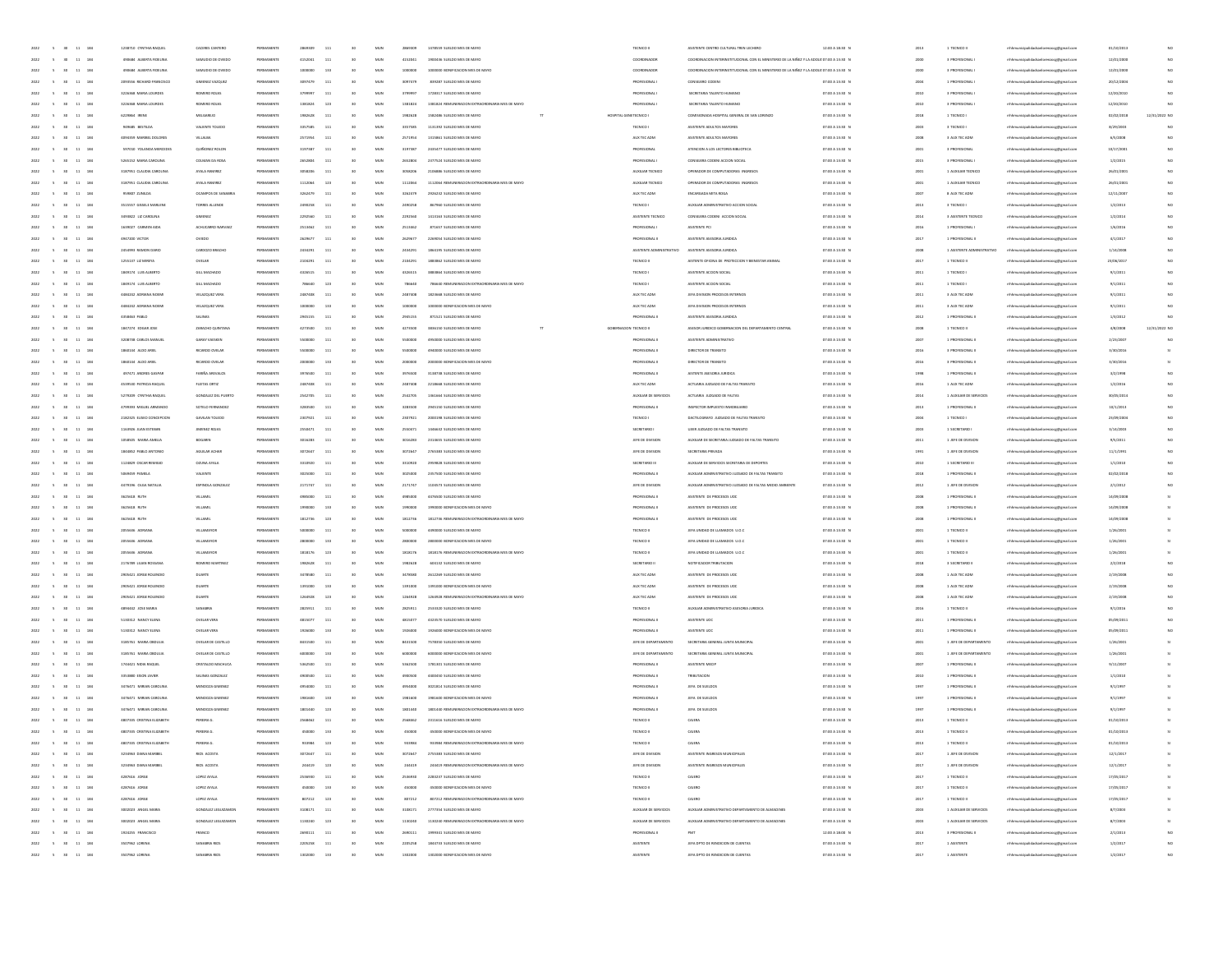| 11<br>184                                              | 1238710 CWTHIA BAOUE       | CACERES CANTERO           | PERMANENT  | 2865    | 111          |                 | MUN          |         | 1478559 SUELDO MES DE MAYO                                                   | TECNICO II               | ASISTENTE CENTRO CULTURAL TREN LECHER                                                   | 12:00 A 18:30 P | 2013 | 1 TECNICO II               | alidataslavanaverkenal ro                      | 01/10/2019 |               |
|--------------------------------------------------------|----------------------------|---------------------------|------------|---------|--------------|-----------------|--------------|---------|------------------------------------------------------------------------------|--------------------------|-----------------------------------------------------------------------------------------|-----------------|------|----------------------------|------------------------------------------------|------------|---------------|
| 2022<br>$11 - 184$<br>$\sim$<br>30 <sub>1</sub>        | 490584 ALBERTA FIDELINA    | SAMUDIO DE OVIEDO         | PERMANENTI | 4152041 | 111          | 30              | MUN          | 4152041 | 1900436 SUFLDO MES DE MAYO                                                   | COORDINADOR              | COORDINACION INTERNSTITUCIONAL CON EL MINISTERIO DE LA NIÑEZ Y LA ADOLE 07:00 A 13:30 N |                 | 2000 | 3 PROFESIONAL              | mhhmunicipalidadsanlorenzocg@gmail.com         | 12/01/2000 |               |
| 2022<br>$\sim$<br>11 184                               | 490584 ALBERTA FIDELINA    | SAMUDIO DE OVIEDO         | PERMANENT  | 1000000 | 133          | 30              | MUN          | 1000000 | 1000000 BONIFICACION MES DE MAYO                                             | COORDINADOR              | COORDINACION INTERNSTITUCIONAL CON EL MINISTERIO DE LA NIÑEZ Y LA ADOLE 07:00 A 13:30 N |                 | 2000 | 3 PROFESIONAL              | nhhmunicipalidadsanlorenzocg@gmail.com         | 12/01/2000 | NO            |
| 184<br>2022<br>$11\,$                                  | 2093556 RICHARD FRANCISCO  | GIMENEZ VAZQUEZ           | PERMANENT  | 3097479 | 111          |                 | MUN          | 3097479 | 839287 SUELDO MES DE MAYO                                                    | PROFESIONAL I            | CONSEJERO CODENI                                                                        | 07:00 A 13:30 0 | 2004 | 1 PROFESIONAL              | rhhmunicipalidadsanlorenzocg@gmail.com         | 20/12/2004 | NO            |
| 2022<br>$11\,$<br>184                                  | 3226368 MARIA LOURDES      | ROMERO ROJA               | PERMANENT  | 37999   | 111          |                 | MUN          | 379999  | 1728317 SUELDO MES DE MAYO                                                   | PROFESIONAL              | SECRETARIA TALENTO HUMANO                                                               | 07:00 A 13:30 N | 2010 | 3 PROFESIONAL              | rhhmunicipalidadsanlorenzocg@gmail.com         | 12/20/201  | NO            |
| 11 184<br>2022                                         | 3226368 MARIA LOURDES      | ROMERO ROJA               | PERMANENT  | 1381824 | 123          |                 | MUN          | 1381824 | 1381824 REMUNERACION EXTRAORDINARIA MES DE MAYO                              | PROFESIONAL I            | SECRETARIA TALENTO HUMANO                                                               | 07:00 A 13:30 N | 2010 | 3 PROFESIONAL              | mhhmunicipalidadsanlorenzocg@gmail.com         | 12/20/2010 |               |
| 11 184<br>2022<br>$\sim$                               | 6229864 IRENE              | MELGAREIO                 | PERMANENT  | 1982628 | 111          | 30              | MUN          | 1982628 | 1582486 SUELDO MES DE MAYO<br>T                                              | HOSPITAL GENETECNICO I   | COMISIONADA HOSPITAL GENERAL DE SAN LORENZO                                             | 07:00 A 13:30 N | 2018 | 1 TECNICO I                | mhhmunicipalidadsanlorenzocg@gmail.com         | 02/02/2018 | 12/31/2022 NO |
|                                                        |                            |                           |            |         |              |                 |              |         |                                                                              |                          |                                                                                         |                 |      |                            |                                                |            |               |
| 2022<br>$\sim$<br>11 184                               | 949685 BESTILDA            | VALIENTE TOLEDO           | PERMANENT  | 3357585 | 111          | 30              | MUN          | 3357585 | 1131392 SUELDO MES DE MAYO                                                   | TECNICO I                | ASISTENTE ADULTOS MAYORES                                                               | 07:00 A 13:30 N | 2003 | 3 TECNICO I                | nhhmunicipalidadsanlorenzocg@gmail.com         | 8/29/2003  | NO            |
| 184<br>$11\,$<br>2022                                  | 4094359 MARIBEL DOLORES    | <b>NILALBA</b>            | PERMANENT  | 2571954 | 111          |                 | MUN          | 2571954 | 1315861 SUELDO MES DE MAYO                                                   | AUX TEC ADM              | ASISTENTE ADULTOS MAYORES                                                               | 07:00 A 13:30 0 | 2006 | 3 AUX TEC ADM              | prenzocg@gmail.com                             | 6/5/2008   |               |
| $\bf{11}$<br>184                                       | 597010 YOLANDA MERCED      | QUIÑONEZ ROLO!            | PERMANENT  | 319738  | 111          |                 | MUN          | 319738  | 2435477 SUELDO MES DE MAYO                                                   | PROFESIONA               | ATENCION A LOS LECTORES BIBLIOTECA                                                      | 07:00 A 13:30 0 |      | 3 PROFESIONA               | rhhmunicipalidadsanlorenzocg@gmail.com         | 10/17/200  |               |
| 11 184<br>2022                                         | 5265152 MARIA CAROUNA      | COLMAN DA ROS             | PERMANENT  | 2652804 | 111          |                 | MUN          | 2652804 | 2377524 SUELDO MES DE MAYO                                                   | PROFESIONAL I            | CONSEJERA CODENI ACCION SOCIAL                                                          | 07:00 A 13:30 N | 2015 | 3 PROFESIONAL              | mhhmunicipalidadsanlorenzocg@gmail.com         | 1/2/2019   |               |
| 11 184<br>2022<br>$\sim$                               | 3187951 CLAUDIA CAROLINA   | AYALA RAMIREZ             | PERMANENTI | 3058206 | 111          |                 | MUN          | 3058206 | 2106886 SUELDO MES DE MAYO                                                   | AUXILIAR TECNICO         | OPERADOR DE COMPUTADORAS INGRESOS                                                       | 07:00 A 13:30 N | 2001 | 1 AUXILIAR TECNICO         | mhhmunicipalidadsanlorenzocg@gmail.com         | 26/01/2001 | NO.           |
| 2022<br>$\sim$<br>11 184                               | 3187951 CLAUDIA CAROLINA   | AYALA RAMIREZ             | PERMANENT  | 1112064 | 123          | 30              | MUN          | 1112054 | 1112064 REMUNERACION EXTRAORDINARIA MES DE MAYO                              | AUXILIAR TECNICO         | OPERADOR DE COMPUTADORAS INGRESOS                                                       | 07:00 A 13:30 N | 2001 | 1 AUXILIAR TECNICO         | nhhmunicipalidadsanlorenzocg@gmail.com         | 26/01/2001 | NO            |
| 184<br>$11\,$<br>2022                                  | 959807 ZUNLDA              | OCAMPOS DE SANA           |            | 3262479 | 111          |                 | MUN          | 3262479 | 2926232 SUELDO MES DE MAYO                                                   | AUX TEC ADM              | ENCARGADA MITA ROGA                                                                     | 07:00 A 13:30 0 | 2007 | 8 AUX TEC ADM              | renzocg@gmail.com                              | 12/11/200  |               |
| $_{\rm 11}$<br>184                                     | 3515557 GISSELE MARLEN     | TORRES ALLENDI            |            |         | 111          |                 | MUN          | 249025  | 867960 SUELDO MES DE MAYO                                                    | TECNICO I                | AUXILIAR ADMINISTRATIVO ACCION SOCIA                                                    | 07:00 A 13:30 0 | 2013 | 3 TECNICO I                | rhhmunicipalidadsanlorenzocg@gmail.com         | 1/2/201    |               |
| 11 184<br>2022                                         | 3493822 LIZ CAROLINA       | <b>GIMENEZ</b>            | PERMANENT  | 2202560 | 111          |                 | MUN          | 2292560 | 1413163 SUFLDO MFS DE MAYO                                                   | ASISTENTE TECNICO        | CONSEJERA CODENI ACCION SOCIA                                                           | 07:00 A 13:30 N | 2014 | 3 ASISTENTE TECNICO        | erbihans<br>unicipalidadsanlorenzocg@gmail.com | 1/2/2014   |               |
| $11 - 184$<br>2022<br>$\sim$                           | 1639027 CARMEN AIDA        | ACHUCARRO NARVAEZ         | PERMANENT  | 2513462 | 111          |                 | MUN          | 2513462 | 871657 SUELDO MES DE MAYO                                                    | PROFESIONAL I            | ASISTENTE PO                                                                            | 07:00 A 13:30 N | 2016 | 1 PROFESIONAL              | mhhmunicipalidadsanlorenzocg@gmail.com         | 1/6/2016   | NO.           |
| 2022<br>$\sim$<br>11 184                               | 4947200 VICTOR             | OVIEDO                    | PERMANENT  | 2629677 | 111          | 30              | MUN          | 2629677 | 2269054 SUELDO MES DE MAYO                                                   | PROFESIONAL II           | ASISTENTE ASESORIA JURIDICA                                                             | 07:00 A 13:30 N | 2013 | 1 PROFESIONAL II           | nhhmunicipalidadsanlorenzocg@gmail.com         | 4/1/2017   | NO.           |
| 184<br>$11\,$<br>2022                                  | 2454993 RAMON DARIO        | CARDOZO BRACHO            | PERMANENT  | 243429  | 111          |                 | MUN          | 2434291 | 1864195 SUELDO MES DE MAYO                                                   | ASISTENTE ADMINISTRATIVO | ASISTENTE ASESORIA JURIDICI                                                             | 07:00 A 13:30 0 | 2006 | 1 ASISTENTE ADMINISTRATIVO | municipalidadsanlorenzocg@gmail.com            | 1/14/2008  |               |
| 2022<br>$11\,$<br>184                                  | 1255137 LIZ MIREYA         | OVELAR                    | PERMANENT  | 210429  | 111          |                 | MUN          | 210429  | 1883862 SUELDO MES DE MAYO                                                   | TECNICO II               | ASTENTE OFICINA DE PROTECCIÓN Y BIENESTAR ANIMAL                                        | 07:00 A 13:30 0 | 2013 | 1 TECNICO II               | rhhmunicipalidadsanlorenzocg@gmail.com         | 23/06/2017 |               |
| 11 184<br>2022                                         | 1849174 LUIS ALBERTO       | GILL MACHADO              | PERMANENT  | 4326515 | 111          |                 | MUN          | 4326515 | 3883864 SUELDO MES DE MAYO                                                   | TECNICO I                | ASISTENTE ACCION SOCIAL                                                                 | 07:00 A 13:30 N | 2011 | 1 TECNICO I                | mhhmunicipalidadsanlorenzocg@gmail.com         | 9/1/2011   |               |
|                                                        |                            |                           |            |         |              |                 |              |         |                                                                              |                          |                                                                                         |                 |      |                            |                                                |            |               |
| $11 - 184$<br>2022<br>$\sim$                           | 1849174 LUS ALBERTO        | GILL MACHADO              | PERMANENT  | 786640  | 123          |                 | MUN          | 786640  | 786640 REMUNERACION EXTRAORDINARIA MES DE MAYO                               | TECNICO I                | ASISTENTE ACCION SOCIAL                                                                 | 07:00 A 13:30 N | 2011 | 1 TECNICO I                | mhhmunicipalidadsanlorenzocg@gmail.com         | 9/1/2011   | NO            |
| 11 184<br>2022<br>$\sim$                               | 4484242 ADRIANA NOEM       | VELAZQUEZ VERA            | PERMANENT  | 2487408 | 111          | 30              | MUN          | 2487408 | 1823668 SUELDO MES DE MAYO                                                   | AUX TEC ADM              | JEFA DIVISION PROCESOS INTERNOS                                                         | 07:00 A 13:30 N | 2011 | 3 AUX TEC ADM              | nhhmunicipalidadsanlorenzocg@gmail.com         | 9/1/2011   | NO.           |
| 184<br>$11\,$<br>2022                                  | 4484242 ADRIANA NOEM       | VELAZQUEZ VERA            | PERMANENT  | 1000000 | 133          |                 | MUN          | 1000000 | 1000000 BONIFICACION MES DE MAYO                                             | AUX TEC ADM              | JEFA DIVISION PROCESOS INTERNOS                                                         | 07:00 A 13:30 0 | 2011 | 3 AUX TEC ADM              | rhhmunicipalidadsanlorenzocg@gmail.com         | 9/1/2011   |               |
| 2022<br>$11\,$<br>184                                  | 4358463 PABLO              | SALINAS                   | PERMANENT  | 294515  | 111          |                 | MUN          | 294515  | 871521 SUELDO MES DE MAYO                                                    | PROFESIONAL I            | ASISTENTE ASESORIA JURIDICA                                                             | 07:00 A 13:30 0 | 2012 | 1 PROFESIONAL              | rhhmunicipalidadsanlorenzocg@gmail.com         | 1/3/201    |               |
| 11 184<br>2022                                         | 1847274 EDGARJOSE          | ZARACHO QUINTANA          | PERMANENT  | 4273500 | 111          |                 | MUN          | 4273500 | 3836150 SUELDO MES DE MAYO                                                   | GOBERNACION TECNICO II   | ASESOR JURIDICO GOBERNACION DEL DEPARTAMENTO CENTRAL                                    | 07:00 A 13:30 N | 2008 | 1 TECNICO II               | mhhmunicipalidadsanlorenzocg@gmail.com         | 4/8/2008   | 12/31/2022 NO |
| $11 - 184$<br>2022<br>$\sim$                           | 3208738 CARLOS MANUE       | GARAY VAESKEN             | PERMANENTI | 5500000 | 111          | 30              | MUN          | 5500000 | 4950000 SUELDO MES DE MAYO                                                   | PROFESIONAL I            | ASISTENTE ADMINISTRATIVO                                                                | 07:00 A 13:30 N | 2007 | 1 PROFESIONAL II           | mhhmunicipalidadsanlorenzocg@gmail.com         | 2/23/2007  | NO            |
| 2022<br>$\sim$<br>11 184                               | 1860144 ALDO ARIEL         | RICARDO OVELA             | PERMANENT  | 5500000 | 111          | 30              | MUN          | 5500000 | 4940000 SUELDO MES DE MAYO                                                   | PROFESIONAL I            | DIRECTOR DE TRANSITO                                                                    | 07:00 A 13:30 N | 2016 | 3 PROFESIONAL II           | nhhmunicipalidadsanlorenzocg@gmail.com         | 3/30/2016  |               |
| $11\,$<br>184<br>2022                                  | 1860144 ALDO ARIEL         | RICARDO OVELA             | PERMANENT  | 20000   | 133          |                 | MUN          | 2000000 | 2000000 BONIFICACION MES DE MAYO                                             | PROFESIONAL I            | DIRECTOR DE TRANSITO                                                                    | 07:00 A 13:30 0 | 2016 | 3 PROFESIONAL I            | orenzocg@gmail.com                             | 3/30/2016  |               |
| $_{\rm 11}$<br>184                                     | 497471 ANDRES GASPA        | FARIÑA AREVALO            | PERMANENT  | 39765   | 111          |                 | MUN          |         | 3138738 SUELDO MES DE MAYO                                                   | PROFESIONAL I            | ASTENTE ASESORIA JURIDIO                                                                | 07:00 A 13:30 0 | 1991 | 1 PROFESIONAL              | rhhmunicipalidadsanlorenzocg@gmail.com         | 3/2/199    |               |
| 11 184<br>2022                                         | 4539530 PATRICIA RAQUEL    | FLEITAS ORTIZ             | PERMANENT  | 2487408 | 111          |                 | MUN          | 2487408 | 2218668 SUELDO MES DE MAYO                                                   | AUX TEC ADM              | ACTUARIA JUZGADO DE FALTAS TRANSITO                                                     | 07:00 A 13:30 N | 2016 | 1 AUX TEC ADM              | mhhmunicipalidadsanlorenzocg@gmail.com         | 1/2/2016   | NO.           |
| 11 184<br>2022<br>$\sim$                               | 5279209 CYNTHIA RAQUEL     | GONZALEZ DEL PUERTO       | PERMANENT  | 2542705 | 111          |                 | MUN          | 2542705 | 1361664 SUELDO MES DE MAYO                                                   | AUXILIAR DE SERVICIOS    | ACTUARIA JUZGADO DE FALTAS                                                              | 07:00 A 13:30 N | 2014 | 1 AUXILIAR DE SERVICIOS    | mhhmunicipalidadsanlorenzocg@gmail.com         | 30/05/2014 | NO.           |
| 2022<br>$\sim$<br>11 184                               | 4799393 MIGUEL ARMANDO     | SOTELO FERNANDEZ          | PERMANENT  | 3283500 | 111          | 30              | MUN          | 3283500 | 2945150 SUELDO MES DE MAYO                                                   | PROFESIONAL II           | INSPECTOR IMPUESTO INMOBILIANO                                                          | 07:00 A 13:30 N | 2013 | 1 PROFESIONAL II           | nhhmunicipalidadsanlorenzocg@gmail.com         | 10/1/2013  |               |
| 184<br>$11\,$<br>2022                                  | 2182325 ELISED CONCEPCION  | GAVILAN TOLEDO            | PERMANENT  | 2307923 | 111          |                 | MUN          | 2307921 | 2000198 SUELDO MES DE MAYO                                                   | TECNICO I                | DACTILOGRAFO JUZGADO DE FALTAS TRANSITO                                                 | 07:00 A 13:30 0 | 2004 | 1 TECNICO I                | enzocg@gmail.com                               | 23/09/200  |               |
| $_{\rm 11}$<br>184                                     | 1163926 JUAN ESTEBAN       | <b>JIMENEZ ROJA</b>       |            | 255047  | 111          |                 | MUN          |         | 1446632 SUELDO MES DE MAYO                                                   | SECRETARIO               | UJIER JUZGADO DE FALTAS TRANSITO                                                        | 07:00 A 13:30 0 | 2001 | 1 SECRETARIO               | nhhmunicipalidadsanlorenzocg@gmail.com         | 3/14/200   |               |
| 11 184<br>2022                                         | 1058505 MARIA AMELIA       | BOGARIN                   | PERMANENT  | 3016283 | 111          |                 | MUN          | 3016283 | 2314655 SUFLIDO MES DE MAYO                                                  | JEFE DE DIVISION         | AUXILIAR DE SECRETARIA JUZGADO DE FALTAS TRANSITO                                       | 07:00 A 13:30 N | 2011 | 1 JEFE DE DIVISION         | mhhmunicipalidadsanlorenzocg@gmail.com         | 9/5/2011   |               |
| 11 184<br>2022<br>$\sim$                               | 1844852 PABLO ANTONIO      | AGUILAR ACHAE             | PERMANENT  | 3072647 | 111          |                 | MUN          | 3072647 | 2765383 SUELDO MES DE MAYO                                                   | JEFE DE DIVISION         | SECRETARIA PRIVADA                                                                      | 07:00 A 13:30 N | 1991 | 1 JEFE DE DIVISION         | mhhmunicipalidadsanlorenzocg@gmail.com         | 11/1/1991  | NO.           |
| 2022<br>$\sim$<br>11 184                               | 1124829 OSCAR REMIGIO      | <b>GZUNA AYALA</b>        | PERMANENT  | 3310920 | 111          | 30              | MUN          | 3310920 | 2959828 SUELDO MES DE MAYO                                                   | SECRETARIO III           | AUXILIAR DE SERVICIOS SECRETARIA DE DEPORTES                                            | 07:00 A 13:30 N | 2010 | 1 SECRETARIO III           | nhhmunicipalidadsanlorenzocg@gmail.com         | 1/1/2010   |               |
| 184<br>$11\,$<br>2022                                  | 5069459 PAMELA             | VALIENTE                  |            | 3025000 | 111          |                 | MUN          | 3025000 | 2357500 SUELDO MES DE MAYO                                                   | PROFESIONAL I            | AUXILIAR ADMINISTRATIVO JUZGADO DE FALTAS TRANSITO                                      | 07:00 A 13:30 0 | 2018 | 1 PROFESIONAL I            | rhhmunicipalidadsanlorenzocg@gmail.com         | 02/02/2018 |               |
| 2022<br>$11\,$<br>184                                  | 4479196 OLGA NATALIA       | ESPINOLA GONZALI          | PERMANENT  | 2171747 | 111          |                 | MUN          | 2171747 | 1104573 SUELDO MES DE MAYO                                                   | JEFE DE DIVISION         | AUXILIAR ADMINISTRATIVO JUZGADO DE FALTAS MEDIO AMBIENTE                                | 07:00 A 13:30 0 | 2012 | 1 JEFE DE DIVISION         | rhhmunicipalidadsanlorenzocg@gmail.com         | 2/1/2012   |               |
| 11 184                                                 | 3625618 RUTH               | VILLAMIL                  | PERMANENT  | 4985000 | 111          |                 | MUN          | 4985000 | 4476500 SUELDO MES DE MAYO                                                   | PROFESIONAL I            | ASISTENTE DE PROCESOS UDC                                                               | 07:00 A 13:30 N | 2008 | 1 PROFESIONAL II           | mhhmunicipalidadsanlorenzocg@gmail.com         | 14/09/2008 |               |
| $11 - 184$<br>2022<br>$\sim$                           | 3625618 RUTH               | VILLAMIL                  | PERMANENT  | 1990000 | 133          |                 | MUN          | 1990000 | 1990000 BONIFICACION MES DE MAYO                                             | PROFESIONAL I            | ASISTENTE DE PROCESOS UDC                                                               | 07:00 A 13:30 N | 2008 | 1 PROFESIONAL I            | mhhmunicipalidadsanlorenzocg@gmail.com         | 14/09/2008 |               |
|                                                        |                            |                           |            |         |              |                 |              |         |                                                                              |                          |                                                                                         |                 |      |                            |                                                |            |               |
| 11 184<br>2022<br>$\sim$                               | 3625618 RUTH               | VILLAMIL                  | PERMANENT  | 1812736 | 123          | 30              | MUN          | 1812736 | 1812736 REMUNERACION EXTRAORDINARIA MES DE MAYO                              | PROFESIONAL I            | ASISTENTE DE PROCESOS UOC                                                               | 07:00 A 13:30 N | 2008 | 1 PROFESIONAL II           | nhhmunicipalidadsanlorenzocg@gmail.com         | 14/09/2008 |               |
| 184<br>$11\,$<br>2022                                  | 2055636 ADRIA              | VILLAMAYO                 | PERMANENT  | 5000000 | 111          |                 | MUN          | 5000000 | 4490000 SUELDO MES DE MAYO                                                   | TECNICO II               | JEFA UNIDAD DE LLAMADOS U.O.C                                                           | 07:00 A 13:30 0 | 2001 | 1 TECNICO II               | mhmunicipalidadsanlorenzocg@gmail.com          | 1/26/2001  |               |
| 2022<br>$11\,$<br>184                                  | 2055636 ADRANA             | VILLAMAYO                 | PERMANENT  | 280000  | 133          |                 | MUN          | 280000  | 2800000 BONIFICACIÓN MES DE MAYO                                             | TECNICO II               | IEFA UNIDAD DE LLAMADOS U.O.C                                                           | 07:00 A 13:30 0 | 200  | 1 TECNICO II               | mhmunicipalidadsanlorenzocg@gmail.com          | 1/26/200   |               |
| 11 184<br>2022                                         | 2055636 ADRANA             | VILLAMAYOR                | PERMANENT  | 1818176 | 123          |                 | MUN          | 1818176 | 1818176 REMUNERACION EXTRAORDINARIA MES DE MAYO                              | TECNICO II               | JEFA UNIDAD DE LLAMADOS U.O.C.                                                          | 07:00 A 13:30 N | 2001 | 1 TECNICO II               | nhhmunicipalidadsanlorenzocg@gmail.com         | 1/26/2001  |               |
| $11 - 184$<br>2022<br>$\sim$                           | 2176789 LILIAN ROSSANA     | ROMERO MARTINEZ           | PERMANENTI | 1982628 | 111          | 30              | MUN          | 1982628 | 604132 SUELDO MES DE MAYO                                                    | SECRETARIO I             | NOTIFICADOR TRIBUTACION                                                                 | 07:00 A 13:30 N | 2018 | 3 SECRETARIO II            | mhhmunicipalidadsanlorenzocg@gmail.com         | 2/2/2018   | NO.           |
| 11 184<br>2022<br>$\sim$                               | 2905421 JORGE ROLENDIO     | DUARTE                    | PERMANENT  | 3478580 | 111          | 30              | MUN          | 3478580 | 2612269 SUELDO MES DE MAYO                                                   | AUX TEC ADM              | ASISTENTE DE PROCESOS UOC                                                               | 07:00 A 13:30 N | 2008 | 1 AUX TEC ADM              | nhhmunicipalidadsanlorenzocg@gmail.com         | 2/19/2008  |               |
| $11\,$<br>184<br>2022                                  | 2905421 JORGE ROLENDIO     | DUART                     | PERMANENT  | 1391000 | 133          |                 | MUN          | 1391000 | 1391000 BONIFICACION MES DE MAYO                                             | AUX TEC ADM              | ASISTENTE DE PROCESOS UDC                                                               | 07:00 A 13:30 0 | 2006 | 1 AUX TEC ADM              | rhhmunicipalidadsanlorenzocg@gmail.com         | 2/19/2008  |               |
| $\bf{11}$<br>184                                       | 2905421 JORGE ROLENDIO     | DUARTI                    | PERMANENT  | 126492  | 123          |                 | MUN          | 126492  | 1264928 REMUNERACION EXTRAORDINARIA MES DE MAYO                              | AUX TEC ADM              | ASSTENTE DE PROCESOS UOC                                                                | 07:00 A 13:30 0 | 2001 | 1 AUX TEC ADM              | rhhmunicipalidadsanlorenzocg@gmail.com         | 2/19/200   |               |
| 11 184<br>2022                                         | 4894442 JOSE MARIA         | SANABRIA                  | PERMANENT  | 2825911 | 111          |                 | MUN          | 2825911 | 2533320 SUELDO MES DE MAYO                                                   | TECNICO II               | AUXILIAR ADMINISTRATIVO ASESORIA JURIDICA                                               | 07:00 A 13:30 N | 2016 | 1 TECNICO II               | mhhmunicipalidadsanlorenzocg@gmail.com         | 9/1/2016   |               |
| 11 184<br>2022<br>$\sim$                               | 5130312 NANCY ELENA        | OVELAR VERA               | PERMANENTI | 4815077 | 111          | 30 <sub>1</sub> | MUN          | 4815077 | 4323570 SUELDO MES DE MAYO                                                   | PROFESIONAL I            | ASISTENTE UOC                                                                           | 07:00 A 13:30 N | 2011 | 1 PROFESIONAL II           | mhhmunicipalidadsanlorenzocg@gmail.com         | 05/09/2011 | NO.           |
| 2022<br>$\sim$<br>11 184                               | 5130312 NANCY ELENA        | OVELAR VERA               | PERMANENT  | 1926000 | 133          | 30              | MUN          | 1926000 | 1926000 BONIFICACION MES DE MAYO                                             | PROFESIONAL II           | ASISTENTE UOD                                                                           | 07:00 A 13:30 N | 2011 | 1 PROFESIONAL II           | nhhmunicipalidadsanlorenzocg@gmail.com         | 05/09/2011 |               |
| 184<br>$11\,$<br>2022                                  | 3185761 MARIA OBDULU       | OVELAR DE CASTILLO        |            | 8431500 | 111          |                 | MUN          | 8431500 | 7578350 SUELDO MES DE MAYO                                                   | JEFE DE DEPARTAMENTO     | SECRETARIA GENERAL JUNTA MUNICIPAL                                                      | 07:00 A 13:30 0 | 2001 | 1 JEFE DE DEPARTAMENTO     | mhhmunicipalidadsanlorenzocg@gmail.com         | 1/26/2001  |               |
| $\bf{11}$<br>184                                       | 3185761 MARA OBDULI        | <b>OVELAR DE CASTILLO</b> |            | 60000   | 133          |                 | MUN          |         | 6000000 BONIFICACION MES DE MAYC                                             | JEFE DE DEPARTAMENTO     | SECRETARIA GENERAL JUNTA MUNICIPA                                                       | 07:00 A 13:30 0 | 200  | 1 JEFE DE DEPARTAMENTO     | mhmunicipalidadsanlorenzocg@gmail.com          | 1/26/200   |               |
| 11 184<br>2022<br>$-6$                                 | 1744421 NIDIA RAQUEI       | CRISTALDO MACHUCA         | PERMANENT  | 5362500 | 111          |                 | MUN          | 5362500 | 1781301 SUELDO MES DE MAYO                                                   | PROFESIONAL I            | ASISTENTE MECH                                                                          | 07:00 A 13:30 N | 2007 | 1 PROFESIONAL II           | icipalidadsanlorenzocg@gmail.com               | 9/11/2007  |               |
| $11 - 184$<br>2022<br>$\sim$                           | 3353880 EISON JAVIER       | SALINAS GONZALEZ          | PERMANENTI | 4900500 | 111          |                 | MUN          | 4900500 | 4400450 SUFLDO MES DE MAYO                                                   | PROFESIONAL I            | TRIBUTACION                                                                             | 07:00 A 13:30 N | 2010 | 1 PROFESIONAL II           | mhhmunicipalidadsanlorenzocg@gmail.com         | 1/1/2010   |               |
| 2022<br>$\sim$<br>11 184                               | 3476471 MIRIAN CAROLINA    | MENDOZA GIMENEZ           | PERMANENT  | 4954000 | 111          | 30              | MUN          | 4954000 | 3021814 SUELDO MES DE MAYO                                                   | PROFESIONAL I            | <b>IEFA DE SUELDOS</b>                                                                  | 07:00 A 13:30 N | 1997 | 1 PROFESIONAL II           | mhhmunicipalidadsanlorenzoce@email.com         | 9/1/1997   |               |
| 184<br>$11\,$<br>2022                                  | 3476471 MIRIAN CAROLIN     | MENDOZA GIMENE            |            | 1981600 | 133          |                 | MUN          | 1981600 | 1981600 BONIFICACION MES DE MAYO                                             | PROFESIONAL I            | <b>IEFA DE SUELDOS</b>                                                                  | 07:00 A 13:30 0 | 1997 | 1 PROFESIONAL I            | prenzocg@gmail.com                             | 9/1/199    |               |
| 2022<br>$\sim$<br>$11\,$<br>184                        | 3476471 MIRIAN CAROLIN     | MENDOZA GIMENE            |            | 1801440 | 123          |                 | MUN          | 180144  | 1801440 REMUNERACION EXTRAORDINARIA MES DE MAYO                              | <b>PROFESIONAL</b>       | JEFA DE SUELDO                                                                          | 07:00 A 13:30 0 | 1993 | 1 PROFESIONAL              | rhhmunicipalidadsanlorenzocg@gmail.com         | 9/1/199    |               |
| 11 184<br>2022<br>$\sim$<br>30 <sup>°</sup>            | 4807335 CRISTINA ELIZABETH | PEREIRA G                 | PERMANENT  | 2568462 | 111          |                 | MUN          | 2568462 | 2311616 SUELDO MES DE MAYO                                                   | TECNICO II               | CAIERA                                                                                  | 07:00 A 13:30 N | 2013 | 1 TECNICO II               | nhhmunicipalidadsanlorenzocg@gmail.com         | 01/10/2019 |               |
| $2022 \qquad \quad 5 \qquad 30 \qquad 11 \quad \  184$ | 4807335 CRSTNA FLIZARETH   | PEREIRA G                 | PERMANENT  | 450000  | 133          | 30              | MUN          | 450000  | 450000 BONIFICACION MES DE MAYO                                              | TECNICO II               | CAIERA                                                                                  | 07:00 A 13:30 N | 2013 | 1 TECNICO II               | mhhmunicipalidadsanlorenzocg@gmail.com         | 01/10/2013 |               |
| 2022 5<br>11 184<br>30 <sub>1</sub>                    |                            |                           |            |         |              |                 |              |         |                                                                              |                          |                                                                                         |                 |      |                            |                                                |            |               |
| $5 - 30 - 11 - 184$<br>2022                            | 3234963 DIANA MARIBER      | RIOS ACOSTA               | PERMANENTE | 3072647 | $_{\rm 111}$ | 30              | $_{\rm MUN}$ | 3072647 | 2755383 SUELDO MES DE MAYO                                                   | JEFE DE DIVISION         | ASISTENTE INGRESOS MUNICIPALES                                                          | 07:00 A 13:30 N | 2017 | 1 JEFE DE DIVISION         | mhhmunicipalidadsanlorenzocg@gmail.com         |            |               |
|                                                        | 3234963 DIANA MARIBER      | <b>RIOS ACOSTA</b>        | PERMANENTI | 244419  | 123          |                 | MUN          |         |                                                                              |                          | ASISTENTE INGRESOS MUNICIPALES                                                          |                 | 2017 |                            |                                                | 12/1/2017  |               |
| $11\,$ $-184$<br>2022<br>5 30                          |                            |                           |            |         |              |                 |              | 244419  | 244419 REMUNERACION EXTRAORDINARIA MES DE MAYO<br>2283237 SUFLDO MFS DF MAYO | JEFE DE DIVISION         |                                                                                         | 07:00 A 13:30 N |      | 1 JEFE DE DIVISION         | mhhmunicipalidadsanlorenzocg@gmail.com         | 12/1/2017  | \$1           |
| 2022<br>11 184<br>$\sim$<br>30 <sup>°</sup>            | 4287616 JORGE              | LOPEZ AYALA               | PERMANENTI | 2536930 | 111          | 30              | MUN          | 2536930 |                                                                              | TECNICO II               | CAVERO                                                                                  | 07:00 A 13:30 N | 2017 | 1 TECNICO II               | mhhmunicipalidadsanlorenzocg@gmail.com         | 17/05/2017 | 51            |
| 2022<br>5 30<br>11 184                                 | 4287616 JORGE              | LOPEZ AYALA               | PERMANENT  | 450000  | 133          | 30 <sub>1</sub> | MUN          | 450000  | 450000 BONIFICACION MES DE MAYO                                              | TECNICO II               | CAVERO                                                                                  | 07:00 A 13:30 N | 2017 | 1 TECNICO II               | mhhmunicipalidadsanlorenzocg@gmail.com         | 17/05/2017 | SI.           |
| 5 30 11 184<br>2022                                    | 4287616 JORGE              | LOPEZ AYALA               | PERMANENT  | 807212  | 123          | 30 <sub>1</sub> | MUN          | 807212  | 807212 REMUNERACION EXTRAORDINARIA MES DE MAYO                               | TECNICO II               | CAIERO                                                                                  | 07:00 A 13:30 N | 2017 | 1 TECNICO II               | nhhmunicipalidadsanlorenzocg@gmail.com         | 17/05/2017 | SI.           |
| $11-184\,$<br>2022<br>$\sim$<br>30 <sub>2</sub>        | 3002023 ANGEL MARI         | GONZALEZ LEGUIZAMON       | PERMANENT  | 3108171 | 111          | 30              | MUN          | 3108171 | 2777354 SUELDO MES DE MAYO                                                   | AUXILIAR DE SERVICIOS    | AUXUAR ADMINISTRATIVO DEPARTAMENTO DE ALMACENES                                         | 07:00 A 13:30 N | 2003 | 1 AUXILIAR DE SERVICIOS    | mhhmunicipalidadsanlorenzocg@gmail.com         | 8/7/2003   | \$1           |
| $\sim$<br>$11 - 184$                                   | 1002023 ANGEL MARL         | GONZALEZ LEGUIZAMO?       | PERMANENT  | 1130240 | 123          | 30 <sub>1</sub> | MUN          | 1130240 | 1130240 REMUNERACION EXTRAORDINARIA MES DE MAYO                              | AUXILIAR DE SERVICIOS    | AUXILIAR ADMINISTRATIVO DEPARTAMENTO DE ALMACENES                                       | 07:00 A 13:30 N | 2003 | 1 AUXILIAR DE SERVICIOS    | mhmunicipalidadsanlorenzocg@gmail.com          | 8/7/2003   |               |
| 2022<br>5 30 11 184                                    | 1924255 FRANCISCO          | FRANCO                    | PERMANENTE | 2690111 | 111          | 30 <sub>1</sub> | MUN          | 2690111 | 1999341 SUELDO MES DE MAYO                                                   | PROFESIONAL II           | PART                                                                                    | 12:00 A 18:00 N | 2013 | 3 PROFESIONAL II           | mhhmunicipalidadsanlorenzocg@gmail.com         | 2/1/2013   | NO            |
| 2022 5 30 11 184                                       | 3507962 LORENA             | SANABRIA RIOS             | PERMANENTI | 2205258 | 111          | 30 <sub>1</sub> | MUN          | 2205258 | 1844733 SUFLDO MFS DE MAYO                                                   | ASISTENTE                | JEFA DPTO DE RENDICION DE CUENTAS                                                       | 07:00 A 13:30 N | 2017 | 1 ASISTENTE                | mhhmunicipalidadsanlorenzocg@gmail.com         | 1/2/2017   | NO            |
| 2022 5 30 11 184                                       | 3507962 LORENA             | SANABRIA RIOS             | PERMANENTE | 1302000 | 133          | 30              | MUN          | 1302000 | 1302000 BONIFICACION MES DE MAYO                                             | ASISTENTE                | JEFA DPTO DE RENDICION DE CUENTAS                                                       | 07:00 A 13:30 N | 2017 | 1 ASISTENTE                | mhhmunicipalidadsanlorenzocg@gmail.com         | 1/2/2017   | NO            |
|                                                        |                            |                           |            |         |              |                 |              |         |                                                                              |                          |                                                                                         |                 |      |                            |                                                |            |               |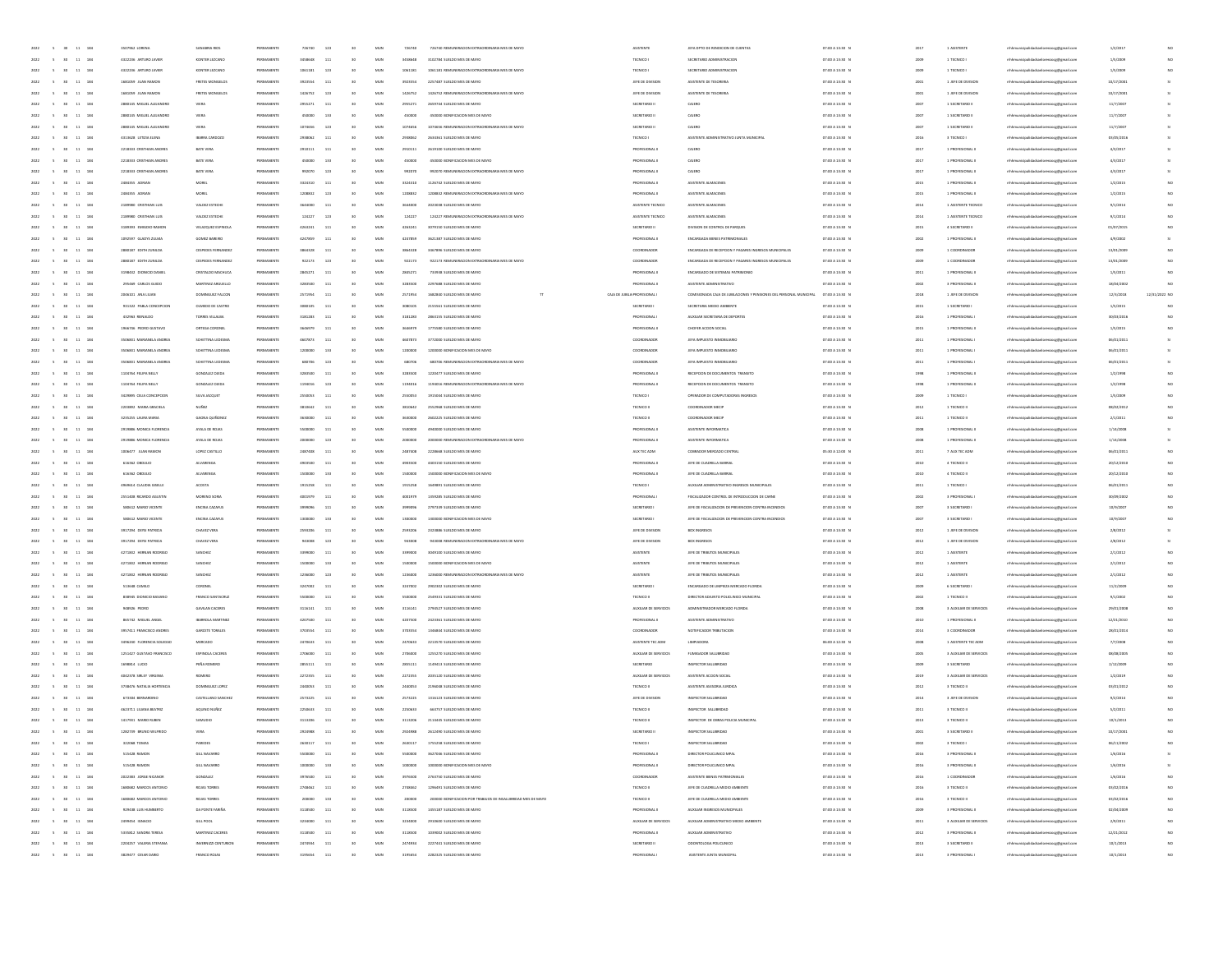| 2022 | $\sim$<br>30 <sub>1</sub><br>11 184                  | 3507962 LORENA            | SANABRIA RIOS           | PERMANENT  | 726740  | 123          | 30              | MUN          | 72674   | 726740 REMUNERACION EXTRAORDINARIA MES DE MAYO               | <b>ASISTENTS</b>             | IFFA DRTO DE RENDICIÓN DE CUENTAS                                   | 07:00 A 13:30 0 |         | 1 ASISTENTS             | nicipalidadsanlorenzocg@gmail.cor      | 1/2/201    |               |
|------|------------------------------------------------------|---------------------------|-------------------------|------------|---------|--------------|-----------------|--------------|---------|--------------------------------------------------------------|------------------------------|---------------------------------------------------------------------|-----------------|---------|-------------------------|----------------------------------------|------------|---------------|
| 2022 | 5 30 11 184                                          | 4322236 ARTURO JAVIER     | KONTER LEZCANO          | PERMANENTE | 3458648 | 111          | 30              | MUN          | 3458648 | 3102284 SUFLDO MFS DF MAYO                                   | TECNICO I                    | SECRETARIO ADMINISTRACIÓN                                           | 07:00 A 13:30 N | 2001    | 1 TECNICO I             | mhhmunicipalidadsanlorenzocg@gmail.com | 1/5/2009   |               |
| 2022 | 11 184<br>$\sim$<br>30                               | 4322236 ARTURO JAVIER     | KONTER LEZCANO          | PERMANENTE | 1061181 | 123          | 30              | MUN          | 1061181 | 1061181 REMUNERACION EXTRAORDINARIA MES DE MAYO              | TECNICO I                    | SECRETARIO ADMINISTRACION                                           | 07:00 A 13:30 N | 2001    | 1 TECNICO I             | mhhmunicipalidadsanlorenzocg@gmail.com | 1/5/2009   | NO.           |
| 2022 | $11\,$<br>184<br>$\sim$                              | 1681059 JUAN RAMON        |                         |            | 3923554 | 111          | 30              | MUN          | 3923554 | 2257487 SUELDO MES DE MAYO                                   |                              |                                                                     | 07:00 A 13:30 0 |         |                         |                                        |            |               |
|      | 30                                                   |                           | FRETES MONGELOS         | PERMANENTE |         |              |                 |              |         |                                                              | JEFE DE DIVISION             | ASISTENTE DE TESORERIA                                              |                 | 2001    | 1 JEFE DE DIVISIO       | mhhmunicipalidadsanlorenzoog@gmail.com | 10/17/2001 |               |
| 2022 | $\sim$<br>30<br>$11\,$<br>284                        | 1681059 JUAN RAMON        | FRETES MONGELO          | PERMANENT  | 1426752 | 123          | 50              | MUN          | 1426752 | 1426752 REMUNERACION EXTRAORDINARIA MES DE MAYO              | JEFE DE DIVISION             | ASISTENTE DE TESORERIA                                              | 07:00 A 13:30 N | 2003    | 1 JEFE DE DIVISIO       | mhhmunicipalidadsanlorenzocg@gmail.com | 10/17/200  |               |
| 2022 | 11 184<br>$-6$<br><b>SO</b>                          | 2880145 MIGUEL ALEJANDRO  | VIERA                   | PERMANENTI | 2955271 | 111          | 30              | MUN          | 2055271 | 2659744 SUELDO MES DE MAYO                                   | SECRETARIO II                | CAIERO                                                              | 07:00 A 13:30 P | 200     | 1 SECRETARIO II         | mhhmunicipalidadsanlorenzocg@gmail.com | 11/7/2007  |               |
| 2022 | 11 184<br>$\sim$<br>30 <sub>1</sub>                  | 2880145 MIGUEL ALEJANDRO  | VIERA                   | PERMANENTE | 450000  | 133          | 30              | MUN          | 450000  | 450000 BONIFICACION MES DE MAYO                              | SECRETARIO II                | CAIERO                                                              | 07:00 A 13:30 N | 2007    | 1 SECRETARIO II         | mhhmunicipalidadsanlorenzocg@gmail.com | 11/7/2007  |               |
| 2022 | 11 184<br>$\sim$<br>30 <sub>1</sub>                  | 2880145 MIGUEL ALEJANDRO  | VIERA                   | PERMANENTE | 1074656 | 123          | 30              | MUN          | 1074656 | 1074656 REMUNERACION EXTRAORDINARIA MES DE MAYO              | SECRETARIO I                 | CAJERO                                                              | 07:00 A 13:30 8 | 200     | 1 SECRETARIO II         | mhhmunicipalidadsanlorenzocg@gmail.com | 11/7/2007  |               |
| 2022 | $11\,$<br>184<br>$\sim$                              | 4313628 LETIZIA ELENA     | <b>BARRA CARDOZ</b>     | PERMANENTE | 2938062 | 111          |                 | MUN          | 2938062 | 2634361 SUELDO MES DE MAYO                                   | TECNICO I                    | ASISTENTE ADMINISTRATIVO JUNTA MUNICIPAL                            | 07:00 A 13:30 1 | 2016    | 3 TECNICO I             | inzocg@gmail.com                       | 03/05/201  |               |
|      |                                                      |                           |                         |            |         |              |                 |              |         |                                                              |                              |                                                                     |                 |         |                         |                                        |            |               |
|      | $\sim$<br>30<br>$\bf{11}$<br>184                     | 2218333 CRISTHIAN ANDRE   | BATE VERA               | PERMANENT  |         | 113          |                 | MUN          | 291011  | 2619100 SUELDO MES DE MAYO                                   | PROFESIONAL                  | CAJERO                                                              | 07:00 A 13:30 1 | 201     | 1 PROFESIONAL           | mhhmunicipalidadsanlorenzocg@gmail.com | 4/3/201    |               |
| 2022 | 11 184<br>$-8$<br><b>SO</b>                          | 2218333 CRISTHIAN ANDRES  | BATE VERA               | PERMANENTI | 450000  | 133          | $0$             | MUN          | 450000  | 450000 BONIFICACION MES DE MAYO                              | PROFESIONAL I                | CAIERO                                                              | 07:00 A 13:30 P | 2017    | 1 PROFESIONAL II        | mhhmunicipalidadsanlorenzocg@gmail.com | 4/3/2017   |               |
| 2022 | 11 184<br>$\sim$<br>30 <sub>1</sub>                  | 2218333 CRISTHIAN ANDRES  | BATE VERA               | PERMANENTE | 992070  | 123          | 30              | MUN          | 992070  | 992070 REMUNERACION EXTRAORDINARIA MES DE MAYO               | PROFESIONAL II               | CAIERO                                                              | 07:00 A 13:30 N | 2017    | 1 PROFESIONAL II        | mhhmunicipalidadsanlorenzocg@gmail.com | 4/3/2017   |               |
| 2022 | 11 184<br>$\sim$<br>30                               | 2484355 ADRIAN            | MOREL                   | PERMANENTE | 3324310 | 111          | 30              | MUN          | 3324310 | 1126742 SUELDO MES DE MAYO                                   | PROFESIONAL II               | ASISTENTE ALMACENES                                                 | 07:00 A 13:30 0 | 2015    | 1 PROFESIONAL II        | mhhmunicipalidadsanlorenzocg@gmail.com | 1/2/2015   |               |
|      | $\mathbf{11}$<br>184                                 |                           | MORE                    |            |         | 123          |                 | MUN          |         | 1208832 REMUNERACION EXTRAORDINARIA MES DE MAYO              |                              |                                                                     |                 | 2015    |                         |                                        |            |               |
| 2022 | $\sim$                                               | 2484355 ADRAM             |                         | PERMANENTE | 1208832 |              |                 |              | 1208832 |                                                              | PROFESIONAL II               | ASISTENTE ALMACENES                                                 | 07:00 A 13:30 1 |         | 1 PROFESIONAL II        | inzocg@gmail.com                       | 1/2/2015   |               |
|      | $\sim$<br>30<br>$\bf{11}$<br>184                     | 2189380 CRSTHIAN LUI      | VALDEZ ESTECH           | PERMANENT  |         | 113          |                 | MUN          | 364400  | 2023038 SUELDO MES DE MAYO                                   | ASISTENTE TECNICO            | ASISTENTE ALMACENE                                                  | 07:00 A 13:30 0 | $201 -$ | 1 ASISTENTE TECNICO     | mhhmunicipalidadsanlorenzocg@gmail.com | 9/1/201    |               |
| 2022 | 11 184<br>$-6$<br>30 <sub>1</sub>                    | 2189380 CRISTHIAN LUIS    | VALDEZ ESTECHE          | PERMANENTE | 124227  | 123          | <b>SO</b>       | MUN          | 124227  | 124227 REMUNERACION EXTRAORDINARIA MES DE MAYO               | ASISTENTE TECNICO            | ASISTENTE AUMACENES                                                 | 07:00 A 13:30 P | 2014    | 1 ASISTENTE TECNICO     | unicipalidadsanlorenzoce@email.com     | 9/1/2014   |               |
| 2022 | 11 184<br>$\sim$<br>30 <sub>1</sub>                  | 3189393 EMIGDIO RAMON     | VELAZQUEZ ESPINOLA      | PERMANENTE | 4263241 | 111          | 30              | MUN          | 4263241 | 3079150 SUELDO MES DE MAYO                                   | SECRETARIO II                | DIVISION DE CONTROL DE PARQUES                                      | 07:00 A 13:30 N | 2015    | 4 SECRETARIO III        | mhhmunicipalidadsanlorenzocg@gmail.com | 01/07/2015 | NO            |
| 2022 | 11 184<br>$\sim$<br>30                               | 1092597 GLADYS ZULMA      | GOMEZ BAREIRO           | PERMANENTE | 4247859 | 111          | 30              | MUN          | 4247859 | 3621387 SUELDO MES DE MAYO                                   | PROFESIONAL II               | ENCARGADA BIENES PATRIMONIALES                                      | 07:00 A 13:30 N | 2002    | 1 PROFESIONAL II        | mhhmunicipalidadsanlorenzoce@email.com | 4/9/2002   |               |
|      |                                                      |                           |                         |            |         |              |                 |              |         |                                                              |                              |                                                                     |                 |         |                         |                                        |            |               |
| 2022 | 184<br>$\sim$<br>$11\,$<br>30                        | 2880187 EDITH ZUNILDA     | CESPEDES FERNANDE       | PERMANENTE | 3864328 | 111          |                 | MUN          | 3864328 | 3467896 SUELDO MES DE MAYO                                   | COORDINADOR                  | ENCARGADA DE RECEPCION Y PAGARES INGRESOS MUNICIPALES               | 07:00 A 13:30 0 | 2009    | 1 COORDINADOR           | mhhmunicipalidadsanlorenzoog@gmail.com | 13/01/2001 |               |
| 2022 | $\sim$<br>30<br>$11\,$<br>184                        | 2880187 EDITH ZUNILDA     | CESPEDES FERNANDE       | PERMANENT  | 922173  | 123          | 50              | MUN          | 92217   | 922173 REMUNERACION EXTRAORDINARIA MES DE MAYO               | COORDINADOR                  | ENCARGADA DE RECEPCIÓN Y PAGARES INGRESOS MUNICIPALES               | 07:00 A 13:30 0 | 2001    | 1 COORDINADOR           | mhhmunicipalidadsanlorenzocg@gmail.com | 13/01/2001 | NO            |
| 2022 | 11 184<br>$\sim$<br>30 <sub>1</sub>                  | 3198432 DIONICO DANIEI    | CRISTALDO MACHUCA       | PERMANENTE | 2845271 | 111          |                 | MUN          | 2845271 | 733938 SUELDO MES DE MAYO                                    | PROFESIONAL II               | ENCARGADO DE SISTEMAS PATRIMONIO                                    | 07:00 A 13:30 P | 201     | 1 PROFESIONAL II        | mhhmunicipalidadsanlorenzocg@gmail.com | 1/5/2011   |               |
| 2022 | 11 184<br>$\sim$<br>30 <sub>1</sub>                  | 205469 CARLOS GUIDO       | MARTINEZ ARGUELLO       | PERMANENTE | 3283500 | 111          | 30              | MUN          | 3283500 | 2297688 SUELDO MES DE MAYO                                   | PROFESIONAL II               | ASISTENTE ADMINISTRATIVO                                            | 07:00 A 13:30 P | 2002    | 3 PROFESIONAL III       | mhhmunicipalidadsanlorenzocg@gmail.com | 18/04/2002 | NO            |
|      |                                                      |                           |                         |            |         |              |                 |              |         |                                                              |                              |                                                                     |                 |         |                         |                                        |            |               |
| 2022 | 11 184<br>$\sim$<br>30                               | 2046101 ANA LIUAN         | DOMINGUEZ FALCON        | PERMANENTE | 2571954 | 111          | 30              | MUN          | 2571954 | 1682840 SUELDO MES DE MAYO                                   | CAIA DE JUBILA PROFESIONAL I | COMISIONADA CAJA DE JUBILACIONES Y PENSIONES DEL PERSONAL MUNICIPAL | 07:00 A 13:30 0 | 2018    | 1 JEFE DE DIVISION      | mhhmunicipalidadsanlorenzocg@gmail.com | 12/3/2018  | 12/31/2022 NO |
| 2022 | 184<br>$\sim$<br>$11\,$<br>30                        | 931322 PABLA CONCEPCION   | OLMEDO DE CASTRO        | PERMANENTE |         | 111          | 30              | MUN          | 3080105 | 2155561 SUELDO MES DE MAYO                                   | SECRETARIO                   | SECRETARIA MEDIO AMBIENTE                                           | 07:00 A 13:30 0 | 2015    | 1 SECRETARIO I          | mhhmunicipalidadsanlorenzoog@gmail.com | 1/5/2015   |               |
|      | $\sim$<br>30<br>$\mathbf{11}$<br>184                 | 432963 RENALDO            | TORRES VILLALBA         | PERMANENT  | 3181283 | 113          | 50              | MUN          | 318128  | 2863155 SUELDO MES DE MAYO                                   | PROFESIONAL                  | AUXILIAR SECRETARIA DE DEPORTES                                     | 07:00 A 13:30 N | 2016    | 1 PROFESIONAL           | mhhmunicipalidadsanlorenzocg@gmail.com | 30/03/201  | NO            |
| 2022 | 11 184<br>$-8$<br>30 <sub>1</sub>                    | 1966746 PEDRO GUSTAVO     | ORTEGA CORONEL          | PERMANENTE | 3646979 | 111          | <b>SO</b>       | MUN          | 3646979 | 1775580 SUELDO MES DE MAYO                                   | PROFESIONAL II               | CHOFER ACCION SOCIAL                                                | 07:00 A 13:30 P | 2015    | 1 PROFESIONAL II        | mhhmunicipalidadsanlorenzocg@gmail.com | 1/5/2015   | NO            |
|      |                                                      |                           |                         |            |         |              |                 |              |         |                                                              |                              |                                                                     |                 |         |                         |                                        |            |               |
| 2022 | 11 184<br>$\sim$<br>30 <sub>1</sub>                  | 3506831 MARIANELA ANDREA  | SCHETTINA LEDESMA       | PERMANENTE | 4607873 | 111          | 30              | MUN          | 4607873 | 3772000 SUELDO MES DE MAYO                                   | COORDINADOR                  | JEFA IMPUESTO INMOBILIARIO                                          | 07:00 A 13:30 N | 2011    | 1 PROFESIONAL           | mhhmunicipalidadsanlorenzocg@gmail.com | 06/01/2011 |               |
| 2022 | 11 184<br>$\sim$<br>30 <sub>1</sub>                  | 3506831 MARIANELA ANDREA  | SCHETTINA LEDESMA       | PERMANENTE | 1200000 | 133          | 30              | MUN          | 1200000 | 1200000 BONIFICACION MES DE MAYO                             | COORDINADOR                  | JEFA IMPUESTO INMOBILIARIO                                          | 07:00 A 13:30 8 | 2011    | 1 PROFESIONAL           | mhhmunicipalidadsanlorenzocg@gmail.com | 06/01/2011 |               |
| 2022 | $11\,$<br>184                                        | 3506831 MARIANELA ANDREA  | SCHETTINA LEDESM        | PERMANENT  | 680706  | 123          |                 | MUN          | 68070   | 680706 REMUNERACION EXTRAORDINARIA MES DE MAYO               | COORDINADOR                  | JEFA IMPUESTO INMOBILIARIO                                          | 07:00 A 13:30 1 | 2011    | 1 PROFESIONAL           | mhhmunicipalidadsanlorenzoog@gmail.com | 06/01/2011 |               |
|      | $\bf{11}$<br>184                                     | 1104764 FELIPA NELLY      | GONZALEZ OJEDA          | PERMANENT  |         | $11\,$       |                 | MUN          | 328350  | 1220477 SUELDO MES DE MAYO                                   | PROFESIONAL I                | RECEPCION DE DOCUMENTOS TRANSITO                                    | 07:00 A 13:30 0 | 199     | 1 PROFESIONAL           | mhhmunicipalidadsanlorenzocg@gmail.com | 1/2/199    |               |
| 2022 | 11 184<br>$-6$<br>30 <sub>1</sub>                    | 1104764 FELIPA NELLY      | GONZALEZ QJEDA          | PERMANENTI | 1194016 | 123          | <b>SO</b>       | MUN          | 1194016 | 1194016 REMUNERATION EXTRAORDINARIA MES DE MAYO              | PROFESIONAL II               | RECEPCION DE DOCUMENTOS TRANSITO                                    | 07:00 A 13:30 P | 1991    | 1 PROFESIONAL I         | mhhmunicipalidadsanlorenzocg@gmail.com | 1/2/1998   | NO.           |
|      |                                                      |                           |                         |            |         |              |                 |              |         |                                                              |                              |                                                                     |                 |         |                         |                                        |            |               |
| 2022 | 11 184<br>$\sim$<br>30 <sub>1</sub>                  | 3429895 CELIA CONCEPCION  | SLVA JACQUET            | PERMANENTE | 2550053 | 111          | 30              | MUN          | 2550053 | 1915044 SUELDO MES DE MAYO                                   | TECNICO I                    | OPERADOR DE COMPUTADORAS INGRESOS                                   | 07:00 A 13:30 N | 2009    | 1 TECNICO I             | mhhmunicipalidadsanlorenzocg@gmail.com | 1/5/2009   | NO.           |
| 2022 | $\sim$<br>30<br>11 184                               | 2203892 MARIA GRACIELA    | NUÑEZ                   | PERMANENTE | 3810642 | 111          | 30              | MUN          | 3810642 | 2552968 SUELDO MES DE MAYO                                   | TECNICO II                   | COORDINADOR MECH                                                    | 07:00 A 13:30 0 | 2012    | 1 TECNICO II            | mhhmunicipalidadsanlorenzocg@gmail.com | 08/02/2012 |               |
| 2022 | $\mathbf{11}$<br>184                                 | 3235255 LAURA MARIA       | GAONA QUIÑONE           | PERMANENT  |         | 111          |                 | MUN          | 363000  | 2602225 SUELDO MES DE MAYO                                   | TECNICO I                    | COORDINADOR MECH                                                    | 07:00 A 13:30 1 | 2011    | 1 TECNICO II            | inzocg@gmail.com                       | 2/1/2011   |               |
|      | $\sim$<br>30<br>$\bf{11}$<br>184                     | 2919886 MONICA FLORENCI   | AYALA DE ROJA           | PERMANENT  |         | 113          |                 | MUN          |         | 4940000 SUELDO MES DE MAYO                                   | PROFESIONAL                  | ASISTENTE INFORMATICA                                               | 07:00 A 13:30 0 | 200     | 1 PROFESIONAL           | mhhmunicipalidadsanlorenzocg@gmail.com | 1/14/200   |               |
|      |                                                      |                           |                         |            |         |              |                 |              |         |                                                              |                              |                                                                     |                 |         |                         |                                        |            |               |
| 2022 | 11 184<br>$-6$<br>30 <sub>1</sub>                    | 2919886 MONICA FLORENCIA  | AYALA DE ROJAS          | PERMANENTI | 2000000 | 123          | <b>SO</b>       | MUN          | 2000000 | 2000000 REMUNERACION EXTRAORDINARIA MES DE MAYO              | PROFESIONAL I                | ASISTENTE INFORMATICA                                               | 07:00 A 13:30 P | 2008    | 1 PROFESIONAL II        | mhhmunicipalidadsanlorenzocg@gmail.com | 1/14/2008  |               |
| 2022 | 11 184<br>$\sim$<br>30 <sub>1</sub>                  | 1005477 JUAN RAMON        | LOPEZ CASTILLO          | PERMANENTE | 2487408 | 111          | 30              | MUN          | 2487408 | 2228668 SUELDO MES DE MAYO                                   | AUX TEC ADM                  | COBRADOR MERCADO CENTRA                                             | 05:30 A 12:00 N | 2011    | 7 AUX TEC ADM           | mhhmunicipalidadsanlorenzocg@gmail.com | 06/01/2011 | NO.           |
| 2022 | 11 184<br>$\sim$<br>30                               | 616362 OBDULIO            | ALVARENGA               | PERMANENTE | 4903500 | 111          | 30              | MUN          | 4903500 | 4403150 SUELDO MES DE MAYO                                   | PROFESIONAL II               | JEFE DE CUADRILLA BARRIAL                                           | 07:00 A 13:30 N | 2010    | 4 TECNICO II            | mhhmunicipalidadsanlorenzocg@gmail.com | 20/12/2010 | NO.           |
| 2022 | 184<br>$\sim$<br>11                                  | 616362 08DULIO            | <b>ALVARENG</b>         | PERMANENTE |         | 133          |                 | MUN          | 150000  | 1500000 BONIFICACION MES DE MAYO                             | PROFESIONAL II               | JEFE DE CUADRILLA BARRIAI                                           | 07:00 A 13:30 1 | 2010    | 4 TECNICO II            | mhmunicipalidadsanlorenzocg@gmail.com  | 20/12/2010 |               |
| 2022 | $\sim$<br>30<br>$11\,$<br>184                        | 4959514 CLAUDIA GISELLE   | <b>ACOSTA</b>           | PERMANENT  | 1915258 | 111          | 50              | MUN          | 191525  | 1649891 SUELDO MES DE MAYO                                   |                              | AUXILIAR ADMINISTRATIVO INGRESOS MUNICIPALES                        |                 | 201     |                         |                                        |            |               |
|      |                                                      |                           |                         |            |         |              |                 |              |         |                                                              | TECNICO I                    |                                                                     | 07:00 A 13:30 0 |         | 1 TECNICO I             | mhhmunicipalidadsanlorenzocg@gmail.com | 06/01/201  |               |
|      | 11 184<br>$\sim$<br>30 <sub>1</sub>                  | 2551408 RICARDO AGUSTIN   | MORENO SORIA            | PERMANENTE | 4001979 | 111          |                 | MUN          | 4001979 | 1359285 SUELDO MES DE MAYO                                   | PROFESIONAL I                | FISCALIZADOR CONTROL DE INTRODUCCIÓN DE CARNE                       | 07:00 A 13:30 P | 200     | 3 PROFESIONAL           | mhhmunicipalidadsanlorenzocg@gmail.com | 30/09/2002 |               |
| 2022 | 11 184<br>$\sim$<br>30 <sub>1</sub>                  | SB0612 MARIO VICENTE      | ENGINA CAZAFUS          | PERMANENTE | totonos | 111          | 30              | MUN          | 3393036 | 2797339 SUELDO MES DE MAYO                                   | SECRETARIO I                 | JEFE DE FISCALIZACIÓN DE PREVENCIÓN CONTRA INCENDIOS                | 07:00 A 13:30 N | 2007    | 3 SECRETARIO I          | mhhmunicipalidadsanlorenzocg@gmail.com | 10/9/2007  | NO.           |
| 2022 | 11 184<br>$\sim$<br>30 <sup>°</sup>                  | SB0612 MARIO VICENTE      | ENGINA CAZAFUS          | PERMANENTE | 1300000 | 133          | 30              | MUN          | 1300000 | 1300000 BONIFICACION MES DE MAYO                             | SECRETARIO I                 | JEFE DE FISCALIZACIÓN DE PREVENCIÓN CONTRA INCENDIOS                | 07:00 A 13:30 N | 2007    | 3 SECRETARIO I          | mhhmunicipalidadsanlorenzocg@gmail.com | 10/9/2007  |               |
| 2022 | 184<br>$\sim$<br>11<br>30                            | 3917294 DEYSI PATRICIA    | CHAVEZ VERA             | PERMANENTE | 2593206 | 111          |                 | MUN          | 2593206 | 2323886 SUELDO MES DE MAYO                                   | JEFE DE DIVISION             | BOX INGRESOS                                                        | 07:00 A 13:30 0 | 2012    | 1 JEFE DE DIVISION      | mhmunicipalidadsanlorenzocg@gmail.com  | 2/8/2012   |               |
|      |                                                      |                           |                         |            |         |              |                 |              |         |                                                              |                              |                                                                     |                 |         |                         |                                        |            |               |
|      | $\sim$<br>30<br>$11\,$<br>184                        | 3917294 DEYSI PATRICIA    | CHAVEZ VERA             | PERMANENT  |         | 123          | 50              | MUN          | 94300   | 943008 REMUNERACION EXTRADROMARIA MES DE MAYO                | JEFE DE DIVISION             | <b>BOX INGRESOS</b>                                                 | 07:00 A 13:30 N | 2012    | 1 JEFE DE DIVISIO       | mhhmunicipalidadsanlorenzocg@gmail.com | 2/8/201    |               |
| 2022 | 11 184<br>$\sim$<br>30 <sub>1</sub>                  | 4271832 HERNAN RODRIGO    | SANCHEZ                 | PERMANENTI | systems | 111          | <b>SO</b>       | MUN          | 3399000 | 3049100 SUELDO MES DE MAYO                                   | ASISTENTE                    | JEFE DE TRIBUTOS MUNICIPALES                                        | 07:00 A 13:30 P | 2012    | 1 ASISTENTE             | mhhmunicipalidadsanlorenzocg@gmail.com | 2/1/2012   | NO            |
| 2022 | 11 184<br>$\sim$<br>30 <sub>1</sub>                  | 4271832 HERNAN RODRIGO    | SANCHEZ                 | PERMANENTE | 1500000 | 133          | 30              | MUN          | 1500000 | 1500000 BONIFICACION MES DE MAYO                             | ASISTENTS                    | JEFE DE TRIBUTOS MUNICIPALES                                        | 07:00 A 13:30 N | 2012    | 1 ASISTENTE             | mhhmunicipalidadsanlorenzocg@gmail.com | 2/1/2012   | NO.           |
| 2022 | 11 184<br>$\sim$<br>30                               | 4271832 HERNAN RODRIGO    | SANCHEZ                 | PERMANENTE | 1236000 | 123          | 30              | MUN          | 1236000 | 1236000 REMUNERACION EXTRAORDINARIA MES DE MAYO              | ASISTENTE                    | JEFE DE TRIBUTOS MUNICIPALES                                        | 07:00 A 13:30 8 | 2012    | 1 ASISTENTE             | mhhmunicipalidadsanlorenzocg@gmail.com | 2/1/2012   |               |
|      | $11\,$<br>184                                        |                           |                         |            |         | 111          |                 | MUN          | 3247002 | 2902302 SUELDO MES DE MAYO                                   |                              | ENCARGADO DE LIMPIEZA MERCADO FLORIDA                               | 07:00 A 13:30 N |         |                         |                                        |            |               |
| 2022 | $\sim$                                               | 513648 CAMILO             | CORONEI                 | PERMANENTE | 3247002 |              |                 |              |         |                                                              | SECRETARIO                   |                                                                     |                 | 2009    | 6 SECRETARIO            | mhhmunicipalidadsanlorenzoog@gmail.com | 11/2/200   |               |
|      | $\sim$<br>30<br>$\bf{11}$<br>184                     | 838945 DIONICIO BASIANO   | FRANCO SANTACRUZ        | PERMANENT  |         | $11\,$       |                 | MUN          |         | 2549331 SUELDO MES DE MAYO                                   | TECNICO I                    | DIRECTOR ADJUNTO POLICUNICO MUNICIPAL                               | 07:00 A 13:30 0 | 200     | 1 TECNICO II            | mhhmunicipalidadsanlorenzocg@gmail.com | 9/1/200    |               |
| 2022 | 11 184<br>$\sim$<br>30 <sub>1</sub>                  | 948926 PEDRO              | GAVILAN CACERES         | PERMANENTE | 3116141 | 111          | 30              | MUN          | 3116141 | 2794527 SUELDO MES DE MAYO                                   | AUXILIAR DE SERVICIOS        | ADMINISTRADOR MERCADO FLORIDA                                       | 07:00 A 13:30 P | 2008    | 3 AUXILIAR DE SERVICIOS | mhhmunicipalidadsanlorenzocg@gmail.com | 29/01/2008 | NO.           |
| 2022 | 11 184<br>$\sim$<br>30 <sub>1</sub>                  | 865742 MIGUEL ANGEL       | <b>BARROLA MARTINEZ</b> | PERMANENTE | 4207500 | 111          | 30              | MUN          | 4207500 | 2423361 SUELDO MES DE MAYO                                   | PROFESIONAL II               | ASISTENTE ADMINISTRATIVO                                            | 07:00 A 13:30 N | 2010    | 1 PROFESIONAL III       | mhhmunicipalidadsanlorenzocg@gmail.com | 12/21/2010 | NO.           |
| 2022 | $\sim$<br>30<br>11 184                               | 3957411 FRANCISCO ANDRES  | GARCETE TORALES         | PERMANENTE | 3703554 | 111          | 30              | MUN          | 3703554 | 1346844 SUELDO MES DE MAYO                                   | COORDINADOR                  | NOTIFICADOR TRIBUTACIÓN                                             | 07:00 A 13:30 0 | 2014    | 3 COORDINADOR           | mhhmunicipalidadsanlorenzocg@gmail.com | 28/01/2014 |               |
|      |                                                      |                           |                         |            |         |              |                 |              |         |                                                              |                              |                                                                     |                 |         |                         |                                        |            |               |
| 2022 | $11\,$<br>184                                        | 3496240 FLORENCIA SOLEDAD | MERCADO                 | PERMANENTE | 2470633 | 111          |                 | MUN          | 2470633 | 2213570 SUELDO MES DE MAYO                                   | ASISTENTE TEC ADM            | LIMPIADOR                                                           | 06:00 A 12:30 1 | 2008    | 1 ASISTENTE TEC ADM     | inzocg@gmail.com                       | 7/7/2008   |               |
|      | $\sim$<br>30<br>$_{\rm 11}$<br>184                   | 1251427 GUSTAVO FRANCISCO | <b>ESPINOLA CACERE</b>  | PERMANENT  |         | 113          |                 | MUN          | 270500  | 1255270 SUELDO MES DE MAYO                                   | AUXILIAR DE SERVICIO         | FUMISADOR SALUBRIDAD                                                | 07:00 A 13:30 0 | 2005    | 3 AUXILIAR DE SERVICIOS | mhmunicipalidadsanlorenzocg@gmail.com  | 08/08/200  |               |
| 2022 | 11 184<br>$-8$<br>30 <sub>1</sub>                    | 1698814 LUCIO             | PEÑA ROMERO             | PERMANENTE | 2855111 | 111          | $0$             | MUN          | 2855111 | 1149413 SUELDO MES DE MAYO                                   | SECRETARIO                   | INSPECTOR SALUBRIDAD                                                | 07:00 A 13:30 N | 2009    | 3 SECRETARIO            | mhhmunicipalidadsanlorenzocg@gmail.com | 2/12/2009  |               |
| 2022 | 11 184<br>$\sim$<br>30 <sub>1</sub>                  | 4042378 SIB FY MINIMA     | ROMERO                  | PERMANENTE | 2272355 | 111          | 30              | MUN          | 2272355 | 2035120 SUELDO MES DE MAYO                                   | AUXILIAR DE SERVICIOS        | ASISTENTE ACCION SOCIAL                                             | 07:00 A 13:30 N | 2019    | 3 AUXILIAR DE SERVICIOS | mhhmunicipalidadsanlorenzocg@gmail.com | 1/2/2019   | NO.           |
| 2022 | 11 184<br>$\sim$ 5<br>30 <sub>1</sub>                | 3738476 NATALIA HORTENCIA | DOM/NGUEZ LOPEZ         | PERMANENTE | 2440053 | 111          | 30              | MUN          | 2440053 | 2196048 SUELDO MES DE MAYO                                   | TECNICO II                   | ASISTENTE ASESORIA JURIDICA                                         | 07:00 A 13:30 N | 2012    | 3 TECNICO II            | mhhmunicipalidadsanlorenzocg@gmail.com | 03/01/2012 | NO            |
|      |                                                      |                           |                         |            |         |              |                 |              |         |                                                              |                              |                                                                     |                 |         |                         |                                        |            |               |
| 2022 | 184<br>$\sim$<br>$11\,$<br>30                        | 673304 BERNARDINI         | CASTELLANO SANCHEZ      | PERMANENT  | 2573225 | 111          |                 | MUN          | 2573225 | 1316123 SUELDO MES DE MAYO                                   | JEFE DE DIVISION             | INSPECTOR SALUBRIDAD                                                | 07:00 A 13:30 0 | 2014    | 3 JEFE DE DIVISION      | inzocg@gmail.com                       | 9/2/2014   |               |
| 2022 | $\sim$<br>30<br>$11 - 184$                           | 4623711 LILIANA BEATRO    | AQUINO NUÑEZ            | PERMANENT  | 2250633 | 111          |                 | MUN          | 225063  | 663757 SUELDO MES DE MAYO                                    | TECNICO II                   | INSPECTOR SALUBRIDAD                                                | 07:00 A 13:30 0 | 201     | 3 TECNICO II            | mhhmunicipalidadsanlorenzocg@gmail.com | 5/2/201    |               |
|      | 2022 5 30 11 184                                     | 1417931 MARO RUBEN        | SAMUDIC                 | PERMANENT  | 3113206 | 111          |                 | MUN          | 3113206 | 2114445 SUELDO MES DE MAYO                                   | TECNICO II                   | INSPECTOR DE OBRAS POLICIA MUNICIPAL                                | 07:00 A 13:30 N | 2013    | 3 TECNICO II            | mhhmunicipalidadsanlorenzocg@gmail.com | 10/1/2013  | NO            |
|      | $2022 \qquad \quad 5 \qquad 30 \qquad 11 \quad 184$  | 128229-BRING WILFROO      | <b>VERA</b>             | PERMANENTE | 2924988 | 111          | 30              | MUN          | 2024988 | 2612490 SUFLDO MES DE MAYO                                   | SECRETARIO II                | INSPECTOR SALUBRIDAD                                                | 07:00 A 13:30 N | 2001    | 3 SECRETARIO II         | mhhmunicipalidadsanlorenzocg@gmail.com | 10/17/2001 | NO            |
|      |                                                      |                           |                         |            |         |              |                 |              |         |                                                              |                              |                                                                     |                 |         |                         |                                        |            |               |
|      | 2022 5 90 11 184                                     |                           |                         |            |         |              |                 | MUN          |         |                                                              |                              |                                                                     |                 |         |                         |                                        |            |               |
| 2022 | $5 - 30 - 11 - 184$                                  | 515428 RAMON              | GILL NAVARRO            | PERMANENTE | 5500000 | $_{\rm 111}$ | 30              | $_{\rm MUN}$ | 5500000 | 3627046 SUELDO MES DE MAYO                                   | PROFESIONAL II               | DIRECTOR POLICUNICO MPA                                             | 07:00 A 13:30 N | 2016    | 3 PROFESIONAL II        | mhhmunicipalidadsanlorenzocg@gmail.com | 1/6/2016   |               |
| 2022 | $5 - 30 - 11 - 184$                                  | 515428 RAMON              | GILL NAVARRO            | PERMANENTE | 1000000 | 133          | 30 <sub>1</sub> | MUN          | 1000000 | 1000000 BONIFICACION MES DE MAYO                             | PROFESIONAL II               | DIRECTOR POLICLINICO MPAL                                           | 07:00 A 13:30 N | 2016    | 3 PROFESIONAL I         | mhhmunicipalidadsanlorenzocg@gmail.com | 1/6/2016   |               |
| 2022 | 5 30 11 184                                          | 2022383 JORGE NICANOR     | GONZALEZ                | PERMANENTE | 3976500 | 111          | 30 <sub>1</sub> | MUN          | 3976500 | 2763750 SUFLDO MFS DE MAYO                                   | COORDINADOR                  | ASISTENTE BIENES PATRIMONIALES                                      | 07:00 A 13:30 N | 2016    | 1 COORDINADOR           | mhhmunicipalidadsanlorenzocg@gmail.com | 1/6/2016   | NO            |
|      |                                                      |                           |                         |            |         |              |                 |              |         |                                                              |                              |                                                                     |                 |         |                         |                                        |            |               |
|      | 2022 5 30 11 184                                     | 1680682 MARCOS ANTONIO    | ROJAS TORRES            | PERMANENTE | 2748462 | 111          | 30              | MUN          | 2748462 | 1296491 SUELDO MES DE MAYO                                   | TECNICO II                   | JEFE DE CUADRILLA MEDIO AMBIENTE                                    | 07:00 A 13:30 N | 2016    | 3 TECNICO II            | mhmunicipalidadsanlorenzocg@gmail.com  | 03/02/2016 | $_{NO}$       |
|      | $2022 \qquad \quad 5 \qquad 30 \qquad 11 \quad 184$  | 1680682 MARCOS ANTONIO    | ROJAS TORRES            | PERMANENTE | 200000  | 133          | 30              | MUN          | 200000  | 200000 BONIFICACION POR TRABAJOS DE INSALUBRIDAD MES DE MAYO | TECNICO II                   | JEFE DE CUADRILLA MEDIO AMBIENTE                                    | 07:00 A 13:30 N | 2016    | 3 TECNICO II            | mhhmunicipalidadsanlorenzocg@gmail.com | 03/02/2016 | NO            |
| 2022 | $5 - 30 - 11 - 184$                                  | 929438 LUIS HUMBERTO      | DA PONTE FARIÑA         | PERMANENTE | 3118500 | 111          | 30              | $_{\rm MUN}$ | 3118500 | 1455187 SUELDO MES DE MAYO                                   | PROFESIONAL II               | AUXUAR INGRESOS MUNICIPALES                                         | 07:00 A 13:30 N | 2009    | 3 PROFESIONAL II        | mhmunicipalidadsanlorenzocg@gmail.com  | 02/04/2009 | NO            |
| 2022 | $5$ 30 11 184                                        | 2499454 IGNACIO           | GILL POOL               | PERMANENT  | 3234000 | 111          | 30              | MUN          | 3234000 | 2910600 SUELDO MES DE MAYO                                   | AUXILIAR DE SERVICIO         | AUXILIAR ADMINISTRATIVO MEDIO AMBIENTE                              | 07:00 A 13:30 N | 201     | 3 AUXILIAR DE SERVICIOS | mhmunicipalidadsanlorenzocg@gmail.com  | 2/9/2011   | NO            |
|      | 2022 5 90 11 184                                     | 5335812 SANDRA TERESA     | MARTINEZ CACERES        | PERMANENTE | 3118500 | 111          | 30              | MUN          | 3118500 | 1039002 SUELDO MES DE MAYO                                   | PROFESIONAL II               | AUXUJAR ADMINISTRATIVO                                              | 07:00 A 13:30 N | 2012    | 3 PROFESIONAL III       | mhmunicipalidadsanlorenzocg@gmail.com  | 12/21/2012 | NO            |
|      |                                                      |                           |                         |            |         |              |                 |              |         |                                                              |                              |                                                                     |                 |         |                         |                                        |            |               |
|      | 2022 5 30 11 184                                     | 2204257 VALERIA STEFANIA  | INVERNIZZI CENTURION    | PERMANENTE | 2474934 | 111          | 30              | MUN          | 2474934 | 2222441 SUFLIND MES DE MAYO                                  | SECRETARIO II                | ODONTOLOGA POLICI NICO                                              | 07:00 A 13:30 N | 2013    | 3 SECRETARIO III        | mhmunicipalidadsanlorenzocg@gmail.com  | 10/1/2013  | NO            |
|      | $2022 \qquad \quad 5 \qquad 30 \qquad 11 \qquad 184$ | 3829477 CESAR DARIO       | FRANCO ROJAS            | PERMANENTE | 3195654 | 111          | 30              | MUN          | 3195654 | 2282325 SUELDO MES DE MAYO                                   | PROFESIONAL I                | ASISTENTE JUNTA MUNICIPAL                                           | 07:00 A 13:30 N | 2013    | 3 PROFESIONAL I         | mhhmunicipalidadsanlorenzocg@gmail.com | 10/1/2013  | NO            |
|      |                                                      |                           |                         |            |         |              |                 |              |         |                                                              |                              |                                                                     |                 |         |                         |                                        |            |               |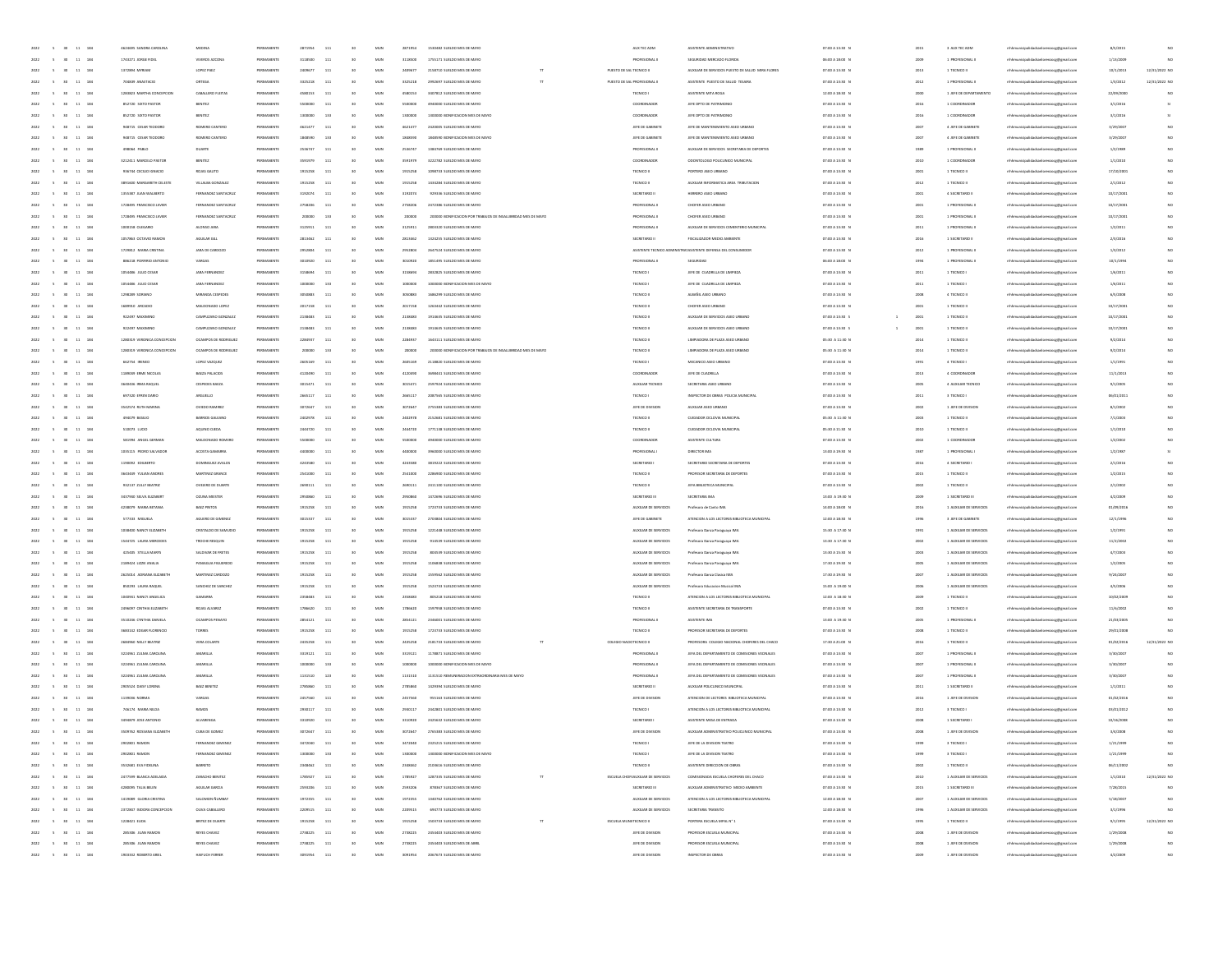| 2022 | 11 184<br>$\sim$<br>30 <sub>2</sub>                  | 4624695 SANDRA CAROLINA     | MEDINA               | PERMANENTE             | 2871954 | 111 | 30 <sub>2</sub> | MUN | 2871954 | 1530482 SUELDO MES DE MAYO                                   |   |                           | AUX TEC ADM                        | ASISTENTE ADMINISTRATIVO                                      | 07:00 A 13:30 N                          | 2015         | 3 AUX TEC ADM           | mhhmunicipalidadsanlorenzocg@gmail.com     | 8/5/2015   | NO             |
|------|------------------------------------------------------|-----------------------------|----------------------|------------------------|---------|-----|-----------------|-----|---------|--------------------------------------------------------------|---|---------------------------|------------------------------------|---------------------------------------------------------------|------------------------------------------|--------------|-------------------------|--------------------------------------------|------------|----------------|
| 2022 | $\sim$<br>30 <sub>1</sub><br>11 184                  | 1743271 JORGE FIDEL         | VIVEROS AZCONA       | PERMANENTE             | 3118500 | 111 | 30              | MUN | 3118500 | 1755171 SUELDO MES DE MAYO                                   |   |                           | PROFESIONAL II                     | SEGURIDAD MERCADO FLORIDA                                     | 06:00 A 18:00 N                          |              | 1 PROFESIONAL I         | mhhmunicipalidadsanlorenzocg@gmail.com     | 1/13/2009  |                |
| 2022 | 11 184                                               | 1372894 MYRIAM              | LOPEZ PAEZ           | PERMANENT              | 240967  | 111 | 30              | MUN | 2409677 | 2158710 SUELDO MES DE MAYO                                   |   | PUESTO DE SAL TECNICO II  |                                    | AUXILIAR DE SERVICIOS PUESTO DE SALUD MIRA FLORES             | 07:00 A 13:30 N                          | 2013         | 1 TECNICO II            | naocg@gmail.com                            | 10/1/2013  | 12/31/2022 NO  |
|      | $\bf{11}$<br>184                                     | 704839 ANASTACIO            | ORTEGA               | PERMANENT              | 332521  | 111 |                 | MUZ | 3325218 | 2992697 SUELDO MES DE MAYO                                   |   | PUESTO DE SAL PROFESIONAL |                                    | ASISTENTE PUESTO DE SALUD TESAIRA                             | 07:00 A 13:30 N                          |              | 1 PROFESIONAL           | hhmunicipalidadsanlorenzocg@gmail.cor      | 1/3/2012   | 12/31/2022 NO  |
| 2022 | 11 184                                               | 1283823 MARTHA CONCERCION   | CABALLERO FLEITAS    | PERMANENT              | 4580153 | 111 | 35              | MUN | 4580153 | 3407812 SUELDO MES DE MAYO                                   |   |                           | TECNICO I                          | ASISTENTE MITA ROGA                                           | 12:00 A 18:30 N                          | 2000         | 1 JEFE DE DEPARTAMENTO  | mhhmunicipalidadsanlorenzoce@email.com     | 22/09/200  | $_{\text{NC}}$ |
| 2022 | 11<br>184                                            | 852720 SIXTO PASTOR         | BENITEZ              | PERMANENT              | 5500000 | 111 | 30              | MUN | 5500000 | 4940000 SUELDO MES DE MAYO                                   |   |                           | COORDINADOR                        | JEFE DPTO DE PATRIMONIO                                       | 07:00 A 13:30 N                          | 2016         | 1 COORDINADOR           | mhhmunicipalidadsanlorenzocg@gmail.com     | 3/1/2016   |                |
| 2022 | 11 184                                               | 852720 SIXTO PASTOR         | BENITEZ              | PERMANENTE             | 1300000 | 133 | 30              | MUN | 1300000 | 1300000 BONIFICACION MES DE MAYO                             |   |                           | COORDINADOR                        | JEFE DPTO DE PATRIMONIO                                       | 07:00 A 13:30 N                          | 2016         | 1 COORDINADOR           | nhhmunicipalidadsanlorenzocg@gmail.com     | 3/1/2016   |                |
| 2022 | $\mathbf{11}$<br>184                                 | 948715 CESAR TEODORO        | ROMERO CANTERO       | PERMANENT              | 462147  | 111 | 30              | MUN | 4621477 | 2420005 SUELDO MES DE MAYO                                   |   |                           | JEFE DE GABINET                    | JEFE DE MANTENIMIENTO ASEO URBANI                             | 07:00 A 13:30 N                          | 2007         | 4 JEFE DE GABINETI      | eoce@gmail.com                             | 3/29/200   |                |
|      | $\bf{11}$<br>184                                     | 948715 CESAR TEODOR         | ROMERO CANTEI        |                        |         |     |                 | MUZ |         | 1848590 BONIFICACION MES DE MAY                              |   |                           | JEFE DE GABINET                    | JEFE DE MANTENIMIENTO ASEO URBAN                              | 07:00 A 13:30 N                          |              | 4 JEFE DE GABINETI      | hhmunicipalidadsanlorenzocg@gmail.cor      | 3/29/200   |                |
| 2022 | 11 184                                               | 498064 PABLO                | DUARTE               | PERMANENT              | 253674  | 111 | 35              | MUN | 2536747 | 1384769 SUELDO MES DE MAYO                                   |   |                           | PROFESIONAL II                     | AUXILIAR DE SERVICIOS SECRETARIA DE DEPORTES                  | 07:00 A 13:30 N                          | 1989         | 1 PROFESIONAL I         | mhhmunicipalidadsanlorenzocg@gmail.com     | 1/2/1989   |                |
| 2022 | 11 184<br>$\sim$                                     | 3212411 MARCELO PASTOI      | BENITEZ              | PERMANENTE             | 3591979 | 111 | 30 <sub>2</sub> | MUN | 3591979 | 3222782 SUELDO MES DE MAYO                                   |   |                           | COORDINADOR                        | COONTOLOGO POLICUNICO MUNICIPAL                               | 07:00 A 13:30 N                          | 2010         | 1 COORDINADOR           | mhmunicipalidadsanlorenzoog@gmail.com      | 1/1/2010   |                |
|      |                                                      |                             |                      |                        |         |     |                 |     |         |                                                              |   |                           |                                    |                                                               |                                          |              |                         |                                            |            |                |
| 2022 | 11 184                                               | 936744 CECIUO IGNACIO       | ROIAS GAUTO          | PERMANENTE             | 1915258 | 111 | 30              | MUN | 1915258 | 1098733 SUELDO MES DE MAYO                                   |   |                           | TECNICO II                         | PORTERO ASEO URBANO                                           | 07:00 A 13:30 N                          | 2001         | 1 TECNICO II            | nhhmunicipalidadsanlorenzocg@gmail.com     | 17/10/2001 |                |
| 2022 | $11\,$<br>184                                        | 3891600 MARGARETH CELEST    | VILLALBA GONZALEZ    | PERMANENTE             | 191525  | 111 | 30              | MUN | 1915258 | 1434284 SUELDO MES DE MAYO                                   |   |                           | TECNICO I                          | AUXILIAR INFORMATICA AREA TRIBUTACIÓN                         | 07:00 A 13:30 N                          | 2012         | 1 TECNICO II            | naocg@gmail.com                            | 2/1/2012   |                |
|      | $\bf{11}$<br>184                                     | 1355387 JUAN WALBERTO       | FERNANDEZ SANTACRI   | PERMANEN               | 319207  | 111 |                 | MUZ | 3192074 | 929336 SUELDO MES DE MAYO                                    |   |                           | SECRETARIO II                      | HERRERO ASEO URBANI                                           | 07:00 A 13:30 N                          |              | 4 SECRETARIO            | rhhmunicipalidadsanlorenzocg@gmail.co      | 10/17/200  |                |
| 2022 | 11 184                                               | 1728495 FRANCISCO JAVIER    | FERNANDEZ SANTACRUS  | PERMANENT              | 2758206 | 111 |                 | MUN | 2758206 | 2472386 SUELDO MES DE MAYO                                   |   |                           | PROFESIONAL I                      | CHOFER ASEO URBANO                                            | 07:00 A 13:30 N                          | 2001         | 1 PROFESIONAL I         | mhhmunicipalidadsanlorenzocg@gmail.com     | 10/17/2001 |                |
| 2022 | 11 184<br>$\sim$                                     | 1728495 FRANCISCO JAVIER    | FERNANDEZ SANTACRUS  | PERMANENT              | 200000  | 133 | 30              | MUN | 200000  | 200000 BONIFICACION POR TRABAJOS DE INSALUBRIDAD MES DE MAYO |   |                           | PROFESIONAL II                     | CHOFER ASEO URBANO                                            | 07:00 A 13:30 N                          | 2001         | 1 PROFESIONAL I         | mhmunicipalidadsanlorenzoog@gmail.com      | 10/17/2001 |                |
| 2022 | 11 184                                               | 1000158 OLEGARIO            | ALONSO JARA          | PERMANENTE             | 3125911 | 111 | 30              | MUN | 3125911 | 2803320 SUELDO MES DE MAYO                                   |   |                           | PROFESIONAL II                     | AUXILIAR DE SERVICIOS CEMENTERIO MUNICIPAL                    | 07:00 A 13:30 N                          | 2011         | 1 PROFESIONAL I         | nhhmunicipalidadsanlorenzocg@gmail.com     | 1/2/2011   |                |
| 2022 | $\mathbf{11}$<br>184                                 | 1057863 OCTAVIO RAMON       | AGUILAR GIU          | PERMANENT              | 281346  | 111 | 30              | MUN | 2813462 | 1324255 SUELDO MES DE MAYO                                   |   |                           | SECRETARIO II                      | <b>FISCALIZADOR MEDIO AMBIENT</b>                             | 07:00 A 13:30 N                          | 2016         | 1 SECRETANO I           | enzocg@gmail.com                           | 2/3/2016   |                |
|      | $\bf{11}$<br>184                                     | 1729812 MARA CRISTIN        | JARA DE CARDOZ       |                        | 29528   | 111 |                 | MUZ | 2952804 | 2647524 SUELDO MES DE MAYO                                   |   |                           |                                    | ASISTENTE TECNICO ADMINISTRA! ASISTENTE DEFENSA DEL CONSUMIDO | 07:00 A 13:30 N                          | 2012         | 1 PROFESIONAL           | rhhmunicipalidadsanlorenzocg@gmail.co      | 1/3/2012   |                |
| 2022 | 11 184                                               | 886218 PORFIRIO ANTONIO     | VARGAS               | PERMANENTE             | 3010920 | 111 |                 | MUN | 3010920 | 1851495 SUELDO MES DE MAYO                                   |   |                           | PROFESIONAL II                     | SEGURIDAD                                                     | 06:00 A 18:00 N                          | 1994         | 1 PROFESIONAL I         | mhhmunicipalidadsanlorenzocg@gmail.com     | 10/1/1994  |                |
| 2022 | 11 184<br>$\sim$                                     | 1054486 JULIO CESAR         | JARA FERNANDEZ       | PERMANENTE             | 3158694 | 111 | 30 <sub>2</sub> | MUN | 3158694 | 2832825 SUELDO MES DE MAYO                                   |   |                           | TECNICO I                          | JEFE DE CUADRILLA DE LIMPIEZA                                 | 07:00 A 13:30 N                          | 2011         | 1 TECNICO I             | mhmunicipalidadsanlorenzoog@gmail.com      | 1/6/2011   |                |
| 2022 | 11 184                                               | 1054486 JULIO CESAR         | JARA FERNANDEZ       | PERMANENTE             | 1000000 | 133 | 30              | MUN | 1000000 | 1000000 BONIFICACION MES DE MAYO                             |   |                           | TECNICO I                          | JEFE DE CUADRILLA DE LIMPIEZA                                 | 07:00 A 13:30 N                          | 2011         | 1 TECNICO I             | nhhmunicipalidadsanlorenzocg@gmail.com     | 1/6/2011   |                |
| 2022 | 184<br>$\mathbf{11}$                                 | 1208289 SORIANO             | MIRANDA CESPEDES     | PERMANENT              | 305088  | 111 | 30              | MUN | 3050883 | 1686299 SUELDO MES DE MAYO                                   |   |                           | TECNICO I                          | ALBAÑIL ASEO URBANO                                           | 07:00 A 13:30 N                          | 2008         | 4 TECNICO II            | enzocg@gmail.com                           | 6/5/2008   |                |
|      | $\bf{11}$<br>184                                     | 689310 ARCADIO              | MALDONADO LOPE       |                        | 201715  | 111 |                 | MUZ | 2017158 | 1263442 SUELDO MES DE MAYO                                   |   |                           | TECNICO                            | CHOFER ASEO URBAN                                             | 07:00 A 13:30 N                          |              | 1 TECNICO I             | mhmunicipalidadsanlorenzocg@gmail.com      | 10/17/200  |                |
|      | 11 184                                               | 922497 MAXIMING             | CAMPUZANO GONZALE    | PERMANENT              | 2138483 | 111 |                 | MUN | 2138483 | 1914635 SUELDO MES DE MAYO                                   |   |                           | TECNICO I                          | AUXILIAR DE SERVICIOS ASED URBANO                             | 07:00 A 13:30 S                          |              | 1 TECNICO II            |                                            | 10/17/2001 |                |
| 2022 |                                                      |                             |                      |                        |         |     |                 |     |         |                                                              |   |                           |                                    |                                                               |                                          | 2001         |                         | mhhmunicipalidadsanlorenzocg@gmail.com     |            |                |
| 2022 | 11 184<br>$\sim$                                     | 922497 MAXIMINO             | CAMPUZANO GONZALEZ   | PERMANENTE             | 2138483 | 111 | 30 <sub>2</sub> | MUN | 2138483 | 1914635 SUELDO MES DE MAYO                                   |   |                           | TECNICO II                         | AUXILIAR DE SERVICIOS ASED URBANO                             | 07:00 A 13:30 S<br>$\overline{1}$        | 2001         | 1 TECNICO II            | nhhmunicipalidadsanlorenzocg@gmail.com     | 10/17/2001 |                |
| 2022 | 11 184                                               | 1280319 VERONICA CONCEPCION | OCAMPOS DE RODRIGUEZ | PERMANENTE             | 2284937 | 111 | 30 <sub>2</sub> | MUN | 2284937 | 1643111 SUELDO MES DE MAYO                                   |   |                           | TECNICO I                          | LIMPIADORA DE PLAZA ASEO URBANO                               | 05:30 A 11:30 N                          | 2014         | 1 TECNICO II            | nhhmunicipalidadsanlorenzocg@gmail.com     | 9/2/2014   |                |
| 2022 | 184<br>$11\,$                                        | 1280319 VERONICA CONCEPCION | OCAMPOS DE RODRIGUEZ |                        |         | 133 | 30              | MUN | 200000  | 200000 BONIFICACION POR TRABAJOS DE INSALUBRIDAD MES DE MAYO |   |                           | TECNICO II                         | LIMPIADORA DE PLAZA ASEO URBANO                               | 05:30 A 11:30 N                          | 2014         | 1 TECNICO II            | mhmunicipalidadsanlorenzocg@gmail.com      | 9/2/2014   |                |
|      | $\bf{11}$<br>184                                     | 662754 IRENEO               | LOPEZ VAZQUEZ        |                        |         | 111 |                 | MUZ |         | 2118820 SUELDO MES DE MAYO                                   |   |                           | TECNICO                            | MECANICO ASEO URBANO                                          | 07:00 A 13:30 N                          |              | 4 TECNICO I             | mhmunicipalidadsanlorenzocg@gmail.com      | 1/1/1991   |                |
| 2022 | 11 184                                               | 1189049 ERME NICOLAS        | BAEZA PALACIOS       | PERMANENT              | 412049  | 111 |                 | MUN | 4120490 | 3698441 SUELDO MES DE MAYO                                   |   |                           | COORDINADOR                        | JEFE DE CUADRILLA                                             | 07:00 A 13:30 N                          | 2013         | 4 COORDINADOR           | mhhmunicipalidadsanlorenzocg@gmail.com     | 11/1/2013  |                |
| 2022 | 11 184<br>$\sim$                                     | 3640436 IRMA RAQUEL         | CESPEDES BAEZA       | PERMANENTE             | 3015471 | 111 | 30 <sub>2</sub> | MUN | 3015471 | 2597924 SUELDO MES DE MAYO                                   |   |                           | AUXILIAR TECNICO                   | SECRETARIA ASEO URBANO                                        | 07:00 A 13:30 N                          | 2005         | 4 AUXILIAR TECNICO      | nhhmunicipalidadsanlorenzocg@gmail.com     | 9/1/2005   |                |
| 2022 | 11 184                                               | 697320 EFREN DARIO          | ARGUELLO             | PERMANENTE             | 2665117 | 111 | 30 <sub>2</sub> | MUN | 2665117 | 2087565 SUELDO MES DE MAYO                                   |   |                           | TECNICO I                          | INSPECTOR DE OBRAS POLICIA MUNICIPAL                          | 07:00 A 13:30 N                          | 2011         | 3 TECNICO I             | nhhmunicipalidadsanlorenzocg@gmail.com     | 06/01/2011 |                |
| 2022 | 184<br>$11\,$                                        | 3542574 RUTH MARP           | OVIEDO RAMIREZ       | PERMANENTE             | 307264  | 111 | 30              | MUN | 3072647 | 2755383 SUELDO MES DE MAYO                                   |   |                           | JEFE DE DIVISION                   | AUXUAR ASEO URBANO                                            | 07:00 A 13:30 N                          | 2002         | 1 JEFE DE DIVISION      | enzocg@gmail.com                           | 8/1/2002   |                |
|      | $\mathbf{11}$<br>184                                 | 494079 BASILIO              | BARRIOS GALEAN       | PERMANENT              | 240297  | 111 |                 | MUZ | 2402978 | 2152681 SUELDO MES DE MAYO                                   |   |                           | TECNICO I                          | CUIDADOR CICLOVIA MUNICIPA                                    | 05:30 A 11:30 N                          |              | 1 TECNICO II            | thhmunicipalidadsanlorenzocg@gmail.cor     | 7/1/2003   |                |
| 2022 | 11 184                                               | 510073 LUCIO                | AQUINO OJEDA         | PERMANENT              | 2444720 | 111 |                 | MUN | 2444720 | 1771138 SUELDO MES DE MAYO                                   |   |                           | TECNICO II                         | CUIDADOR CICLOVIA MUNICIPAL                                   | 05:30 A 11:30 N                          | 2010         | 1 TECNICO II            | mhhmunicipalidadsanlorenzocg@gmail.com     | 1/1/2010   |                |
| 2022 | 11 184<br>$\sim$                                     | 581994 ANGEL GERMAN         | MALDONADO ROMERO     | PERMANENTE             | 5500000 | 111 | 30              | MUN | 5500000 | 4940000 SUELDO MES DE MAYO                                   |   |                           | COORDINADOR                        | ASISTENTE CULTURA                                             | 07:00 A 13:30 N                          | 2002         | 1 COORDINADOR           | mhmunicipalidadsanlorenzoog@gmail.com      | 1/2/2002   |                |
| 2022 | 11 184                                               | 1035115 PEDRO SALVADOR      | ACOSTA GAMARRA       | PERMANENTE             | 4400000 | 111 | 30 <sub>2</sub> | MUN | 4400000 | 3960000 SUELDO MES DE MAYO                                   |   |                           | <b>PROFESIONAL</b>                 | DIRECTOR IMA                                                  | 13:00 A 19:30 N                          | 1987         | 1 PROFESIONAL           | nhhmunicipalidadsanlorenzocg@gmail.com     | 1/2/1987   |                |
|      | 184<br>$11\,$                                        |                             |                      |                        | 4243580 |     |                 | MUN |         | 3819222 SUELDO MES DE MAYO                                   |   |                           |                                    |                                                               | 07:00 A 13:30 N                          |              |                         |                                            |            |                |
| 2022 |                                                      | 1190092 EDILBERTO           | DOMINGUEZ AVALOS     | PERMANENT<br>PERMANENT |         | 111 | 30              | MUZ | 4243580 |                                                              |   |                           | SECRETARIO                         | SECRETARIO SECRETARIA DE DEPORTE                              |                                          | 2016<br>2013 | 4 SECRETARIO            | mhhmunicipalidadsanlorenzocg@gmail.com     | 2/1/2016   |                |
| 2022 | $\mathbf{11}$<br>184                                 | 3643449 YULIAN ANDRE        | MARTINEZ GRANCI      |                        | 254100  | 111 |                 |     | 2541000 | 2286900 SUELDO MES DE MAYO                                   |   |                           | TECNICO I                          | PROFESOR SECRETARIA DE DEPORTES                               | 07:00 A 13:30 N                          |              | 1 TECNICO II            | hhmunicipalidadsanlorenzocg@gmail.cor      | 1/2/2015   |                |
| 2022 | 11 184                                               | 932137 ZULLY BEATRIZ        | OVEIERO DE DUARTE    | PERMANENT              | 269011  | 111 |                 | MUN | 2690111 | 2411100 SUELDO MES DE MAYO                                   |   |                           | TECNICO I                          | JEFA BIBLIOTECA MUNICIPA                                      | 07:00 A 13:30 N                          | 2002         | 1 TECNICO II            | mhhmunicipalidadsanlorenzocg@gmail.com     | 2/1/2002   |                |
| 2022 | 11 184<br>$\sim$                                     | 3437940 SELVA ELIZABERT     | <b>GZUNA MEISTER</b> | PERMANENTE             | 2950860 | 111 | 30              | MUN | 2050860 | 1472696 SUELDO MES DE MAYO                                   |   |                           | SECRETARIO III                     | SECRETARIA IMA                                                | 13:00 A 19:30 N                          | 2009         | 1 SECRETARIO III        | mhhmunicipalidadsanlorenzocg@gmail.com     | 4/2/2009   |                |
| 2022 | 11 184                                               | 4238079 MARIA BETANU        | BAEZ PINTOS          | PERMANENTE             | 1915258 | 111 | 30 <sub>2</sub> | MUN | 1915258 | 1723733 SUELDO MES DE MAYO                                   |   |                           | AUXILIAR DE SERVICIOS              | Profesora de Canto IMA                                        | 14:00 A 18:00 N                          | 2016         | 1 AUXILIAR DE SERVICIOS | nhhmunicipalidadsanlorenzocg@gmail.com     | 01/09/2016 |                |
| 2022 | 184<br>$11\,$                                        | 577333 MIGUELA              | AGUERO DE GIMENEZ    | PERMANENTE             | 301533  | 111 | 30              | MUN | 3015337 | 2703804 SUELDO MES DE MAYO                                   |   |                           | JEFE DE GABINETE                   | ATENCION A LOS LECTORES BIBLIOTECA MUNICIPAL                  | 12:00 A 18:30 N                          | 1996         | 3 JEFE DE GABINETE      | mhhmunicipalidadsanlorenzocg@gmail.com     | 12/1/1996  |                |
| 2022 | $\mathbf{11}$<br>184                                 | 1038400 NANCY ELIZABETH     | CRISTALDO DE SAMUDIO | PERMANENT              | 191525  | 111 |                 | MUZ | 1915258 | 1221448 SUELDO MES DE MAYO                                   |   |                           | AUXILIAR DE SERVICIOS              | Profesora Danza Paraguaya IMA                                 | 15:30 A 17:30 N                          |              | 1 AUXILIAR DE SERVICIOS | mhmunicipalidadsanlorenzocg@gmail.com      | 1/2/1991   |                |
| 2022 | 11 184                                               | 1544725 LAURA MERCEDES      | TROCHE RESOUR        | PERMANENT              | 1915258 | 111 |                 | MUN | 1915258 | 914539 SUELDO MES DE MAYO                                    |   |                           | AUXILIAR DE SERVICIOS              | Profesora Danza Paraguaya IMA                                 | 13:30 A 17:30 N                          | 2002         | 1 AUXILIAR DE SERVICIOS | mhmunicipalidadsanlorenzoog@gmail.com      | 11/2/2002  |                |
| 2022 | 11 184                                               | 425405 STELLA MARYS         | SALDIVAR DE FRETES   | PERMANENTE             | 1915258 | 111 | 30              | MUN | 1915258 | 804539 SUELDO MES DE MAYO                                    |   |                           | AUXILIAR DE SERVICIOS              | Profesora Danza Paraguaya IMA                                 | 13:30 A 15:30 N                          | 2003         | 1 AUXILIAR DE SERVICIOS | nhhmunicipalidadsanlorenzocg@gmail.com     | 4/7/2003   |                |
| 2022 | 11 184                                               | 2189424 LIZZIE ANALIA       | PANIAGUA FIGUEREDO   | PERMANENTE             | 1915258 | 111 | 30 <sub>2</sub> | MUN | 1915258 | 1106838 SUELDO MES DE MAYO                                   |   |                           | AUXILIAR DE SERVICIOS              | Profesora Danza Paraguaya IMA                                 | 17:30 A 19:30 N                          | 2005         | 1 AUXILIAR DE SERVICIOS | mhmunicipalidadsanlorenzoog@gmail.com      | 1/2/2005   |                |
| 2022 | 184<br>$11\,$                                        | 2625014 ADRIANA ELIZABETH   | MARTINEZ CARDOZO     | PERMANENT              | 1915258 | 111 | 30              | MUN | 1915258 | 1559562 SUELDO MES DE MAYO                                   |   |                           | AUXILIAR DE SERVICIOS              | Profesora Danza Clasica IMA                                   | 17:30 A 19:30 N                          | 2007         | 1 AUXILIAR DE SERVICIOS | naocg@gmail.com                            | 9/24/2007  |                |
| 2022 | $\mathbf{11}$<br>184                                 | 850293 LAURA RAQUEL         | SANCHEZ DE SANCHEZ   | PERMANENT              | 191525  | 111 |                 | MUZ | 1915258 | 1523733 SUELDO MES DE MAYO                                   |   |                           | AUXILIAR DE SERVICIOS              | Profesora Educacion Musical IM                                | 15:00 A 19:00 N                          |              | 1 AUXILIAR DE SERVICIOS | aocg@gmail.cor                             | 4/5/2006   |                |
| 2022 | $11\,$<br>184                                        | 1040941 NANCY ANGELICA      | GAMARIA              | PERMANENT              | 2358483 | 111 |                 | MUN | 2358483 | 805218 SUELDO MES DE MAYO                                    |   |                           | TECNICO I                          | ATENCION A LOS LECTORES BIBLIOTECA MUNICIPAL                  | 12:00 A18:30 N                           | 2009         | 1 TECNICO II            | mbhmunirinalidadeanlor<br>inzoce@email.com | 10/02/2009 |                |
| 2022 | 11<br>184                                            | 2496097 CINTHIA ELIZABETH   | ROJAS ALVAREZ        | PERMANENTE             | 1786620 | 111 | 30              | MUN | 1786620 | 1597958 SUELDO MES DE MAYO                                   |   |                           | TECNICO II                         | ASISTENTE SECRETARIA DE TRANSPORTE                            | 07:00 A 13:30 N                          | 2002         | 1 TECNICO II            | mhmunicipalidadsanlorenzoog@gmail.com      | 11/6/2002  | NC             |
| 2022 |                                                      |                             |                      |                        |         |     | 30 <sub>2</sub> |     |         |                                                              |   |                           |                                    |                                                               |                                          | 2005         |                         |                                            |            |                |
|      | 11 184                                               | 3510246 CYNTHIA DANIELA     | OCAMPOS PENAYO       | PERMANENTE             | 2854121 | 111 |                 | MUN | 2854121 | 2346001 SUELDO MES DE MAYO                                   |   |                           | PROFESIONAL II                     | ASISTENTE IMA                                                 | 13:00 A 19:30 N                          |              | 1 PROFESIONAL I         | mhhmunicipalidadsanlorenzocg@gmail.com     | 21/03/2005 |                |
| 2022 | 184<br>$11\,$                                        | 3683142 EDGAR FLORENCH      | TORRES               | PERMANENTE             | 1915258 | 111 | 30              | MUN | 1915258 | 1723733 SUELDO MES DE MAYO                                   |   |                           | TECNICO II                         | PROFESOR SECRETARIA DE DEPORTES                               | 07:00 A 13:30 N                          | 2008         | 1 TECNICO II            | enzocg@gmail.com                           | 29/01/2008 |                |
|      | $\mathbf{11}$<br>184                                 | 2684960 NELLY BEATRIZ       | VERA COLARI          | PERMANENT              | 24352   | 111 |                 | MUZ | 2435258 | 2181733 SUELDO MES DE MAYO                                   |   | COLEGIO NACIOTECNICO II   |                                    | PROFESORA COLEGIO NACIONAL CHOFERES DEL CHACO                 | 17:30 A 21:00 N                          | 2010         | 1 TECNICO II            | enzocg@gmail.cor                           | 01/02/201  | 12/31/2022 NO  |
| 2022 | 11 184                                               | 3224961-711MA CAROLINA      | AMARILLA             | PERMANENT              | 3319121 | 111 | 30 <sub>2</sub> | MUN | 3319121 | 1178871 SUFLDO MFS DE MAYO                                   |   |                           | PROFESIONAL II                     | JEFA DEL DEPARTAMENTO DE COMISIONES VECINALES                 | 07:00 A 13:30 N                          | 2007         | 1 PROFESIONAL I         | mhhmunicipalidadsanlorenzocg@gmail.cor     | 3/30/2007  | NC             |
| 2022 | 11 184                                               | 3224961 ZULMA CAROLINA      | AMARILLA             | PERMANENTE             | 1000000 | 133 | 30              | MUN | 1000000 | 1000000 BONIFICACION MES DE MAYO                             |   |                           | PROFESIONAL II                     | JEFA DEL DEPARTAMENTO DE COMISIONES VECINALES                 | 07:00 A 13:30 N                          | 2007         | 1 PROFESIONAL I         | mhmunicipalidadsanlorenzoog@gmail.com      | 3/30/2007  | NO             |
| 2022 | 11 184                                               | 3224961 ZULMA CAROLINA      | AMARILLA             | PERMANENTE             | 1131510 | 123 | 30 <sub>2</sub> | MUN | 1131510 | 1131510 REMUNERACION EXTRAORDINARIA MES DE MAYO              |   |                           | PROFESIONAL II                     | JEFA DEL DEPARTAMENTO DE COMISIONES VECINALES                 | 07:00 A 13:30 N                          | 2007         | 1 PROFESIONAL I         | mhmunicipalidadsanlorenzoog@gmail.com      | 3/30/2007  |                |
| 2022 | 11 184                                               | 2905524 DAISY LORENA        | BAEZ BENITE          | PERMANENTE             | 278586  | 111 | 30              | MUN | 2785860 | 1429394 SUELDO MES DE MAYO                                   |   |                           | SECRETARIO II                      | AUXILIAR POLICUNICO MUNICIPAL                                 | 07:00 A 13:30 N                          | 2011         | 1 SECRETARIO II         | mhhmunicipalidadsanlorenzocg@gmail.com     | 1/1/2011   |                |
|      | $\mathbf{11}$<br>184                                 | 1139036 NORMA               | VARGA                |                        | 245756  |     |                 | MUZ | 2457560 | 955163 SUELDO MES DE MAYO                                    |   |                           | JEFE DE DIVISION                   | ATENCION DE LECTORES BIBLIOTECA MUNICIPI                      | 07:00 A 13:30 N                          |              | 1 JEFE DE DIVISION      | enzocg@gmail.cor                           | 01/02/201  |                |
| 2022 | 11 184                                               | 746174 MARIA NILDA          | RAMOS                | PERMANENT              | 293011  | 111 |                 | MUN | 2030117 | 2442801 SUELDO MES DE MAYO                                   |   |                           | TECNICO I                          | ATENCION A LOS LECTORES BIBLIOTECA MUNICIPAL                  | 07:00 A 13:30 N                          | 2012         | 3 TECNICO I             | mhhmunicipalidadsanlorenzocg@gmail.com     | 03/01/2012 | NC             |
| 2022 | $\sim$ 5<br>11 184<br>30                             | CIVIOTIA 3201 058492        | <b>ALVARENGA</b>     | PERMANENTE             | 3310920 | 111 | 30 <sub>2</sub> | MUN | 3310920 | 2425632 SUELDO MES DE MAYO                                   |   |                           | SECRETARIO I                       | ASISTENTE MESA DE ENTRADA                                     | 07:00 A 13:30 N                          | 2008         | 1 SECRETARIO I          | nhhmunicipalidadsanlorenzocg@gmail.com     | 10/16/2008 | NC             |
|      | 2022 5 30 11 184                                     | 3509762 ROSSANA ELIZABETH   | CUBA DE GOMEZ        | PERMANENTE             | 3072647 | 111 | 30 <sub>2</sub> | MUN | 3072647 | 2765383 SUELDO MES DE MAYO                                   |   |                           | JEFE DE DIVISION                   | AUXILIAR ADMINISTRATIVO POLICUNICO MUNICIPA                   | 07:00 A 13:30 N                          | 2008         | 1 JEFE DE DIVISION      | mhhmunicipalidadsanlorenzocg@gmail.com     | 3/4/2008   |                |
|      |                                                      |                             |                      |                        |         |     |                 |     |         |                                                              |   |                           |                                    |                                                               | 07:00 A 13:30                            |              |                         |                                            |            |                |
| 2022 | $\sim$<br>30<br>11<br>184                            | 2902801 RAMON               | FERNANDEZ GIMENEZ    | PERMANENTE             | 1300000 | 133 |                 | MUN | 1300000 | 1300000 BONIFICACIÓN MES DE MAYO                             |   |                           | TECNICO I                          | JEFE DE LA DIVISION TEATRO                                    | 07:00 A 13:30 N                          | 1999         | 3 TECNICO I             | mhhmunicipalidadsanlorenzoog@gmail.co      | 1/21/199   | NC             |
| 2022 | 30 11 184<br>$\sim$                                  | 3532681 EVA FIDELINA        | <b>BARRETO</b>       | PERMANENTE             | 2348462 | 111 | 30 <sub>1</sub> | MUN | 2348462 | 2103616 SUELDO MES DE MAYO                                   |   |                           | TECNICO II                         | ASISTENTE DIRECCION DE OBRAS                                  | 07:00 A 13:30 N                          | 2002         | 1 TECNICO II            | nhhmunicipalidadsanlorenzocg@gmail.com     | 06/11/2002 | NO             |
|      |                                                      |                             |                      |                        |         |     |                 |     |         |                                                              |   |                           |                                    |                                                               |                                          |              |                         |                                            |            |                |
| 2022 | 11 184<br>$-5$                                       | 2477599 BLANCA ADELAIDA     | ZARACHO BENITEZ      | PERMANENTE             | 1785927 | 111 | 30 <sub>2</sub> | MUN | 1785927 | 1287335 SUELDO MES DE MAYO                                   | T |                           | ESCUELA CHOFEAUXILIAR DE SERVICIOS | COMISIONADA ESCUELA CHOFERES DEL CHACO                        | 07:00 A 13:30 N                          | 2010         | 1 AUXILIAR DE SERVICIOS | nhhmunicipalidadsanlorenzocg@gmail.com     | 1/1/2010   | 12/31/2022 NO  |
| 2022 | 11 184<br>$\sim$<br>$30 -$                           | 4280095 TALIA BELEN         | AGUILAR GARCIA       | PERMANENTE             | 2593206 | 111 | 30 <sub>2</sub> | MUN | 2593206 | 878367 SUELDO MES DE MAYO                                    |   |                           | SECRETARIO III                     | AUXILIAR ADMINISTRATIVO MEDIO AMBIENTE                        | 07:00 A 13:30 N                          | 2015         | 1 SECRETARIO III        | nhhmunicipalidadsanlorenzocg@gmail.com     | 7/28/2015  | NO             |
| 2022 | $11 - 184$                                           | 1419089 GLORIA CRISTINA     | SALOMON RUMBAY       | PERMANENTE             | 1972355 | 111 | 30 <sub>2</sub> | MUN | 1972355 | 1340762 SUELDO MES DE MAYO                                   |   |                           | AUXILIAR DE SERVICIOS              | ATENCION A LOS LECTORES BIBLIOTECA MUNICIPAL                  | 12:00 A 18:30 N                          | 2007         | 1 AUXILIAR DE SERVICIOS | nhhmunicipalidadsanlorenzocg@gmail.com     | 5/18/2007  | $_{NC}$        |
| 2022 | $\bf{11}$<br>184                                     | 2372847 ISIDORA CONCEPCIO   | OLIVA CABALLERO      | PERMANENT              | 220951  | 111 |                 | MUN | 2209515 | 694773 SUELDO MES DE MAYO                                    |   |                           | AUXILIAR DE SERVICIOS              | SECRETARIA TRANSITO                                           | $12.00 \, \text{A} \, 18.30 \, \text{N}$ |              | 1 AUXILIAR DE SERVICIOS | mhhmunicipalidadsanlorenzocg@gmail.com     | 3/1/1996   | $_{NC}$        |
| 2022 | 11 184<br>$-6$<br>30 <sub>1</sub>                    | 1228421 EUDA                | BRITEZ DE DUARTE     | PERMANENTE             | 1915258 | 111 | 30 <sub>1</sub> | MUN | 1915258 | 1503733-SUFLDO MFS DE MAYO                                   |   | ESCUELA MUNITECNICO II    |                                    | PORTERA ESCUELA MPAL N° 1                                     | 07:00 A 13:30 N                          | 1995         | 1 TECNICO II            | mhmunicipalidadsanlorenzocg@gmail.com      | 9/1/1995   | 12/31/2022 NO  |
| 2022 | $\sim$<br>11 184<br>30                               | 285306 JUAN RAMON           | REYES CHAVEZ         | PERMANENTE             | 2738225 | 111 | 30              | MUN | 2738225 | 2454403 SUELDO MES DE MAYO                                   |   |                           | JEFE DE DIVISION                   | PROFESOR ESCUELA MUNICIPAL                                    | 07:00 A 13:30 N                          | 2008         | 1 JEFE DE DIVISION      | nhhmunicipalidadsanlorenzocg@gmail.com     | 1/29/2008  | NO             |
| 2022 | 5 30 11 184                                          | 285306 JUAN RAMON           | REYES CHAVEZ         | PERMANENTE             | 2738225 | 111 | 30              | MUN | 2738225 | 2454403 SUELDO MES DE ABRIL                                  |   |                           | JEFE DE DIVISION                   | PROFESOR ESCUELA MUNICIPAL                                    | 07:00 A 13:30 N                          | 2008         | 1 JEFE DE DIVISION      | nhhmunicipalidadsanlorenzocg@gmail.com     | 1/29/2008  | NO             |
|      | $2022 \qquad \quad 5 \qquad 30 \qquad 11 \qquad 184$ | 1903332 ROBERTO ARIEL       | HAIFUCH FERRER       | PERMANENTE             | 3091954 | 111 | 30              | MUN | 3091954 | 2067673 SUELDO MÉS DE MAYO                                   |   |                           | JEFE DE DIVISION                   | INSPECTOR DE OBRAS                                            | 07:00 A 13:30 N                          | 2009         | 1 JEFE DE DIVISION      | mhhmunicipalidadsanlorenzocg@gmail.com     | 4/2/2009   | NO             |
|      |                                                      |                             |                      |                        |         |     |                 |     |         |                                                              |   |                           |                                    |                                                               |                                          |              |                         |                                            |            |                |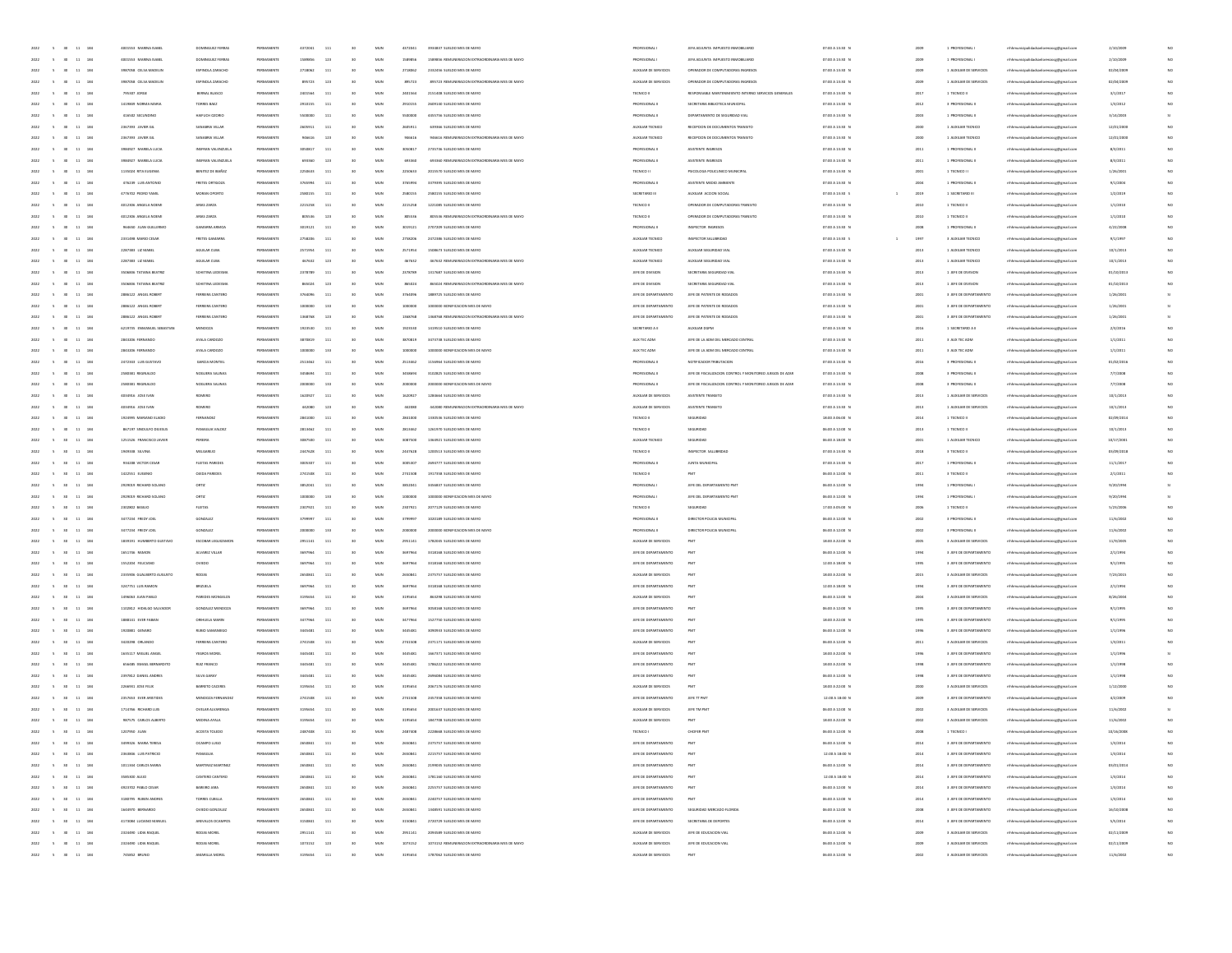| 2022<br>$\sim$<br>30<br>11 184                       | 4001553 MARINA ISABEI      | DOMINGUEZ FERRAS        | PERMANENTE | 4372041 | 111          | 30 <sub>o</sub> | MUN          | 4372041 | 3934837 SUELDO MES DE MAYO                      | PROFESIONAL I         | JEFA ADJUNTA IMPUESTO INMOBILIARI                        | 07:00 A 13:30 0  | 2001    | 1 PROFESIONAL           | mhhmunicipalidadsanlorenzocg@gmail.com | 2/10/2001  |     |
|------------------------------------------------------|----------------------------|-------------------------|------------|---------|--------------|-----------------|--------------|---------|-------------------------------------------------|-----------------------|----------------------------------------------------------|------------------|---------|-------------------------|----------------------------------------|------------|-----|
| 2022<br>$\sim$<br>30<br>11 184                       | 4001553 MARINA ISABEI      | DOMINGUEZ FERRAS        | PERMANENTE | 1589856 | 123          | 30              | MUN          | 1589856 | 1589856 REMUNERACION EXTRAORDINARIA MES DE MAYO | PROFESIONAL I         | JEFA ADJUNTA IMPUESTO INMOBILIARIO                       | 07:00 A 13:30 0  | 2001    | 1 PROFESIONAL           | mhhmunicipalidadsanlorenzocg@gmail.com | 2/10/2009  |     |
| 11 184                                               | 3987058 CELSA MADELI       | <b>ESPINOLA ZAR</b>     |            |         | 111          | 30              | MUN          | 2718062 | 2332456 SUELDO MES DE MAYO                      | AUXILIAR DE SERVICIO  | ENADOR DE COMPUTADORAS INGRESO                           | 07:00 A 13:30 0  | 200     | 1 AUXILIAR DE SERVICIOS | enzocg@gmail.com                       | 02/04/200  |     |
| 11 184<br>2022<br>$-5$<br>30 <sub>0</sub>            | 3987058 CELSA MADEUN       | ESPINOLA ZARACHO        | PERMANENTE | 895723  | 123          | 30              | MUN          | 895723  | 895723 REMUNERACION EXTRAORDINARIA MES DE MAYO  | AUXILIAR DE SERVICIOS | OPERADOR DE COMPUTADORAS INGRESOS                        | 07:00 A 13:30 N  | 2009    | 1 AUXILIAR DE SERVICIOS | mhhmunicipalidadsanlorenzocg@gmail.com | 02/04/2009 | NO. |
| 2022<br>11 184<br>$\sim$<br>30                       | 705307 JORGE               | BERNAL BLASCO           | PERMANENTE | 2401564 | 111          | 30              | MUN          | 2401564 | 2151408 SUELDO MES DE MAYO                      | TECNICO II            | RESPONSABLE MANTENIMIENTO INTERNO SERVICIOS GENERALES    | 07:00 A 13:30 N  | 201     | 1 TECNICO II            | mhhmunicipalidadsanlorenzocg@gmail.com | 3/1/2017   |     |
| 2022<br>184<br>11                                    | 1419849 NORMA MARI         | TORRES BAEZ             | PERMANENTE |         | 111          |                 | MUN          | 2010155 | 2609140 SUELDO MES DE MAYO                      | PROFESIONAL II        | SECRETARIA BIBLIOTECA MUNICIPAL                          | 07:00 A 13:30 1  | 2012    | 3 PROFESIONAL II        | mhhmunicipalidadsanlorenzocg@gmail.com | 1/3/2012   |     |
| 2022<br>11 184                                       | 416502 SECUNDING           | HAIFUCH 020R            | PERMANENTE |         | 111          |                 | MUN          | 5500000 | 4455756 SUELDO MES DE MAYO                      | PROFESIONAL II        | DEPARTAMENTO DE SEGURIDAD VIAL                           | 07:00 A 13:30 0  | 2003    | 1 PROFESIONAL II        | mhhmunicipalidadsanlorenzocg@gmail.com | 3/14/2003  |     |
| 184                                                  | 2367393 JAVIER GI          | SANABRIA VILLA          |            |         | 111          | 50              | MUN          | 260591  | 639366 SUELDO MES DE MAYO                       | AUXILIAR TECNIC       | RECEPCION DE DOCUMENTOS TRANSITO                         | 07:00 A 13:30 1  | 200     | 1 AUXILIAR TECNICI      | reocg@gmail.cor                        | 12/01/200  |     |
| 11 184<br>2022<br>$\sim$                             | 2367393 JAVIER GIL         | SANABRIA VILLAR         | PERMANENTE | 946616  | 123          | 30              | MUN          | 946616  | 946616 REMUNERACION EXTRAORDINARIA MES DE MAYO  | AUXILIAR TECNICO      | RECEPCION DE DOCUMENTOS TRANSITO                         | 07:00 A 13:30 N  | 2000    | 1 AUXILIAR TECNICO      | mhhmunicipalidadsanlorenzocg@gmail.com | 12/01/2000 | NO. |
|                                                      |                            |                         |            |         |              |                 |              |         |                                                 |                       |                                                          |                  |         |                         | mhhmunicipalidadsanlorenzoce@email.com |            |     |
| 2022<br>11 184<br>$\sim$<br>30                       | 3984927 MARIELA LUCIA      | INSFRAN VALENZUEL       | PERMANENTE | 3050817 | 111          | 30              | MUN          | 3050817 | 2735736 SUELDO MES DE MAYO                      | PROFESIONAL II        | ASISTENTE INGRESOS                                       | 07:00 A 13:30 0  | 2011    | 1 PROFESIONAL II        |                                        | 8/3/2011   |     |
| 184<br>2022<br>$\overline{1}$                        | 3984927 MARELA LUCH        | INSFRAN VALENZUEL       | PERMANENT  |         | 121          |                 | MUN          | 693360  | 693360 REMUNERACION EXTRAORDINARIA MES DE MAYO  | PROFESIONAL I         | ASISTENTE INGRESOS                                       | 07:00 A 13:30 0  | 2011    | 1 PROFESIONAL I         | mhhmunicipalidadsanlorenzocg@gmail.com | 8/3/2011   |     |
| 2022<br>11<br>184                                    | 1135024 RITA EUGENIA       | BENITEZ DE IBAÑE        | PERMANENT  | 2250633 | 111          |                 | MUN          | 2250633 | 2015570 SUELDO MES DE MAYO                      | TECNICO II            | PSICOLOGA POLICLINICO MUNICIPAL                          | 07:00 A 13:30 0  | 2003    | 1 TECNICO I I           | mhmunicipalidadsanlorenzocg@gmail.com  | 1/26/2001  |     |
| 11 184                                               | 476239 LUIS ANTONIC        | FRETES ORTIGI           |            |         | 111          | 30              | MUN          | 376599  | 3379395 SUELDO MES DE MAYO                      | <b>PROFESIONAL</b>    | ASISTENTE MEDIO AMBIENT                                  | 07:00 A 13:30 1  | 200     |                         | reocg@gmail.cor                        | 9/1/200    |     |
| 11 184<br>2022<br>$\sim$                             | 4776702 PEDRO YAMIL        | MORAN OPORTO            | PERMANENTE | 2580155 | 111          | 30              | MUN          | 2580155 | 2580155 SUELDO MES DE MAYO                      | SECRETARIO III        | AUXUAR ACCION SOCIAL                                     | 07:00 A 13:30 S  | 2019    | 1 SECRETARIO III        | mhhmunicipalidadsanlorenzocg@gmail.com | 1/2/2019   | NO. |
| 2022<br>$-5$<br>11 184<br>30                         | 4012306 ANGELA NOEM        | ARIAS ZARZA             | PERMANENTE | 2215258 | 111          | 30              | MUN          | 2215258 | 1221085 SUELDO MES DE MAYO                      | TECNICO II            | OPERADOR DE COMPUTADORAS TRANSITO                        | 07:00 A 13:30 N  | 2010    | 1 TECNICO II            | mhhmunicipalidadsanlorenzocg@gmail.com | 1/1/2010   |     |
| 184<br>2022<br>$11\,$                                | 4012306 ANGELA NOEM        | ARIAS ZARZA             | PERMANENT  | 805536  | 123          |                 | MUN          | 805536  | 805536 REMUNERACION EXTRAORDINARIA MES DE MAYO  | TECNICO II            | OPERADOR DE COMPUTADORAS TRANSITO                        | 07:00 A 13:30 1  | 2010    | 1 TECNICO II            | mhhmunicipalidadsanlorenzocg@gmail.com | 1/1/2010   |     |
| 184<br>2022<br>11                                    | 964650 JUAN GUILLERM       | GAMARINA ARMOA          | PERMANENTE | 3019121 | 11.          |                 | MUN          | 3019121 | 2707209 SUELDO MES DE MAYO                      | PROFESIONAL II        | INSPECTOR INGRESOS                                       | 07:00 A 13:30 1  | 2000    | 1 PROFESIONAL II        | mhhmunicipalidadsanlorenzocg@gmail.com | 4/22/2008  |     |
| 11 184                                               | 2331498 MARIO CESA         | FRETES GAN              |            |         | 111          | 30              | MUN          | 2758206 | 2472386 SUELDO MES DE MAYO                      | AUXILIAR TECNICO      | INSPECTOR SALUBRIDA                                      | 07:00 A 13:30 \$ | 199     | 3 AUXILIAR TECNICO      | reocg@gmail.cor                        | 9/1/199    |     |
| 11 184<br>2022<br>$\sim$                             | 2287383 LIZ MABEL          | AGUILAR CUBA            | PERMANENTE | 2571954 | 111          | 30              | MUN          | 2571954 | 1508673 SUELDO MES DE MAYO                      | AUXILIAR TECNICO      | AUXILIAR SEGURIDAD VIAL                                  | 07:00 A 13:30 N  | 2013    | 1 AUXILIAR TECNICO      | mhhmunicipalidadsanlorenzocg@gmail.com | 10/1/2013  | NO  |
| 2022<br>$\sim$<br>11 184<br>30                       | 2287383 LZ MABEL           | AGUILAR CUBA            | PERMANENTE | 467632  | 123          | 30              | MUN          | 467632  | 467632 REMUNERACION EXTRAORDINARIA MES DE MAYO  | AUXILIAR TECNICO      | AUXILIAR SEGURIDAD VIAL                                  | 07:00 A 13:30 N  | 2013    | 1 AUXILIAR TECNICO      | mhhmunicipalidadsanlorenzocg@gmail.com | 10/1/2013  |     |
| 184<br>2022<br>11                                    | 3506836 TATIANA BEATRO     | SCHETINA LEDESN         | PERMANENTE | 2378789 | 111          |                 | MUN          | 2378789 | 1317687 SUELDO MES DE MAYO                      | JEFE DE DIVISION      | SECRETARIA SEGURIDAD VIAL                                | 07:00 A 13:30 0  | 2013    | 1 JEFE DE DIVISION      | mhhmunicipalidadsanlorenzocg@gmail.com | 01/10/2019 |     |
| 11 184<br>2022<br>$\sim$                             | 3506836 TATIANA BEATRO     | SCHETINA LEDESM         | PERMANENTE | 865024  | 123          |                 | MUN          | 865024  | 865024 REMUNERACION EXTRAORDINARIA MES DE MAYO  | JEFE DE DIVISION      | SECRETARIA SEGURIDAD VIAL                                | 07:00 A 13:30 1  | 2013    | 1 JEFE DE DIVISION      | mhhmunicipalidadsanlorenzocg@gmail.com | 01/10/2013 |     |
| 2022<br>11 184                                       | 2886122 ANGEL ROBER        | FERREIRA CANTERI        |            |         | 111          | 50              | MUN          | 3764096 | 1889725 SUELDO MES DE MAYO                      | JEFE DE DEPARTAMENTO  | JEFE DE PATENTE DE RODADO                                | 07:00 A 13:30 0  | 200     | 3 JEFE DE DEPARTAMENTO  | reocg@gmail.cor                        | 1/26/2001  |     |
| 11 184<br>2022<br>$\sim$                             | 2886122 ANGEL ROBERT       | FERREIRA CANTERO        | PERMANENTE | 1000000 | 133          | 50              | MUN          | 1000000 | 1000000 BONIFICACION MES DE MAYO                | JEFE DE DEPARTAMENTO  | JEFE DE PATENTE DE RODADOS                               | 07:00 A 13:30 N  | 2001    | 3 JEFE DE DEPARTAMENTO  | mhmunicipalidadsanlorenzoog@gmail.com  | 1/26/2001  |     |
|                                                      |                            |                         |            |         |              |                 |              |         |                                                 |                       |                                                          |                  |         |                         |                                        |            |     |
| 2022<br>$\sim$<br>11 184                             | 2886122 ANGEL ROBERT       | FERREIRA CANTERO        | PERMANENTE | 1368768 | 123          | 30              | MUN          | 1368768 | 1368768 REMUNERACION EXTRAORDINARIA MES DE MAYO | JEFE DE DEPARTAMENTO  | JEFE DE PATENTE DE RODADOS                               | 07:00 A 13:30 N  | 2001    | 3 JEFE DE DEPARTAMENTO  | mhhmunicipalidadsanlorenzocg@gmail.com | 1/26/2001  |     |
| 184<br>2022<br>11                                    | 6219735 ENMANUEL SEBASTIAN | MENDOZA                 | PERMANENTE | 1923530 | 111          |                 | MUN          | 1923530 | 1419510 SUELDO MES DE MAYO                      | SECRETARIO A II       | AUXILIAR DGPM                                            | 07:00 A 13:30 0  | 2016    | 1 SECRETANO A II        | mhmunicipalidadsanlorenzocg@gmail.com  | 2/3/2016   |     |
| 11 184<br>2022<br>$\sim$                             | 2843206 FERNANDO           | AYALA CARDOZO           | PERMANENTE | 3870819 | 11.          |                 | MUN          | 3870819 | 3473738 SUELDO MES DE MAYO                      | AUX TEC ADM           | JEFE DE LA ADM DEL MERCADO CENTRAL                       | 07:00 A 13:30 1  | 2011    | 3 AUX TEC ADM           | mhmunicipalidadsanlorenzocg@gmail.com  | 1/1/2011   |     |
| 11 184                                               | 2843206 FERNANDO           | AYALA CARDOZO           |            |         | 133          | 50              | MUN          | 1000000 | 1000000 BONIFICACION MES DE MAYO                | AUX TEC ADM           | JEFE DE LA ADM DEL MERCADO CENTRA                        | 07:00 A 13:30 0  | 201     | 3 AUX TEC ADM           | raocg@gmail.cor                        | 1/1/201    |     |
| 11 184<br>2022<br>$-5$<br><b>SO</b>                  | 2472343 LUIS GUSTAVO       | GARCIA MONTIEL          | PERMANENTE | 2513462 | 111          | 30              | MUN          | 2513462 | 1156964 SUELDO MES DE MAYO                      | PROFESIONAL II        | NOTIFICADOR TRIBUTACION                                  | 07:00 A 13:30 N  | 2016    | 3 PROFESIONAL III       | mhhmunicipalidadsanlorenzocg@gmail.com | 01/02/2016 | NO  |
| 2022<br>$-5$<br>11 184<br>30                         | 2580381 REGINALDO          | NOGUERA SALINA          | PERMANENTE | 3458694 | 111          | 30              | MUN          | 3458694 | 3102825 SUELDO MES DE MAYO                      | PROFESIONAL II        | JEFE DE FISCALIZACIÓN CONTROL Y MONITOREO JUEGOS DE AZAR | 07:00 A 13:30 N  | 2008    | 3 PROFESIONAL II        | mhhmunicipalidadsanlorenzocg@gmail.com | 7/7/2008   |     |
| 184<br>2022<br>11                                    | 2580381 REGINALDO          | NOGLERA SALINA          | PERMANENTE |         | 133          |                 | MUN          | 2000000 | 2000000 BONIFICACION MES DE MAYO                | PROFESIONAL II        | JEFE DE FISCALIZACIÓN CONTROL Y MONITOREO JUEGOS DE AZA  | 07:00 A 13:30 0  | 2008    | 3 PROFESIONAL II        | mhmunicipalidadsanlorenzocg@gmail.com  | 7/7/2008   |     |
| 11 184<br>2022<br>$\sim$                             | 4034916 JOSE IVAN          | ROMERO                  | PERMANENTE |         | 11.          | 30              | MUN          | 1620927 | 1284664 SUELDO MES DE MAYO                      | AUXILIAR DE SERVICIOS | ASISTENTE TRANSITO                                       | 07:00 A 13:30 1  | 2013    | 1 AUXILIAR DE SERVICIOS | mhmunicipalidadsanlorenzocg@gmail.com  | 10/1/2013  |     |
| 11 184                                               | 4034916 JOSE IVAN          | ROMERC                  |            |         | 123          | 50              | MUN          | 442080  | 442080 REMUNERACION EXTRAORDINARIA MES DE MAYO  | AUXILIAR DE SERVICIOS | ASISTENTE TRANSITO                                       | 07:00 A 13:30 1  | 201     | 1 AUXILIAR DE SERVICIOS | reocg@gmail.cor                        | 10/1/2019  |     |
| 11 184<br>2022<br>$\sim$                             | 1974995 MARIANO FLADIO     | FERNANDEZ               | PERMANENTE | 2841000 | 111          | 30              | MUN          | 2841000 | 1330536 SUELDO MES DE MAYO                      | TECNICO II            | SEGURIDAD                                                | 18:00 A 06:00 N  | 2014    | 1 TECNICO II            | mhmunicipalidadsanlorenzocg@gmail.com  | 02/09/2014 | NO  |
| 2022<br>$\sim$<br>11 184<br>30                       | 867197 SINDULFO DEIESUS    | PANIAGUA VALDE          | PERMANENTE | 2813462 | 111          | 30              | MUN          | 2813462 | 1261970 SUELDO MES DE MAYO                      | TECNICO II            | SEGURIDAD                                                | 06:00 A 12:00 N  | 2013    | 1 TECNICO II            | mhhmunicipalidadsanlorenzocg@gmail.com | 10/1/2013  |     |
| 2022<br>$11\,$<br>184                                | 1251526 FRANCISCO JAVIER   | PEREIRA                 | PERMANENTE |         | 11.          |                 | MUN          | 3087500 | 1364921 SUELDO MES DE MAYO                      | AUXILIAR TECNICO      | SEGURIDAD                                                | 06:00 A 18:00 1  | 2001    | 1 AUXILIAR TECNICO      | mhhmunicipalidadsanlorenzocg@gmail.com | 10/17/2001 |     |
| 184<br>2022<br>11                                    | 1949338 SEVINA             | MELGAREIC               | PERMANENTE | 2447628 | 111          |                 | MUN          | 2447628 | 1200513 SUELDO MES DE MAYO                      | TECNICO II            | INSPECTOR SALUBRIDA                                      | 07:00 A 13:30 0  | 2011    | 3 TECNICO II            | mhhmunicipalidadsanlorenzocg@gmail.com | 03/09/2018 |     |
| 184                                                  | 934208 VICTOR CESA         | FLEITAS PAREDI          |            |         | 111          | 50              | MUN          | 300530  | 2694777 SUELDO MES DE MAYO                      | PROFESIONAL I         | JUNTA MUNI                                               | 07:00 A 13:30 1  | 201     |                         | reocg@gmail.cor                        | 11/1/201   |     |
| 11 184<br>2022<br>$\sim$<br><b>SO</b>                | 1422551 EUGENIO            | <b>QIEDA PAREDES</b>    | PERMANENTE | 2741508 | 111          | 30              | MUN          | 2741508 | 1917358 SUELDO MES DE MAYO                      | TECNICO II            | PMT                                                      | 06:00 A 12:00 N  | 2011    | 3 TECNICO II            | mhhmunicipalidadsanlorenzocg@gmail.com | 2/1/2011   | NO  |
| 2022<br>$-5$                                         |                            |                         |            | 3852041 |              | 30              |              |         |                                                 |                       | JEFE DEL DEPARTAMENTO PMT                                | 06:00 A 12:00 N  |         |                         | mhhmunicipalidadsanlorenzoce@email.com |            |     |
| 11 184<br>30                                         | 2929019 RICHARD SOLANC     | ORTIZ                   | PERMANENTE |         | 111          |                 | MUN          | 3852041 | 3456837 SUELDO MES DE MAYO                      | PROFESIONAL I         |                                                          |                  | $199 -$ | 1 PROFESIONAL           |                                        | 9/20/1994  |     |
| 184<br>2022<br>$11\,$                                | 2929019 RICHARD SOLANO     | ORTIZ                   | PERMANENT  |         | 133          |                 | MUN          | 1000000 | 1000000 BONIFICACION MES DE MAYO                | <b>PROFESIONAL</b>    | JEFE DEL DEPARTAMENTO PM                                 | 06:00 A 12:00 \$ | $193 -$ | 1 PROFESIONAL           | mhhmunicipalidadsanlorenzocg@gmail.com | 9/20/199   |     |
| 2022<br>11<br>184                                    | 2302802 BASILIO            | <b>FLEITAS</b>          | PERMANENT  | 2307921 | 111          |                 | MUN          | 2307921 | 2077129 SUELDO MES DE MAYO                      | TECNICO II            | SEGURIDAD                                                | 17:00 A 05:00 8  | 2006    | 1 TECNICO II            | mhmunicipalidadsanlorenzocg@gmail.com  | 5/23/2006  |     |
| 11<br>184                                            | 3477234 FREDY JOE          |                         |            |         | 111          | 30              | MUN          |         | 1020189 SUELDO MES DE MAYO                      | PROFESIONAL I         |                                                          | 06:00 A 12:00 1  | 200     |                         | enzocg@gmail.com                       | 11/6/200   |     |
| 11 184<br>2022<br>$\sim$                             | 3477234 FREDY JOEL         | GONZALEZ                | PERMANENTE | 2000000 | 133          | 30              | MUN          | 2000000 | 2000000 BONIFICACION MES DE MAYO                | PROFESIONAL I         | DIRECTOR POLICIA MUNICIPA                                | 06:00 A 12:00 N  | 2002    | 3 PROFESIONAL III       | mhhmunicipalidadsanlorenzocg@gmail.com | 11/6/2002  | NO  |
| 2022<br>$-5$<br>11 184<br>30                         | 1839191 HUMBERTO GUSTAVO   | ESCOBAR LEGUIZAMON      | PERMANENTE | 2951141 | 111          | 30              | MUN          | 2951141 | 1782045 SUELDO MES DE MAYO                      | AUXILIAR DE SERVICIOS | PMT                                                      | 18:00 A 22:00 N  | 2005    | 3 AUXILIAR DE SERVICIOS | mhhmunicipalidadsanlorenzocg@gmail.com | 11/9/2005  |     |
| 184<br>2022<br>$11\,$                                | 1651746 RAMOR              | ALVAREZ VILLAI          | PERMANENT  |         | 111          |                 | MUN          | 3697964 | 3318168 SUELDO MES DE MAYO                      | JEFE DE DEPARTAMENTO  |                                                          | 06:00 A 12:00 \$ | 1994    | 3 JEFE DE DEPARTAMENTO  | nicipalidadsanlorenzocg@gmail.com      | 2/1/1994   |     |
| 184<br>2022<br>11                                    | 1552204 FELICIANO          | OVEDO                   | PERMANENTE |         | 11.          |                 | MUN          | 3697964 | 3318168 SUELDO MES DE MAYO                      | JEFE DE DEPARTAMENTO  |                                                          | 12.00 A 18.00 A  | 1993    | 3 JEFE DE DEPARTAMENTO  | sanlorenzocg@gmail.com                 | 9/1/1995   |     |
| 11 184                                               | 2335906 GUALBERTO AUGUSTO  | RODAS                   |            |         | 111          | 30              | MUN          | 265084  | 2375757 SUELDO MES DE MAYO                      | AUXILIAR DE SERVICIO  |                                                          | 18:00 A 22:00 B  | 201     | 3 AUXILIAR DE SERVICIOS | raocg@gmail.cor                        | 7/23/2015  |     |
| 11 184<br>2022<br>$\sim$                             | 3247751 LUIS RAMON         | <b>BRIZUELA</b>         | PERMANENTE | 3697064 | 111          | 30              | MUN          | 3697964 | 3318168 SUELDO MES DE MAYO                      | JEFE DE DEPARTAMENTO  | PMT                                                      | 12:00 A 18:00 N  | 1994    | 3 JEFE DE DEPARTAMENTO  | mhhmunicipalidadsanlorenzocg@gmail.com | 2/1/1994   | NO  |
| 2022<br>$\sim$<br>11 184<br>30                       | 1496063 JUAN PABLO         | PAREDES MONGELOS        | PERMANENTE | 3195654 | 111          | 30              | MUN          | 3195654 | 863298 SUELDO MES DE MAYO                       | AUXILIAR DE SERVICIOS | PMT                                                      | 06:00 A 12:00 N  | 2004    | 3 AUXILIAR DE SERVICIOS | mhhmunicipalidadsanlorenzocg@gmail.com | 8/26/2004  | NO  |
| 184<br>2022<br>$11\,$                                | 1102812 HIDALGO SALVADOR   | GONZALEZ MENDOZ         | PERMANENTE |         | 11.          |                 | MUN          | 3697964 | 3058168 SUELDO MES DE MAYO                      | JEFE DE DEPARTAMENTO  |                                                          | 06:00 A 12:00 \$ | 1995    | 3 JEFE DE DEPARTAMENTO  | cipalidadsanlorenzocg@gmail.com        | 9/1/1995   |     |
| 11 184<br>2022<br>$\sim$                             | 1888141 EVER FABIAN        | ORHUELA MARIN           | PERMANENTE |         | 11.          | 30              | MUN          | 3477964 | 1527750 SUELDO MES DE MAYO                      | JEFE DE DEPARTAMENTO  |                                                          | 18:00 A 22:00 \$ | 1993    | 3 JEFE DE DEPARTAMENTO  | unicipalidadsanlorenzocg@gmail.com     | 9/1/1995   |     |
|                                                      |                            | <b>RUBIO SAMAI</b>      |            |         |              | 50              | MUN          |         | 3090933 SUELDO MES DE MAYO                      |                       |                                                          |                  |         |                         |                                        |            |     |
| 2022<br>11 184                                       | 1920881 GENARD             |                         |            |         | 111          |                 |              | 344548  |                                                 | JEFE DE DEPARTAMENTO  |                                                          | 06:00 A 12:00 0  | 199     | 3 JEFE DE DEPARTAMENTO  | aocg@gmail.cor                         | 1/1/199    |     |
| 11 184<br>2022<br>$\sim$                             | 3420298 ORLANDO            | FERREIRA CANTERO        | PERMANENTE | 2741508 | 111          | 30              | MUN          | 2741508 | 2371171 SUELDO MES DE MAYO                      | AUXILIAR DE SERVICIOS | PMT                                                      | 06:00 A 12:00 N  | 2011    | 3 AUXILIAR DE SERVICIOS | mhhmunicipalidadsanlorenzocg@gmail.com | 1/3/2011   |     |
| 2022<br>$\sim$<br>11 184<br>30                       | 1635117 MIGUEL ANGEL       | YEGROS MOREL            | PERMANENTE | 3445481 | 111          | 30              | MUN          | 3445481 | 1667371 SUELDO MES DE MAYO                      | JEFE DE DEPARTAMENTO  | PMT                                                      | 18:00 A 22:00 N  | 1996    | 3 JEFE DE DEPARTAMENTO  | nhhmunicipalidadsanlorenzocg@gmail.com | 1/1/1996   |     |
| 11 184<br>2022                                       | 656485 ISMAEL BERNARDITO   | RUZ FRANCO              | PERMANENTE |         | 111          | 30              | MUN          | 3445481 | 1786222 SUELDO MES DE MAYO                      | JEFE DE DEPARTAMENTO  |                                                          | 18:00 A 22:00 0  | 1998    | 3 JEFE DE DEPARTAMENTO  | nicipalidadsanlorenzocg@gmail.com      | 1/1/1998   |     |
| 11 184<br>2022<br>$\sim$                             | 2397812 DANIEL ANDRES      | SILVA GARAY             | PERMANENTE |         | 11.          | 30              | MUN          | 3445481 | 2696084 SUELDO MES DE MAYO                      | JEFE DE DEPARTAMENTO  | PM                                                       | 06:00 A 12:00 0  | 1991    | 3 JEFE DE DEPARTAMENTO  | unicipalidadsanlorenzocg@gmail.com     | 1/1/1998   |     |
| 11 184                                               | 2266931 JOSE FELIX         | BARRETO CACERES         |            |         | 111          | 50              | MUN          | 3195654 | 2067176 SUELDO MES DE MAYO                      | AUXILIAR DE SERVICIOS |                                                          | 18:00 A 22:00 0  | 200     | 3 AUXILIAR DE SERVICIOS | aocg@gmail.cor                         | 1/12/2000  |     |
| 11 184<br>2022<br>$-5$<br>30                         | 2357653 EVER ANSTIDES      | MENDOZA FERNANDEZ       | PERMANENTE | 2741508 | 111          | 30              | MUN          | 2741508 | 2457358 SUELDO MES DE MAYO                      | JEFE DE DEPARTAMENTO  | JEFE TT PM                                               | 12:00 A 18:00 N  | 2009    | 3 JEFE DE DEPARTAMENTO  | mhhmunicipalidadsanlorenzocg@gmail.com | 4/2/2009   | NO  |
| 2022<br>$\sim$<br>30<br>11 184                       | 1714766 RICHARD LUIS       | <b>OVELAR ALVARENGA</b> | PERMANENTE | 3195654 | 111          | 30              | MUN          | 3195654 | 2001637 SUELDO MES DE MAYO                      | AUXILIAR DE SERVICIOS | JEFE TM PM                                               | 06:00 A 12:00 N  | 2002    | 3 AUXILIAR DE SERVICIOS | mhhmunicipalidadsanlorenzocg@gmail.com | 11/6/2002  |     |
| $\sim$<br>2022<br>30 <sub>2</sub><br>11 184          | 987575 CARLOS ALBERTO      | MEDINA AYALA            | PERMANENTE | 3195654 | 111          | 30              | MUN          | 3195654 | 1847708 SUELDO MES DE MAYO                      | AUXILIAR DE SERVICIOS | PMT                                                      | 18:00 A 22:00 0  | 2002    | 3 AUXILIAR DE SERVICIOS | mhmunicipalidadsanlorenzocg@gmail.com  | 11/6/2002  |     |
| $2022 \qquad \quad 5 \qquad 30 \qquad 11 \qquad 184$ | 1207950 JUAN               | ACOSTA TOLEDO           | PERMANENTE | 2487408 | 111          | 30              | MUN          | 2487408 | 2228668 SUELDO MES DE MAYO                      | TECNICO I             | CHOFER PM                                                | 06:00 A 12:00 N  | 2008    | 1 TECNICO I             | mhmunicipalidadsanlorenzocg@gmail.com  | 10/16/2008 |     |
|                                                      |                            |                         |            |         |              |                 |              |         |                                                 |                       |                                                          |                  |         |                         |                                        |            |     |
| 2022 5 30 11 184                                     | 2363846 LUIS PATRICIO      | PANJAGUA                | PERMANENTE | 2650841 | 111          | 30              | MUN          | 2650841 | 2215757 SUELDO MES DE MAYO                      | IFFF DE DEPARTAMENTO  | PMT                                                      | 12:00 A 18:00 N  | 2014    | 3 JEFE DE DEPARTAMENTO  | mhhmunicipalidadsanlorenzoog@gmail.com | 1/3/2014   |     |
| 2022 5 30 11 184                                     | 1011344 CARLOS MARIA       | MARTINEZ MARTINEZ       | PERMANENTE | 2650841 | 111          | 30              | MUN          | 2650841 | 2199035 SUELDO MES DE MAYO                      | JEFE DE DEPARTAMENTO  | PMT                                                      | 06:00 A 12:00 N  | 2014    | 3 JEFE DE DEPARTAMENTO  | mhmunicipalidadsanlorenzocg@gmail.com  | 03/01/2014 |     |
|                                                      |                            |                         |            |         | 111          | 30              |              | 2650841 |                                                 |                       |                                                          |                  |         |                         |                                        |            | NO  |
| 5 30 11 184<br>2022                                  | 3585300 ALEIO              | CANTERO CANTERO         | PERMANENTE | 2650841 |              |                 | $_{\rm MUN}$ |         | 1781160 SUELDO MES DE MAYO                      | JEFE DE DEPARTAMENTO  | PMT                                                      | 12:00 A 18:00 N  | 2014    | 3 JEFE DE DEPARTAMENTO  | mhhmunicipalidadsanlorenzocg@gmail.com | 1/3/2014   |     |
| $5$ $30$ $11$ $184$<br>2022                          | 4923702 PABLO CESAR        | BAREIRO JARA            | PERMANENTE | 2650841 | 111          | 30              | MUN          | 2650841 | 2255757 SUELDO MES DE MAYO                      | JEFE DE DEPARTAMENTO  | PMT                                                      | 06:00 A 12:00 N  | 2014    | 3 JEFE DE DEPARTAMENTO  | mhhmunicipalidadsanlorenzocg@gmail.com | 1/3/2014   | NO  |
| $\sim$<br>$30 \t 11 \t 184$                          | 3180795 RUBEN ANDRES       | TORRES CUBILIA          | PERMANENTE | 2650841 | 111          | 50              | $_{\rm MUN}$ | 2650841 | 2240757 SUELDO MES DE MAYO                      | JEFE DE DEPARTAMENTO  |                                                          | 06:00 A 12:00 N  | 2014    | 3 JEFE DE DEPARTAMENTO  | unicipalidadsanlorenzocg@gmail.com     | 1/3/2014   |     |
| 2022<br>5 30 11 184                                  | 1644970 BERNARDO           | OVIEDO GONZALEZ         | PERMANENTE | 2650841 | 111          | 30              | MUN          | 2650841 | 1348501 SUFLIND MFS DF MAYO                     | JEFE DE DEPARTAMENTO  | SEGURIDAD MERCADO FLORIDA                                | 06:00 A 12:00 N  | 2008    | 3 JEFE DE DEPARTAMENTO  | nhhmunicipalidadsanlorenzocg@gmail.com | 16/10/2008 | NO. |
| 2022 5 30 11 184                                     | 4173084 LUCIANO MANUEL     | AREVALOS OCAMPOS        | PERMANENTE | 3150841 | 111          | 30              | MUN          | 3150841 | 2720729 SUELDO MES DE MAYO                      | JEFE DE DEPARTAMENTO  | SECRETARIA DE DEPORTES                                   | 06:00 A 12:00 N  | 2014    | 3 JEFE DE DEPARTAMENTO  | nhhmunicipalidadsanlorenzocg@gmail.com | 5/5/2014   | NO  |
| $5$ 30 11 184<br>2022                                | 2324490 LIDIA RAQUEL       | RODAS MOREL             | PERMANENTE | 2951141 | 111          | 30              | MUN          | 2951141 | 2094589 SUELDO MES DE MAYO                      | AUXILIAR DE SERVICIOS | JEFE DE EDUCACIÓN VIAL                                   | 06:00 A 12:00 N  | 2009    | 3 AUXILIAR DE SERVICIOS | mhmunicipalidadsanlorenzocg@gmail.com  | 02/11/2009 | NO  |
| $5$ $30$ $11$ $184$<br>2022                          | 2324490 LIDIA RAQUEL       | RODAS MOREL             | PERMANENTE | 1073152 | 123          | 30              | MUN          | 1073152 | 1073152 REMUNERACION EXTRAORDINARIA MES DE MAYO | AUXILIAR DE SERVICIOS | JEFE DE EDUCACIÓN VIA                                    | 06:00 A 12:00 N  | 2009    | 3 AUXILIAR DE SERVICIOS | mhhmunicipalidadsanlorenzoog@gmail.com | 02/11/2009 | NO  |
| $2022 \qquad \quad 5 \qquad 30 \qquad 11 \qquad 184$ | 745852 BRUNO               | AMARILLA MOREL          |            | 3195654 | $_{\rm 111}$ | 30              | $_{\rm MUN}$ | 3195654 | 1787062 SUELDO MÉS DE MAYO                      | AUXILIAR DE SERVICIOS | PMT                                                      | 06:00 A 12:00 N  | 2002    | 3 AUXILIAR DE SERVICIOS | mhmunicipalidadsanlorenzocg@gmail.com  | 11/6/2002  |     |
|                                                      |                            |                         |            |         |              |                 |              |         |                                                 |                       |                                                          |                  |         |                         |                                        |            |     |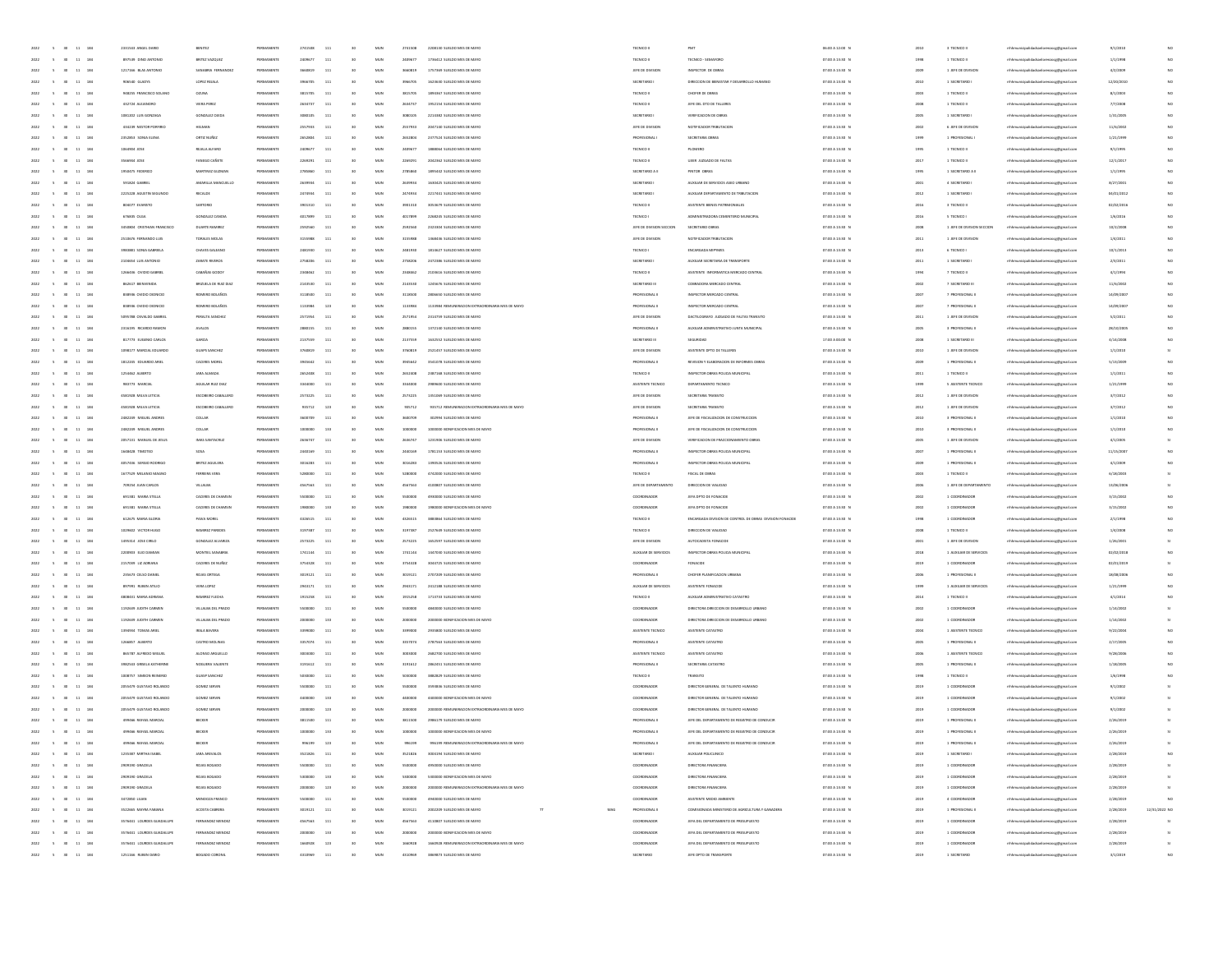| 2022<br>$\sim$<br>30 <sub>1</sub><br>11<br>284      | 2331543 ANGEL DARIO         | BENITEZ               | PERMANENT  |         | 111          |                 | MUN          | 2741508  | 2208130 SUELDO MES DE MAYO                      | TECNICO I                |                                                          | 06:00 A 12:00 0 |         | 3 TECNICO I                 |                                        | 9/1/201    |                         |
|-----------------------------------------------------|-----------------------------|-----------------------|------------|---------|--------------|-----------------|--------------|----------|-------------------------------------------------|--------------------------|----------------------------------------------------------|-----------------|---------|-----------------------------|----------------------------------------|------------|-------------------------|
| 30<br>11 184<br>2022<br>$\sim$                      | 897539 DINO ANTONIO         | BRITEZ VAZQUEZ        | PERMANENTE | 2409677 | 111          | 30              | MUN          | 2409677  | 1736412 SUFLDO MFS OF MAYO                      | TECNICO II               | TECNICO - SEMAFORD                                       | 07:00 A 13:30 N | 1991    | 1 TECNICO II                | mhhmunicipalidadsanlorenzocg@gmail.com | 1/1/1998   |                         |
| 11 184<br>2022<br>$\sim$<br>30                      | 1217166 BLAS ANTONIO        | SANABRIA FERNANDEZ    | PERMANENTE | 3660819 | 111          | 30              | MUN          | 3660819  | 1757369 SUELDO MES DE MAYO                      | JEFE DE DIVISION         | INSPECTOR DE OBRAS                                       | 07:00 A 13:30 N | 2009    | 1 JEFE DE DIVISION          | nhhmunicipalidadsanlorenzocg@gmail.com | 4/2/2009   | NO                      |
| $11\,$<br>184<br>2022<br>30                         | 906540 GLADYS               | LOPEZ REIALA          | PERMANENTE | 3966705 | 111          | 30              | MUN          | 3966705  | 1623630 SUELDO MES DE MAYO                      | SECRETARIO               | DIRECCION DE BIENESTAR Y DESARROLLO HUMANO               | 07:00 A 13:30 N | 2010    | 1 SECRETARIO                | mhhmunicipalidadsanlorenzocg@gmail.com | 12/20/2010 | NO                      |
| 2022<br>$\mathbf{11}$<br>184                        | 948255 FRANCISCO SOLANI     | <b>OZUNA</b>          | PERMANENT  |         | 111          |                 | MUN          | \$815705 | 1894367 SUELDO MES DE MAYO                      | TECNICO II               | CHOFER DE OBRAS                                          | 07:00 A 13:30 N | 2001    | 1 TECNICO II                | thhmunicipalidadsanlorenzocg@gmail.com | 8/1/2003   |                         |
| 11 184<br>2022<br>30 <sub>0</sub>                   | 432724 ALEJANDRO            | VIERA PEREZ           | PERMANENT  | 2634737 | 111          | $6$             | MUN          | 2634737  | 1952154 SUELDO MES DE MAYO                      | TECNICO II               | JEFE DEL DTO DE TALLERES                                 | 07:00 A 13:30 N | 2008    | 1 TECNICO II                | nhhmunicipalidadsanlorenzocg@gmail.com | 7/7/2008   |                         |
| 11 184<br>2022<br>$\sim$<br>30 <sub>0</sub>         | 1081202 LUIS GONZAGA        | GONZALEZ QJED         | PERMANENTE | 3080105 | 111          | 30              | MUN          | 3080105  | 2214382 SUELDO MES DE MAYO                      | SECRETARIO               | VERIFICACIÓN DE OBRAS                                    | 07:00 A 13:30 N | 2005    | 1 SECRETARIO                | nhhmunicipalidadsanlorenzocg@gmail.com | 1/31/2005  | NO                      |
|                                                     |                             |                       |            |         |              |                 |              |          |                                                 |                          | NOTIFICADOR TRIBUTACIÓN                                  |                 |         |                             |                                        |            |                         |
| 2022<br>$\sim$<br>30 <sub>1</sub><br>11 184         | 434239 NESTOR PORFIRIO      | HELMAN                | PERMANENTE | 2557933 | 111          | 30              | MUN          | 2557933  | 2047140 SUELDO MES DE MAYO                      | JEFE DE DIVISION         |                                                          | 07:00 A 13:30 N | 2002    | 6 JEFE DE DIVISION          | nhhmunicipalidadsanlorenzocg@gmail.com | 11/6/2002  |                         |
| $11\,$<br>184<br>2022<br>$\sim$                     | 2352853 SONIA ELENA         | ORTIZ NUÑEZ           | PERMANENTE | 2652804 | 111          | 30              | MUN          | 2652804  | 2377524 SUELDO MES DE MAYO                      | <b>PROFESIONAL</b>       | SECRETARIA OBRAS                                         | 07:00 A 13:30 0 | 1999    | 1 PROFESIONAL               | mhhmunicipalidadsanlorenzoog@gmail.com | 1/21/1991  |                         |
| $\bf{11}$<br>184                                    | 1054904 JOSE                | REJALA ALFARO         | PERMANEN   |         | 11           |                 | MUN          | 2409677  | 1888064 SUELDO MES DE MAYO                      | TECNICO II               | PLOMERO                                                  | 07:00 A 13:30 0 | 1995    | 1 TECNICO II                | thhmunicipalidadsanlorenzocg@gmail.com | 9/1/1995   |                         |
| 11 184<br>2022<br>30 <sub>0</sub>                   | 3566944 JOSE                | FANEGO CAÑETE         | PERMANENT  | 2269291 | 111          | 30              | MUN          | 2269291  | 2042362 SUELDO MES DE MAYO                      | TECNICO II               | UJIER JUZGADO DE FALTAS                                  | 07:00 A 13:30 N | 2017    | 1 TECNICO II                | nhhmunicipalidadsanlorenzocg@gmail.com | 12/1/2017  |                         |
| 11 184<br>2022<br>$\sim$<br>30 <sub>0</sub>         | 1950475 FEDERICO            | MARTINEZ GUZMAN       | PERMANENTE | 2785860 | 111          | 30              | MUN          | 2785860  | 1895442 SUELDO MES DE MAYO                      | SECRETARIO A II          | PINTOR OBRAS                                             | 07:00 A 13:30 N | 1995    | 1 SECRETARIO A II           | nhhmunicipalidadsanlorenzocg@gmail.com | 1/1/1995   | NO                      |
| 2022<br>$\sim$<br>30 <sub>1</sub><br>11 184         | 591824 GABRIE               | AMARILLA MANCUELLO    | PERMANENTE | 2639934 | 111          | 30              | MUN          | 2639934  | 1630425 SUELDO MES DE MAYO                      | SECRETARIO               | AUXILIAR DE SERVICIOS ASEO URBANO                        | 07:00 A 13:30 0 | 2001    | 4 SECRETARIO                | nhhmunicipalidadsanlorenzocg@gmail.com | 8/27/2001  |                         |
| $11\,$<br>184<br>2022                               | 2225228 AGUSTIN SEGUNDO     | RECALDE               | PERMANENT  | 2474934 | 111          |                 | $_{\rm MUN}$ | 2474934  | 2217441 SUELDO MES DE MAYO                      | SECRETARIO               | AUXILIAR DEPARTAMENTO DE TRIBUTACIÓN                     | 07:00 A 13:30 0 | 2012    | 1 SECRETARIO                | orenzocg@gmail.com                     | 04/01/2012 |                         |
| $\bf{11}$<br>184                                    | 804077 EVARISTO             | SARTORIO              | PERMANEN   |         | 11.          |                 | MUN          | 390131   | 3053679 SUELDO MES DE MAYO                      | TECNICO II               | ASISTENTE BIENES PATRIMONIALES                           | 07:00 A 13:30 0 | 2016    | 3 TECNICO II                | mhhmunicipalidadsanlorenzocg@gmail.com | 02/02/201  |                         |
| 11 184<br>2022<br>30 <sub>0</sub>                   | 676835 OLGA                 | GONZALEZ CANDIA       | PERMANENT  | 4017899 | 111          | $6$             | MUN          | 4017899  | 2268245 SUELDO MES DE MAYO                      | TECNICO I                | ADMINISTRADORA CEMENTERIO MUNICIPAL                      | 07:00 A 13:30 N | 2016    | 5 TECNICO I                 | nhhmunicipalidadsanlorenzocg@gmail.com | 1/6/2016   |                         |
| 11 184<br>2022<br>$\sim$<br><b>SO</b>               | 3450804 CRISTHIAN FRANCISCO | DUARTE RAMIREZ        | PERMANENTE | 2592560 | 111          | 30              | MUN          | 2592560  | 2323304 SUFLDO MES OF MAYO                      | JEFE DE DIVISION SECCION | SECRETARIO OBRAS                                         | 07:00 A 13:30 N | 2008    | 1. IFFE DE DIVISIÓN SECCIÓN | mhhmunicipalidadsanlorenzoog@gmail.com | 10/2/2008  | NO                      |
| 2022<br>$\sim$<br>30 <sub>1</sub><br>11 184         | 2510676 FERNANDO LUIS       | TORALES MOLAS         | PERMANENTE | 3155988 | 111          | 30              | MUN          | 3155988  | 1368436 SUELDO MES DE MAYO                      | JEFE DE DIVISION         | NOTIFICADOR TRIBUTACION                                  | 07:00 A 13:30 N | 2011    | 1 JEFE DE DIVISION          | mhhmunicipalidadsanlorenzoce@email.com | 1/4/2011   |                         |
|                                                     |                             |                       |            |         |              |                 |              |          |                                                 |                          |                                                          |                 |         |                             |                                        |            |                         |
| $\mathbf{11}$<br>184<br>2022                        | 3983881 SONIA GABRIELA      | CHAVES GALEANI        | PERMANENTE | 2481930 | 111          |                 | $_{\rm MUN}$ | 2481930  | 1814627 SUELDO MES DE MAYO                      | TECNICO I                | ENCARGADA MIPYME                                         | 07:00 A 13:30 0 | 2013    | 6 TECNICO I                 | enzocg@gmail.com                       | 10/1/201   |                         |
| $\bf{11}$<br>184                                    | 2104654 LUIS ANTONIO        | ZARATE RIVEROS        | PERMANEN   |         | $11\,$       |                 | MUN          | 2758206  | 2472386 SUELDO MES DE MAYO                      | SECRETARIO               | AUXILIAR SECRETARIA DE TRANSPORTE                        | 07:00 A 13:30 0 | 201     | 1 SECRETARIO                | thhmunicipalidadsanlorenzocg@gmail.com | 2/3/201    |                         |
| 11 184<br>2022<br>30 <sub>0</sub>                   | 1266436 OVIDIO GABRIE       | CABAÑAS GODOY         | PERMANENT  | 2348462 | 111          | $6$             | MUN          | 2348462  | 2103616 SUELDO MES DE MAYO                      | TECNICO II               | ASISTENTE INFORMATICA MERCADO CENTRAL                    | 07:00 A 13:30 N | 1994    | 7 TECNICO II                | nhhmunicipalidadsanlorenzocg@gmail.com | 4/1/1994   |                         |
| 11 184<br>2022<br>$\sim$<br>30 <sub>0</sub>         | 862617 BIENVENIDA           | BRIZUELA DE RUIZ DIAZ | PERMANENTE | 2143530 | 111          | 30              | MUN          | 2143530  | 1245676 SUELDO MES DE MAYO                      | SECRETARIO III           | COBRADORA MERCADO CENTRAL                                | 07:00 A 13:30 N | 2002    | 7 SECRETARIO III            | nhhmunicipalidadsanlorenzocg@gmail.com | 11/6/2002  | NO                      |
| 2022<br>$\sim$<br>30 <sub>1</sub><br>11 184         | 838936 OVIDIO DIONICIO      | ROMERO BOLAÑOS        | PERMANENTE | 3118500 | 111          | 30              | MUN          | 3118500  | 2806650 SUELDO MES DE MAYO                      | PROFESIONAL I            | INSPECTOR MERCADO CENTRAL                                | 07:00 A 13:30 N | 2007    | 7 PROFESIONAL I             | nhhmunicipalidadsanlorenzocg@gmail.com | 14/09/2007 |                         |
| 184<br>2022<br>11                                   | 838936 OVIDIO DIONICIO      | ROMERO BOLAÑO!        | PERMANENT  | 1133984 | 123          |                 | $_{\rm MUN}$ | 1133984  | 1133984 REMUNERACION EXTRAORDINARIA MES DE MAYO | PROFESIONAL I            | INSPECTOR MERCADO CENTRAL                                | 07:00 A 13:30 0 | 2007    | 7 PROFESIONAL               | mhhmunicipalidadsanlorenzocg@gmail.com | 14/09/200  |                         |
| $\bf{11}$<br>184                                    | 5095788 OSVALDO GABRIE      | PERALTA SANCHE        | PERMANEN   |         | 11           |                 | MUN          | 2571954  | 2314759 SUELDO MES DE MAYO                      | JEFE DE DIVISION         | DACTILOGRAFO JUZGADO DE FALTAS TRANSITO                  | 07:00 A 13:30 0 | 201     | 1 JEFE DE DIVISIO           | thhmunicipalidadsanlorenzocg@gmail.com | 5/2/2011   |                         |
| 11 184<br>2022<br>30 <sub>0</sub>                   | 2316195 RICARDO RAMOR       | <b>AVALOS</b>         | PERMANENT  | 2880155 | 111          |                 | MUN          | 2880155  | 1372140 SUELDO MES DE MAYO                      | PROFESIONAL I            | AUXILIAR ADMINISTRATIVO JUNTA MUNICIPAL                  | 07:00 A 13:30 N | 2005    | 3 PROFESIONAL I             | nhhmunicipalidadsanlorenzocg@gmail.com | 28/10/200  |                         |
| 11 184<br>2022<br>$\sim$<br>30 <sub>0</sub>         | 817773 EUGENIO CARLOS       | GARCIA                | PERMANENTE | 2137559 | 111          | 30              | MUN          | 2137559  | 1632552 SUELDO MES DE MAYO                      | SECRETARIO III           | SEGURIDAD                                                | 17:00 A 00:00 N | 2008    | 1 SECRETANO III             | nhhmunicipalidadsanlorenzocg@gmail.com | 4/14/2008  |                         |
|                                                     | 1098177 MARCIAL EDUARDO     |                       |            |         |              |                 |              |          |                                                 |                          | ASISTENTE DPTO DE TALLERES                               |                 |         |                             |                                        |            |                         |
| 2022<br>$\sim$<br>30 <sub>1</sub><br>11 184         |                             | GUAPS SANCHEZ         | PERMANENTE | 3760819 | 111          | 30              | MUN          | 3760819  | 2521457 SUELDO MES DE MAYO                      | JEFE DE DIVISION         |                                                          | 07:00 A 13:30 N | 2010    | 1 JEFE DE DIVISION          | nhhmunicipalidadsanlorenzocg@gmail.com | 1/1/2010   |                         |
| 184<br>11<br>2022<br>$\sim$                         | 1812245 EDUARDO ARIEI       | CACERES MOREL         | PERMANENTE | 3945642 | 111          |                 | MUN          | 3945642  | 3541078 SUELDO MES DE MAYO                      | PROFESIONAL I            | REVISION Y ELABORACION DE INFORMES OBRAS                 | 07:00 A 13:30 0 | 2009    | 1 PROFESIONAL               | mhhmunicipalidadsanlorenzocg@gmail.com | 5/13/2001  |                         |
| 2022<br>$\mathbf{11}$<br>184                        | 1254462 ALBERTO             | <b>JARA ALMADA</b>    | PERMANEN   |         | 111          |                 | MUN          | 2652408  | 2387168 SUELDO MES DE MAYO                      | TECNICO II               | INSPECTOR OBRAS POLICIA MUNICIPAL                        | 07:00 A 13:30 0 | 2011    | 1 TECNICO II                | mhhmunicipalidadsanlorenzocg@gmail.com | 1/1/2011   |                         |
| 2022<br>30 <sub>0</sub><br>11 184                   | 983773 MARCIAL              | AGUILAR RUZ DIA       | PERMANENT  | 3344000 | 111          |                 | MUN          | 3344000  | 2989600 SUELDO MES DE MAYO                      | ASISTENTE TECNICO        | DERAFTAMENTO TECNICO                                     | 07:00 A 13:30 P | 1999    | 5 ASISTENTE TECNICO         | nhhmunicipalidadsanlorenzocg@gmail.com | 1/21/199   |                         |
| 11 184<br>2022<br>$\sim$<br>30                      | 4581928 MILVA LETICIA       | ESCOBEIRO CABALLERO   | PERMANENTE | 2573225 | 111          | 30 <sub>2</sub> | MUN          | 2573225  | 1351069 SUELDO MES DE MAYO                      | JEFE DE DIVISION         | SECRETARIA TRANSITO                                      | 07:00 A 13:30 N | 2012    | 1 JEFE DE DIVISION          | mhhmunicipalidadsanlorenzocg@gmail.com | 3/7/2012   | NO                      |
| $11 - 184$<br>2022<br>$\sim$<br>30 <sub>1</sub>     | 4581928 MILVA LETICIA       | ESCOBEIRO CABALLERO   | PERMANENTE | 935712  | 123          | 30 <sub>2</sub> | MUN          | 935712   | 935712 REMUNERACION EXTRAORDINARIA MES DE MAYO  | JEFE DE DIVISION         | SECRETARIA TRANSITO                                      | 07:00 A 13:30 N | 2012    | 1 JEFE DE DIVISION          | nhhmunicipalidadsanlorenzocg@gmail.com | 3/7/2012   |                         |
| $11\,$<br>184<br>2022<br>$\sim$                     | 2482249 MIGUEL ANDRES       | COLLAR                | PERMANENTE |         | 111          |                 | MUN          | 3600709  | 302994 SUELDO MES DE MAYO                       | PROFESIONAL I            | JEFE DE FISCALIZACION DE CONSTRUCCION                    | 07:00 A 13:30 0 | 2010    | 3 PROFESIONAL I             | mhhmunicipalidadsanlorenzoog@gmail.com | 1/1/2010   |                         |
| 2022<br>$\mathbf{11}$<br>184                        | 2482249 MIGUEL ANDREY       | COLLAB                | PERMANENT  |         | 133          |                 | MUN          |          | 1000000 BONIFICACIÓN MES DE MAYO                | PROFESIONAL I            | JEFE DE FISCALIZACION DE CONSTRUCCIO                     | 07:00 A 13:30 0 | 2010    | 3 PROFESIONAL               | thhmunicipalidadsanlorenzocg@gmail.com | 1/1/2010   |                         |
| 11 184<br>2022<br>30 <sub>0</sub>                   | 2052131 MANUFLOF IPSUS      | IMAS SANTACIUS        | PERMANENT  | 2636747 | 111          |                 | MUN          | 2636747  | 1231906 SUELDO MES DE MAYO                      | JEFE DE DIVISION         | VERIFICACION DE FRACCIONAMIENTO OBRA                     | 07:00 A 13:30 P | 2005    | 1 JEFE DE DIVISION          | nhhmunicipalidadsanlorenzocg@gmail.com | 4/1/2005   |                         |
| 11 184<br>2022<br>$\sim$<br>30 <sub>1</sub>         | 1648428 TIMOTED             | SOSA                  | PERMANENTE | 2440169 | 111          | 30 <sub>2</sub> | MUN          | 2440169  | 1781153 SUELDO MES DE MAYO                      | PROFESIONAL II           | INSPECTOR CRRAS POLICIA MUNICIPAL                        | 07:00 A 13:30 N | 2007    | 1 PROFESIONAL II            | nhhmunicipalidadsanlorenzocg@gmail.com | 11/15/2007 | NO                      |
|                                                     |                             |                       |            |         |              |                 |              |          | 1390526 SUELDO MES DE MAYO                      |                          |                                                          |                 |         |                             |                                        |            |                         |
| 2022<br>$\sim$<br>30 <sub>1</sub><br>11 184         | 4057436 SERGIO RODRIGO      | BRITEZ AGUILER/       | PERMANENTE | 3016283 | 111          | 30 <sub>2</sub> | MUN          | 3016283  |                                                 | PROFESIONAL II           | INSPECTOR OBRAS POLICIA MUNICIPAL                        | 07:00 A 13:30 N | 2009    | 1 PROFESIONAL I             | nhhmunicipalidadsanlorenzocg@gmail.com | 4/1/2009   |                         |
| 184<br>2022<br>11                                   | 1677529 MELANIO MAGNI       | FERREIRA VER          | PERMANENTE | 5280000 | 111          |                 | MUN          | 5280000  | 4742000 SUELDO MES DE MAYO                      | TECNICO II               | FISCAL DE OBRAS                                          | 07:00 A 13:30 0 | 2003    | 1 TECNICO II                | mhhmunicipalidadsanlorenzocg@gmail.com | 6/18/200   |                         |
| $\mathbf{11}$<br>184                                | 709254 JUAN CARLOS          | VILLALBA              | PERMANENT  |         | 11           |                 | MUN          | 4567563  | 4100807 SUELDO MES DE MAYO                      | JEFE DE DEPARTAMENTO     | DIRECCION DE VIAUDAD                                     | 07:00 A 13:30 0 | 2000    | 1 JEFE DE DEPARTAMENT       | mhmunicipalidadsanlorenzocg@gmail.com  | 13/06/200  |                         |
| 11 184<br>2022<br>30 <sub>0</sub>                   | 691381 MARIA STELLA         | CACERES DE CHAMSIT    | PERMANENT  | 5500000 | 111          | $6$             | MUN          | 5500000  | 4930000 SUELDO MES DE MAYO                      | COORDINADOR              | JEFA DPTO DE FONACIDI                                    | 07:00 A 13:30 N | 2002    | 1 COORDINADOR               | nhhmunicipalidadsanlorenzocg@gmail.com | 3/15/2002  |                         |
| 11 184<br>2022<br>$\sim$<br>30 <sub>1</sub>         | 691381 MARIA STELLA         | CACERES DE CHAMSIT    | PERMANENTE | 1980000 | 133          | 30 <sub>2</sub> | MUN          | 1980000  | 1980000 BONIFICACION MES DE MAYO                | COORDINADOR              | JEFA DPTO DE FONACIDE                                    | 07:00 A 13:30 N | 2002    | 1 COORDINADOR               | nhhmunicipalidadsanlorenzocg@gmail.com | 3/15/2002  | NO                      |
| 2022<br>$\sim$<br>30 <sub>1</sub><br>11 184         | 612675 MARIA GLORIA         | PAVA MOREL            | PERMANENTE | 4326515 | 111          | 30 <sub>2</sub> | MUN          | 4326515  | 3883864 SUELDO MES DE MAYO                      | TECNICO II               | ENCARGADA DIVISION DE CONTROL DE OBRAS DIVISION FONACIDE | 07:00 A 13:30 0 | 1998    | 1 COORDINADOR               | nhhmunicipalidadsanlorenzocg@gmail.com | 2/1/1998   |                         |
| $\mathbf{11}$<br>184<br>2022                        | 1029502 VICTOR HUGO         | RAMIREZ PAREDE        | PERMANENTE | 3197387 | 111          |                 | $_{\rm MUN}$ | 3197387  | 2527649 SUELDO MES DE MAYO                      | TECNICO II               | DIRECCIÓN DE VIAUDAD                                     | 07:00 A 13:30 0 | 2008    | 1 TECNICO II                | mhhmunicipalidadsanlorenzocg@gmail.com | 1/4/2008   |                         |
| $\bf{11}$<br>184                                    | 1495314 JOSE CRILO          | GONZALEZ ALVANZA      | PERMANEN   | 2573225 | $11\,$       |                 | MUN          | 2573225  | 1652597 SUELDO MES DE MAYO                      | JEFE DE DIVISION         | AUTOCADISTA FONACIO                                      | 07:00 A 13:30 0 | 200     | 1 JEFE DE DIVISION          | thhmunicipalidadsanlorenzocg@gmail.com | 1/26/200   |                         |
| 11 184<br>2022<br>30 <sub>0</sub>                   | 2200303 EUO DAMIAN          | MONTIEL SANABRI       | PERMANENT  | 1741144 | 111          | $6$             | MUN          | 1741144  | 1447030 SUELDO MES DE MAYO                      | AUXILIAR DE SERVICIOS    | INSPECTOR OBRAS POLICIA MUNICIPAL                        | 07:00 A 13:30 P | 2018    | 1 AUXILIAR DE SERVICIOS     | nhhmunicipalidadsanlorenzocg@gmail.com | 02/02/2018 |                         |
| 11 184<br>2022<br>$\sim$<br>30 <sub>1</sub>         | 2157039 LIZ ADRANA          | CACERES DE NUÑEZ      | PERMANENTE | 3754328 | 111          | 30 <sub>2</sub> | MUN          | 3754328  | 3044725 SUELDO MES DE MAYO                      | COORDINADOR              | FONACIDE                                                 | 07:00 A 13:30 N | 2019    | 1 COORDINADOR               | nhhmunicipalidadsanlorenzocg@gmail.com | 02/01/2019 |                         |
| $\sim$<br>30 <sub>1</sub>                           |                             |                       |            |         |              | 30 <sub>2</sub> |              |          |                                                 |                          |                                                          |                 |         |                             |                                        |            |                         |
| 2022<br>11 184                                      | 235673 CELSO DANIEL         | ROJAS ORTEGA          | PERMANENTE | 3019121 | 111          |                 | MUN          | 3019121  | 2707209 SUELDO MES DE MAYO                      | PROFESIONAL II           | CHOFER PLANIFICACION URBANA                              | 07:00 A 13:30 0 | 2006    | 1 PROFESIONAL II            | nhhmunicipalidadsanlorenzocg@gmail.com | 18/08/2006 |                         |
| $\mathbf{11}$<br>184<br>2022                        | 897991 RUBEN ATILIO         | VERA LOPEZ            | PERMANENT  | 2943171 | 111          |                 | $_{\rm MUN}$ | 2943171  | 2412188 SUELDO MES DE MAYO                      | AUXILIAR DE SERVICIOS    | ASISTENTE FONACIDE                                       | 07:00 A 13:30 0 | 1999    | 1 AUXILIAR DE SERVICIOS     | naocg@gmail.com                        | 1/21/199   |                         |
| $\bf{11}$<br>184                                    | 4808431 MARIA ADRIAN        | <b>RAMIREZ FLECHA</b> | PERMANEN   |         | $11\,$       |                 | MUN          | 1915258  | 1713733 SUELDO MES DE MAYO                      | TECNICO II               | AUXILIAR ADMINISTRATIVO CATASTRO                         | 07:00 A 13:30 0 | $201 -$ | 1 TECNICO II                | thhmunicipalidadsanlorenzocg@gmail.com | 4/1/2014   |                         |
| 11 184<br>2022<br>30 <sub>0</sub>                   | 1192639 JUDITH CARMEN       | VILLALBA DEL PRADO    | PERMANENT  | 5500000 | 111          | $6$             | MUN          | 5500000  | 4840000 SUELDO MES DE MAYO                      | COORDINADOR              | DIRECTORA DIRECCIÓN DE DESARROLLO URBANO                 | 07:00 A 13:30 N | 2002    | 1 COORDINADOR               | nhhmunicipalidadsanlorenzocg@gmail.com | 1/14/2002  |                         |
| 11 184<br>2022<br>$\sim$<br>30 <sub>0</sub>         | 1192639 JUDITH CARMEN       | VILLALBA DEL PRADO    | PERMANENTE | 2000000 | 133          | 30              | MUN          | 2000000  | 2000000 BONIFICACION MES DE MAYO                | COORDINADOR              | DIRECTORA DIRECCIÓN DE DESARROLLO URBANO                 | 07:00 A 13:30 N | 2002    | 1 COORDINADOR               | nhhmunicipalidadsanlorenzocg@gmail.com | 1/14/2002  |                         |
| 2022<br>$\sim$<br>30 <sub>1</sub><br>11 184         | 1394934 TOMAS ARIEL         | IRALA BAVERA          | PERMANENTE | 3399000 | 111          | 30              | MUN          | 3399000  | 2935800 SUELDO MES DE MAYO                      | ASISTENTE TECNICO        | ASISTENTE CATASTRO                                       | 07:00 A 13:30 0 | 2004    | 1 ASISTENTE TECNICO         | mhhmunicipalidadsanlorenzocg@gmail.com | 9/22/200   |                         |
| $\mathbf{11}$<br>184<br>2022                        | 1266857 ALBERTO             | CASTRO MOLINA         | PERMANENTE | 3357074 | 111          |                 | $_{\rm MUN}$ | 3357074  | 2787563 SUELDO MES DE MAYO                      | PROFESIONAL I            | ASISTENTE CATASTRO                                       | 07:00 A 13:30 0 | 2005    | 1 PROFESIONAL I             | enzocg@gmail.com                       | 2/17/2005  |                         |
| $\bf{11}$<br>184                                    | 865787 ALFREDO MIGUE        | ALONSO ARGUELLO       | PERMANEN   |         | 11           |                 | MUN          | 3003000  | 2682700 SUELDO MES DE MAYO                      | ASISTENTE TECNICO        | ASISTENTE CATASTRO                                       | 07:00 A 13:30 0 | 2000    | 1 ASISTENTE TECNIC          | mhmunicipalidadsanlorenzocg@gmail.com  | 9/28/200   |                         |
| 11 184<br>2022<br>$\sim$<br>30 <sub>0</sub>         | 3982543 GRISELA KATHERINE   | NOGUERA VALIENTI      | PERMANENT  | 3191612 | 111          |                 | MUN          | 3191612  | 2862451 SUELDO MES DE MAYO                      | PROFESIONAL I            | SECRETARIA CATASTRI                                      | 07:00 A 13:30 N | 2005    | 1 PROFESIONAL I             | nhhmunicipalidadsanlorenzocg@gmail.com | 1/18/2005  |                         |
| 11 184<br>2022<br>$\sim$<br>30 <sub>1</sub>         | 1008757 SIMEON REINERIO     | GUASP SANCHEZ         | PERMANENTE | 5030000 | 111          | 30              | MUN          | soscoco  | 3882829 SUELDO MES DE MAYO                      | TECNICO II               | TRANSITO                                                 | 07:00 A 13:30 N | 1998    | 1 TECNICO II                | nhhmunicipalidadsanlorenzocg@gmail.com | 1/6/1998   |                         |
| 2022<br>$\sim$<br>30<br>11 184                      | 2055479 GUSTAVO ROLANDO     | GOMEZ SERVIN          | PERMANENTE | 5500000 | 111          | 30              | MUN          | 5500000  | 3593836 SUELDO MES DE MAYO                      | COORDINADOR              | DIRECTOR GENERAL DE TALENTO HUMANO                       | 07:00 A 13:30 N | 2019    | 1 COORDINADOR               | nhhmunicipalidadsanlorenzocg@gmail.com | 9/1/2002   |                         |
|                                                     |                             |                       |            |         |              |                 |              |          |                                                 |                          |                                                          |                 |         |                             |                                        |            |                         |
| $11\,$<br>184<br>2022<br>$\sim$                     | 2055479 GUSTAVO ROLANDO     | GOMEZ SERVI           | PERMANENT  |         | 133          |                 | MUN          | 4400000  | 4400000 BONIFICACION MES DE MAYO                | COORDINADOR              | DIRECTOR GENERAL DE TALENTO HUMAN                        | 07:00 A 13:30 0 | 2019    | 1 COORDINADO                | enzocg@gmail.com                       | 9/1/2002   |                         |
| 2022<br>$\sim$<br>30 <sup>°</sup><br>$11\,$<br>184  | 2055479 GUSTAVO ROLANDO     | GOMEZ SERVI           | PERMANEN   |         | 123          |                 | MUN          |          | 2000000 REMUNERACION EXTRAORDINARIA MES DE MAYO | COORDINADO               | DIRECTOR GENERAL DE TALENTO HUMANO                       | 07:00 A 13:30 0 | 2019    | 1 COORDINADO                | thhmunicipalidadsanlorenzocg@gmail.com | 9/1/2002   |                         |
| 5 30 11 184<br>2022                                 | 499466 RAFAEL MARCIAL       | BECKER                | PERMANENT  | 3811500 | 111          |                 | MUN          | 3811500  | 2986179 SUELDO MES DE MAYO                      | PROFESIONAL I            | JEFE DEL DEPARTAMENTO DE REGISTRO DE CONDUCIR            | 07:00 A 13:30 N | 2019    | 1 PROFESIONAL I             | mhhmunicipalidadsanlorenzocg@gmail.com | 2/26/2019  |                         |
| $2022 \qquad \quad 5 \qquad 30 \qquad 11 \quad 184$ | 499466 RAFAEL MARCIAL       | BECKER                | PERMANENTE | 1000000 | 133          | 30              | MUN          | 1000000  | 1000000 BONIFICACION MES DE MAYO                | PROFESIONAL I            | JEFE DEL DEPARTAMENTO DE REGISTRO DE CONDUCIR            | 07:00 A 13:30 N | 2019    | 1 PROFESIONAL II            | mhhmunicipalidadsanlorenzocg@gmail.com | 2/26/2019  |                         |
| 2022 5 30<br>11 184                                 |                             |                       |            |         |              |                 | MUN          |          |                                                 |                          | JEFE DEL DEPARTAMENTO DE REGISTRO DE CI                  |                 |         |                             |                                        |            |                         |
| $5 - 30 - 11 - 184$<br>2022                         | 1235387 MRTHA ISABEI        | JARA AREVALOS         | PERMANENTE | 3521826 | $_{\rm 111}$ | 30              | $_{\rm MUN}$ | 3521826  | 3004194 SUELDO MES DE MAYO                      | SECRETARIO I             | AUXILIAR POUCLINICO                                      | 07:00 A 13:30 N | 2019    | 1 SECRETARIO I              | mhhmunicipalidadsanlorenzocg@gmail.com | 2/28/2019  | NO                      |
| $5$ 30 11 184<br>2022                               | 2909190 GRACIELA            | ROJAS BOGADO          | PERMANENTE | 5500000 | 111          | 30 <sub>o</sub> | MUN          | 5500000  | 4950000 SUELDO MES DE MAYO                      | COOKDINADOR              | DIRECTORA FINANCIERA                                     | 07:00 A 13:30 N | 2019    | 1 COORDINADOR               | mhhmunicipalidadsanlorenzocg@gmail.com | 2/28/2019  | $\mathsf{S}1$           |
| 5 30 11 184<br>2022                                 | 2909190 GRACIELA            | ROJAS BOGADO          | PERMANENTE | 5300000 | 133          | 30              | MUN          | 5300000  | 5300000 BONIFICACION MES DE MAYO                | COORDINADOR              | DIRECTORA FINANCIERA                                     | 07:00 A 13:30 N | 2019    | 1 COORDINADOR               | mhmunicipalidadsanlorenzocg@gmail.com  | 2/28/2019  | 51                      |
| 2022 5 30 11 184                                    | 2909190 GRACIELA            | ROJAS BOGADO          | PERMANENTE | 2000000 | 123          | 30              | MUN          | 2000000  | 2000000 REMUNERACION EXTRAORDINARIA MES DE MAYO | COORDINADOR              | DIRECTORA FINANCIERA                                     | 07:00 A 13:30 N | 2019    | 1 COORDINADOR               | mhmunicipalidadsanlorenzocg@gmail.com  | 2/28/2019  | \$1                     |
|                                                     |                             |                       |            |         |              |                 |              |          |                                                 |                          |                                                          |                 |         |                             |                                        |            |                         |
| $2022 \qquad \quad 5 \qquad 30 \qquad 11 \quad 184$ | 3472850 LILIAN              | MENDOZA FRANCO        | PERMANENTE | 5500000 | 111          | 30              | MUN          | 5500000  | 4940000 SUELDO MES DE MAYO                      | COORDINADOR              | ASISTENTE MEDIO AMBIENTE                                 | 07:00 A 13:30 N | 2019    | 4 COORDINADOR               | mhhmunicipalidadsanlorenzocg@gmail.com | 2/28/2019  | NO                      |
| $5 - 30 - 11 - 184$<br>2022                         | 3522665 MAYRA FABIANA       | ACOSTA CABRERA        | PERMANENTE | 3019121 | 111          | 30              | $_{\rm MUN}$ | 3019121  | 2002209 SUELDO MES DE MAYO<br>MAG               | PROFESIONAL II           | COMSIONADA MINISTERIO DE AGRICULTURA Y GANADERA          | 07:00 A 13:30 N | 2019    | 1 PROFESIONAL II            | mhhmunicipalidadsanlorenzocg@gmail.com | 2/28/2019  | 12/31/2022 NO           |
| 2022<br>$5$ 30 11 184                               | 3576441 LOURDES GUADALUPE   | FERNANDEZ MENDEZ      | PERMANENTE | 4567563 | 111          | 30 <sub>o</sub> | MUN          | 4567563  | 4110807 SUELDO MES DE MAYO                      | COORDINADOR              | JEFA DEL DEPARTAMENTO DE PRESUPUESTO                     | 07:00 A 13:30 N | 2019    | 1 COORDINADOR               | mhmunicipalidadsanlorenzocg@gmail.com  | 2/28/2019  | $\overline{\mathbf{S}}$ |
| 5 30 11 184<br>2022                                 | 3576441 LOURDES GUADALUPE   | FERNANDEZ MENDEZ      | PERMANENTE | 2000000 | 133          | 30 <sub>1</sub> | MUN          | 2000000  | 2000000 BONIFICACION MES DE MAYO                | COORDINADOR              | IFFA DEL DEBARTAMENTO DE PRESIDUESTO                     | 07:00 A 13:30 N | 2019    | 1 COORDINADOR               | mhhmunicipalidadsanlorenzocg@gmail.com | 2/28/2019  | 51                      |
| 2022 5 30 11 184                                    | 3576441 LOURDES GUADALUPE   | FERNANDEZ MENDEZ      | PERMANENTE | 1660928 | 123          | 30              | MUN          | 1660928  | 1660928 REMUNERATION EXTRAORDINARIA MES DE MAYO | COORDINADOR              | JEFA DEL DEPARTAMENTO DE PRESUPUESTO                     | 07:00 A 13:30 N | 2019    | 1 COORDINADOR               | mhmunicipalidadsanlorenzocg@gmail.com  | 2/28/2019  | \$1                     |
| $2022 \qquad \quad 5 \qquad 30 \qquad 11 \quad 184$ | 1251166 RUBEN DARIO         | BOGADO CORONE         | PERMANENTE | 4310969 | 111          | 30              | MUN          | 4310969  | 3869873 SUELDO MES DE MAYO                      | SECRETARIO               | JEFE DPTO DE TRANSPORTE                                  | 07:00 A 13:30 N | 2019    | 1 SECRETARIO                | mhhmunicipalidadsanlorenzocg@gmail.com | 3/1/2019   | NO                      |
|                                                     |                             |                       |            |         |              |                 |              |          |                                                 |                          |                                                          |                 |         |                             |                                        |            |                         |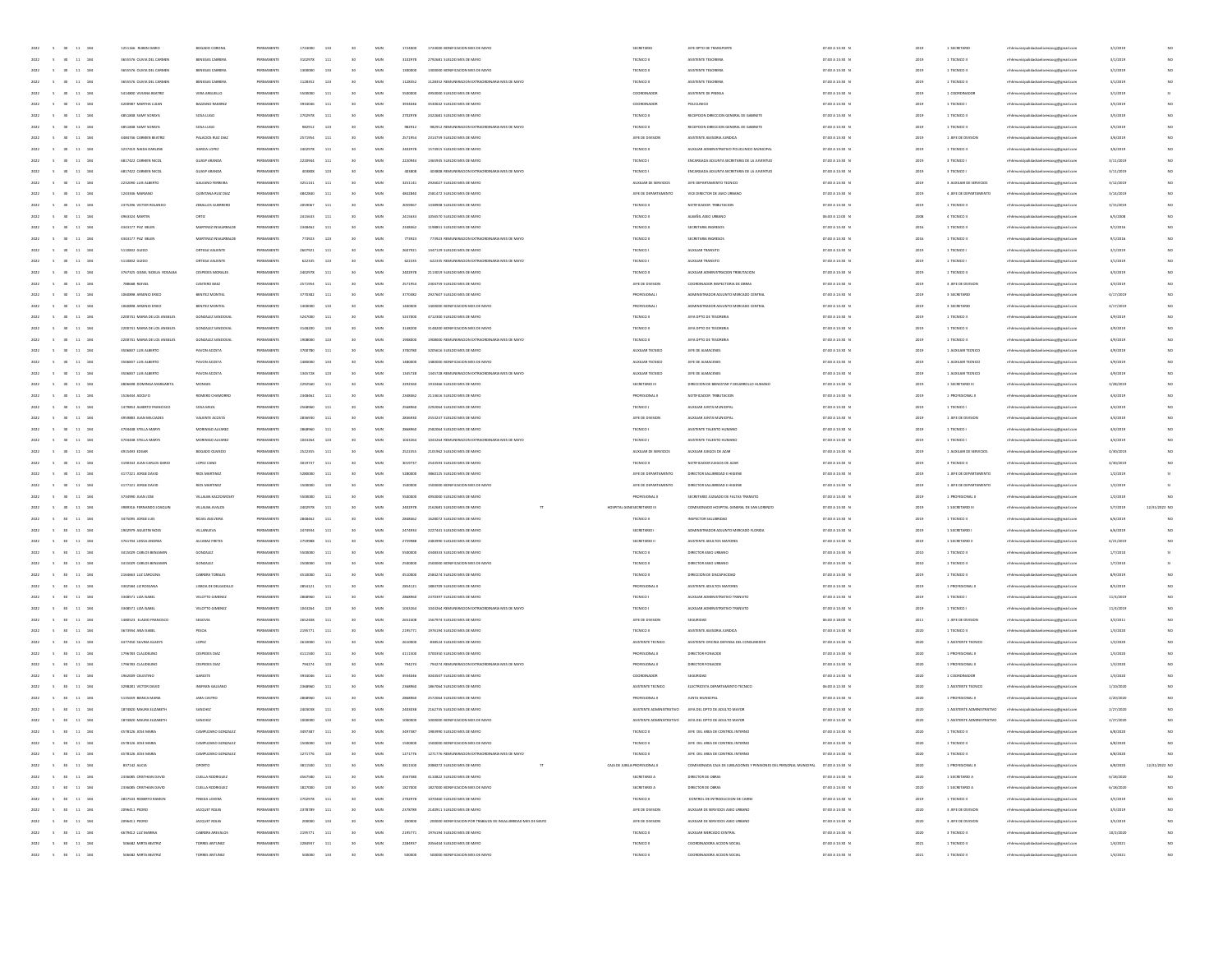| 2022<br>$\sim$ 5<br>11 184<br>30 <sup>°</sup>          | 1251166 RUBEN DARIO           | BOGADO CORONE            | PERMANENTE | 1724000 | 133 | 30              | MUN        | 1724000 | 1724000 BONIFICACION MES DE MAYO                             | SECRETARIO                    | JEFE DPTO DE TRANSPORTE                                                             | 07:00 A 13:30 N | 2019 | 1 SECRETARIO               | mhhmunicipalidadsanlorenzoog@gmail.com                            | 3/1/2019  |               |
|--------------------------------------------------------|-------------------------------|--------------------------|------------|---------|-----|-----------------|------------|---------|--------------------------------------------------------------|-------------------------------|-------------------------------------------------------------------------------------|-----------------|------|----------------------------|-------------------------------------------------------------------|-----------|---------------|
| 2022<br>$\sim$<br>11 184<br>30                         | 3655576 OLIVIA DEL CARMEN     | BENEGAS CABRERA          | PERMANENTE | 3102978 | 111 | 30              | MUN        | 3102978 | 2792681 SUELDO MES DE MAYO                                   | TECNICO                       | ASISTENTE TESORERIA                                                                 | 07:00 A 13:30 N | 2019 | 1 TECNICO II               | mhhmunicipalidadsanlorenzocg@gmail.com                            | 3/1/2019  | NO            |
| $11\,$<br>184<br>2022                                  | 3655576 OLIVIA DEL CARMEN     | BENEGAS CABRER           | PERMANENT  | 130000  | 133 | 30              | MUN        | 1300000 | 1300000 BONIFICACION MES DE MAYO                             | TECNICO I                     | ASISTENTE TESORERIA                                                                 | 07:00 A 13:30 N | 2019 | 1 TECNICO II               | mhhmunicipalidadsanlorenzoog@gmail.com                            | 3/1/2019  | NO            |
| $\bf{11}$<br>184                                       | 3655576 OLIVIA DEL CARMEN     | <b>BENEGAS CABRER</b>    |            | 112835  | 123 |                 | MUN        | 1128352 | 1128352 REMUNERACION EXTRAORDINARIA MES DE MAYO              | TECNICO                       | ASISTENTE TESORERI                                                                  | 07:00 A 13:30 N |      | 1 TECNICO                  | hhmunicipalidadsanlorenzocg@gmail.cor                             | 3/1/2019  | NO            |
| 11 184<br>2022                                         | S414800 VIVIANA REATRIZ       | VERA ARGUELLO            | PERMANENTI | 5500000 | 111 | 30              | MUN        | 5500000 | 4950000 SUELDO MES DE MAYO                                   | COORDINADOR                   | ASISTENTE DE PRENSA                                                                 | 07:00 A 13:30 N | 2019 | 1 COORDINADOR              | thhmunicipalidadsanlorenzoog@gmail.con                            | 3/1/2019  |               |
| 2022<br>11 184<br>$\sim$                               | 4200987 MARTHA LUJAN          | BAZZANO RAMIREZ          | PERMANENTE | 3934046 | 111 | 30              | MUN        | 3934046 | 3530642 SUELDO MES DE MAYO                                   | COORDINADOR                   | POLICLINICO                                                                         | 07:00 A 13:30 N | 2019 | 1 TECNICO I                | nhhmunicipalidadsanlorenzocg@gmail.com                            | 3/5/2019  | NO            |
| 2022<br>11 184<br>$\sim$                               | 4851848 SAMY SORAYA           | SOSA LUGO                | PERMANENTE | 2702978 | 111 | 30              | MUN        | 2702978 | 2422681 SUELDO MES DE MAYO                                   | TECNICO II                    | RECEPCION DIRECCIÓN GENERAL DE GABINETE                                             | 07:00 A 13:30 N | 2019 | 1 TECNICO II               | mhhmunicipalidadsanlorenzocg@gmail.com                            | 3/5/2019  | NO            |
| 184<br>$11\,$<br>2022                                  | 4851848 SAMY SORAYA           | SOSA LUGO                |            | 982912  | 123 | 30              | MUN        | 982912  | 982912 REMUNERACION EXTRAORDINARIA MES DE MAYO               | TECNICO I                     | RECEPCION DIRECCION GENERAL DE GABINETE                                             | 07:00 A 13:30 N | 2019 | 1 TECNICO II               | mhhmunicipalidadsanlorenzoog@gmail.com                            | 3/5/2019  | NO            |
| $\bf{11}$<br>184                                       | 4484746 CARMEN BEATRI         | PALACIOS RUIZ DIA        |            | 257195  |     |                 | MUN        | 2571954 | 2314759 SUELDO MES DE MAYO                                   | JEFE DE DIVISIO               | ASISTENTE ASESORIA JURIDICA                                                         | 07:00 A 13:30 N |      | 1 JEFE DE DIVISION         | hhmunicipalidadsanlorenzocg@gmail.cor                             | 3/6/2019  | NO            |
| 11 184<br>2022                                         | 3237419 NAIDA DARLEN          | GARCIA LOPEZ             | PERMANENTI | 2402978 | 111 | 30              | MUN        | 2402978 | 1574915 SUELDO MES DE MAYO                                   | TECNICO I                     | AUXILIAR ADMINISTRATIVO POLICLINICO MUNICIPAL                                       | 07:00 A 13:30 N | 2019 | 1 TECNICO II               | mhhmunicipalidadsanlorenzoog@gmail.com                            | 3/6/2019  | NO            |
| 2022<br>11 184<br>$\sim$                               | 6817422 CARMEN NICOL          | GUASP ARANDA             | PERMANENTE | 2220944 | 111 | 30              | MUN        | 2220944 | 1365945 SUELDO MES DE MAYO                                   | TECNICO                       | ENCARGADA ADJUNTA SECRETARIA DE LA JUVENTUD                                         | 07:00 A 13:30 N | 2019 | 3 TECNICO I                | nhhmunicipalidadsanlorenzocg@gmail.com                            | 3/11/2019 | NO            |
|                                                        |                               |                          |            |         |     |                 |            |         |                                                              |                               |                                                                                     |                 |      |                            |                                                                   |           |               |
| 2022<br>$\sim$<br>11 184                               | 6817422 CARMEN NICOL          | GUASP ARANDA             | PERMANENTE | 403808  | 123 | 30              | MUN        | 403808  | 403808 REMUNERACION EXTRAORDINARIA MES DE MAYO               | TECNICO                       | ENCARGADA ADJUNTA SECRETARIA DE LA JUVENTUD                                         | 07:00 A 13:30 N | 2019 | 3 TECNICO I                | mhhmunicipalidadsanlorenzocg@gmail.com                            | 3/11/201  | NO            |
| $11\,$<br>184<br>2022                                  | 2232090 LUIS ALBERTO          | GALEANO FERREIRA         |            | 3251142 | 111 | 30              | MUN        | 3251141 | 2926027 SUELDO MES DE MAYO                                   | AUXILIAR DE SERVICIOS         | JEFE DEPARTAMENTO TECNICO                                                           | 07:00 A 13:30 N | 2019 | 3 AUXILIAR DE SERVICIOS    | mhhmunicipalidadsanlorenzocg@gmail.com                            | 3/12/2011 | NO            |
| $\bf{11}$<br>184                                       | 1243346 MARIANO               | QUINTANA RUZ DIA         |            | 48428   | 111 |                 | MUN        |         | 2581472 SUELDO MES DE MAYO                                   | JEFE DE DEPARTAMENTO          | VICE DIRECTOR DE ASEO URBANO                                                        | 07:00 A 13:30 N | 2019 | 4 JEFE DE DEPARTAMENTO     | mhhmunicipalidadsanlorenzocg@gmail.com                            | 3/14/2019 | NO            |
| $11 - 184$<br>2022                                     | 2375296 VICTOR ROLANDO        | <b>ZEBALLOS GUERRERO</b> | PERMANENTI | 2059067 | 111 | 30              | MUN        | 2059067 | 1338908 SUELDO MES DE MAYO                                   | TECNICO I                     | NOTHICADOR TRINITACION                                                              | 07:00 A 13:30 N | 2019 | 1 TECNICO II               | nhhmunicipalidadsanlorenzocg@gmail.con                            | 3/15/2019 | NO            |
| 2022<br>11 184<br>$\sim$                               | 4963324 MARTIN                | ORTIZ                    | PERMANENTE | 2415633 | 111 | 30              | MUN        | 2415633 | 1056570 SUELDO MES DE MAYO                                   | TECNICO II                    | ALBAÑIL ASEO URBANO                                                                 | 06:00 A 12:00 N | 2008 | 4 TECNICO II               | mhhmunicipalidadsanlorenzocg@gmail.com                            | 6/5/2008  | NO            |
| 2022<br>$\sim$<br>11 184                               | 4343177 PAZ BELEN             | MARTINEZ INSAURRALDE     | PERMANENTE | 2348462 | 111 | 30 <sub>1</sub> | MUN        | 2348462 | 1198851 SUELDO MES DE MAYO                                   | TECNICO I                     | SECRETARIA INGRESOS                                                                 | 07:00 A 13:30 N | 2016 | 1 TECNICO II               | mhhmunicipalidadsanlorenzoce@email.com                            | 9/1/2016  | NO            |
| 184<br>$11\,$<br>2022                                  | 4343177 PAZ BELEN             | MARTINEZ INSAURRALDE     |            | 773923  | 123 | 30              | MUN        | 773923  | 773923 REMUNERACION EXTRAORDINARIA MES DE MAYO               | TECNICO                       | SECRETARIA INGRESOS                                                                 | 07:00 A 13:30 N | 2016 | 1 TECNICO II               | mhhmunicipalidadsanlorenzoog@gmail.com                            | 9/1/2016  | NO            |
| 2022<br>$11\,$<br>184                                  | 5110832 GUIDO                 | ORTEGA VALIENTS          |            | 260792  | 111 |                 | MUN        | 2607921 | 1447129 SUELDO MES DE MAYO                                   | TECNICO                       | AUXILIAR TRANSITO                                                                   | 07:00 A 13:30 N | 2019 | 1 TECNICO                  | thhmunicipalidadsanlorenzocg@gmail.cor                            | 3/1/2019  | NO            |
| $11 - 184$<br>2022                                     | 5110832 GUIDO                 | ORTEGA VALIENTS          | PERMANENTI | 622335  | 123 | 30              | MUN        | 622335  | 622335 BEMUNERATION EXTRAORDINABIA MES DE MAYO               | TECNICO                       | AUXUAR TRANSITO                                                                     | 07:00 A 13:30 N | 2019 | 1 TECNICO                  | mhhmunicipalidadsanlorenzoog@gmail.com                            | 3/1/2019  | NO            |
| 2022<br>11 184<br>$\sim$                               | 3767325 GISSEL NOELIA ROSALBA | CESPEDES MORALES         | PERMANENTE | 2402978 | 111 | 30              | MUN        | 2402978 | 2113019 SUELDO MES DE MAYO                                   | TECNICO II                    | AUXILIAR ADMINISTRACION TRIBUTACION                                                 | 07:00 A 13:30 N | 2019 | 1 TECNICO II               | nhhmunicipalidadsanlorenzocg@gmail.com                            | 4/3/2019  | NO            |
| 2022<br>11 184<br>$\sim$                               | 788668 RAFAEL                 | CANTERO BAEZ             | PERMANENTE | 2571954 | 111 | 30 <sub>1</sub> | MUN        | 2571954 | 2304759 SUELDO MES DE MAYO                                   | JEFE DE DIVISION              | COORDINADOR INSPECTORIA DE OBRAS                                                    | 07:00 A 13:30 N | 2019 | 3 JEFE DE DIVISION         | mhhmunicipalidadsanlorenzocg@gmail.com                            | 4/3/2019  | NO            |
| 184<br>$11\,$<br>2022                                  | 1050898 ARSENIO ERICO         | BENITEZ MONTIEL          | PERMANENT  | 3770382 | 111 | 30              | MUN        | 3770382 | 2927607 SUELDO MES DE MAYO                                   | <b>PROFESIONAL</b>            | ADMINISTRADOR ADJUNTO MERCADO CENTRA                                                | 07:00 A 13:30 N | 2019 | 3 SECRETARIO               | mhhmunicipalidadsanlorenzocg@gmail.com                            | 4/17/2019 | NO            |
| 2022<br>$11\,$<br>184                                  | 1050898 ARSENIO ERICO         | BENITEZ MONTIE           | PERMANENTI | 14000   | 133 |                 | MUN        |         | 1400000 BONIFICACION MES DE MAY                              | PROFESIONAL                   | ADMINISTRADOR ADJUNTO MERCADO CENTRA                                                | 07:00 A 13:30 N | 2019 | 3 SECRETARIO               | thhmunicipalidadsanlorenzocg@gmail.cor                            | 4/17/2019 | NO            |
|                                                        |                               |                          |            |         |     |                 |            |         |                                                              |                               |                                                                                     |                 |      |                            |                                                                   |           |               |
| $11 - 184$<br>2022                                     | 2200741 MARIA DE LOS ANGELES  | GONZALEZ SANDOVA         | PERMANENTI | 5247000 | 111 | 30              | MUN        | 5247000 | 4712300 SUELDO MES DE MAYO                                   | TECNICO II                    | JEFA DPTO DE TESORERIA                                                              | 07:00 A 13:30 N | 2019 | 1 TECNICO II               | mhhmunicipalidadsanlorenzoog@gmail.com                            | 4/9/2019  | NO            |
| 2022<br>11 184<br>$\sim$                               | 2200741 MARIA DE LOS ANGELES  | GONZALEZ SANDOVAL        | PERMANENT  | 3148200 | 133 | 30              | MUN        | 3148200 | 3148200 BONIFICACION MES DE MAYO                             | TECNICO II                    | JEFA DPTO DE TESORERIA                                                              | 07:00 A 13:30 N | 2019 | 1 TECNICO II               | nhhmunicipalidadsanlorenzocg@gmail.com                            | 4/9/2019  | NO            |
| 2022<br>11 184<br>$\sim$                               | 2200741 MARIA DE LOS ANGELES  | GONZALEZ SANDOVAL        | PERMANENTE | 1908000 | 123 | 30 <sub>1</sub> | MUN        | 1908000 | 1908000 REMUNERACION EXTRAORDINARIA MES DE MAYO              | TECNICO II                    | JEFA DPTO DE TESORERIA                                                              | 07:00 A 13:30 N | 2019 | 1 TECNICO II               | mhhmunicipalidadsanlorenzocg@gmail.com                            | 4/9/2019  | NO            |
| 184<br>2022<br>$11\,$                                  | 3506837 LUIS ALBERTO          | PAVON ACOSTA             | PERMANENT  | 3700780 | 111 | 30              | MUN        | 3700780 | 3205616 SUELDO MES DE MAYO                                   | AUXILIAR TECNICO              | JEFE DE ALMACENES                                                                   | 07:00 A 13:30 N | 2019 | 1 AUXILIAR TECNICO         | mhhmunicipalidadsanlorenzoog@gmail.com                            | 4/9/2019  | NO            |
| $11\,$<br>184                                          | 3506837 LUIS ALBERTO          | PAVON ACOSTA             |            | 1480    | 133 |                 | MUN        |         | 1480000 BONIFICACION MES DE MAY                              | AUXILIAR TECNICO              | JEFE DE ALMACENES                                                                   | 07:00 A 13:30 N | 2015 | 1 AUXILIAR TECNICO         | hhmunicipalidadsanlorenzocg@gmail.cor                             | 4/9/2019  | NO            |
| $11 - 184$<br>2022                                     | 3506837 LUIS ALBERTO          | PAVON ACOSTA             | PERMANENTI | 1345728 | 123 | 30              | MUN        | 1345728 | 1345728 REMUNERACION EXTRAORDINARIA MES DE MAYO              | AUXILIAR TECNICO              | JEFE DE ALMACENES                                                                   | 07:00 A 13:30 N | 2019 | 1 AUXILIAR TECNICO         | nhhmunicipalidadsanlorenzocg@gmail.con                            | 4/9/2019  | NO            |
| 2022<br>11 184<br>$\sim$                               | 4806698 DOMINGA MARGARITA     | MONGES                   | PERMANENT  | 2292560 | 111 | 30              | MUN        | 2292560 | 1910466 SUELDO MES DE MAYO                                   | SECRETARIO III                | DIRECCIÓN DE BIENESTAR Y DESARROLLO HUMANO                                          | 07:00 A 13:30 N | 2019 | 1 SECRETARIO III           | mhmunicipalidadsanlorenzoce@email.com                             | 3/28/2019 | NO            |
| 2022<br>11 184<br>$\sim$                               | 1526444 ADOLFO                | ROMERO CHAMORRO          | PERMANENTE | 2348462 | 111 | 30              | MUN        | 2348462 | 2113616 SUELDO MES DE MAYO                                   | PROFESIONAL II                | NOTIFICADOR TRIBUTACION                                                             | 07:00 A 13:30 N | 2019 | 1 PROFESIONAL I            | mhhmunicipalidadsanlorenzocg@gmail.com                            | 4/4/2019  | NO            |
| $11\,$<br>184                                          |                               |                          |            | 25689   | 111 |                 | MUN        |         |                                                              |                               |                                                                                     |                 |      |                            |                                                                   |           | NO            |
| 2022                                                   | 1479853 ALBERTO FRANCISCO     | SOSA MEZA                | PERMANENT  |         |     | 30              |            | 2568960 | 2292064 SUELDO MES DE MAYO                                   | TECNICO                       | AUXILIAR JUNTA MUNICIPAL                                                            | 07:00 A 13:30 N | 2019 | 1 TECNICO I                | mhhmunicipalidadsanlorenzoog@gmail.com                            | 4/4/2019  |               |
| $_{\rm 11}$<br>184                                     | 4959883 JUAN MILCIADE         | VALIENTE ACOSTA          |            | 28369   |     |                 | MUN        |         | 2553237 SUELDO MES DE MAYO                                   | JEFE DE DIVISION              | AUXILIAR JUNTA MUNICIPAL                                                            | 07:00 A 13:30 N |      | 1 JEFE DE DIVISION         | hhmunicipalidadsanlorenzocg@gmail.cor                             | 4/4/201   | NO            |
| 11 184<br>2022                                         | 4704448 STELLA MARYS          | MORINIGO ALVAREZ         | PERMANENTI | 2868960 | 111 | 30              | MUN        | 2868960 | 2582064 SUELDO MES DE MAYO                                   | TECNICO                       | ASISTENTE TALENTO HUMANO                                                            | 07:00 A 13:30 N | 2019 | 1 TECNICO I                | mhhmunicipalidadsanlorenzoog@gmail.com                            | 4/4/2019  | NO            |
| 2022<br>11 184<br>$\sim$                               | 4704448 STELLA MARYS          | MORINIGO ALVAREZ         | PERMANENTE | 1043264 | 123 | 30              | MUN        | 1043264 | 1043264 REMUNERACION EXTRAORDINARIA MES DE MAYO              | TECNICO                       | ASISTENTE TALENTO HUMANO                                                            | 07:00 A 13:30 N | 2019 | 1 TECNICO I                | mhhmunicipalidadsanlorenzocg@gmail.com                            | 4/4/2019  | NO            |
| 2022<br>$\sim$<br>11 184                               | 4915493 EDGAR                 | BOGADO OLMEDO            | PERMANENTE | 2522355 | 111 | 30              | MUN        | 2522355 | 2101962 SUELDO MES DE MAYO                                   | AUXILIAR DE SERVICIOS         | AUXILIAR JUEGOS DE AZAR                                                             | 07:00 A 13:30 N | 2019 | 1 AUXILIAR DE SERVICIOS    | nhhmunicipalidadsanlorenzocg@gmail.com                            | 4/30/2019 | NO            |
| 184<br>$11\,$<br>2022                                  | 3190343 JUAN CARLOS DARIO     | LOPEZ CANO               |            | 301973  | 111 | 30              | MUN        | 3019737 | 2543593 SUELDO MES DE MAYO                                   | TECNICO I                     | NOTHICADOR JUEGOS DE AZA                                                            | 07:00 A 13:30 N | 2019 | 3 TECNICO II               | sanlorenzocg@gmail.cor                                            | 4/30/2019 |               |
| $\bf{11}$<br>184                                       | 4177221 JORGE DAVID           | RIOS MARTINE             |            | 5280    |     |                 | MUN        |         | 3860125 SUELDO MES DE MAYO                                   | JEFE DE DEPARTAMENTO          | DIRECTOR SALUBRIDAD E HIGIEN                                                        | 07:00 A 13:30 N |      | 1 JEFE DE DEPARTAMENTO     | mhhmunicipalidadsanlorenzocg@gmail.com                            | 1/2/201   |               |
| 11 184<br>2022                                         | 4177221 JORGE DAVID           | <b>RIOS MARTINEZ</b>     | PERMANENTI | 1500000 | 133 | 30              | MUN        | 1500000 | 1500000 BONIFICACION MES DE MAYO                             | IFFF DE DERARTAMENTO          | DIRECTOR SALUBRIDAD E HIGIENI                                                       | 07:00 A 13:30 N | 2019 | 1 IFFF OF DEDARTAMENTO     | mhhmunicipalidadsanlorenzoog@gmail.com                            | 1/2/2019  |               |
| 2022<br>11 184<br>$\sim$                               | 3734990 JUAN JOSE             | VILLALBA KACZOWOŚKY      | PERMANENTE | 5500000 | 111 | 30              | MUN        | 5500000 | 4950000 SUELDO MES DE MAYO                                   | PROFESIONAL II                | SECRETARIO JUZGADO DE FALTAS TRANSITO                                               | 07:00 A 13:30 N | 2019 | 1 PROFESIONAL II           | mhhmunicipalidadsanlorenzocg@gmail.com                            | 1/2/2019  | NO            |
| 2022<br>$\sim$<br>11 184                               | 3989316 FERNANDO JOAQUIN      | VILLALBA AVALOS          | PERMANENTE | 2402978 | 111 | 30              | MUN        | 2402978 | 2162681 SUELDO MES DE MAYO                                   | HOSPITAL GENESECRETARIO III   | COMISIONADO HOSPITAL GENERAL DE SAN LORENZO                                         | 07:00 A 13:30 N | 2019 | 1 SECRETARIO III           | mhhmunicipalidadsanlorenzocg@gmail.com                            | 5/7/2019  | 12/31/2022 NO |
|                                                        |                               |                          |            |         |     |                 |            |         |                                                              |                               |                                                                                     |                 |      |                            |                                                                   |           |               |
| $11\,$<br>184<br>2022                                  | 3475095 JORGE LUIS            | ROIAS ASILVERA           |            | 28484   | 111 | 30              | MUN        | 2848462 | 1628072 SUELDO MES DE MAYO                                   | TECNICO II                    | INSPECTOR SALUBRIDAD                                                                | 07:00 A 13:30 N | 2019 | 1 TECNICO II               | mhhmunicipalidadsanlorenzocg@gmail.com                            | 6/6/2019  | NO            |
| $_{\rm 11}$<br>184                                     | 1902979 AGUSTIN NOE           | VILLANUEVA               |            | 24749   | 111 |                 | MUN        | 2474934 | 2227441 SUELDO MES DE MAYO                                   | SECRETARIO                    | ADMINISTRADOR ADJUNTO MERCADO FLORIDA                                               | 07:00 A 13:30 N | 2019 | 1 SECRETARIO               | thhmunicipalidadsanlorenzocg@gmail.cor                            | 6/6/201   | NO            |
| 11 184<br>2022                                         | 3761704 LEISSA ANDREA         | ALCARAZ FRETES           | PERMANENTI | 2759988 | 111 | 30              | MUN        | 2759988 | 2483990 SUELDO MES DE MAYO                                   | SECRETARIO II                 | ASISTENTE ADULTOS MAYORES                                                           | 07:00 A 13:30 N | 2019 | 1 SECRETARIO II            | mhhmunicipalidadsanlorenzoog@gmail.com                            | 6/21/2019 | NO            |
| 2022<br>11 184<br>$\sim$                               | 3415029 CARLOS BENJAMIT       | GONZALEZ                 | PERMANENTE | 5500000 | 111 | 30              | MUN        | 5500000 | 4348333 SUELDO MES DE MAYO                                   | TECNICO II                    | DIRECTOR ASEO URBANO                                                                | 07:00 A 13:30 N | 2010 | 1 TECNICO II               | nhhmunicipalidadsanlorenzocg@gmail.com                            | 1/7/2010  | 51            |
| 2022<br>$\sim$<br>11 184                               | 3415029 CARLOS BENJAMIT       | GONZALEZ                 | PERMANENTE | 2500000 | 133 | 30 <sub>1</sub> | MUN        | 2500000 | 2500000 BONIFICACION MES DE MAYO                             | TECNICO II                    | DIRECTOR ASEO URBANO                                                                | 07:00 A 13:30 N | 2010 | 1 TECNICO II               | nhhmunicipalidadsanlorenzocg@gmail.com                            | 1/7/2010  | 51            |
| 184<br>$11\,$<br>2022                                  | 2164663 LUZ CAROLINA          | CABRERA TORALES          | PERMANENT  | 451000  | 111 | 30              | MUN        | 4510000 | 2584274 SUELDO MES DE MAYO                                   | TECNICO I                     | DIRECCIÓN DE DISCAPACIDAL                                                           | 07:00 A 13:30 N | 2019 | 1 TECNICO II               | mhhmunicipalidadsanlorenzoog@gmail.com                            | 8/9/2019  | NO            |
| $11\,$<br>184                                          | 3302584 LIZ ROSSANA           | LISBOA DE DELGADILL      | PERMANENTI | 2854123 | 111 |                 | MUN        | 2854121 | 1883709 SUELDO MES DE MAYO                                   | <b>PROFESIONAL</b>            | ASISTENTE ADULTOS MAYORES                                                           | 07:00 A 13:30 N | 2019 | 1 PROFESIONAL              | hhmunicipalidadsanlorenzocg@gmail.cor                             | 8/5/2019  | NO            |
| $11 - 184$<br>2022                                     | 3348571 LIZA ISABEI           | VELOTTO GIMENEZ          | PERMANENTI | 2868960 | 111 | 30              | MUN        | 2868960 | 2370397 SUELDO MES DE MAYO                                   | TECNICO                       | AUXILIAR ADMINISTRATIVO TRANSITO                                                    | 07:00 A 13:30 N | 2019 | 1 TECNICO I                | mhhmunicipalidadsanlorenzoog@gmail.com                            | 11/4/2019 | NO            |
| 2022<br>11 184<br>$\sim$                               | 3348571 LIZA ISABEL           | VELOTTO GIMENEZ          | PERMANENT  | 1043264 | 123 | 30              | MUN        | 1043264 | 1043264 REMUNERACION EXTRAORDINARIA MES DE MAYO              | TECNICO                       | AUXILIAR ADMINISTRATIVO TRANSITO                                                    | 07:00 A 13:30 N | 2019 | 1 TECNICO I                | nhhmunicipalidadsanlorenzocg@gmail.com                            | 11/4/2019 | NO            |
| 2022<br>11 184<br>$\sim$                               | 1480523 ELADIO FRANCISCO      | SEGOVIA                  | PERMANENTE | 2652408 | 111 | 30              | MUN        | 2652408 | 1567974 SUELDO MES DE MAYO                                   | JEFE DE DIVISION              | SEGURIDAD                                                                           | 06:00 A 18:00 N | 2011 | 1 JEFE DE DIVISION         | mhhmunicipalidadsanlorenzocg@gmail.com                            | 3/2/2011  | NO            |
| 184<br>$11\,$<br>2022                                  | 3673934 ANA ISABEL            | PESOA                    | PERMANENT  | 219577  | 111 | 30              | MUN        | 2195771 | 1976194 SUELDO MES DE MAYO                                   | TECNICO II                    | ASISTENTE ASESORIA JURIDICA                                                         | 07:00 A 13:30 N | 2020 | 1 TECNICO II               | mhhmunicipalidadsanlorenzocg@gmail.com                            | 1/3/2020  | NO            |
| 2022<br>$11\,$<br>184                                  | 4477450 SILVINA GLADIT        | LOPEZ                    |            | 26100   | 111 |                 | MUN        | 2610000 | 838524 SUELDO MES DE MAYO                                    | ASISTENTE TECNICO             | ASISTENTE OFICINA DEFENSA DEL CONSUMIDO                                             | 07:00 A 13:30 N | 2020 | 1 ASISTENTE TECNICO        | thhmunicipalidadsanlorenzocg@gmail.cor                            | 1/2/2020  | NO            |
|                                                        | 1796783 CLAUDEUNO             | CESPEDES DIAL            | PERMANENTI | 4111500 |     |                 | MUN        | 4111500 | 3700350 SUELDO MES DE MAYO                                   | PROFESIONAL II                | DIRECTOR FONACIDE                                                                   |                 |      | 1 PROFESIONAL III          |                                                                   |           | NO            |
| $11 - 184$<br>2022                                     |                               |                          |            |         | 111 | 30              |            |         |                                                              |                               |                                                                                     | 07:00 A 13:30 N | 2020 |                            | mhhmunicipalidadsanlorenzoog@gmail.com                            | 1/3/2020  |               |
| 2022<br>11 184<br>$\sim$                               | 1796783 CLAUDELINO            | <b>CESPEDES DIAL</b>     | PERMANENT  | 704274  | 123 | 30              | MUN        | 794274  | 794274 REMUNERACION EXTRAORDINARIA MES DE MAYO               | PROFESIONAL II                | DIRECTOR FONACIDE                                                                   | 07:00 A 13:30 N | 2020 | 1 PROFESIONAL II           | mhhmunicipalidadsanlorenzocg@gmail.com                            | 1/3/2020  | NO            |
| 2022<br>$\sim$<br>11 184                               | 1962009 CELESTINO             | GARCETE                  | PERMANENTE | 3934046 | 111 | 30 <sub>1</sub> | MUN        | 3934046 | 3044507 SUELDO MES DE MAYO                                   | COORDINADOR                   | SEGURIDAD                                                                           | 07:00 A 13:30 N | 2020 | 1 COORDINADOR              | mhhmunicipalidadsanlorenzocg@gmail.com                            | 1/3/2020  | NO            |
| 184<br>$11\,$<br>2022                                  | 3298281 VICTOR DAVID          | INSFRAN GALEANO          | PERMANENT  | 23689   | 111 | 30              | MUN        | 2368960 | 1867064 SUELDO MES DE MAYO                                   | ASISTENTE TECNICO             | ELECTRICISTA DEPARTAMENTO TECNICO                                                   | 06:00 A 12:30 N | 2020 | 1 ASISTENTE TECNICO        | mhhmunicipalidadsanlorenzocg@gmail.com                            | 1/10/2020 | NO            |
| $11\,$<br>184                                          |                               |                          |            |         |     |                 | MUN        |         | 2572064 SUELDO MES DE MAYO                                   | PROFESIONAL II                | JUNTA MUNICIPAL                                                                     | 07:00 A 13:30 N | 2020 | 1 PROFESIONAL I            | thhmunicipalidadsanlorenzocg@gmail.cor                            | 2/20/2020 | NO            |
| $11 - 184$<br>2022<br>$-6$                             | 5135659 BIANCA MARIA          | <b>JARA CASTRO</b>       |            |         |     |                 |            |         |                                                              |                               | ASISTENTE ADMINISTRATIVO JEFA DEL DPTO DE ADULTO MAYOR                              |                 |      |                            |                                                                   | 2/27/2020 | NO            |
|                                                        | 1874820 MAURA ELIZABETH       | SANCHEZ                  | PERMANENT  | 2403038 | 111 | 30              | MUN        | 2403038 | 2162735 SUELDO MES DE MAYO                                   |                               |                                                                                     | 07:00 A 13:30 N | 2020 | 1 ASISTENTE ADMINISTRATIVO | mhhmunicipalidadsanlorenzocg@gmail.com                            |           | NO            |
| 2022<br>$\sim$ 5<br>11 184                             | 1874820 MAURA ELIZABETH       | SANCHEZ                  | PERMANENT  | 1000000 | 133 | 30              | MUN        | 1000000 | 1000000 BONIFICACION MES DE MAYO                             |                               | ASISTENTE ADMINISTRATIVO JEFA DEL DPTO DE ADULTO MAYOR                              | 07:00 A 13:30 N | 2020 |                            | 1 ASISTENTE ADMINISTRATIVO mhhmunicipalidadianlorenzocg@gmail.com | 2/27/2020 |               |
| 2022 5 30 11 184                                       | 4578126 JOSE MARIA            | CAMPUZANO GONZALEZ       | PERMANENTE | 3497387 | 111 | 30              | MUN        | 3497387 | 1983990 SUELDO MES DE MAYO                                   | TECNICO I                     | JEFE DEL AREA DE CONTROL INTERNO                                                    | 07:00 A 13:30 N | 2020 | 1 TECNICO II               | mhmunicipalidadsanlorenzocg@gmail.com                             | 6/8/2020  | NO            |
|                                                        |                               |                          |            |         |     |                 |            |         |                                                              | ECNICO                        |                                                                                     | 07:00 A 13:30   |      |                            |                                                                   |           |               |
|                                                        |                               |                          |            |         |     |                 |            |         |                                                              |                               |                                                                                     |                 |      |                            |                                                                   |           |               |
| 2022<br>$-5$<br>30<br>$11 - 184$                       | 4578126 JOSE MARIA            | CAMPUZANO GONZALEZ       | PERMANENTE | 1271776 | 123 |                 | MUN        | 1271776 | 1271776 REMUNERACION EXTRAORDINARIA MES DE MAYO              | TECNICO II                    | JEFE DEL AREA DE CONTROL INTERNO                                                    | 07:00 A 13:30 N | 2020 | 1 TECNICO II               | mhmunicipalidadsanlorenzocg@gmail.com                             | 6/8/2020  | NO            |
| 2022<br>$\sim$ 5<br>30 11 184                          | 837142 AUCIA                  | OPORTO                   | PERMANENTE | 3811500 | 111 | 30              | MUN        | 3811500 | 2088222 SUFLDO MFS DE MAYO<br>$\pi$                          | CAIA DE IURILA PROFESIONAL IL | COMISIONADA CAJA DE JUBILACIONES Y PENSIONES DEL PERSONAL MUNICIPAL 07:00 A 13:30 N |                 | 2020 | 1 PROFESIONAL I            | mhmunicipalidadsanlorenzocg@gmail.com                             | 6/8/2020  | 12/31/2022 NO |
| 2022<br>$\sim$ 5<br>11 184                             | 2336085 CRISTHIAN DAVID       | CUELLA ROORIGUEZ         | PERMANENTE | 4567580 | 111 | 30              | MUN        | 4567580 | 4110822 SUELDO MES DE MAYO                                   | SECRETARIO A                  | DIRECTOR DE OBRAS                                                                   | 07:00 A 13:30 N | 2020 | 1 SECRETARIO A             | nhhmunicipalidadsanlorenzocg@gmail.com                            | 6/18/2020 | NO            |
| 2022<br>$\sim$ 5<br>11 184                             | 2336085 CRISTHIAN DAVID       | CUELLA ROORIGUEZ         | PERMANENTE | 1827000 | 133 | 30              | MUN        | 1827000 | 1827000 BONIFICACION MES DE MAYO                             | SECRETARIO A                  | DIRECTOR DE OBRAS                                                                   | 07:00 A 13:30 N | 2020 | 1 SECRETARIO A             | nhhmunicipalidadsanlorenzocg@gmail.com                            | 6/18/2020 | NO            |
| $11 - 184$<br>2022<br>$\sim$                           | 2837543 ROBERTO RAMON         | PINEDA LOVERA            | PERMANENTE | 2702978 | 111 | 30 <sub>°</sub> | MUN        | 2702978 | 1070460 SUELDO MES DE MAYO                                   | TECNICO II                    | CONTROL DE INTRODUCCIÓN DE CARNE                                                    | 07:00 A 13:30 N | 2019 | 1 TECNICO II               | mhhmunicipalidadsanlorenzocg@gmail.com                            | 3/5/2019  | NO            |
| 2022<br>$11\,$<br>184                                  | 2016411 PEDRO                 | <b>JACQUET ROJAS</b>     |            | 237878  | 111 |                 | MUN        | 2378789 | 2140911 SUELDO MES DE MAYO                                   | JEFE DE DIVISION              | AUXILIAR DE SERVICIOS ASED URBANI                                                   | 07:00 A 13:30 N | 2020 | 3 JEFE DE DIVISION         | thhmunicipalidadsanlorenzocg@gmail.com                            | 3/5/2019  | NO            |
| 11 184<br>2022<br>$\sim$                               | 2016411 PEDRO                 | JACQUET ROJAS            | PERMANENTE | 200000  | 133 | 30              | <b>MUN</b> | 200000  | 200000 BONIFICACION POR TRABAJOS DE INSALUBRIDAD MES DE MAYO | JEFE DE DIVISION              | AUXILIAR DE SERVICIOS ASED URBANO                                                   | 07:00 A 13:30 N | 2020 | 3 JEFE DE DIVISION         | mhhmunicipalidadsanlorenzocg@gmail.com                            | 3/5/2019  | NO            |
| 2022<br>5 30<br>11 184                                 | 4679412 LUZ MARINA            | CABRERA AREVALOS         | PERMANENTE | 2195771 | 111 | 30              | MUN        | 2195771 | 1976194 SUELDO MES DE MAYO                                   | TECNICO II                    | AUXUAR MERCADO CENTRAL                                                              | 07:00 A 13:30 N | 2020 | 3 TECNICO II               | nhhmunicipalidadsanlorenzocg@gmail.com                            | 10/2/2020 | NO            |
| 2022 5 30 11 184                                       | 506682 MRTA BEATRIZ           | TORRES ANTUNEZ           | PERMANENTE | 2284937 | 111 | 30              | MUN        | 2284937 | 2056444 SUELDO MES DE MAYO                                   | TECNICO II                    | COORDINADORA ACCION SOCIAL                                                          | 07:00 A 13:30 N | 2021 | 1 TECNICO II               | nhhmunicipalidadsanlorenzocg@gmail.com                            | 1/4/2021  | NO            |
| $2022 \qquad \quad 5 \qquad 30 \qquad 11 \quad \  184$ | SO6682 MIRTA BEATRIZ          | TORRES ANTUNEZ           | PERMANENTE | 500000  | 133 | 30 <sub>°</sub> | MUN        | 500000  | 500000 BONIFICACION MES DE MAYO                              | TECNICO II                    | COORDINADORA ACCIÓN SOCIAL                                                          | 07:00 A 13:30 N | 2021 | 1 TECNICO II               | mhmunicipalidadsanlorenzoog@gmail.com                             | 1/4/2021  | NO            |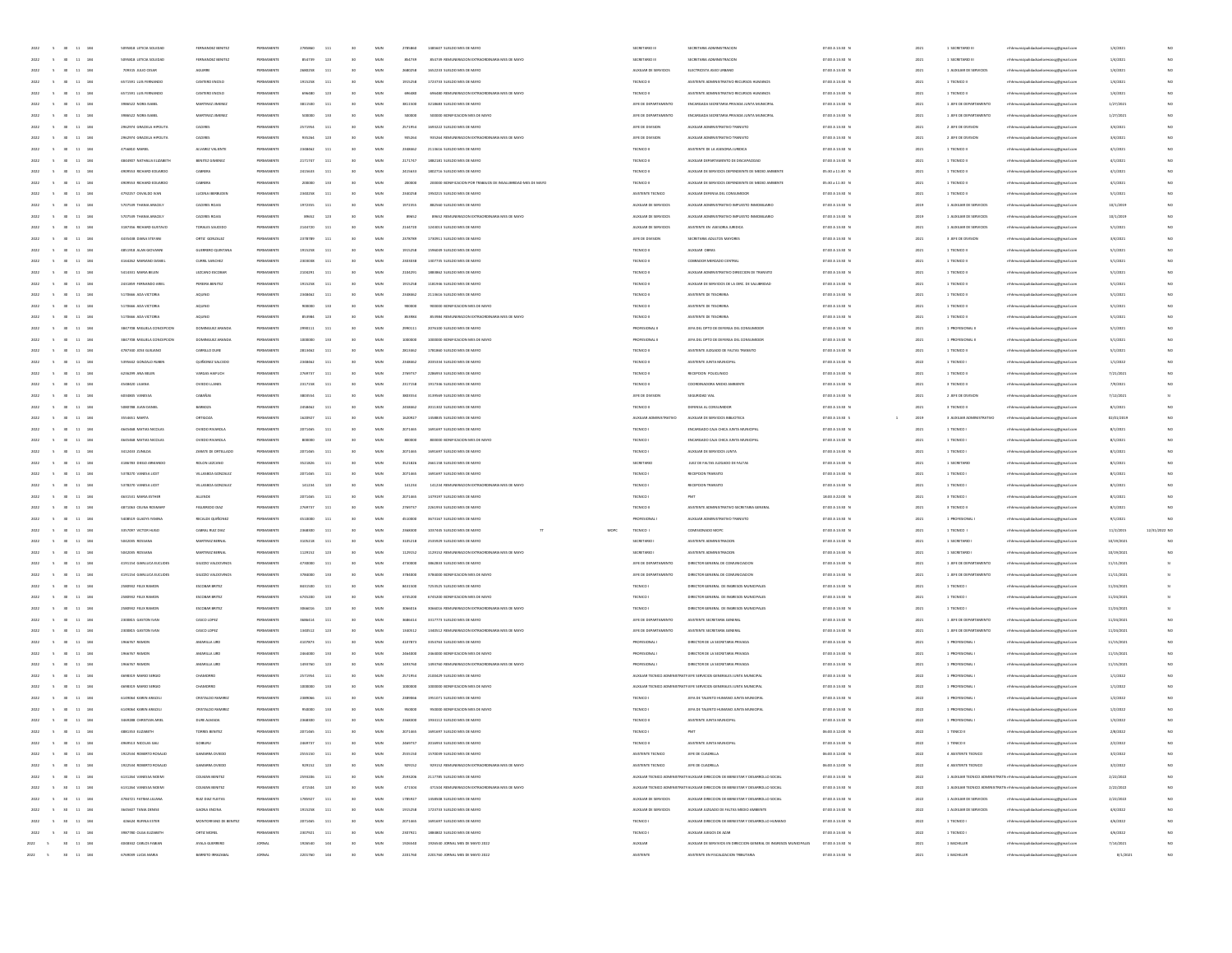|                                                                                 | 5 30 11 184                      | 5095818 LETICIA SOLEDAD                      | FERNANDEZ BENITEZ                   | PERMANENTE       | 2785860            | 111        | 30              | MUN                 | 2785860            | 1485607 SUELDO MES DE MAYO                                         | SECRETARIO III               | SECRETARIA ADMINISTRACION                                                                                   | 07:00 A 13:30 0                    | 2021               | 1 SECRETARIO III           | nhhmunicipalidadsanlorenzocg@gmail.com                                           | 1/4/2021              |               |
|---------------------------------------------------------------------------------|----------------------------------|----------------------------------------------|-------------------------------------|------------------|--------------------|------------|-----------------|---------------------|--------------------|--------------------------------------------------------------------|------------------------------|-------------------------------------------------------------------------------------------------------------|------------------------------------|--------------------|----------------------------|----------------------------------------------------------------------------------|-----------------------|---------------|
| 2022<br>$\sim$ 5<br>30                                                          | 11 184                           | 5095818 LETICIA SOLEDAD                      | FERNANDEZ BENITEZ                   | PERMANENTE       | 854739             | 123        | 30              | MUN                 | 854739             | 854739 REMUNERACION EXTRAORDINARIA MES DE MAYO                     | SECRETARIO III               | SECRETARIA ADMINISTRACIÓN                                                                                   | 07:00 A 13:30 N                    | 2021               | 1 SECRETARIO III           | nhhmunicipalidadsanlorenzocg@gmail.com                                           | 1/4/2021              |               |
| 2022                                                                            | $\mathbf{11}$<br>184             |                                              |                                     |                  | 2680258            | 111        |                 | $_{\rm MUN}$        | 2680258            | 1652233 SUELDO MES DE MAYO                                         |                              |                                                                                                             |                                    | 2021               |                            |                                                                                  |                       | NO            |
|                                                                                 |                                  | 709315 JULIO CESAR                           | AGUIRRE                             | PERMANENT        |                    |            |                 |                     |                    |                                                                    | AUXILIAR DE SERVICIOS        | ELECTRICISTA ASEO URBANO                                                                                    | 07:00 A 13:30 0                    |                    | 1 AUXILIAR DE SERVICIOS    | naocg@gmail.com                                                                  | 1/4/2021              |               |
|                                                                                 | $\bf{11}$<br>184                 | 6571591 LUIS FERNAND                         | CANTERO ENCISI                      |                  |                    | 11.        |                 | MUN                 | 1915258            | 1723733 SUELDO MES DE MAYO                                         | TECNICO II                   | ASISTENTE ADMINISTRATIVO RECURSOS HUMANOS                                                                   | 07:00 A 13:30 0                    | 202                | 1 TECNICO II               | thhmunicipalidadsanlorenzocg@gmail.com                                           | 1/4/202               |               |
| 2022<br>30 <sub>0</sub>                                                         | 11 184                           | 6571591 LUIS FERNANDO                        | CANTERO ENCISO                      | PERMANENT        | 696480             | 123        | $6$             | MUN                 | 696480             | 696480 REMUNERACION EXTRADRDINARIA MES DE MAYO                     | TECNICO II                   | ASISTENTE ADMINISTRATIVO RECURSOS HUMANOS                                                                   | 07:00 A 13:30 N                    | 2021               | 1 TECNICO II               | nhhmunicipalidadsanlorenzocg@gmail.com                                           | 1/4/2021              |               |
| 2022<br>$\sim$<br>30                                                            | $11\,$<br>184                    | 3986522 NORA ISABEL                          | MARTINEZ JIMENEZ                    | PERMANENTE       | 3811500            | 111        | 30              | MUN                 | 3811500            | 3218683 SUELDO MES DE MAYO                                         | JEFE DE DEPARTAMENTO         | ENCARGADA SECRETARIA PRIVADA JUNTA MUNICIPAL                                                                | 07:00 A 13:30 N                    | 2021               | 1 JEFE DE DEPARTAMENTO     | mhhmunicipalidadsanlorenzocg@gmail.com                                           | 1/27/2021             | NO            |
| 2022<br>$\sim$<br>30                                                            | 11 184                           | 3986522 NORA ISABEL                          | MARTINEZ JIMENEZ                    | PERMANENTE       | 500000             | 133        | 30              | MUN                 | 500000             | 500000 BONIFICACION MES DE MAYO                                    | JEFE DE DEPARTAMENTO         | ENCARGADA SECRETARIA PRIVADA JUNTA MUNICIPAL                                                                | 07:00 A 13:30 0                    | 2021               | 1 JEFE DE DEPARTAMENTO     | mhmunicipalidadsanlorenzocg@gmail.com                                            | 1/27/2021             | NO            |
| 2022                                                                            | $11\,$<br>184                    | 2962974 GRACIELA HIPOLITA                    | CACERES                             | PERMANENT        | 2571954            | 111        |                 | $_{\rm MUN}$        | 2571954            | 1693222 SUELDO MES DE MAYO                                         | JEFE DE DIVISION             | AUXILIAR ADMINISTRATIVO TRANSITO                                                                            | 07:00 A 13:30 0                    | 2021               | 2 JEFE DE DIVISION         | raoce@gmail.com                                                                  | 3/4/2021              |               |
|                                                                                 | $\overline{\mathbf{1}}$<br>$184$ | 2962974 GRACIELA HIPOLIT                     | CACERES                             | PERMANENT        |                    | 121        |                 | MUN                 | 93526              | 935264 REMUNERACION EXTRAORDINARIA MES DE MAYO                     | JEFE DE DIVISION             | AUXILIAR ADMINISTRATIVO TRANSITO                                                                            | 07:00 A 13:30 0                    | 2021               | 2 JEFE DE DIVISION         | enzocg@gmail.com                                                                 | 3/4/202               |               |
| 2022                                                                            | 11 184                           | 4756810 MARIEL                               | ALVANEZ VALIENTE                    | PERMANENT        | 2348462            | 111        |                 | MUN                 | 2348462            | 2113616 SUELDO MES DE MAYO                                         | TECNICO II                   | ASISTENTE DE LA ASESONA JURIDICA                                                                            | 07:00 A 13:30 N                    | 2021               | 1 TECNICO II               | nicipalidadsanlorenzoce@email.com                                                | 4/1/2021              |               |
| 2022<br>$\sim$<br>30                                                            | $11\,$<br>184                    | 4844907 NATHALIA ELIZABETH                   | BENITEZ GIMENEZ                     | PERMANENTE       | 2171747            | 111        | 30              | MUN                 | 2171747            | 1882181 SUELDO MES DE MAYO                                         | TECNICO II                   | AUXILIAR DEPARTAMENTO DE DISCAPACIDAD                                                                       | 07:00 A 13:30 N                    | 2021               | 1 TECNICO II               | nhhmunicipalidadsanlorenzocg@gmail.com                                           | 4/1/2021              | NO            |
|                                                                                 |                                  |                                              |                                     |                  |                    |            |                 |                     |                    |                                                                    |                              |                                                                                                             |                                    |                    |                            |                                                                                  |                       |               |
| 2022<br>$\sim$<br>30 <sub>1</sub>                                               | 11 184                           | 4909553 RICHARD EDUARDO                      | CABRERA                             | PERMANENTE       | 2415633            | 111        | 30 <sub>2</sub> | MUN                 | 2415633            | 1802716 SUELDO MES DE MAYO                                         | TECNICO II                   | AUXILIAR DE SERVICIOS DEPENDIENTE DE MEDIO AMBIENTE                                                         | 05:30 a 11:30 0                    | 2021               | 1 TECNICO II               | nhhmunicipalidadsanlorenzocg@gmail.com                                           | 4/1/2021              | NO            |
| 2022                                                                            | 184<br>11                        | 4909553 RICHARD EDUARDO                      | CABRERA                             | PERMANENT        |                    | 133        |                 | $_{\rm MUN}$        | 200000             | 200000 BONIFICACION POR TRABAJOS DE INSALUBRIDAD MES DE MAYO       | TECNICO II                   | AUXILIAR DE SERVICIOS DEPENDIENTE DE MEDIO AMBIENTE                                                         | 05:30 a 11:30 0                    | 2021               | 1 TECNICO II               | enzocg@gmail.com                                                                 | 4/1/2021              |               |
|                                                                                 | $11\,$<br>184                    | 4792257 OSVALDO IVAN                         | LUCENA IBERBUDE                     | PERMANENT        |                    | 11         |                 | MUN                 | 2340258            | 1950215 SUELDO MES DE MAYO                                         | ASISTENTE TECNICO            | AUXILIAR DEFENSA DEL CONSUMIDO                                                                              | 07:00 A 13:30 0                    | 2021               | 1 TECNICO II               | thhmunicipalidadsanlorenzocg@gmail.com                                           | 5/1/2021              |               |
| 2022<br>30 <sub>0</sub>                                                         | 11 184                           | 5707539 THANIA ARACELY                       | CACERES ROJAS                       | PERMANENTE       | 1972355            | 111        |                 | MUN                 | 1972355            | 882560 SUELDO MES DE MAYO                                          | AUXILIAR DE SERVICIOS        | AUXILIAR ADMINISTRATIVO IMPUESTO INMOBILIARIO                                                               | 07:00 A 13:30 N                    | 2019               | 1 AUXILIAR DE SERVICIOS    | mhhmunicipalidadsanlorenzocg@gmail.com                                           | 10/1/2019             |               |
| 2022<br>$\sim$<br>30                                                            | 11 184                           | 5707539 THANIA ARACELY                       | CACERES ROIAS                       | PERMANENTE       | 89652              | 123        | 30              | MUN                 | 89652              | 89652 REMUNERACION EXTRAORDINARIA MES DE MAYO                      | AUXILIAR DE SERVICIOS        | AUXILIAR ADMINISTRATIVO IMPUESTO INMOBILIARIO                                                               | 07:00 A 13:30 N                    | 2019               | 1 AUXILIAR DE SERVICIOS    | mhhmunicipalidadsanlorenzocg@gmail.com                                           | 10/1/2019             | NO            |
| 2022<br>$\sim$<br>30 <sub>1</sub>                                               | 11 184                           | 3187356 RICHARD GUSTAVO                      | TORALES SAUCEDO                     | PERMANENTE       | 2144720            | 111        | 30 <sub>2</sub> | MUN                 | 2144720            | 1243013 SUELDO MES DE MAYO                                         | AUXILIAR DE SERVICIOS        | ASISTENTE EN ASESORIA JURIDICA                                                                              | 07:00 A 13:30 N                    | 2021               | 1 AUXILIAR DE SERVICIOS    | mhhmunicipalidadsanlorenzocg@gmail.com                                           | 5/1/2021              | NO            |
|                                                                                 |                                  |                                              |                                     |                  |                    |            |                 |                     |                    |                                                                    |                              |                                                                                                             |                                    |                    |                            |                                                                                  |                       |               |
| 2022                                                                            | 11<br>184                        | 4435438 DIANA STEFAN                         | ORTIZ GONZALEZ                      | PERMANENT        | 2378789            | 111        |                 | MUN                 | 2378789            | 1730911 SUELDO MES DE MAYO                                         | JEFE DE DIVISION             | SECRETARIA ADULTOS MAYORES                                                                                  | 07:00 A 13:30 0                    | 2021               | 3 JEFE DE DIVISION         | naocg@gmail.com                                                                  | 3/4/2021              |               |
|                                                                                 | $11\,$<br>184                    | 4851918 ALAN GIOVANN                         | GUERRERO QUINTAR                    | PERMANENT        |                    | 11         |                 | MUN                 | 1915258            | 1596049 SUELDO MES DE MAYO                                         | TECNICO II                   | AUXILIAR OBRAS                                                                                              | 07:00 A 13:30 0                    | 2021               | 1 TECNICO II               | thhmunicipalidadsanlorenzocg@gmail.com                                           | 5/1/2021              |               |
| 2022<br>30 <sub>0</sub>                                                         | 11 184                           | 4164262 MARIANO DANIE                        | CURRIL SANCHEZ                      | PERMANENT        | 2303038            | 111        |                 | MUN                 | 2303038            | 1307735 SUELDO MES DE MAYO                                         | TECNICO II                   | COBRADOR MERCADO CENTRAL                                                                                    | 07:00 A 13:30 P                    | 2021               | 1 TECNICO II               | rthhmunicipalidadsanlorenzoce@email.com                                          | 5/1/2021              |               |
| 2022<br>$\sim$<br>30                                                            | 11 184                           | 5414331 MARIA BELEN                          | LEZCANO ESCOBAJ                     | PERMANENTE       | 2104291            | 111        | 30 <sub>2</sub> | MUN                 | 2104291            | 1883862 SUELDO MES DE MAYO                                         | TECNICO II                   | AUXILIAR ADMINISTRATIVO DIRECCIÓN DE TRANSITO                                                               | 07:00 A 13:30 N                    | 2021               | 1 TECNICO II               | mhhmunicipalidadsanlorenzocg@gmail.com                                           | 5/1/2021              | NO            |
| 2022<br>$\sim$<br>30 <sub>1</sub>                                               | 11 184                           | 2431859 FERNANDO ARIEL                       | PEREIRA BENITEZ                     | PERMANENTE       | 1915258            | 111        | 30 <sub>2</sub> | MUN                 | 1915258            | 1181946 SUELDO MES DE MAYO                                         | TECNICO II                   | AUXILIAR DE SERVICIOS DE LA DIRC. DE SALUBRIDAD                                                             | 07:00 A 13:30 N                    | 2021               | 1 TECNICO II               | nhhmunicipalidadsanlorenzocg@gmail.com                                           | 5/1/2021              | NO            |
| 2022                                                                            | 11<br>184                        | 5170666 ADA VICTORIA                         | AQUINO                              | PERMANENTE       | 2348462            | 111        |                 | MUN                 | 2348462            | 2113616 SUELDO MES DE MAYO                                         | TECNICO II                   | ASISTENTE DE TESORERIA                                                                                      | 07:00 A 13:30 0                    | 2021               | 1 TECNICO II               | mhhmunicipalidadsanlorenzoog@gmail.com                                           | 5/1/2021              |               |
|                                                                                 | $11\,$<br>184                    | 5170666 ADA VICTORIA                         | AQUINO                              | PERMANENT        |                    | 133        |                 | MUN                 | 90000              | 900000 BONIFICACION MES DE MAYO                                    | TECNICO II                   | ASISTENTE DE TESORERIA                                                                                      | 07:00 A 13:30 0                    | 2021               | 1 TECNICO II               | mhmunicipalidadsanlorenzocg@gmail.com                                            | 5/1/2021              |               |
|                                                                                 |                                  |                                              |                                     |                  |                    |            |                 |                     |                    |                                                                    |                              |                                                                                                             |                                    |                    |                            |                                                                                  |                       |               |
| 2022<br>30 <sub>0</sub>                                                         | 11 184                           | 5170666 ADA VICTORIA                         | AQUINO                              | PERMANENT        | 853984             | 123        |                 | MUN                 | 853984             | 853984 REMUNERACION EXTRAORDINARIA MES DE MAYO                     | TECNICO II                   | ASISTENTE DE TESORERIA                                                                                      | 07:00 A 13:30 P                    | 2021               | 1 TECNICO II               | nhhmunicipalidadsanlorenzocg@gmail.com                                           | 5/1/2021              |               |
| 2022<br>$\sim$                                                                  | 11<br>184                        | 3847708 MIGUELA CONCEPCION                   | DOMINGUEZ ARANDA                    | PERMANENTE       | 2990111            | 111        | 30              | MUN                 | 2090111            | 2076100 SUELDO MES DE MAYO                                         | PROFESIONAL I                | JEFA DEL DPTO DE DEFENSA DEL CONSUMIDOR                                                                     | 07:00 A 13:30 N                    | 2021               | 1 PROFESIONAL I            | nhhmunicipalidadsanlorenzocg@gmail.com                                           | 5/1/2021              | NO            |
| 2022<br>$\sim$<br>30 <sub>1</sub>                                               | 11 184                           | 3847708 MIGUELA CONCEPCION                   | DOMINGUEZ ARANDA                    | PERMANENTE       | 1000000            | 133        | 30              | MUN                 | 1000000            | 1000000 BONIFICACION MES DE MAYO                                   | PROFESIONAL I                | JEFA DEL DPTO DE DEFENSA DEL CONSUMIDO                                                                      | 07:00 A 13:30 0                    | 2021               | 1 PROFESIONAL I            | nhhmunicipalidadsanlorenzocg@gmail.com                                           | 5/1/2021              |               |
| 2022                                                                            | 184<br>11                        | 4787340 JOSE GUILIANO                        | CARRILLO DUR                        | PERMANENT        | 2813462            | 111        |                 | MUN                 | 2813462            | 1781860 SUELDO MES DE MAYO                                         | TECNICO II                   | ASISTENTE JUZGADO DE FALTAS TRANSITO                                                                        | 07:00 A 13:30 0                    | 2021               | 1 TECNICO II               | mhhmunicipalidadsanlorenzoog@gmail.com                                           | 5/1/2021              |               |
|                                                                                 | $\mathbf{11}$<br>184             | 5395642 GONZALO RUBER                        | QUIÑONEZ SALCED                     | PERMANENT        |                    | 11.        |                 | MUN                 | 234846             | 2035334 SUELDO MES DE MAYO                                         | TECNICO II                   | ASISTENTE JUNTA MUNICIPA                                                                                    | 07:00 A 13:30 0                    | 2022               | 1 TECNICO I                | thhmunicipalidadsanlorenzocg@gmail.com                                           | 1/1/2022              |               |
| 2022<br>30 <sub>0</sub>                                                         | 11 184                           | 6236299 ANA BELEN                            | VARGAS HAIFUCH                      | PERMANENT        | 2769737            | 111        | $6$             | MUN                 | 2769737            | 2286953 SUELDO MES DE MAYO                                         | TECNICO II                   | RECEPCION POLICUNICO                                                                                        | 07:00 A 13:30 N                    | 2021               | 1 TECNICO II               | nhhmunicipalidadsanlorenzocg@gmail.com                                           | 7/21/2023             |               |
|                                                                                 |                                  |                                              |                                     |                  |                    |            |                 |                     |                    |                                                                    |                              | COORDINADORA MEDIO AMBIENTE                                                                                 |                                    |                    |                            | mhhmunicipalidadsanlorenzoce@email.com                                           |                       |               |
| 2022<br>$\sim$<br>30                                                            | 11 184                           | 4548420 LILIANA                              | OVIEDO LLANES                       | PERMANENTE       | 2317158            | 111        | 30              | MUN                 | 2317158            | 1917346 SUELDO MES DE MAYO                                         | TECNICO II                   |                                                                                                             | 07:00 A 13:30 N                    | 2021               | 3 TECNICO II               |                                                                                  | 7/9/2021              | NO            |
| 2022<br>$\sim$<br>30                                                            | 11 184                           | 6034845 VANESSA                              | CABAÑAS                             | PERMANENTE       | 3803554            | 111        | 30 <sub>2</sub> | MUN                 | 3803554            | 3139569 SUELDO MES DE MAYO                                         | JEFE DE DIVISION             | SEGURIDAD VIAL                                                                                              | 07:00 A 13:30 N                    | 2021               | 2 JEFE DE DIVISION         | mhhmunicipalidadsanlorenzoce@email.com                                           | 7/12/202              |               |
| 2022                                                                            | $11\,$<br>184                    | 5080788 JUAN DANE                            | BARBOZA                             | PERMANENTE       | 2458462            | 111        |                 | $_{\rm MUN}$        | 2458462            | 2011302 SUELDO MES DE MAYO                                         | TECNICO II                   | DEFENSA AL CONSUMIDO                                                                                        | 07:00 A 13:30 0                    | 2021               | 3 TECNICO II               | mhhmunicipalidadsanlorenzoog@gmail.com                                           | 8/1/2021              |               |
|                                                                                 | 184                              | SS4651 MARTA                                 | ORTIGOZA                            |                  |                    | 11.        |                 | MUN                 | 162092             | 1458835 SUELDO MES DE MAYO                                         | AUXILIAR ADMINISTRATIVO      | AUXILIAR DE SERVICIOS BIBLIOTECA                                                                            | 07:00 A 13:30 S                    | 2019               | 3 AUXILIAR ADMINISTRATIVO  | mhmunicipalidadsanlorenzocg@gmail.com                                            | 02/01/201             |               |
|                                                                                 | 11 184                           | 4645468 MATIAS NICOLAS                       | OVIEDO RIVAROLA                     | PERMANENTE       | 2071465            | 111        | $6$             | MUN                 | 2071465            | 1691697 SUELDO MES DE MAYO                                         | TECNICO I                    | ENCARGADO CAJA CHICA JUNTA MUNICIPAL                                                                        | 07:00 A 13:30 N                    | 2021               | 1 TECNICO I                | nhhmunicipalidadsanlorenzocg@gmail.com                                           | 8/1/2021              |               |
| 2022<br>30 <sub>0</sub>                                                         |                                  |                                              |                                     |                  |                    |            |                 |                     |                    |                                                                    |                              |                                                                                                             |                                    |                    |                            |                                                                                  |                       |               |
| 30                                                                              |                                  | 4645468 MATIAS NICOLAS                       |                                     |                  | 800000             |            | 30              |                     |                    |                                                                    |                              |                                                                                                             |                                    |                    |                            | mhhmunicipalidadsanlorenzoce@email.com                                           |                       |               |
| 2022<br>$\sim$                                                                  | 11 184                           |                                              | OVIEDO RIVAROLA                     | PERMANENTE       |                    | 133        |                 | MUN                 | 800000             | 800000 BONIFICACION MES DE MAYO                                    | TECNICO I                    | ENCARGADO CAJA CHICA JUNTA MUNICIPAL                                                                        | 07:00 A 13:30 N                    | 2021               | 1 TECNICO I                |                                                                                  | 8/1/2021              | NO            |
| 2022<br>$\sim$<br>30 <sub>1</sub>                                               | 11 184                           | 3412433 ZUNLDA                               | ZARATE DE ORTELLADO                 | PERMANENTE       | 2071465            | 111        | 30              | MUN                 | 2071465            | 1691697 SUELDO MES DE MAYO                                         | TECNICO I                    | AUXILIAR DE SERVICIOS JUNTA                                                                                 | 07:00 A 13:30 0                    | 2021               | 1 TECNICO I                | mhhmunicipalidadsanlorenzoce@email.com                                           | 8/1/2021              | NO            |
| 2022                                                                            | $11\,$<br>184                    | 4186783 DIEGO ARMA                           | ROLON LEZCANO                       | PERMANENT        | 3521826            | 111        |                 | $_{\rm MUN}$        | 3521826            | 2661158 SUELDO MES DE MAYO                                         | SECRETARIO                   | JUEZ DE FALTAS JUZGADO DE FALTAS                                                                            | 07:00 A 13:30 0                    | 2021               | 1 SECRETARIO               | naocg@gmail.com                                                                  | 8/1/2021              |               |
|                                                                                 | $\mathbf{11}$<br>$184$           | 5378270 VANESA LICET                         | VILLASBOA GONZALI                   |                  |                    | 11.        |                 | MUN                 |                    | 1691697 SUELDO MES DE MAYO                                         | TECNICO                      | RECEPCION TRANSITO                                                                                          | 07:00 A 13:30 0                    | 202                | 1 TECNICO                  | thhmunicipalidadsanlorenzocg@gmail.com                                           | 8/1/202               |               |
| 2022<br>30 <sub>0</sub>                                                         | 11 184                           | 5378270 VANESA LICET                         | VILLASBOA GONZALE                   | PERMANENTE       | 141234             | 123        | to.             | MUN                 | 141234             | 141234 BEMI INFRACION EXTRAORDINARIA MES DE MAYO                   | TECNICO I                    | RECEPCION TRANSITO                                                                                          | 07:00 A 13:30 N                    | 2021               | 1 TECNICO I                | rthhmunicipalidadsanlorenzoce@email.com                                          | 8/1/2021              |               |
| 2022<br>$\sim$<br>30                                                            | 11 184                           | 4631531 MARIA ESTHER                         | ALLENDE                             | PERMANENTE       | 2071465            | 111        | 30              | MUN                 | 2071465            | 1479197 SUELDO MES DE MAYO                                         | TECNICO I                    | PMT                                                                                                         | 18:00 A 22:00 N                    | 2021               | 3 TECNICO I                | mhhmunicipalidadsanlorenzocg@gmail.com                                           | 8/1/2021              | NO            |
| 2022<br>$\sim$<br>30                                                            | 11 184                           | 4871063 CELINA ROSMARY                       | FIGUEREDO DIAZ                      | PERMANENTE       | 2769737            | 111        | 30              | MUN                 | 2769737            | 2261953 SUELDO MES DE MAYO                                         | TECNICO II                   | ASISTENTE ADMINISTRATIVO SECRETARIA GENERAL                                                                 | 07:00 A 13:30 0                    | 2021               | 3 TECNICO II               | nhhmunicipalidadsanlorenzocg@gmail.com                                           | 8/1/2021              | NO            |
|                                                                                 |                                  |                                              |                                     |                  |                    |            |                 |                     |                    |                                                                    |                              |                                                                                                             |                                    |                    |                            |                                                                                  |                       |               |
| 2022                                                                            | 184<br>11                        | 5408519 GLADYS YANIN                         | RECALDE QUIÑONS                     | PERMANENT        | 4510000            | 111        |                 | $_{\rm MUN}$        | 4510000            | 3673167 SUELDO MES DE MAYO                                         | <b>PROFESIONAL</b>           | AUXILIAR ADMINISTRATIVO TRANSITO                                                                            | 07:00 A 13:30 0                    | 2021               | 1 PROFESIONAL              | naocg@gmail.com                                                                  | 9/1/2021              |               |
|                                                                                 | $11\,$<br>18                     | 3357097 VICTOR HUGO                          | CABRAL RUIZ DIA                     | PERMANEN         |                    | 11         |                 | MUN                 |                    | 1037445 SUELDO MES DE MAYO<br>MOPC                                 | TECNICO I                    | COMISIONADO MOPO                                                                                            | 07:00 A 13:30 0                    | 202                | 1 TECNICO I                | thhmunicipalidadsanlorenzocg@gmail.com                                           | 11/2/201              | 12/31/2022 NO |
| 2022<br>30 <sub>0</sub>                                                         | 11 184                           | 5042035 ROSSANA                              | MARTINEZ BERNAL                     | PERMANENTE       | 3105218            | 111        |                 | MUN                 | 3105218            | 2535929 SUELDO MES DE MAYO                                         | SECRETARIO                   | ASISTENTE ADMINISTRACION                                                                                    | 07:00 A 13:30 N                    | 2021               | 1 SECRETARIO               | nhhmunicipalidadsanlorenzocg@gmail.com                                           | 10/19/2021            | NO            |
| 2022<br>$\sim$<br>30                                                            | 11 184                           | 5042035 ROSSANA                              | MARTINEZ BERNAL                     | PERMANENTE       | 1129152            | 123        | 30              | MUN                 | 1129152            | 1129152 REMUNERACION EXTRAORDINARIA MES DE MAYO                    | SECRETARIO I                 | ASISTENTE ADMINISTRACION                                                                                    | 07:00 A 13:30 N                    | 2021               | 1 SECRETARIO I             | nhhmunicipalidadsanlorenzocg@gmail.com                                           | 10/19/2021            | NO            |
| 2022<br>$\sim$<br>30 <sub>1</sub>                                               | 11 184                           | 4191154 GIANLUCA EUCLIDES                    | GIUZZIO VALDOVINO                   | PERMANENTE       | 4730000            | 111        | 30              | MUN                 | 4730000            | 3862833 SUELDO MES DE MAYO                                         | JEFE DE DEPARTAMENTO         | DIRECTOR GENERAL DE COMUNICIACIÓN                                                                           | 07:00 A 13:30 N                    | 2021               | 1 JEFE DE DEPARTAMENTO     | mhhmunicipalidadsanlorenzocg@gmail.com                                           | 11/11/2021            |               |
| 2022                                                                            | 184<br>11                        | 4191154 GIANLUCA EUCLIDES                    | GIUZZIO VALDOVINO                   | PERMANENT        | 3784000            | 133        |                 | MUN                 | 3784000            | 3784000 BONIFICACION MES DE MAYO                                   | JEFE DE DEPARTAMENTO         | DIRECTOR GENERAL DE COMUNICIACIÓN                                                                           | 07:00 A 13:30 0                    | 2021               | 1 JEFE DE DEPARTAMENTO     | renzocg@gmail.com                                                                | 11/11/2021            |               |
|                                                                                 | $11\,$<br>184                    | 2580932 FELIX RAMOR                          | ESCOBAR BRITEZ                      | PERMANENT        |                    | 11         |                 | MUN                 | 8431500            | 7253525 SUELDO MES DE MAYO                                         | TECNICO                      |                                                                                                             | 07:00 A 13:30 0                    | 2021               | 1 TECNICO I                | enzocg@gmail.com                                                                 | 11/24/2021            |               |
| 2022<br>30 <sub>0</sub>                                                         | 11 184                           | 2580932 FELIX RAMON                          | <b>ESCOBAR BRITEZ</b>               | PERMANENT        | 6745200            | 133        |                 | MUN                 | 6745200            | 6745200 BONIFICACION MES DE MAYO                                   | TECNICO I                    | DIRECTOR GENERAL DE INGRESOS MUNICIPALES<br>DIRECTOR GENERAL DE INGRESOS MUNICIPALES                        | 07:00 A 13:30 N                    | 2021               | 1 TECNICO I                | nhhmunicipalidadsanlorenzocg@gmail.com                                           | 11/24/2021            |               |
|                                                                                 |                                  |                                              |                                     |                  |                    |            |                 |                     |                    |                                                                    |                              |                                                                                                             |                                    |                    |                            |                                                                                  |                       |               |
| 2022<br>$\sim$<br>30                                                            | 11 184                           | 2580932 FELIX RAMON                          | <b>ESCOBAR BRITEZ</b>               | PERMANENTE       | 3066016            | 123        | 30              | MUN                 | 3066016            | 3066016 REMUNERACION EXTRAORDINARIA MES DE MAYO                    | TECNICO I                    | DIRECTOR GENERAL DE INGRESOS MUNICIPALES                                                                    | 07:00 A 13:30 N                    | 2021               | 1 TECNICO I                | nhhmunicipalidadsanlorenzocg@gmail.com                                           | 11/24/2021            | \$1           |
| 2022<br>$\sim$<br>30 <sub>1</sub>                                               | 11 184                           | 2300815 GASTON IVAN                          | CASCO LOPEZ                         | PERMANENTE       | 3686414            | 111        | 30              | MUN                 | 3686414            | 3317773 SUELDO MES DE MAYO                                         | JEFE DE DEPARTAMENTO         | ASISTENTE SECRETARIA GENERAL                                                                                | 07:00 A 13:30 N                    | 2021               | 1 JEFE DE DEPARTAMENTO     | mhhmunicipalidadsanlorenzocg@gmail.com                                           | 11/24/2021            | NO            |
| 2022                                                                            | 11<br>184                        | 2300815 GASTON IVAN                          | CASCO LOPEZ                         | PERMANENTE       | 1340512            | 123        |                 | MUN                 | 1340512            | 1340512 REMUNERACION EXTRAORDINARIA MES DE MAYO                    | JEFE DE DEPARTAMENTO         | ASISTENTE SECRETARIA GENERA                                                                                 | 07:00 A 13:30 0                    | 2021               | 1 JEFE DE DEPARTAMENTO     | dorenzocg@gmail.com                                                              | 11/24/2021            |               |
|                                                                                 | $11\,$<br>184                    | 1966767 RAMON                                | AMARILLA LIR                        | PERMANENT        | 4107873            | 111        |                 | MUN                 | 4107873            | 3354763 SUELDO MES DE MAYO                                         | PROFESIONAL                  | DIRECTOR DE LA SECRETARIA PRIVAD                                                                            | 07:00 A 13:30 0                    | 2021               | 1 PROFESIONAL              | thhmunicipalidadsanlorenzocg@gmail.com                                           | 11/15/2021            |               |
| 2022<br>$\sim$<br>30 <sub>1</sub>                                               | 11 184                           | 1966767 RAMON                                | AMARILLA LIRE                       | PERMANENTE       | 2464000            | 133        |                 | MUN                 | 2464000            | 2464000 BONIFICACION MES DE MAYO                                   | <b>PROFESIONAL</b>           | DIRECTOR DE LA SECRETARIA PRIVADA                                                                           | 07:00 A 13:30 P                    | 2021               | 1 PROFESIONAL              | nhhmunicipalidadsanlorenzocg@gmail.com                                           | 11/15/2021            |               |
| 2022<br>$\sim$<br>30                                                            | 11 184                           | 1966767 RAMON                                | AMARILLA LIRD                       | PERMANENTE       | 1493760            | 123        | 30 <sub>2</sub> | MUN                 | 1493760            | 1493760 REMUNERACION EXTRAORDINARIA MES DE MAYO                    | PROFESIONAL I                | DIRECTOR DE LA SECRETARIA PRIVADA                                                                           | 07:00 A 13:30 N                    | 2021               | 1 PROFESIONAL              | mhhmunicipalidadsanlorenzoce@email.com                                           | 11/15/2021            | NO            |
| 2022<br>$\sim$<br>30 <sub>1</sub>                                               |                                  |                                              |                                     |                  |                    |            | 30 <sub>2</sub> |                     |                    |                                                                    |                              | AUXILIAR TECNICO ADMINISTRATI JEFE SERVICIOS GENERALES JUNTA MUNICIPAL                                      |                                    |                    |                            |                                                                                  |                       | NO            |
|                                                                                 | 11 184                           | 4698319 MARIO SERGIO                         | CHAMORRO                            | PERMANENTE       | 2571954            | 111        |                 | MUN                 | 2571954            | 2100429 SUELDO MES DE MAYO                                         |                              |                                                                                                             | 07:00 A 13:30 0                    | 2022               | 1 PROFESIONAL              | nhhmunicipalidadsanlorenzocg@gmail.com                                           | 1/1/2022              |               |
| 2022                                                                            | 184<br>11                        | 4698319 MARIO SERGIO                         | CHAMORRO                            | PERMANENTE       | 1000               | 133        |                 | MUN                 | 1000000            | 1000000 BONIFICACION MES DE MAYO                                   |                              | AUXILIAR TECNICO ADMINISTRATI JEFE SERVICIOS GENERALES JUNTA MUNICIPA                                       | 07:00 A 13:30 0                    | 2022               | 1 PROFESIONAL              | renzocg@gmail.com                                                                | 1/1/2022              | NO            |
|                                                                                 | $11\,$<br>184                    | 6149064 KAREN ARACEL                         | CRISTALDO RAMIRI                    |                  |                    | 111        |                 | MUN                 |                    | 1951071 SUELDO MES DE MAYO                                         | TECNICO                      | JEFA DE TALENTO HUMANO JUNTA MUNICIPA                                                                       | 07:00 A 13:30 0                    | 2022               | 1 PROFESIONAL              | thhmunicipalidadsanlorenzocg@gmail.com                                           | 1/2/2022              |               |
| 2022<br>$-6$<br><b>SO</b>                                                       | 11 184                           | 6149064 KAREN ARACEL                         | CRISTALDO RAMIREZ                   | PERMANENT        | 950000             | 133        |                 | MUN                 | 950000             | 950000 BONIFICACIÓN MES DE MAYO                                    | TECNICO I                    | JEFA DE TALENTO HUMANO JUNTA MUNICIPA                                                                       | 07:00 A 13:30 P                    | 2022               | 1 PROFESIONAL              | nhhmunicipalidadsanlorenzocg@gmail.com                                           | 1/2/2022              |               |
| 2022 5<br>30                                                                    | 11 184                           | 3469288 CHRISTIAN ARIEL                      | DURE ALMADA                         | PERMANENTE       | 2368300            | 111        | 30              | MUN                 | 2368300            | 1934112 SUELDO MES DE MAYO                                         | TECNICO II                   | ASISTENTE JUNTA MUNICIPAL                                                                                   | 07:00 A 13:30 N                    | 2022               | 1 PROFESIONAL              | mhhmunicipalidadsanlorenzocg@gmail.com                                           | 1/3/2022              | NO            |
| 2022 5 30 11 184                                                                |                                  | 4881353 ELIZABETH                            | TORRES BENITEZ                      | PERMANENTE       | 2071465            | 111        | 30 <sub>1</sub> | MUN                 | 2071465            | 1691697 SUELDO MES DE MAYO                                         | TECNICO I                    | PMT                                                                                                         | 06:00 A 12:00 N                    | 2022               | 1 TENICO II                | mhhmunicipalidadsanlorenzocg@gmail.com                                           | 2/8/2022              |               |
|                                                                                 |                                  |                                              |                                     |                  |                    |            |                 |                     |                    |                                                                    |                              |                                                                                                             | 07:00 A 13:30 0                    |                    |                            |                                                                                  |                       |               |
|                                                                                 |                                  |                                              |                                     |                  |                    |            |                 |                     |                    |                                                                    |                              |                                                                                                             |                                    |                    |                            |                                                                                  |                       |               |
| 2022                                                                            | $5 - 30 - 11 - 184$              | 1922534 ROBERTO ROSALIO                      | GAMARIA OVEDO                       | PERMANENTE       | 2555150            | 111        | 30              | MUN                 | 2555150            | 1570039 SUELDO MES DE MAYO                                         | ASISTENTE TECNICO            | JEFE DE CUADRILLA                                                                                           | 06:00 A 12:00 N                    | 2022               | 4 ASISTENTE TECNICO        | mhhmunicipalidadsanlorenzocg@gmail.com                                           | 3/2/2022              |               |
| 2022                                                                            | 5 30 11 184                      | 1922534 ROBERTO ROSAUO                       | GAMARIA OVEDO                       | PERMANENTE       | 929152             | 123        | 30 <sub>1</sub> | MUN                 | 929152             | 929152 REMUNERACION EXTRAORDINARIA MES DE MAYO                     | ASISTENTE TECNICO            | JEFE DE CUADRILLA                                                                                           | 06:00 A 12:00 N                    | 2022               | 4 ASISTENTE TECNICO        | mhhmunicipalidadsanlorenzocg@gmail.com                                           | 3/2/2022              | NO            |
| 2022                                                                            | 5 30 11 184                      | 6131264 VANESSA NOEMI                        | COLMAN BENITEZ                      | PERMANENTE       | 2593206            | 111        | 30              | MUN                 | 2593206            | 2117785 SUELDO MES DE MAYO                                         |                              | AUXILIAR TECNICO ADMINISTRATI AUXILIAR DIRECCIÓN DE BIENESTAR Y DESARROLLO SOCIAL                           | 07:00 A 13:30 N                    | 2022               |                            | 1 AUXILIAR TECNICO ADMINISTRATIV mhhmunicipalidadianlorenzocg@gmail.com          | 2/22/2022             | NO            |
| 2022 5 30 11 184                                                                |                                  | 6131264 VANESSA NOEMI                        | COLMAN BENITEZ                      | PERMANENTE       | 471504             | 123        | 30              | MUN                 | 471504             | 471504 REMUNERACION EXTRAORDINARIA MES DE MAYO                     |                              | AUXILIAR TECNICO ADMINISTRATI AUXILIAR DIRECCIÓN DE BIENESTAR Y DESARROLLO SOCIAL                           | 07:00 A 13:30 N                    | 2022               |                            | 1 AUXILIAR TECNICO ADMINISTRATIV mhhmunicipalidadianlorenzocg@gmail.com          | 2/22/2022             | NO            |
| $\sim$<br>2022                                                                  | $30 \t 11 \t 184$                | 4784721 FATIMA LILIANA                       | RUIZ DIAZ FLEITAS                   | PERMANENTE       | 1785927            | 111        | 30              | $_{\rm MUN}$        | 1785927            | 1458508 SUELDO MES DE MAYO                                         | AUXILIAR DE SERVICIOS        | AUXILIAR DIRECCIÓN DE BIENESTAR Y DESARROLLO SOCIAL                                                         | 07:00 A 13:30 N                    | $\bf 2022$         | 1 AUXILIAR DE SERVICIOS    | mhhmunicipalidadsanlorenzocg@gmail.com                                           | 2/22/2022             | NO            |
| $\sim$<br>30 <sub>2</sub>                                                       | $11 - 18$                        | 1645607 TANIA DENISE                         | GAONA ENCINA                        | PERMANENT        | 1915258            | 111        |                 | MUN                 | 1915258            | 1723733 SUELDO MES DE MAYO                                         | AUXILIAR DE SERVICIOS        | AUXILIAR JUZGADO DE FALTAS MEDIO AMBIENTE                                                                   | 07:00 A 13:30 N                    | 2022               | 1 AUXILIAR DE SERVICIOS    | mhhmunicipalidadsanlorenzocg@gmail.com                                           | 4/4/2022              | NO            |
| 2022                                                                            | 5 30 11 184                      | 426624 RUFINA ESTER                          | MONTORFANO DE BENITEZ               | PERMANENTE       | 2071465            | 111        | 30              | MUN                 | 2071465            | 1691697 SUELDO MES DE MAYO                                         | TECNICO I                    | ALBOI MR DIRECTION OF RENESTARY DESARROLLO HUMANO                                                           | 07:00 A 13:30 N                    | 2022               | 1 TECNICO I                |                                                                                  | 4/6/2022              | NO            |
|                                                                                 |                                  |                                              |                                     |                  |                    |            |                 |                     |                    |                                                                    |                              |                                                                                                             |                                    |                    |                            | mhmunicipalidadsanlorenzocg@gmail.com                                            |                       |               |
| 2022   5   30   11   184                                                        |                                  | 3987780 OLGA ELIZABETH                       | ORTIZ MOREL                         | PERMANENTE       | 2307921            | 111        | 30              | MUN                 | 2307921            | 1884802 SUELDO MES DE MAYO                                         | TECNICO I                    | AUXILIAR JUEGOS DE AZAR                                                                                     | 07:00 A 13:30 N                    | 2022               | 1 TECNICO I                | mhhmunicipalidadsanlorenzoce@email.com                                           | 4/6/2022              | NO            |
| 2022 5 30 11 184<br>$2022 \qquad \quad 5 \qquad \quad 30 \qquad 11 \quad \ 184$ |                                  | 4048342 CARLOS FABIAN<br>6769039 LUCIA MARIA | AYALA GUERRERO<br>BARRETO IRRAZABAI | JORNAL<br>JORNAL | 1926540<br>2201760 | 144<br>144 | 30<br>30        | MUN<br>$_{\rm MUN}$ | 1926540<br>2201760 | 1926540 JORNAL MES DE MAYO 2022<br>2201760 JORNAL MES DE MAYO 2022 | <b>AUXILIAR</b><br>ASISTENTE | AUXILIAR DE SERVIVIOS EN DIRECCIÓN GENERAL DE INGRESOS MUNICIPALES<br>ASISTENTE EN FISCALIZACION TRIBUTARIA | 07:00 A 13:30 N<br>07:00 A 13:30 N | 2021<br>$\bf 2021$ | 1 BACHILLER<br>1 BACHILLER | mhhmunicipalidadsanlorenzocg@gmail.com<br>mhhmunicipalidadsanlorenzocg@gmail.com | 7/14/2021<br>8/1/2021 | NO<br>NO      |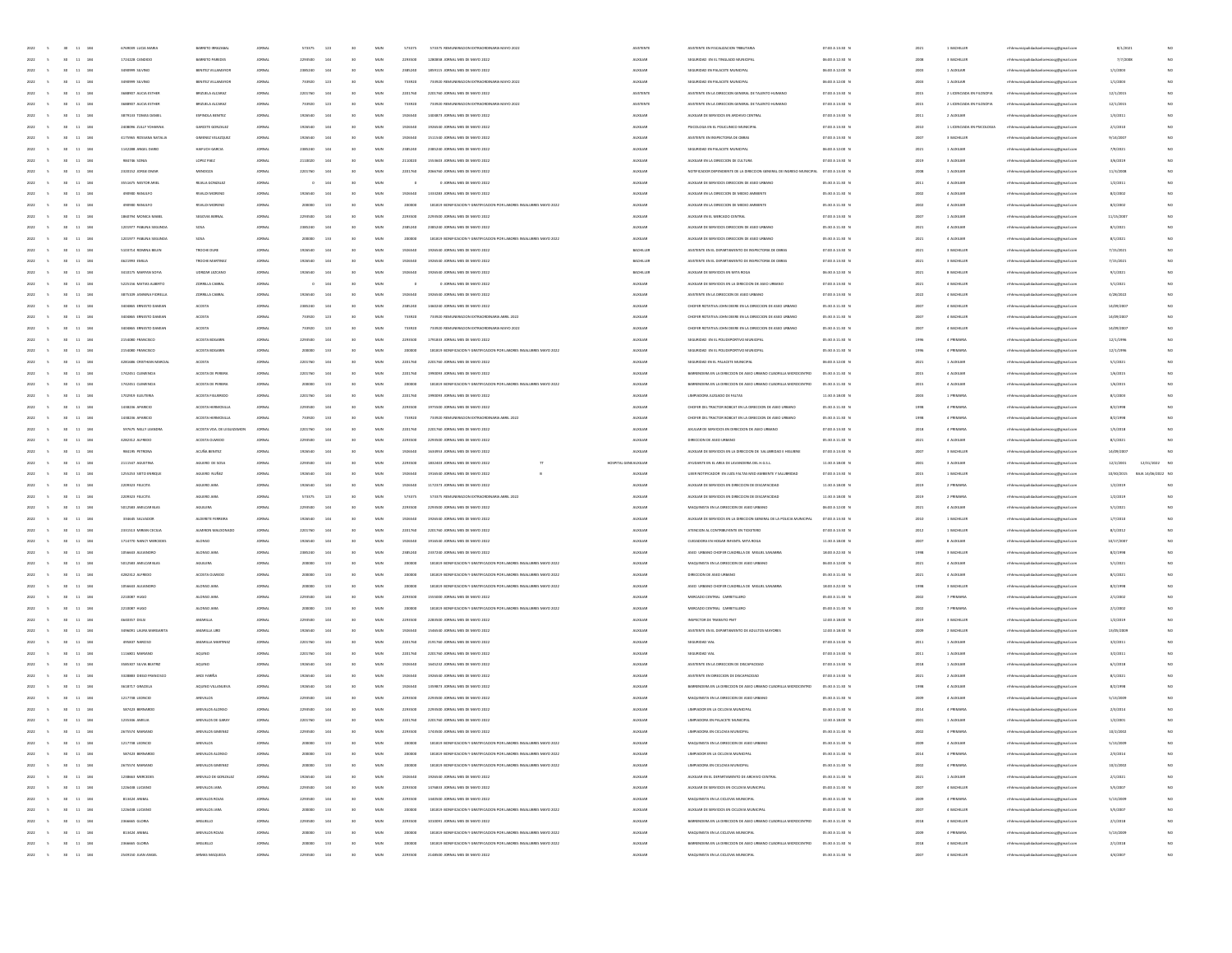| 2022<br>$30 - 11 - 184$                                       | 6769039 LUCIA MAR                    | BARRETO IRRA              |                  | 573375            | 123        | 50                    | MUN        | 57337             | 573375 REMUNERACION EXTRAORDINARIA MAYO 202                                                             | <b>ASISTENTI</b>                   | ASISTENTE EN FISCALIZACIÓN TRIBUTARI                                                                   | 07:00 A 13:30 0                    |              | 1 BACHILLE                 | alidadsanlorenzocg@gmail.c                                                     | 8/1/2021             |                    |
|---------------------------------------------------------------|--------------------------------------|---------------------------|------------------|-------------------|------------|-----------------------|------------|-------------------|---------------------------------------------------------------------------------------------------------|------------------------------------|--------------------------------------------------------------------------------------------------------|------------------------------------|--------------|----------------------------|--------------------------------------------------------------------------------|----------------------|--------------------|
| 30 <sub>°</sub><br>2022<br>$\sim$<br>$11 - 184$               | 1724228 CANDIDO                      | BARRETO PAREDES           | <b>JORNA</b>     | 2293500           | 144        | 50                    | MUN        | 2293500           | 1280858 JORNAL MES DE MAYO 2022                                                                         | <b>AUXILIAN</b>                    | SEGURIDAD EN EL TINGLADO MUNICIPA                                                                      | 06:00 A 12:30 N                    | 2008         | 3 BACHILLER                | alidadsanlorenzocg@gmail.co                                                    | 7/7/2008             | NC                 |
| 2022<br>30 <sub>1</sub><br>11 184<br>$\sim$                   | 3490999 SILVINO                      | BENITEZ VILLAMAYO         | JORNA            | 2385240           | 144        | 30                    | MUN        | 2385240           | 1859115 JORNAL MES DE MAYO 2022                                                                         | <b>ALDELIAR</b>                    | SEGURIDAD EN PALACETE MUNICIPAL                                                                        | 06:00 A 12:00 N                    | 2003         | 1 AUXILAIR                 | rthhmunicipalidadsanlorenzoce@email.cor                                        | 1/1/2003             | NO                 |
| 11 184<br>2022<br>$\sim$<br>30 <sup>°</sup>                   | 3490999 SILVINO                      | BENITEZ VILLAMAYOR        | JORNAL           | 733920            | 123        | 30                    | MUN        | 733920            | 733920 REMUNERACION EXTRAORDINARIA MAYO 2022                                                            | <b>ALOCILIAN</b>                   | SEGURIDAD EN PALACETE MUNICIPAL                                                                        | 06:00 A 12:00 N                    | 2003         | 1 AUXLAIR                  | mhhmunicipalidadsanlorenzocg@gmail.com                                         | 1/1/2003             | NO                 |
| $11 - 184$<br>2022<br>s                                       | 3688907 AUCIA ESTHER                 | BRIZUELA ALCARAZ          | JORNA            | 2201760           | 144        |                       | MUN        | 2201760           | 2201760 JORNAL MES DE MAYO 2022                                                                         | <b>ASISTENTI</b>                   | ASISTENTE EN LA DIRECCIÓN GENERAL DE TALENTO HUMANO                                                    | 07:00 A 13:30 N                    | 2015         | 2 LICENCIADA EN FILOSOFIA  | mhmunicipalidadsanlorenzocg@gmail.com                                          | 12/1/2015            |                    |
| 2022<br>11<br>184                                             | 3688907 AUCIA ESTHE                  | BRIZUELA ALCARA           | <b>JORNA</b>     | 733920            | 123        |                       | MUN        | 733921            | 733920 REMUNERACION EXTRAORDINARIA MAYO 2022                                                            | ASISTENTI                          | ASISTENTE EN LA DIRECCIÓN GENERAL DE TALENTO HUMANO                                                    | 07:00 A 13:30 N                    | 2015         | 2 LICENCIADA EN FILOSOFIA  | alidadsanlorenzocg@gmail.com                                                   | 12/1/2015            |                    |
| 2022<br>$11\,$<br>184                                         | 3879133 TOMAS DANIEL                 | ESPINOLA BENITEZ          | <b>JORNA</b>     | 1926540           |            |                       | MUN        | 192654            | 1404873 JORNAL MES DE MAYO 2022                                                                         | <b>AUXILIAN</b>                    | AUXILIAR DE SERVICIOS EN ARCHIVO CENTRAL                                                               | 07:00 A 13:30 N                    | 2011         | 2 AUXILIAN                 | rhhmunicipalidadsanlorenzocg@gmail.cor                                         | 1/3/2011             | NO                 |
| 2022<br>11 184<br>$\sim$<br>30 <sup>°</sup>                   | 2408096 ZULLY YOHANNA                | GARCETE GONZALEZ          | JORNAL           | 1926540           | 144        | 30                    | MUN        | 1926540           | 1926540 JORNAL MES DE MAYO 2022                                                                         | <b>ALDELIAR</b>                    | INCOLOGA EN EL IMITO MUNICIPAL                                                                         | 07:00 A 13:30 N                    | 2010         | 1 LICENCIADA EN PSICOLOGIA | mhmunicipalidadsanlorenzoce@email.com                                          | 2/1/2010             | NO                 |
|                                                               |                                      |                           |                  |                   |            |                       |            |                   |                                                                                                         |                                    |                                                                                                        |                                    |              |                            |                                                                                |                      | NO                 |
| 11 184<br>2022<br>$\sim$<br>30 <sub>1</sub>                   | 4175965 ROSSANA NATALIA              | GIMENEZ VELAZQUEZ         | JORNAL           | 1926540           | 144        | 30                    | MUN        | 1926540           | 1511540 JORNAL MES DE MAYO 2022                                                                         | <b>AUXILIAR</b>                    | ASISTENTE EN INSPECTORIA DE OBRAS                                                                      | 07:00 A 13:30 N                    | 2007         | 3 BACHILLER                | mhhmunicipalidadsanlorenzocg@gmail.com                                         | 9/14/2007            |                    |
| 2022<br>11 184                                                | 1142288 ANGEL DARIO                  | HAIFUCH GARCIA            | JORNA            | 2385240           | 144        |                       | MUN        | 2385240           | 2385240 JORNAL MES DE MAYO 2022                                                                         | <b>AUXILIAN</b>                    | SEGURIDAD EN PALACETE MUNICIPAL                                                                        | 06:00 A 12:00 N                    | 2021         | 1 AUXILIAN                 | mhmunicipalidadsanlorenzocg@gmail.com                                          | 7/9/2021             |                    |
| 2022<br>$11\,$<br>184                                         | 984746 SONIA                         | LOPEZ PAEL                | <b>JORNA</b>     | 2110020           |            |                       | MUN        | 211002            |                                                                                                         | <b>AUXILIA</b>                     | AUXILIAR EN LA DIRECCIÓN DE CULTUR                                                                     | 07:00 A 13:30 N                    | 2019         | 3 AUXILIA                  | thhmunicipalidadsanlorenzocg@gmail.com                                         | 3/6/2019             |                    |
| 2022<br>11 184                                                | 2320152 JORGE OMAR                   | MENDOZA                   | JORNA            | 2201760           | 144        | 50                    | MUN        | 2201760           | 2066760 JORNAL MES DE MAYO 2022                                                                         | <b>AUXILIAN</b>                    | NOTIFICADOR DEPENDIENTE DE LA DIRECCIÓN GENERAL DE INGRESO MUNICIPA                                    | 07:00 A 13:30 N                    | 2008         | 1 AUXILIA                  | mhhmunicipalidadsanlorenzocg@gmail.com                                         | 11/3/2008            | NO                 |
| 2022<br>11 184<br>$\sim$<br>30 <sup>°</sup>                   | 3551675 NESTOR ARE                   | REIALA GONZALE            | JORNAL           |                   | 144        | 30                    | MUN        |                   | 0 JORNAL MES DE MAYO 2022                                                                               | <b>ALDELIAR</b>                    | AUXILIAR DE SERVICIOS DIRECCIÓN DE ASEO URBANO                                                         | 05:30 A 11:30 N                    | 2011         | 4 AUXILIAN                 | mhhmunicipalidadsanlorenzoce@email.com                                         | 1/2/2011             | NO                 |
| 2022<br>$\sim$<br>11 184<br>30 <sub>1</sub>                   | 490900 RANULFO                       | RIVALDI MORENO            | JORNAL           | 1926540           | 144        | 30                    | MUN        | 1926540           | 1333283 JORNAL MES DE MAYO 2022                                                                         | <b>AUXILIAR</b>                    | AUXILIAR EN LA DIRECCIÓN DE MEDIO AMBIENTE                                                             | 05:30 A 11:30 N                    | 2002         | 4 AUXILIAN                 | mhhmunicipalidadsanlorenzocg@gmail.com                                         | 8/2/2002             | NO                 |
| 2022<br>11 184                                                | 490900 RANULFO                       | RIVALDI MORENI            | JORNA            | 200000            | 133        |                       | MUN        | 200000            | 181819 BONIFICACIÓN Y GRATIFICACIÓN POR LABORES INSALUBRES MAYO 2022                                    | <b>AUXILIAR</b>                    | AUXILIAR EN LA DIRECCIÓN DE MEDIO AMBIENTE                                                             | 05:30 A 11:30 N                    | 2002         | 4 AUXILIA                  | mhmunicipalidadsanlorenzocg@gmail.com                                          | 8/2/2002             |                    |
| 2022<br>$11\,$<br>184                                         | 1860794 MONICA MABE                  | SEGOVIA BE                |                  |                   |            |                       | MUN        | 229350            | ORNAL MES DE MAYO 2022                                                                                  | <b>AUXILIA</b>                     | AUXUAR EN EL MERCADO CENTRA                                                                            | 07:00 A 13:30 0                    | 2007         | 1 AUXILIA                  | mhmunicipalidadsanlorenzocg@gmail.com                                          | 11/15/200            |                    |
| 2022<br>$11\,$<br>184                                         | 1201977 PABUNA SEGUNDA               | SOSA                      | <b>JORNA</b>     | 2385240           |            |                       | MUN        | 238524            | 2385240 JORNAL MES DE MAYO 2022                                                                         | <b>AUXILIAN</b>                    | AUXILIAR DE SERVICIOS DIRECCION DE ASEO URBANO                                                         | 05:30 A 11:30 N                    | 2021         | 4 AUXILIA                  | mhhmunicipalidadsanlorenzocg@gmail.com                                         | 8/1/2021             | NO                 |
| 2022<br>11 184<br>$\sim$<br>30 <sup>°</sup>                   | 1201977 PARLINA SEGUNDA              | SOSA                      | JORNAL           | 200000            | 133        | 30                    | MUN        | 200000            | 181819 BONIFICACION Y GRATIFICACION POR LABORES INSALUBRES MAYO 2022                                    | <b>ALDELIAR</b>                    | AUXILIAR DE SERVICIOS DIRECCIÓN DE ASEO URBANO                                                         | 05:30 A 11:30 N                    | 2021         | 4 AUXILIAN                 | mhhmunicipalidadsanlorenzoce@email.com                                         | 8/1/2021             | NO                 |
| 2022<br>$\sim$<br>11 184<br>30 <sub>1</sub>                   | 5103714 ROMINA BELEN                 | TROCHE DURE               | JORNAL           | 1926540           | 144        | 30                    | MUN        | 1926540           | 1926540 JORNAL MES DE MAYO 2022                                                                         | BACHILLER                          | ASISTENTE EN EL DEPARTAMENTO DE INSPECTORIA DE OBRAS                                                   | 07:00 A 13:30 N                    | 2021         | 3 BACHILLER                | mhmunicipalidadsanlorenzoce@email.com                                          | 7/15/2021            | NO                 |
| 2022<br>11 184                                                | 4621993 EMILIA                       | TROCHE MARTINE            | JORNA            | 1926540           | 144        |                       | MUN        | 1926540           | 1926540 JORNAL MES DE MAYO 2022                                                                         | BACHILLER                          | ASISTENTE EN EL DEPARTAMENTO DE INSPECTORIA DE OBRAS                                                   | 07:00 A 13:30 N                    | 2021         | 3 BACHILLER                | mhmunicipalidadsanlorenzocg@gmail.com                                          | 7/15/2021            |                    |
| 2022<br>$11\,$<br>184                                         | 3410175 MARYAN SOFIA                 | UDRIZAR LEZI              | <b>JORNA</b>     |                   |            |                       | MUN        |                   | 1926540 JORNAL MES DE MAYO 2022                                                                         | BACHILLE                           | AUXILIAR DE SERVICIOS EN MITA ROGA                                                                     | 06:30 A 12:30 0                    | 2021         | 8 BACHILLE                 | mhmunicipalidadsanlorenzocg@gmail.com                                          | 9/1/2021             |                    |
|                                                               |                                      |                           |                  |                   |            |                       | MUN        |                   |                                                                                                         |                                    |                                                                                                        |                                    |              |                            |                                                                                |                      | NO                 |
| 2022<br>$11\,$<br>184                                         | 5225156 MATIAS ALBERTO               | <b>ZORRILLA CABI</b>      | JORNA            |                   | 14         |                       |            |                   | 0 JORNAL MES DE MAYO 2022                                                                               | <b>AUXILIAN</b>                    | AUXILIAR DE SERVICIOS EN LA DIRECCIÓN DE ASEO URBANO                                                   | 07:00 A 13:30 N                    | 2021         | 4 BACHILLER                | mhhmunicipalidadsanlorenzocg@gmail.com                                         | 5/1/2021             |                    |
| 2022<br>11 184<br>$\sim$<br>30 <sup>°</sup>                   | 3875109 JANNINA FIORELLA             | <b>20 RILLA CABRA</b>     | JORNAL           | 1926540           | 144        | 30                    | MUN        | 1926540           | 1926540 JORNAL MES DE MAYO 2022                                                                         | <b>ALDELIAR</b>                    | ASISTENTE EN LA DIRECCIÓN DE ASEO URBANO                                                               | 07:00 A 13:30 N                    | 2022         | 4 BACHILLER                | mhhmunicipalidadsanlorenzoce@email.com                                         | 4/28/2022            | NO                 |
| 2022<br>$\sim$<br>11 184<br>30 <sub>1</sub>                   | 3404865 ERNESTO DAMIAN               | <b>ACOSTA</b>             | JORNAL           | 2385240           | 144        | 30                    | MUN        | 2385240           | 1460240 JORNAL MES DE MAYO 2022                                                                         | <b>AUXILIAR</b>                    | CHOFER ROTATIVA JOHN DEERE EN LA DIRECCION DE ASEO URBANO                                              | 05:30 A 11:30 N                    | 2007         | 4 BACHILLER                | mhmunicipalidadsanlorenzocg@gmail.com                                          | 14/09/200            | NO                 |
| 2022<br>$11$<br>184                                           | 3404865 ERNESTO DAMIAN               | <b>ACOSTA</b>             | JORNA            | 733920            | 123        |                       | MUN        | 733920            | 733920 REMUNERACION EXTRAORDINARIA ABRIL 2022                                                           | <b>AUXILIAR</b>                    | CHOFER ROTATIVA JOHN DEERE EN LA DIRECCION DE ASEO URBANO                                              | 05:30 A 11:30 0                    | 200          | 4 BACHILLER                | mhmunicipalidadsanlorenzocg@gmail.com                                          | 14/09/200            |                    |
| 2022<br>$11\,$<br>184                                         | 3404865 ERNESTO DAM                  | ACOSTA                    |                  | 733920            | 121        |                       | MUN        | 73392             | 733920 REMUNERACION EXTRAORDINARIA MAYO 202                                                             | <b>AUXILIA</b>                     | CHOFER ROTATIVA JOHN DEERE EN LA DIRECCION DE ASEO URBANO                                              | 05:30 A 11:30 0                    |              | 4 BACHILLE                 | mhhmunicipalidadsanlorenzocg@gmail.com                                         | 14/09/20             |                    |
| 2022<br>$_{\rm 11}$<br>184                                    | 2154080 FRANCISCO                    | ACOSTA BOG                |                  | 2203500           |            |                       | MUN        | 229350            | 1791833 JORNAL MES DE MAYO 2022                                                                         | <b>AUXILIA</b>                     | SEGURIDAD EN EL POLIDEPORTIVO MUNICIPAL                                                                | 05:30 A 11:30 0                    | 1996         | 4 PRIMARI                  | mhhmunicipalidadsanlorenzocg@gmail.com                                         | 12/1/199             | NO                 |
| 2022<br>30 <sub>1</sub><br>11 184<br>$\sim$                   | 2154080 FRANCISCO                    | ACOSTA BOGARIN            | JORNAL           | 200000            | 133        | 30                    | MUN        | 200000            | 181819 BONIFICACION Y GRATIFICACION POR LABORES INSALUBRES MAYO 2022                                    | <b>ALDELIAR</b>                    | SEGURIDAD EN EL POLIDEPORTIVO MUNICIPAL                                                                | 05:30 A 11:30 N                    | 1996         | 4 PRIMARIA                 | mhmunicipalidadsanlorenzoog@gmail.com                                          | 12/1/1996            | NO                 |
| 2022<br>$\sim$<br>11 184<br>30 <sub>1</sub>                   | 4281686 CRISTHIAN MARCIAL            | ACOSTA                    | JORNAL           | 2201760           | 144        | 30                    | MUN        | 2201760           | 2201760 JORNAL MES DE MAYO 2022                                                                         | <b>AUXILIAR</b>                    | SEGURIDAD EN EL PALACETE MUNICIPAL                                                                     | 06:00 A 12:00 N                    | 2021         | 1 AUXILIAN                 | mhmunicipalidadsanlorenzocg@gmail.com                                          | 5/1/2021             | NO                 |
| $11 - 184$<br>2022                                            | 1742451 CLEMENCIA                    | ACOSTA DE PEREIRA         | JORNA            | 2201760           | 144        |                       | MUN        | 2201760           | 1990093 JORNAL MES DE MAYO 2022                                                                         | <b>AUXILIA</b>                     | BARRENDERA EN LA DIRECCIÓN DE ASEO URBANO CUADRILLA MICROCENTRO                                        | 05:30 A 11:30 M                    | 2015         | 4 AUXILIA                  | mhmunicipalidadsanlorenzocg@gmail.com                                          | 1/6/2015             |                    |
| 2022<br>$11\,$<br>184                                         | 1742451 CLEMENCH                     | ACOSTA DE P               |                  |                   |            |                       | MUN        | 20000             | 181819 BONIFICACION Y GRATIFICACION POR LABORES INSALUBRES MAYO 2022                                    | AUXILIA                            | BARRENDERA EN LA DIRECCIÓN DE ASEO URBANO CUADRILLA MICROCENTRO                                        | 05:30 A 11:30 M                    | 2015         | 4 AUXILIA                  | mhmunicipalidadsanlorenzocg@gmail.com                                          | 1/6/2019             |                    |
| 2022<br>$11 - 184$                                            | 1702919 ELEUTERIA                    | ACOSTA FIGUERED           |                  | 2201760           |            |                       | MUN        | 220176            | 1990093 JORNAL MES DE MAYO 2022                                                                         | <b>AUXILIA</b>                     | LIMPIADORA JUZGADO DE FALTAS                                                                           | 11:30 A 18:00 0                    | 2003         | 1 PRIMARI                  | mhhmunicipalidadsanlorenzocg@gmail.com                                         | 8/1/2003             | NO                 |
| 2022<br>30 <sub>1</sub><br>11 184<br>$\sim$                   | 1438236 APARICIO                     | ACOSTA HERMOSILL          | JORNAL           | 2203500           | 144        | 30                    | MUN        | 2293500           | 1975500 JORNAL MES DE MAYO 2022                                                                         | <b>ALDELIAR</b>                    | CHOEFRIDEL TRACTOR ROBCAT EN LA DIRECTION DE ASEO LIBRANO                                              | 05:30 A 11:30 N                    | 1998         | 4 PRIMARIA                 | mhmunicipalidadsanlorenzoog@gmail.com                                          | 8/2/1998             | NO                 |
| 2022<br>11 184<br>$\sim$<br>30 <sub>1</sub>                   | 1438236 APARCIO                      | ACOSTA HERMOSILLA         | JORNAL           | 733920            | 133        | 30                    |            |                   | 733920 REMUNERACION EXTRAORDINARIA ABRIL 2022                                                           | <b>AUXILIAR</b>                    | CHOFER DEL TRACTOR BOBCAT EN LA DIRECCIÓN DE ASEO URBANO                                               | 05:30 A 11:30 N                    | 1998         | 4 PRIMARIA                 | mhmunicipalidadsanlorenzocg@gmail.com                                          | 8/2/1998             | NO                 |
|                                                               |                                      |                           |                  |                   |            |                       |            |                   |                                                                                                         |                                    |                                                                                                        |                                    |              |                            |                                                                                |                      |                    |
|                                                               |                                      |                           |                  |                   |            |                       | MUN        | 733920            |                                                                                                         |                                    |                                                                                                        |                                    |              |                            |                                                                                |                      |                    |
| $11 - 184$<br>2022                                            | 597675 NELLY LEANDRA                 | ACOSTA VDA. DE LEGUIZAMOR | JORNA            | 2201760           | 144        |                       | MUN        | 2201760           | 2201760 JORNAL MES DE MAYO 2022                                                                         | <b>AUXILIAN</b>                    | AXULIAR DE SERVICIOS EN DIRECCIÓN DE ASEO URBANO                                                       | 07:00 A 13:30 0                    | 2018         | 4 PRIMARIA                 | mhmunicipalidadsanlorenzocg@gmail.com                                          | 1/5/2018             |                    |
| 2022<br>$11\,$<br>184                                         | 4282312 AUFREDO                      | ACOSTA OLM                |                  | 2293500           |            |                       | MUN        | 229350            | 500 JORNAL MES DE MAYO 2022                                                                             | <b>AUXILIA</b>                     | DIRECCION DE ASEO URBAN                                                                                | 05:30 A 11:30 0                    | 2021         | 4 AUXILIA                  | mhhmunicipalidadsanlorenzocg@gmail.com                                         | 8/1/2021             |                    |
| 2022<br>$11\,$<br>184                                         | 984195 PETRONA                       | ACUÑA BENITE              |                  | 1926540           |            |                       | MUN        |                   | 1634953 JORNAL MES DE MAYO 2022                                                                         | <b>AUXILIAN</b>                    | AUXILIAR DE SERVICIOS EN LA DIRECCIÓN DE SALUBRIDAD E HIGUIENE                                         | 07:00 A 13:30 0                    | 2007         | 3 BACHILLE                 | rhhmunicipalidadsanlorenzocg@gmail.cor                                         | 14/09/20             |                    |
| 2022<br>30 <sub>1</sub><br>11 184<br>$\sim$                   | 2111547 AGUSTINA                     | AGUERO DE SOSA            | JORNAL           | 2203500           | 144        | 30                    | MUN        | 2293500           | 1832403 JORNAL MES DE MAYO 2022                                                                         | HOSPITAL GENEALXILIAR              | AYUDANTE EN EL AREA DE LAVANDERIA DEL H.G.S.L.                                                         | 11:30 A 18:00 N                    | 2001         | 3 AUXILIAN                 | mhhmunicipalidadsanlorenzoce@email.com                                         | 12/2/2001            | 12/31/2022 NO      |
| 2022<br>11 184<br>$\sim$                                      | 1255253 SIXTO ENRIQUE                | AGUERO NUÑEZ              | JORNAL           | 1926540           | 144        | 30                    | MUN        | 1926540           | 1916540 JORNAL MES DE MAYO 2022<br>- 6                                                                  | <b>AUXILIAR</b>                    | UJIER NOTIFICADOR EN JUZG FALTAS MED AMBIENTE Y SALUBRIDAD                                             | 07:00 A 13:30 N                    | 2015         | 1 BACHILLER                | mhmunicipalidadsanlorenzocg@gmail.com                                          | 10/30/2015           | BAJA 14/06/2022 NC |
| $11 - 184$<br>2022                                            | 2209323 FELICITA                     | AGUERO JARA               | JORNA            | 1926540           | 144        |                       | MUN        | 1926540           | 1172373 JORNAL MES DE MAYO 2022                                                                         | <b>AUXILIAN</b>                    | AUXILIAR DE SERVICIOS EN DIRECCIÓN DE DISCAPACIDAD                                                     | 11:30 A 18:00 0                    | 2019         | 2 PRIMARIA                 | mhmunicipalidadsanlorenzocg@gmail.com                                          | 1/2/2019             |                    |
| 2022<br>$11\,$<br>184                                         | 2209323 FELICITA                     | AGUERO JAR                |                  | 573375            | 121        |                       | MUN        | 57337             | ERACION EXTRAORDINARIA ABRIL 2022                                                                       | <b>AUXILIA</b>                     | AUXILIAR DE SERVICIOS EN DIRECCION DE DISCAPACIDAD                                                     | 11:30 A 18:00 0                    | 2019         | 2 PRIMARI                  | hhmunicipalidadsanlorenzocg@gmail.com                                          | 1/2/2015             |                    |
| 2022<br>$_{\rm 11}$<br>184                                    | 5012583 AMILCAR BLA                  | AGUILERA                  |                  | 2293500           |            |                       | MUN        | 229350            | 2293500 JORNAL MES DE MAYO 2022                                                                         | <b>AUXILIA</b>                     | MAQUINISTA EN LA DIRECCIÓN DE ASEO URBANO                                                              | 06:00 A 12:00 0                    | 2021         | 4 AUXILIA                  | mhhmunicipalidadsanlorenzocg@gmail.com                                         | 5/1/2021             | $_{NC}$            |
| 2022<br>30 <sub>1</sub><br>11 184<br>$\sim$                   | 334645 SALVADOR                      | ALDERETE FERREIRA         | JORNAL           | 1926540           | 144        | 30                    | MUN        | 1926540           | 1926540 JORNAL MES DE MAYO 2022                                                                         | <b>ALDELIAR</b>                    | AUXILIAR DE SERVICIOS EN LA DIRECCIÓN GENERAL DE LA POLICIA MUNICIPAL                                  | 07:00 A 13:30 N                    | 2010         | 1 BACHILLER                | mhmunicipalidadsanlorenzoog@gmail.com                                          | 1/7/2010             | NO                 |
| 2022<br>11 184<br>$\sim$                                      | 2331513 MIRIAN CECILIA               | ALMIRON MALE              | JORNAL           | 2201760           | 144        | 30                    | MUN        | 2201760           | 2201760 JORNAL MES DE MAYO 2022                                                                         | <b>AUXILIAR</b>                    | ATENCION AL CONTRIBUYENTE EN TICKETERO                                                                 | 07:00 A 13:30 N                    | 2012         | 1 BACHILLER                | mhmunicipalidadsanlorenzocg@gmail.com                                          | 8/1/2012             | NO                 |
| 2022<br>11 184                                                | 1714770 NANCY MERCEDE                | <b>ALONSO</b>             | JORNA            | 1926540           | 144        |                       | MUN        | 1926540           | 1916540 JORNAL MES DE MAYO 2022                                                                         | <b>AUXILIAN</b>                    |                                                                                                        | 11:30 A 18:00 0                    | 2007         | 8 AUXILIAN                 | mhmunicipalidadsanlorenzocg@gmail.com                                          | 10/17/2007           |                    |
| $11\,$<br>184                                                 |                                      | ALONSO JA                 |                  |                   |            |                       | MUN        |                   |                                                                                                         | <b>AUXILIA</b>                     | CUDADORA EN HOGAR INFANTIL MITA ROGA                                                                   |                                    |              |                            |                                                                                |                      |                    |
|                                                               | 1056643 ALEJANDRO                    |                           |                  |                   |            |                       |            |                   |                                                                                                         |                                    | ASED URBANO CHOFER CUADRILLA DE MIGUEL SANABRIA                                                        | 18:00 A 22:30 0                    |              | 3 BACHILLE                 | hhmunicipalidadsanlorenzocg@gmail.com                                          | 8/2/1998             |                    |
| 2022<br>$_{\rm 11}$<br>184                                    | 5012583 AMILCAR BLA                  | AGUILERA                  |                  |                   |            |                       | MUN        |                   | 181819 BONIFICACION Y GRATIFICACION POR LABORES INSALUBRES MAYO 2022                                    | <b>AUXILIA</b>                     | MAQUINISTA EN LA DIRECCIÓN DE ASEO URBANO                                                              | 06:00 A 12:00 0                    | 202          | 4 AUXILIA                  | mhhmunicipalidadsanlorenzocg@gmail.com                                         | 5/1/2021             | NO                 |
| 2022<br>30 <sub>1</sub><br>11 184<br>$\sim$                   | 4282312 AUREDO                       | ACOSTA OLMEDO             | JORNAL           | 200000            | 133        | 30                    | MUN        | 200000            | 181819 BONIFICACION Y GRATIFICACION POR LABORES INSALUBRES MAYO 2022                                    | <b>ALDELIAR</b>                    | DIRECCION DE ASEO URBANO                                                                               | 05:30 A 11:30 N                    | 2021         | 4 AUXILIAN                 | mhmunicipalidadsanlorenzoog@gmail.com                                          | 8/1/2021             | NO                 |
| 2022<br>11 184<br>$\sim$                                      | 1056643 ALEJANDRO                    | ALONSO JARA               | JORNAL           | 200000            | 133        | 30                    | MUN        | 200000            | 181819 BONIFICACION Y GRATIFICACION POR LABORES INSALUBRES MAYO 2022                                    | <b>AUXILIAR</b>                    | ASEO URBANO CHOFER CUADRILLA DE MIGUEL SANABRA                                                         | 18:00 A 22:30 N                    | 1998         | 3 BACHILLER                | mhmunicipalidadsanlorenzocg@gmail.com                                          | 8/2/1998             | NO                 |
| 2022<br>11 184                                                | 2210087 HUGO                         | ALONSO JARA               | JORNA            | 2293500           | 144        |                       | MUN        | 2293500           | 1555000 JORNAL MES DE MAYO 2022                                                                         | <b>AUXILIAR</b>                    | MERCADO CENTRAL CARRETILLERO                                                                           | 05:00 A 11:30 N                    | 2002         | 7 PRIMARIA                 | mhmunicipalidadsanlorenzocg@gmail.com                                          | 2/1/2002             |                    |
| 2022<br>$11\,$<br>184                                         | 2210087 HUGO                         | ALONSO JAR                | <b>JORNA</b>     |                   | 133        |                       | MUN        | 20000             | 181819 BONIFICACION Y GRATIFICACION POR LABORES INSALUBRES MAYO 2022                                    | <b>AUXILIA</b>                     | MERCADO CENTRAL CARRETILLERO                                                                           | 05:00 A 11:30 N                    | 2002         | 7 PRIMARI                  | hhmunicipalidadsanlorenzocg@gmail.com                                          | 2/1/2002             |                    |
| 2022<br>$_{\rm 11}$<br>184                                    | 4640357 DELSI                        | AMARILLA                  | <b>JORNA</b>     | 2203500           |            |                       | MUN        | 229350            | 2283500 JORNAL MES DE MAYO 2022                                                                         | <b>AUXILIAN</b>                    | INSPECTOR DE TRANSITO PMT                                                                              | 12:00 A 18:00 N                    | 2019         | 3 BACHILLE                 | mhhmunicipalidadsanlorenzocg@gmail.com                                         | 1/2/2019             | NO                 |
| 2022<br>30 <sub>1</sub><br>11 184<br>$\sim$                   | 3496091 LAURA MARGARITA              | AMARILLA LIRD             | JORNAL           | 1926540           | 144        | 30                    | MUN        | 1926540           | 1546540 JORNAL MES DE MAYO 2022                                                                         | <b>ALDELIAR</b>                    | ASISTENTE EN EL DEPARTAMENTO DE ADULTOS MAYORES                                                        | 12:00 A 18:30 N                    | 2009         | 2 BACHILLER                | mhmunicipalidadsanlorenzoog@gmail.com                                          | 13/05/200            | NO                 |
| 11 184<br>2022<br>$\sim$                                      | 495837 NARCISO                       | AMARILLA MARTINE          | JORNAL           | 2201760           | 144        | 30                    | MUN        | 2201760           | 2191760 JORNAL MES DE MAYO 2022                                                                         | <b>AUXILIAR</b>                    | SEGURIDAD VIAL                                                                                         | 07:00 A 13:30 N                    | 2011         | 1 AUXILIAN                 | mhmunicipalidadsanlorenzocg@gmail.com                                          | 3/2/2011             | NO                 |
| 11 184<br>2022<br>$\mathsf{s}$                                | 1116801 MARIANO                      | AQUINO                    | JORNA            | 2201760           | 144        |                       | MUN        | 2201760           | 2201760 JORNAL MES DE MAYO 2022                                                                         | <b>AUXILIAN</b>                    | SEGURIDAD VIAL                                                                                         | 07:00 A 13:30 N                    | 2011         | 1 AUXILIAN                 | mhmunicipalidadsanlorenzocg@gmail.com                                          | 3/2/2011             |                    |
| 2022<br>s.<br>$11\,$<br>184                                   | 3585307 SILVIA BEATRO                | AQUINO                    | <b>JORNA</b>     | 1926540           | 144        |                       | MUN        |                   | 1645232 JORNAL MES DE MAYO 2022                                                                         | <b>AUXILIA</b>                     | ASISTENTE EN LA DIRECCIÓN DE DISCAPACIDAD                                                              | 07:00 A 13:30 0                    | 2018         | 1 AUXILIA                  | hhmunicipalidadsanlorenzocg@gmail.co                                           | 6/1/2018             |                    |
| 2022<br>30 <sub>°</sub><br>$11\quad 184$                      | 3328883 DIEGO FRANCISCO              | ARCE FARIÑ                | <b>JORNA</b>     | 1926540           | 144        |                       | MUN        | 192654            | 1926540 JORNAL MES DE MAYO 2022                                                                         | <b>AUXILIAN</b>                    | ASISTENTE EN DIRECCION DE DISCAPACIDAD                                                                 | 07:00 A 13:30 0                    | 2021         | 2 AUXILIA                  | mhhmunicipalidadsanlorenzocg@gmail.com                                         | 8/1/2021             | NO                 |
| 2022<br>30 <sub>1</sub><br>11 184<br>$\sim$                   | 3618717 GRACIELA                     | AQUINO VILLANUEV          | JORNAL           | 1926540           | 144        | 30                    | MUN        | 1926540           | 1359873 JORNAL MES DE MAYO 2022                                                                         | <b>ALDELIAR</b>                    | BARRENDERA EN LA DIRECCIÓN DE ASEO URBANO CUADRILLA MICROCENTRO                                        | 05:30 A 11:30 N                    | 1998         | 4 AUXILIA                  | mhmunicipalidadsanlorenzoce@email.com                                          | 8/2/1998             | NO                 |
| $\sim$                                                        |                                      |                           |                  |                   | 144        | 30                    |            |                   |                                                                                                         |                                    |                                                                                                        |                                    |              |                            |                                                                                |                      | NO                 |
| 2022<br>11 184                                                | 1217738 LEONCIO                      | <b>AREVALOS</b>           | JORNAL           | 2293500           |            |                       | MUN        | 2293500           | 2293500 JORNAL MES DE MAYO 2022                                                                         | <b>AUXILIAR</b>                    | MAQUINISTA EN LA DIRECCIÓN DE ASEO URBANO                                                              | 05:30 A 11:30 N                    | 2009         | 4 AUXILIAN                 | mhhmunicipalidadsanlorenzocg@gmail.com                                         | 5/13/2009            |                    |
| 2022<br>$11 - 184$<br>$\sim$                                  | 587423 BERNARDO                      | AREVALOS ALONSO           | JORNA            | 2293500           | 144        |                       | MUN        | 2293500           | 2293500 JORNAL MES DE MAYO 2022                                                                         | <b>AUXILIAR</b>                    | LIMPIADOR EN LA CICLOVIA MUNICIPAL                                                                     | 05:30 A 11:30 N                    | 2014         | 4 PRIMARIA                 | mhmunicipalidadsanlorenzocg@gmail.com                                          | 2/3/2014             |                    |
| 2022<br>$\overline{\phantom{a}}$<br>30 <sup>°</sup><br>11 184 | 1235346 AMELIA                       | AREVALOS DE GARA          | <b>IOBNA</b>     | 2201760           | 144        |                       | MUN        | 220176            | 2201760 JORNAL MES DE MAYO 2022                                                                         | <b>AUXILIA</b>                     | LIMPIADORA EN PALACETE MUNICIPAL                                                                       | 12:30 A 18:00 N                    | 2001         | 1 AUXILIA                  | mhmunicipalidadsanlorenzocg@gmail.com                                          | 1/2/2001             | NC                 |
| $2022 \qquad \quad 5$<br>$30\qquad11\qquad184$                | 2675574 MARIANO                      | AREVALOS GIMENEZ          | JORNA            | 2293500           | 144        | 30                    | MUN        | 2293500           | 1743500 JORNAL MES DE MAYO 2022                                                                         | <b>AUXILIAN</b>                    | LIMPIADORA EN CICLOVIA MUNICIPA                                                                        | 05:30 A 11:30 N                    | 2002         | 4 PRIMARIA                 | mhhmunicipalidadsanlorenzocg@gmail.com                                         | 10/2/2002            | NO                 |
| 2022<br>$\sim$                                                |                                      |                           |                  |                   |            |                       |            |                   |                                                                                                         |                                    |                                                                                                        |                                    |              |                            |                                                                                |                      |                    |
| 2022 5<br>30 11 184                                           | 587423 BERNARDO                      | AREVALOS ALONSO           | JOINAL           | 200000 133        |            | 30 <sub>2</sub>       | MUN        | 200000            | 181819 BONIFICACION Y GRATIFICACION POR LABORES INSALUBRES MAYO 2022                                    | <b>AUXILIAR</b>                    | LIMPIADOR EN LA CICLOVIA MUNICIPAL                                                                     | 05:30 A 11:30 N                    | 2014         | 4 PRIMARIA                 | mhmunicipalidadsanlorenzocg@gmail.com                                          | 2/3/2014             | NO                 |
| $30\,$ $-$ 11 $\,$ $-$ 184 $\,$<br>2022<br>$\sim$             | 2675574 MARIANO                      | AREVALOS GIMENEZ          | JORNAL           | 200000 133        |            | 30                    | MUN        | 200000            | 181819 BONIFICACION Y GRATIFICACION POR LABORES INSALUBRES MAYO 2022                                    | <b>AUXILIAN</b>                    | LIMPIADORA EN CICLOVIA MUNICIPAL                                                                       | 05:30 A 11:30 N                    | 2002         | 4 PRIMARIA                 | mhmunicipalidadsanlorenzocg@gmail.com                                          | 10/2/2002            |                    |
| 2022<br>$\sim$<br>$30 -$<br>11 184                            | 1238663 MERCEDES                     | REVALO DE GONZALE         | JORNA            | 1926540           | 144        | 30                    | MUN        | 1926540           | 1926540 JORNAL MES DE MAYO 2022                                                                         | <b>AUXILIAN</b>                    | ILIAR EN EL DEPARTAMENTO DE ARCHIVO CENTRAL                                                            | 05:30 A 11:30 N                    | 2021         | 1 AUXU14                   | mhmunicipalidadsanlorenzocg@gmail.com                                          | 2/1/2021             | NO                 |
| 2022<br>$\sim$<br>30 11 184                                   | 1226438 LUCIANO                      | AREVALOS JARA             | JORNA            | 2293500           | 144        | 30                    | MUN        | 2293500           | 1476833 JORNAL MES DE MAYO 2022                                                                         | <b>AUXILIAR</b>                    | AUXILIAR DE SERVICIOS EN CICLOVIA MUNICIPAL                                                            | 05:00 A 11:30 N                    | 2007         | 4 BACHILLER                | mhmunicipalidadsanlorenzocg@gmail.com                                          | 5/5/2007             | NO                 |
| 2022<br>$\sim$<br>30 11 184                                   | 813424 ANIBAL                        | AREVALOS ROJAS            | JORNAL           | 2203500           | 144        | 30 <sub>1</sub>       | MUN        | 2293500           | 1440500 JORNAL MES DE MAYO 2022                                                                         | <b>AUXILIAR</b>                    | MAQUINISTA EN LA CICLOVIA MUNICIPAL                                                                    | 05:30 A 11:30 N                    | 2009         | 4 PRIMARIA                 | mhmunicipalidadsanlorenzoog@gmail.com                                          | 5/13/2009            | NO                 |
| 2022 5<br>30 11 184                                           | 1226438 LUCIANO                      | AREVALOS JARA             | JORNAL           | 200000            | 133        | 30                    | MUN        | 200000            | 181819 BONIFICACIÓN Y GINTIFICACIÓN POR LABORES INSALUBRES MAYO 2022                                    | <b>AUXILIAR</b>                    | AUXILIAR DE SERVICIOS EN CICLOVIA MUNICIPAL                                                            | 05:00 A 11:30 N                    | 2007         | 4 BACHILLER                | mhmunicipalidadsanlorenzocg@gmail.com                                          | 5/5/2007             | NO                 |
| 2022<br>$30 - 11 - 184$<br>$\sim$                             | 2366665 GLORIA                       | ARGUELLO                  | <b>JORNAL</b>    | 2293500           | 144        | 30                    | MUN        | 2293500           | 1010091 JORNAL MES DE MAYO 2022                                                                         | <b>AUXILIAR</b>                    | BARRENDERA EN LA DIRECCIÓN DE ASEO URBANO CUADRILLA MICROCENTRO                                        | 05:30 A 11:30 N                    | 2018         | 4 BACHILLER                | mhhmunicipalidadsanlorenzocg@gmail.com                                         | 2/1/2018             | NO                 |
| 2022<br>$\sim$<br>30 11 184                                   |                                      | AREVALOS ROJAS            |                  | 200000            | 133        | 30                    |            | 200000            |                                                                                                         | <b>AUXILIAN</b>                    |                                                                                                        | 05:30 A 11:30 N                    | 2009         | 4 PRIMARIA                 |                                                                                |                      |                    |
|                                                               | 813424 ANIBA                         |                           | JORNAL           |                   |            |                       | MUN        |                   | 181819 BONIFICACION Y GRATIFICACION POR LABORES INSALUBRES MAYO 2022                                    |                                    | INISTA EN LA CICLOVIA MUNICIPAL                                                                        |                                    |              |                            | mhmunicipalidadsanlorenzocg@gmail.com                                          | 5/13/2009            | NO                 |
| 2022<br>$\sim$<br>$30 \t 11 \t 184$<br>2022 5 30 11 184       | 2366665 GLORIA<br>2549150 JUAN ANGEL | ARGUELLO<br>ARMAS MAQUEDA | JORNAL<br>JORNAL | 200000<br>2203500 | 133<br>144 | 30<br>30 <sub>1</sub> | MUN<br>MUN | 200000<br>2293500 | 181819 BONIFICACIÓN Y GRATIFICACIÓN POR LABORES INSALUBRES MAYO 2022<br>2148500 JORNAL MES DE MAYO 2022 | <b>AUXILIAR</b><br><b>AUXILIAR</b> | BARRENDERA EN LA DIRECCIÓN DE ASEO URBANO CUADRILLA MICROCENTRO<br>MAQUINISTA FN LA CICLOVIA MUNICIPAL | 05:30 A 11:30 N<br>05:30 A 11:30 N | 2018<br>2007 | 4 BACHILLER<br>4 BACHILLER | mhmunicipalidadsanlorenzocg@gmail.com<br>mhmunicipalidadsanlorenzoog@gmail.com | 2/1/2018<br>4/4/2007 | NO<br>NO           |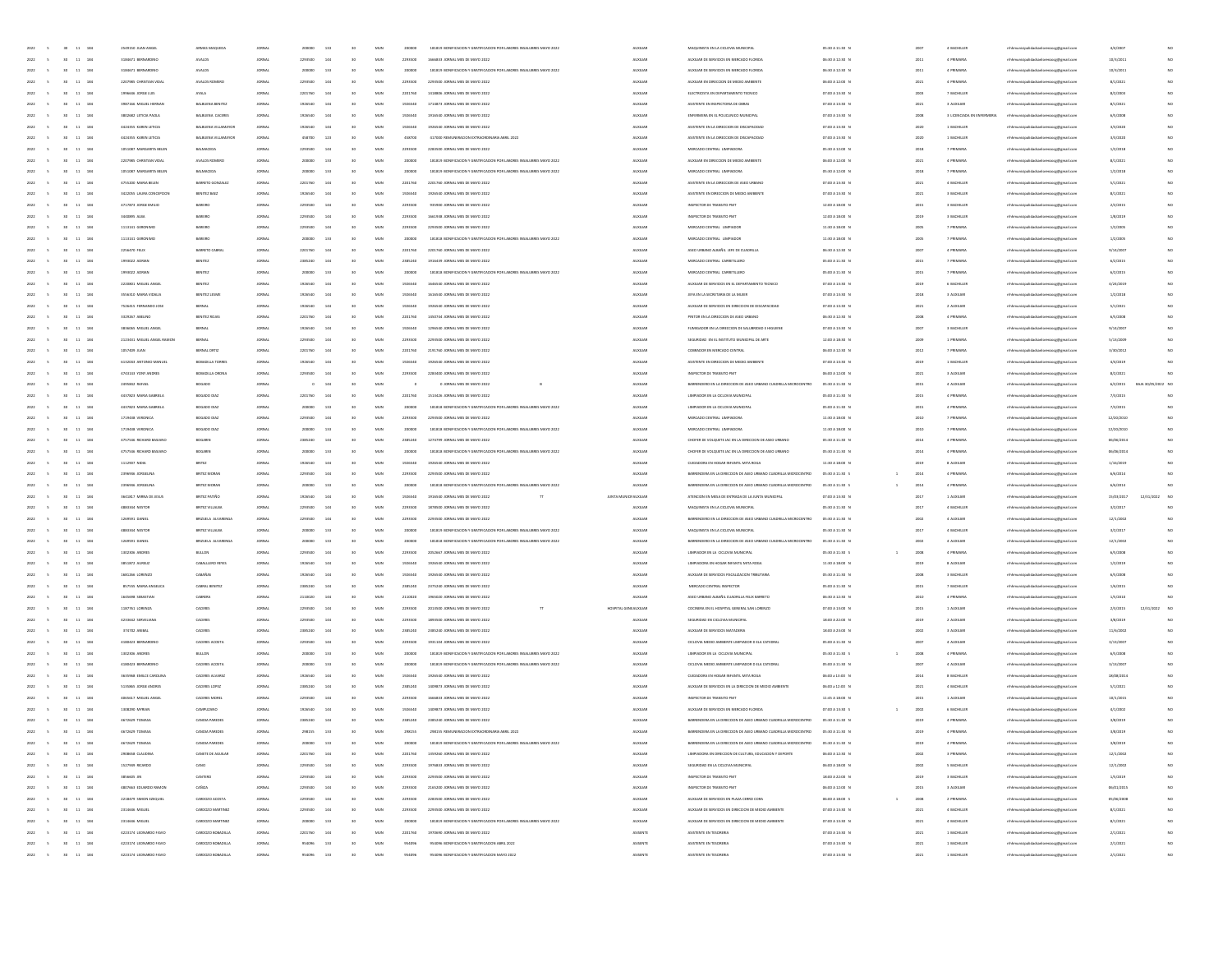| $_{\rm MUN}$<br>2022<br>30 <sup>°</sup><br>$11\quad184$<br>3184671 BERNARDING<br><b>AVALOS</b><br>2293500<br>144<br>30<br>2293500<br>1666833 JORNAL MES DE MAYO 2022<br><b>AUXILIA</b><br>AUXILIAR DE SERVICIOS EN MERCADO FLORIDA<br>06:30 A 12:30 N<br>201<br>4 PRIMARI<br>11 184<br>3184671 BERNARDINO<br><b>AVALOS</b><br>200000<br>133<br>MUN<br>181819 BONIFICACIÓN Y GRATIFICACIÓN DOR LARORES INSALLIBRES MAYO 2022<br><b>ALDELIAR</b><br>AUXILIAR DE SERVICIOS EN MERCADO FLORIDA<br>06:30 A 12:30 N<br>4 PRIMARY<br>2022<br>30<br>JORNAL<br>30<br>200000<br>2011<br>2022<br>11 184<br>2207985 CHRISTIAN VIDAL<br>AVALOS ROMERO<br><b>JORNAL</b><br>2293500<br>144<br>MUN<br>2293500<br>2293500 JORNAL MES DE MAYO 2022<br><b>AUXILIAR</b><br>AUXILIAR EN DIRECCIÓN DE MEDIO AMBIENTE<br>06:00 A 12:00 N<br>2021<br>4 PRIMARIA<br>30<br>11 184<br>AYALA<br><b>AUXILIAN</b><br>07:00 A 13:30 N<br>1996646 JORGE LUIS<br>2201760<br>144<br>MUN<br>2201760<br>1418806 JORNAL MES DE MAYO 2022<br>ELECTRICISTA EN DEPARTAMENTO TECNICO<br>7 BACHILLER<br>2022<br>JORNAL<br>2003<br>2022<br>11<br>184<br>3987166 MIGUEL HERP<br>BALBUENA BENITE<br><b>JORNAL</b><br>1926540<br>144<br>MUN<br>1926540<br>1714873 JORNAL MES DE MAYO 202<br><b>AUXILIA</b><br>ASISTENTE EN INSPECTORIA DE OBRA<br>07:00 A 13:30 N<br>202<br>3 AUXILIA<br>BALBUENA CACERES<br><b>AUXILIAN</b><br>ENFERMERA EN EL POLICLINICO MUNICIPAL<br>2022<br>184<br>3802682 LETICIA PAOLA<br><b>JORNAL</b><br>1926540<br>144<br>MUN<br>1926540<br>1916540 JORNAL MES DE MAYO 2022<br>07:00 A 13:30 N<br>2008<br>3 LICENCIADA EN ENFERMERIA<br>$11 - 184$<br>4424355 KAREN LETICIA<br>BALBUENA VILLAMAYO<br>JORNAL<br>1926540<br>144<br>MUN<br>1926540<br>1926540 JORNAL MES DE MAYO 2022<br><b>ALDELIAR</b><br>ASISTENTE EN LA DIRECCIÓN DE DISCAPACIDAD<br>07:00 A 13:30 N<br>1 BACHILLER<br>2022<br>30<br>2020<br>2022<br>11 184<br>4424355 KAREN LETICIA<br>BALBUENA VILLAMAYO<br><b>JORNAL</b><br>458700<br>123<br>MUN<br>458700<br>417000 REMUNERACION EXTRAORDINARIA ABRIL 2022<br><b>AUXILIAR</b><br>ASISTENTE EN LA DIRECCIÓN DE DISCAPACIDAD<br>07:00 A 13:30 N<br>2020<br>1 BACHILLER<br>30<br>11 184<br>1051087 MARGARITA BELEN<br><b>AUXILIAN</b><br>MERCADO CENTRAL LIMPIADOR<br>05:30 A 12:00 N<br>7 PRIMARIA<br>BALMACED<br>144<br>MUN<br>2293500<br>2022<br>JORNAL<br>2293500<br>2283500 JORNAL MES DE MAYO 2022<br>2018<br>11<br>184<br>2207985 CHRISTIAN VIDA<br>AVALOS ROMEI<br>131<br>MUN<br>181819 BONIFICACION Y GRATIFICACION POR LABORES INSALUBRES MAYO 2022<br><b>AUXILIA</b><br>AUXILIAR EN DIRECCION DE MEDIO AMBIENTI<br>06:00 A 12:00 N<br>202<br>4 PRIMAR<br>MERCADO CENTRAL LIMPIADORA<br>05:30 A 12:00 N<br>2022<br>184<br>1051087 MARGARITA BELEN<br><b>BALMACED</b><br><b>JORNAL</b><br>131<br>MUN<br>20000<br>181819 BONIFICACION Y GRATIFICACION POR LABORES INSALUBRES MAYO 2022<br><b>AUXILIAN</b><br>2018<br>7 PRIMARI<br>$11 - 184$<br>4755200 MARIA BELEN<br>BARRETO GONZALE<br>JORNAL<br>2201760<br>144<br>MUN<br>2201760<br>2201760 JORNAL MES DE MAYO 2022<br><b>ALDELIAR</b><br>ASISTENTE EN LA DIRECCIÓN DE ASEO URBANO<br>07:00 A 13:30 N<br>4 BACHILLER<br>2022<br>30<br>2021<br>2022<br>11 184<br>3422055 LAURA CONCEPCION<br>BENITEZ BAEZ<br><b>JORNAL</b><br>1926540<br>144<br>MUN<br>1926540<br>1926540 JORNAL MES DE MAYO 2022<br><b>AUXILIAR</b><br>ASISTENTE EN DIRECCIÓN DE MEDIO AMBIENTE<br>07:00 A 13:30 N<br>2021<br>3 BACHILLER<br>30<br>$11 - 184$<br>4717873 JORGE EMILIO<br>MUN<br><b>AUXILIAN</b><br>INSPECTOR DE TRANSITO PM<br>12:00 A 18:00 N<br>2022<br>BAREIRO<br>144<br>2293500<br>935900 JORNAL MES DE MAYO 2022<br>3 BACHILLER<br>JORNAL<br>2293500<br>2015<br>$11$<br>184<br>3440895 ALBA<br><b>BAREIRO</b><br>2293500<br>MUN<br>229350<br><b>AUXILIA</b><br>INSPECTOR DE TRANSITO PM<br>12:00 A 18:00 0<br>3 BACHILLE<br>2022<br>184<br>1113141 GERONIMO<br>BAREIRO<br>2293500<br>MUN<br>2293500<br>2293500 JORNAL MES DE MAYO 2022<br><b>AUXILIAN</b><br>MERCADO CENTRAL LIMPIADO<br>11:30 A 18:00 N<br>2005<br>7 PRIMARI<br>$11 - 184$<br>1113141 GERONIMO<br>BAREIRO<br>133<br>MUN<br>181818 BONIFICACIÓN Y GRATIFICACIÓN POR LABORES INSALUBRES MAYO 2022<br><b>ALDELIAR</b><br>MERCADO CENTRAL LIMPIADO<br>11:30 A 18:00 N<br>7 PRIMARIA<br>2022<br>30<br>JORNAL<br>200000<br>200000<br>2005<br>2022<br>11 184<br>2256470 FELIX<br>BARRETO CABR<br><b>JORNAL</b><br>2201760<br>144<br>MUN<br>2201760<br>2201760 JORNAL MES DE MAYO 2022<br><b>AUXILIAR</b><br>ASEO URBANO ALBAÑIL JEFE DE CUADRILLA<br>06:30 A 12:30 N<br>2007<br>4 PRIMARIA<br>30<br>$11 - 184$<br>BENITEZ<br>144<br>MUN<br><b>AUXILIAN</b><br>MERCADO CENTRAL CARRETILLERO<br>05:00 A 11:30 N<br>2022<br>1993022 ADRAM<br>2385240<br>1916439 JORNAL MES DE MAYO 2022<br>7 PRIMARIA<br>JORNAL<br>2385240<br>2015<br>184<br>1993022 ADRA<br>BENITEZ<br>133<br>MUN<br>181818 BONIFICACION Y GRATIFICACION POR LABORES INSALUBRES MAYO 2022<br><b>AUXILIA</b><br>MERCADO CENTRAL CARRETILLER<br>05:00 A 11:30 0<br>201<br>7 PRIMAR<br>AUXILIAR DE SERVICIOS EN EL DEPARTAMENTO TECNICO<br>2022<br>184<br>2220801 MIGUEL ANGE<br>BENITEZ<br>1926540<br>MUN<br>1926540<br>1646540 JORNAL MES DE MAYO 202:<br><b>AUXILIAN</b><br>07:00 A 13:30 N<br>2019<br>6 BACHILLEI<br>2022<br>$11 - 184$<br>3556310 MARIA VIDALIA<br>BENITEZ LESM<br>JORNAL<br>1926540<br>144<br>MUN<br>1926540<br>1616540 JORNAL MES DE MAYO 2022<br><b>ALDELIAR</b><br>JEFA EN LA SECRETARIA DE LA MUJER<br>07:00 A 13:30 N<br>3 AUXILIAN<br>30<br>2018<br>2022<br>11 184<br>7526415 FERNANDO JOSE<br><b>BERNAL</b><br><b>JORNAL</b><br>1926540<br>144<br>MUN<br>1926540<br>1926540 JORNAL MES DE MAYO 2022<br><b>AUXILIAR</b><br>AUXILIAR DE SERVICIOS EN DIRECCIÓN DE DISCAPACIDAD<br>07:00 A 13:30 N<br>2021<br>2 AUXILIAN<br>30<br><b>AUXILIAN</b><br>11 184<br>3329267 ABELINO<br>BENITEZ ROJA<br>144<br>MUN<br>06:30 A 12:30 N<br>4 PRIMARIA<br>2022<br>JORNAL<br>2201760<br>2201760<br>1450744 JORNAL MES DE MAYO 2022<br>PINTOR EN LA DIRECCIÓN DE ASEO URBANO<br>200<br>184<br>3836065 MIGUEL ANGE<br>BERNA<br>MUN<br>192654<br><b>AUXILIA</b><br>FUMIGADOR EN LA DIRECCIÓN DE SALUBRIDAD E HIGUIEN<br>07:00 A 13:30 0<br>3 BACHILLE<br>SEGURIDAD EN EL INSTITUTO MUNICIPAL DE ARTE<br>2022<br>184<br>2123431 MIGUEL ANGEL RAMON<br>BERNA<br>2293500<br>MUN<br>2293500<br>2293500 JORNAL MES DE MAYO 2022<br><b>AUXILIAN</b><br>12:00 A 18:30 N<br>1 PRIMARI<br>2022<br>11 184<br>1057409 JUAN<br>BERNAL ORTIZ<br><b>JORNAL</b><br>2201760<br>144<br>MUN<br>2201760<br>2191760 JORNAL MES DE MAYO 2022<br><b>ALDELIAR</b><br>COBRADOR EN MERCADO CENTRAL<br>06:00 A 12:30 N<br>2012<br>7 PRIMARIA<br>30<br>$6$<br>2022<br>11 184<br>6132043 ANTONIO MANUEL<br>BOBADILLA TORRE<br><b>JORNAL</b><br>1926540<br>144<br>MUN<br>1926540<br>1926540 JORNAL MES DE MAYO 2022<br><b>AUXILIAR</b><br>ASISTENTE EN DIRECCIÓN DE MEDIO AMBIENTE<br>07:00 A 13:30 N<br>2019<br>1 BACHILLER<br>30<br>11 184<br>4743143 YONY ANDRES<br>144<br>MUN<br><b>AUXILIAN</b><br>INSPECTOR DE TRANSITO PMT<br>06:00 A 12:00 N<br>3 AUXILIAN<br>2022<br>BOBADILLA ORON<br>JORNAL<br>2293500<br>2293500<br>2283400 JORNAL MES DE MAYO 2022<br>2021<br>184<br>2495842 RAFAEI<br>BOGADO<br>MUN<br><b>AUXILIA</b><br>BARRENDERO EN LA DIRECCIÓN DE ASEO URBANO CUADRILLA MICROCENTRO<br>05:30 A 11:30 0<br>4 AUXILIA<br>LIMPIADOR EN LA CICLOVIA MUNICIPAL<br>2022<br>184<br>4437823 MARIA GABRIEL<br>BOGADO DM<br>2201760<br>MUN<br>2201760<br>1513426 JORNAL MES DE MAYO 202:<br><b>AUXILIAN</b><br>05:00 A 11:30 N<br>2015<br>4 PRIMARI<br>2022<br>11 184<br>4437823 MARIA GABRIELA<br>BOGADO DIAZ<br>JORNAL<br>133<br>MUN<br>200000<br>181818 BONIFICACIÓN Y GRATIFICACIÓN POR LABORES INSALUBRES MAYO 2022<br><b>ALDELIAR</b><br>LIMPIADOR EN LA CICLOVIA MUNICIPAL<br>05:00 A 11:30 N<br>2015<br>4 PRIMARIA<br>30 <sub>1</sub><br>200000<br>$6$<br>2022<br>11 184<br>1719438 VERONICA<br>BOGADO DIAZ<br>JORNAL<br>2293500<br>144<br>MUN<br>2293500<br>2293500 JORNAL MES DE MAYO 2022<br><b>AUXILIAR</b><br>MERCADO CENTRAL LIMPIADORA<br>11:30 A 18:00 N<br>2010<br>7 PRIMARIA<br>30<br>11 184<br>1719438 VERONICA<br>BOGADO DIA<br>MUN<br>181818 BONIFICACIÓN Y GRATIFICACIÓN POR LABORES INSALUBRES MAYO 2022<br><b>AUXILIAN</b><br>11:30 A 18:00 N<br>7 PRIMARIA<br>2022<br>JORNAL<br>200000<br>133<br>200000<br>MERCADO CENTRAL UMPIADORA<br>2010<br>184<br>4757546 RICHARD BASIAN<br>MUN<br>238524<br><b>AUXILIA</b><br>CHOFER DE VOLQUETE JAC EN LA DIRECCIÓN DE ASEO URBAN<br>05:30 A 11:30 0<br>4 PRIMAR<br>184<br>4757546 RICHARD BASIANI<br>MUN<br>181818 BONIFICACION Y GRATIFICACION POR LABORES INSALUBRES MAYO 2022<br><b>AUXILIAN</b><br>CHOFER DE VOLQUETE JAC EN LA DIRECCIÓN DE ASEO URBAN<br>05:30 A 11:30 N<br>$201 -$<br>4 PRIMARI<br>2022<br>11 184<br>1112007 NIDIA<br>BRITEZ<br>JORNAL<br>1926540<br>144<br>MUN<br>1926540<br>1926540 JORNAL MES DE MAYO 2022<br>AUXILIAR<br>CUIDADORA EN HOGAR INFANTIL MITA ROGA<br>11:30 A 18:00 N<br>2019<br>8 AUXILIAN<br>30 <sub>1</sub><br>$6$<br>2022<br>11 184<br>2396946 JORGELINA<br>BRITEZ MORAT<br><b>JORNAL</b><br>2293500<br>144<br>MUN<br>2293500<br>2293500 JORNAL MES DE MAYO 2022<br><b>AUXILIAR</b><br>BARRENDERA EN LA DIRECCIÓN DE ASEO URBANO CUADRILLA MICROCENTRO<br>05:30 A 11:30 S<br>2014<br>4 PRIMARIA<br>30<br>$\overline{1}$<br><b>AUXILIAN</b><br>$11 - 184$<br>2396946 JORGELIN<br>BRITEZ MORA<br>MUN<br>181818 BONIFICACIÓN Y GRATIFICACIÓN POR LABORES INSALUBRES MAYO 2022<br>BARRENDERA EN LA DIRECCIÓN DE ASEO URBANO CUADRILLA MICROCENTRO<br>2014<br>4 PRIMARIA<br>2022<br>JORNAL<br>200000<br>133<br>200000<br>05:30 A 11:30 S<br>184<br>3641817 MIRNA DE JESU<br>BRITEZ PATIÑ<br>MUN<br>192654<br>1916540 JORNAL MES DE MAYO 202:<br>JUNTA MUNICIFAUXILIAR<br>ATENCION EN MESA DE ENTRADA DE LA JUNTA MUNICI<br>07:00 A 13:30 0<br>1 AUXILIA<br>184<br>4883344 NESTO<br>BRITEZ VILLALB<br>2293500<br>MUN<br>2293500<br>1878500 JORNAL MES DE MAYO 202:<br><b>AUXILIAR</b><br>MAQUINISTA EN LA CICLOVIA MUNICIPA<br>05:30 A 11:30 0<br>201<br>4 BACHILLE<br>2022<br>11 184<br>1269591 DANIEL<br>BRIZUELA ALVARENO<br>JORNAL<br>2203500<br>144<br>MUN<br>2293500<br>2293500 JORNAL MES DE MAYO 2022<br>AUXILIAR<br>BARRENDERO EN LA DIRECCIÓN DE ASEO URBANO CUADRILLA MICROCENTRO<br>05:30 A 11:30 N<br>2002<br>4 AUXILIAN<br>30<br>$6$<br>2022<br>11 184<br>4883344 NESTOR<br>BRITEZ VILLALBA<br><b>JORNAL</b><br>200000<br>133<br>MUN<br>200000<br>181819 BONIFICACION Y GRATIFICACION POR LABORES INSALUBRES MAYO 2022<br><b>AUXILIAR</b><br>MAQUINISTA EN LA CICLOVIA MUNICIPAL<br>05:30 A 11:30 N<br>2017<br>4 BACHILLER<br>$11 - 184$<br>1269591 DANIEL<br>MUN<br><b>AUXILIAN</b><br>BARRENDERO EN LA DIRECCIÓN DE ASEO URBANO CUADRILLA MICROCENTRO<br>05:30 A 11:30 N<br>4 AUXILIAN<br>2022<br><b>BRIZUELA ALVARENI</b><br>JORNAL<br>133<br>200000<br>181818 BONIFICACION Y GRATIFICACION POR LABORES INSALUBRES MAYO 2022<br>2002<br>200000<br>184<br>1302306 ANDRE<br>BULLON<br>144<br>MUN<br>229350<br>2052667 JORNAL MES DE MAYO 202<br><b>AUXILIA</b><br>LIMPIADOR EN LA CICLOVIA MUNICIPA<br>05:30 A 11:30 S<br>2008<br>4 PRIMAR<br>184<br>3851872 AURELI2<br>CABALLERO I<br>1926540<br>MUN<br>1926540<br>1926540 JORNAL MES DE MAYO 202:<br><b>AUXILIAN</b><br>LIMPIADORA EN HOGAR INFANTIL MITA ROGA<br>11:30 A 18:00 N<br>2019<br>8 AUXILIA<br>2022<br>$11 - 184$<br>1681266 LORENZO<br>CABAÑAS<br>JORNAL<br>1926540<br>144<br>MUN<br>1926540<br>1926540 JORNAL MES DE MAYO 2022<br>AUXILIAR<br>AUXILIAR DE SERVICIOS FISCALIZACIÓN TRIBUTARIA<br>05:30 A 11:30 N<br>2008<br>3 BACHILLER<br>30 <sub>1</sub><br>30<br>2022<br>11 184<br>857555 MARIA ANGELICA<br>CABRAL BENITE<br><b>JORNAL</b><br>2385240<br>144<br>MUN<br>2385240<br>2375240 JORNAL MES DE MAYO 2022<br><b>AUXILIAR</b><br>MERCADO CENTRAL INSPECTOR<br>05:00 A 11:30 N<br>2015<br>7 BACHILLER<br>ASEO URBANO ALBAÑIL CUADRILLA FELIX BARRETO<br>$11 - 184$<br>1645698 SEBASTIAN<br>MUN<br><b>AUXILIAN</b><br>06:30 A 12:30 N<br>4 PRIMARIA<br>2022<br>144<br>2110020<br>1965020 JORNAL MES DE MAYO 2022<br>CABRERA<br>JORNAL<br>2110020<br>2010<br>$11$<br>184<br>1187761 LORENZA<br>CACERES<br>2293500<br>144<br>MUN<br>229350<br>2013500 JORNAL MES DE MAYO 2022<br>HOSPITAL GENEALIXILIAR<br>COCINERA EN EL HOSPITAL GENERAL SAN LORENZO<br>07:00 A 13:00 0<br>2015<br>1 AUXILIA<br>18:00 A 22:00 N<br>2022<br>184<br>4233642 SERVELIAN<br>CACERES<br>2293500<br>14<br>MUN<br>2293500<br>1893500 JORNAL MES DE MAYO 2022<br><b>AUXILIAN</b><br>SEGURIDAD EN CICLOVIA MUNICIPAL<br>2019<br>2 AUXILIA<br>2022<br>$11 - 184$<br>374702 ANIBAL<br>CACERES<br>JORNAL<br>2385240<br>144<br>MUN<br>2385240<br>2385240 JORNAL MES DE MAYO 2022<br><b>ALDELIAR</b><br>AUXILIAR DE SERVICIOS MATADERIA<br>18:00 A 23:00 N<br>2002<br>3 AUXILIAN<br>30 <sub>1</sub><br>30<br>2022<br>11 184<br>4180423 BERNARDIN<br>CACERES ACOSTA<br><b>JORNAL</b><br>2293500<br>144<br>MUN<br>2293500<br>1931104 JORNAL MES DE MAYO 2022<br><b>AUXILIAR</b><br>CICLOVIA MEDIO AMBIENTE LIMPIADOR D ELA CATEDRA<br>05:00 A 11:30 N<br>2007<br>4 AUXILIAN<br>$11 - 184$<br>1302306 ANDRES<br>MUN<br><b>AUXILIAN</b><br>05:30 A 11:30 S<br>4 PRIMARIA<br>2022<br>BULLON<br>JORNAL<br>133<br>181819 BONIFICACION Y GRATIFICACION POR LABORES INSALUBRES MAYO 2022<br>LIMPIADOR EN LA CICLOVIA MUNICIPAL<br>2008<br>200000<br>200000<br>$\overline{1}$<br>05:00 A 11:30 N<br>11 184<br>4180423 BERNARDIN<br>CACERES ACOST<br>133<br>MUN<br>20000<br>181819 BONIFICACION Y GRATIFICACION POR LABORES INSALUBRES MAYO 202<br><b>AUXILIA</b><br>CICLOVIA MEDIO AMBIENTE LIMPIADOR D ELA CATEDRA<br>4 AUXILIA<br>CUIDADORA EN HOGAR INFANTIL MITA ROGA<br>2022<br>184<br>3635968 EMILCE CAROLINA<br>CACERES ALVAR<br>1926540<br>144<br>MUN<br>1926540<br>1926540 JORNAL MES DE MAYO 202:<br><b>AUXILIAN</b><br>06:00 a 13:00 N<br>2014<br>8 BACHILLEI<br>$11 - 184$<br>5135865 JORGE ANDRES<br>CACERES LOPEZ<br>JORNAL<br>2385240<br>144<br>MUN<br>2385240<br>1409873 JOINAL MFS DE MAYO 2021<br><b>ALDELIAR</b><br>AUXILIAR DE SERVICIOS EN LA DIRECCIÓN DE MEDIO AMBIENTE<br>06:00 a 12:00 N<br>2021<br>4 BACHILLER<br>2022<br>30<br>30<br>2022<br>11 184<br>4065617 MIGUEL ANGEL<br>CACERES MORE<br><b>JORNAL</b><br>2293500<br>144<br>MUN<br>2293500<br>1666833 JORNAL MES DE MAYO 2022<br><b>AUXILIAR</b><br>INSPECTOR DE TRANSITO PMT<br>11:45 A 18:00 N<br>2015<br>1 AUXILIAN<br>2022<br>11 184<br>1308290 MYRIAN<br>CAMPUZANO<br>144<br>MUN<br><b>AUXILIAR</b><br>AUXILIAR DE SERVICIOS EN MERCADO FLORIDA<br>07:00 A 13:30 S<br>2002<br>6 BACHILLER<br>JORNAL<br>1926540<br>1926540<br>1409873 JORNAL MES DE MAYO 202:<br>2022<br>30<br>11 184<br>4672629 TOMAS/<br>CANDIA PAREDI<br>2385240<br>144<br>MUN<br>238524<br>2385240 JORNAL MES DE MAYO 2022<br><b>AUXILIA</b><br>BARRENDERA EN LA DIRECCIÓN DE ASEO URBANO CUADRILLA MICROCENTRO<br>05:30 A 11:30 N<br>2019<br>4 PRIMAR<br>$2022 \qquad \quad 5 \qquad \quad 30 \qquad 11 \quad \ 184$<br>4672629 TOMASA<br>$_{\rm MUN}$<br>298155 REMUNERACION EXTRAORDINARIA ABRIL 2022<br><b>AUXILIAN</b><br>BARENDERA EN LA DIRECCIÓN DE ASEO URBANO CUADRILLA MICROCENTRO<br>CANDIA PAREDE<br><b>JORNAL</b><br>208155<br>133<br>30<br>298155<br>05:30 A 11:30 N<br>2019<br>4 PRIMARI<br>$2022 -$<br>30<br>2022 5<br>$30$ $11$ $184$<br>2908658 CLAUDINA<br>CANETE DE AGUILAR<br>144<br>MUN<br>2201760<br>LIMPIADORA EN DIRECCIÓN DE CULTURA, EDUCACIÓN Y DEPORTE<br>3 PRIMARIA<br>JORNAL<br>2201760<br>30<br>1359260 JORNAL MES DE MAYO 2022<br><b>AUXILIAR</b><br>06:00 A 12:30 N<br>2002<br>$30\qquad11\qquad184$<br>144<br>2022<br>1527949 RICARDO<br>2293500<br>30 <sub>°</sub><br>MUN<br>2293500<br>1976833 JORNAL MES DE MAYO 2022<br><b>AUXILIAN</b><br>SEGURIDAD EN LA CICLOVIA MUNICIPAL<br>06:00 A 18:00 N<br>5 BACHILLER<br>$\sim$<br>CAND<br><b>JORNAL</b><br>2002<br>MUN<br>NSPECTOR DE TRANSITO PMT<br>18:00 A 22:00 N<br>2022<br>30 <sup>°</sup><br>11 184<br>3856605 JIN<br>CANTERO<br>JORNAL<br>2293500<br>144<br>30 <sub>o</sub><br>2293500<br>2293500 JORNAL MES DE MAYO 2022<br><b>ALDELIAR</b><br>2019<br>3 BACHILLEI<br>4807663 EDUARDO RAMON<br>CAÑIZA<br>2293500<br>MUN<br>2165200 JORNAL MES DE MAYO 2022<br><b>AUXILIAN</b><br>INSPECTOR DE TRANSITO PMT<br>06:00 A 12:00 N<br>2022<br>$30 -$<br>11 184<br>JORNAL<br>144<br>30 <sub>°</sub><br>2293500<br>2015<br>3 AUXILIAN<br>2022<br>$30 - 11 - 184$<br>2218479 SIMON EZEQUIEL<br>CARDOZO ACOSTA<br><b>JORNAL</b><br>2203500<br>144<br>30<br>MUN<br>2293500<br>2283500 JORNAL MES DE MAYO 2022<br><b>AUXILIAR</b><br>AUXILIAR DE SERVICIOS EN PLAZA CERRO CORA<br>06:00 A 18:00 S<br>2008<br>2 PRIMARIA<br>$\sim$<br>$\mathbf{1}$<br>144<br>2022 5<br>30 11 184<br>2314646 MIGUEL<br>CARDOZO MARTINEZ<br>JORNAL<br>2293500<br>30 <sub>1</sub><br>MUN<br>2293500<br>2293500 JORNAL MES DE MAYO 2022<br><b>AUXILIAR</b><br>AUXILIAR DE SERVICIOS EN DIRECCION DE MEDIO AMBIENTE<br>07:00 A 13:30 N<br>2021<br>4 BACHILLER<br>AUXUAR DE SERVICIOS EN DIRECCIÓN DE MEDIO AMBIENTE<br>$30 - 11 - 184$<br>200000<br>133<br>30 <sub>°</sub><br>MUN<br>181819 BONIFICACIÓN Y GRATIFICACIÓN POR LABORES INSALUBRES MAYO 2022<br><b>AUXILIAN</b><br>07:00 A 13:30 N<br>4 BACHILLER<br>2022<br>2314646 MIGUEL<br>CARDOZO MARTINEZ<br><b>JORNAL</b><br>200000<br>2021<br>$\sim$<br>$_{\rm MUN}$<br>2022<br>$30 - 11 - 184$<br>4223174 LEONARDO FAVIO<br>CARDOZO BOBADILLI<br>JORNAL<br>2201760<br>144<br>30 <sub>°</sub><br>2201760<br>1970690 JORNAL MES DE MAYO 2022<br>ASISENTE<br>ASISTENTE EN TESORERU<br>07:00 A 13:30 N<br>2021<br>1 BACHILLEI<br>MUN<br>954096 BONIFICACIÓN Y GRATIFICACIÓN ABRIL 2022<br>ASISENTE<br>ASSTENTE EN TESORERIA<br>07:00 A 13:30 N<br>2022<br>$\sim$<br>$30 - 11 - 184$<br>4223174 LEONARDO FAVIO<br>CARDOZO BOBADILLI<br>JORNAL<br>954096<br>133<br>30 <sub>°</sub><br>954096<br>2021<br>1 BACHILLER<br>4223174 LEONARDO FAVIO | 2022<br>30<br>$11\quad 184$ | 2549150 JUAN ANGE | ARMAS MAQUE       |               |        | 133 |    | MUN |        | 181819 BON<br>FICACIÓN Y GRATIFICACIÓN POR LABORES INSALUBRES MAYO 202 | <b>AUXILIA</b> |                       | 05:30 A 11:30 0 |      | 4 BACHILLE  | anlorenzocg@gmail.cor                  | 4/4/200    |                  |             |
|----------------------------------------------------------------------------------------------------------------------------------------------------------------------------------------------------------------------------------------------------------------------------------------------------------------------------------------------------------------------------------------------------------------------------------------------------------------------------------------------------------------------------------------------------------------------------------------------------------------------------------------------------------------------------------------------------------------------------------------------------------------------------------------------------------------------------------------------------------------------------------------------------------------------------------------------------------------------------------------------------------------------------------------------------------------------------------------------------------------------------------------------------------------------------------------------------------------------------------------------------------------------------------------------------------------------------------------------------------------------------------------------------------------------------------------------------------------------------------------------------------------------------------------------------------------------------------------------------------------------------------------------------------------------------------------------------------------------------------------------------------------------------------------------------------------------------------------------------------------------------------------------------------------------------------------------------------------------------------------------------------------------------------------------------------------------------------------------------------------------------------------------------------------------------------------------------------------------------------------------------------------------------------------------------------------------------------------------------------------------------------------------------------------------------------------------------------------------------------------------------------------------------------------------------------------------------------------------------------------------------------------------------------------------------------------------------------------------------------------------------------------------------------------------------------------------------------------------------------------------------------------------------------------------------------------------------------------------------------------------------------------------------------------------------------------------------------------------------------------------------------------------------------------------------------------------------------------------------------------------------------------------------------------------------------------------------------------------------------------------------------------------------------------------------------------------------------------------------------------------------------------------------------------------------------------------------------------------------------------------------------------------------------------------------------------------------------------------------------------------------------------------------------------------------------------------------------------------------------------------------------------------------------------------------------------------------------------------------------------------------------------------------------------------------------------------------------------------------------------------------------------------------------------------------------------------------------------------------------------------------------------------------------------------------------------------------------------------------------------------------------------------------------------------------------------------------------------------------------------------------------------------------------------------------------------------------------------------------------------------------------------------------------------------------------------------------------------------------------------------------------------------------------------------------------------------------------------------------------------------------------------------------------------------------------------------------------------------------------------------------------------------------------------------------------------------------------------------------------------------------------------------------------------------------------------------------------------------------------------------------------------------------------------------------------------------------------------------------------------------------------------------------------------------------------------------------------------------------------------------------------------------------------------------------------------------------------------------------------------------------------------------------------------------------------------------------------------------------------------------------------------------------------------------------------------------------------------------------------------------------------------------------------------------------------------------------------------------------------------------------------------------------------------------------------------------------------------------------------------------------------------------------------------------------------------------------------------------------------------------------------------------------------------------------------------------------------------------------------------------------------------------------------------------------------------------------------------------------------------------------------------------------------------------------------------------------------------------------------------------------------------------------------------------------------------------------------------------------------------------------------------------------------------------------------------------------------------------------------------------------------------------------------------------------------------------------------------------------------------------------------------------------------------------------------------------------------------------------------------------------------------------------------------------------------------------------------------------------------------------------------------------------------------------------------------------------------------------------------------------------------------------------------------------------------------------------------------------------------------------------------------------------------------------------------------------------------------------------------------------------------------------------------------------------------------------------------------------------------------------------------------------------------------------------------------------------------------------------------------------------------------------------------------------------------------------------------------------------------------------------------------------------------------------------------------------------------------------------------------------------------------------------------------------------------------------------------------------------------------------------------------------------------------------------------------------------------------------------------------------------------------------------------------------------------------------------------------------------------------------------------------------------------------------------------------------------------------------------------------------------------------------------------------------------------------------------------------------------------------------------------------------------------------------------------------------------------------------------------------------------------------------------------------------------------------------------------------------------------------------------------------------------------------------------------------------------------------------------------------------------------------------------------------------------------------------------------------------------------------------------------------------------------------------------------------------------------------------------------------------------------------------------------------------------------------------------------------------------------------------------------------------------------------------------------------------------------------------------------------------------------------------------------------------------------------------------------------------------------------------------------------------------------------------------------------------------------------------------------------------------------------------------------------------------------------------------------------------------------------------------------------------------------------------------------------------------------------------------------------------------------------------------------------------------------------------------------------------------------------------------------------------------------------------------------------------------------------------------------------------------------------------------------------------------------------------------------------------------------------------------------------------------------------------------------------------------------------------------------------------------------------------------------------------------------------------------------------------------------------------------------------------------------------------------------------------------------------------------------------------------------------------------------------------------------------------------------------------------------------------------------------------------------------------------------------------------------------------------------------------------------------------------------------------------------------------------------------------------------------------------------------------------------------------------------------------------------------------------------------------------------------------------------------------------------------------------------------------------------------------------------------------------------------------------------------------------------------------------------------------------------------------------------------------------------------------------------------------------------------------------------------------------------------------------------------------------------------------------------------------------------------------------------------------------------------------------------------------------------------------------------------------------------------------------------------------------------------------------------------------------------------------------------------------------------------------------------------------------------------------------------------------------------------------------------------------------------------------------------------------------------------------------------------------------------------------------------------------------------------------------------------------------------------------------------------------------------------------------------------------------------------------------------------------------------------------------------------------------------------------------------------------------------------------------------------------------------------------------------------------------------------------------------------------------------------------------------------------------------------------------------------------------------------------------------------------------------------------------------------------------------------------------------------------------------------------------------------------------------------------------------------------------------------------------------------------------------------------------------------------------------------------------------------------------------------------------------------------------------------------------------------------------------------------------------------------------------------------------------------------------------------------------------------------------------------------------------------------------------------------------------------------------------------------------------------------------------------------------------------------------------------------------------------------------------------------------------------------------------------------------------------------------------------------------------------------------------------------------------------------------------------------------------------------------------------------------------------------------------------------------------------------------------------------------------------------------------------------------------------------------------------------------------------------------------------------------------------------------------------------------------------------------------------------------------------------------------------------------------------------------------------------------------------------------------------------------------------------------------------------------------------------------------------------------------------------------------------------------------------------------------------------------------------------------------------------------------------------------------------------------------------------------------------------------------------------------------------------------------------------------------------------------------------------------------------------------------------------------------------------------------------------------------------------------------------------------------------------------------------------------------------------------------------------------------------------------------------------------------------------------------------------------------------------------------------------------------------------------------------------------------------------------------------------------------------------------------------------------------------------------------------------------------------------------------------------------------------------------------------------------------------------------------------------------------------------------------------------------------------------------------------------------------------------------------------------------------------------------------------------------------------------------------------------------------------------------------------------------------------------------------------------------------------------------------------------------------------------------------------------------------------------------------------------------------------------------------------------------------------------------------------------------------------------------------------------------------------------------------------------------------------------------------------------------------------------------------------------------------------------------------------------------------------------------------------------------------------------------------------------------------------------------------------------------------------------------------------------------------------------------------------------------------------------------------------------------------------------------------------------------------------------------------------------------------------------------------------------------------------------------------------------------------------------------------------------------------------------------------------------------------------------------------------------------------------------------------------------------------------------------------------------------------------------------------------------------------------------------------------------------------------------------------------------------------------------------------------------------------------------------------------------------------------------------------------------------------------------------------------------------------------------------------------------------------------------------------------------------------------------------------------------------------|-----------------------------|-------------------|-------------------|---------------|--------|-----|----|-----|--------|------------------------------------------------------------------------|----------------|-----------------------|-----------------|------|-------------|----------------------------------------|------------|------------------|-------------|
|                                                                                                                                                                                                                                                                                                                                                                                                                                                                                                                                                                                                                                                                                                                                                                                                                                                                                                                                                                                                                                                                                                                                                                                                                                                                                                                                                                                                                                                                                                                                                                                                                                                                                                                                                                                                                                                                                                                                                                                                                                                                                                                                                                                                                                                                                                                                                                                                                                                                                                                                                                                                                                                                                                                                                                                                                                                                                                                                                                                                                                                                                                                                                                                                                                                                                                                                                                                                                                                                                                                                                                                                                                                                                                                                                                                                                                                                                                                                                                                                                                                                                                                                                                                                                                                                                                                                                                                                                                                                                                                                                                                                                                                                                                                                                                                                                                                                                                                                                                                                                                                                                                                                                                                                                                                                                                                                                                                                                                                                                                                                                                                                                                                                                                                                                                                                                                                                                                                                                                                                                                                                                                                                                                                                                                                                                                                                                                                                                                                                                                                                                                                                                                                                                                                                                                                                                                                                                                                                                                                                                                                                                                                                                                                                                                                                                                                                                                                                                                                                                                                                                                                                                                                                                                                                                                                                                                                                                                                                                                                                                                                                                                                                                                                                                                                                                                                                                                                                                                                                                                                                                                                                                                                                                                                                                                                                                                                                                                                                                                                                                                                                                                                                                                                                                                                                                                                                                                                                                                                                                                                                                                                                                                                                                                                                                                                                                                                                                                                                                                                                                                                                                                                                                                                                                                                                                                                                                                                                                                                                                                                                                                                                                                                                                                                                                                                                                                                                                                                                                                                                                                                                                                                                                                                                                                                                                                                                                                                                                                                                                                                                                                                                                                                                                                                                                                                                                                                                                                                                                                                                                                                                                                                                                                                                                                                                                                                                                                                                                                                                                                                                                                                                                                                                                                                                                                                                                                                                                                                                                                                                                                                                                                                                                                                                                                                                                                                                                                                                                                                                                                                                                                                                                                                                                                                                                                                                                                                                                                                                                                                                                                                                                                                                                                                                                                                                                                                                                                                                                                                                                                                                                                                                                                                                                                                                                                                                                                                                                                                                                                                                                                                                                                                                                                                                                                                                                                                                                                                                                                                                                                                                                                                                                                                                                                                                                                                                                                                                                                                                                                                                                                                                                                                                                                                                                                                                                                                                                                                                                                                                                                                                                                                                                                                                                                                                                                                                                                                                                                                                                                                                                                                                                                                                                                                                                                                                                                                                                                                                                                                                                                                                                                                                                                                                                                                                                                                                                                                                                                                                                                                                                                  |                             |                   |                   |               |        |     |    |     |        |                                                                        |                |                       |                 |      |             | enzocg@gmail.cor                       | 10/3/2011  |                  |             |
|                                                                                                                                                                                                                                                                                                                                                                                                                                                                                                                                                                                                                                                                                                                                                                                                                                                                                                                                                                                                                                                                                                                                                                                                                                                                                                                                                                                                                                                                                                                                                                                                                                                                                                                                                                                                                                                                                                                                                                                                                                                                                                                                                                                                                                                                                                                                                                                                                                                                                                                                                                                                                                                                                                                                                                                                                                                                                                                                                                                                                                                                                                                                                                                                                                                                                                                                                                                                                                                                                                                                                                                                                                                                                                                                                                                                                                                                                                                                                                                                                                                                                                                                                                                                                                                                                                                                                                                                                                                                                                                                                                                                                                                                                                                                                                                                                                                                                                                                                                                                                                                                                                                                                                                                                                                                                                                                                                                                                                                                                                                                                                                                                                                                                                                                                                                                                                                                                                                                                                                                                                                                                                                                                                                                                                                                                                                                                                                                                                                                                                                                                                                                                                                                                                                                                                                                                                                                                                                                                                                                                                                                                                                                                                                                                                                                                                                                                                                                                                                                                                                                                                                                                                                                                                                                                                                                                                                                                                                                                                                                                                                                                                                                                                                                                                                                                                                                                                                                                                                                                                                                                                                                                                                                                                                                                                                                                                                                                                                                                                                                                                                                                                                                                                                                                                                                                                                                                                                                                                                                                                                                                                                                                                                                                                                                                                                                                                                                                                                                                                                                                                                                                                                                                                                                                                                                                                                                                                                                                                                                                                                                                                                                                                                                                                                                                                                                                                                                                                                                                                                                                                                                                                                                                                                                                                                                                                                                                                                                                                                                                                                                                                                                                                                                                                                                                                                                                                                                                                                                                                                                                                                                                                                                                                                                                                                                                                                                                                                                                                                                                                                                                                                                                                                                                                                                                                                                                                                                                                                                                                                                                                                                                                                                                                                                                                                                                                                                                                                                                                                                                                                                                                                                                                                                                                                                                                                                                                                                                                                                                                                                                                                                                                                                                                                                                                                                                                                                                                                                                                                                                                                                                                                                                                                                                                                                                                                                                                                                                                                                                                                                                                                                                                                                                                                                                                                                                                                                                                                                                                                                                                                                                                                                                                                                                                                                                                                                                                                                                                                                                                                                                                                                                                                                                                                                                                                                                                                                                                                                                                                                                                                                                                                                                                                                                                                                                                                                                                                                                                                                                                                                                                                                                                                                                                                                                                                                                                                                                                                                                                                                                                                                                                                                                                                                                                                                                                                                                                                                                                                                                                                                                                  |                             |                   |                   |               |        |     |    |     |        |                                                                        |                |                       |                 |      |             | reoce@gmail.cor                        | 10/3/2011  |                  | NO          |
|                                                                                                                                                                                                                                                                                                                                                                                                                                                                                                                                                                                                                                                                                                                                                                                                                                                                                                                                                                                                                                                                                                                                                                                                                                                                                                                                                                                                                                                                                                                                                                                                                                                                                                                                                                                                                                                                                                                                                                                                                                                                                                                                                                                                                                                                                                                                                                                                                                                                                                                                                                                                                                                                                                                                                                                                                                                                                                                                                                                                                                                                                                                                                                                                                                                                                                                                                                                                                                                                                                                                                                                                                                                                                                                                                                                                                                                                                                                                                                                                                                                                                                                                                                                                                                                                                                                                                                                                                                                                                                                                                                                                                                                                                                                                                                                                                                                                                                                                                                                                                                                                                                                                                                                                                                                                                                                                                                                                                                                                                                                                                                                                                                                                                                                                                                                                                                                                                                                                                                                                                                                                                                                                                                                                                                                                                                                                                                                                                                                                                                                                                                                                                                                                                                                                                                                                                                                                                                                                                                                                                                                                                                                                                                                                                                                                                                                                                                                                                                                                                                                                                                                                                                                                                                                                                                                                                                                                                                                                                                                                                                                                                                                                                                                                                                                                                                                                                                                                                                                                                                                                                                                                                                                                                                                                                                                                                                                                                                                                                                                                                                                                                                                                                                                                                                                                                                                                                                                                                                                                                                                                                                                                                                                                                                                                                                                                                                                                                                                                                                                                                                                                                                                                                                                                                                                                                                                                                                                                                                                                                                                                                                                                                                                                                                                                                                                                                                                                                                                                                                                                                                                                                                                                                                                                                                                                                                                                                                                                                                                                                                                                                                                                                                                                                                                                                                                                                                                                                                                                                                                                                                                                                                                                                                                                                                                                                                                                                                                                                                                                                                                                                                                                                                                                                                                                                                                                                                                                                                                                                                                                                                                                                                                                                                                                                                                                                                                                                                                                                                                                                                                                                                                                                                                                                                                                                                                                                                                                                                                                                                                                                                                                                                                                                                                                                                                                                                                                                                                                                                                                                                                                                                                                                                                                                                                                                                                                                                                                                                                                                                                                                                                                                                                                                                                                                                                                                                                                                                                                                                                                                                                                                                                                                                                                                                                                                                                                                                                                                                                                                                                                                                                                                                                                                                                                                                                                                                                                                                                                                                                                                                                                                                                                                                                                                                                                                                                                                                                                                                                                                                                                                                                                                                                                                                                                                                                                                                                                                                                                                                                                                                                                                                                                                                                                                                                                                                                                                                                                                                                                                                                                                                  |                             |                   |                   |               |        |     |    |     |        |                                                                        |                |                       |                 |      |             | mhhmunicipalidadsanlorenzocg@gmail.com | 8/1/2021   |                  | NO          |
|                                                                                                                                                                                                                                                                                                                                                                                                                                                                                                                                                                                                                                                                                                                                                                                                                                                                                                                                                                                                                                                                                                                                                                                                                                                                                                                                                                                                                                                                                                                                                                                                                                                                                                                                                                                                                                                                                                                                                                                                                                                                                                                                                                                                                                                                                                                                                                                                                                                                                                                                                                                                                                                                                                                                                                                                                                                                                                                                                                                                                                                                                                                                                                                                                                                                                                                                                                                                                                                                                                                                                                                                                                                                                                                                                                                                                                                                                                                                                                                                                                                                                                                                                                                                                                                                                                                                                                                                                                                                                                                                                                                                                                                                                                                                                                                                                                                                                                                                                                                                                                                                                                                                                                                                                                                                                                                                                                                                                                                                                                                                                                                                                                                                                                                                                                                                                                                                                                                                                                                                                                                                                                                                                                                                                                                                                                                                                                                                                                                                                                                                                                                                                                                                                                                                                                                                                                                                                                                                                                                                                                                                                                                                                                                                                                                                                                                                                                                                                                                                                                                                                                                                                                                                                                                                                                                                                                                                                                                                                                                                                                                                                                                                                                                                                                                                                                                                                                                                                                                                                                                                                                                                                                                                                                                                                                                                                                                                                                                                                                                                                                                                                                                                                                                                                                                                                                                                                                                                                                                                                                                                                                                                                                                                                                                                                                                                                                                                                                                                                                                                                                                                                                                                                                                                                                                                                                                                                                                                                                                                                                                                                                                                                                                                                                                                                                                                                                                                                                                                                                                                                                                                                                                                                                                                                                                                                                                                                                                                                                                                                                                                                                                                                                                                                                                                                                                                                                                                                                                                                                                                                                                                                                                                                                                                                                                                                                                                                                                                                                                                                                                                                                                                                                                                                                                                                                                                                                                                                                                                                                                                                                                                                                                                                                                                                                                                                                                                                                                                                                                                                                                                                                                                                                                                                                                                                                                                                                                                                                                                                                                                                                                                                                                                                                                                                                                                                                                                                                                                                                                                                                                                                                                                                                                                                                                                                                                                                                                                                                                                                                                                                                                                                                                                                                                                                                                                                                                                                                                                                                                                                                                                                                                                                                                                                                                                                                                                                                                                                                                                                                                                                                                                                                                                                                                                                                                                                                                                                                                                                                                                                                                                                                                                                                                                                                                                                                                                                                                                                                                                                                                                                                                                                                                                                                                                                                                                                                                                                                                                                                                                                                                                                                                                                                                                                                                                                                                                                                                                                                                                                                                                                                  |                             |                   |                   |               |        |     |    |     |        |                                                                        |                |                       |                 |      |             |                                        |            |                  |             |
|                                                                                                                                                                                                                                                                                                                                                                                                                                                                                                                                                                                                                                                                                                                                                                                                                                                                                                                                                                                                                                                                                                                                                                                                                                                                                                                                                                                                                                                                                                                                                                                                                                                                                                                                                                                                                                                                                                                                                                                                                                                                                                                                                                                                                                                                                                                                                                                                                                                                                                                                                                                                                                                                                                                                                                                                                                                                                                                                                                                                                                                                                                                                                                                                                                                                                                                                                                                                                                                                                                                                                                                                                                                                                                                                                                                                                                                                                                                                                                                                                                                                                                                                                                                                                                                                                                                                                                                                                                                                                                                                                                                                                                                                                                                                                                                                                                                                                                                                                                                                                                                                                                                                                                                                                                                                                                                                                                                                                                                                                                                                                                                                                                                                                                                                                                                                                                                                                                                                                                                                                                                                                                                                                                                                                                                                                                                                                                                                                                                                                                                                                                                                                                                                                                                                                                                                                                                                                                                                                                                                                                                                                                                                                                                                                                                                                                                                                                                                                                                                                                                                                                                                                                                                                                                                                                                                                                                                                                                                                                                                                                                                                                                                                                                                                                                                                                                                                                                                                                                                                                                                                                                                                                                                                                                                                                                                                                                                                                                                                                                                                                                                                                                                                                                                                                                                                                                                                                                                                                                                                                                                                                                                                                                                                                                                                                                                                                                                                                                                                                                                                                                                                                                                                                                                                                                                                                                                                                                                                                                                                                                                                                                                                                                                                                                                                                                                                                                                                                                                                                                                                                                                                                                                                                                                                                                                                                                                                                                                                                                                                                                                                                                                                                                                                                                                                                                                                                                                                                                                                                                                                                                                                                                                                                                                                                                                                                                                                                                                                                                                                                                                                                                                                                                                                                                                                                                                                                                                                                                                                                                                                                                                                                                                                                                                                                                                                                                                                                                                                                                                                                                                                                                                                                                                                                                                                                                                                                                                                                                                                                                                                                                                                                                                                                                                                                                                                                                                                                                                                                                                                                                                                                                                                                                                                                                                                                                                                                                                                                                                                                                                                                                                                                                                                                                                                                                                                                                                                                                                                                                                                                                                                                                                                                                                                                                                                                                                                                                                                                                                                                                                                                                                                                                                                                                                                                                                                                                                                                                                                                                                                                                                                                                                                                                                                                                                                                                                                                                                                                                                                                                                                                                                                                                                                                                                                                                                                                                                                                                                                                                                                                                                                                                                                                                                                                                                                                                                                                                                                                                                                                                                                                  |                             |                   |                   |               |        |     |    |     |        |                                                                        |                |                       |                 |      |             | mhhmunicipalidadsanlorenzocg@gmail.com | 8/2/2003   |                  |             |
|                                                                                                                                                                                                                                                                                                                                                                                                                                                                                                                                                                                                                                                                                                                                                                                                                                                                                                                                                                                                                                                                                                                                                                                                                                                                                                                                                                                                                                                                                                                                                                                                                                                                                                                                                                                                                                                                                                                                                                                                                                                                                                                                                                                                                                                                                                                                                                                                                                                                                                                                                                                                                                                                                                                                                                                                                                                                                                                                                                                                                                                                                                                                                                                                                                                                                                                                                                                                                                                                                                                                                                                                                                                                                                                                                                                                                                                                                                                                                                                                                                                                                                                                                                                                                                                                                                                                                                                                                                                                                                                                                                                                                                                                                                                                                                                                                                                                                                                                                                                                                                                                                                                                                                                                                                                                                                                                                                                                                                                                                                                                                                                                                                                                                                                                                                                                                                                                                                                                                                                                                                                                                                                                                                                                                                                                                                                                                                                                                                                                                                                                                                                                                                                                                                                                                                                                                                                                                                                                                                                                                                                                                                                                                                                                                                                                                                                                                                                                                                                                                                                                                                                                                                                                                                                                                                                                                                                                                                                                                                                                                                                                                                                                                                                                                                                                                                                                                                                                                                                                                                                                                                                                                                                                                                                                                                                                                                                                                                                                                                                                                                                                                                                                                                                                                                                                                                                                                                                                                                                                                                                                                                                                                                                                                                                                                                                                                                                                                                                                                                                                                                                                                                                                                                                                                                                                                                                                                                                                                                                                                                                                                                                                                                                                                                                                                                                                                                                                                                                                                                                                                                                                                                                                                                                                                                                                                                                                                                                                                                                                                                                                                                                                                                                                                                                                                                                                                                                                                                                                                                                                                                                                                                                                                                                                                                                                                                                                                                                                                                                                                                                                                                                                                                                                                                                                                                                                                                                                                                                                                                                                                                                                                                                                                                                                                                                                                                                                                                                                                                                                                                                                                                                                                                                                                                                                                                                                                                                                                                                                                                                                                                                                                                                                                                                                                                                                                                                                                                                                                                                                                                                                                                                                                                                                                                                                                                                                                                                                                                                                                                                                                                                                                                                                                                                                                                                                                                                                                                                                                                                                                                                                                                                                                                                                                                                                                                                                                                                                                                                                                                                                                                                                                                                                                                                                                                                                                                                                                                                                                                                                                                                                                                                                                                                                                                                                                                                                                                                                                                                                                                                                                                                                                                                                                                                                                                                                                                                                                                                                                                                                                                                                                                                                                                                                                                                                                                                                                                                                                                                                                                                                                                  |                             |                   |                   |               |        |     |    |     |        |                                                                        |                |                       |                 |      |             | mhmunicipalidadsanlorenzocg@gmail.com  | 8/1/202    |                  |             |
|                                                                                                                                                                                                                                                                                                                                                                                                                                                                                                                                                                                                                                                                                                                                                                                                                                                                                                                                                                                                                                                                                                                                                                                                                                                                                                                                                                                                                                                                                                                                                                                                                                                                                                                                                                                                                                                                                                                                                                                                                                                                                                                                                                                                                                                                                                                                                                                                                                                                                                                                                                                                                                                                                                                                                                                                                                                                                                                                                                                                                                                                                                                                                                                                                                                                                                                                                                                                                                                                                                                                                                                                                                                                                                                                                                                                                                                                                                                                                                                                                                                                                                                                                                                                                                                                                                                                                                                                                                                                                                                                                                                                                                                                                                                                                                                                                                                                                                                                                                                                                                                                                                                                                                                                                                                                                                                                                                                                                                                                                                                                                                                                                                                                                                                                                                                                                                                                                                                                                                                                                                                                                                                                                                                                                                                                                                                                                                                                                                                                                                                                                                                                                                                                                                                                                                                                                                                                                                                                                                                                                                                                                                                                                                                                                                                                                                                                                                                                                                                                                                                                                                                                                                                                                                                                                                                                                                                                                                                                                                                                                                                                                                                                                                                                                                                                                                                                                                                                                                                                                                                                                                                                                                                                                                                                                                                                                                                                                                                                                                                                                                                                                                                                                                                                                                                                                                                                                                                                                                                                                                                                                                                                                                                                                                                                                                                                                                                                                                                                                                                                                                                                                                                                                                                                                                                                                                                                                                                                                                                                                                                                                                                                                                                                                                                                                                                                                                                                                                                                                                                                                                                                                                                                                                                                                                                                                                                                                                                                                                                                                                                                                                                                                                                                                                                                                                                                                                                                                                                                                                                                                                                                                                                                                                                                                                                                                                                                                                                                                                                                                                                                                                                                                                                                                                                                                                                                                                                                                                                                                                                                                                                                                                                                                                                                                                                                                                                                                                                                                                                                                                                                                                                                                                                                                                                                                                                                                                                                                                                                                                                                                                                                                                                                                                                                                                                                                                                                                                                                                                                                                                                                                                                                                                                                                                                                                                                                                                                                                                                                                                                                                                                                                                                                                                                                                                                                                                                                                                                                                                                                                                                                                                                                                                                                                                                                                                                                                                                                                                                                                                                                                                                                                                                                                                                                                                                                                                                                                                                                                                                                                                                                                                                                                                                                                                                                                                                                                                                                                                                                                                                                                                                                                                                                                                                                                                                                                                                                                                                                                                                                                                                                                                                                                                                                                                                                                                                                                                                                                                                                                                                                                                  |                             |                   |                   |               |        |     |    |     |        |                                                                        |                |                       |                 |      |             | mhmunicipalidadsanlorenzocg@gmail.com  | 6/5/2008   |                  |             |
|                                                                                                                                                                                                                                                                                                                                                                                                                                                                                                                                                                                                                                                                                                                                                                                                                                                                                                                                                                                                                                                                                                                                                                                                                                                                                                                                                                                                                                                                                                                                                                                                                                                                                                                                                                                                                                                                                                                                                                                                                                                                                                                                                                                                                                                                                                                                                                                                                                                                                                                                                                                                                                                                                                                                                                                                                                                                                                                                                                                                                                                                                                                                                                                                                                                                                                                                                                                                                                                                                                                                                                                                                                                                                                                                                                                                                                                                                                                                                                                                                                                                                                                                                                                                                                                                                                                                                                                                                                                                                                                                                                                                                                                                                                                                                                                                                                                                                                                                                                                                                                                                                                                                                                                                                                                                                                                                                                                                                                                                                                                                                                                                                                                                                                                                                                                                                                                                                                                                                                                                                                                                                                                                                                                                                                                                                                                                                                                                                                                                                                                                                                                                                                                                                                                                                                                                                                                                                                                                                                                                                                                                                                                                                                                                                                                                                                                                                                                                                                                                                                                                                                                                                                                                                                                                                                                                                                                                                                                                                                                                                                                                                                                                                                                                                                                                                                                                                                                                                                                                                                                                                                                                                                                                                                                                                                                                                                                                                                                                                                                                                                                                                                                                                                                                                                                                                                                                                                                                                                                                                                                                                                                                                                                                                                                                                                                                                                                                                                                                                                                                                                                                                                                                                                                                                                                                                                                                                                                                                                                                                                                                                                                                                                                                                                                                                                                                                                                                                                                                                                                                                                                                                                                                                                                                                                                                                                                                                                                                                                                                                                                                                                                                                                                                                                                                                                                                                                                                                                                                                                                                                                                                                                                                                                                                                                                                                                                                                                                                                                                                                                                                                                                                                                                                                                                                                                                                                                                                                                                                                                                                                                                                                                                                                                                                                                                                                                                                                                                                                                                                                                                                                                                                                                                                                                                                                                                                                                                                                                                                                                                                                                                                                                                                                                                                                                                                                                                                                                                                                                                                                                                                                                                                                                                                                                                                                                                                                                                                                                                                                                                                                                                                                                                                                                                                                                                                                                                                                                                                                                                                                                                                                                                                                                                                                                                                                                                                                                                                                                                                                                                                                                                                                                                                                                                                                                                                                                                                                                                                                                                                                                                                                                                                                                                                                                                                                                                                                                                                                                                                                                                                                                                                                                                                                                                                                                                                                                                                                                                                                                                                                                                                                                                                                                                                                                                                                                                                                                                                                                                                                                                                                                  |                             |                   |                   |               |        |     |    |     |        |                                                                        |                |                       |                 |      |             | mhhmunicipalidadsanlorenzocg@gmail.com | 3/3/2020   |                  |             |
|                                                                                                                                                                                                                                                                                                                                                                                                                                                                                                                                                                                                                                                                                                                                                                                                                                                                                                                                                                                                                                                                                                                                                                                                                                                                                                                                                                                                                                                                                                                                                                                                                                                                                                                                                                                                                                                                                                                                                                                                                                                                                                                                                                                                                                                                                                                                                                                                                                                                                                                                                                                                                                                                                                                                                                                                                                                                                                                                                                                                                                                                                                                                                                                                                                                                                                                                                                                                                                                                                                                                                                                                                                                                                                                                                                                                                                                                                                                                                                                                                                                                                                                                                                                                                                                                                                                                                                                                                                                                                                                                                                                                                                                                                                                                                                                                                                                                                                                                                                                                                                                                                                                                                                                                                                                                                                                                                                                                                                                                                                                                                                                                                                                                                                                                                                                                                                                                                                                                                                                                                                                                                                                                                                                                                                                                                                                                                                                                                                                                                                                                                                                                                                                                                                                                                                                                                                                                                                                                                                                                                                                                                                                                                                                                                                                                                                                                                                                                                                                                                                                                                                                                                                                                                                                                                                                                                                                                                                                                                                                                                                                                                                                                                                                                                                                                                                                                                                                                                                                                                                                                                                                                                                                                                                                                                                                                                                                                                                                                                                                                                                                                                                                                                                                                                                                                                                                                                                                                                                                                                                                                                                                                                                                                                                                                                                                                                                                                                                                                                                                                                                                                                                                                                                                                                                                                                                                                                                                                                                                                                                                                                                                                                                                                                                                                                                                                                                                                                                                                                                                                                                                                                                                                                                                                                                                                                                                                                                                                                                                                                                                                                                                                                                                                                                                                                                                                                                                                                                                                                                                                                                                                                                                                                                                                                                                                                                                                                                                                                                                                                                                                                                                                                                                                                                                                                                                                                                                                                                                                                                                                                                                                                                                                                                                                                                                                                                                                                                                                                                                                                                                                                                                                                                                                                                                                                                                                                                                                                                                                                                                                                                                                                                                                                                                                                                                                                                                                                                                                                                                                                                                                                                                                                                                                                                                                                                                                                                                                                                                                                                                                                                                                                                                                                                                                                                                                                                                                                                                                                                                                                                                                                                                                                                                                                                                                                                                                                                                                                                                                                                                                                                                                                                                                                                                                                                                                                                                                                                                                                                                                                                                                                                                                                                                                                                                                                                                                                                                                                                                                                                                                                                                                                                                                                                                                                                                                                                                                                                                                                                                                                                                                                                                                                                                                                                                                                                                                                                                                                                                                                                                                                                  |                             |                   |                   |               |        |     |    |     |        |                                                                        |                |                       |                 |      |             | mhhmunicipalidadsanlorenzocg@gmail.com | 3/3/2020   |                  |             |
|                                                                                                                                                                                                                                                                                                                                                                                                                                                                                                                                                                                                                                                                                                                                                                                                                                                                                                                                                                                                                                                                                                                                                                                                                                                                                                                                                                                                                                                                                                                                                                                                                                                                                                                                                                                                                                                                                                                                                                                                                                                                                                                                                                                                                                                                                                                                                                                                                                                                                                                                                                                                                                                                                                                                                                                                                                                                                                                                                                                                                                                                                                                                                                                                                                                                                                                                                                                                                                                                                                                                                                                                                                                                                                                                                                                                                                                                                                                                                                                                                                                                                                                                                                                                                                                                                                                                                                                                                                                                                                                                                                                                                                                                                                                                                                                                                                                                                                                                                                                                                                                                                                                                                                                                                                                                                                                                                                                                                                                                                                                                                                                                                                                                                                                                                                                                                                                                                                                                                                                                                                                                                                                                                                                                                                                                                                                                                                                                                                                                                                                                                                                                                                                                                                                                                                                                                                                                                                                                                                                                                                                                                                                                                                                                                                                                                                                                                                                                                                                                                                                                                                                                                                                                                                                                                                                                                                                                                                                                                                                                                                                                                                                                                                                                                                                                                                                                                                                                                                                                                                                                                                                                                                                                                                                                                                                                                                                                                                                                                                                                                                                                                                                                                                                                                                                                                                                                                                                                                                                                                                                                                                                                                                                                                                                                                                                                                                                                                                                                                                                                                                                                                                                                                                                                                                                                                                                                                                                                                                                                                                                                                                                                                                                                                                                                                                                                                                                                                                                                                                                                                                                                                                                                                                                                                                                                                                                                                                                                                                                                                                                                                                                                                                                                                                                                                                                                                                                                                                                                                                                                                                                                                                                                                                                                                                                                                                                                                                                                                                                                                                                                                                                                                                                                                                                                                                                                                                                                                                                                                                                                                                                                                                                                                                                                                                                                                                                                                                                                                                                                                                                                                                                                                                                                                                                                                                                                                                                                                                                                                                                                                                                                                                                                                                                                                                                                                                                                                                                                                                                                                                                                                                                                                                                                                                                                                                                                                                                                                                                                                                                                                                                                                                                                                                                                                                                                                                                                                                                                                                                                                                                                                                                                                                                                                                                                                                                                                                                                                                                                                                                                                                                                                                                                                                                                                                                                                                                                                                                                                                                                                                                                                                                                                                                                                                                                                                                                                                                                                                                                                                                                                                                                                                                                                                                                                                                                                                                                                                                                                                                                                                                                                                                                                                                                                                                                                                                                                                                                                                                                                                                                                                  |                             |                   |                   |               |        |     |    |     |        |                                                                        |                |                       |                 |      |             | mhhmunicipalidadsanlorenzocg@gmail.com | 1/2/2018   |                  |             |
|                                                                                                                                                                                                                                                                                                                                                                                                                                                                                                                                                                                                                                                                                                                                                                                                                                                                                                                                                                                                                                                                                                                                                                                                                                                                                                                                                                                                                                                                                                                                                                                                                                                                                                                                                                                                                                                                                                                                                                                                                                                                                                                                                                                                                                                                                                                                                                                                                                                                                                                                                                                                                                                                                                                                                                                                                                                                                                                                                                                                                                                                                                                                                                                                                                                                                                                                                                                                                                                                                                                                                                                                                                                                                                                                                                                                                                                                                                                                                                                                                                                                                                                                                                                                                                                                                                                                                                                                                                                                                                                                                                                                                                                                                                                                                                                                                                                                                                                                                                                                                                                                                                                                                                                                                                                                                                                                                                                                                                                                                                                                                                                                                                                                                                                                                                                                                                                                                                                                                                                                                                                                                                                                                                                                                                                                                                                                                                                                                                                                                                                                                                                                                                                                                                                                                                                                                                                                                                                                                                                                                                                                                                                                                                                                                                                                                                                                                                                                                                                                                                                                                                                                                                                                                                                                                                                                                                                                                                                                                                                                                                                                                                                                                                                                                                                                                                                                                                                                                                                                                                                                                                                                                                                                                                                                                                                                                                                                                                                                                                                                                                                                                                                                                                                                                                                                                                                                                                                                                                                                                                                                                                                                                                                                                                                                                                                                                                                                                                                                                                                                                                                                                                                                                                                                                                                                                                                                                                                                                                                                                                                                                                                                                                                                                                                                                                                                                                                                                                                                                                                                                                                                                                                                                                                                                                                                                                                                                                                                                                                                                                                                                                                                                                                                                                                                                                                                                                                                                                                                                                                                                                                                                                                                                                                                                                                                                                                                                                                                                                                                                                                                                                                                                                                                                                                                                                                                                                                                                                                                                                                                                                                                                                                                                                                                                                                                                                                                                                                                                                                                                                                                                                                                                                                                                                                                                                                                                                                                                                                                                                                                                                                                                                                                                                                                                                                                                                                                                                                                                                                                                                                                                                                                                                                                                                                                                                                                                                                                                                                                                                                                                                                                                                                                                                                                                                                                                                                                                                                                                                                                                                                                                                                                                                                                                                                                                                                                                                                                                                                                                                                                                                                                                                                                                                                                                                                                                                                                                                                                                                                                                                                                                                                                                                                                                                                                                                                                                                                                                                                                                                                                                                                                                                                                                                                                                                                                                                                                                                                                                                                                                                                                                                                                                                                                                                                                                                                                                                                                                                                                                                                                                                  |                             |                   |                   |               |        |     |    |     |        |                                                                        |                |                       |                 |      |             | sanlorenzocg@gmail.com                 | 8/1/202    |                  |             |
|                                                                                                                                                                                                                                                                                                                                                                                                                                                                                                                                                                                                                                                                                                                                                                                                                                                                                                                                                                                                                                                                                                                                                                                                                                                                                                                                                                                                                                                                                                                                                                                                                                                                                                                                                                                                                                                                                                                                                                                                                                                                                                                                                                                                                                                                                                                                                                                                                                                                                                                                                                                                                                                                                                                                                                                                                                                                                                                                                                                                                                                                                                                                                                                                                                                                                                                                                                                                                                                                                                                                                                                                                                                                                                                                                                                                                                                                                                                                                                                                                                                                                                                                                                                                                                                                                                                                                                                                                                                                                                                                                                                                                                                                                                                                                                                                                                                                                                                                                                                                                                                                                                                                                                                                                                                                                                                                                                                                                                                                                                                                                                                                                                                                                                                                                                                                                                                                                                                                                                                                                                                                                                                                                                                                                                                                                                                                                                                                                                                                                                                                                                                                                                                                                                                                                                                                                                                                                                                                                                                                                                                                                                                                                                                                                                                                                                                                                                                                                                                                                                                                                                                                                                                                                                                                                                                                                                                                                                                                                                                                                                                                                                                                                                                                                                                                                                                                                                                                                                                                                                                                                                                                                                                                                                                                                                                                                                                                                                                                                                                                                                                                                                                                                                                                                                                                                                                                                                                                                                                                                                                                                                                                                                                                                                                                                                                                                                                                                                                                                                                                                                                                                                                                                                                                                                                                                                                                                                                                                                                                                                                                                                                                                                                                                                                                                                                                                                                                                                                                                                                                                                                                                                                                                                                                                                                                                                                                                                                                                                                                                                                                                                                                                                                                                                                                                                                                                                                                                                                                                                                                                                                                                                                                                                                                                                                                                                                                                                                                                                                                                                                                                                                                                                                                                                                                                                                                                                                                                                                                                                                                                                                                                                                                                                                                                                                                                                                                                                                                                                                                                                                                                                                                                                                                                                                                                                                                                                                                                                                                                                                                                                                                                                                                                                                                                                                                                                                                                                                                                                                                                                                                                                                                                                                                                                                                                                                                                                                                                                                                                                                                                                                                                                                                                                                                                                                                                                                                                                                                                                                                                                                                                                                                                                                                                                                                                                                                                                                                                                                                                                                                                                                                                                                                                                                                                                                                                                                                                                                                                                                                                                                                                                                                                                                                                                                                                                                                                                                                                                                                                                                                                                                                                                                                                                                                                                                                                                                                                                                                                                                                                                                                                                                                                                                                                                                                                                                                                                                                                                                                                                                                                                  |                             |                   |                   |               |        |     |    |     |        |                                                                        |                |                       |                 |      |             |                                        |            |                  |             |
|                                                                                                                                                                                                                                                                                                                                                                                                                                                                                                                                                                                                                                                                                                                                                                                                                                                                                                                                                                                                                                                                                                                                                                                                                                                                                                                                                                                                                                                                                                                                                                                                                                                                                                                                                                                                                                                                                                                                                                                                                                                                                                                                                                                                                                                                                                                                                                                                                                                                                                                                                                                                                                                                                                                                                                                                                                                                                                                                                                                                                                                                                                                                                                                                                                                                                                                                                                                                                                                                                                                                                                                                                                                                                                                                                                                                                                                                                                                                                                                                                                                                                                                                                                                                                                                                                                                                                                                                                                                                                                                                                                                                                                                                                                                                                                                                                                                                                                                                                                                                                                                                                                                                                                                                                                                                                                                                                                                                                                                                                                                                                                                                                                                                                                                                                                                                                                                                                                                                                                                                                                                                                                                                                                                                                                                                                                                                                                                                                                                                                                                                                                                                                                                                                                                                                                                                                                                                                                                                                                                                                                                                                                                                                                                                                                                                                                                                                                                                                                                                                                                                                                                                                                                                                                                                                                                                                                                                                                                                                                                                                                                                                                                                                                                                                                                                                                                                                                                                                                                                                                                                                                                                                                                                                                                                                                                                                                                                                                                                                                                                                                                                                                                                                                                                                                                                                                                                                                                                                                                                                                                                                                                                                                                                                                                                                                                                                                                                                                                                                                                                                                                                                                                                                                                                                                                                                                                                                                                                                                                                                                                                                                                                                                                                                                                                                                                                                                                                                                                                                                                                                                                                                                                                                                                                                                                                                                                                                                                                                                                                                                                                                                                                                                                                                                                                                                                                                                                                                                                                                                                                                                                                                                                                                                                                                                                                                                                                                                                                                                                                                                                                                                                                                                                                                                                                                                                                                                                                                                                                                                                                                                                                                                                                                                                                                                                                                                                                                                                                                                                                                                                                                                                                                                                                                                                                                                                                                                                                                                                                                                                                                                                                                                                                                                                                                                                                                                                                                                                                                                                                                                                                                                                                                                                                                                                                                                                                                                                                                                                                                                                                                                                                                                                                                                                                                                                                                                                                                                                                                                                                                                                                                                                                                                                                                                                                                                                                                                                                                                                                                                                                                                                                                                                                                                                                                                                                                                                                                                                                                                                                                                                                                                                                                                                                                                                                                                                                                                                                                                                                                                                                                                                                                                                                                                                                                                                                                                                                                                                                                                                                                                                                                                                                                                                                                                                                                                                                                                                                                                                                                                                                                                  |                             |                   |                   |               |        |     |    |     |        |                                                                        |                |                       |                 |      |             | mhmunicipalidadsanlorenzocg@gmail.com  | 1/2/2018   |                  |             |
|                                                                                                                                                                                                                                                                                                                                                                                                                                                                                                                                                                                                                                                                                                                                                                                                                                                                                                                                                                                                                                                                                                                                                                                                                                                                                                                                                                                                                                                                                                                                                                                                                                                                                                                                                                                                                                                                                                                                                                                                                                                                                                                                                                                                                                                                                                                                                                                                                                                                                                                                                                                                                                                                                                                                                                                                                                                                                                                                                                                                                                                                                                                                                                                                                                                                                                                                                                                                                                                                                                                                                                                                                                                                                                                                                                                                                                                                                                                                                                                                                                                                                                                                                                                                                                                                                                                                                                                                                                                                                                                                                                                                                                                                                                                                                                                                                                                                                                                                                                                                                                                                                                                                                                                                                                                                                                                                                                                                                                                                                                                                                                                                                                                                                                                                                                                                                                                                                                                                                                                                                                                                                                                                                                                                                                                                                                                                                                                                                                                                                                                                                                                                                                                                                                                                                                                                                                                                                                                                                                                                                                                                                                                                                                                                                                                                                                                                                                                                                                                                                                                                                                                                                                                                                                                                                                                                                                                                                                                                                                                                                                                                                                                                                                                                                                                                                                                                                                                                                                                                                                                                                                                                                                                                                                                                                                                                                                                                                                                                                                                                                                                                                                                                                                                                                                                                                                                                                                                                                                                                                                                                                                                                                                                                                                                                                                                                                                                                                                                                                                                                                                                                                                                                                                                                                                                                                                                                                                                                                                                                                                                                                                                                                                                                                                                                                                                                                                                                                                                                                                                                                                                                                                                                                                                                                                                                                                                                                                                                                                                                                                                                                                                                                                                                                                                                                                                                                                                                                                                                                                                                                                                                                                                                                                                                                                                                                                                                                                                                                                                                                                                                                                                                                                                                                                                                                                                                                                                                                                                                                                                                                                                                                                                                                                                                                                                                                                                                                                                                                                                                                                                                                                                                                                                                                                                                                                                                                                                                                                                                                                                                                                                                                                                                                                                                                                                                                                                                                                                                                                                                                                                                                                                                                                                                                                                                                                                                                                                                                                                                                                                                                                                                                                                                                                                                                                                                                                                                                                                                                                                                                                                                                                                                                                                                                                                                                                                                                                                                                                                                                                                                                                                                                                                                                                                                                                                                                                                                                                                                                                                                                                                                                                                                                                                                                                                                                                                                                                                                                                                                                                                                                                                                                                                                                                                                                                                                                                                                                                                                                                                                                                                                                                                                                                                                                                                                                                                                                                                                                                                                                                                                                                  |                             |                   |                   |               |        |     |    |     |        |                                                                        |                |                       |                 |      |             | mhhmunicipalidadsanlorenzocg@gmail.com | 5/1/2021   |                  |             |
|                                                                                                                                                                                                                                                                                                                                                                                                                                                                                                                                                                                                                                                                                                                                                                                                                                                                                                                                                                                                                                                                                                                                                                                                                                                                                                                                                                                                                                                                                                                                                                                                                                                                                                                                                                                                                                                                                                                                                                                                                                                                                                                                                                                                                                                                                                                                                                                                                                                                                                                                                                                                                                                                                                                                                                                                                                                                                                                                                                                                                                                                                                                                                                                                                                                                                                                                                                                                                                                                                                                                                                                                                                                                                                                                                                                                                                                                                                                                                                                                                                                                                                                                                                                                                                                                                                                                                                                                                                                                                                                                                                                                                                                                                                                                                                                                                                                                                                                                                                                                                                                                                                                                                                                                                                                                                                                                                                                                                                                                                                                                                                                                                                                                                                                                                                                                                                                                                                                                                                                                                                                                                                                                                                                                                                                                                                                                                                                                                                                                                                                                                                                                                                                                                                                                                                                                                                                                                                                                                                                                                                                                                                                                                                                                                                                                                                                                                                                                                                                                                                                                                                                                                                                                                                                                                                                                                                                                                                                                                                                                                                                                                                                                                                                                                                                                                                                                                                                                                                                                                                                                                                                                                                                                                                                                                                                                                                                                                                                                                                                                                                                                                                                                                                                                                                                                                                                                                                                                                                                                                                                                                                                                                                                                                                                                                                                                                                                                                                                                                                                                                                                                                                                                                                                                                                                                                                                                                                                                                                                                                                                                                                                                                                                                                                                                                                                                                                                                                                                                                                                                                                                                                                                                                                                                                                                                                                                                                                                                                                                                                                                                                                                                                                                                                                                                                                                                                                                                                                                                                                                                                                                                                                                                                                                                                                                                                                                                                                                                                                                                                                                                                                                                                                                                                                                                                                                                                                                                                                                                                                                                                                                                                                                                                                                                                                                                                                                                                                                                                                                                                                                                                                                                                                                                                                                                                                                                                                                                                                                                                                                                                                                                                                                                                                                                                                                                                                                                                                                                                                                                                                                                                                                                                                                                                                                                                                                                                                                                                                                                                                                                                                                                                                                                                                                                                                                                                                                                                                                                                                                                                                                                                                                                                                                                                                                                                                                                                                                                                                                                                                                                                                                                                                                                                                                                                                                                                                                                                                                                                                                                                                                                                                                                                                                                                                                                                                                                                                                                                                                                                                                                                                                                                                                                                                                                                                                                                                                                                                                                                                                                                                                                                                                                                                                                                                                                                                                                                                                                                                                                                                                                                                  |                             |                   |                   |               |        |     |    |     |        |                                                                        |                |                       |                 |      |             | mhhmunicipalidadsanlorenzocg@gmail.com | 8/1/2021   |                  |             |
|                                                                                                                                                                                                                                                                                                                                                                                                                                                                                                                                                                                                                                                                                                                                                                                                                                                                                                                                                                                                                                                                                                                                                                                                                                                                                                                                                                                                                                                                                                                                                                                                                                                                                                                                                                                                                                                                                                                                                                                                                                                                                                                                                                                                                                                                                                                                                                                                                                                                                                                                                                                                                                                                                                                                                                                                                                                                                                                                                                                                                                                                                                                                                                                                                                                                                                                                                                                                                                                                                                                                                                                                                                                                                                                                                                                                                                                                                                                                                                                                                                                                                                                                                                                                                                                                                                                                                                                                                                                                                                                                                                                                                                                                                                                                                                                                                                                                                                                                                                                                                                                                                                                                                                                                                                                                                                                                                                                                                                                                                                                                                                                                                                                                                                                                                                                                                                                                                                                                                                                                                                                                                                                                                                                                                                                                                                                                                                                                                                                                                                                                                                                                                                                                                                                                                                                                                                                                                                                                                                                                                                                                                                                                                                                                                                                                                                                                                                                                                                                                                                                                                                                                                                                                                                                                                                                                                                                                                                                                                                                                                                                                                                                                                                                                                                                                                                                                                                                                                                                                                                                                                                                                                                                                                                                                                                                                                                                                                                                                                                                                                                                                                                                                                                                                                                                                                                                                                                                                                                                                                                                                                                                                                                                                                                                                                                                                                                                                                                                                                                                                                                                                                                                                                                                                                                                                                                                                                                                                                                                                                                                                                                                                                                                                                                                                                                                                                                                                                                                                                                                                                                                                                                                                                                                                                                                                                                                                                                                                                                                                                                                                                                                                                                                                                                                                                                                                                                                                                                                                                                                                                                                                                                                                                                                                                                                                                                                                                                                                                                                                                                                                                                                                                                                                                                                                                                                                                                                                                                                                                                                                                                                                                                                                                                                                                                                                                                                                                                                                                                                                                                                                                                                                                                                                                                                                                                                                                                                                                                                                                                                                                                                                                                                                                                                                                                                                                                                                                                                                                                                                                                                                                                                                                                                                                                                                                                                                                                                                                                                                                                                                                                                                                                                                                                                                                                                                                                                                                                                                                                                                                                                                                                                                                                                                                                                                                                                                                                                                                                                                                                                                                                                                                                                                                                                                                                                                                                                                                                                                                                                                                                                                                                                                                                                                                                                                                                                                                                                                                                                                                                                                                                                                                                                                                                                                                                                                                                                                                                                                                                                                                                                                                                                                                                                                                                                                                                                                                                                                                                                                                                                                                                  |                             |                   |                   |               |        |     |    |     |        |                                                                        |                |                       |                 |      |             | mhhmunicipalidadsanlorenzocg@gmail.com | 2/2/2015   |                  |             |
|                                                                                                                                                                                                                                                                                                                                                                                                                                                                                                                                                                                                                                                                                                                                                                                                                                                                                                                                                                                                                                                                                                                                                                                                                                                                                                                                                                                                                                                                                                                                                                                                                                                                                                                                                                                                                                                                                                                                                                                                                                                                                                                                                                                                                                                                                                                                                                                                                                                                                                                                                                                                                                                                                                                                                                                                                                                                                                                                                                                                                                                                                                                                                                                                                                                                                                                                                                                                                                                                                                                                                                                                                                                                                                                                                                                                                                                                                                                                                                                                                                                                                                                                                                                                                                                                                                                                                                                                                                                                                                                                                                                                                                                                                                                                                                                                                                                                                                                                                                                                                                                                                                                                                                                                                                                                                                                                                                                                                                                                                                                                                                                                                                                                                                                                                                                                                                                                                                                                                                                                                                                                                                                                                                                                                                                                                                                                                                                                                                                                                                                                                                                                                                                                                                                                                                                                                                                                                                                                                                                                                                                                                                                                                                                                                                                                                                                                                                                                                                                                                                                                                                                                                                                                                                                                                                                                                                                                                                                                                                                                                                                                                                                                                                                                                                                                                                                                                                                                                                                                                                                                                                                                                                                                                                                                                                                                                                                                                                                                                                                                                                                                                                                                                                                                                                                                                                                                                                                                                                                                                                                                                                                                                                                                                                                                                                                                                                                                                                                                                                                                                                                                                                                                                                                                                                                                                                                                                                                                                                                                                                                                                                                                                                                                                                                                                                                                                                                                                                                                                                                                                                                                                                                                                                                                                                                                                                                                                                                                                                                                                                                                                                                                                                                                                                                                                                                                                                                                                                                                                                                                                                                                                                                                                                                                                                                                                                                                                                                                                                                                                                                                                                                                                                                                                                                                                                                                                                                                                                                                                                                                                                                                                                                                                                                                                                                                                                                                                                                                                                                                                                                                                                                                                                                                                                                                                                                                                                                                                                                                                                                                                                                                                                                                                                                                                                                                                                                                                                                                                                                                                                                                                                                                                                                                                                                                                                                                                                                                                                                                                                                                                                                                                                                                                                                                                                                                                                                                                                                                                                                                                                                                                                                                                                                                                                                                                                                                                                                                                                                                                                                                                                                                                                                                                                                                                                                                                                                                                                                                                                                                                                                                                                                                                                                                                                                                                                                                                                                                                                                                                                                                                                                                                                                                                                                                                                                                                                                                                                                                                                                                                                                                                                                                                                                                                                                                                                                                                                                                                                                                                                                                                                  |                             |                   |                   |               |        |     |    |     |        |                                                                        |                |                       |                 |      |             | mhhmunicipalidadsanlorenzoog@gmail.com | 1/8/201    |                  |             |
|                                                                                                                                                                                                                                                                                                                                                                                                                                                                                                                                                                                                                                                                                                                                                                                                                                                                                                                                                                                                                                                                                                                                                                                                                                                                                                                                                                                                                                                                                                                                                                                                                                                                                                                                                                                                                                                                                                                                                                                                                                                                                                                                                                                                                                                                                                                                                                                                                                                                                                                                                                                                                                                                                                                                                                                                                                                                                                                                                                                                                                                                                                                                                                                                                                                                                                                                                                                                                                                                                                                                                                                                                                                                                                                                                                                                                                                                                                                                                                                                                                                                                                                                                                                                                                                                                                                                                                                                                                                                                                                                                                                                                                                                                                                                                                                                                                                                                                                                                                                                                                                                                                                                                                                                                                                                                                                                                                                                                                                                                                                                                                                                                                                                                                                                                                                                                                                                                                                                                                                                                                                                                                                                                                                                                                                                                                                                                                                                                                                                                                                                                                                                                                                                                                                                                                                                                                                                                                                                                                                                                                                                                                                                                                                                                                                                                                                                                                                                                                                                                                                                                                                                                                                                                                                                                                                                                                                                                                                                                                                                                                                                                                                                                                                                                                                                                                                                                                                                                                                                                                                                                                                                                                                                                                                                                                                                                                                                                                                                                                                                                                                                                                                                                                                                                                                                                                                                                                                                                                                                                                                                                                                                                                                                                                                                                                                                                                                                                                                                                                                                                                                                                                                                                                                                                                                                                                                                                                                                                                                                                                                                                                                                                                                                                                                                                                                                                                                                                                                                                                                                                                                                                                                                                                                                                                                                                                                                                                                                                                                                                                                                                                                                                                                                                                                                                                                                                                                                                                                                                                                                                                                                                                                                                                                                                                                                                                                                                                                                                                                                                                                                                                                                                                                                                                                                                                                                                                                                                                                                                                                                                                                                                                                                                                                                                                                                                                                                                                                                                                                                                                                                                                                                                                                                                                                                                                                                                                                                                                                                                                                                                                                                                                                                                                                                                                                                                                                                                                                                                                                                                                                                                                                                                                                                                                                                                                                                                                                                                                                                                                                                                                                                                                                                                                                                                                                                                                                                                                                                                                                                                                                                                                                                                                                                                                                                                                                                                                                                                                                                                                                                                                                                                                                                                                                                                                                                                                                                                                                                                                                                                                                                                                                                                                                                                                                                                                                                                                                                                                                                                                                                                                                                                                                                                                                                                                                                                                                                                                                                                                                                                                                                                                                                                                                                                                                                                                                                                                                                                                                                                                                                                                  |                             |                   |                   |               |        |     |    |     |        |                                                                        |                |                       |                 |      |             | mhmunicipalidadsanlorenzocg@gmail.com  | 1/2/200    |                  |             |
|                                                                                                                                                                                                                                                                                                                                                                                                                                                                                                                                                                                                                                                                                                                                                                                                                                                                                                                                                                                                                                                                                                                                                                                                                                                                                                                                                                                                                                                                                                                                                                                                                                                                                                                                                                                                                                                                                                                                                                                                                                                                                                                                                                                                                                                                                                                                                                                                                                                                                                                                                                                                                                                                                                                                                                                                                                                                                                                                                                                                                                                                                                                                                                                                                                                                                                                                                                                                                                                                                                                                                                                                                                                                                                                                                                                                                                                                                                                                                                                                                                                                                                                                                                                                                                                                                                                                                                                                                                                                                                                                                                                                                                                                                                                                                                                                                                                                                                                                                                                                                                                                                                                                                                                                                                                                                                                                                                                                                                                                                                                                                                                                                                                                                                                                                                                                                                                                                                                                                                                                                                                                                                                                                                                                                                                                                                                                                                                                                                                                                                                                                                                                                                                                                                                                                                                                                                                                                                                                                                                                                                                                                                                                                                                                                                                                                                                                                                                                                                                                                                                                                                                                                                                                                                                                                                                                                                                                                                                                                                                                                                                                                                                                                                                                                                                                                                                                                                                                                                                                                                                                                                                                                                                                                                                                                                                                                                                                                                                                                                                                                                                                                                                                                                                                                                                                                                                                                                                                                                                                                                                                                                                                                                                                                                                                                                                                                                                                                                                                                                                                                                                                                                                                                                                                                                                                                                                                                                                                                                                                                                                                                                                                                                                                                                                                                                                                                                                                                                                                                                                                                                                                                                                                                                                                                                                                                                                                                                                                                                                                                                                                                                                                                                                                                                                                                                                                                                                                                                                                                                                                                                                                                                                                                                                                                                                                                                                                                                                                                                                                                                                                                                                                                                                                                                                                                                                                                                                                                                                                                                                                                                                                                                                                                                                                                                                                                                                                                                                                                                                                                                                                                                                                                                                                                                                                                                                                                                                                                                                                                                                                                                                                                                                                                                                                                                                                                                                                                                                                                                                                                                                                                                                                                                                                                                                                                                                                                                                                                                                                                                                                                                                                                                                                                                                                                                                                                                                                                                                                                                                                                                                                                                                                                                                                                                                                                                                                                                                                                                                                                                                                                                                                                                                                                                                                                                                                                                                                                                                                                                                                                                                                                                                                                                                                                                                                                                                                                                                                                                                                                                                                                                                                                                                                                                                                                                                                                                                                                                                                                                                                                                                                                                                                                                                                                                                                                                                                                                                                                                                                                                                                                                  |                             |                   |                   |               |        |     |    |     |        |                                                                        |                |                       |                 |      |             |                                        | 1/2/2005   |                  |             |
|                                                                                                                                                                                                                                                                                                                                                                                                                                                                                                                                                                                                                                                                                                                                                                                                                                                                                                                                                                                                                                                                                                                                                                                                                                                                                                                                                                                                                                                                                                                                                                                                                                                                                                                                                                                                                                                                                                                                                                                                                                                                                                                                                                                                                                                                                                                                                                                                                                                                                                                                                                                                                                                                                                                                                                                                                                                                                                                                                                                                                                                                                                                                                                                                                                                                                                                                                                                                                                                                                                                                                                                                                                                                                                                                                                                                                                                                                                                                                                                                                                                                                                                                                                                                                                                                                                                                                                                                                                                                                                                                                                                                                                                                                                                                                                                                                                                                                                                                                                                                                                                                                                                                                                                                                                                                                                                                                                                                                                                                                                                                                                                                                                                                                                                                                                                                                                                                                                                                                                                                                                                                                                                                                                                                                                                                                                                                                                                                                                                                                                                                                                                                                                                                                                                                                                                                                                                                                                                                                                                                                                                                                                                                                                                                                                                                                                                                                                                                                                                                                                                                                                                                                                                                                                                                                                                                                                                                                                                                                                                                                                                                                                                                                                                                                                                                                                                                                                                                                                                                                                                                                                                                                                                                                                                                                                                                                                                                                                                                                                                                                                                                                                                                                                                                                                                                                                                                                                                                                                                                                                                                                                                                                                                                                                                                                                                                                                                                                                                                                                                                                                                                                                                                                                                                                                                                                                                                                                                                                                                                                                                                                                                                                                                                                                                                                                                                                                                                                                                                                                                                                                                                                                                                                                                                                                                                                                                                                                                                                                                                                                                                                                                                                                                                                                                                                                                                                                                                                                                                                                                                                                                                                                                                                                                                                                                                                                                                                                                                                                                                                                                                                                                                                                                                                                                                                                                                                                                                                                                                                                                                                                                                                                                                                                                                                                                                                                                                                                                                                                                                                                                                                                                                                                                                                                                                                                                                                                                                                                                                                                                                                                                                                                                                                                                                                                                                                                                                                                                                                                                                                                                                                                                                                                                                                                                                                                                                                                                                                                                                                                                                                                                                                                                                                                                                                                                                                                                                                                                                                                                                                                                                                                                                                                                                                                                                                                                                                                                                                                                                                                                                                                                                                                                                                                                                                                                                                                                                                                                                                                                                                                                                                                                                                                                                                                                                                                                                                                                                                                                                                                                                                                                                                                                                                                                                                                                                                                                                                                                                                                                                                                                                                                                                                                                                                                                                                                                                                                                                                                                                                                                                                                  |                             |                   |                   |               |        |     |    |     |        |                                                                        |                |                       |                 |      |             | enzocg@gmail.com                       |            |                  |             |
|                                                                                                                                                                                                                                                                                                                                                                                                                                                                                                                                                                                                                                                                                                                                                                                                                                                                                                                                                                                                                                                                                                                                                                                                                                                                                                                                                                                                                                                                                                                                                                                                                                                                                                                                                                                                                                                                                                                                                                                                                                                                                                                                                                                                                                                                                                                                                                                                                                                                                                                                                                                                                                                                                                                                                                                                                                                                                                                                                                                                                                                                                                                                                                                                                                                                                                                                                                                                                                                                                                                                                                                                                                                                                                                                                                                                                                                                                                                                                                                                                                                                                                                                                                                                                                                                                                                                                                                                                                                                                                                                                                                                                                                                                                                                                                                                                                                                                                                                                                                                                                                                                                                                                                                                                                                                                                                                                                                                                                                                                                                                                                                                                                                                                                                                                                                                                                                                                                                                                                                                                                                                                                                                                                                                                                                                                                                                                                                                                                                                                                                                                                                                                                                                                                                                                                                                                                                                                                                                                                                                                                                                                                                                                                                                                                                                                                                                                                                                                                                                                                                                                                                                                                                                                                                                                                                                                                                                                                                                                                                                                                                                                                                                                                                                                                                                                                                                                                                                                                                                                                                                                                                                                                                                                                                                                                                                                                                                                                                                                                                                                                                                                                                                                                                                                                                                                                                                                                                                                                                                                                                                                                                                                                                                                                                                                                                                                                                                                                                                                                                                                                                                                                                                                                                                                                                                                                                                                                                                                                                                                                                                                                                                                                                                                                                                                                                                                                                                                                                                                                                                                                                                                                                                                                                                                                                                                                                                                                                                                                                                                                                                                                                                                                                                                                                                                                                                                                                                                                                                                                                                                                                                                                                                                                                                                                                                                                                                                                                                                                                                                                                                                                                                                                                                                                                                                                                                                                                                                                                                                                                                                                                                                                                                                                                                                                                                                                                                                                                                                                                                                                                                                                                                                                                                                                                                                                                                                                                                                                                                                                                                                                                                                                                                                                                                                                                                                                                                                                                                                                                                                                                                                                                                                                                                                                                                                                                                                                                                                                                                                                                                                                                                                                                                                                                                                                                                                                                                                                                                                                                                                                                                                                                                                                                                                                                                                                                                                                                                                                                                                                                                                                                                                                                                                                                                                                                                                                                                                                                                                                                                                                                                                                                                                                                                                                                                                                                                                                                                                                                                                                                                                                                                                                                                                                                                                                                                                                                                                                                                                                                                                                                                                                                                                                                                                                                                                                                                                                                                                                                                                                                                                                  |                             |                   |                   |               |        |     |    |     |        |                                                                        |                |                       |                 |      |             | mhhmunicipalidadsanlorenzocg@gmail.com | 9/14/2007  |                  |             |
|                                                                                                                                                                                                                                                                                                                                                                                                                                                                                                                                                                                                                                                                                                                                                                                                                                                                                                                                                                                                                                                                                                                                                                                                                                                                                                                                                                                                                                                                                                                                                                                                                                                                                                                                                                                                                                                                                                                                                                                                                                                                                                                                                                                                                                                                                                                                                                                                                                                                                                                                                                                                                                                                                                                                                                                                                                                                                                                                                                                                                                                                                                                                                                                                                                                                                                                                                                                                                                                                                                                                                                                                                                                                                                                                                                                                                                                                                                                                                                                                                                                                                                                                                                                                                                                                                                                                                                                                                                                                                                                                                                                                                                                                                                                                                                                                                                                                                                                                                                                                                                                                                                                                                                                                                                                                                                                                                                                                                                                                                                                                                                                                                                                                                                                                                                                                                                                                                                                                                                                                                                                                                                                                                                                                                                                                                                                                                                                                                                                                                                                                                                                                                                                                                                                                                                                                                                                                                                                                                                                                                                                                                                                                                                                                                                                                                                                                                                                                                                                                                                                                                                                                                                                                                                                                                                                                                                                                                                                                                                                                                                                                                                                                                                                                                                                                                                                                                                                                                                                                                                                                                                                                                                                                                                                                                                                                                                                                                                                                                                                                                                                                                                                                                                                                                                                                                                                                                                                                                                                                                                                                                                                                                                                                                                                                                                                                                                                                                                                                                                                                                                                                                                                                                                                                                                                                                                                                                                                                                                                                                                                                                                                                                                                                                                                                                                                                                                                                                                                                                                                                                                                                                                                                                                                                                                                                                                                                                                                                                                                                                                                                                                                                                                                                                                                                                                                                                                                                                                                                                                                                                                                                                                                                                                                                                                                                                                                                                                                                                                                                                                                                                                                                                                                                                                                                                                                                                                                                                                                                                                                                                                                                                                                                                                                                                                                                                                                                                                                                                                                                                                                                                                                                                                                                                                                                                                                                                                                                                                                                                                                                                                                                                                                                                                                                                                                                                                                                                                                                                                                                                                                                                                                                                                                                                                                                                                                                                                                                                                                                                                                                                                                                                                                                                                                                                                                                                                                                                                                                                                                                                                                                                                                                                                                                                                                                                                                                                                                                                                                                                                                                                                                                                                                                                                                                                                                                                                                                                                                                                                                                                                                                                                                                                                                                                                                                                                                                                                                                                                                                                                                                                                                                                                                                                                                                                                                                                                                                                                                                                                                                                                                                                                                                                                                                                                                                                                                                                                                                                                                                                                                                                                  |                             |                   |                   |               |        |     |    |     |        |                                                                        |                |                       |                 |      |             | mhhmunicipalidadsanlorenzocg@gmail.com | 6/2/2015   |                  |             |
|                                                                                                                                                                                                                                                                                                                                                                                                                                                                                                                                                                                                                                                                                                                                                                                                                                                                                                                                                                                                                                                                                                                                                                                                                                                                                                                                                                                                                                                                                                                                                                                                                                                                                                                                                                                                                                                                                                                                                                                                                                                                                                                                                                                                                                                                                                                                                                                                                                                                                                                                                                                                                                                                                                                                                                                                                                                                                                                                                                                                                                                                                                                                                                                                                                                                                                                                                                                                                                                                                                                                                                                                                                                                                                                                                                                                                                                                                                                                                                                                                                                                                                                                                                                                                                                                                                                                                                                                                                                                                                                                                                                                                                                                                                                                                                                                                                                                                                                                                                                                                                                                                                                                                                                                                                                                                                                                                                                                                                                                                                                                                                                                                                                                                                                                                                                                                                                                                                                                                                                                                                                                                                                                                                                                                                                                                                                                                                                                                                                                                                                                                                                                                                                                                                                                                                                                                                                                                                                                                                                                                                                                                                                                                                                                                                                                                                                                                                                                                                                                                                                                                                                                                                                                                                                                                                                                                                                                                                                                                                                                                                                                                                                                                                                                                                                                                                                                                                                                                                                                                                                                                                                                                                                                                                                                                                                                                                                                                                                                                                                                                                                                                                                                                                                                                                                                                                                                                                                                                                                                                                                                                                                                                                                                                                                                                                                                                                                                                                                                                                                                                                                                                                                                                                                                                                                                                                                                                                                                                                                                                                                                                                                                                                                                                                                                                                                                                                                                                                                                                                                                                                                                                                                                                                                                                                                                                                                                                                                                                                                                                                                                                                                                                                                                                                                                                                                                                                                                                                                                                                                                                                                                                                                                                                                                                                                                                                                                                                                                                                                                                                                                                                                                                                                                                                                                                                                                                                                                                                                                                                                                                                                                                                                                                                                                                                                                                                                                                                                                                                                                                                                                                                                                                                                                                                                                                                                                                                                                                                                                                                                                                                                                                                                                                                                                                                                                                                                                                                                                                                                                                                                                                                                                                                                                                                                                                                                                                                                                                                                                                                                                                                                                                                                                                                                                                                                                                                                                                                                                                                                                                                                                                                                                                                                                                                                                                                                                                                                                                                                                                                                                                                                                                                                                                                                                                                                                                                                                                                                                                                                                                                                                                                                                                                                                                                                                                                                                                                                                                                                                                                                                                                                                                                                                                                                                                                                                                                                                                                                                                                                                                                                                                                                                                                                                                                                                                                                                                                                                                                                                                                                                                                  |                             |                   |                   |               |        |     |    |     |        |                                                                        |                |                       |                 |      |             | mhhmunicipalidadsanlorenzoog@gmail.com | 6/2/201    |                  |             |
|                                                                                                                                                                                                                                                                                                                                                                                                                                                                                                                                                                                                                                                                                                                                                                                                                                                                                                                                                                                                                                                                                                                                                                                                                                                                                                                                                                                                                                                                                                                                                                                                                                                                                                                                                                                                                                                                                                                                                                                                                                                                                                                                                                                                                                                                                                                                                                                                                                                                                                                                                                                                                                                                                                                                                                                                                                                                                                                                                                                                                                                                                                                                                                                                                                                                                                                                                                                                                                                                                                                                                                                                                                                                                                                                                                                                                                                                                                                                                                                                                                                                                                                                                                                                                                                                                                                                                                                                                                                                                                                                                                                                                                                                                                                                                                                                                                                                                                                                                                                                                                                                                                                                                                                                                                                                                                                                                                                                                                                                                                                                                                                                                                                                                                                                                                                                                                                                                                                                                                                                                                                                                                                                                                                                                                                                                                                                                                                                                                                                                                                                                                                                                                                                                                                                                                                                                                                                                                                                                                                                                                                                                                                                                                                                                                                                                                                                                                                                                                                                                                                                                                                                                                                                                                                                                                                                                                                                                                                                                                                                                                                                                                                                                                                                                                                                                                                                                                                                                                                                                                                                                                                                                                                                                                                                                                                                                                                                                                                                                                                                                                                                                                                                                                                                                                                                                                                                                                                                                                                                                                                                                                                                                                                                                                                                                                                                                                                                                                                                                                                                                                                                                                                                                                                                                                                                                                                                                                                                                                                                                                                                                                                                                                                                                                                                                                                                                                                                                                                                                                                                                                                                                                                                                                                                                                                                                                                                                                                                                                                                                                                                                                                                                                                                                                                                                                                                                                                                                                                                                                                                                                                                                                                                                                                                                                                                                                                                                                                                                                                                                                                                                                                                                                                                                                                                                                                                                                                                                                                                                                                                                                                                                                                                                                                                                                                                                                                                                                                                                                                                                                                                                                                                                                                                                                                                                                                                                                                                                                                                                                                                                                                                                                                                                                                                                                                                                                                                                                                                                                                                                                                                                                                                                                                                                                                                                                                                                                                                                                                                                                                                                                                                                                                                                                                                                                                                                                                                                                                                                                                                                                                                                                                                                                                                                                                                                                                                                                                                                                                                                                                                                                                                                                                                                                                                                                                                                                                                                                                                                                                                                                                                                                                                                                                                                                                                                                                                                                                                                                                                                                                                                                                                                                                                                                                                                                                                                                                                                                                                                                                                                                                                                                                                                                                                                                                                                                                                                                                                                                                                                                                                                                  |                             |                   |                   |               |        |     |    |     |        |                                                                        |                |                       |                 |      |             | mhmunicipalidadsanlorenzocg@gmail.com  | 4/24/2019  |                  |             |
|                                                                                                                                                                                                                                                                                                                                                                                                                                                                                                                                                                                                                                                                                                                                                                                                                                                                                                                                                                                                                                                                                                                                                                                                                                                                                                                                                                                                                                                                                                                                                                                                                                                                                                                                                                                                                                                                                                                                                                                                                                                                                                                                                                                                                                                                                                                                                                                                                                                                                                                                                                                                                                                                                                                                                                                                                                                                                                                                                                                                                                                                                                                                                                                                                                                                                                                                                                                                                                                                                                                                                                                                                                                                                                                                                                                                                                                                                                                                                                                                                                                                                                                                                                                                                                                                                                                                                                                                                                                                                                                                                                                                                                                                                                                                                                                                                                                                                                                                                                                                                                                                                                                                                                                                                                                                                                                                                                                                                                                                                                                                                                                                                                                                                                                                                                                                                                                                                                                                                                                                                                                                                                                                                                                                                                                                                                                                                                                                                                                                                                                                                                                                                                                                                                                                                                                                                                                                                                                                                                                                                                                                                                                                                                                                                                                                                                                                                                                                                                                                                                                                                                                                                                                                                                                                                                                                                                                                                                                                                                                                                                                                                                                                                                                                                                                                                                                                                                                                                                                                                                                                                                                                                                                                                                                                                                                                                                                                                                                                                                                                                                                                                                                                                                                                                                                                                                                                                                                                                                                                                                                                                                                                                                                                                                                                                                                                                                                                                                                                                                                                                                                                                                                                                                                                                                                                                                                                                                                                                                                                                                                                                                                                                                                                                                                                                                                                                                                                                                                                                                                                                                                                                                                                                                                                                                                                                                                                                                                                                                                                                                                                                                                                                                                                                                                                                                                                                                                                                                                                                                                                                                                                                                                                                                                                                                                                                                                                                                                                                                                                                                                                                                                                                                                                                                                                                                                                                                                                                                                                                                                                                                                                                                                                                                                                                                                                                                                                                                                                                                                                                                                                                                                                                                                                                                                                                                                                                                                                                                                                                                                                                                                                                                                                                                                                                                                                                                                                                                                                                                                                                                                                                                                                                                                                                                                                                                                                                                                                                                                                                                                                                                                                                                                                                                                                                                                                                                                                                                                                                                                                                                                                                                                                                                                                                                                                                                                                                                                                                                                                                                                                                                                                                                                                                                                                                                                                                                                                                                                                                                                                                                                                                                                                                                                                                                                                                                                                                                                                                                                                                                                                                                                                                                                                                                                                                                                                                                                                                                                                                                                                                                                                                                                                                                                                                                                                                                                                                                                                                                                                                                                                                                  |                             |                   |                   |               |        |     |    |     |        |                                                                        |                |                       |                 |      |             | neocg@gmail.com                        | 1/2/2018   |                  |             |
|                                                                                                                                                                                                                                                                                                                                                                                                                                                                                                                                                                                                                                                                                                                                                                                                                                                                                                                                                                                                                                                                                                                                                                                                                                                                                                                                                                                                                                                                                                                                                                                                                                                                                                                                                                                                                                                                                                                                                                                                                                                                                                                                                                                                                                                                                                                                                                                                                                                                                                                                                                                                                                                                                                                                                                                                                                                                                                                                                                                                                                                                                                                                                                                                                                                                                                                                                                                                                                                                                                                                                                                                                                                                                                                                                                                                                                                                                                                                                                                                                                                                                                                                                                                                                                                                                                                                                                                                                                                                                                                                                                                                                                                                                                                                                                                                                                                                                                                                                                                                                                                                                                                                                                                                                                                                                                                                                                                                                                                                                                                                                                                                                                                                                                                                                                                                                                                                                                                                                                                                                                                                                                                                                                                                                                                                                                                                                                                                                                                                                                                                                                                                                                                                                                                                                                                                                                                                                                                                                                                                                                                                                                                                                                                                                                                                                                                                                                                                                                                                                                                                                                                                                                                                                                                                                                                                                                                                                                                                                                                                                                                                                                                                                                                                                                                                                                                                                                                                                                                                                                                                                                                                                                                                                                                                                                                                                                                                                                                                                                                                                                                                                                                                                                                                                                                                                                                                                                                                                                                                                                                                                                                                                                                                                                                                                                                                                                                                                                                                                                                                                                                                                                                                                                                                                                                                                                                                                                                                                                                                                                                                                                                                                                                                                                                                                                                                                                                                                                                                                                                                                                                                                                                                                                                                                                                                                                                                                                                                                                                                                                                                                                                                                                                                                                                                                                                                                                                                                                                                                                                                                                                                                                                                                                                                                                                                                                                                                                                                                                                                                                                                                                                                                                                                                                                                                                                                                                                                                                                                                                                                                                                                                                                                                                                                                                                                                                                                                                                                                                                                                                                                                                                                                                                                                                                                                                                                                                                                                                                                                                                                                                                                                                                                                                                                                                                                                                                                                                                                                                                                                                                                                                                                                                                                                                                                                                                                                                                                                                                                                                                                                                                                                                                                                                                                                                                                                                                                                                                                                                                                                                                                                                                                                                                                                                                                                                                                                                                                                                                                                                                                                                                                                                                                                                                                                                                                                                                                                                                                                                                                                                                                                                                                                                                                                                                                                                                                                                                                                                                                                                                                                                                                                                                                                                                                                                                                                                                                                                                                                                                                                                                                                                                                                                                                                                                                                                                                                                                                                                                                                                                                                                  |                             |                   |                   |               |        |     |    |     |        |                                                                        |                |                       |                 |      |             | mhhmunicipalidadsanlorenzocg@gmail.com | 5/1/2021   |                  |             |
|                                                                                                                                                                                                                                                                                                                                                                                                                                                                                                                                                                                                                                                                                                                                                                                                                                                                                                                                                                                                                                                                                                                                                                                                                                                                                                                                                                                                                                                                                                                                                                                                                                                                                                                                                                                                                                                                                                                                                                                                                                                                                                                                                                                                                                                                                                                                                                                                                                                                                                                                                                                                                                                                                                                                                                                                                                                                                                                                                                                                                                                                                                                                                                                                                                                                                                                                                                                                                                                                                                                                                                                                                                                                                                                                                                                                                                                                                                                                                                                                                                                                                                                                                                                                                                                                                                                                                                                                                                                                                                                                                                                                                                                                                                                                                                                                                                                                                                                                                                                                                                                                                                                                                                                                                                                                                                                                                                                                                                                                                                                                                                                                                                                                                                                                                                                                                                                                                                                                                                                                                                                                                                                                                                                                                                                                                                                                                                                                                                                                                                                                                                                                                                                                                                                                                                                                                                                                                                                                                                                                                                                                                                                                                                                                                                                                                                                                                                                                                                                                                                                                                                                                                                                                                                                                                                                                                                                                                                                                                                                                                                                                                                                                                                                                                                                                                                                                                                                                                                                                                                                                                                                                                                                                                                                                                                                                                                                                                                                                                                                                                                                                                                                                                                                                                                                                                                                                                                                                                                                                                                                                                                                                                                                                                                                                                                                                                                                                                                                                                                                                                                                                                                                                                                                                                                                                                                                                                                                                                                                                                                                                                                                                                                                                                                                                                                                                                                                                                                                                                                                                                                                                                                                                                                                                                                                                                                                                                                                                                                                                                                                                                                                                                                                                                                                                                                                                                                                                                                                                                                                                                                                                                                                                                                                                                                                                                                                                                                                                                                                                                                                                                                                                                                                                                                                                                                                                                                                                                                                                                                                                                                                                                                                                                                                                                                                                                                                                                                                                                                                                                                                                                                                                                                                                                                                                                                                                                                                                                                                                                                                                                                                                                                                                                                                                                                                                                                                                                                                                                                                                                                                                                                                                                                                                                                                                                                                                                                                                                                                                                                                                                                                                                                                                                                                                                                                                                                                                                                                                                                                                                                                                                                                                                                                                                                                                                                                                                                                                                                                                                                                                                                                                                                                                                                                                                                                                                                                                                                                                                                                                                                                                                                                                                                                                                                                                                                                                                                                                                                                                                                                                                                                                                                                                                                                                                                                                                                                                                                                                                                                                                                                                                                                                                                                                                                                                                                                                                                                                                                                                                                                                                                  |                             |                   |                   |               |        |     |    |     |        |                                                                        |                |                       |                 |      |             |                                        |            |                  |             |
|                                                                                                                                                                                                                                                                                                                                                                                                                                                                                                                                                                                                                                                                                                                                                                                                                                                                                                                                                                                                                                                                                                                                                                                                                                                                                                                                                                                                                                                                                                                                                                                                                                                                                                                                                                                                                                                                                                                                                                                                                                                                                                                                                                                                                                                                                                                                                                                                                                                                                                                                                                                                                                                                                                                                                                                                                                                                                                                                                                                                                                                                                                                                                                                                                                                                                                                                                                                                                                                                                                                                                                                                                                                                                                                                                                                                                                                                                                                                                                                                                                                                                                                                                                                                                                                                                                                                                                                                                                                                                                                                                                                                                                                                                                                                                                                                                                                                                                                                                                                                                                                                                                                                                                                                                                                                                                                                                                                                                                                                                                                                                                                                                                                                                                                                                                                                                                                                                                                                                                                                                                                                                                                                                                                                                                                                                                                                                                                                                                                                                                                                                                                                                                                                                                                                                                                                                                                                                                                                                                                                                                                                                                                                                                                                                                                                                                                                                                                                                                                                                                                                                                                                                                                                                                                                                                                                                                                                                                                                                                                                                                                                                                                                                                                                                                                                                                                                                                                                                                                                                                                                                                                                                                                                                                                                                                                                                                                                                                                                                                                                                                                                                                                                                                                                                                                                                                                                                                                                                                                                                                                                                                                                                                                                                                                                                                                                                                                                                                                                                                                                                                                                                                                                                                                                                                                                                                                                                                                                                                                                                                                                                                                                                                                                                                                                                                                                                                                                                                                                                                                                                                                                                                                                                                                                                                                                                                                                                                                                                                                                                                                                                                                                                                                                                                                                                                                                                                                                                                                                                                                                                                                                                                                                                                                                                                                                                                                                                                                                                                                                                                                                                                                                                                                                                                                                                                                                                                                                                                                                                                                                                                                                                                                                                                                                                                                                                                                                                                                                                                                                                                                                                                                                                                                                                                                                                                                                                                                                                                                                                                                                                                                                                                                                                                                                                                                                                                                                                                                                                                                                                                                                                                                                                                                                                                                                                                                                                                                                                                                                                                                                                                                                                                                                                                                                                                                                                                                                                                                                                                                                                                                                                                                                                                                                                                                                                                                                                                                                                                                                                                                                                                                                                                                                                                                                                                                                                                                                                                                                                                                                                                                                                                                                                                                                                                                                                                                                                                                                                                                                                                                                                                                                                                                                                                                                                                                                                                                                                                                                                                                                                                                                                                                                                                                                                                                                                                                                                                                                                                                                                                                                                                  |                             |                   |                   |               |        |     |    |     |        |                                                                        |                |                       |                 |      |             | mhhmunicipalidadsanlorenzocg@gmail.com | 6/5/2008   |                  |             |
|                                                                                                                                                                                                                                                                                                                                                                                                                                                                                                                                                                                                                                                                                                                                                                                                                                                                                                                                                                                                                                                                                                                                                                                                                                                                                                                                                                                                                                                                                                                                                                                                                                                                                                                                                                                                                                                                                                                                                                                                                                                                                                                                                                                                                                                                                                                                                                                                                                                                                                                                                                                                                                                                                                                                                                                                                                                                                                                                                                                                                                                                                                                                                                                                                                                                                                                                                                                                                                                                                                                                                                                                                                                                                                                                                                                                                                                                                                                                                                                                                                                                                                                                                                                                                                                                                                                                                                                                                                                                                                                                                                                                                                                                                                                                                                                                                                                                                                                                                                                                                                                                                                                                                                                                                                                                                                                                                                                                                                                                                                                                                                                                                                                                                                                                                                                                                                                                                                                                                                                                                                                                                                                                                                                                                                                                                                                                                                                                                                                                                                                                                                                                                                                                                                                                                                                                                                                                                                                                                                                                                                                                                                                                                                                                                                                                                                                                                                                                                                                                                                                                                                                                                                                                                                                                                                                                                                                                                                                                                                                                                                                                                                                                                                                                                                                                                                                                                                                                                                                                                                                                                                                                                                                                                                                                                                                                                                                                                                                                                                                                                                                                                                                                                                                                                                                                                                                                                                                                                                                                                                                                                                                                                                                                                                                                                                                                                                                                                                                                                                                                                                                                                                                                                                                                                                                                                                                                                                                                                                                                                                                                                                                                                                                                                                                                                                                                                                                                                                                                                                                                                                                                                                                                                                                                                                                                                                                                                                                                                                                                                                                                                                                                                                                                                                                                                                                                                                                                                                                                                                                                                                                                                                                                                                                                                                                                                                                                                                                                                                                                                                                                                                                                                                                                                                                                                                                                                                                                                                                                                                                                                                                                                                                                                                                                                                                                                                                                                                                                                                                                                                                                                                                                                                                                                                                                                                                                                                                                                                                                                                                                                                                                                                                                                                                                                                                                                                                                                                                                                                                                                                                                                                                                                                                                                                                                                                                                                                                                                                                                                                                                                                                                                                                                                                                                                                                                                                                                                                                                                                                                                                                                                                                                                                                                                                                                                                                                                                                                                                                                                                                                                                                                                                                                                                                                                                                                                                                                                                                                                                                                                                                                                                                                                                                                                                                                                                                                                                                                                                                                                                                                                                                                                                                                                                                                                                                                                                                                                                                                                                                                                                                                                                                                                                                                                                                                                                                                                                                                                                                                                                                                                                  |                             |                   |                   |               |        |     |    |     |        |                                                                        |                |                       |                 |      |             | mhhmunicipalidadsanlorenzoog@gmail.com | 9/14/200   |                  |             |
|                                                                                                                                                                                                                                                                                                                                                                                                                                                                                                                                                                                                                                                                                                                                                                                                                                                                                                                                                                                                                                                                                                                                                                                                                                                                                                                                                                                                                                                                                                                                                                                                                                                                                                                                                                                                                                                                                                                                                                                                                                                                                                                                                                                                                                                                                                                                                                                                                                                                                                                                                                                                                                                                                                                                                                                                                                                                                                                                                                                                                                                                                                                                                                                                                                                                                                                                                                                                                                                                                                                                                                                                                                                                                                                                                                                                                                                                                                                                                                                                                                                                                                                                                                                                                                                                                                                                                                                                                                                                                                                                                                                                                                                                                                                                                                                                                                                                                                                                                                                                                                                                                                                                                                                                                                                                                                                                                                                                                                                                                                                                                                                                                                                                                                                                                                                                                                                                                                                                                                                                                                                                                                                                                                                                                                                                                                                                                                                                                                                                                                                                                                                                                                                                                                                                                                                                                                                                                                                                                                                                                                                                                                                                                                                                                                                                                                                                                                                                                                                                                                                                                                                                                                                                                                                                                                                                                                                                                                                                                                                                                                                                                                                                                                                                                                                                                                                                                                                                                                                                                                                                                                                                                                                                                                                                                                                                                                                                                                                                                                                                                                                                                                                                                                                                                                                                                                                                                                                                                                                                                                                                                                                                                                                                                                                                                                                                                                                                                                                                                                                                                                                                                                                                                                                                                                                                                                                                                                                                                                                                                                                                                                                                                                                                                                                                                                                                                                                                                                                                                                                                                                                                                                                                                                                                                                                                                                                                                                                                                                                                                                                                                                                                                                                                                                                                                                                                                                                                                                                                                                                                                                                                                                                                                                                                                                                                                                                                                                                                                                                                                                                                                                                                                                                                                                                                                                                                                                                                                                                                                                                                                                                                                                                                                                                                                                                                                                                                                                                                                                                                                                                                                                                                                                                                                                                                                                                                                                                                                                                                                                                                                                                                                                                                                                                                                                                                                                                                                                                                                                                                                                                                                                                                                                                                                                                                                                                                                                                                                                                                                                                                                                                                                                                                                                                                                                                                                                                                                                                                                                                                                                                                                                                                                                                                                                                                                                                                                                                                                                                                                                                                                                                                                                                                                                                                                                                                                                                                                                                                                                                                                                                                                                                                                                                                                                                                                                                                                                                                                                                                                                                                                                                                                                                                                                                                                                                                                                                                                                                                                                                                                                                                                                                                                                                                                                                                                                                                                                                                                                                                                                                                                                  |                             |                   |                   |               |        |     |    |     |        |                                                                        |                |                       |                 |      |             | mhmunicipalidadsanlorenzocg@gmail.com  | 5/13/2001  |                  |             |
|                                                                                                                                                                                                                                                                                                                                                                                                                                                                                                                                                                                                                                                                                                                                                                                                                                                                                                                                                                                                                                                                                                                                                                                                                                                                                                                                                                                                                                                                                                                                                                                                                                                                                                                                                                                                                                                                                                                                                                                                                                                                                                                                                                                                                                                                                                                                                                                                                                                                                                                                                                                                                                                                                                                                                                                                                                                                                                                                                                                                                                                                                                                                                                                                                                                                                                                                                                                                                                                                                                                                                                                                                                                                                                                                                                                                                                                                                                                                                                                                                                                                                                                                                                                                                                                                                                                                                                                                                                                                                                                                                                                                                                                                                                                                                                                                                                                                                                                                                                                                                                                                                                                                                                                                                                                                                                                                                                                                                                                                                                                                                                                                                                                                                                                                                                                                                                                                                                                                                                                                                                                                                                                                                                                                                                                                                                                                                                                                                                                                                                                                                                                                                                                                                                                                                                                                                                                                                                                                                                                                                                                                                                                                                                                                                                                                                                                                                                                                                                                                                                                                                                                                                                                                                                                                                                                                                                                                                                                                                                                                                                                                                                                                                                                                                                                                                                                                                                                                                                                                                                                                                                                                                                                                                                                                                                                                                                                                                                                                                                                                                                                                                                                                                                                                                                                                                                                                                                                                                                                                                                                                                                                                                                                                                                                                                                                                                                                                                                                                                                                                                                                                                                                                                                                                                                                                                                                                                                                                                                                                                                                                                                                                                                                                                                                                                                                                                                                                                                                                                                                                                                                                                                                                                                                                                                                                                                                                                                                                                                                                                                                                                                                                                                                                                                                                                                                                                                                                                                                                                                                                                                                                                                                                                                                                                                                                                                                                                                                                                                                                                                                                                                                                                                                                                                                                                                                                                                                                                                                                                                                                                                                                                                                                                                                                                                                                                                                                                                                                                                                                                                                                                                                                                                                                                                                                                                                                                                                                                                                                                                                                                                                                                                                                                                                                                                                                                                                                                                                                                                                                                                                                                                                                                                                                                                                                                                                                                                                                                                                                                                                                                                                                                                                                                                                                                                                                                                                                                                                                                                                                                                                                                                                                                                                                                                                                                                                                                                                                                                                                                                                                                                                                                                                                                                                                                                                                                                                                                                                                                                                                                                                                                                                                                                                                                                                                                                                                                                                                                                                                                                                                                                                                                                                                                                                                                                                                                                                                                                                                                                                                                                                                                                                                                                                                                                                                                                                                                                                                                                                                                                                                                                  |                             |                   |                   |               |        |     |    |     |        |                                                                        |                |                       |                 |      |             | reoce@gmail.com                        | 3/30/2012  |                  |             |
|                                                                                                                                                                                                                                                                                                                                                                                                                                                                                                                                                                                                                                                                                                                                                                                                                                                                                                                                                                                                                                                                                                                                                                                                                                                                                                                                                                                                                                                                                                                                                                                                                                                                                                                                                                                                                                                                                                                                                                                                                                                                                                                                                                                                                                                                                                                                                                                                                                                                                                                                                                                                                                                                                                                                                                                                                                                                                                                                                                                                                                                                                                                                                                                                                                                                                                                                                                                                                                                                                                                                                                                                                                                                                                                                                                                                                                                                                                                                                                                                                                                                                                                                                                                                                                                                                                                                                                                                                                                                                                                                                                                                                                                                                                                                                                                                                                                                                                                                                                                                                                                                                                                                                                                                                                                                                                                                                                                                                                                                                                                                                                                                                                                                                                                                                                                                                                                                                                                                                                                                                                                                                                                                                                                                                                                                                                                                                                                                                                                                                                                                                                                                                                                                                                                                                                                                                                                                                                                                                                                                                                                                                                                                                                                                                                                                                                                                                                                                                                                                                                                                                                                                                                                                                                                                                                                                                                                                                                                                                                                                                                                                                                                                                                                                                                                                                                                                                                                                                                                                                                                                                                                                                                                                                                                                                                                                                                                                                                                                                                                                                                                                                                                                                                                                                                                                                                                                                                                                                                                                                                                                                                                                                                                                                                                                                                                                                                                                                                                                                                                                                                                                                                                                                                                                                                                                                                                                                                                                                                                                                                                                                                                                                                                                                                                                                                                                                                                                                                                                                                                                                                                                                                                                                                                                                                                                                                                                                                                                                                                                                                                                                                                                                                                                                                                                                                                                                                                                                                                                                                                                                                                                                                                                                                                                                                                                                                                                                                                                                                                                                                                                                                                                                                                                                                                                                                                                                                                                                                                                                                                                                                                                                                                                                                                                                                                                                                                                                                                                                                                                                                                                                                                                                                                                                                                                                                                                                                                                                                                                                                                                                                                                                                                                                                                                                                                                                                                                                                                                                                                                                                                                                                                                                                                                                                                                                                                                                                                                                                                                                                                                                                                                                                                                                                                                                                                                                                                                                                                                                                                                                                                                                                                                                                                                                                                                                                                                                                                                                                                                                                                                                                                                                                                                                                                                                                                                                                                                                                                                                                                                                                                                                                                                                                                                                                                                                                                                                                                                                                                                                                                                                                                                                                                                                                                                                                                                                                                                                                                                                                                                                                                                                                                                                                                                                                                                                                                                                                                                                                                                                                                                                                  |                             |                   |                   |               |        |     |    |     |        |                                                                        |                |                       |                 |      |             | mhhmunicipalidadsanlorenzocg@gmail.com | 4/4/2019   |                  |             |
|                                                                                                                                                                                                                                                                                                                                                                                                                                                                                                                                                                                                                                                                                                                                                                                                                                                                                                                                                                                                                                                                                                                                                                                                                                                                                                                                                                                                                                                                                                                                                                                                                                                                                                                                                                                                                                                                                                                                                                                                                                                                                                                                                                                                                                                                                                                                                                                                                                                                                                                                                                                                                                                                                                                                                                                                                                                                                                                                                                                                                                                                                                                                                                                                                                                                                                                                                                                                                                                                                                                                                                                                                                                                                                                                                                                                                                                                                                                                                                                                                                                                                                                                                                                                                                                                                                                                                                                                                                                                                                                                                                                                                                                                                                                                                                                                                                                                                                                                                                                                                                                                                                                                                                                                                                                                                                                                                                                                                                                                                                                                                                                                                                                                                                                                                                                                                                                                                                                                                                                                                                                                                                                                                                                                                                                                                                                                                                                                                                                                                                                                                                                                                                                                                                                                                                                                                                                                                                                                                                                                                                                                                                                                                                                                                                                                                                                                                                                                                                                                                                                                                                                                                                                                                                                                                                                                                                                                                                                                                                                                                                                                                                                                                                                                                                                                                                                                                                                                                                                                                                                                                                                                                                                                                                                                                                                                                                                                                                                                                                                                                                                                                                                                                                                                                                                                                                                                                                                                                                                                                                                                                                                                                                                                                                                                                                                                                                                                                                                                                                                                                                                                                                                                                                                                                                                                                                                                                                                                                                                                                                                                                                                                                                                                                                                                                                                                                                                                                                                                                                                                                                                                                                                                                                                                                                                                                                                                                                                                                                                                                                                                                                                                                                                                                                                                                                                                                                                                                                                                                                                                                                                                                                                                                                                                                                                                                                                                                                                                                                                                                                                                                                                                                                                                                                                                                                                                                                                                                                                                                                                                                                                                                                                                                                                                                                                                                                                                                                                                                                                                                                                                                                                                                                                                                                                                                                                                                                                                                                                                                                                                                                                                                                                                                                                                                                                                                                                                                                                                                                                                                                                                                                                                                                                                                                                                                                                                                                                                                                                                                                                                                                                                                                                                                                                                                                                                                                                                                                                                                                                                                                                                                                                                                                                                                                                                                                                                                                                                                                                                                                                                                                                                                                                                                                                                                                                                                                                                                                                                                                                                                                                                                                                                                                                                                                                                                                                                                                                                                                                                                                                                                                                                                                                                                                                                                                                                                                                                                                                                                                                                                                                                                                                                                                                                                                                                                                                                                                                                                                                                                                                                                                  |                             |                   |                   |               |        |     |    |     |        |                                                                        |                |                       |                 |      |             |                                        | 8/2/2021   |                  |             |
|                                                                                                                                                                                                                                                                                                                                                                                                                                                                                                                                                                                                                                                                                                                                                                                                                                                                                                                                                                                                                                                                                                                                                                                                                                                                                                                                                                                                                                                                                                                                                                                                                                                                                                                                                                                                                                                                                                                                                                                                                                                                                                                                                                                                                                                                                                                                                                                                                                                                                                                                                                                                                                                                                                                                                                                                                                                                                                                                                                                                                                                                                                                                                                                                                                                                                                                                                                                                                                                                                                                                                                                                                                                                                                                                                                                                                                                                                                                                                                                                                                                                                                                                                                                                                                                                                                                                                                                                                                                                                                                                                                                                                                                                                                                                                                                                                                                                                                                                                                                                                                                                                                                                                                                                                                                                                                                                                                                                                                                                                                                                                                                                                                                                                                                                                                                                                                                                                                                                                                                                                                                                                                                                                                                                                                                                                                                                                                                                                                                                                                                                                                                                                                                                                                                                                                                                                                                                                                                                                                                                                                                                                                                                                                                                                                                                                                                                                                                                                                                                                                                                                                                                                                                                                                                                                                                                                                                                                                                                                                                                                                                                                                                                                                                                                                                                                                                                                                                                                                                                                                                                                                                                                                                                                                                                                                                                                                                                                                                                                                                                                                                                                                                                                                                                                                                                                                                                                                                                                                                                                                                                                                                                                                                                                                                                                                                                                                                                                                                                                                                                                                                                                                                                                                                                                                                                                                                                                                                                                                                                                                                                                                                                                                                                                                                                                                                                                                                                                                                                                                                                                                                                                                                                                                                                                                                                                                                                                                                                                                                                                                                                                                                                                                                                                                                                                                                                                                                                                                                                                                                                                                                                                                                                                                                                                                                                                                                                                                                                                                                                                                                                                                                                                                                                                                                                                                                                                                                                                                                                                                                                                                                                                                                                                                                                                                                                                                                                                                                                                                                                                                                                                                                                                                                                                                                                                                                                                                                                                                                                                                                                                                                                                                                                                                                                                                                                                                                                                                                                                                                                                                                                                                                                                                                                                                                                                                                                                                                                                                                                                                                                                                                                                                                                                                                                                                                                                                                                                                                                                                                                                                                                                                                                                                                                                                                                                                                                                                                                                                                                                                                                                                                                                                                                                                                                                                                                                                                                                                                                                                                                                                                                                                                                                                                                                                                                                                                                                                                                                                                                                                                                                                                                                                                                                                                                                                                                                                                                                                                                                                                                                                                                                                                                                                                                                                                                                                                                                                                                                                                                                                                                                                  |                             |                   |                   |               |        |     |    |     |        |                                                                        |                |                       |                 |      |             | mhhmunicipalidadsanlorenzocg@gmail.com |            |                  |             |
|                                                                                                                                                                                                                                                                                                                                                                                                                                                                                                                                                                                                                                                                                                                                                                                                                                                                                                                                                                                                                                                                                                                                                                                                                                                                                                                                                                                                                                                                                                                                                                                                                                                                                                                                                                                                                                                                                                                                                                                                                                                                                                                                                                                                                                                                                                                                                                                                                                                                                                                                                                                                                                                                                                                                                                                                                                                                                                                                                                                                                                                                                                                                                                                                                                                                                                                                                                                                                                                                                                                                                                                                                                                                                                                                                                                                                                                                                                                                                                                                                                                                                                                                                                                                                                                                                                                                                                                                                                                                                                                                                                                                                                                                                                                                                                                                                                                                                                                                                                                                                                                                                                                                                                                                                                                                                                                                                                                                                                                                                                                                                                                                                                                                                                                                                                                                                                                                                                                                                                                                                                                                                                                                                                                                                                                                                                                                                                                                                                                                                                                                                                                                                                                                                                                                                                                                                                                                                                                                                                                                                                                                                                                                                                                                                                                                                                                                                                                                                                                                                                                                                                                                                                                                                                                                                                                                                                                                                                                                                                                                                                                                                                                                                                                                                                                                                                                                                                                                                                                                                                                                                                                                                                                                                                                                                                                                                                                                                                                                                                                                                                                                                                                                                                                                                                                                                                                                                                                                                                                                                                                                                                                                                                                                                                                                                                                                                                                                                                                                                                                                                                                                                                                                                                                                                                                                                                                                                                                                                                                                                                                                                                                                                                                                                                                                                                                                                                                                                                                                                                                                                                                                                                                                                                                                                                                                                                                                                                                                                                                                                                                                                                                                                                                                                                                                                                                                                                                                                                                                                                                                                                                                                                                                                                                                                                                                                                                                                                                                                                                                                                                                                                                                                                                                                                                                                                                                                                                                                                                                                                                                                                                                                                                                                                                                                                                                                                                                                                                                                                                                                                                                                                                                                                                                                                                                                                                                                                                                                                                                                                                                                                                                                                                                                                                                                                                                                                                                                                                                                                                                                                                                                                                                                                                                                                                                                                                                                                                                                                                                                                                                                                                                                                                                                                                                                                                                                                                                                                                                                                                                                                                                                                                                                                                                                                                                                                                                                                                                                                                                                                                                                                                                                                                                                                                                                                                                                                                                                                                                                                                                                                                                                                                                                                                                                                                                                                                                                                                                                                                                                                                                                                                                                                                                                                                                                                                                                                                                                                                                                                                                                                                                                                                                                                                                                                                                                                                                                                                                                                                                                                                                                                  |                             |                   |                   |               |        |     |    |     |        |                                                                        |                |                       |                 |      |             | mhhmunicipalidadsanlorenzoog@gmail.com | 6/2/2015   | 44 30/05/2022 NO |             |
|                                                                                                                                                                                                                                                                                                                                                                                                                                                                                                                                                                                                                                                                                                                                                                                                                                                                                                                                                                                                                                                                                                                                                                                                                                                                                                                                                                                                                                                                                                                                                                                                                                                                                                                                                                                                                                                                                                                                                                                                                                                                                                                                                                                                                                                                                                                                                                                                                                                                                                                                                                                                                                                                                                                                                                                                                                                                                                                                                                                                                                                                                                                                                                                                                                                                                                                                                                                                                                                                                                                                                                                                                                                                                                                                                                                                                                                                                                                                                                                                                                                                                                                                                                                                                                                                                                                                                                                                                                                                                                                                                                                                                                                                                                                                                                                                                                                                                                                                                                                                                                                                                                                                                                                                                                                                                                                                                                                                                                                                                                                                                                                                                                                                                                                                                                                                                                                                                                                                                                                                                                                                                                                                                                                                                                                                                                                                                                                                                                                                                                                                                                                                                                                                                                                                                                                                                                                                                                                                                                                                                                                                                                                                                                                                                                                                                                                                                                                                                                                                                                                                                                                                                                                                                                                                                                                                                                                                                                                                                                                                                                                                                                                                                                                                                                                                                                                                                                                                                                                                                                                                                                                                                                                                                                                                                                                                                                                                                                                                                                                                                                                                                                                                                                                                                                                                                                                                                                                                                                                                                                                                                                                                                                                                                                                                                                                                                                                                                                                                                                                                                                                                                                                                                                                                                                                                                                                                                                                                                                                                                                                                                                                                                                                                                                                                                                                                                                                                                                                                                                                                                                                                                                                                                                                                                                                                                                                                                                                                                                                                                                                                                                                                                                                                                                                                                                                                                                                                                                                                                                                                                                                                                                                                                                                                                                                                                                                                                                                                                                                                                                                                                                                                                                                                                                                                                                                                                                                                                                                                                                                                                                                                                                                                                                                                                                                                                                                                                                                                                                                                                                                                                                                                                                                                                                                                                                                                                                                                                                                                                                                                                                                                                                                                                                                                                                                                                                                                                                                                                                                                                                                                                                                                                                                                                                                                                                                                                                                                                                                                                                                                                                                                                                                                                                                                                                                                                                                                                                                                                                                                                                                                                                                                                                                                                                                                                                                                                                                                                                                                                                                                                                                                                                                                                                                                                                                                                                                                                                                                                                                                                                                                                                                                                                                                                                                                                                                                                                                                                                                                                                                                                                                                                                                                                                                                                                                                                                                                                                                                                                                                                                                                                                                                                                                                                                                                                                                                                                                                                                                                                                                                                                  |                             |                   |                   |               |        |     |    |     |        |                                                                        |                |                       |                 |      |             | anlorenzocg@gmail.com                  | 7/3/2015   |                  |             |
|                                                                                                                                                                                                                                                                                                                                                                                                                                                                                                                                                                                                                                                                                                                                                                                                                                                                                                                                                                                                                                                                                                                                                                                                                                                                                                                                                                                                                                                                                                                                                                                                                                                                                                                                                                                                                                                                                                                                                                                                                                                                                                                                                                                                                                                                                                                                                                                                                                                                                                                                                                                                                                                                                                                                                                                                                                                                                                                                                                                                                                                                                                                                                                                                                                                                                                                                                                                                                                                                                                                                                                                                                                                                                                                                                                                                                                                                                                                                                                                                                                                                                                                                                                                                                                                                                                                                                                                                                                                                                                                                                                                                                                                                                                                                                                                                                                                                                                                                                                                                                                                                                                                                                                                                                                                                                                                                                                                                                                                                                                                                                                                                                                                                                                                                                                                                                                                                                                                                                                                                                                                                                                                                                                                                                                                                                                                                                                                                                                                                                                                                                                                                                                                                                                                                                                                                                                                                                                                                                                                                                                                                                                                                                                                                                                                                                                                                                                                                                                                                                                                                                                                                                                                                                                                                                                                                                                                                                                                                                                                                                                                                                                                                                                                                                                                                                                                                                                                                                                                                                                                                                                                                                                                                                                                                                                                                                                                                                                                                                                                                                                                                                                                                                                                                                                                                                                                                                                                                                                                                                                                                                                                                                                                                                                                                                                                                                                                                                                                                                                                                                                                                                                                                                                                                                                                                                                                                                                                                                                                                                                                                                                                                                                                                                                                                                                                                                                                                                                                                                                                                                                                                                                                                                                                                                                                                                                                                                                                                                                                                                                                                                                                                                                                                                                                                                                                                                                                                                                                                                                                                                                                                                                                                                                                                                                                                                                                                                                                                                                                                                                                                                                                                                                                                                                                                                                                                                                                                                                                                                                                                                                                                                                                                                                                                                                                                                                                                                                                                                                                                                                                                                                                                                                                                                                                                                                                                                                                                                                                                                                                                                                                                                                                                                                                                                                                                                                                                                                                                                                                                                                                                                                                                                                                                                                                                                                                                                                                                                                                                                                                                                                                                                                                                                                                                                                                                                                                                                                                                                                                                                                                                                                                                                                                                                                                                                                                                                                                                                                                                                                                                                                                                                                                                                                                                                                                                                                                                                                                                                                                                                                                                                                                                                                                                                                                                                                                                                                                                                                                                                                                                                                                                                                                                                                                                                                                                                                                                                                                                                                                                                                                                                                                                                                                                                                                                                                                                                                                                                                                                                                                                                                  |                             |                   |                   |               |        |     |    |     |        |                                                                        |                |                       |                 |      |             | neocg@gmail.com                        | 7/3/2015   |                  | NO          |
|                                                                                                                                                                                                                                                                                                                                                                                                                                                                                                                                                                                                                                                                                                                                                                                                                                                                                                                                                                                                                                                                                                                                                                                                                                                                                                                                                                                                                                                                                                                                                                                                                                                                                                                                                                                                                                                                                                                                                                                                                                                                                                                                                                                                                                                                                                                                                                                                                                                                                                                                                                                                                                                                                                                                                                                                                                                                                                                                                                                                                                                                                                                                                                                                                                                                                                                                                                                                                                                                                                                                                                                                                                                                                                                                                                                                                                                                                                                                                                                                                                                                                                                                                                                                                                                                                                                                                                                                                                                                                                                                                                                                                                                                                                                                                                                                                                                                                                                                                                                                                                                                                                                                                                                                                                                                                                                                                                                                                                                                                                                                                                                                                                                                                                                                                                                                                                                                                                                                                                                                                                                                                                                                                                                                                                                                                                                                                                                                                                                                                                                                                                                                                                                                                                                                                                                                                                                                                                                                                                                                                                                                                                                                                                                                                                                                                                                                                                                                                                                                                                                                                                                                                                                                                                                                                                                                                                                                                                                                                                                                                                                                                                                                                                                                                                                                                                                                                                                                                                                                                                                                                                                                                                                                                                                                                                                                                                                                                                                                                                                                                                                                                                                                                                                                                                                                                                                                                                                                                                                                                                                                                                                                                                                                                                                                                                                                                                                                                                                                                                                                                                                                                                                                                                                                                                                                                                                                                                                                                                                                                                                                                                                                                                                                                                                                                                                                                                                                                                                                                                                                                                                                                                                                                                                                                                                                                                                                                                                                                                                                                                                                                                                                                                                                                                                                                                                                                                                                                                                                                                                                                                                                                                                                                                                                                                                                                                                                                                                                                                                                                                                                                                                                                                                                                                                                                                                                                                                                                                                                                                                                                                                                                                                                                                                                                                                                                                                                                                                                                                                                                                                                                                                                                                                                                                                                                                                                                                                                                                                                                                                                                                                                                                                                                                                                                                                                                                                                                                                                                                                                                                                                                                                                                                                                                                                                                                                                                                                                                                                                                                                                                                                                                                                                                                                                                                                                                                                                                                                                                                                                                                                                                                                                                                                                                                                                                                                                                                                                                                                                                                                                                                                                                                                                                                                                                                                                                                                                                                                                                                                                                                                                                                                                                                                                                                                                                                                                                                                                                                                                                                                                                                                                                                                                                                                                                                                                                                                                                                                                                                                                                                                                                                                                                                                                                                                                                                                                                                                                                                                                                                                                                                  |                             |                   |                   |               |        |     |    |     |        |                                                                        |                |                       |                 |      |             | mhhmunicipalidadsanlorenzocg@gmail.com | 12/20/2010 |                  |             |
|                                                                                                                                                                                                                                                                                                                                                                                                                                                                                                                                                                                                                                                                                                                                                                                                                                                                                                                                                                                                                                                                                                                                                                                                                                                                                                                                                                                                                                                                                                                                                                                                                                                                                                                                                                                                                                                                                                                                                                                                                                                                                                                                                                                                                                                                                                                                                                                                                                                                                                                                                                                                                                                                                                                                                                                                                                                                                                                                                                                                                                                                                                                                                                                                                                                                                                                                                                                                                                                                                                                                                                                                                                                                                                                                                                                                                                                                                                                                                                                                                                                                                                                                                                                                                                                                                                                                                                                                                                                                                                                                                                                                                                                                                                                                                                                                                                                                                                                                                                                                                                                                                                                                                                                                                                                                                                                                                                                                                                                                                                                                                                                                                                                                                                                                                                                                                                                                                                                                                                                                                                                                                                                                                                                                                                                                                                                                                                                                                                                                                                                                                                                                                                                                                                                                                                                                                                                                                                                                                                                                                                                                                                                                                                                                                                                                                                                                                                                                                                                                                                                                                                                                                                                                                                                                                                                                                                                                                                                                                                                                                                                                                                                                                                                                                                                                                                                                                                                                                                                                                                                                                                                                                                                                                                                                                                                                                                                                                                                                                                                                                                                                                                                                                                                                                                                                                                                                                                                                                                                                                                                                                                                                                                                                                                                                                                                                                                                                                                                                                                                                                                                                                                                                                                                                                                                                                                                                                                                                                                                                                                                                                                                                                                                                                                                                                                                                                                                                                                                                                                                                                                                                                                                                                                                                                                                                                                                                                                                                                                                                                                                                                                                                                                                                                                                                                                                                                                                                                                                                                                                                                                                                                                                                                                                                                                                                                                                                                                                                                                                                                                                                                                                                                                                                                                                                                                                                                                                                                                                                                                                                                                                                                                                                                                                                                                                                                                                                                                                                                                                                                                                                                                                                                                                                                                                                                                                                                                                                                                                                                                                                                                                                                                                                                                                                                                                                                                                                                                                                                                                                                                                                                                                                                                                                                                                                                                                                                                                                                                                                                                                                                                                                                                                                                                                                                                                                                                                                                                                                                                                                                                                                                                                                                                                                                                                                                                                                                                                                                                                                                                                                                                                                                                                                                                                                                                                                                                                                                                                                                                                                                                                                                                                                                                                                                                                                                                                                                                                                                                                                                                                                                                                                                                                                                                                                                                                                                                                                                                                                                                                                                                                                                                                                                                                                                                                                                                                                                                                                                                                                                                                                                                  |                             |                   |                   |               |        |     |    |     |        |                                                                        |                |                       |                 |      |             | mhhmunicipalidadsanlorenzocg@gmail.com | 12/20/2010 |                  |             |
|                                                                                                                                                                                                                                                                                                                                                                                                                                                                                                                                                                                                                                                                                                                                                                                                                                                                                                                                                                                                                                                                                                                                                                                                                                                                                                                                                                                                                                                                                                                                                                                                                                                                                                                                                                                                                                                                                                                                                                                                                                                                                                                                                                                                                                                                                                                                                                                                                                                                                                                                                                                                                                                                                                                                                                                                                                                                                                                                                                                                                                                                                                                                                                                                                                                                                                                                                                                                                                                                                                                                                                                                                                                                                                                                                                                                                                                                                                                                                                                                                                                                                                                                                                                                                                                                                                                                                                                                                                                                                                                                                                                                                                                                                                                                                                                                                                                                                                                                                                                                                                                                                                                                                                                                                                                                                                                                                                                                                                                                                                                                                                                                                                                                                                                                                                                                                                                                                                                                                                                                                                                                                                                                                                                                                                                                                                                                                                                                                                                                                                                                                                                                                                                                                                                                                                                                                                                                                                                                                                                                                                                                                                                                                                                                                                                                                                                                                                                                                                                                                                                                                                                                                                                                                                                                                                                                                                                                                                                                                                                                                                                                                                                                                                                                                                                                                                                                                                                                                                                                                                                                                                                                                                                                                                                                                                                                                                                                                                                                                                                                                                                                                                                                                                                                                                                                                                                                                                                                                                                                                                                                                                                                                                                                                                                                                                                                                                                                                                                                                                                                                                                                                                                                                                                                                                                                                                                                                                                                                                                                                                                                                                                                                                                                                                                                                                                                                                                                                                                                                                                                                                                                                                                                                                                                                                                                                                                                                                                                                                                                                                                                                                                                                                                                                                                                                                                                                                                                                                                                                                                                                                                                                                                                                                                                                                                                                                                                                                                                                                                                                                                                                                                                                                                                                                                                                                                                                                                                                                                                                                                                                                                                                                                                                                                                                                                                                                                                                                                                                                                                                                                                                                                                                                                                                                                                                                                                                                                                                                                                                                                                                                                                                                                                                                                                                                                                                                                                                                                                                                                                                                                                                                                                                                                                                                                                                                                                                                                                                                                                                                                                                                                                                                                                                                                                                                                                                                                                                                                                                                                                                                                                                                                                                                                                                                                                                                                                                                                                                                                                                                                                                                                                                                                                                                                                                                                                                                                                                                                                                                                                                                                                                                                                                                                                                                                                                                                                                                                                                                                                                                                                                                                                                                                                                                                                                                                                                                                                                                                                                                                                                                                                                                                                                                                                                                                                                                                                                                                                                                                                                                                                                                  |                             |                   |                   |               |        |     |    |     |        |                                                                        |                |                       |                 |      |             | mhhmunicipalidadsanlorenzocg@gmail.com | 06/06/201  |                  |             |
|                                                                                                                                                                                                                                                                                                                                                                                                                                                                                                                                                                                                                                                                                                                                                                                                                                                                                                                                                                                                                                                                                                                                                                                                                                                                                                                                                                                                                                                                                                                                                                                                                                                                                                                                                                                                                                                                                                                                                                                                                                                                                                                                                                                                                                                                                                                                                                                                                                                                                                                                                                                                                                                                                                                                                                                                                                                                                                                                                                                                                                                                                                                                                                                                                                                                                                                                                                                                                                                                                                                                                                                                                                                                                                                                                                                                                                                                                                                                                                                                                                                                                                                                                                                                                                                                                                                                                                                                                                                                                                                                                                                                                                                                                                                                                                                                                                                                                                                                                                                                                                                                                                                                                                                                                                                                                                                                                                                                                                                                                                                                                                                                                                                                                                                                                                                                                                                                                                                                                                                                                                                                                                                                                                                                                                                                                                                                                                                                                                                                                                                                                                                                                                                                                                                                                                                                                                                                                                                                                                                                                                                                                                                                                                                                                                                                                                                                                                                                                                                                                                                                                                                                                                                                                                                                                                                                                                                                                                                                                                                                                                                                                                                                                                                                                                                                                                                                                                                                                                                                                                                                                                                                                                                                                                                                                                                                                                                                                                                                                                                                                                                                                                                                                                                                                                                                                                                                                                                                                                                                                                                                                                                                                                                                                                                                                                                                                                                                                                                                                                                                                                                                                                                                                                                                                                                                                                                                                                                                                                                                                                                                                                                                                                                                                                                                                                                                                                                                                                                                                                                                                                                                                                                                                                                                                                                                                                                                                                                                                                                                                                                                                                                                                                                                                                                                                                                                                                                                                                                                                                                                                                                                                                                                                                                                                                                                                                                                                                                                                                                                                                                                                                                                                                                                                                                                                                                                                                                                                                                                                                                                                                                                                                                                                                                                                                                                                                                                                                                                                                                                                                                                                                                                                                                                                                                                                                                                                                                                                                                                                                                                                                                                                                                                                                                                                                                                                                                                                                                                                                                                                                                                                                                                                                                                                                                                                                                                                                                                                                                                                                                                                                                                                                                                                                                                                                                                                                                                                                                                                                                                                                                                                                                                                                                                                                                                                                                                                                                                                                                                                                                                                                                                                                                                                                                                                                                                                                                                                                                                                                                                                                                                                                                                                                                                                                                                                                                                                                                                                                                                                                                                                                                                                                                                                                                                                                                                                                                                                                                                                                                                                                                                                                                                                                                                                                                                                                                                                                                                                                                                                                                                                                  |                             |                   |                   |               |        |     |    |     |        |                                                                        |                |                       |                 |      |             |                                        |            |                  |             |
|                                                                                                                                                                                                                                                                                                                                                                                                                                                                                                                                                                                                                                                                                                                                                                                                                                                                                                                                                                                                                                                                                                                                                                                                                                                                                                                                                                                                                                                                                                                                                                                                                                                                                                                                                                                                                                                                                                                                                                                                                                                                                                                                                                                                                                                                                                                                                                                                                                                                                                                                                                                                                                                                                                                                                                                                                                                                                                                                                                                                                                                                                                                                                                                                                                                                                                                                                                                                                                                                                                                                                                                                                                                                                                                                                                                                                                                                                                                                                                                                                                                                                                                                                                                                                                                                                                                                                                                                                                                                                                                                                                                                                                                                                                                                                                                                                                                                                                                                                                                                                                                                                                                                                                                                                                                                                                                                                                                                                                                                                                                                                                                                                                                                                                                                                                                                                                                                                                                                                                                                                                                                                                                                                                                                                                                                                                                                                                                                                                                                                                                                                                                                                                                                                                                                                                                                                                                                                                                                                                                                                                                                                                                                                                                                                                                                                                                                                                                                                                                                                                                                                                                                                                                                                                                                                                                                                                                                                                                                                                                                                                                                                                                                                                                                                                                                                                                                                                                                                                                                                                                                                                                                                                                                                                                                                                                                                                                                                                                                                                                                                                                                                                                                                                                                                                                                                                                                                                                                                                                                                                                                                                                                                                                                                                                                                                                                                                                                                                                                                                                                                                                                                                                                                                                                                                                                                                                                                                                                                                                                                                                                                                                                                                                                                                                                                                                                                                                                                                                                                                                                                                                                                                                                                                                                                                                                                                                                                                                                                                                                                                                                                                                                                                                                                                                                                                                                                                                                                                                                                                                                                                                                                                                                                                                                                                                                                                                                                                                                                                                                                                                                                                                                                                                                                                                                                                                                                                                                                                                                                                                                                                                                                                                                                                                                                                                                                                                                                                                                                                                                                                                                                                                                                                                                                                                                                                                                                                                                                                                                                                                                                                                                                                                                                                                                                                                                                                                                                                                                                                                                                                                                                                                                                                                                                                                                                                                                                                                                                                                                                                                                                                                                                                                                                                                                                                                                                                                                                                                                                                                                                                                                                                                                                                                                                                                                                                                                                                                                                                                                                                                                                                                                                                                                                                                                                                                                                                                                                                                                                                                                                                                                                                                                                                                                                                                                                                                                                                                                                                                                                                                                                                                                                                                                                                                                                                                                                                                                                                                                                                                                                                                                                                                                                                                                                                                                                                                                                                                                                                                                                                                                                                  |                             |                   |                   |               |        |     |    |     |        |                                                                        |                |                       |                 |      |             | mhmunicipalidadsanlorenzocg@gmail.com  | 06/06/201  |                  |             |
|                                                                                                                                                                                                                                                                                                                                                                                                                                                                                                                                                                                                                                                                                                                                                                                                                                                                                                                                                                                                                                                                                                                                                                                                                                                                                                                                                                                                                                                                                                                                                                                                                                                                                                                                                                                                                                                                                                                                                                                                                                                                                                                                                                                                                                                                                                                                                                                                                                                                                                                                                                                                                                                                                                                                                                                                                                                                                                                                                                                                                                                                                                                                                                                                                                                                                                                                                                                                                                                                                                                                                                                                                                                                                                                                                                                                                                                                                                                                                                                                                                                                                                                                                                                                                                                                                                                                                                                                                                                                                                                                                                                                                                                                                                                                                                                                                                                                                                                                                                                                                                                                                                                                                                                                                                                                                                                                                                                                                                                                                                                                                                                                                                                                                                                                                                                                                                                                                                                                                                                                                                                                                                                                                                                                                                                                                                                                                                                                                                                                                                                                                                                                                                                                                                                                                                                                                                                                                                                                                                                                                                                                                                                                                                                                                                                                                                                                                                                                                                                                                                                                                                                                                                                                                                                                                                                                                                                                                                                                                                                                                                                                                                                                                                                                                                                                                                                                                                                                                                                                                                                                                                                                                                                                                                                                                                                                                                                                                                                                                                                                                                                                                                                                                                                                                                                                                                                                                                                                                                                                                                                                                                                                                                                                                                                                                                                                                                                                                                                                                                                                                                                                                                                                                                                                                                                                                                                                                                                                                                                                                                                                                                                                                                                                                                                                                                                                                                                                                                                                                                                                                                                                                                                                                                                                                                                                                                                                                                                                                                                                                                                                                                                                                                                                                                                                                                                                                                                                                                                                                                                                                                                                                                                                                                                                                                                                                                                                                                                                                                                                                                                                                                                                                                                                                                                                                                                                                                                                                                                                                                                                                                                                                                                                                                                                                                                                                                                                                                                                                                                                                                                                                                                                                                                                                                                                                                                                                                                                                                                                                                                                                                                                                                                                                                                                                                                                                                                                                                                                                                                                                                                                                                                                                                                                                                                                                                                                                                                                                                                                                                                                                                                                                                                                                                                                                                                                                                                                                                                                                                                                                                                                                                                                                                                                                                                                                                                                                                                                                                                                                                                                                                                                                                                                                                                                                                                                                                                                                                                                                                                                                                                                                                                                                                                                                                                                                                                                                                                                                                                                                                                                                                                                                                                                                                                                                                                                                                                                                                                                                                                                                                                                                                                                                                                                                                                                                                                                                                                                                                                                                                                                                                  |                             |                   |                   |               |        |     |    |     |        |                                                                        |                |                       |                 |      |             | neocg@gmail.com                        | 1/16/2019  |                  | NO          |
|                                                                                                                                                                                                                                                                                                                                                                                                                                                                                                                                                                                                                                                                                                                                                                                                                                                                                                                                                                                                                                                                                                                                                                                                                                                                                                                                                                                                                                                                                                                                                                                                                                                                                                                                                                                                                                                                                                                                                                                                                                                                                                                                                                                                                                                                                                                                                                                                                                                                                                                                                                                                                                                                                                                                                                                                                                                                                                                                                                                                                                                                                                                                                                                                                                                                                                                                                                                                                                                                                                                                                                                                                                                                                                                                                                                                                                                                                                                                                                                                                                                                                                                                                                                                                                                                                                                                                                                                                                                                                                                                                                                                                                                                                                                                                                                                                                                                                                                                                                                                                                                                                                                                                                                                                                                                                                                                                                                                                                                                                                                                                                                                                                                                                                                                                                                                                                                                                                                                                                                                                                                                                                                                                                                                                                                                                                                                                                                                                                                                                                                                                                                                                                                                                                                                                                                                                                                                                                                                                                                                                                                                                                                                                                                                                                                                                                                                                                                                                                                                                                                                                                                                                                                                                                                                                                                                                                                                                                                                                                                                                                                                                                                                                                                                                                                                                                                                                                                                                                                                                                                                                                                                                                                                                                                                                                                                                                                                                                                                                                                                                                                                                                                                                                                                                                                                                                                                                                                                                                                                                                                                                                                                                                                                                                                                                                                                                                                                                                                                                                                                                                                                                                                                                                                                                                                                                                                                                                                                                                                                                                                                                                                                                                                                                                                                                                                                                                                                                                                                                                                                                                                                                                                                                                                                                                                                                                                                                                                                                                                                                                                                                                                                                                                                                                                                                                                                                                                                                                                                                                                                                                                                                                                                                                                                                                                                                                                                                                                                                                                                                                                                                                                                                                                                                                                                                                                                                                                                                                                                                                                                                                                                                                                                                                                                                                                                                                                                                                                                                                                                                                                                                                                                                                                                                                                                                                                                                                                                                                                                                                                                                                                                                                                                                                                                                                                                                                                                                                                                                                                                                                                                                                                                                                                                                                                                                                                                                                                                                                                                                                                                                                                                                                                                                                                                                                                                                                                                                                                                                                                                                                                                                                                                                                                                                                                                                                                                                                                                                                                                                                                                                                                                                                                                                                                                                                                                                                                                                                                                                                                                                                                                                                                                                                                                                                                                                                                                                                                                                                                                                                                                                                                                                                                                                                                                                                                                                                                                                                                                                                                                                                                                                                                                                                                                                                                                                                                                                                                                                                                                                                                                                                  |                             |                   |                   |               |        |     |    |     |        |                                                                        |                |                       |                 |      |             | mhhmunicipalidadsanlorenzocg@gmail.com | 6/6/2014   |                  |             |
|                                                                                                                                                                                                                                                                                                                                                                                                                                                                                                                                                                                                                                                                                                                                                                                                                                                                                                                                                                                                                                                                                                                                                                                                                                                                                                                                                                                                                                                                                                                                                                                                                                                                                                                                                                                                                                                                                                                                                                                                                                                                                                                                                                                                                                                                                                                                                                                                                                                                                                                                                                                                                                                                                                                                                                                                                                                                                                                                                                                                                                                                                                                                                                                                                                                                                                                                                                                                                                                                                                                                                                                                                                                                                                                                                                                                                                                                                                                                                                                                                                                                                                                                                                                                                                                                                                                                                                                                                                                                                                                                                                                                                                                                                                                                                                                                                                                                                                                                                                                                                                                                                                                                                                                                                                                                                                                                                                                                                                                                                                                                                                                                                                                                                                                                                                                                                                                                                                                                                                                                                                                                                                                                                                                                                                                                                                                                                                                                                                                                                                                                                                                                                                                                                                                                                                                                                                                                                                                                                                                                                                                                                                                                                                                                                                                                                                                                                                                                                                                                                                                                                                                                                                                                                                                                                                                                                                                                                                                                                                                                                                                                                                                                                                                                                                                                                                                                                                                                                                                                                                                                                                                                                                                                                                                                                                                                                                                                                                                                                                                                                                                                                                                                                                                                                                                                                                                                                                                                                                                                                                                                                                                                                                                                                                                                                                                                                                                                                                                                                                                                                                                                                                                                                                                                                                                                                                                                                                                                                                                                                                                                                                                                                                                                                                                                                                                                                                                                                                                                                                                                                                                                                                                                                                                                                                                                                                                                                                                                                                                                                                                                                                                                                                                                                                                                                                                                                                                                                                                                                                                                                                                                                                                                                                                                                                                                                                                                                                                                                                                                                                                                                                                                                                                                                                                                                                                                                                                                                                                                                                                                                                                                                                                                                                                                                                                                                                                                                                                                                                                                                                                                                                                                                                                                                                                                                                                                                                                                                                                                                                                                                                                                                                                                                                                                                                                                                                                                                                                                                                                                                                                                                                                                                                                                                                                                                                                                                                                                                                                                                                                                                                                                                                                                                                                                                                                                                                                                                                                                                                                                                                                                                                                                                                                                                                                                                                                                                                                                                                                                                                                                                                                                                                                                                                                                                                                                                                                                                                                                                                                                                                                                                                                                                                                                                                                                                                                                                                                                                                                                                                                                                                                                                                                                                                                                                                                                                                                                                                                                                                                                                                                                                                                                                                                                                                                                                                                                                                                                                                                                                                                                                                  |                             |                   |                   |               |        |     |    |     |        |                                                                        |                |                       |                 |      |             | mhhmunicipalidadsanlorenzocg@gmail.com | 6/6/2014   |                  |             |
|                                                                                                                                                                                                                                                                                                                                                                                                                                                                                                                                                                                                                                                                                                                                                                                                                                                                                                                                                                                                                                                                                                                                                                                                                                                                                                                                                                                                                                                                                                                                                                                                                                                                                                                                                                                                                                                                                                                                                                                                                                                                                                                                                                                                                                                                                                                                                                                                                                                                                                                                                                                                                                                                                                                                                                                                                                                                                                                                                                                                                                                                                                                                                                                                                                                                                                                                                                                                                                                                                                                                                                                                                                                                                                                                                                                                                                                                                                                                                                                                                                                                                                                                                                                                                                                                                                                                                                                                                                                                                                                                                                                                                                                                                                                                                                                                                                                                                                                                                                                                                                                                                                                                                                                                                                                                                                                                                                                                                                                                                                                                                                                                                                                                                                                                                                                                                                                                                                                                                                                                                                                                                                                                                                                                                                                                                                                                                                                                                                                                                                                                                                                                                                                                                                                                                                                                                                                                                                                                                                                                                                                                                                                                                                                                                                                                                                                                                                                                                                                                                                                                                                                                                                                                                                                                                                                                                                                                                                                                                                                                                                                                                                                                                                                                                                                                                                                                                                                                                                                                                                                                                                                                                                                                                                                                                                                                                                                                                                                                                                                                                                                                                                                                                                                                                                                                                                                                                                                                                                                                                                                                                                                                                                                                                                                                                                                                                                                                                                                                                                                                                                                                                                                                                                                                                                                                                                                                                                                                                                                                                                                                                                                                                                                                                                                                                                                                                                                                                                                                                                                                                                                                                                                                                                                                                                                                                                                                                                                                                                                                                                                                                                                                                                                                                                                                                                                                                                                                                                                                                                                                                                                                                                                                                                                                                                                                                                                                                                                                                                                                                                                                                                                                                                                                                                                                                                                                                                                                                                                                                                                                                                                                                                                                                                                                                                                                                                                                                                                                                                                                                                                                                                                                                                                                                                                                                                                                                                                                                                                                                                                                                                                                                                                                                                                                                                                                                                                                                                                                                                                                                                                                                                                                                                                                                                                                                                                                                                                                                                                                                                                                                                                                                                                                                                                                                                                                                                                                                                                                                                                                                                                                                                                                                                                                                                                                                                                                                                                                                                                                                                                                                                                                                                                                                                                                                                                                                                                                                                                                                                                                                                                                                                                                                                                                                                                                                                                                                                                                                                                                                                                                                                                                                                                                                                                                                                                                                                                                                                                                                                                                                                                                                                                                                                                                                                                                                                                                                                                                                                                                                                                                                                  |                             |                   |                   |               |        |     |    |     |        |                                                                        |                |                       |                 |      |             | mhhmunicipalidadsanlorenzoog@gmail.com | 15/03/201  | 12/31/2022       | NO          |
|                                                                                                                                                                                                                                                                                                                                                                                                                                                                                                                                                                                                                                                                                                                                                                                                                                                                                                                                                                                                                                                                                                                                                                                                                                                                                                                                                                                                                                                                                                                                                                                                                                                                                                                                                                                                                                                                                                                                                                                                                                                                                                                                                                                                                                                                                                                                                                                                                                                                                                                                                                                                                                                                                                                                                                                                                                                                                                                                                                                                                                                                                                                                                                                                                                                                                                                                                                                                                                                                                                                                                                                                                                                                                                                                                                                                                                                                                                                                                                                                                                                                                                                                                                                                                                                                                                                                                                                                                                                                                                                                                                                                                                                                                                                                                                                                                                                                                                                                                                                                                                                                                                                                                                                                                                                                                                                                                                                                                                                                                                                                                                                                                                                                                                                                                                                                                                                                                                                                                                                                                                                                                                                                                                                                                                                                                                                                                                                                                                                                                                                                                                                                                                                                                                                                                                                                                                                                                                                                                                                                                                                                                                                                                                                                                                                                                                                                                                                                                                                                                                                                                                                                                                                                                                                                                                                                                                                                                                                                                                                                                                                                                                                                                                                                                                                                                                                                                                                                                                                                                                                                                                                                                                                                                                                                                                                                                                                                                                                                                                                                                                                                                                                                                                                                                                                                                                                                                                                                                                                                                                                                                                                                                                                                                                                                                                                                                                                                                                                                                                                                                                                                                                                                                                                                                                                                                                                                                                                                                                                                                                                                                                                                                                                                                                                                                                                                                                                                                                                                                                                                                                                                                                                                                                                                                                                                                                                                                                                                                                                                                                                                                                                                                                                                                                                                                                                                                                                                                                                                                                                                                                                                                                                                                                                                                                                                                                                                                                                                                                                                                                                                                                                                                                                                                                                                                                                                                                                                                                                                                                                                                                                                                                                                                                                                                                                                                                                                                                                                                                                                                                                                                                                                                                                                                                                                                                                                                                                                                                                                                                                                                                                                                                                                                                                                                                                                                                                                                                                                                                                                                                                                                                                                                                                                                                                                                                                                                                                                                                                                                                                                                                                                                                                                                                                                                                                                                                                                                                                                                                                                                                                                                                                                                                                                                                                                                                                                                                                                                                                                                                                                                                                                                                                                                                                                                                                                                                                                                                                                                                                                                                                                                                                                                                                                                                                                                                                                                                                                                                                                                                                                                                                                                                                                                                                                                                                                                                                                                                                                                                                                                                                                                                                                                                                                                                                                                                                                                                                                                                                                                                                                                                  |                             |                   |                   |               |        |     |    |     |        |                                                                        |                |                       |                 |      |             | mhmunicipalidadsanlorenzocg@gmail.com  | 3/2/201    |                  |             |
|                                                                                                                                                                                                                                                                                                                                                                                                                                                                                                                                                                                                                                                                                                                                                                                                                                                                                                                                                                                                                                                                                                                                                                                                                                                                                                                                                                                                                                                                                                                                                                                                                                                                                                                                                                                                                                                                                                                                                                                                                                                                                                                                                                                                                                                                                                                                                                                                                                                                                                                                                                                                                                                                                                                                                                                                                                                                                                                                                                                                                                                                                                                                                                                                                                                                                                                                                                                                                                                                                                                                                                                                                                                                                                                                                                                                                                                                                                                                                                                                                                                                                                                                                                                                                                                                                                                                                                                                                                                                                                                                                                                                                                                                                                                                                                                                                                                                                                                                                                                                                                                                                                                                                                                                                                                                                                                                                                                                                                                                                                                                                                                                                                                                                                                                                                                                                                                                                                                                                                                                                                                                                                                                                                                                                                                                                                                                                                                                                                                                                                                                                                                                                                                                                                                                                                                                                                                                                                                                                                                                                                                                                                                                                                                                                                                                                                                                                                                                                                                                                                                                                                                                                                                                                                                                                                                                                                                                                                                                                                                                                                                                                                                                                                                                                                                                                                                                                                                                                                                                                                                                                                                                                                                                                                                                                                                                                                                                                                                                                                                                                                                                                                                                                                                                                                                                                                                                                                                                                                                                                                                                                                                                                                                                                                                                                                                                                                                                                                                                                                                                                                                                                                                                                                                                                                                                                                                                                                                                                                                                                                                                                                                                                                                                                                                                                                                                                                                                                                                                                                                                                                                                                                                                                                                                                                                                                                                                                                                                                                                                                                                                                                                                                                                                                                                                                                                                                                                                                                                                                                                                                                                                                                                                                                                                                                                                                                                                                                                                                                                                                                                                                                                                                                                                                                                                                                                                                                                                                                                                                                                                                                                                                                                                                                                                                                                                                                                                                                                                                                                                                                                                                                                                                                                                                                                                                                                                                                                                                                                                                                                                                                                                                                                                                                                                                                                                                                                                                                                                                                                                                                                                                                                                                                                                                                                                                                                                                                                                                                                                                                                                                                                                                                                                                                                                                                                                                                                                                                                                                                                                                                                                                                                                                                                                                                                                                                                                                                                                                                                                                                                                                                                                                                                                                                                                                                                                                                                                                                                                                                                                                                                                                                                                                                                                                                                                                                                                                                                                                                                                                                                                                                                                                                                                                                                                                                                                                                                                                                                                                                                                                                                                                                                                                                                                                                                                                                                                                                                                                                                                                                                                                                  |                             |                   |                   |               |        |     |    |     |        |                                                                        |                |                       |                 |      |             |                                        |            |                  |             |
|                                                                                                                                                                                                                                                                                                                                                                                                                                                                                                                                                                                                                                                                                                                                                                                                                                                                                                                                                                                                                                                                                                                                                                                                                                                                                                                                                                                                                                                                                                                                                                                                                                                                                                                                                                                                                                                                                                                                                                                                                                                                                                                                                                                                                                                                                                                                                                                                                                                                                                                                                                                                                                                                                                                                                                                                                                                                                                                                                                                                                                                                                                                                                                                                                                                                                                                                                                                                                                                                                                                                                                                                                                                                                                                                                                                                                                                                                                                                                                                                                                                                                                                                                                                                                                                                                                                                                                                                                                                                                                                                                                                                                                                                                                                                                                                                                                                                                                                                                                                                                                                                                                                                                                                                                                                                                                                                                                                                                                                                                                                                                                                                                                                                                                                                                                                                                                                                                                                                                                                                                                                                                                                                                                                                                                                                                                                                                                                                                                                                                                                                                                                                                                                                                                                                                                                                                                                                                                                                                                                                                                                                                                                                                                                                                                                                                                                                                                                                                                                                                                                                                                                                                                                                                                                                                                                                                                                                                                                                                                                                                                                                                                                                                                                                                                                                                                                                                                                                                                                                                                                                                                                                                                                                                                                                                                                                                                                                                                                                                                                                                                                                                                                                                                                                                                                                                                                                                                                                                                                                                                                                                                                                                                                                                                                                                                                                                                                                                                                                                                                                                                                                                                                                                                                                                                                                                                                                                                                                                                                                                                                                                                                                                                                                                                                                                                                                                                                                                                                                                                                                                                                                                                                                                                                                                                                                                                                                                                                                                                                                                                                                                                                                                                                                                                                                                                                                                                                                                                                                                                                                                                                                                                                                                                                                                                                                                                                                                                                                                                                                                                                                                                                                                                                                                                                                                                                                                                                                                                                                                                                                                                                                                                                                                                                                                                                                                                                                                                                                                                                                                                                                                                                                                                                                                                                                                                                                                                                                                                                                                                                                                                                                                                                                                                                                                                                                                                                                                                                                                                                                                                                                                                                                                                                                                                                                                                                                                                                                                                                                                                                                                                                                                                                                                                                                                                                                                                                                                                                                                                                                                                                                                                                                                                                                                                                                                                                                                                                                                                                                                                                                                                                                                                                                                                                                                                                                                                                                                                                                                                                                                                                                                                                                                                                                                                                                                                                                                                                                                                                                                                                                                                                                                                                                                                                                                                                                                                                                                                                                                                                                                                                                                                                                                                                                                                                                                                                                                                                                                                                                                                                                                                  |                             |                   |                   |               |        |     |    |     |        |                                                                        |                |                       |                 |      |             | reocg@gmail.cor                        | 12/1/2002  |                  | NO          |
|                                                                                                                                                                                                                                                                                                                                                                                                                                                                                                                                                                                                                                                                                                                                                                                                                                                                                                                                                                                                                                                                                                                                                                                                                                                                                                                                                                                                                                                                                                                                                                                                                                                                                                                                                                                                                                                                                                                                                                                                                                                                                                                                                                                                                                                                                                                                                                                                                                                                                                                                                                                                                                                                                                                                                                                                                                                                                                                                                                                                                                                                                                                                                                                                                                                                                                                                                                                                                                                                                                                                                                                                                                                                                                                                                                                                                                                                                                                                                                                                                                                                                                                                                                                                                                                                                                                                                                                                                                                                                                                                                                                                                                                                                                                                                                                                                                                                                                                                                                                                                                                                                                                                                                                                                                                                                                                                                                                                                                                                                                                                                                                                                                                                                                                                                                                                                                                                                                                                                                                                                                                                                                                                                                                                                                                                                                                                                                                                                                                                                                                                                                                                                                                                                                                                                                                                                                                                                                                                                                                                                                                                                                                                                                                                                                                                                                                                                                                                                                                                                                                                                                                                                                                                                                                                                                                                                                                                                                                                                                                                                                                                                                                                                                                                                                                                                                                                                                                                                                                                                                                                                                                                                                                                                                                                                                                                                                                                                                                                                                                                                                                                                                                                                                                                                                                                                                                                                                                                                                                                                                                                                                                                                                                                                                                                                                                                                                                                                                                                                                                                                                                                                                                                                                                                                                                                                                                                                                                                                                                                                                                                                                                                                                                                                                                                                                                                                                                                                                                                                                                                                                                                                                                                                                                                                                                                                                                                                                                                                                                                                                                                                                                                                                                                                                                                                                                                                                                                                                                                                                                                                                                                                                                                                                                                                                                                                                                                                                                                                                                                                                                                                                                                                                                                                                                                                                                                                                                                                                                                                                                                                                                                                                                                                                                                                                                                                                                                                                                                                                                                                                                                                                                                                                                                                                                                                                                                                                                                                                                                                                                                                                                                                                                                                                                                                                                                                                                                                                                                                                                                                                                                                                                                                                                                                                                                                                                                                                                                                                                                                                                                                                                                                                                                                                                                                                                                                                                                                                                                                                                                                                                                                                                                                                                                                                                                                                                                                                                                                                                                                                                                                                                                                                                                                                                                                                                                                                                                                                                                                                                                                                                                                                                                                                                                                                                                                                                                                                                                                                                                                                                                                                                                                                                                                                                                                                                                                                                                                                                                                                                                                                                                                                                                                                                                                                                                                                                                                                                                                                                                                                                                                                  |                             |                   |                   |               |        |     |    |     |        |                                                                        |                |                       |                 |      |             | mhhmunicipalidadsanlorenzocg@gmail.com | 3/2/2017   |                  | NO          |
|                                                                                                                                                                                                                                                                                                                                                                                                                                                                                                                                                                                                                                                                                                                                                                                                                                                                                                                                                                                                                                                                                                                                                                                                                                                                                                                                                                                                                                                                                                                                                                                                                                                                                                                                                                                                                                                                                                                                                                                                                                                                                                                                                                                                                                                                                                                                                                                                                                                                                                                                                                                                                                                                                                                                                                                                                                                                                                                                                                                                                                                                                                                                                                                                                                                                                                                                                                                                                                                                                                                                                                                                                                                                                                                                                                                                                                                                                                                                                                                                                                                                                                                                                                                                                                                                                                                                                                                                                                                                                                                                                                                                                                                                                                                                                                                                                                                                                                                                                                                                                                                                                                                                                                                                                                                                                                                                                                                                                                                                                                                                                                                                                                                                                                                                                                                                                                                                                                                                                                                                                                                                                                                                                                                                                                                                                                                                                                                                                                                                                                                                                                                                                                                                                                                                                                                                                                                                                                                                                                                                                                                                                                                                                                                                                                                                                                                                                                                                                                                                                                                                                                                                                                                                                                                                                                                                                                                                                                                                                                                                                                                                                                                                                                                                                                                                                                                                                                                                                                                                                                                                                                                                                                                                                                                                                                                                                                                                                                                                                                                                                                                                                                                                                                                                                                                                                                                                                                                                                                                                                                                                                                                                                                                                                                                                                                                                                                                                                                                                                                                                                                                                                                                                                                                                                                                                                                                                                                                                                                                                                                                                                                                                                                                                                                                                                                                                                                                                                                                                                                                                                                                                                                                                                                                                                                                                                                                                                                                                                                                                                                                                                                                                                                                                                                                                                                                                                                                                                                                                                                                                                                                                                                                                                                                                                                                                                                                                                                                                                                                                                                                                                                                                                                                                                                                                                                                                                                                                                                                                                                                                                                                                                                                                                                                                                                                                                                                                                                                                                                                                                                                                                                                                                                                                                                                                                                                                                                                                                                                                                                                                                                                                                                                                                                                                                                                                                                                                                                                                                                                                                                                                                                                                                                                                                                                                                                                                                                                                                                                                                                                                                                                                                                                                                                                                                                                                                                                                                                                                                                                                                                                                                                                                                                                                                                                                                                                                                                                                                                                                                                                                                                                                                                                                                                                                                                                                                                                                                                                                                                                                                                                                                                                                                                                                                                                                                                                                                                                                                                                                                                                                                                                                                                                                                                                                                                                                                                                                                                                                                                                                                                                                                                                                                                                                                                                                                                                                                                                                                                                                                                                                                                  |                             |                   |                   |               |        |     |    |     |        |                                                                        |                |                       |                 |      |             | mhhmunicipalidadsanlorenzocg@gmail.com | 12/1/2002  |                  |             |
|                                                                                                                                                                                                                                                                                                                                                                                                                                                                                                                                                                                                                                                                                                                                                                                                                                                                                                                                                                                                                                                                                                                                                                                                                                                                                                                                                                                                                                                                                                                                                                                                                                                                                                                                                                                                                                                                                                                                                                                                                                                                                                                                                                                                                                                                                                                                                                                                                                                                                                                                                                                                                                                                                                                                                                                                                                                                                                                                                                                                                                                                                                                                                                                                                                                                                                                                                                                                                                                                                                                                                                                                                                                                                                                                                                                                                                                                                                                                                                                                                                                                                                                                                                                                                                                                                                                                                                                                                                                                                                                                                                                                                                                                                                                                                                                                                                                                                                                                                                                                                                                                                                                                                                                                                                                                                                                                                                                                                                                                                                                                                                                                                                                                                                                                                                                                                                                                                                                                                                                                                                                                                                                                                                                                                                                                                                                                                                                                                                                                                                                                                                                                                                                                                                                                                                                                                                                                                                                                                                                                                                                                                                                                                                                                                                                                                                                                                                                                                                                                                                                                                                                                                                                                                                                                                                                                                                                                                                                                                                                                                                                                                                                                                                                                                                                                                                                                                                                                                                                                                                                                                                                                                                                                                                                                                                                                                                                                                                                                                                                                                                                                                                                                                                                                                                                                                                                                                                                                                                                                                                                                                                                                                                                                                                                                                                                                                                                                                                                                                                                                                                                                                                                                                                                                                                                                                                                                                                                                                                                                                                                                                                                                                                                                                                                                                                                                                                                                                                                                                                                                                                                                                                                                                                                                                                                                                                                                                                                                                                                                                                                                                                                                                                                                                                                                                                                                                                                                                                                                                                                                                                                                                                                                                                                                                                                                                                                                                                                                                                                                                                                                                                                                                                                                                                                                                                                                                                                                                                                                                                                                                                                                                                                                                                                                                                                                                                                                                                                                                                                                                                                                                                                                                                                                                                                                                                                                                                                                                                                                                                                                                                                                                                                                                                                                                                                                                                                                                                                                                                                                                                                                                                                                                                                                                                                                                                                                                                                                                                                                                                                                                                                                                                                                                                                                                                                                                                                                                                                                                                                                                                                                                                                                                                                                                                                                                                                                                                                                                                                                                                                                                                                                                                                                                                                                                                                                                                                                                                                                                                                                                                                                                                                                                                                                                                                                                                                                                                                                                                                                                                                                                                                                                                                                                                                                                                                                                                                                                                                                                                                                                                                                                                                                                                                                                                                                                                                                                                                                                                                                                                                                                                  |                             |                   |                   |               |        |     |    |     |        |                                                                        |                |                       |                 |      |             | mhmunicipalidadsanlorenzocg@gmail.com  | 6/5/200    |                  |             |
|                                                                                                                                                                                                                                                                                                                                                                                                                                                                                                                                                                                                                                                                                                                                                                                                                                                                                                                                                                                                                                                                                                                                                                                                                                                                                                                                                                                                                                                                                                                                                                                                                                                                                                                                                                                                                                                                                                                                                                                                                                                                                                                                                                                                                                                                                                                                                                                                                                                                                                                                                                                                                                                                                                                                                                                                                                                                                                                                                                                                                                                                                                                                                                                                                                                                                                                                                                                                                                                                                                                                                                                                                                                                                                                                                                                                                                                                                                                                                                                                                                                                                                                                                                                                                                                                                                                                                                                                                                                                                                                                                                                                                                                                                                                                                                                                                                                                                                                                                                                                                                                                                                                                                                                                                                                                                                                                                                                                                                                                                                                                                                                                                                                                                                                                                                                                                                                                                                                                                                                                                                                                                                                                                                                                                                                                                                                                                                                                                                                                                                                                                                                                                                                                                                                                                                                                                                                                                                                                                                                                                                                                                                                                                                                                                                                                                                                                                                                                                                                                                                                                                                                                                                                                                                                                                                                                                                                                                                                                                                                                                                                                                                                                                                                                                                                                                                                                                                                                                                                                                                                                                                                                                                                                                                                                                                                                                                                                                                                                                                                                                                                                                                                                                                                                                                                                                                                                                                                                                                                                                                                                                                                                                                                                                                                                                                                                                                                                                                                                                                                                                                                                                                                                                                                                                                                                                                                                                                                                                                                                                                                                                                                                                                                                                                                                                                                                                                                                                                                                                                                                                                                                                                                                                                                                                                                                                                                                                                                                                                                                                                                                                                                                                                                                                                                                                                                                                                                                                                                                                                                                                                                                                                                                                                                                                                                                                                                                                                                                                                                                                                                                                                                                                                                                                                                                                                                                                                                                                                                                                                                                                                                                                                                                                                                                                                                                                                                                                                                                                                                                                                                                                                                                                                                                                                                                                                                                                                                                                                                                                                                                                                                                                                                                                                                                                                                                                                                                                                                                                                                                                                                                                                                                                                                                                                                                                                                                                                                                                                                                                                                                                                                                                                                                                                                                                                                                                                                                                                                                                                                                                                                                                                                                                                                                                                                                                                                                                                                                                                                                                                                                                                                                                                                                                                                                                                                                                                                                                                                                                                                                                                                                                                                                                                                                                                                                                                                                                                                                                                                                                                                                                                                                                                                                                                                                                                                                                                                                                                                                                                                                                                                                                                                                                                                                                                                                                                                                                                                                                                                                                                                                                                  |                             |                   |                   |               |        |     |    |     |        |                                                                        |                |                       |                 |      |             | mhmunicipalidadsanlorenzocg@gmail.com  | 1/2/2019   |                  |             |
|                                                                                                                                                                                                                                                                                                                                                                                                                                                                                                                                                                                                                                                                                                                                                                                                                                                                                                                                                                                                                                                                                                                                                                                                                                                                                                                                                                                                                                                                                                                                                                                                                                                                                                                                                                                                                                                                                                                                                                                                                                                                                                                                                                                                                                                                                                                                                                                                                                                                                                                                                                                                                                                                                                                                                                                                                                                                                                                                                                                                                                                                                                                                                                                                                                                                                                                                                                                                                                                                                                                                                                                                                                                                                                                                                                                                                                                                                                                                                                                                                                                                                                                                                                                                                                                                                                                                                                                                                                                                                                                                                                                                                                                                                                                                                                                                                                                                                                                                                                                                                                                                                                                                                                                                                                                                                                                                                                                                                                                                                                                                                                                                                                                                                                                                                                                                                                                                                                                                                                                                                                                                                                                                                                                                                                                                                                                                                                                                                                                                                                                                                                                                                                                                                                                                                                                                                                                                                                                                                                                                                                                                                                                                                                                                                                                                                                                                                                                                                                                                                                                                                                                                                                                                                                                                                                                                                                                                                                                                                                                                                                                                                                                                                                                                                                                                                                                                                                                                                                                                                                                                                                                                                                                                                                                                                                                                                                                                                                                                                                                                                                                                                                                                                                                                                                                                                                                                                                                                                                                                                                                                                                                                                                                                                                                                                                                                                                                                                                                                                                                                                                                                                                                                                                                                                                                                                                                                                                                                                                                                                                                                                                                                                                                                                                                                                                                                                                                                                                                                                                                                                                                                                                                                                                                                                                                                                                                                                                                                                                                                                                                                                                                                                                                                                                                                                                                                                                                                                                                                                                                                                                                                                                                                                                                                                                                                                                                                                                                                                                                                                                                                                                                                                                                                                                                                                                                                                                                                                                                                                                                                                                                                                                                                                                                                                                                                                                                                                                                                                                                                                                                                                                                                                                                                                                                                                                                                                                                                                                                                                                                                                                                                                                                                                                                                                                                                                                                                                                                                                                                                                                                                                                                                                                                                                                                                                                                                                                                                                                                                                                                                                                                                                                                                                                                                                                                                                                                                                                                                                                                                                                                                                                                                                                                                                                                                                                                                                                                                                                                                                                                                                                                                                                                                                                                                                                                                                                                                                                                                                                                                                                                                                                                                                                                                                                                                                                                                                                                                                                                                                                                                                                                                                                                                                                                                                                                                                                                                                                                                                                                                                                                                                                                                                                                                                                                                                                                                                                                                                                                                                                                                                                  |                             |                   |                   |               |        |     |    |     |        |                                                                        |                |                       |                 |      |             | neocg@gmail.com                        | 6/5/2008   |                  | NO          |
|                                                                                                                                                                                                                                                                                                                                                                                                                                                                                                                                                                                                                                                                                                                                                                                                                                                                                                                                                                                                                                                                                                                                                                                                                                                                                                                                                                                                                                                                                                                                                                                                                                                                                                                                                                                                                                                                                                                                                                                                                                                                                                                                                                                                                                                                                                                                                                                                                                                                                                                                                                                                                                                                                                                                                                                                                                                                                                                                                                                                                                                                                                                                                                                                                                                                                                                                                                                                                                                                                                                                                                                                                                                                                                                                                                                                                                                                                                                                                                                                                                                                                                                                                                                                                                                                                                                                                                                                                                                                                                                                                                                                                                                                                                                                                                                                                                                                                                                                                                                                                                                                                                                                                                                                                                                                                                                                                                                                                                                                                                                                                                                                                                                                                                                                                                                                                                                                                                                                                                                                                                                                                                                                                                                                                                                                                                                                                                                                                                                                                                                                                                                                                                                                                                                                                                                                                                                                                                                                                                                                                                                                                                                                                                                                                                                                                                                                                                                                                                                                                                                                                                                                                                                                                                                                                                                                                                                                                                                                                                                                                                                                                                                                                                                                                                                                                                                                                                                                                                                                                                                                                                                                                                                                                                                                                                                                                                                                                                                                                                                                                                                                                                                                                                                                                                                                                                                                                                                                                                                                                                                                                                                                                                                                                                                                                                                                                                                                                                                                                                                                                                                                                                                                                                                                                                                                                                                                                                                                                                                                                                                                                                                                                                                                                                                                                                                                                                                                                                                                                                                                                                                                                                                                                                                                                                                                                                                                                                                                                                                                                                                                                                                                                                                                                                                                                                                                                                                                                                                                                                                                                                                                                                                                                                                                                                                                                                                                                                                                                                                                                                                                                                                                                                                                                                                                                                                                                                                                                                                                                                                                                                                                                                                                                                                                                                                                                                                                                                                                                                                                                                                                                                                                                                                                                                                                                                                                                                                                                                                                                                                                                                                                                                                                                                                                                                                                                                                                                                                                                                                                                                                                                                                                                                                                                                                                                                                                                                                                                                                                                                                                                                                                                                                                                                                                                                                                                                                                                                                                                                                                                                                                                                                                                                                                                                                                                                                                                                                                                                                                                                                                                                                                                                                                                                                                                                                                                                                                                                                                                                                                                                                                                                                                                                                                                                                                                                                                                                                                                                                                                                                                                                                                                                                                                                                                                                                                                                                                                                                                                                                                                                                                                                                                                                                                                                                                                                                                                                                                                                                                                                                                                                  |                             |                   |                   |               |        |     |    |     |        |                                                                        |                |                       |                 |      |             |                                        |            |                  |             |
|                                                                                                                                                                                                                                                                                                                                                                                                                                                                                                                                                                                                                                                                                                                                                                                                                                                                                                                                                                                                                                                                                                                                                                                                                                                                                                                                                                                                                                                                                                                                                                                                                                                                                                                                                                                                                                                                                                                                                                                                                                                                                                                                                                                                                                                                                                                                                                                                                                                                                                                                                                                                                                                                                                                                                                                                                                                                                                                                                                                                                                                                                                                                                                                                                                                                                                                                                                                                                                                                                                                                                                                                                                                                                                                                                                                                                                                                                                                                                                                                                                                                                                                                                                                                                                                                                                                                                                                                                                                                                                                                                                                                                                                                                                                                                                                                                                                                                                                                                                                                                                                                                                                                                                                                                                                                                                                                                                                                                                                                                                                                                                                                                                                                                                                                                                                                                                                                                                                                                                                                                                                                                                                                                                                                                                                                                                                                                                                                                                                                                                                                                                                                                                                                                                                                                                                                                                                                                                                                                                                                                                                                                                                                                                                                                                                                                                                                                                                                                                                                                                                                                                                                                                                                                                                                                                                                                                                                                                                                                                                                                                                                                                                                                                                                                                                                                                                                                                                                                                                                                                                                                                                                                                                                                                                                                                                                                                                                                                                                                                                                                                                                                                                                                                                                                                                                                                                                                                                                                                                                                                                                                                                                                                                                                                                                                                                                                                                                                                                                                                                                                                                                                                                                                                                                                                                                                                                                                                                                                                                                                                                                                                                                                                                                                                                                                                                                                                                                                                                                                                                                                                                                                                                                                                                                                                                                                                                                                                                                                                                                                                                                                                                                                                                                                                                                                                                                                                                                                                                                                                                                                                                                                                                                                                                                                                                                                                                                                                                                                                                                                                                                                                                                                                                                                                                                                                                                                                                                                                                                                                                                                                                                                                                                                                                                                                                                                                                                                                                                                                                                                                                                                                                                                                                                                                                                                                                                                                                                                                                                                                                                                                                                                                                                                                                                                                                                                                                                                                                                                                                                                                                                                                                                                                                                                                                                                                                                                                                                                                                                                                                                                                                                                                                                                                                                                                                                                                                                                                                                                                                                                                                                                                                                                                                                                                                                                                                                                                                                                                                                                                                                                                                                                                                                                                                                                                                                                                                                                                                                                                                                                                                                                                                                                                                                                                                                                                                                                                                                                                                                                                                                                                                                                                                                                                                                                                                                                                                                                                                                                                                                                                                                                                                                                                                                                                                                                                                                                                                                                                                                                                                                                                  |                             |                   |                   |               |        |     |    |     |        |                                                                        |                |                       |                 |      |             | mhhmunicipalidadsanlorenzocg@gmail.com | 1/6/2015   |                  |             |
|                                                                                                                                                                                                                                                                                                                                                                                                                                                                                                                                                                                                                                                                                                                                                                                                                                                                                                                                                                                                                                                                                                                                                                                                                                                                                                                                                                                                                                                                                                                                                                                                                                                                                                                                                                                                                                                                                                                                                                                                                                                                                                                                                                                                                                                                                                                                                                                                                                                                                                                                                                                                                                                                                                                                                                                                                                                                                                                                                                                                                                                                                                                                                                                                                                                                                                                                                                                                                                                                                                                                                                                                                                                                                                                                                                                                                                                                                                                                                                                                                                                                                                                                                                                                                                                                                                                                                                                                                                                                                                                                                                                                                                                                                                                                                                                                                                                                                                                                                                                                                                                                                                                                                                                                                                                                                                                                                                                                                                                                                                                                                                                                                                                                                                                                                                                                                                                                                                                                                                                                                                                                                                                                                                                                                                                                                                                                                                                                                                                                                                                                                                                                                                                                                                                                                                                                                                                                                                                                                                                                                                                                                                                                                                                                                                                                                                                                                                                                                                                                                                                                                                                                                                                                                                                                                                                                                                                                                                                                                                                                                                                                                                                                                                                                                                                                                                                                                                                                                                                                                                                                                                                                                                                                                                                                                                                                                                                                                                                                                                                                                                                                                                                                                                                                                                                                                                                                                                                                                                                                                                                                                                                                                                                                                                                                                                                                                                                                                                                                                                                                                                                                                                                                                                                                                                                                                                                                                                                                                                                                                                                                                                                                                                                                                                                                                                                                                                                                                                                                                                                                                                                                                                                                                                                                                                                                                                                                                                                                                                                                                                                                                                                                                                                                                                                                                                                                                                                                                                                                                                                                                                                                                                                                                                                                                                                                                                                                                                                                                                                                                                                                                                                                                                                                                                                                                                                                                                                                                                                                                                                                                                                                                                                                                                                                                                                                                                                                                                                                                                                                                                                                                                                                                                                                                                                                                                                                                                                                                                                                                                                                                                                                                                                                                                                                                                                                                                                                                                                                                                                                                                                                                                                                                                                                                                                                                                                                                                                                                                                                                                                                                                                                                                                                                                                                                                                                                                                                                                                                                                                                                                                                                                                                                                                                                                                                                                                                                                                                                                                                                                                                                                                                                                                                                                                                                                                                                                                                                                                                                                                                                                                                                                                                                                                                                                                                                                                                                                                                                                                                                                                                                                                                                                                                                                                                                                                                                                                                                                                                                                                                                                                                                                                                                                                                                                                                                                                                                                                                                                                                                                                                                                  |                             |                   |                   |               |        |     |    |     |        |                                                                        |                |                       |                 |      |             | mhhmunicipalidadsanlorenzocg@gmail.com | 1/5/2010   |                  |             |
|                                                                                                                                                                                                                                                                                                                                                                                                                                                                                                                                                                                                                                                                                                                                                                                                                                                                                                                                                                                                                                                                                                                                                                                                                                                                                                                                                                                                                                                                                                                                                                                                                                                                                                                                                                                                                                                                                                                                                                                                                                                                                                                                                                                                                                                                                                                                                                                                                                                                                                                                                                                                                                                                                                                                                                                                                                                                                                                                                                                                                                                                                                                                                                                                                                                                                                                                                                                                                                                                                                                                                                                                                                                                                                                                                                                                                                                                                                                                                                                                                                                                                                                                                                                                                                                                                                                                                                                                                                                                                                                                                                                                                                                                                                                                                                                                                                                                                                                                                                                                                                                                                                                                                                                                                                                                                                                                                                                                                                                                                                                                                                                                                                                                                                                                                                                                                                                                                                                                                                                                                                                                                                                                                                                                                                                                                                                                                                                                                                                                                                                                                                                                                                                                                                                                                                                                                                                                                                                                                                                                                                                                                                                                                                                                                                                                                                                                                                                                                                                                                                                                                                                                                                                                                                                                                                                                                                                                                                                                                                                                                                                                                                                                                                                                                                                                                                                                                                                                                                                                                                                                                                                                                                                                                                                                                                                                                                                                                                                                                                                                                                                                                                                                                                                                                                                                                                                                                                                                                                                                                                                                                                                                                                                                                                                                                                                                                                                                                                                                                                                                                                                                                                                                                                                                                                                                                                                                                                                                                                                                                                                                                                                                                                                                                                                                                                                                                                                                                                                                                                                                                                                                                                                                                                                                                                                                                                                                                                                                                                                                                                                                                                                                                                                                                                                                                                                                                                                                                                                                                                                                                                                                                                                                                                                                                                                                                                                                                                                                                                                                                                                                                                                                                                                                                                                                                                                                                                                                                                                                                                                                                                                                                                                                                                                                                                                                                                                                                                                                                                                                                                                                                                                                                                                                                                                                                                                                                                                                                                                                                                                                                                                                                                                                                                                                                                                                                                                                                                                                                                                                                                                                                                                                                                                                                                                                                                                                                                                                                                                                                                                                                                                                                                                                                                                                                                                                                                                                                                                                                                                                                                                                                                                                                                                                                                                                                                                                                                                                                                                                                                                                                                                                                                                                                                                                                                                                                                                                                                                                                                                                                                                                                                                                                                                                                                                                                                                                                                                                                                                                                                                                                                                                                                                                                                                                                                                                                                                                                                                                                                                                                                                                                                                                                                                                                                                                                                                                                                                                                                                                                                                                                                  |                             |                   |                   |               |        |     |    |     |        |                                                                        |                |                       |                 |      |             | anlorenzocg@gmail.com                  | 2/3/2015   | 12/31/2022       | NO          |
|                                                                                                                                                                                                                                                                                                                                                                                                                                                                                                                                                                                                                                                                                                                                                                                                                                                                                                                                                                                                                                                                                                                                                                                                                                                                                                                                                                                                                                                                                                                                                                                                                                                                                                                                                                                                                                                                                                                                                                                                                                                                                                                                                                                                                                                                                                                                                                                                                                                                                                                                                                                                                                                                                                                                                                                                                                                                                                                                                                                                                                                                                                                                                                                                                                                                                                                                                                                                                                                                                                                                                                                                                                                                                                                                                                                                                                                                                                                                                                                                                                                                                                                                                                                                                                                                                                                                                                                                                                                                                                                                                                                                                                                                                                                                                                                                                                                                                                                                                                                                                                                                                                                                                                                                                                                                                                                                                                                                                                                                                                                                                                                                                                                                                                                                                                                                                                                                                                                                                                                                                                                                                                                                                                                                                                                                                                                                                                                                                                                                                                                                                                                                                                                                                                                                                                                                                                                                                                                                                                                                                                                                                                                                                                                                                                                                                                                                                                                                                                                                                                                                                                                                                                                                                                                                                                                                                                                                                                                                                                                                                                                                                                                                                                                                                                                                                                                                                                                                                                                                                                                                                                                                                                                                                                                                                                                                                                                                                                                                                                                                                                                                                                                                                                                                                                                                                                                                                                                                                                                                                                                                                                                                                                                                                                                                                                                                                                                                                                                                                                                                                                                                                                                                                                                                                                                                                                                                                                                                                                                                                                                                                                                                                                                                                                                                                                                                                                                                                                                                                                                                                                                                                                                                                                                                                                                                                                                                                                                                                                                                                                                                                                                                                                                                                                                                                                                                                                                                                                                                                                                                                                                                                                                                                                                                                                                                                                                                                                                                                                                                                                                                                                                                                                                                                                                                                                                                                                                                                                                                                                                                                                                                                                                                                                                                                                                                                                                                                                                                                                                                                                                                                                                                                                                                                                                                                                                                                                                                                                                                                                                                                                                                                                                                                                                                                                                                                                                                                                                                                                                                                                                                                                                                                                                                                                                                                                                                                                                                                                                                                                                                                                                                                                                                                                                                                                                                                                                                                                                                                                                                                                                                                                                                                                                                                                                                                                                                                                                                                                                                                                                                                                                                                                                                                                                                                                                                                                                                                                                                                                                                                                                                                                                                                                                                                                                                                                                                                                                                                                                                                                                                                                                                                                                                                                                                                                                                                                                                                                                                                                                                                                                                                                                                                                                                                                                                                                                                                                                                                                                                                                                                                                  |                             |                   |                   |               |        |     |    |     |        |                                                                        |                |                       |                 |      |             | nlorenzocg@gmail.com                   | 3/8/2019   |                  |             |
|                                                                                                                                                                                                                                                                                                                                                                                                                                                                                                                                                                                                                                                                                                                                                                                                                                                                                                                                                                                                                                                                                                                                                                                                                                                                                                                                                                                                                                                                                                                                                                                                                                                                                                                                                                                                                                                                                                                                                                                                                                                                                                                                                                                                                                                                                                                                                                                                                                                                                                                                                                                                                                                                                                                                                                                                                                                                                                                                                                                                                                                                                                                                                                                                                                                                                                                                                                                                                                                                                                                                                                                                                                                                                                                                                                                                                                                                                                                                                                                                                                                                                                                                                                                                                                                                                                                                                                                                                                                                                                                                                                                                                                                                                                                                                                                                                                                                                                                                                                                                                                                                                                                                                                                                                                                                                                                                                                                                                                                                                                                                                                                                                                                                                                                                                                                                                                                                                                                                                                                                                                                                                                                                                                                                                                                                                                                                                                                                                                                                                                                                                                                                                                                                                                                                                                                                                                                                                                                                                                                                                                                                                                                                                                                                                                                                                                                                                                                                                                                                                                                                                                                                                                                                                                                                                                                                                                                                                                                                                                                                                                                                                                                                                                                                                                                                                                                                                                                                                                                                                                                                                                                                                                                                                                                                                                                                                                                                                                                                                                                                                                                                                                                                                                                                                                                                                                                                                                                                                                                                                                                                                                                                                                                                                                                                                                                                                                                                                                                                                                                                                                                                                                                                                                                                                                                                                                                                                                                                                                                                                                                                                                                                                                                                                                                                                                                                                                                                                                                                                                                                                                                                                                                                                                                                                                                                                                                                                                                                                                                                                                                                                                                                                                                                                                                                                                                                                                                                                                                                                                                                                                                                                                                                                                                                                                                                                                                                                                                                                                                                                                                                                                                                                                                                                                                                                                                                                                                                                                                                                                                                                                                                                                                                                                                                                                                                                                                                                                                                                                                                                                                                                                                                                                                                                                                                                                                                                                                                                                                                                                                                                                                                                                                                                                                                                                                                                                                                                                                                                                                                                                                                                                                                                                                                                                                                                                                                                                                                                                                                                                                                                                                                                                                                                                                                                                                                                                                                                                                                                                                                                                                                                                                                                                                                                                                                                                                                                                                                                                                                                                                                                                                                                                                                                                                                                                                                                                                                                                                                                                                                                                                                                                                                                                                                                                                                                                                                                                                                                                                                                                                                                                                                                                                                                                                                                                                                                                                                                                                                                                                                                                                                                                                                                                                                                                                                                                                                                                                                                                                                                                                                                                  |                             |                   |                   |               |        |     |    |     |        |                                                                        |                |                       |                 |      |             | reocg@gmail.cor                        | 11/6/2002  |                  | NO          |
|                                                                                                                                                                                                                                                                                                                                                                                                                                                                                                                                                                                                                                                                                                                                                                                                                                                                                                                                                                                                                                                                                                                                                                                                                                                                                                                                                                                                                                                                                                                                                                                                                                                                                                                                                                                                                                                                                                                                                                                                                                                                                                                                                                                                                                                                                                                                                                                                                                                                                                                                                                                                                                                                                                                                                                                                                                                                                                                                                                                                                                                                                                                                                                                                                                                                                                                                                                                                                                                                                                                                                                                                                                                                                                                                                                                                                                                                                                                                                                                                                                                                                                                                                                                                                                                                                                                                                                                                                                                                                                                                                                                                                                                                                                                                                                                                                                                                                                                                                                                                                                                                                                                                                                                                                                                                                                                                                                                                                                                                                                                                                                                                                                                                                                                                                                                                                                                                                                                                                                                                                                                                                                                                                                                                                                                                                                                                                                                                                                                                                                                                                                                                                                                                                                                                                                                                                                                                                                                                                                                                                                                                                                                                                                                                                                                                                                                                                                                                                                                                                                                                                                                                                                                                                                                                                                                                                                                                                                                                                                                                                                                                                                                                                                                                                                                                                                                                                                                                                                                                                                                                                                                                                                                                                                                                                                                                                                                                                                                                                                                                                                                                                                                                                                                                                                                                                                                                                                                                                                                                                                                                                                                                                                                                                                                                                                                                                                                                                                                                                                                                                                                                                                                                                                                                                                                                                                                                                                                                                                                                                                                                                                                                                                                                                                                                                                                                                                                                                                                                                                                                                                                                                                                                                                                                                                                                                                                                                                                                                                                                                                                                                                                                                                                                                                                                                                                                                                                                                                                                                                                                                                                                                                                                                                                                                                                                                                                                                                                                                                                                                                                                                                                                                                                                                                                                                                                                                                                                                                                                                                                                                                                                                                                                                                                                                                                                                                                                                                                                                                                                                                                                                                                                                                                                                                                                                                                                                                                                                                                                                                                                                                                                                                                                                                                                                                                                                                                                                                                                                                                                                                                                                                                                                                                                                                                                                                                                                                                                                                                                                                                                                                                                                                                                                                                                                                                                                                                                                                                                                                                                                                                                                                                                                                                                                                                                                                                                                                                                                                                                                                                                                                                                                                                                                                                                                                                                                                                                                                                                                                                                                                                                                                                                                                                                                                                                                                                                                                                                                                                                                                                                                                                                                                                                                                                                                                                                                                                                                                                                                                                                                                                                                                                                                                                                                                                                                                                                                                                                                                                                                                                                                                  |                             |                   |                   |               |        |     |    |     |        |                                                                        |                |                       |                 |      |             | mhhmunicipalidadsanlorenzocg@gmail.com | 3/13/2007  |                  |             |
|                                                                                                                                                                                                                                                                                                                                                                                                                                                                                                                                                                                                                                                                                                                                                                                                                                                                                                                                                                                                                                                                                                                                                                                                                                                                                                                                                                                                                                                                                                                                                                                                                                                                                                                                                                                                                                                                                                                                                                                                                                                                                                                                                                                                                                                                                                                                                                                                                                                                                                                                                                                                                                                                                                                                                                                                                                                                                                                                                                                                                                                                                                                                                                                                                                                                                                                                                                                                                                                                                                                                                                                                                                                                                                                                                                                                                                                                                                                                                                                                                                                                                                                                                                                                                                                                                                                                                                                                                                                                                                                                                                                                                                                                                                                                                                                                                                                                                                                                                                                                                                                                                                                                                                                                                                                                                                                                                                                                                                                                                                                                                                                                                                                                                                                                                                                                                                                                                                                                                                                                                                                                                                                                                                                                                                                                                                                                                                                                                                                                                                                                                                                                                                                                                                                                                                                                                                                                                                                                                                                                                                                                                                                                                                                                                                                                                                                                                                                                                                                                                                                                                                                                                                                                                                                                                                                                                                                                                                                                                                                                                                                                                                                                                                                                                                                                                                                                                                                                                                                                                                                                                                                                                                                                                                                                                                                                                                                                                                                                                                                                                                                                                                                                                                                                                                                                                                                                                                                                                                                                                                                                                                                                                                                                                                                                                                                                                                                                                                                                                                                                                                                                                                                                                                                                                                                                                                                                                                                                                                                                                                                                                                                                                                                                                                                                                                                                                                                                                                                                                                                                                                                                                                                                                                                                                                                                                                                                                                                                                                                                                                                                                                                                                                                                                                                                                                                                                                                                                                                                                                                                                                                                                                                                                                                                                                                                                                                                                                                                                                                                                                                                                                                                                                                                                                                                                                                                                                                                                                                                                                                                                                                                                                                                                                                                                                                                                                                                                                                                                                                                                                                                                                                                                                                                                                                                                                                                                                                                                                                                                                                                                                                                                                                                                                                                                                                                                                                                                                                                                                                                                                                                                                                                                                                                                                                                                                                                                                                                                                                                                                                                                                                                                                                                                                                                                                                                                                                                                                                                                                                                                                                                                                                                                                                                                                                                                                                                                                                                                                                                                                                                                                                                                                                                                                                                                                                                                                                                                                                                                                                                                                                                                                                                                                                                                                                                                                                                                                                                                                                                                                                                                                                                                                                                                                                                                                                                                                                                                                                                                                                                                                                                                                                                                                                                                                                                                                                                                                                                                                                                                                                                                                  |                             |                   |                   |               |        |     |    |     |        |                                                                        |                |                       |                 |      |             |                                        |            |                  |             |
|                                                                                                                                                                                                                                                                                                                                                                                                                                                                                                                                                                                                                                                                                                                                                                                                                                                                                                                                                                                                                                                                                                                                                                                                                                                                                                                                                                                                                                                                                                                                                                                                                                                                                                                                                                                                                                                                                                                                                                                                                                                                                                                                                                                                                                                                                                                                                                                                                                                                                                                                                                                                                                                                                                                                                                                                                                                                                                                                                                                                                                                                                                                                                                                                                                                                                                                                                                                                                                                                                                                                                                                                                                                                                                                                                                                                                                                                                                                                                                                                                                                                                                                                                                                                                                                                                                                                                                                                                                                                                                                                                                                                                                                                                                                                                                                                                                                                                                                                                                                                                                                                                                                                                                                                                                                                                                                                                                                                                                                                                                                                                                                                                                                                                                                                                                                                                                                                                                                                                                                                                                                                                                                                                                                                                                                                                                                                                                                                                                                                                                                                                                                                                                                                                                                                                                                                                                                                                                                                                                                                                                                                                                                                                                                                                                                                                                                                                                                                                                                                                                                                                                                                                                                                                                                                                                                                                                                                                                                                                                                                                                                                                                                                                                                                                                                                                                                                                                                                                                                                                                                                                                                                                                                                                                                                                                                                                                                                                                                                                                                                                                                                                                                                                                                                                                                                                                                                                                                                                                                                                                                                                                                                                                                                                                                                                                                                                                                                                                                                                                                                                                                                                                                                                                                                                                                                                                                                                                                                                                                                                                                                                                                                                                                                                                                                                                                                                                                                                                                                                                                                                                                                                                                                                                                                                                                                                                                                                                                                                                                                                                                                                                                                                                                                                                                                                                                                                                                                                                                                                                                                                                                                                                                                                                                                                                                                                                                                                                                                                                                                                                                                                                                                                                                                                                                                                                                                                                                                                                                                                                                                                                                                                                                                                                                                                                                                                                                                                                                                                                                                                                                                                                                                                                                                                                                                                                                                                                                                                                                                                                                                                                                                                                                                                                                                                                                                                                                                                                                                                                                                                                                                                                                                                                                                                                                                                                                                                                                                                                                                                                                                                                                                                                                                                                                                                                                                                                                                                                                                                                                                                                                                                                                                                                                                                                                                                                                                                                                                                                                                                                                                                                                                                                                                                                                                                                                                                                                                                                                                                                                                                                                                                                                                                                                                                                                                                                                                                                                                                                                                                                                                                                                                                                                                                                                                                                                                                                                                                                                                                                                                                                                                                                                                                                                                                                                                                                                                                                                                                                                                                                                                                                  |                             |                   |                   |               |        |     |    |     |        |                                                                        |                |                       |                 |      |             | mhhmunicipalidadsanlorenzocg@gmail.com | 6/5/2008   |                  |             |
|                                                                                                                                                                                                                                                                                                                                                                                                                                                                                                                                                                                                                                                                                                                                                                                                                                                                                                                                                                                                                                                                                                                                                                                                                                                                                                                                                                                                                                                                                                                                                                                                                                                                                                                                                                                                                                                                                                                                                                                                                                                                                                                                                                                                                                                                                                                                                                                                                                                                                                                                                                                                                                                                                                                                                                                                                                                                                                                                                                                                                                                                                                                                                                                                                                                                                                                                                                                                                                                                                                                                                                                                                                                                                                                                                                                                                                                                                                                                                                                                                                                                                                                                                                                                                                                                                                                                                                                                                                                                                                                                                                                                                                                                                                                                                                                                                                                                                                                                                                                                                                                                                                                                                                                                                                                                                                                                                                                                                                                                                                                                                                                                                                                                                                                                                                                                                                                                                                                                                                                                                                                                                                                                                                                                                                                                                                                                                                                                                                                                                                                                                                                                                                                                                                                                                                                                                                                                                                                                                                                                                                                                                                                                                                                                                                                                                                                                                                                                                                                                                                                                                                                                                                                                                                                                                                                                                                                                                                                                                                                                                                                                                                                                                                                                                                                                                                                                                                                                                                                                                                                                                                                                                                                                                                                                                                                                                                                                                                                                                                                                                                                                                                                                                                                                                                                                                                                                                                                                                                                                                                                                                                                                                                                                                                                                                                                                                                                                                                                                                                                                                                                                                                                                                                                                                                                                                                                                                                                                                                                                                                                                                                                                                                                                                                                                                                                                                                                                                                                                                                                                                                                                                                                                                                                                                                                                                                                                                                                                                                                                                                                                                                                                                                                                                                                                                                                                                                                                                                                                                                                                                                                                                                                                                                                                                                                                                                                                                                                                                                                                                                                                                                                                                                                                                                                                                                                                                                                                                                                                                                                                                                                                                                                                                                                                                                                                                                                                                                                                                                                                                                                                                                                                                                                                                                                                                                                                                                                                                                                                                                                                                                                                                                                                                                                                                                                                                                                                                                                                                                                                                                                                                                                                                                                                                                                                                                                                                                                                                                                                                                                                                                                                                                                                                                                                                                                                                                                                                                                                                                                                                                                                                                                                                                                                                                                                                                                                                                                                                                                                                                                                                                                                                                                                                                                                                                                                                                                                                                                                                                                                                                                                                                                                                                                                                                                                                                                                                                                                                                                                                                                                                                                                                                                                                                                                                                                                                                                                                                                                                                                                                                                                                                                                                                                                                                                                                                                                                                                                                                                                                                                                                                  |                             |                   |                   |               |        |     |    |     |        |                                                                        |                |                       |                 |      |             | mhmunicipalidadsanlorenzocg@gmail.com  | 3/13/2007  |                  |             |
|                                                                                                                                                                                                                                                                                                                                                                                                                                                                                                                                                                                                                                                                                                                                                                                                                                                                                                                                                                                                                                                                                                                                                                                                                                                                                                                                                                                                                                                                                                                                                                                                                                                                                                                                                                                                                                                                                                                                                                                                                                                                                                                                                                                                                                                                                                                                                                                                                                                                                                                                                                                                                                                                                                                                                                                                                                                                                                                                                                                                                                                                                                                                                                                                                                                                                                                                                                                                                                                                                                                                                                                                                                                                                                                                                                                                                                                                                                                                                                                                                                                                                                                                                                                                                                                                                                                                                                                                                                                                                                                                                                                                                                                                                                                                                                                                                                                                                                                                                                                                                                                                                                                                                                                                                                                                                                                                                                                                                                                                                                                                                                                                                                                                                                                                                                                                                                                                                                                                                                                                                                                                                                                                                                                                                                                                                                                                                                                                                                                                                                                                                                                                                                                                                                                                                                                                                                                                                                                                                                                                                                                                                                                                                                                                                                                                                                                                                                                                                                                                                                                                                                                                                                                                                                                                                                                                                                                                                                                                                                                                                                                                                                                                                                                                                                                                                                                                                                                                                                                                                                                                                                                                                                                                                                                                                                                                                                                                                                                                                                                                                                                                                                                                                                                                                                                                                                                                                                                                                                                                                                                                                                                                                                                                                                                                                                                                                                                                                                                                                                                                                                                                                                                                                                                                                                                                                                                                                                                                                                                                                                                                                                                                                                                                                                                                                                                                                                                                                                                                                                                                                                                                                                                                                                                                                                                                                                                                                                                                                                                                                                                                                                                                                                                                                                                                                                                                                                                                                                                                                                                                                                                                                                                                                                                                                                                                                                                                                                                                                                                                                                                                                                                                                                                                                                                                                                                                                                                                                                                                                                                                                                                                                                                                                                                                                                                                                                                                                                                                                                                                                                                                                                                                                                                                                                                                                                                                                                                                                                                                                                                                                                                                                                                                                                                                                                                                                                                                                                                                                                                                                                                                                                                                                                                                                                                                                                                                                                                                                                                                                                                                                                                                                                                                                                                                                                                                                                                                                                                                                                                                                                                                                                                                                                                                                                                                                                                                                                                                                                                                                                                                                                                                                                                                                                                                                                                                                                                                                                                                                                                                                                                                                                                                                                                                                                                                                                                                                                                                                                                                                                                                                                                                                                                                                                                                                                                                                                                                                                                                                                                                                                                                                                                                                                                                                                                                                                                                                                                                                                                                                                                                                                  |                             |                   |                   |               |        |     |    |     |        |                                                                        |                |                       |                 |      |             | mhmunicipalidadsanlorenzocg@gmail.com  | 18/08/201  |                  |             |
|                                                                                                                                                                                                                                                                                                                                                                                                                                                                                                                                                                                                                                                                                                                                                                                                                                                                                                                                                                                                                                                                                                                                                                                                                                                                                                                                                                                                                                                                                                                                                                                                                                                                                                                                                                                                                                                                                                                                                                                                                                                                                                                                                                                                                                                                                                                                                                                                                                                                                                                                                                                                                                                                                                                                                                                                                                                                                                                                                                                                                                                                                                                                                                                                                                                                                                                                                                                                                                                                                                                                                                                                                                                                                                                                                                                                                                                                                                                                                                                                                                                                                                                                                                                                                                                                                                                                                                                                                                                                                                                                                                                                                                                                                                                                                                                                                                                                                                                                                                                                                                                                                                                                                                                                                                                                                                                                                                                                                                                                                                                                                                                                                                                                                                                                                                                                                                                                                                                                                                                                                                                                                                                                                                                                                                                                                                                                                                                                                                                                                                                                                                                                                                                                                                                                                                                                                                                                                                                                                                                                                                                                                                                                                                                                                                                                                                                                                                                                                                                                                                                                                                                                                                                                                                                                                                                                                                                                                                                                                                                                                                                                                                                                                                                                                                                                                                                                                                                                                                                                                                                                                                                                                                                                                                                                                                                                                                                                                                                                                                                                                                                                                                                                                                                                                                                                                                                                                                                                                                                                                                                                                                                                                                                                                                                                                                                                                                                                                                                                                                                                                                                                                                                                                                                                                                                                                                                                                                                                                                                                                                                                                                                                                                                                                                                                                                                                                                                                                                                                                                                                                                                                                                                                                                                                                                                                                                                                                                                                                                                                                                                                                                                                                                                                                                                                                                                                                                                                                                                                                                                                                                                                                                                                                                                                                                                                                                                                                                                                                                                                                                                                                                                                                                                                                                                                                                                                                                                                                                                                                                                                                                                                                                                                                                                                                                                                                                                                                                                                                                                                                                                                                                                                                                                                                                                                                                                                                                                                                                                                                                                                                                                                                                                                                                                                                                                                                                                                                                                                                                                                                                                                                                                                                                                                                                                                                                                                                                                                                                                                                                                                                                                                                                                                                                                                                                                                                                                                                                                                                                                                                                                                                                                                                                                                                                                                                                                                                                                                                                                                                                                                                                                                                                                                                                                                                                                                                                                                                                                                                                                                                                                                                                                                                                                                                                                                                                                                                                                                                                                                                                                                                                                                                                                                                                                                                                                                                                                                                                                                                                                                                                                                                                                                                                                                                                                                                                                                                                                                                                                                                                                                                                  |                             |                   |                   |               |        |     |    |     |        |                                                                        |                |                       |                 |      |             | reocg@gmail.cor                        | 5/1/2021   |                  | NO          |
|                                                                                                                                                                                                                                                                                                                                                                                                                                                                                                                                                                                                                                                                                                                                                                                                                                                                                                                                                                                                                                                                                                                                                                                                                                                                                                                                                                                                                                                                                                                                                                                                                                                                                                                                                                                                                                                                                                                                                                                                                                                                                                                                                                                                                                                                                                                                                                                                                                                                                                                                                                                                                                                                                                                                                                                                                                                                                                                                                                                                                                                                                                                                                                                                                                                                                                                                                                                                                                                                                                                                                                                                                                                                                                                                                                                                                                                                                                                                                                                                                                                                                                                                                                                                                                                                                                                                                                                                                                                                                                                                                                                                                                                                                                                                                                                                                                                                                                                                                                                                                                                                                                                                                                                                                                                                                                                                                                                                                                                                                                                                                                                                                                                                                                                                                                                                                                                                                                                                                                                                                                                                                                                                                                                                                                                                                                                                                                                                                                                                                                                                                                                                                                                                                                                                                                                                                                                                                                                                                                                                                                                                                                                                                                                                                                                                                                                                                                                                                                                                                                                                                                                                                                                                                                                                                                                                                                                                                                                                                                                                                                                                                                                                                                                                                                                                                                                                                                                                                                                                                                                                                                                                                                                                                                                                                                                                                                                                                                                                                                                                                                                                                                                                                                                                                                                                                                                                                                                                                                                                                                                                                                                                                                                                                                                                                                                                                                                                                                                                                                                                                                                                                                                                                                                                                                                                                                                                                                                                                                                                                                                                                                                                                                                                                                                                                                                                                                                                                                                                                                                                                                                                                                                                                                                                                                                                                                                                                                                                                                                                                                                                                                                                                                                                                                                                                                                                                                                                                                                                                                                                                                                                                                                                                                                                                                                                                                                                                                                                                                                                                                                                                                                                                                                                                                                                                                                                                                                                                                                                                                                                                                                                                                                                                                                                                                                                                                                                                                                                                                                                                                                                                                                                                                                                                                                                                                                                                                                                                                                                                                                                                                                                                                                                                                                                                                                                                                                                                                                                                                                                                                                                                                                                                                                                                                                                                                                                                                                                                                                                                                                                                                                                                                                                                                                                                                                                                                                                                                                                                                                                                                                                                                                                                                                                                                                                                                                                                                                                                                                                                                                                                                                                                                                                                                                                                                                                                                                                                                                                                                                                                                                                                                                                                                                                                                                                                                                                                                                                                                                                                                                                                                                                                                                                                                                                                                                                                                                                                                                                                                                                                                                                                                                                                                                                                                                                                                                                                                                                                                                                                                                                                                  |                             |                   |                   |               |        |     |    |     |        |                                                                        |                |                       |                 |      |             | mhhmunicipalidadsanlorenzocg@gmail.com | 10/1/2015  |                  |             |
|                                                                                                                                                                                                                                                                                                                                                                                                                                                                                                                                                                                                                                                                                                                                                                                                                                                                                                                                                                                                                                                                                                                                                                                                                                                                                                                                                                                                                                                                                                                                                                                                                                                                                                                                                                                                                                                                                                                                                                                                                                                                                                                                                                                                                                                                                                                                                                                                                                                                                                                                                                                                                                                                                                                                                                                                                                                                                                                                                                                                                                                                                                                                                                                                                                                                                                                                                                                                                                                                                                                                                                                                                                                                                                                                                                                                                                                                                                                                                                                                                                                                                                                                                                                                                                                                                                                                                                                                                                                                                                                                                                                                                                                                                                                                                                                                                                                                                                                                                                                                                                                                                                                                                                                                                                                                                                                                                                                                                                                                                                                                                                                                                                                                                                                                                                                                                                                                                                                                                                                                                                                                                                                                                                                                                                                                                                                                                                                                                                                                                                                                                                                                                                                                                                                                                                                                                                                                                                                                                                                                                                                                                                                                                                                                                                                                                                                                                                                                                                                                                                                                                                                                                                                                                                                                                                                                                                                                                                                                                                                                                                                                                                                                                                                                                                                                                                                                                                                                                                                                                                                                                                                                                                                                                                                                                                                                                                                                                                                                                                                                                                                                                                                                                                                                                                                                                                                                                                                                                                                                                                                                                                                                                                                                                                                                                                                                                                                                                                                                                                                                                                                                                                                                                                                                                                                                                                                                                                                                                                                                                                                                                                                                                                                                                                                                                                                                                                                                                                                                                                                                                                                                                                                                                                                                                                                                                                                                                                                                                                                                                                                                                                                                                                                                                                                                                                                                                                                                                                                                                                                                                                                                                                                                                                                                                                                                                                                                                                                                                                                                                                                                                                                                                                                                                                                                                                                                                                                                                                                                                                                                                                                                                                                                                                                                                                                                                                                                                                                                                                                                                                                                                                                                                                                                                                                                                                                                                                                                                                                                                                                                                                                                                                                                                                                                                                                                                                                                                                                                                                                                                                                                                                                                                                                                                                                                                                                                                                                                                                                                                                                                                                                                                                                                                                                                                                                                                                                                                                                                                                                                                                                                                                                                                                                                                                                                                                                                                                                                                                                                                                                                                                                                                                                                                                                                                                                                                                                                                                                                                                                                                                                                                                                                                                                                                                                                                                                                                                                                                                                                                                                                                                                                                                                                                                                                                                                                                                                                                                                                                                                                                                                                                                                                                                                                                                                                                                                                                                                                                                                                                                                                                                  |                             |                   |                   |               |        |     |    |     |        |                                                                        |                |                       |                 |      |             | mhhmunicipalidadsanlorenzocg@gmail.com | 4/1/2002   |                  |             |
|                                                                                                                                                                                                                                                                                                                                                                                                                                                                                                                                                                                                                                                                                                                                                                                                                                                                                                                                                                                                                                                                                                                                                                                                                                                                                                                                                                                                                                                                                                                                                                                                                                                                                                                                                                                                                                                                                                                                                                                                                                                                                                                                                                                                                                                                                                                                                                                                                                                                                                                                                                                                                                                                                                                                                                                                                                                                                                                                                                                                                                                                                                                                                                                                                                                                                                                                                                                                                                                                                                                                                                                                                                                                                                                                                                                                                                                                                                                                                                                                                                                                                                                                                                                                                                                                                                                                                                                                                                                                                                                                                                                                                                                                                                                                                                                                                                                                                                                                                                                                                                                                                                                                                                                                                                                                                                                                                                                                                                                                                                                                                                                                                                                                                                                                                                                                                                                                                                                                                                                                                                                                                                                                                                                                                                                                                                                                                                                                                                                                                                                                                                                                                                                                                                                                                                                                                                                                                                                                                                                                                                                                                                                                                                                                                                                                                                                                                                                                                                                                                                                                                                                                                                                                                                                                                                                                                                                                                                                                                                                                                                                                                                                                                                                                                                                                                                                                                                                                                                                                                                                                                                                                                                                                                                                                                                                                                                                                                                                                                                                                                                                                                                                                                                                                                                                                                                                                                                                                                                                                                                                                                                                                                                                                                                                                                                                                                                                                                                                                                                                                                                                                                                                                                                                                                                                                                                                                                                                                                                                                                                                                                                                                                                                                                                                                                                                                                                                                                                                                                                                                                                                                                                                                                                                                                                                                                                                                                                                                                                                                                                                                                                                                                                                                                                                                                                                                                                                                                                                                                                                                                                                                                                                                                                                                                                                                                                                                                                                                                                                                                                                                                                                                                                                                                                                                                                                                                                                                                                                                                                                                                                                                                                                                                                                                                                                                                                                                                                                                                                                                                                                                                                                                                                                                                                                                                                                                                                                                                                                                                                                                                                                                                                                                                                                                                                                                                                                                                                                                                                                                                                                                                                                                                                                                                                                                                                                                                                                                                                                                                                                                                                                                                                                                                                                                                                                                                                                                                                                                                                                                                                                                                                                                                                                                                                                                                                                                                                                                                                                                                                                                                                                                                                                                                                                                                                                                                                                                                                                                                                                                                                                                                                                                                                                                                                                                                                                                                                                                                                                                                                                                                                                                                                                                                                                                                                                                                                                                                                                                                                                                                                                                                                                                                                                                                                                                                                                                                                                                                                                                                                                                                                  |                             |                   |                   |               |        |     |    |     |        |                                                                        |                |                       |                 |      |             |                                        |            |                  |             |
|                                                                                                                                                                                                                                                                                                                                                                                                                                                                                                                                                                                                                                                                                                                                                                                                                                                                                                                                                                                                                                                                                                                                                                                                                                                                                                                                                                                                                                                                                                                                                                                                                                                                                                                                                                                                                                                                                                                                                                                                                                                                                                                                                                                                                                                                                                                                                                                                                                                                                                                                                                                                                                                                                                                                                                                                                                                                                                                                                                                                                                                                                                                                                                                                                                                                                                                                                                                                                                                                                                                                                                                                                                                                                                                                                                                                                                                                                                                                                                                                                                                                                                                                                                                                                                                                                                                                                                                                                                                                                                                                                                                                                                                                                                                                                                                                                                                                                                                                                                                                                                                                                                                                                                                                                                                                                                                                                                                                                                                                                                                                                                                                                                                                                                                                                                                                                                                                                                                                                                                                                                                                                                                                                                                                                                                                                                                                                                                                                                                                                                                                                                                                                                                                                                                                                                                                                                                                                                                                                                                                                                                                                                                                                                                                                                                                                                                                                                                                                                                                                                                                                                                                                                                                                                                                                                                                                                                                                                                                                                                                                                                                                                                                                                                                                                                                                                                                                                                                                                                                                                                                                                                                                                                                                                                                                                                                                                                                                                                                                                                                                                                                                                                                                                                                                                                                                                                                                                                                                                                                                                                                                                                                                                                                                                                                                                                                                                                                                                                                                                                                                                                                                                                                                                                                                                                                                                                                                                                                                                                                                                                                                                                                                                                                                                                                                                                                                                                                                                                                                                                                                                                                                                                                                                                                                                                                                                                                                                                                                                                                                                                                                                                                                                                                                                                                                                                                                                                                                                                                                                                                                                                                                                                                                                                                                                                                                                                                                                                                                                                                                                                                                                                                                                                                                                                                                                                                                                                                                                                                                                                                                                                                                                                                                                                                                                                                                                                                                                                                                                                                                                                                                                                                                                                                                                                                                                                                                                                                                                                                                                                                                                                                                                                                                                                                                                                                                                                                                                                                                                                                                                                                                                                                                                                                                                                                                                                                                                                                                                                                                                                                                                                                                                                                                                                                                                                                                                                                                                                                                                                                                                                                                                                                                                                                                                                                                                                                                                                                                                                                                                                                                                                                                                                                                                                                                                                                                                                                                                                                                                                                                                                                                                                                                                                                                                                                                                                                                                                                                                                                                                                                                                                                                                                                                                                                                                                                                                                                                                                                                                                                                                                                                                                                                                                                                                                                                                                                                                                                                                                                                                                                                                  |                             |                   |                   |               |        |     |    |     |        |                                                                        |                |                       |                 |      |             | mhmunicipalidadsanlorenzocg@gmail.com  | 3/8/2019   |                  |             |
|                                                                                                                                                                                                                                                                                                                                                                                                                                                                                                                                                                                                                                                                                                                                                                                                                                                                                                                                                                                                                                                                                                                                                                                                                                                                                                                                                                                                                                                                                                                                                                                                                                                                                                                                                                                                                                                                                                                                                                                                                                                                                                                                                                                                                                                                                                                                                                                                                                                                                                                                                                                                                                                                                                                                                                                                                                                                                                                                                                                                                                                                                                                                                                                                                                                                                                                                                                                                                                                                                                                                                                                                                                                                                                                                                                                                                                                                                                                                                                                                                                                                                                                                                                                                                                                                                                                                                                                                                                                                                                                                                                                                                                                                                                                                                                                                                                                                                                                                                                                                                                                                                                                                                                                                                                                                                                                                                                                                                                                                                                                                                                                                                                                                                                                                                                                                                                                                                                                                                                                                                                                                                                                                                                                                                                                                                                                                                                                                                                                                                                                                                                                                                                                                                                                                                                                                                                                                                                                                                                                                                                                                                                                                                                                                                                                                                                                                                                                                                                                                                                                                                                                                                                                                                                                                                                                                                                                                                                                                                                                                                                                                                                                                                                                                                                                                                                                                                                                                                                                                                                                                                                                                                                                                                                                                                                                                                                                                                                                                                                                                                                                                                                                                                                                                                                                                                                                                                                                                                                                                                                                                                                                                                                                                                                                                                                                                                                                                                                                                                                                                                                                                                                                                                                                                                                                                                                                                                                                                                                                                                                                                                                                                                                                                                                                                                                                                                                                                                                                                                                                                                                                                                                                                                                                                                                                                                                                                                                                                                                                                                                                                                                                                                                                                                                                                                                                                                                                                                                                                                                                                                                                                                                                                                                                                                                                                                                                                                                                                                                                                                                                                                                                                                                                                                                                                                                                                                                                                                                                                                                                                                                                                                                                                                                                                                                                                                                                                                                                                                                                                                                                                                                                                                                                                                                                                                                                                                                                                                                                                                                                                                                                                                                                                                                                                                                                                                                                                                                                                                                                                                                                                                                                                                                                                                                                                                                                                                                                                                                                                                                                                                                                                                                                                                                                                                                                                                                                                                                                                                                                                                                                                                                                                                                                                                                                                                                                                                                                                                                                                                                                                                                                                                                                                                                                                                                                                                                                                                                                                                                                                                                                                                                                                                                                                                                                                                                                                                                                                                                                                                                                                                                                                                                                                                                                                                                                                                                                                                                                                                                                                                                                                                                                                                                                                                                                                                                                                                                                                                                                                                                                                                                  |                             |                   |                   |               |        |     |    |     |        |                                                                        |                |                       |                 |      |             | mhmunicipalidadsanlorenzocg@gmail.com  | 3/8/2019   |                  |             |
|                                                                                                                                                                                                                                                                                                                                                                                                                                                                                                                                                                                                                                                                                                                                                                                                                                                                                                                                                                                                                                                                                                                                                                                                                                                                                                                                                                                                                                                                                                                                                                                                                                                                                                                                                                                                                                                                                                                                                                                                                                                                                                                                                                                                                                                                                                                                                                                                                                                                                                                                                                                                                                                                                                                                                                                                                                                                                                                                                                                                                                                                                                                                                                                                                                                                                                                                                                                                                                                                                                                                                                                                                                                                                                                                                                                                                                                                                                                                                                                                                                                                                                                                                                                                                                                                                                                                                                                                                                                                                                                                                                                                                                                                                                                                                                                                                                                                                                                                                                                                                                                                                                                                                                                                                                                                                                                                                                                                                                                                                                                                                                                                                                                                                                                                                                                                                                                                                                                                                                                                                                                                                                                                                                                                                                                                                                                                                                                                                                                                                                                                                                                                                                                                                                                                                                                                                                                                                                                                                                                                                                                                                                                                                                                                                                                                                                                                                                                                                                                                                                                                                                                                                                                                                                                                                                                                                                                                                                                                                                                                                                                                                                                                                                                                                                                                                                                                                                                                                                                                                                                                                                                                                                                                                                                                                                                                                                                                                                                                                                                                                                                                                                                                                                                                                                                                                                                                                                                                                                                                                                                                                                                                                                                                                                                                                                                                                                                                                                                                                                                                                                                                                                                                                                                                                                                                                                                                                                                                                                                                                                                                                                                                                                                                                                                                                                                                                                                                                                                                                                                                                                                                                                                                                                                                                                                                                                                                                                                                                                                                                                                                                                                                                                                                                                                                                                                                                                                                                                                                                                                                                                                                                                                                                                                                                                                                                                                                                                                                                                                                                                                                                                                                                                                                                                                                                                                                                                                                                                                                                                                                                                                                                                                                                                                                                                                                                                                                                                                                                                                                                                                                                                                                                                                                                                                                                                                                                                                                                                                                                                                                                                                                                                                                                                                                                                                                                                                                                                                                                                                                                                                                                                                                                                                                                                                                                                                                                                                                                                                                                                                                                                                                                                                                                                                                                                                                                                                                                                                                                                                                                                                                                                                                                                                                                                                                                                                                                                                                                                                                                                                                                                                                                                                                                                                                                                                                                                                                                                                                                                                                                                                                                                                                                                                                                                                                                                                                                                                                                                                                                                                                                                                                                                                                                                                                                                                                                                                                                                                                                                                                                                                                                                                                                                                                                                                                                                                                                                                                                                                                                                                                                                  |                             |                   |                   |               |        |     |    |     |        |                                                                        |                |                       |                 |      |             |                                        |            |                  |             |
|                                                                                                                                                                                                                                                                                                                                                                                                                                                                                                                                                                                                                                                                                                                                                                                                                                                                                                                                                                                                                                                                                                                                                                                                                                                                                                                                                                                                                                                                                                                                                                                                                                                                                                                                                                                                                                                                                                                                                                                                                                                                                                                                                                                                                                                                                                                                                                                                                                                                                                                                                                                                                                                                                                                                                                                                                                                                                                                                                                                                                                                                                                                                                                                                                                                                                                                                                                                                                                                                                                                                                                                                                                                                                                                                                                                                                                                                                                                                                                                                                                                                                                                                                                                                                                                                                                                                                                                                                                                                                                                                                                                                                                                                                                                                                                                                                                                                                                                                                                                                                                                                                                                                                                                                                                                                                                                                                                                                                                                                                                                                                                                                                                                                                                                                                                                                                                                                                                                                                                                                                                                                                                                                                                                                                                                                                                                                                                                                                                                                                                                                                                                                                                                                                                                                                                                                                                                                                                                                                                                                                                                                                                                                                                                                                                                                                                                                                                                                                                                                                                                                                                                                                                                                                                                                                                                                                                                                                                                                                                                                                                                                                                                                                                                                                                                                                                                                                                                                                                                                                                                                                                                                                                                                                                                                                                                                                                                                                                                                                                                                                                                                                                                                                                                                                                                                                                                                                                                                                                                                                                                                                                                                                                                                                                                                                                                                                                                                                                                                                                                                                                                                                                                                                                                                                                                                                                                                                                                                                                                                                                                                                                                                                                                                                                                                                                                                                                                                                                                                                                                                                                                                                                                                                                                                                                                                                                                                                                                                                                                                                                                                                                                                                                                                                                                                                                                                                                                                                                                                                                                                                                                                                                                                                                                                                                                                                                                                                                                                                                                                                                                                                                                                                                                                                                                                                                                                                                                                                                                                                                                                                                                                                                                                                                                                                                                                                                                                                                                                                                                                                                                                                                                                                                                                                                                                                                                                                                                                                                                                                                                                                                                                                                                                                                                                                                                                                                                                                                                                                                                                                                                                                                                                                                                                                                                                                                                                                                                                                                                                                                                                                                                                                                                                                                                                                                                                                                                                                                                                                                                                                                                                                                                                                                                                                                                                                                                                                                                                                                                                                                                                                                                                                                                                                                                                                                                                                                                                                                                                                                                                                                                                                                                                                                                                                                                                                                                                                                                                                                                                                                                                                                                                                                                                                                                                                                                                                                                                                                                                                                                                                                                                                                                                                                                                                                                                                                                                                                                                                                                                                                                                                                  |                             |                   |                   |               |        |     |    |     |        |                                                                        |                |                       |                 |      |             | mhhmunicipalidadsanlorenzocg@gmail.com | 12/1/2002  |                  | NO          |
|                                                                                                                                                                                                                                                                                                                                                                                                                                                                                                                                                                                                                                                                                                                                                                                                                                                                                                                                                                                                                                                                                                                                                                                                                                                                                                                                                                                                                                                                                                                                                                                                                                                                                                                                                                                                                                                                                                                                                                                                                                                                                                                                                                                                                                                                                                                                                                                                                                                                                                                                                                                                                                                                                                                                                                                                                                                                                                                                                                                                                                                                                                                                                                                                                                                                                                                                                                                                                                                                                                                                                                                                                                                                                                                                                                                                                                                                                                                                                                                                                                                                                                                                                                                                                                                                                                                                                                                                                                                                                                                                                                                                                                                                                                                                                                                                                                                                                                                                                                                                                                                                                                                                                                                                                                                                                                                                                                                                                                                                                                                                                                                                                                                                                                                                                                                                                                                                                                                                                                                                                                                                                                                                                                                                                                                                                                                                                                                                                                                                                                                                                                                                                                                                                                                                                                                                                                                                                                                                                                                                                                                                                                                                                                                                                                                                                                                                                                                                                                                                                                                                                                                                                                                                                                                                                                                                                                                                                                                                                                                                                                                                                                                                                                                                                                                                                                                                                                                                                                                                                                                                                                                                                                                                                                                                                                                                                                                                                                                                                                                                                                                                                                                                                                                                                                                                                                                                                                                                                                                                                                                                                                                                                                                                                                                                                                                                                                                                                                                                                                                                                                                                                                                                                                                                                                                                                                                                                                                                                                                                                                                                                                                                                                                                                                                                                                                                                                                                                                                                                                                                                                                                                                                                                                                                                                                                                                                                                                                                                                                                                                                                                                                                                                                                                                                                                                                                                                                                                                                                                                                                                                                                                                                                                                                                                                                                                                                                                                                                                                                                                                                                                                                                                                                                                                                                                                                                                                                                                                                                                                                                                                                                                                                                                                                                                                                                                                                                                                                                                                                                                                                                                                                                                                                                                                                                                                                                                                                                                                                                                                                                                                                                                                                                                                                                                                                                                                                                                                                                                                                                                                                                                                                                                                                                                                                                                                                                                                                                                                                                                                                                                                                                                                                                                                                                                                                                                                                                                                                                                                                                                                                                                                                                                                                                                                                                                                                                                                                                                                                                                                                                                                                                                                                                                                                                                                                                                                                                                                                                                                                                                                                                                                                                                                                                                                                                                                                                                                                                                                                                                                                                                                                                                                                                                                                                                                                                                                                                                                                                                                                                                                                                                                                                                                                                                                                                                                                                                                                                                                                                                                                                                                  |                             |                   |                   |               |        |     |    |     |        |                                                                        |                |                       |                 |      |             | mhmunicipalidadsanlorenzocg@gmail.com  | 12/1/2002  |                  | NO          |
|                                                                                                                                                                                                                                                                                                                                                                                                                                                                                                                                                                                                                                                                                                                                                                                                                                                                                                                                                                                                                                                                                                                                                                                                                                                                                                                                                                                                                                                                                                                                                                                                                                                                                                                                                                                                                                                                                                                                                                                                                                                                                                                                                                                                                                                                                                                                                                                                                                                                                                                                                                                                                                                                                                                                                                                                                                                                                                                                                                                                                                                                                                                                                                                                                                                                                                                                                                                                                                                                                                                                                                                                                                                                                                                                                                                                                                                                                                                                                                                                                                                                                                                                                                                                                                                                                                                                                                                                                                                                                                                                                                                                                                                                                                                                                                                                                                                                                                                                                                                                                                                                                                                                                                                                                                                                                                                                                                                                                                                                                                                                                                                                                                                                                                                                                                                                                                                                                                                                                                                                                                                                                                                                                                                                                                                                                                                                                                                                                                                                                                                                                                                                                                                                                                                                                                                                                                                                                                                                                                                                                                                                                                                                                                                                                                                                                                                                                                                                                                                                                                                                                                                                                                                                                                                                                                                                                                                                                                                                                                                                                                                                                                                                                                                                                                                                                                                                                                                                                                                                                                                                                                                                                                                                                                                                                                                                                                                                                                                                                                                                                                                                                                                                                                                                                                                                                                                                                                                                                                                                                                                                                                                                                                                                                                                                                                                                                                                                                                                                                                                                                                                                                                                                                                                                                                                                                                                                                                                                                                                                                                                                                                                                                                                                                                                                                                                                                                                                                                                                                                                                                                                                                                                                                                                                                                                                                                                                                                                                                                                                                                                                                                                                                                                                                                                                                                                                                                                                                                                                                                                                                                                                                                                                                                                                                                                                                                                                                                                                                                                                                                                                                                                                                                                                                                                                                                                                                                                                                                                                                                                                                                                                                                                                                                                                                                                                                                                                                                                                                                                                                                                                                                                                                                                                                                                                                                                                                                                                                                                                                                                                                                                                                                                                                                                                                                                                                                                                                                                                                                                                                                                                                                                                                                                                                                                                                                                                                                                                                                                                                                                                                                                                                                                                                                                                                                                                                                                                                                                                                                                                                                                                                                                                                                                                                                                                                                                                                                                                                                                                                                                                                                                                                                                                                                                                                                                                                                                                                                                                                                                                                                                                                                                                                                                                                                                                                                                                                                                                                                                                                                                                                                                                                                                                                                                                                                                                                                                                                                                                                                                                                                                                                                                                                                                                                                                                                                                                                                                                                                                                                                                                                                  |                             |                   |                   |               |        |     |    |     |        |                                                                        |                |                       |                 |      |             | mhmunicipalidadsanlorenzocg@gmail.com  | 1/5/2019   |                  | $_{\rm NO}$ |
|                                                                                                                                                                                                                                                                                                                                                                                                                                                                                                                                                                                                                                                                                                                                                                                                                                                                                                                                                                                                                                                                                                                                                                                                                                                                                                                                                                                                                                                                                                                                                                                                                                                                                                                                                                                                                                                                                                                                                                                                                                                                                                                                                                                                                                                                                                                                                                                                                                                                                                                                                                                                                                                                                                                                                                                                                                                                                                                                                                                                                                                                                                                                                                                                                                                                                                                                                                                                                                                                                                                                                                                                                                                                                                                                                                                                                                                                                                                                                                                                                                                                                                                                                                                                                                                                                                                                                                                                                                                                                                                                                                                                                                                                                                                                                                                                                                                                                                                                                                                                                                                                                                                                                                                                                                                                                                                                                                                                                                                                                                                                                                                                                                                                                                                                                                                                                                                                                                                                                                                                                                                                                                                                                                                                                                                                                                                                                                                                                                                                                                                                                                                                                                                                                                                                                                                                                                                                                                                                                                                                                                                                                                                                                                                                                                                                                                                                                                                                                                                                                                                                                                                                                                                                                                                                                                                                                                                                                                                                                                                                                                                                                                                                                                                                                                                                                                                                                                                                                                                                                                                                                                                                                                                                                                                                                                                                                                                                                                                                                                                                                                                                                                                                                                                                                                                                                                                                                                                                                                                                                                                                                                                                                                                                                                                                                                                                                                                                                                                                                                                                                                                                                                                                                                                                                                                                                                                                                                                                                                                                                                                                                                                                                                                                                                                                                                                                                                                                                                                                                                                                                                                                                                                                                                                                                                                                                                                                                                                                                                                                                                                                                                                                                                                                                                                                                                                                                                                                                                                                                                                                                                                                                                                                                                                                                                                                                                                                                                                                                                                                                                                                                                                                                                                                                                                                                                                                                                                                                                                                                                                                                                                                                                                                                                                                                                                                                                                                                                                                                                                                                                                                                                                                                                                                                                                                                                                                                                                                                                                                                                                                                                                                                                                                                                                                                                                                                                                                                                                                                                                                                                                                                                                                                                                                                                                                                                                                                                                                                                                                                                                                                                                                                                                                                                                                                                                                                                                                                                                                                                                                                                                                                                                                                                                                                                                                                                                                                                                                                                                                                                                                                                                                                                                                                                                                                                                                                                                                                                                                                                                                                                                                                                                                                                                                                                                                                                                                                                                                                                                                                                                                                                                                                                                                                                                                                                                                                                                                                                                                                                                                                                                                                                                                                                                                                                                                                                                                                                                                                                                                                                                                                                  |                             |                   |                   |               |        |     |    |     |        |                                                                        |                |                       |                 |      |             |                                        |            |                  |             |
|                                                                                                                                                                                                                                                                                                                                                                                                                                                                                                                                                                                                                                                                                                                                                                                                                                                                                                                                                                                                                                                                                                                                                                                                                                                                                                                                                                                                                                                                                                                                                                                                                                                                                                                                                                                                                                                                                                                                                                                                                                                                                                                                                                                                                                                                                                                                                                                                                                                                                                                                                                                                                                                                                                                                                                                                                                                                                                                                                                                                                                                                                                                                                                                                                                                                                                                                                                                                                                                                                                                                                                                                                                                                                                                                                                                                                                                                                                                                                                                                                                                                                                                                                                                                                                                                                                                                                                                                                                                                                                                                                                                                                                                                                                                                                                                                                                                                                                                                                                                                                                                                                                                                                                                                                                                                                                                                                                                                                                                                                                                                                                                                                                                                                                                                                                                                                                                                                                                                                                                                                                                                                                                                                                                                                                                                                                                                                                                                                                                                                                                                                                                                                                                                                                                                                                                                                                                                                                                                                                                                                                                                                                                                                                                                                                                                                                                                                                                                                                                                                                                                                                                                                                                                                                                                                                                                                                                                                                                                                                                                                                                                                                                                                                                                                                                                                                                                                                                                                                                                                                                                                                                                                                                                                                                                                                                                                                                                                                                                                                                                                                                                                                                                                                                                                                                                                                                                                                                                                                                                                                                                                                                                                                                                                                                                                                                                                                                                                                                                                                                                                                                                                                                                                                                                                                                                                                                                                                                                                                                                                                                                                                                                                                                                                                                                                                                                                                                                                                                                                                                                                                                                                                                                                                                                                                                                                                                                                                                                                                                                                                                                                                                                                                                                                                                                                                                                                                                                                                                                                                                                                                                                                                                                                                                                                                                                                                                                                                                                                                                                                                                                                                                                                                                                                                                                                                                                                                                                                                                                                                                                                                                                                                                                                                                                                                                                                                                                                                                                                                                                                                                                                                                                                                                                                                                                                                                                                                                                                                                                                                                                                                                                                                                                                                                                                                                                                                                                                                                                                                                                                                                                                                                                                                                                                                                                                                                                                                                                                                                                                                                                                                                                                                                                                                                                                                                                                                                                                                                                                                                                                                                                                                                                                                                                                                                                                                                                                                                                                                                                                                                                                                                                                                                                                                                                                                                                                                                                                                                                                                                                                                                                                                                                                                                                                                                                                                                                                                                                                                                                                                                                                                                                                                                                                                                                                                                                                                                                                                                                                                                                                                                                                                                                                                                                                                                                                                                                                                                                                                                                                                                                                                  |                             |                   |                   |               |        |     |    |     |        |                                                                        |                |                       |                 |      |             | mhmunicipalidadsanlorenzocg@gmail.com  | 06/01/2019 |                  | NO          |
|                                                                                                                                                                                                                                                                                                                                                                                                                                                                                                                                                                                                                                                                                                                                                                                                                                                                                                                                                                                                                                                                                                                                                                                                                                                                                                                                                                                                                                                                                                                                                                                                                                                                                                                                                                                                                                                                                                                                                                                                                                                                                                                                                                                                                                                                                                                                                                                                                                                                                                                                                                                                                                                                                                                                                                                                                                                                                                                                                                                                                                                                                                                                                                                                                                                                                                                                                                                                                                                                                                                                                                                                                                                                                                                                                                                                                                                                                                                                                                                                                                                                                                                                                                                                                                                                                                                                                                                                                                                                                                                                                                                                                                                                                                                                                                                                                                                                                                                                                                                                                                                                                                                                                                                                                                                                                                                                                                                                                                                                                                                                                                                                                                                                                                                                                                                                                                                                                                                                                                                                                                                                                                                                                                                                                                                                                                                                                                                                                                                                                                                                                                                                                                                                                                                                                                                                                                                                                                                                                                                                                                                                                                                                                                                                                                                                                                                                                                                                                                                                                                                                                                                                                                                                                                                                                                                                                                                                                                                                                                                                                                                                                                                                                                                                                                                                                                                                                                                                                                                                                                                                                                                                                                                                                                                                                                                                                                                                                                                                                                                                                                                                                                                                                                                                                                                                                                                                                                                                                                                                                                                                                                                                                                                                                                                                                                                                                                                                                                                                                                                                                                                                                                                                                                                                                                                                                                                                                                                                                                                                                                                                                                                                                                                                                                                                                                                                                                                                                                                                                                                                                                                                                                                                                                                                                                                                                                                                                                                                                                                                                                                                                                                                                                                                                                                                                                                                                                                                                                                                                                                                                                                                                                                                                                                                                                                                                                                                                                                                                                                                                                                                                                                                                                                                                                                                                                                                                                                                                                                                                                                                                                                                                                                                                                                                                                                                                                                                                                                                                                                                                                                                                                                                                                                                                                                                                                                                                                                                                                                                                                                                                                                                                                                                                                                                                                                                                                                                                                                                                                                                                                                                                                                                                                                                                                                                                                                                                                                                                                                                                                                                                                                                                                                                                                                                                                                                                                                                                                                                                                                                                                                                                                                                                                                                                                                                                                                                                                                                                                                                                                                                                                                                                                                                                                                                                                                                                                                                                                                                                                                                                                                                                                                                                                                                                                                                                                                                                                                                                                                                                                                                                                                                                                                                                                                                                                                                                                                                                                                                                                                                                                                                                                                                                                                                                                                                                                                                                                                                                                                                                                                                                                  |                             |                   |                   |               |        |     |    |     |        |                                                                        |                |                       |                 |      |             | mhmunicipalidadsanlorenzocg@gmail.com  | 05/06/2008 |                  | NO          |
|                                                                                                                                                                                                                                                                                                                                                                                                                                                                                                                                                                                                                                                                                                                                                                                                                                                                                                                                                                                                                                                                                                                                                                                                                                                                                                                                                                                                                                                                                                                                                                                                                                                                                                                                                                                                                                                                                                                                                                                                                                                                                                                                                                                                                                                                                                                                                                                                                                                                                                                                                                                                                                                                                                                                                                                                                                                                                                                                                                                                                                                                                                                                                                                                                                                                                                                                                                                                                                                                                                                                                                                                                                                                                                                                                                                                                                                                                                                                                                                                                                                                                                                                                                                                                                                                                                                                                                                                                                                                                                                                                                                                                                                                                                                                                                                                                                                                                                                                                                                                                                                                                                                                                                                                                                                                                                                                                                                                                                                                                                                                                                                                                                                                                                                                                                                                                                                                                                                                                                                                                                                                                                                                                                                                                                                                                                                                                                                                                                                                                                                                                                                                                                                                                                                                                                                                                                                                                                                                                                                                                                                                                                                                                                                                                                                                                                                                                                                                                                                                                                                                                                                                                                                                                                                                                                                                                                                                                                                                                                                                                                                                                                                                                                                                                                                                                                                                                                                                                                                                                                                                                                                                                                                                                                                                                                                                                                                                                                                                                                                                                                                                                                                                                                                                                                                                                                                                                                                                                                                                                                                                                                                                                                                                                                                                                                                                                                                                                                                                                                                                                                                                                                                                                                                                                                                                                                                                                                                                                                                                                                                                                                                                                                                                                                                                                                                                                                                                                                                                                                                                                                                                                                                                                                                                                                                                                                                                                                                                                                                                                                                                                                                                                                                                                                                                                                                                                                                                                                                                                                                                                                                                                                                                                                                                                                                                                                                                                                                                                                                                                                                                                                                                                                                                                                                                                                                                                                                                                                                                                                                                                                                                                                                                                                                                                                                                                                                                                                                                                                                                                                                                                                                                                                                                                                                                                                                                                                                                                                                                                                                                                                                                                                                                                                                                                                                                                                                                                                                                                                                                                                                                                                                                                                                                                                                                                                                                                                                                                                                                                                                                                                                                                                                                                                                                                                                                                                                                                                                                                                                                                                                                                                                                                                                                                                                                                                                                                                                                                                                                                                                                                                                                                                                                                                                                                                                                                                                                                                                                                                                                                                                                                                                                                                                                                                                                                                                                                                                                                                                                                                                                                                                                                                                                                                                                                                                                                                                                                                                                                                                                                                                                                                                                                                                                                                                                                                                                                                                                                                                                                                                                                                  |                             |                   |                   |               |        |     |    |     |        |                                                                        |                |                       |                 |      |             | mhhmunicipalidadsanlorenzoce@email.com | 8/1/2021   |                  | NO          |
|                                                                                                                                                                                                                                                                                                                                                                                                                                                                                                                                                                                                                                                                                                                                                                                                                                                                                                                                                                                                                                                                                                                                                                                                                                                                                                                                                                                                                                                                                                                                                                                                                                                                                                                                                                                                                                                                                                                                                                                                                                                                                                                                                                                                                                                                                                                                                                                                                                                                                                                                                                                                                                                                                                                                                                                                                                                                                                                                                                                                                                                                                                                                                                                                                                                                                                                                                                                                                                                                                                                                                                                                                                                                                                                                                                                                                                                                                                                                                                                                                                                                                                                                                                                                                                                                                                                                                                                                                                                                                                                                                                                                                                                                                                                                                                                                                                                                                                                                                                                                                                                                                                                                                                                                                                                                                                                                                                                                                                                                                                                                                                                                                                                                                                                                                                                                                                                                                                                                                                                                                                                                                                                                                                                                                                                                                                                                                                                                                                                                                                                                                                                                                                                                                                                                                                                                                                                                                                                                                                                                                                                                                                                                                                                                                                                                                                                                                                                                                                                                                                                                                                                                                                                                                                                                                                                                                                                                                                                                                                                                                                                                                                                                                                                                                                                                                                                                                                                                                                                                                                                                                                                                                                                                                                                                                                                                                                                                                                                                                                                                                                                                                                                                                                                                                                                                                                                                                                                                                                                                                                                                                                                                                                                                                                                                                                                                                                                                                                                                                                                                                                                                                                                                                                                                                                                                                                                                                                                                                                                                                                                                                                                                                                                                                                                                                                                                                                                                                                                                                                                                                                                                                                                                                                                                                                                                                                                                                                                                                                                                                                                                                                                                                                                                                                                                                                                                                                                                                                                                                                                                                                                                                                                                                                                                                                                                                                                                                                                                                                                                                                                                                                                                                                                                                                                                                                                                                                                                                                                                                                                                                                                                                                                                                                                                                                                                                                                                                                                                                                                                                                                                                                                                                                                                                                                                                                                                                                                                                                                                                                                                                                                                                                                                                                                                                                                                                                                                                                                                                                                                                                                                                                                                                                                                                                                                                                                                                                                                                                                                                                                                                                                                                                                                                                                                                                                                                                                                                                                                                                                                                                                                                                                                                                                                                                                                                                                                                                                                                                                                                                                                                                                                                                                                                                                                                                                                                                                                                                                                                                                                                                                                                                                                                                                                                                                                                                                                                                                                                                                                                                                                                                                                                                                                                                                                                                                                                                                                                                                                                                                                                                                                                                                                                                                                                                                                                                                                                                                                                                                                                                                                                                  |                             |                   |                   |               |        |     |    |     |        |                                                                        |                |                       |                 |      |             | mhhmunicipalidadsanlorenzocg@gmail.com | 8/1/2021   |                  | NO          |
|                                                                                                                                                                                                                                                                                                                                                                                                                                                                                                                                                                                                                                                                                                                                                                                                                                                                                                                                                                                                                                                                                                                                                                                                                                                                                                                                                                                                                                                                                                                                                                                                                                                                                                                                                                                                                                                                                                                                                                                                                                                                                                                                                                                                                                                                                                                                                                                                                                                                                                                                                                                                                                                                                                                                                                                                                                                                                                                                                                                                                                                                                                                                                                                                                                                                                                                                                                                                                                                                                                                                                                                                                                                                                                                                                                                                                                                                                                                                                                                                                                                                                                                                                                                                                                                                                                                                                                                                                                                                                                                                                                                                                                                                                                                                                                                                                                                                                                                                                                                                                                                                                                                                                                                                                                                                                                                                                                                                                                                                                                                                                                                                                                                                                                                                                                                                                                                                                                                                                                                                                                                                                                                                                                                                                                                                                                                                                                                                                                                                                                                                                                                                                                                                                                                                                                                                                                                                                                                                                                                                                                                                                                                                                                                                                                                                                                                                                                                                                                                                                                                                                                                                                                                                                                                                                                                                                                                                                                                                                                                                                                                                                                                                                                                                                                                                                                                                                                                                                                                                                                                                                                                                                                                                                                                                                                                                                                                                                                                                                                                                                                                                                                                                                                                                                                                                                                                                                                                                                                                                                                                                                                                                                                                                                                                                                                                                                                                                                                                                                                                                                                                                                                                                                                                                                                                                                                                                                                                                                                                                                                                                                                                                                                                                                                                                                                                                                                                                                                                                                                                                                                                                                                                                                                                                                                                                                                                                                                                                                                                                                                                                                                                                                                                                                                                                                                                                                                                                                                                                                                                                                                                                                                                                                                                                                                                                                                                                                                                                                                                                                                                                                                                                                                                                                                                                                                                                                                                                                                                                                                                                                                                                                                                                                                                                                                                                                                                                                                                                                                                                                                                                                                                                                                                                                                                                                                                                                                                                                                                                                                                                                                                                                                                                                                                                                                                                                                                                                                                                                                                                                                                                                                                                                                                                                                                                                                                                                                                                                                                                                                                                                                                                                                                                                                                                                                                                                                                                                                                                                                                                                                                                                                                                                                                                                                                                                                                                                                                                                                                                                                                                                                                                                                                                                                                                                                                                                                                                                                                                                                                                                                                                                                                                                                                                                                                                                                                                                                                                                                                                                                                                                                                                                                                                                                                                                                                                                                                                                                                                                                                                                                                                                                                                                                                                                                                                                                                                                                                                                                                                                                                                                                  |                             |                   |                   |               |        |     |    |     |        |                                                                        |                |                       |                 |      |             | mhmunicipalidadsanlorenzocg@gmail.com  | 2/1/2021   |                  | $_{\rm NO}$ |
|                                                                                                                                                                                                                                                                                                                                                                                                                                                                                                                                                                                                                                                                                                                                                                                                                                                                                                                                                                                                                                                                                                                                                                                                                                                                                                                                                                                                                                                                                                                                                                                                                                                                                                                                                                                                                                                                                                                                                                                                                                                                                                                                                                                                                                                                                                                                                                                                                                                                                                                                                                                                                                                                                                                                                                                                                                                                                                                                                                                                                                                                                                                                                                                                                                                                                                                                                                                                                                                                                                                                                                                                                                                                                                                                                                                                                                                                                                                                                                                                                                                                                                                                                                                                                                                                                                                                                                                                                                                                                                                                                                                                                                                                                                                                                                                                                                                                                                                                                                                                                                                                                                                                                                                                                                                                                                                                                                                                                                                                                                                                                                                                                                                                                                                                                                                                                                                                                                                                                                                                                                                                                                                                                                                                                                                                                                                                                                                                                                                                                                                                                                                                                                                                                                                                                                                                                                                                                                                                                                                                                                                                                                                                                                                                                                                                                                                                                                                                                                                                                                                                                                                                                                                                                                                                                                                                                                                                                                                                                                                                                                                                                                                                                                                                                                                                                                                                                                                                                                                                                                                                                                                                                                                                                                                                                                                                                                                                                                                                                                                                                                                                                                                                                                                                                                                                                                                                                                                                                                                                                                                                                                                                                                                                                                                                                                                                                                                                                                                                                                                                                                                                                                                                                                                                                                                                                                                                                                                                                                                                                                                                                                                                                                                                                                                                                                                                                                                                                                                                                                                                                                                                                                                                                                                                                                                                                                                                                                                                                                                                                                                                                                                                                                                                                                                                                                                                                                                                                                                                                                                                                                                                                                                                                                                                                                                                                                                                                                                                                                                                                                                                                                                                                                                                                                                                                                                                                                                                                                                                                                                                                                                                                                                                                                                                                                                                                                                                                                                                                                                                                                                                                                                                                                                                                                                                                                                                                                                                                                                                                                                                                                                                                                                                                                                                                                                                                                                                                                                                                                                                                                                                                                                                                                                                                                                                                                                                                                                                                                                                                                                                                                                                                                                                                                                                                                                                                                                                                                                                                                                                                                                                                                                                                                                                                                                                                                                                                                                                                                                                                                                                                                                                                                                                                                                                                                                                                                                                                                                                                                                                                                                                                                                                                                                                                                                                                                                                                                                                                                                                                                                                                                                                                                                                                                                                                                                                                                                                                                                                                                                                                                                                                                                                                                                                                                                                                                                                                                                                                                                                                                                                                                  |                             |                   |                   |               |        |     |    |     |        |                                                                        |                |                       |                 |      |             | mhmunicipalidadsanlorenzocg@gmail.com  | 2/1/2021   |                  | NO          |
|                                                                                                                                                                                                                                                                                                                                                                                                                                                                                                                                                                                                                                                                                                                                                                                                                                                                                                                                                                                                                                                                                                                                                                                                                                                                                                                                                                                                                                                                                                                                                                                                                                                                                                                                                                                                                                                                                                                                                                                                                                                                                                                                                                                                                                                                                                                                                                                                                                                                                                                                                                                                                                                                                                                                                                                                                                                                                                                                                                                                                                                                                                                                                                                                                                                                                                                                                                                                                                                                                                                                                                                                                                                                                                                                                                                                                                                                                                                                                                                                                                                                                                                                                                                                                                                                                                                                                                                                                                                                                                                                                                                                                                                                                                                                                                                                                                                                                                                                                                                                                                                                                                                                                                                                                                                                                                                                                                                                                                                                                                                                                                                                                                                                                                                                                                                                                                                                                                                                                                                                                                                                                                                                                                                                                                                                                                                                                                                                                                                                                                                                                                                                                                                                                                                                                                                                                                                                                                                                                                                                                                                                                                                                                                                                                                                                                                                                                                                                                                                                                                                                                                                                                                                                                                                                                                                                                                                                                                                                                                                                                                                                                                                                                                                                                                                                                                                                                                                                                                                                                                                                                                                                                                                                                                                                                                                                                                                                                                                                                                                                                                                                                                                                                                                                                                                                                                                                                                                                                                                                                                                                                                                                                                                                                                                                                                                                                                                                                                                                                                                                                                                                                                                                                                                                                                                                                                                                                                                                                                                                                                                                                                                                                                                                                                                                                                                                                                                                                                                                                                                                                                                                                                                                                                                                                                                                                                                                                                                                                                                                                                                                                                                                                                                                                                                                                                                                                                                                                                                                                                                                                                                                                                                                                                                                                                                                                                                                                                                                                                                                                                                                                                                                                                                                                                                                                                                                                                                                                                                                                                                                                                                                                                                                                                                                                                                                                                                                                                                                                                                                                                                                                                                                                                                                                                                                                                                                                                                                                                                                                                                                                                                                                                                                                                                                                                                                                                                                                                                                                                                                                                                                                                                                                                                                                                                                                                                                                                                                                                                                                                                                                                                                                                                                                                                                                                                                                                                                                                                                                                                                                                                                                                                                                                                                                                                                                                                                                                                                                                                                                                                                                                                                                                                                                                                                                                                                                                                                                                                                                                                                                                                                                                                                                                                                                                                                                                                                                                                                                                                                                                                                                                                                                                                                                                                                                                                                                                                                                                                                                                                                                                                                                                                                                                                                                                                                                                                                                                                                                                                                                                                                                                  |                             |                   | CARDOZO BOBADILLA | <b>JORNAL</b> |        |     |    |     |        |                                                                        |                | ASSTENTE EN TESORERIA |                 |      |             |                                        |            |                  |             |
| $2022 \qquad \  \, 5 \qquad \quad \  \, 30 \qquad \, 11 \quad \, 184$                                                                                                                                                                                                                                                                                                                                                                                                                                                                                                                                                                                                                                                                                                                                                                                                                                                                                                                                                                                                                                                                                                                                                                                                                                                                                                                                                                                                                                                                                                                                                                                                                                                                                                                                                                                                                                                                                                                                                                                                                                                                                                                                                                                                                                                                                                                                                                                                                                                                                                                                                                                                                                                                                                                                                                                                                                                                                                                                                                                                                                                                                                                                                                                                                                                                                                                                                                                                                                                                                                                                                                                                                                                                                                                                                                                                                                                                                                                                                                                                                                                                                                                                                                                                                                                                                                                                                                                                                                                                                                                                                                                                                                                                                                                                                                                                                                                                                                                                                                                                                                                                                                                                                                                                                                                                                                                                                                                                                                                                                                                                                                                                                                                                                                                                                                                                                                                                                                                                                                                                                                                                                                                                                                                                                                                                                                                                                                                                                                                                                                                                                                                                                                                                                                                                                                                                                                                                                                                                                                                                                                                                                                                                                                                                                                                                                                                                                                                                                                                                                                                                                                                                                                                                                                                                                                                                                                                                                                                                                                                                                                                                                                                                                                                                                                                                                                                                                                                                                                                                                                                                                                                                                                                                                                                                                                                                                                                                                                                                                                                                                                                                                                                                                                                                                                                                                                                                                                                                                                                                                                                                                                                                                                                                                                                                                                                                                                                                                                                                                                                                                                                                                                                                                                                                                                                                                                                                                                                                                                                                                                                                                                                                                                                                                                                                                                                                                                                                                                                                                                                                                                                                                                                                                                                                                                                                                                                                                                                                                                                                                                                                                                                                                                                                                                                                                                                                                                                                                                                                                                                                                                                                                                                                                                                                                                                                                                                                                                                                                                                                                                                                                                                                                                                                                                                                                                                                                                                                                                                                                                                                                                                                                                                                                                                                                                                                                                                                                                                                                                                                                                                                                                                                                                                                                                                                                                                                                                                                                                                                                                                                                                                                                                                                                                                                                                                                                                                                                                                                                                                                                                                                                                                                                                                                                                                                                                                                                                                                                                                                                                                                                                                                                                                                                                                                                                                                                                                                                                                                                                                                                                                                                                                                                                                                                                                                                                                                                                                                                                                                                                                                                                                                                                                                                                                                                                                                                                                                                                                                                                                                                                                                                                                                                                                                                                                                                                                                                                                                                                                                                                                                                                                                                                                                                                                                                                                                                                                                                                                                                                                                                                                                                                                                                                                                                                                                                                                                                                                                                                                                                            |                             |                   |                   |               | 954096 | 133 | 30 | MUN | 954096 | 954096 BONIFICACION Y GRATIFICACION MAYO 2022                          | ASISENTE       |                       | 07:00 A 13:30 N | 2021 | 1 BACHILLER | mhmunicipalidadsanlorenzocg@gmail.com  | 2/1/2021   |                  | NO          |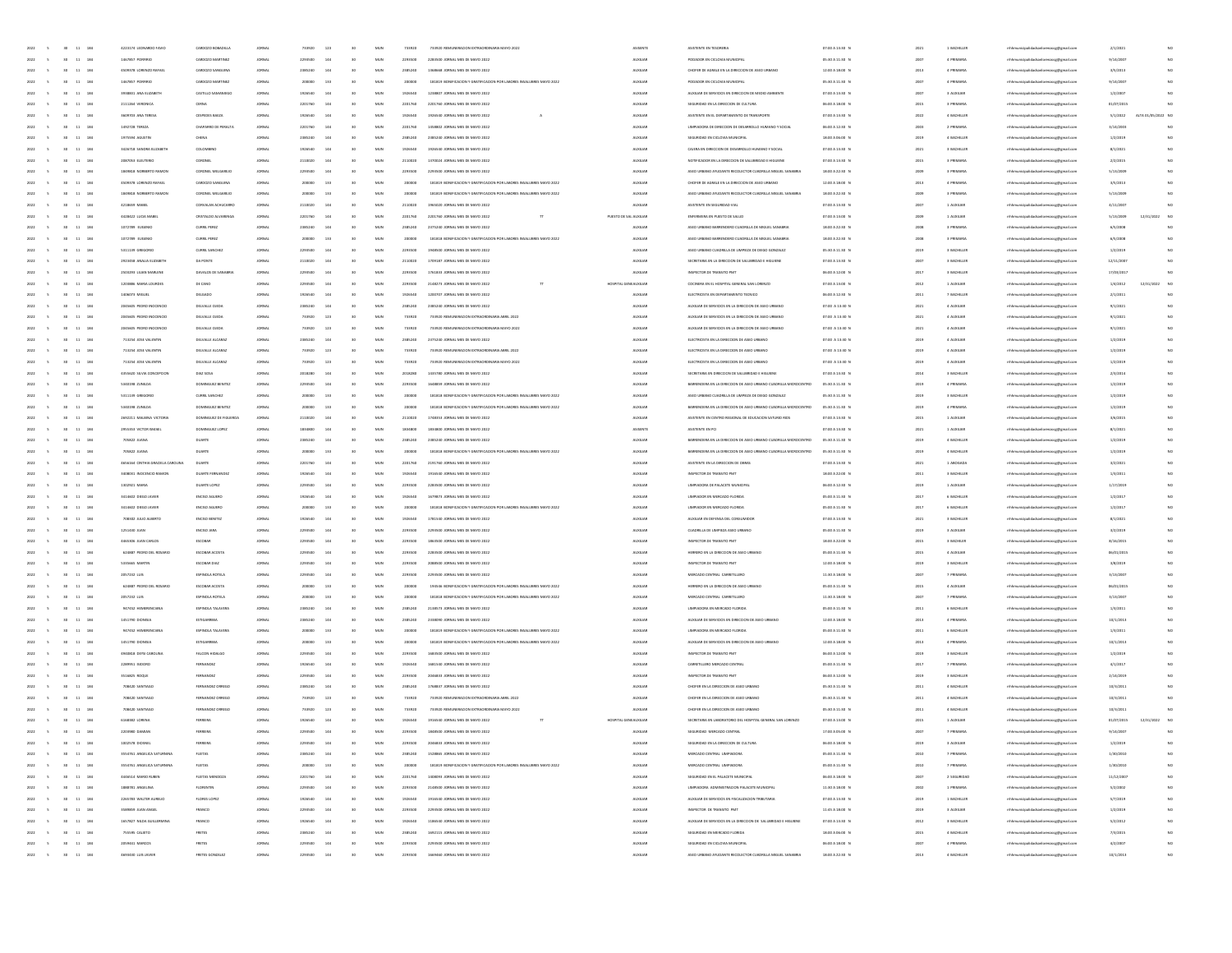| 2022<br>$30$ $11$ $184$                   | 4223124 LEONARDO FAVIO            | CARDOZO BOBADILLA        | <b>JORNAL</b> | 733920  | 123 | 30              | MUN          | 733920  | 733920 BEMINEBACION EXTRAORDINABIA MAYO 2022                         | ASISENTE               | ASISTENTE EN TESORERIA                                          | 07:00 A 13:30 N | 2021 | 1 BACHILLER | mhmunicipalidadsanlorenzocg@gmail.com   | 2/1/2021   |                    |
|-------------------------------------------|-----------------------------------|--------------------------|---------------|---------|-----|-----------------|--------------|---------|----------------------------------------------------------------------|------------------------|-----------------------------------------------------------------|-----------------|------|-------------|-----------------------------------------|------------|--------------------|
| 2022<br>30 11 184                         | 1467857 PORFIRIO                  | CARDOZO MARTINEZ         | <b>JORNAL</b> | 2293500 | 144 | 30 <sub>1</sub> | MUN          | 2293500 | 2283500 JORNAL MES DE MAYO 2022                                      | AUXILIAR               | PODADOR EN CICLOVIA MUNICIPAL                                   | 05:30 A 11:30 N | 2007 | 4 PRIMARY   | rthhmunicipalidadsanlorenzoce@email.com | 9/14/2007  | NO                 |
| 2022<br>11<br>184<br>30                   | 4509378 LORENZO RAFAEL            | CARDOZO SANGUINA         | JORNAL        | 2385240 | 144 |                 | MUN          | 2385240 | 1368668 JORNAL MES DE MAYO 2022                                      | AUXILIAR               | CHOFER DE AGRALE EN LA DIRECCIÓN DE ASEO URBANO                 | 12:00 A 18:00 N | 2013 | 4 PRIMARY   | mhhmunicipalidadsanlorenzocg@gmail.com  | 3/5/2013   | NO                 |
| 11 184<br>2022                            | 1467857 PORFIRIO                  | CARDOZO MARTINEZ         | JORNAL        | 200000  | 133 |                 | MUN          | 200000  | 181819 BONIFICACION Y GRATIFICACION POR LABORES INSALUBRES MAYO 2022 | <b>AUXILIAR</b>        | PODADOR EN CICLOVIA MUNICIPAL                                   | 05:30 A 11:30 N | 200  | 4 PRIMARY   | mhhmunicipalidadsanlorenzocg@gmail.com  | 9/14/2007  | NO                 |
| 11<br>184                                 | 3938831 ANA ELIZABETH             |                          |               | 1926540 | 144 |                 | MUN          |         |                                                                      | <b>AUXILIA</b>         | AUXILIAR DE SERVICIOS EN DIRECCION DE MEDIO AMBIENTI            | 07:00 A 13:30 N |      | 3 AUXILIA   | naocg@gmail.cor                         | 1/2/200    | NO                 |
| 2022<br>11 184<br><b>SO</b>               | 2111264 VERONICA                  | CERNA                    | <b>JORNAL</b> | 2201760 | 144 |                 | MUN          | 2201760 | 2201760 JORNAL MES DE MAYO 2022                                      | AUXILIAR               | SEGURIDAD EN LA DIRECCIÓN DE CULTURA                            | 06:00 A 18:00 N | 2015 | 3 PRIMARY   | mhhmunicipalidadsanlorenzocg@gmail.com  | 01/07/2019 | NO                 |
| 11 184<br>2022<br>30 <sub>2</sub>         | 3609703 ANA TERESA                | CESPEDES BAEZA           | <b>JORNAL</b> | 1926540 | 144 |                 | MUN          | 1926540 | 1926540 JORNAL MES DE MAYO 2022<br>A                                 | AUXILIAR               | ASISTENTE EN EL DEPARTAMENTO DE TRANSPORTE                      | 07:00 A 13:30 N | 2022 | 4 BACHILLER | mhhmunicipalidadsanlorenzoce@email.com  | 5/1/2022   | ALTA 01/05/2022 NO |
| 2022<br>11<br>184<br>30                   | 1492728 TEREZA                    | CHAPARRO DE PERALTA      | JORNAL        | 2201760 | 144 |                 | MUN          | 2201760 | 1458802 JORNAL MES DE MAYO 2022                                      | AUXILIAR               | LIMPIADORA DE DIRECCIÓN DE DESARROLLO HUMANO Y SOCIAL           | 06:00 A 12:30 N | 2003 | 2 PRIMARIA  | mhhmunicipalidadsanlorenzocg@gmail.com  | 3/14/2003  |                    |
| 11<br>184<br>2022                         | 1975594 AGUSTIP                   | CHENA                    | JORNAL        | 2385240 | 144 |                 | MUN          | 2385240 | 2385240 JORNAL MES DE MAYO 2022                                      | <b>AUXILIAR</b>        | SEGURIDAD EN CICLOVIA MUNICIPAL                                 | 18:00 A 06:00 1 | 2019 | 4 BACHILLER | mhmunicipalidadsanlorenzocg@gmail.com   | 1/2/2015   |                    |
| 11<br>184                                 | 3426718 SANDRA EUZABETI           | COLOMBIA                 |               | 1926540 | 144 |                 | MUN          | 192654  |                                                                      | <b>AUXILIAI</b>        | CAUERA EN DIRECCIÓN DE DESARROLLO HUMANO Y SOCIAL               | 07:00 A 13:30 N | 202  | 3 BACHILLE  | municipalidadsanlorenzocg@gmail.cor     | 8/1/202    | NO                 |
| 11 184<br>2022<br><b>SO</b>               | 2087053 ELEUTERIO                 | CORONEL                  | <b>JORNAL</b> | 2110020 | 144 |                 | MUN          | 2110020 | 1370024 JORNAL MES DE MAYO 2022                                      | AUXILIAR               | NOTIFICADOR EN LA DIRECCIÓN DE SALUBRIDAD E HIGUIENE            | 07:00 A 13:30 N | 2015 | 3 PRIMARIA  | mhhmunicipalidadsanlorenzocg@gmail.com  | 2/2/2015   | NO                 |
|                                           |                                   |                          |               |         |     |                 |              |         |                                                                      |                        |                                                                 |                 |      |             |                                         |            |                    |
| 11 184<br>2022<br>30 <sub>2</sub>         | 1849818 NORSERTO RAMON            | CORONEL MELGAREIC        | <b>JORNAL</b> | 2293500 | 144 |                 | MUN          | 2293500 | 2293500 JORNAL MES DE MAYO 2022                                      | AUXILIAR               | ASEO URBANO AYUDANTE RECOLECTOR CUADRILLA MIGUEL SANABRIA       | 18:00 A 22:30 N | 2009 | 3 PRIMARY   | mhhmunicipalidadsanlorenzocg@gmail.com  | 5/13/2009  | NO                 |
| 2022<br>11<br>184<br>30                   | 4509378 LORENZO RAFAEL            | CARDOZO SANGUINA         | JORNAL        | 200000  | 133 |                 | MUN          | 200000  | 181819 BONIFICACION Y GRATIFICACION POR LABORES INSALUBRES MAYO 2022 | AUXILIAR               | CHOFER DE AGRALE EN LA DIRECCION DE ASEO URBANO                 | 12:00 A 18:00 N | 2013 | 4 PRIMARY   | mhhmunicipalidadsanlorenzocg@gmail.com  | 3/5/2013   | NO                 |
| 11 184<br>2022                            | 1849318 NORSERTO RAMON            | CORONEL MELGARER         | JORNAL        | 200000  | 133 |                 | MUN          | 200000  | 181819 BONIFICACIÓN Y GRATIFICACIÓN POR LABORES INSALUBRES MAYO 202  | <b>AUXILIAR</b>        | ASEO URBANO AYUDANTE RECOLECTOR CUADRILLA MIGUEL SANABRIA       | 18:00 A 22:30 N | 2005 | 3 PRIMARIA  | mhmunicipalidadsanlorenzocg@gmail.com   | 5/13/2009  |                    |
| 11<br>184                                 | 4218659 MABE                      | CORVALAN ACH             | <b>JORNAL</b> | 2110020 | 144 |                 | MUN          |         |                                                                      | <b>AUXILIA</b>         | ASISTENTE EN SEGURIDAD VIA                                      | 07:00 A 13:30 N |      | 1 AUXILIA   | naocg@gmail.cor                         | 4/11/200   | NO                 |
| 184<br>2022<br><b>Vo</b><br>11            | 4428422 LUCIA MABEL               | CRISTALDO ALVARENGI      | <b>JORNAL</b> | 2201760 | 144 |                 | MUN          | 2201760 | 2201760 JORNAL MES DE MAYO 2022                                      | PUESTO DE SAL AUXILIAR | ENFERMERA EN PUESTO DE SALUD                                    | 07:00 A 13:00 N | 2009 | 1 AUXILIAR  | mhhmunicipalidadsanlorenzocg@gmail.com  | 5/13/2009  | 12/31/2022 NO      |
| 11 184<br>2022<br>30 <sub>2</sub>         | 1072789 EUGENIO                   | CURRIL PEREZ             | <b>JORNAL</b> | 2385240 | 144 |                 | MUN          | 2385240 | 2375240 IORNAL MFS DE MAYO 2022                                      | AUXILIAR               | ASEO URBANO BARRENDERO CUADRILLA DE MIGUEL SANABRIA             | 18:00 A 22:30 N | 2008 | 3 PRIMARY   | mhhmunicipalidadsanlorenzoce@email.com  | 6/5/2008   | NO                 |
| 2022<br>30 <sub>1</sub><br>11<br>184      | 1072789 EUGENIO                   | CURRIL PEREZ             | JORNAL        | 200000  | 133 |                 | MUN          | 200000  | 181818 BONIFICACION Y GRATIFICACION POR LABORES INSALUBRES MAYO 2022 | AUXILIAR               | ASEO URBANO BARRENDERO CUADRILLA DE MIGUEL SANABRIA             | 18:00 A 22:30 N | 2008 | 3 PRIMARIA  | mhhmunicipalidadsanlorenzocg@gmail.com  | 6/5/2008   | NO                 |
| 11 184<br>2022                            | 5311139 GREGORIC                  | <b>CURRIL SANCHEZ</b>    | JORNAL        | 2293500 | 144 |                 | MUN          | 2293500 | 1948500 JORNAL MES DE MAYO 2022                                      | <b>AUXILIAR</b>        | ASEO URBANO CUADRILLA DE LIMPIEZA DE DIEGO GONZALEZ             | 05:30 A 11:30 N | 2019 | 3 BACHILLER | mhmunicipalidadsanlorenzocg@gmail.com   | 1/2/2015   | NO                 |
| 11 184                                    | 2923458 ANALIA ELIZABETH          | DA PONTS                 |               | 2110020 | 144 |                 | MUN          | 211002  | 1709187 JORNAL MES DE MAYO 2022                                      | <b>AUXILIAI</b>        | SECRETARIA EN LA DIRECCIÓN DE SALUBRIDAD E HIGUIENE             | 07:00 A 13:30 N |      | 3 BACHILLE  | enzocg@gmail.cor                        | 12/11/200  | NO                 |
| 184<br>2022<br>11                         | 2503293 LILIAN MARLENE            | DAVALOS DE SANABRIA      | <b>JORNAL</b> | 2293500 | 144 |                 | MUN          | 2293500 | 1761833 JORNAL MES DE MAYO 2022                                      | AUXILIAR               | INSPECTOR DE TRANSITO PMT                                       | 06:00 A 12:00 N | 2017 | 3 BACHILLER | mhhmunicipalidadsanlorenzocg@gmail.com  | 17/03/2017 |                    |
| 11 184<br>2022<br>30 <sub>2</sub>         | 1203886 MARIA LOURDES             | DE CANO                  | <b>JORNAL</b> | 2293500 | 144 |                 | MUN          | 2293500 | 2148273 JORNAL MES DE MAYO 2022                                      | HOSPITAL GENEALIXILIAR | COCINERA EN EL HOSPITAL GENERAL SAN LORENZO                     | 07:00 A 13:00 N | 2012 | 1 AUXILIA   | mhhmunicipalidadsanlorenzoce@email.com  | 1/4/2012   | 12/31/2022 NO      |
| 2022<br>11<br>184<br>30                   | 1406073 MIGUEL                    | DELGADO                  | JOINAL        | 1926540 | 144 |                 | MUN          | 1926540 | 1200707 JORNAL MES DE MAYO 2022                                      | AUXILIAR               | ELECTRICISTA EN DEPARTAMENTO TECNICO                            | 06:00 A 12:30 N | 2011 | 7 BACHILLER | mhhmunicipalidadsanlorenzocg@gmail.com  | 2/1/2011   | NO                 |
| 184<br>11                                 | 2045605 PEDRO INOCENCIO           |                          | JORNAL        | 2385240 | 144 |                 | MUN          | 2385240 | 2385240 JORNAL MES DE MAYO 2022                                      | <b>AUXILIAR</b>        | AUXILIAR DE SERVICIOS EN LA DIRECCIÓN DE ASEO URBANO            | 07:00 A 13:30 N |      |             |                                         | 9/1/2021   |                    |
| 2022                                      |                                   | DELVALLE OVEDA           |               |         |     |                 |              |         |                                                                      |                        |                                                                 |                 | 2021 | 4 AUXILIA   | mhmunicipalidadsanlorenzocg@gmail.com   |            |                    |
| 11<br>184                                 | 2045605 PEDRO INOCENCIO           | DELVALLE OVED            | <b>JORNAL</b> | 733920  | 123 |                 | MUN          | 733921  | 733920 REMUNERACION EXTRAORDINARIA ABRIL 202                         | <b>AUXILIAI</b>        | AUXILIAR DE SERVICIOS EN LA DIRECCIÓN DE ASEO URBANI            | 07:00 A 13:30 N | 2021 | 4 AUXILIA   | enzocg@gmail.cor                        | 9/1/202    | NO                 |
| 184<br>2022<br>11                         | 2045605 PEDRO INOCENCIO           | DELVALLE OVEDA           | <b>JORNAL</b> | 733920  | 123 |                 | MUN          | 733920  | 733920 REMUNERACION EXTRAORDINARIA MAYO 2022                         | AUXILIAR               | AUXILIAR DE SERVICIOS EN LA DIRECCIÓN DE ASEO URBANO            | 07:00 A 13:30 N | 2021 | 4 AUXILIAR  | mhhmunicipalidadsanlorenzocg@gmail.com  | 9/1/2021   | NO                 |
| 11 184<br>2022<br>30 <sub>2</sub>         | 713254 JOSE VALENTIN              | DELVALLE ALCARAZ         | <b>JORNAL</b> | 2385240 | 144 |                 | MUN          | 2385240 | 2375240 JORNAL MES DE MAYO 2022                                      | AUXILIAR               | ELECTRICISTA EN LA DIRECCIÓN DE ASEO URBANO                     | 07:00 A 13:30 N | 2019 | 4 AUXILIA   | mhhmunicipalidadsanlorenzoce@email.com  | 1/2/2019   | NO                 |
| 2022<br>30 <sub>2</sub><br>11 184         | 713254 JOSE VALENTIN              | DELVALLE ALCARAZ         | <b>JORNAL</b> | 733920  | 123 |                 | MUN          | 733920  | 733920 REMUNERACION EXTRAORDINARIA ABRIL 2022                        | AUXILIAR               | ELECTRICISTA EN LA DIRECCIÓN DE ASEO URBANO                     | 07:00 A 13:30 N | 2019 | 4 AUXILIAR  | mhhmunicipalidadsanlorenzocg@gmail.com  | 1/2/2019   | NO                 |
| 184<br>11<br>2022                         | 713254 JOSE VALENTIN              | DELVALLE ALCARA          | JORNAL        | 733920  | 123 |                 | MUN          | 733920  | 733920 REMUNERACION EXTRAORDINARIA MAYO 2022                         | <b>AUXILIAR</b>        | ELECTRICISTA EN LA DIRECCIÓN DE ASEO URBANO                     | 07:00 A 13:30 N | 2019 | 4 AUXILIA   | mhmunicipalidadsanlorenzocg@gmail.com   | 1/2/2015   |                    |
| 11 184                                    | 4355620 SILVIA CONCEPCION         | DIAZ SOSA                | <b>JORNAL</b> | 2018280 | 144 |                 | MUN          | 201828  | 1435780 JORNAL MES DE MAYO 2022                                      | <b>AUXILIAI</b>        | SECRETARIA EN DIRECCIÓN DE SALUBRIDAD E HIGL                    | 07:00 A 13:30 1 | 2014 | 3 BACHILLE  | municipalidadsanlorenzocg@gmail.cor     | 2/3/201    | NO                 |
| 11 184<br>2022                            | 5340198 ZUNLDA                    | <b>DOMINGUEZ BENITEZ</b> | <b>JORNAL</b> | 2293500 | 144 |                 | MUN          | 2293500 | 1648859 JORNAL MES DE MAYO 2022                                      | AUXILIAR               | BARRENDERA EN LA DIRECCIÓN DE ASEO URBANO CUADRULA MICROCENTRO  | 05:30 A 11:30 N | 2019 | 4 PRIMARIA  | mhhmunicipalidadsanlorenzocg@gmail.com  | 1/2/2019   | NO                 |
| 11 184<br>2022<br>30 <sub>2</sub>         | 5311139 GREGORIC                  | CURRIL SANCHEZ           | <b>JORNAL</b> | 200000  | 133 |                 | MUN          | 200000  | 181818 BONIFICACION Y GRATIFICACION POR LABORES INSALUBRES MAYO 2022 | AUXILIAR               | ASEO URBANO CUADRILLA DE LIMPIEZA DE DIEGO GONZALEZ             | 05:30 A 11.30 N | 2019 | 3 BACHILLER | mhhmunicipalidadsanlorenzoce@email.com  | 1/2/2019   | NO                 |
| 2022<br>11 184<br>30                      | 5340198 ZUNLDA                    | DOMINGUEZ BENITEZ        | <b>JORNAL</b> | 200000  | 133 |                 | MUN          | 200000  | 181818 BONIFICACION Y GRATIFICACION POR LABORES INSALUBRES MAYO 2022 | AUXILIAR               | BARRENDERA EN LA DIRECCIÓN DE ASEO URBANO CUADRILLA MICROCENTRO | 05:30 A 11:30 N | 2019 | 4 PRIMARIA  | mhhmunicipalidadsanlorenzocg@gmail.com  | 1/2/2019   | NO                 |
| 184<br>11                                 | 2692211 MALBINA VICTORIA          | DOMINGUEZ DE FIGUEROJ    | JORNAL        | 2110020 | 144 |                 | MUN          | 2110020 | 1748353 JORNAL MES DE MAYO 2022                                      | <b>AUXILIAR</b>        | ASISTENTE EN CENTRO REGIONAL DE EDUCACIÓN SATURIO RIOS          | 07:00 A 13:30 N | 2015 | 1 AUXU14    | mhmunicipalidadsanlorenzocg@gmail.com   | 3/6/2015   |                    |
| 11<br>184                                 | 2955353 VICTOR ISMAI              | DOM/NGUEZ                |               | 1834800 | 144 |                 | MUN          |         | 1834800 JORNAL MES DE MAYO 2022                                      | ASISENT                | ASISTENTE EN PCI                                                | 07:00 A 13:30 1 | 2021 | 1 AUXILIA   | mhhmunicipalidadsanlorenzocg@gmail.co   | 8/1/202    | NO                 |
| 11 184<br>2022<br><b>SO</b>               | 705822 JUANA                      | DUARTE                   | <b>JORNAL</b> | 2385240 | 144 |                 | MUN          | 2385240 | 2385240 JORNAL MES DE MAYO 2022                                      | AUXILIAR               | BARRENDERA EN LA DIRECCIÓN DE ASEO URBANO CUADRILLA MICROCENTRO | 05:30 A 11:30 N | 2019 | 4 BACHILLER | mhhmunicipalidadsanlorenzocg@gmail.com  | 1/2/2019   | NO                 |
|                                           | 705822 JUANA                      | DUARTE                   |               |         | 133 |                 | MUN          |         | 181818 BONIFICACION Y GRATIFICACION POR LABORES INSALUBRES MAYO 2022 | AUXILIAR               | BARRENDERA EN LA DIRECCIÓN DE ASEO URBANO CUADRILLA MICROCENTRO | 05:30 A 11:30 N |      | 4 BACHILLER |                                         | 1/2/2019   | NO                 |
| 11 184<br>2022<br>30 <sub>2</sub>         |                                   |                          | <b>JORNAL</b> | 200000  |     |                 |              | 200000  |                                                                      |                        |                                                                 |                 | 2019 |             | rthhmunicipalidadsanlorenzoce@email.com |            |                    |
| 2022<br>11 184<br>30                      | 4656164 CINTHIA GRACIELA CAROLINA | DUARTE                   | JORNAL        | 2201760 | 144 |                 | MUN          | 2201760 | 2191760 JORNAL MES DE MAYO 2022                                      | AUXILIAR               | ASISTENTE EN LA DIRECCIÓN DE OBRAS                              | 07:00 A 13:30 N | 2021 | 1 ABOGADA   | mhhmunicipalidadsanlorenzocg@gmail.com  | 3/2/2021   | NO                 |
| 184<br>11                                 | 3408031 INOCENCIO RAMON           | <b>DUARTE FERNANDS</b>   | JORNAL        | 1926540 | 144 |                 | MUN          | 1926540 | 1916540 JORNAL MES DE MAYO 2022                                      | <b>AUXILIAR</b>        | INSPECTOR DE TRANSITO PMT                                       | 18:00 A 22:00 N | 2011 | 3 BACHILLER | mhhmunicipalidadsanlorenzocg@gmail.com  | 1/3/2011   |                    |
| $\mathbf{11}$<br>18                       | 1302921 MARI                      | DUARTE LOPE              |               | 2293500 |     |                 | MUN          | 229350  |                                                                      | <b>AUXILIAI</b>        | LIMPIADORA DE PALACETE MUNICIPA                                 | 06:00 A 12:30 1 |      | 1 AUXILIA   | mhhmunicipalidadsanlorenzocg@gmail.com  | 1/17/201   | NO                 |
| 184<br>2022<br><b>SO</b><br>11            | 3414602 DIEGO JAVIER              | ENOSO AGUERO             | <b>JORNAL</b> | 1926540 | 144 |                 | MUN          | 1926540 | 1679873 JORNAL MES DE MAYO 2022                                      | AUXILIAR               | LIMPIADOR EN MERCADO FLORIDA                                    | 05:00 A 11:30 N | 2017 | 6 BACHILLER | mhhmunicipalidadsanlorenzocg@gmail.com  | 1/2/2017   | NO                 |
| 11 184<br>2022<br>30 <sub>2</sub>         | 3414602 DIEGO JAVIER              | ENOSO AGUERO             | <b>JORNAL</b> | 200000  | 133 |                 | MUN          | 200000  | 181818 BONIFICACION Y GRATIFICACION POR LABORES INSALUBRES MAYO 2022 | AUXILIAR               | LIMPIADOR EN MERCADO FLORIDA                                    | 05:00 A 11:30 N | 2017 | 6 BACHILLER | rthhmunicipalidadsanlorenzoce@email.com | 1/2/2011   | NO                 |
| 2022<br>11 184<br>30                      | 708302 JULIO ALBERTO              | ENOSO BENITEZ            | JORNAL        | 1926540 | 144 |                 | MUN          | 1926540 | 1781540 JORNAL MES DE MAYO 2022                                      | AUXILIAR               | AUXILIAR EN DEFENSA DEL CONSUMIDOR                              | 07:00 A 13:30 N | 2021 | 3 BACHILLER | mhhmunicipalidadsanlorenzocg@gmail.com  | 8/1/2021   | NO                 |
| 11<br>184                                 | 1251430 JUAN                      | ENDSO JAIU               | JORNAL        | 2293500 |     |                 | MUN          | 2293500 | 2293500 JORNAL MES DE MAYO 2022                                      | <b>AUXILIAR</b>        | CUADILLA DE LIMPIEZA ASEO LIRBANO                               | 05:00 A 11:30 N | 2019 | 3 AUXILIA   | mhhmunicipalidadsanlorenzocg@gmail.com  | 3/2/2019   |                    |
| $11\,$<br>18                              | 4465306 JUAN CARLO                | ESCOBAR                  |               | 229350  |     |                 | MUN          | 229350  | 1863500 JORNAL MES DE MAYO 2022                                      | <b>AUXILIAI</b>        | INSPECTOR DE TRANSITO PM                                        | 18:00 A 22:00 B |      | 3 BACHILE   | mhhmunicipalidadsanlorenzocg@gmail.com  | 8/16/201   | NO                 |
| 2022<br>11 184<br><b>SO</b>               | 624887 PEDRO DEL ROSARIO          | ESCOBAR ACOSTA           | <b>JORNAL</b> | 2293500 | 144 |                 | MUN          | 2293500 | 2283500 JORNAL MES DE MAYO 2022                                      | AUXILIAR               | HERRERO EN LA DIRECCIÓN DE ASEO URBANI                          | 05:00 A 11:30 N | 2015 | 4 AUXILIAR  | mhhmunicipalidadsanlorenzocg@gmail.com  | 06/01/2019 | NO                 |
| 11 184<br>2022<br>30 <sub>2</sub>         | 5335665 MARTIN                    | ESCOBAR DIAZ             | <b>JORNAL</b> | 2293500 | 144 |                 | MUN          | 2293500 | 2088500 JORNAL MES DE MAYO 2022                                      | AUXILIAR               | INSPECTOR DE TRANSITO PMT                                       | 12:00 A 18:00 N | 2019 | 3 BACHILLER | rthhmunicipalidadsanlorenzoce@email.com | 3/8/2019   | NO                 |
| 2022<br>11 184<br>30                      | 2057232 LUIS                      | ESPINOLA ROTELA          | JORNAL        | 2293500 | 144 |                 | MUN          | 2293500 | 2293500 JORNAL MES DE MAYO 2022                                      | AUXILIAR               | MERCADO CENTRAL CARRETILLERO                                    | 11:30 A 18:00 N | 2007 | 7 PRIMARIA  | mhhmunicipalidadsanlorenzocg@gmail.com  | 3/13/2007  | NO                 |
| $11\,$<br>184                             | 624887 PEDRO DEL ROSARIO          | ESCOBAR ACOST            | JORNAL        | 000002  | 133 |                 | MUN          | 20000   | 194546 BONIFICACION Y GRATIFICACION POR LABORES INSALUBRES MAYO 202  | <b>AUXILIAR</b>        | HERRERO EN LA DIRECCIÓN DE ASEO URBANI                          | 05:00 A 11:30 N | 2015 | 4 AUXILIA   | mhmunicipalidadsanlorenzocg@gmail.com   | 06/01/2019 |                    |
| $\mathbf{11}$<br>18                       | 2057232 LUIS                      | <b>ESPINOLA ROTEL</b>    |               |         | 133 |                 | MUN          | 200001  | 181818 BONIFICACION Y GRATIFICACION POR LABORES INSALUBRES MAYO 202  | <b>AUXILIA</b>         | MERCADO CENTRAL CARRETILLER                                     | 11:30 A 18:00 f |      | 7 PRIMARI   |                                         | 3/13/200   | NO                 |
|                                           |                                   |                          |               |         |     |                 |              |         |                                                                      |                        |                                                                 |                 |      |             | mhhmunicipalidadsanlorenzocg@gmail.com  |            |                    |
| 2022<br>11 184<br><b>SO</b>               | 947452 HEMERENCIANA               | ESPINOLA TALAVERA        | <b>JORNAL</b> | 2385240 | 144 |                 | MUN          | 2385240 | 2138573 JORNAL MES DE MAYO 2022                                      | AUXILIAR               | LIMPIADORA EN MERCADO FLORIDA                                   | 05:00 A 11:30 N | 2011 | 6 BACHILLER | mhhmunicipalidadsanlorenzocg@gmail.com  | 1/3/2011   | NO                 |
| 11 184<br>2022<br>30 <sub>2</sub>         | 1451790 DIONISIA                  | <b>ESTIGARRIBIA</b>      | <b>JORNAL</b> | 2385240 | 144 |                 | MUN          | 2385240 | 2338090 JORNAL MES DE MAYO 2022                                      | AUXILIAR               | AUXILIAR DE SERVICIOS EN DIRECCIÓN DE ASEO URBANO               | 12:00 A 18:00 N | 2013 | 4 PRIMARY   | rthhmunicipalidadsanlorenzoce@email.com | 10/1/2013  | NO                 |
| 2022<br>11 184<br>30                      | 947452 HEMERENCIAN                | ESPINOLA TALAVERA        | JORNAL        | 200000  | 133 |                 | MUN          | 200000  | 181819 BONIFICACION Y GRATIFICACION POR LABORES INSALUBRES MAYO 2022 | AUXILIAR               | LIMPIADORA EN MERCADO FLORIDA                                   | 05:00 A 11:30 N | 2011 | 6 BACHILLER | mhhmunicipalidadsanlorenzocg@gmail.com  | 1/3/2011   | NO                 |
| 11 184                                    | 1451790 DIONISIA                  | <b>ESTIGARRIBV</b>       | JORNAL        | 000005  | 133 |                 | MUN          | 200000  | 181819 BONIFICACION Y GRATIFICACION POR LABORES INSALUBRES MAYO 202  | <b>AUXILIAR</b>        | AUXILIAR DE SERVICIOS EN DIRECCIÓN DE ASEO URBANO               | 12:00 A 18:00 1 | 2013 | 4 PRIMARIA  | mhmunicipalidadsanlorenzocg@gmail.com   | 10/1/2013  |                    |
| $\bf{11}$<br>184                          | 4940818 DEYSI CAROLIN             |                          |               | 2293500 | 144 |                 | MUN          | 229350  | 1683500 JORNAL MES DE MAYO 202:                                      | <b>AUXILIA</b>         | INSPECTOR DE TRANSITO PM                                        | 06:00 A 12:00 1 |      | 3 BACHILLE  | mhhmunicipalidadsanlorenzocg@gmail.com  | 1/2/201    | NO                 |
| 2022<br>11 184<br>30 <sub>2</sub>         | 2289351 ISDORO                    | <b>FERNANDEZ</b>         | <b>JORNAL</b> | 1926540 | 144 |                 | MUN          | 1926540 | 1681540 JORNAL MES DE MAYO 2022                                      | AUXILIAR               | CARRETILLERO MERCADO CENTRAL                                    | 05:00 A 11:30 N | 2017 | 7 PRIMARIA  | mhhmunicipalidadsanlorenzocg@gmail.com  | 4/1/2017   | NO                 |
| 30 <sub>2</sub><br>11 184<br>2022         | 3516825 ROOLE                     | <b>FERNANDEZ</b>         | <b>JORNAL</b> | 2293500 | 144 |                 | MUN          | 2293500 | 2046833 IOBNALMES DE MAYO 2022                                       | AUXILIAR               | INSPECTOR DE TRANSITO PMT                                       | 06:00 A 12:00 N | 2019 | 3 BACHILLER | rthhmunicipalidadsanlorenzoce@email.com | 2/14/2019  | NO                 |
| 2022<br>11 184<br>30                      | 708420 SANTIAGO                   | FERNANDEZ ORREGO         | JORNAL        | 2385240 | 144 |                 | MUN          | 2385240 | 1768837 JORNAL MES DE MAYO 2022                                      | AUXILIAR               | CHOFER EN LA DIRECCIÓN DE ASEO URBANO                           | 05:30 A 11:30 N | 2011 | 4 BACHILLER | mhhmunicipalidadsanlorenzocg@gmail.com  | 10/3/2011  | NO                 |
| 11<br>184<br>2022                         | 708420 SANTIAGO                   | FERNANDEZ ORREGO         | JORNAL        | 733920  | 123 |                 | MUN          | 733920  | 733920 REMUNERACION EXTRAORDINARIA ABRIL 202                         | <b>AUXILIAR</b>        | CHOFER EN LA DIRECCIÓN DE ASEO URBANO                           | 05:30 A 11:30 N | 2011 | 4 BACHILLER | mhhmunicipalidadsanlorenzocg@gmail.com  | 10/3/2011  |                    |
| 18                                        | 708420 SANTIAGO                   |                          |               |         | 123 |                 | MUM          | 73392   | 733920 REMUNERACION EXTRAORDINARIA MAYO 202                          |                        | CHOFER EN LA DIRECCIÓN DE ASEO URBA                             | 05:30 A 11:30 f |      | 4 BACHILLI  | mhhmunicipalidadsanlorenzocg@gmail.com  | 10/3/2011  |                    |
| 2022 5<br>30 11 184                       | 6168382 LORENA                    | FERREIRA                 | <b>JORNAL</b> | 1926540 | 144 |                 | MUN          | 1926540 | 1916540 JORNAL MES DE MAYO 2022<br>T                                 | HOSPITAL GENEALIXILIAR | SECRETARIA EN LARORATORIO DEL HOSPITAL GENERAL SAN LORENZO      | 07:00 A 13:00 N | 2015 | 1 AUXILIAR  | mhhmunicipalidadsanlorenzocg@gmail.com  | 01/07/2015 | 12/31/2022 NO      |
| 2022 5 30 11 184                          | 2203980 DAM/AN                    | FERREIRA                 | <b>JORNAL</b> | 2203500 | 144 | 30              | MUN          | 2293500 | 1848500 JORNAL MES DE MAYO 2022                                      | AUXILIAR               | SEGURIDAD MERCADO CENTRAL                                       | 17:00 A 05:00 N | 2007 | 7 PRIMARY   | mhhmunicipalidadsanlorenzoce@email.com  | 9/14/2007  | NO                 |
|                                           |                                   |                          |               |         |     |                 |              |         |                                                                      |                        |                                                                 |                 |      |             |                                         |            |                    |
|                                           | 1002578 DIOSNE                    |                          |               |         |     |                 |              | 2293500 | 2046833 JORNAL MES DE MAYO 2022                                      | <b>ALCOHOL</b>         | SEGURIDAD EN LA DIRECCIÓN DE CULTURI                            | 06:00 A 18:00 N |      | 3 AUXILIA   | mhhmunicipalidad<br>oce@email.com       | 1/2/2019   |                    |
| 2022<br>$30\qquad 11\qquad 184$<br>$\sim$ | 3554761 ANGELICA SATURNINA        | FLEITAS                  | JORNAL        | 2385240 | 144 |                 | MUN          |         | 2385240 1528865 JORNAL MES DE MAYO 2022                              | <b>AUXILIAR</b>        | MERCADO CENTRAL LIMPIADORA                                      | 05:00 A 11:30 N | 2010 | 7 PRIMARIA  | mhhmunicipalidadsanlorenzocg@gmail.com  | 1/30/2010  |                    |
| 2022<br>$30 - 11 - 184$                   | 3554761 ANGELICA SATURNIP         | <b>FLEITAS</b>           |               | 200000  | 133 | 30 <sub>°</sub> | $_{\rm MUN}$ | 200000  | 181819 BONIFICACIÓN Y GRATIFICACIÓN POR LABORES INSALUBRES MAYO 2022 | <b>AUXILIAR</b>        | MERCADO CENTRAL LIMPIADORA                                      | 05:00 A 11:30 N | 2010 | 7 PRIMARIA  | mhmunicipalidadsanlorenzocg@gmail.com   | 1/30/2010  | NO                 |
| 2022<br>30 11 184<br>$\sim$               | 4446514 MARIO RUBEN               | FLEITAS MENDOZA          | JORNAL        | 2201760 | 144 | 30 <sub>1</sub> | MUN          | 2201760 | 1408093 JORNAL MES DE MAYO 2022                                      | AUXILIAR               | SEGURIDAD EN EL PALACETE MUNICIPAL                              | 06:00 A 18:00 N | 2007 | 2 SEGURIDAD | mhhmunicipalidadsanlorenzocg@gmail.com  | 11/12/2007 | NO                 |
| 2022<br>$30$ $11$ $184$<br>$\sim$         | 1888781 ANGELINA                  | <b>FLORENTIN</b>         | JORNAL        | 2203500 | 144 | 30 <sub>1</sub> | MUN          | 2293500 | 2148500 JORNAL MES DE MAYO 2022                                      | AUXILIAR               | LIMPIADORA ADMINISTRACIÓN PALACETE MUNICIPAL                    | 11:30 A 18:00 N | 2002 | 1 PRIMARIA  | mhmunicipalidadsanlorenzocg@gmail.com   | 5/2/2002   | NO                 |
| 2022 5<br>30 11 184                       | 2265783 WALTER AURELIO            | FLORES LOPEZ             | JORNAL        | 1926540 | 144 | 30 <sub>1</sub> | MUN          | 1926540 | 1916540 JORNAL MES DE MAYO 2022                                      | AUXILIAR               | AUXILIAR DE SERVICIOS EN FISCAUZACIÓN TRIBUTARIA                | 07:00 A 13:30 N | 2019 | 1 BACHILLER | mhhmunicipalidadsanlorenzocg@gmail.com  | 5/7/2019   | NO                 |
| $30 - 11 - 184$<br>2022<br>$\sim$         | 3589859 JUAN ANGEL                | FRANCO                   | <b>JORNAL</b> | 2203500 | 144 |                 | MUN          | 2293500 | 2293500 JORNAL MES DE MAYO 2022                                      | <b>AUXILIAR</b>        | INSPECTOR DE TRANSITO PMT                                       | 11:45 A 18:00 N | 2019 | 3 AUXILIAR  | mhhmunicipalidadsanlorenzocg@gmail.com  | 1/2/2019   | NO                 |
| 2022<br>$30 - 11 - 184$                   | 1657827 NILDA GUILLERMIN          | FRANCO                   | JORNAL        | 1926540 | 144 |                 | MUN          | 1926540 | 1186540 JORNAL MES DE MAYO 2022                                      | <b>AUXILIAR</b>        | AUXILIAR DE SERVICIOS EN LA DIRECCIÓN DE SALUBRIDAD E HIGUIENE  | 07:00 A 13:30 N | 2012 | 3 BACHILLER | mhmunicipalidadsanlorenzocg@gmail.com   | 5/2/2012   | $_{\rm NO}$        |
| 2022 5<br>30 11 184                       | 755595 CALIXTO                    | FRETES                   | JORNAL        | 2385240 | 144 | 30 <sub>1</sub> | MUN          | 2385240 | 1692115 JORNAL MES DE MAYO 2022                                      | <b>AUXILIAR</b>        | SEGUINDAD EN MERCADO ELORIDA                                    | 18:00 A 06:00 N | 2015 | 4 BACHILLER | mhmunicipalidadsanlorenzocg@gmail.com   | 7/3/2015   | NO                 |
| 2022 5<br>30 11 184                       | 2059441 MARCOS                    | FRETES                   | JORNAL        | 2293500 | 144 | 30 <sub>1</sub> | MUN          | 2293500 | 2293500 IOBNAL MES DE MAYO 2022                                      | AUXILIAR               | SEGURIDAD EN CICLOVIA MUNICIPAL                                 | 06:00 A 18:00 N | 2007 | 4 PRIMARIA  | mhmunicipalidadsanlorenzocg@gmail.com   | 4/2/2007   | $_{\rm NO}$        |
| 2022 5 30 11 184                          | 4693430 LUIS JAVIER               | FRETES GONZALEZ          | JORNAL        | 2293500 | 144 | 30 <sub>1</sub> | MUN          | 2293500 | 1669460 JORNAL MES DE MAYO 2022                                      | AUXILIAR               | ASEO URBANO AYUDANTE RECOLECTOR CUADRILLA MIGUEL SANABRIA       | 18:00 A 22:30 N | 2013 | 4 BACHILLER | mhhmunicipalidadsanlorenzocg@gmail.com  | 10/1/2013  | NO                 |
|                                           |                                   |                          |               |         |     |                 |              |         |                                                                      |                        |                                                                 |                 |      |             |                                         |            |                    |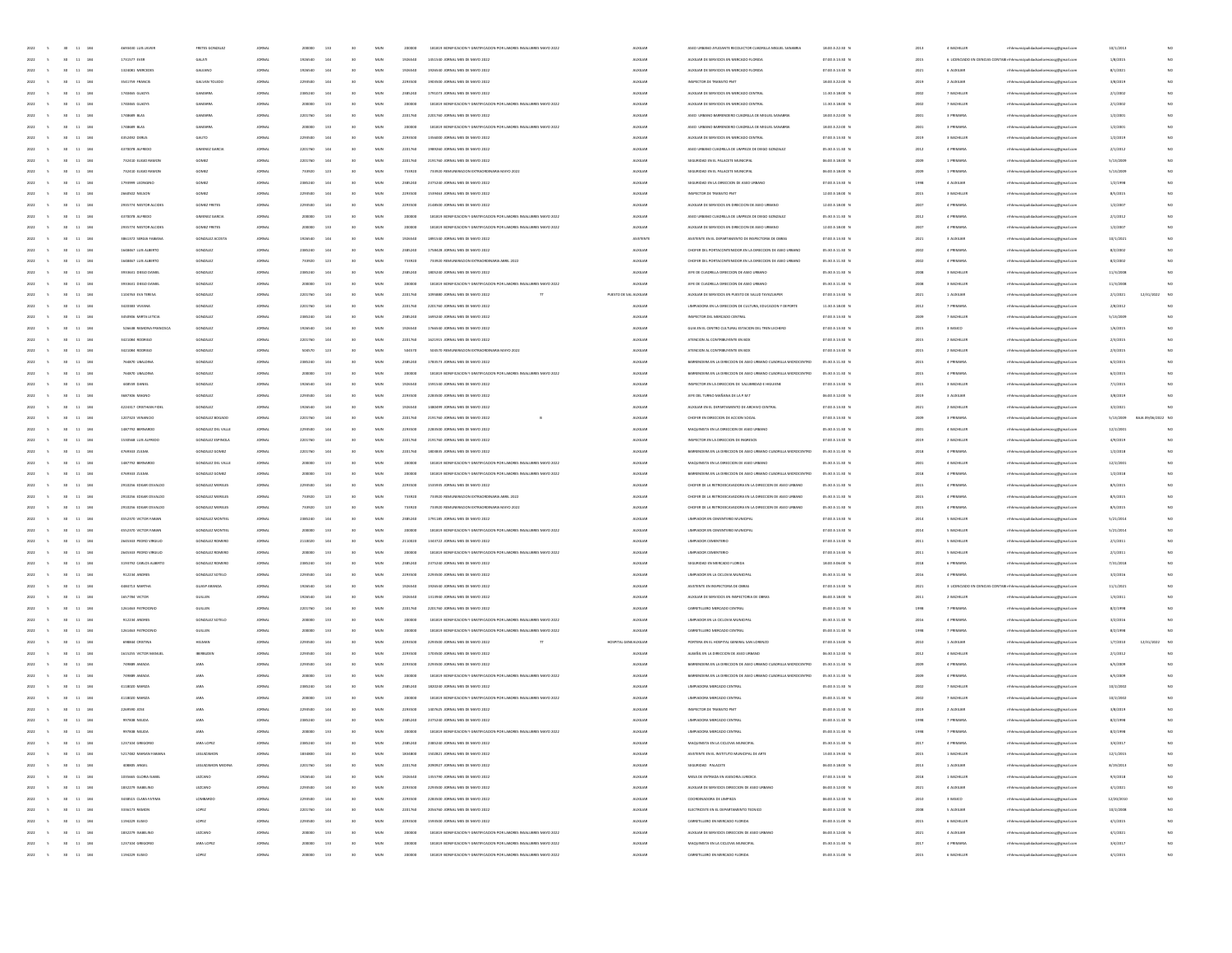| 2022<br>$\sim$<br>30 11 184                                 | 4693430 LUIS JAVIER     | FRETES GONZALEZ    | JORNAL        | 200000  | 133 | 30              | MUN          | 200000  | 181819 BONIFICACION Y GRATIFICACION POR LABORES INSALUBRES MAYO 2022 | <b>AUXILIAR</b>        | ASEO URBANO AYUDANTE RECOLECTOR CUADRILLA MIGUEL SANABRIA       | 18:00 A 22:30 N | 2013 | 4 BACHILLER                  | mhhmunicipalidadsanlorenzocg@gmail.com                                  | 10/1/201   |                    |     |
|-------------------------------------------------------------|-------------------------|--------------------|---------------|---------|-----|-----------------|--------------|---------|----------------------------------------------------------------------|------------------------|-----------------------------------------------------------------|-----------------|------|------------------------------|-------------------------------------------------------------------------|------------|--------------------|-----|
| 2022<br>30 11 184                                           | 1731577 EVER            | GALATI             | JORNAL        | 1926540 | 144 | 30              | MUN          | 1926540 | 1451540 JORNAL MES DE MAYO 2022                                      | <b>AUXILIAR</b>        | AUXILIAR DE SERVICIOS EN MERCADO FLORIDA                        | 07:00 A 13:30 N | 2015 |                              | 6 LICENCIADO EN CIENCIAS CONTABI mhhmunicipalidadsanlorenzoog@gmail.com | 1/8/2015   |                    | NO. |
| 2022<br>30 <sub>1</sub><br>11 184                           | 1324081 MERCEDES        | GALEANO            | JORNAL        | 1926540 | 144 | 50              | MUN          | 1926540 | 1926540 JORNAL MES DE MAYO 2022                                      | AUXILIAR               | AUXILIAR DE SERVICIOS EN MERCADO FLORIDA                        | 07:00 A 13:30 N | 2021 | 6 AUXILIAR                   | mhmunicipalidadsanlorenzocg@gmail.com                                   | 8/1/2021   |                    | NO  |
| 184                                                         | 3541759 FRANCIS         | GALVAN TO          |               | 2203500 | 144 |                 | MUN          | 2293500 | 1903500 JORNAL MES DE MAYO 202:                                      | <b>AUXILIA</b>         | INSPECTOR DE TRANSITO PMT                                       | 18:00 A 22:00 N | 2015 | 2 AUXILIA                    | thhmunicipalidadsanlorenzocg@gmail.cor                                  | 3/8/2019   |                    | NO  |
| 2022<br>so.<br>11 184                                       | 1740465 GLADIS          | GAMARINA           | JORNAL        | 2385240 | 144 | 30              | MUN          | 2385240 | 1791073 JORNAL MES DE MAYO 2022                                      | <b>AUXILIAR</b>        | AUDILIAR DE SERVICIOS EN MERCADO CENTRAL                        | 11:30 A 18:00 N | 2002 | 7 BACHILLER                  | mhhmunicipalidadsanlorenzocg@gmail.com                                  | 2/1/2002   |                    | NO  |
| 2022<br>11 184<br>30 <sub>1</sub>                           | 1740465 GLADI'S         | GAMARINA           | JORNAL        | 200000  | 133 | 30 <sub>1</sub> | MUN          | 200000  | 181819 BONIFICACION Y GRATIFICACION POR LABORES INSALUBRES MAYO 2022 | <b>AUXILIAR</b>        | AUXILIAR DE SERVICIOS EN MERCADO CENTRAL                        | 11:30 A 18:00 N | 2002 | 7 BACHILLER                  | mhhmunicipalidadsanlorenzocg@gmail.com                                  | 2/1/2002   |                    | NO  |
| 2022<br>11 184<br>30 <sub>1</sub>                           | 1748689 BLAS            | GAMARRA            | JORNAL        | 2201760 | 144 | 30              | MUN          | 2201760 | 2201760 JORNAL MES DE MAYO 2022                                      | <b>AUXILIAR</b>        | ASEO URBANO BARRENDERO CUADRILLA DE MIGUEL SANABRIA             | 18:00 A 22:00 N | 2001 | 3 PRIMARIA                   | mhhmunicipalidadsanlorenzocg@gmail.com                                  | 1/2/2001   |                    | NO  |
| 11 184                                                      | 1748689 BLAS            |                    |               |         | 133 | 30              | MUN          | 200000  | 181819 BONIFICACION Y GRATIFICACION POR LABORES INSALUBRES MAYO 2022 |                        | ASEO URBANO BARRENDERO CUADRILLA DE MIGUEL SANABRU              |                 | 2001 |                              |                                                                         |            |                    | NO  |
| 2022<br>30 <sub>1</sub>                                     |                         | GAMARRA            | JORNAL        | 200000  |     |                 |              |         |                                                                      | <b>AUXILIAR</b>        |                                                                 | 18:00 A 22:00 N |      | 3 PRIMARIA                   | mhhmunicipalidadsanlorenzocg@gmail.com                                  | 1/2/2001   |                    | NO  |
| 184                                                         | 4352492 DERLIS          | GALITO             |               |         |     |                 | MUN          | 2293500 | 1356000 JORNAL MES DE MAYO 2022                                      | <b>AUXILIA</b>         | AUXILIAR DE SERVICIOS EN MERCADO CENTRAL                        | 07:00 A 13:30 N | 2019 | 3 BACHILLE                   | thhmunicipalidadsanlorenzocg@gmail.cor                                  | 1/2/2015   |                    |     |
| 2022<br>30 <sub>1</sub><br>11 184                           | 4370078 AUREDO          | GIMENEZ GAR        | JORNAL        | 2201760 | 144 | 50              | MUN          | 2201760 | 1989260 JORNAL MES DE MAYO 2022                                      | <b>AUXILIAR</b>        | ASEO URBANO CUADRILLA DE LIMPIEZA DE DIEGO GONZALEZ             | 05:30 A 11:30 N | 2012 | 4 PRIMARIA                   | nhhmunicipalidadsanlorenzocg@gmail.com                                  | 2/1/2012   |                    | NO  |
| 2022<br>11 184<br>30 <sub>1</sub>                           | 732410 ELIGIO RAMON     | GOMEZ              | JORNAL        | 2201760 | 144 | 30 <sub>1</sub> | MUN          | 2201760 | 2191760 JORNAL MES DE MAYO 2022                                      | <b>AUXILIAR</b>        | SEGURIDAD EN EL PALACETE MUNICIPAL                              | 06:00 A 18:00 N | 2009 | 1 PRIMARIA                   | mhhmunicipalidadsanlorenzocg@gmail.com                                  | 5/13/2001  |                    | NO  |
| 2022<br>30 <sub>1</sub><br>11 184                           | 732410 ELIGIO RAMON     | GOME2              | JORNAL        | 733920  | 123 | 30              | MUN          | 733920  | 733920 REMUNERACION EXTRAORDINARIA MAYO 2022                         | <b>AUXILIAR</b>        | SEGURIDAD EN EL PALACETE MUNICIPAL                              | 06:00 A 18:00 N | 2009 | 1 PRIMARIA                   | mhhmunicipalidadsanlorenzocg@gmail.com                                  | 5/13/2001  |                    | NO  |
| 11 184<br>2022<br>30 <sub>1</sub>                           | 1793999 LEONGINO        | GOME2              | JORNAL        | 2385240 | 144 | 30              | MUN          | 2385240 | 2375240 JORNAL MES DE MAYO 2022                                      | <b>AUXILIAR</b>        | SEGURIDAD EN LA DIRECCIÓN DE ASEO URBANO                        | 07:00 A 13:30 N | 1998 | 4 AUXILIA                    | mhhmunicipalidadsanlorenzocg@gmail.com                                  | 1/2/1998   |                    | NO  |
| 184                                                         | 2660502 NELSON          | SOME               |               |         |     |                 | MUN          | 229350  | 1539463 JORNAL MES DE MAYO 2022                                      | <b>AUXILIA</b>         | INSPECTOR DE TRANSITO PMT                                       | 12:00 A 18:00 N | 2015 | 3 BACHILLE                   | thhmunicipalidadsanlorenzocg@gmail.cor                                  | 8/5/2019   |                    | NO  |
| 2022<br>so.<br>11 184                                       | 2935774 NESTOR ALCIDES  | GOMEZ FRETES       | JORNAL        | 2293500 | 144 | 50              | MUN          | 2293500 | 2148500 JORNAL MES DE MAYO 2022                                      | <b>AUXILIAR</b>        | AIRE NE SENIOOS EN DIRECTION DE ASEO LIBRANO                    | 12:00 A 18:00 N | 2007 | 4 PRIMARIA                   | mhhmunicipalidadsanlorenzocg@gmail.com                                  | 1/2/2007   |                    | NO  |
| 2022<br>11 184<br>30 <sub>1</sub>                           | 4370078 ALFREDO         | GIMENEZ GARCI      | JORNAL        | 200000  | 133 | 30              | MUN          | 200000  | 181819 BONIFICACION Y GRATIFICACION POR LABORES INSALUBRES MAYO 2022 | <b>AUXILIAR</b>        | ASEO URBANO CUADRILLA DE LIMPIEZA DE DIEGO GONZALEZ             | 05:30 A 11:30 N | 2012 | 4 PRIMARIA                   | mhhmunicipalidadsanlorenzocg@gmail.com                                  | 2/1/2012   |                    | NO  |
| 2022<br>11 184<br>30 <sub>1</sub>                           | 2935774 NESTOR ALCIDES  | GOMEZ FRETES       | JORNAL        | 200000  | 133 | 30              | MUN          | 200000  | 181819 BONIFICACION Y GRATIFICACION POR LABORES INSALUBRES MAYO 2022 | <b>AUXILIAR</b>        | AUXILIAR DE SERVICIOS EN DIRECCIÓN DE ASEO URBANO               | 12:00 A 18:00 N | 2007 | 4 PRIMARIA                   | mhhmunicipalidadsanlorenzoce@email.com                                  | 1/2/2001   |                    | NO  |
| 11 184<br>2022<br>30 <sub>1</sub>                           | 3861372 SERGIA FABIANA  | GONZALEZ ACOST     | JORNAL        | 1926540 | 144 | 50              | MUN          | 1926540 | 1891540 JORNAL MES DE MAYO 2022                                      | ASISTENTI              | ASISTENTE EN EL DEPARTAMENTO DE INSPECTORIA DE OBRAS            | 07:00 A 13:30 N | 2021 | 3 AUXILIA                    | mhhmunicipalidadsanlorenzocg@gmail.com                                  | 10/1/202   |                    | NO  |
| 184                                                         | 1648467 LUIS ALBERTO    | GONZALEZ           |               |         |     |                 | MUN          | 238524  | 1758428 JORNAL MES DE MAYO 202:                                      | <b>AUXILIA</b>         | CHOFER DEL PORTACONTENEDOR EN LA DIRECCIÓN DE ASEO URBANO       | 05:30 A 11:30 N | 2002 | 4 PRIMARI                    | thhmunicipalidadsanlorenzocg@gmail.cor                                  | 8/2/2002   |                    | NO  |
| 2022<br>so.<br>11 184                                       | 1648467 LUIS ALBERTO    | GONZALEZ           | JORNAL        | 733920  | 123 | 50              | MUN          | 733920  | 733920 REMUNERACION EXTRAORDINARIA ABRIL 2022                        | <b>AUXILIAR</b>        | CHOFER DEL PORTACONTENEDOR EN LA DIRECCIÓN DE ASEO URBANO       | 05:30 A 11:30 N | 2002 | 4 PRIMARIA                   | mhhmunicipalidadsanlorenzocg@gmail.com                                  | 8/2/2002   |                    | NO  |
| 2022<br>11 184<br>30 <sub>1</sub>                           | 3933631 DIEGO DANIEL    | GONZALEZ           | JORNAL        | 2385240 | 144 | 30 <sub>1</sub> | MUN          | 2385240 | 1805240 JORNAL MES DE MAYO 2022                                      | <b>AUXILIAR</b>        | JEFE DE CUADRILLA DIRECCIÓN DE ASEO URBANO                      | 05:30 A 11:30 N | 2008 | 3 BACHILLER                  | mhhmunicipalidadsanlorenzocg@gmail.com                                  | 11/3/200   |                    | NO  |
|                                                             |                         |                    |               | 200000  |     | 30              |              |         |                                                                      |                        |                                                                 |                 |      |                              |                                                                         |            |                    |     |
| 2022<br>11 184<br>30 <sub>1</sub>                           | 3933631 DIEGO DANIEL    | GONZALEZ           | JORNAL        |         | 133 |                 | MUN          | 200000  | 181819 BONIFICACION Y GRATIFICACION POR LABORES INSALUBRES MAYO 2022 | <b>AUXILIAR</b>        | JEFE DE CUADRILLA DIRECCIÓN DE ASEO URBANO                      | 05:30 A 11:30 N | 2008 | 3 BACHILLER                  | mhhmunicipalidadsanlorenzocg@gmail.com                                  | 11/3/2008  |                    |     |
| 11 184<br>2022<br>30 <sub>1</sub>                           | 1104763 EVA TERESA      | GONZALEZ           | JORNAL        | 2201760 | 144 | 30              | MUN          | 2201760 | 1095880 JORNAL MES DE MAYO 2022                                      | PUESTO DE SAU AUXILIAR | AUXILIAR DE SERVICIOS EN PUESTO DE SALUD TAYAZUAPEI             | 07:00 A 13:30 N | 2021 | 1 AUXILIAR                   | lorenzocg@gmail.com                                                     | 2/1/2021   | 12/31/2022         | NC  |
| 184                                                         | 3420383 VWIANA          | GONZALEZ           |               |         |     |                 | MUN          | 2201760 | 2201760 JORNAL MES DE MAYO 2022                                      | <b>AUXILIAR</b>        | LIMPIADORA EN LA DIRECCIÓN DE CULTURA, EDUCACIÓN Y DEPORTI      | 11:30 A 18:00 N | 2012 | 7 PRIMARI                    | thhmunicipalidadsanlorenzocg@gmail.cor                                  | 2/8/2012   |                    |     |
| 2022<br>so.<br>11 184                                       | 3450906 MIRTA LETICIA   | GONZALEZ           | JORNAL        | 2385240 | 144 | 50              | MUN          | 2385240 | 1695240 JORNAL MES DE MAYO 2022                                      | <b>AUXILIAR</b>        | INSPECTOR DEL MERCADO CENTRAL                                   | 07:00 A 13:30 N | 2009 | 7 BACHILLER                  | mhhmunicipalidadsanlorenzocg@gmail.com                                  | 5/13/2001  |                    |     |
| 2022<br>11 184<br>30 <sub>1</sub>                           | 526638 RAMONA FRANCISCA | GONZALEZ           | JORNAL        | 1926540 | 144 | 30 <sub>1</sub> | MUN          | 1926540 | 1766540 JORNAL MES DE MAYO 2022                                      | <b>AUXILIAR</b>        | GUIA EN EL CENTRO CULTURAL ESTACION DEL TREN LECHERO            | 07:00 A 13:30 N | 2015 | 3 BASICO                     | mhhmunicipalidadsanlorenzocg@gmail.com                                  | 1/6/2015   |                    | NO  |
| 2022<br>11 184<br>30 <sub>1</sub>                           | 3421084 RODRIGO         | GONZALEZ           | JORNAL        | 2201760 | 144 | 30 <sub>1</sub> | MUN          | 2201760 | 1621915 JORNAL MES DE MAYO 2022                                      | <b>AUXILIAR</b>        | ATENCION AL CONTRIBUYENTE EN BOX                                | 07:00 A 13:30 N | 2015 | 2 BACHILLER                  | mhhmunicipalidadsanlorenzocg@gmail.com                                  | 2/3/2015   |                    | NO  |
| 11 184<br>2022<br>30 <sub>2</sub>                           | 3421084 RODRIGO         | GONZALEZ           | JORNAL        | 504570  | 123 | 30              | MUN          | 504570  | 504570 REMUNERACION EXTRAORDINARIA MAYO 2022                         | <b>AUXILIAR</b>        | ATENCION AL CONTRIBUYENTE EN BOX                                | 07:00 A 13:30 1 | 2015 | 2 BACHILLER                  | mhhmunicipalidadsanlorenzocg@gmail.com                                  | 2/3/2015   |                    | NO  |
| 184                                                         | 764870 UBALDIN          | GONZALEZ           |               |         |     |                 | MUN          | 238524  | 1783573 JORNAL MES DE MAYO 2022                                      | <b>AUXILIA</b>         | BARRENDERA EN LA DIRECCIÓN DE ASEO URBANO CUADRILLA MICROCENTRI | 05:30 A 11:30 N | 2015 | 4 PRIMARIA                   | thhmunicipalidadsanlorenzocg@gmail.cor                                  | 6/2/2015   |                    | NO  |
| 2022<br>so.<br>11 184                                       | 764870 UBALDINA         | GONZALEZ           | JORNAL        | 200000  | 133 | 50              | MUN          | 200000  | 181819 BONIFICACION Y GRATIFICACION DOR LARORES INSALIBRES MAYO 2022 | <b>AUXILIAR</b>        | BARRENDERA EN LA DIRECCIÓN DE ASEO URBANO CUADRILLA MICROCENTRO | 05:30 A 11:30 N | 2015 | 4 PRIMARIA                   | mhhmunicipalidadsanlorenzocg@gmail.com                                  | 6/2/2015   |                    | NO  |
| 2022<br>11 184<br>30 <sub>1</sub>                           | 448559 DANIEL           | GONZALEZ           | JORNAL        | 1926540 | 144 | 30              | MUN          | 1926540 | 1591540 JORNAL MES DE MAYO 2022                                      | <b>AUXILIAR</b>        | INSPECTOR EN LA DIRECCIÓN DE SALUBRIDAD E HIGUIENE              | 07:00 A 13:30 N | 2015 | 3 BACHILLER                  | mhhmunicipalidadsanlorenzocg@gmail.com                                  | 7/1/2015   |                    | NO  |
|                                                             |                         |                    |               |         |     |                 |              |         |                                                                      |                        |                                                                 |                 |      |                              |                                                                         |            |                    |     |
| 2022<br>30 <sub>1</sub><br>11 184                           | 3687306 MAGNO           | GONZALEZ           | JORNAL        | 2293500 | 144 | 30              | MUN          | 2293500 | 2283500 JORNAL MES DE MAYO 2022                                      | <b>AUXILIAR</b>        | JEFE DEL TURNO MAÑANA DE LA P.M.T                               | 06:00 A 12:00 N | 2019 | 3 AUXILIAR                   | mhhmunicipalidadsanlorenzocg@gmail.com                                  | 3/8/2019   |                    | NO  |
| 11 184<br>2022<br>30 <sub>1</sub>                           | 4224317 CRISTHIAN FIDE  | GONZALEZ           | JORNAL        | 1926540 | 144 | 30              | MUN          | 1926540 | 1480499 JORNAL MES DE MAYO 2022                                      | <b>AUXILIAR</b>        | AUXILIAR EN EL DEPARTAMENTO DE ARCHIVO CENTRAL                  | 07:00 A 13:30 N | 2021 | 2 BACHILLER                  | lorenzocg@gmail.com                                                     | 3/2/2021   |                    |     |
| 184                                                         | 1207323 VENANCIO        | GONZALEZ BO        |               |         |     |                 | MUN          | 220176  | 2191760 JORNAL MES DE MAYO 2022                                      | <b>AUXILIA</b>         | CHOFER EN DIRECCION DE ACCION SOCIAL                            | 07:00 A 13:30 N | 2005 | 3 PRIMARIA                   | thhmunicipalidadsanlorenzocg@gmail.com                                  | 5/13/2009  | BAJA 09/06/2022 NC |     |
| 2022<br>so.<br>11 184                                       | 1487792 BERNARDO        | GONZALEZ DEL VALL  | JORNAL        | 2293500 | 144 | 50              | MUN          | 2293500 | 2283500 JORNAL MES DE MAYO 2022                                      | <b>AUXILIAR</b>        | MAQUINISTA EN LA DIRECCIÓN DE ASEO URBANO                       | 05:30 A 11:30 N | 2001 | 4 BACHILLER                  | mhhmunicipalidadsanlorenzocg@gmail.com                                  | 12/2/2001  |                    | NO. |
| 2022<br>11 184<br>30 <sub>1</sub>                           | 1530568 LUIS ALFREDO    | GONZALEZ ESPINOLI  | JORNAL        | 2201760 | 144 | 30 <sub>1</sub> | MUN          | 2201760 | 2191760 JORNAL MES DE MAYO 2022                                      | <b>AUXILIAR</b>        | INSPECTOR EN LA DIRECCIÓN DE INGRESOS                           | 07:00 A 13:30 N | 2019 | 2 BACHILLER                  | mhhmunicipalidadsanlorenzocg@gmail.com                                  | 4/9/2019   |                    | NO  |
| 2022<br>11 184<br>30 <sub>1</sub>                           | 4769343 ZULMA           | GONZALEZ GOMEZ     | JORNAL        | 2201760 | 144 | 30              | MUN          | 2201760 | 1803835 JORNAL MES DE MAYO 2022                                      | <b>AUXILIAR</b>        | BARRENDERA EN LA DIRECCIÓN DE ASEO URBANO CUADRILLA MICROCENTRO | 05:30 A 11:30 N | 2018 | 4 PRIMARIA                   | mhhmunicipalidadsanlorenzoce@email.com                                  | 1/2/2018   |                    | NO  |
| 11 184<br>2022<br>30 <sub>2</sub>                           | 1487792 BERNARDO        | GONZALEZ DEL VALLE | JORNAL        | 200000  | 133 | 50              | MUN          | 200000  | 181819 BONIFICACIÓN Y GRATIFICACIÓN POR LABORES INSALUBRES MAYO 2022 | <b>AUXILIAR</b>        | MAQUINISTA EN LA DIRECCIÓN DE ASEO URBANO                       | 05:30 A 11:30 8 | 2001 | 4 BACHILLER                  | mhhmunicipalidadsanlorenzocg@gmail.com                                  | 12/2/2001  |                    | NO  |
| 184                                                         | 4769343 2ULMA           | GONZALEZ GOME      |               |         |     |                 | MUN          | 20000   | 181819 BONIFICACION Y GRATIFICACION POR LABORES INSALUBRES MAYO 202  | <b>AUXILIA</b>         | BARRENDERA EN LA DIRECCIÓN DE ASEO URBANO CUADRILLA MICROCENTRO | 05:30 A 11:30 N | 2018 | 4 PRIMARIA                   | thhmunicipalidadsanlorenzocg@gmail.com                                  | 1/2/2018   |                    | NO  |
| 2022<br>so.<br>11 184                                       | 2010256 FDG48 OSVAIDO   | GONZALEZ MERELES   | JORNAL        | 2293500 | 144 | 50              | MUN          | 2293500 | 1535935 JORNAL MES DE MAYO 2022                                      | <b>AUXILIAR</b>        | CHOFFILDF LA IFTEOFYCAVADORA FN LA DIRECCIÓN DE ASEO LIBRANO    | 05:30 A 11:30 N | 2015 | 4 PRIMARIA                   | mhhmunicipalidadsanlorenzocg@gmail.com                                  | 8/5/2019   |                    | NO  |
| 2022<br>11 184<br>30 <sub>1</sub>                           | 2910256 EDGAR OSVALDO   | GONZALEZ MERELES   | JORNAL        | 733920  | 123 | 30              | MUN          | 733920  | 733920 REMUNERACION EXTRAORDINARIA ABRIL 2022                        | <b>AUXILIAR</b>        | CHOFER DE LA RETROEXCAVADORA EN LA DIRECCIÓN DE ASEO URBANO     | 05:30 A 11:30 N | 2015 | 4 PRIMARIA                   | mhhmunicipalidadsanlorenzocg@gmail.com                                  | 8/5/2015   |                    | NO  |
|                                                             |                         |                    |               |         |     |                 |              |         |                                                                      |                        |                                                                 |                 |      |                              |                                                                         |            |                    | NO  |
| 2022<br>11 184<br>30 <sub>1</sub>                           | 2910256 EDGAR OSVALDO   | GONZALEZ MERELES   | JORNAL        | 733920  | 123 | 30              | MUN          | 733920  | 733920 REMUNERACION EXTRAORDINARIA MAYO 2022                         | <b>AUXILIAR</b>        | CHOFER DE LA RETROEXCAVADORA EN LA DIRECCIÓN DE ASEO URBANO     | 05:30 A 11:30 N | 2015 | 4 PRIMARIA                   | mhhmunicipalidadsanlorenzocg@gmail.com                                  | 8/5/2019   |                    |     |
| 11 184<br>2022<br>30 <sub>2</sub>                           | 4552370 VICTOR FABIA    | GONZALEZ MONTIEL   | JORNAL        | 2385240 | 144 | 50              | MUN          | 2385240 | 1791185 JORNAL MES DE MAYO 2022                                      | <b>AUXILIAR</b>        | LIMPIADOR EN CEMENTERIO MUNICIPAL                               | 07:00 A 13:30 N | 2014 | 5 BACHILLER                  | mhhmunicipalidadsanlorenzocg@gmail.com                                  | 5/21/201   |                    | NO  |
| 184                                                         | 4552370 VICTOR FABIA    | GONZALEZ MONTIE    |               |         |     |                 | MUN          |         | 181819 BONIFICACION Y GRATIFICACION POR LABORES INSALUBRES MAYO 2022 | <b>AUXILIA</b>         | LIMPIADOR EN CEMENTERIO MUNICIPAL                               | 07:00 A 13:30 N | 2014 | 5 BACHILLE                   | thhmunicipalidadsanlorenzocg@gmail.com                                  | 5/21/201   |                    | NO  |
| 2022<br>so.<br>11 184                                       | 2645343 PEDRO VIRGILIO  | GONZALEZ ROMERO    | JORNAL        | 2110020 | 144 | <b>to</b>       | MUN          | 2110020 | 1343722 JORNAL MES DE MAYO 2022                                      | <b>AUXILIAR</b>        | LIMPIADOR CEMENTERIO                                            | 07:00 A 13:30 N | 2011 | 5 BACHILLER                  | mhhmunicipalidadsanlorenzocg@gmail.com                                  | 2/1/2011   |                    | NO  |
| 2022<br>11 184<br>30 <sub>1</sub>                           | 2645343 PEDRO VIRGILIO  | GONZALEZ ROMERO    | JORNAL        | 200000  | 133 | 30              | MUN          | 200000  | 181819 BONIFICACION Y GRATIFICACION POR LABORES INSALUBRES MAYO 2022 | <b>AUXILIAR</b>        | LIMPIADOR CEMENTERIO                                            | 07:00 A 13:30 N | 2011 | 5 BACHILLER                  | mhhmunicipalidadsanlorenzocg@gmail.com                                  | 2/1/2011   |                    | NO  |
| 2022<br>30 <sub>1</sub><br>11 184                           | 3193792 CARLOS ALBERTO  | GONZALEZ ROMERO    | JORNAL        | 2385240 | 144 | 30              | MUN          | 2385240 | 2375240 JORNAL MES DE MAYO 2022                                      | <b>AUXILIAR</b>        | SEGURIDAD EN MERCADO FLORIDA                                    | 18:00 A 06:00 N | 2018 | 6 PRIMARIA                   | mhhmunicipalidadsanlorenzocg@gmail.com                                  | 7/31/2018  |                    | NO  |
| 184<br>2022<br>30 <sub>2</sub><br>11                        | 912234 ANDRES           | GONZALEZ SOTEL     | JORNAL        | 2293500 | 144 | 50              | MUN          | 2293500 | 2293500 JORNAL MES DE MAYO 2022                                      | <b>AUXILIAR</b>        | LIMPIADOR EN LA CICLOVIA MUNICIPAL                              | 05:30 A 11:30 N | 2016 | 4 PRIMARIA                   | mhhmunicipalidadsanlorenzocg@gmail.com                                  | 3/2/2016   |                    | NO  |
| 184                                                         | 4484713 MARTHA          | GLIASP ARANO       |               |         |     |                 | MUN          |         | 1926540 JORNAL MES DE MAYO 202:                                      | <b>AUXILIA</b>         | ASISTENTE EN INSPECTORIA DE OBRA                                | 07:00 A 13:30 N | 2021 | 3 LICENCIADO EN CIENCIAS COM | (B) mhhmunicipalidadsanlorenzocg@gmail.com                              | 11/1/202   |                    | NO  |
| 2022<br>so.<br>11 184                                       | 1657784 VICTOR          | GUILLEN            | JORNAL        | 1926540 | 144 | 50              | MUN          | 1926540 | 1313940 JORNAL MES DE MAYO 2022                                      | <b>AUXILIAR</b>        | AUXILIAR DE SERVICIOS EN INSPECTORIA DE OBRAS                   | 06:00 A 18:00 N | 2011 | 2 BACHILLER                  | mhhmunicipalidadsanlorenzocg@gmail.com                                  | 1/3/2011   |                    | NO  |
| 2022<br>11 184<br>30 <sub>1</sub>                           | 1261463 PATROCINIO      | GUILLEN            | JORNAL        | 2201760 | 144 | 30 <sub>1</sub> | MUN          | 2201760 | 2201760 JORNAL MES DE MAYO 2022                                      | <b>AUXILIAR</b>        | CARRETILLERO MERCADO CENTRAL                                    | 05:00 A 11:30 N | 1998 | 7 PRIMARIA                   | mhhmunicipalidadsanlorenzocg@gmail.com                                  | 8/2/1998   |                    | NO  |
| 2022<br>30<br>11 184                                        | 912234 ANDRES           | GONZALEZ SOTEL     | JORNAL        | 200000  | 133 | 30              | MUN          | 200000  | 181819 BONIFICACION Y GRATIFICACION POR LABORES INSALUBRES MAYO 2022 | <b>AUXILIAR</b>        | LIMPIADOR EN LA CICLOVIA MUNICIPAL                              | 05:30 A 11:30 N | 2016 | 4 PRIMARIA                   | mhhmunicipalidadsanlorenzocg@gmail.com                                  | 3/2/2016   |                    | NO  |
| 11 184<br>2022<br>30 <sub>2</sub>                           | 1261463 PATROCINIC      | GUILLEN            | JORNAL        | 200000  | 133 | 50              | MUN          | 200000  | 181819 BONIFICACION Y GRATIFICACION POR LABORES INSALUBRES MAYO 2022 | <b>AUXILIAR</b>        | CARRETILLERO MERCADO CENTRA                                     | 05:00 A 11:30 N | 1998 | 7 PRIMARIA                   |                                                                         | 8/2/1998   |                    |     |
| 184                                                         | 698844 CRISTINA         | HELMAI             |               |         |     |                 | MUN          | 2293500 | 2293500 JORNAL MES DE MAYO 2022                                      | HOSPITAL GENEALIXILIAR | PORTERA EN EL HOSPITAL GENERAL SAN LORENZO                      | 07:00 A 13:00 N | 2010 | 1 AUXILIA                    | mhhmunicipalidadsanlorenzocg@gmail.com                                  | 1/7/2010   | 12/31/2022         | NC  |
|                                                             |                         |                    |               |         |     |                 |              |         |                                                                      |                        |                                                                 |                 |      |                              | rhhmunicipalidadsanlorenzocg@gmail.com                                  |            |                    |     |
| 11 184<br>2022<br>30 <sub>1</sub>                           | 1615255 VICTOR MANUE    | <b>BERBUDE</b>     | JORNAL        | 2293500 | 144 | 30              | MUN          | 2293500 | 1703500 JORNAL MES DE MAYO 2022                                      | <b>AUXILIAR</b>        | ALBAÑIL EN LA DIRECCIÓN DE ASEO URBANO                          | 06:30 A 12:30 N | 2012 | 4 BACHILLER                  | mhhmunicipalidadsanlorenzocg@gmail.com                                  | 2/1/2012   |                    | NO. |
| 2022<br>$30-1$<br>11 184                                    | 749389 AMADA            | ARAL               | JORNAL        | 2293500 | 144 | 30 <sub>1</sub> | MUN          | 2293500 | 2293500 JORNAL MES DE MAYO 2022                                      | <b>AUXILIAR</b>        | BARRENDERA EN LA DIRECCIÓN DE ASEO URBANO CUADRILLA MICROCENTRO | 05:30 A 11:30 N | 2009 | 4 PRIMARIA                   | mhhmunicipalidadsanlorenzocg@gmail.com                                  | 6/5/2009   |                    | NO  |
| 2022<br>30 <sub>2</sub><br>11 184<br>$\sim$                 | 749889 AMADA            | <b>JARA</b>        | JORNAL        | 200000  | 133 | 30 <sub>1</sub> | MUN          | 200000  | 181819 BONIFICACION Y GRATIFICACION POR LABORES INSALUBRES MAYO 2022 | <b>AUXILIAR</b>        | BARRENDERA EN LA DIRECCIÓN DE ASEO URBANO CUADRILLA MICROCENTRO | 05:30 A 11:30 N | 2009 | 4 PRIMARIA                   | mhhmunicipalidadsanlorenzocg@gmail.com                                  | 6/5/2009   |                    | NO  |
| 11 184<br>2022<br>30 <sub>1</sub>                           | 4118020 MARIZ           |                    | JORNAL        | 2385240 | 144 | 30              | MUN          | 2385240 | 1820240 JORNAL MES DE MAYO 2022                                      | <b>AUXILIAR</b>        | LIMPIADORA MERCADO CENTRAL                                      | 05:00 A 11:30 N | 2002 | 7 BACHILLE                   | mhhmunicipalidadsanlorenzocg@gmail.com                                  | 10/2/2002  |                    | NO  |
| 184                                                         | 4118020 MARZ            |                    |               |         |     |                 | MUN          |         | 181819 BONIFICACION Y GRATIFICACION POR LABORES INSALUBRES MAYO 2022 | <b>AUXILIA</b>         | <b>IMPIADORA MERCADO CENTRA</b>                                 | 05:00 A 11:30 N |      | 7 BACHILLE                   | thhmunicipalidadsanlorenzocg@gmail.cor                                  | 10/2/200   |                    | NO  |
| 2022<br>so.<br>11 184                                       | 2269590 JOSE            | 14.84              | JORNA         | 2293500 | 144 | <b>to</b>       | MUN          | 2293500 | 1407625 JORNAL MES DE MAYO 2022                                      | <b>AUXILIAR</b>        | INSPECTOR DE TRANSITO PMT                                       | 05:00 A 11:30 N | 2019 | 2 AUXILIAR                   | mhhmunicipalidadsanlorenzocg@gmail.com                                  | 3/8/2019   |                    | NO  |
| 2022 5<br>30 11 184                                         | 997838 NELIDA           | <b>ARAL</b>        | JORNAL        | 2385240 | 144 | 30 <sub>1</sub> | MUN          | 2385240 | 2375240 JORNAL MES DE MAYO 2022                                      | <b>AUXILIAR</b>        | LIMPIADORA MERCADO CENTRAL                                      | 05:00 A 11:30 N | 1998 | 7 PRIMARIA                   | mhhmunicipalidadsanlorenzocg@gmail.com                                  | 8/2/1998   |                    | NO  |
| 2022 5 30 11 184                                            | 997838 NELIDA           |                    | JORNAL        | 200000  | 133 | 30              | MUN          | 200000  | 181819 BONIFICACION Y GRATIFICACION POR LABORES INSALUBRES MAYO 2022 | <b>AUXILIAR</b>        | LIMPIADORA MERCADO CENTRAL                                      | 05:00 A 11:30 N | 1998 | 7 PRIMARIA                   | mhhmunicipalidadsanlorenzocg@gmail.com                                  | 8/2/1998   |                    |     |
|                                                             |                         |                    |               |         |     |                 |              |         |                                                                      |                        |                                                                 | 05:30 A 11:30   |      |                              | naocg@gmail.c                                                           |            |                    |     |
| 2022<br>$\sim$<br>$30\quad \quad 11$<br>184                 | 5217482 MARIAN FABIANA  | LEGUIZAMO          | JORNA         | 1834800 | 144 | 50              | MUN          | 1834800 | 1502821 JORNAL MES DE MAYO 2022                                      | <b>AUXILIAN</b>        | ASISTENTE EN EL INSTITUTO MUNICIPAL DE ARTE                     | 13:00A19:30N    | 2015 | 1 BACHILLER                  | mhhmunicipalidadsanlorenzocg@gmail.com                                  | 12/1/201   |                    |     |
| 2022<br>30 11 184<br>$\sim$                                 | 408805 ANGEL            | LEGUIZAMON MEDINA  | JORNAL        | 2201760 | 144 | 30              | MUN          | 2201760 | 2090927 JORNAL MES DE MAYO 2022                                      | <b>AUXILIAR</b>        | SEGURIDAD PALACETE                                              | 06:00 A 18:00 N | 2013 | 1 AUXILIAR                   | mhhmunicipalidadsanlorenzocg@gmail.com                                  | 8/19/2013  |                    | NO. |
|                                                             |                         |                    |               |         |     |                 |              |         |                                                                      |                        |                                                                 |                 |      |                              |                                                                         |            |                    |     |
| 2022 5<br>30 11 184                                         | 1035665 GLORIA ISABEI   | LEZCANO            | <b>JORNAL</b> | 1926540 | 144 | 30              | MUN          | 1926540 | 1355790 JORNAL MES DE MAYO 2022                                      | <b>AUXILIAR</b>        | MESA DE ENTRADA EN ASESORIA JURIDICA                            | 07:00 A 13:30 N | 2018 | 1 BACHILLER                  | mhhmunicipalidadsanlorenzocg@gmail.com                                  | 9/3/2018   |                    | NO  |
| 2022 5<br>30 11 184                                         | 1832279 ISABELINO       | LEZCANO            | JORNAL        | 2293500 | 144 | 30 <sub>2</sub> | MUN          | 2293500 | 2293500 JORNAL MES DE MAYO 2022                                      | <b>AUXILIAR</b>        | AUXILIAR DE SERVICIOS DIRECCIÓN DE ASEO URBANO                  | 06:00 A 12:00 N | 2021 | 4 AUXILIAR                   | mhhmunicipalidadsanlorenzocg@gmail.com                                  | 4/1/2021   |                    | NO  |
| 2022<br>$30 - 11 - 184$<br>$\sim$                           | 3438515 CLARA FATIMA    | LOMBARDO           | JORNAL        | 2293500 | 144 | 30 <sub>°</sub> | $_{\rm MUN}$ | 2293500 | 2283500 JORNAL MES DE MAYO 2022                                      | <b>AUXILIAR</b>        | COORDINADORA DE LIMPIEZA                                        | 06:00 A 12:30 N | 2010 | 3 BASICO                     | mhhmunicipalidadsanlorenzocg@gmail.com                                  | 12/20/2010 |                    | NO  |
| 2022<br>11<br>184                                           | 3336173 RAMON           | LOPEZ              | <b>JORNA</b>  | 2201760 | 144 | 50              | MUN          | 2201760 | 2056760 JORNAL MES DE MAYO 2022                                      | <b>AUXILIAR</b>        | ELECTRICISTE EN EL DEPARTAMENTO TECNICO                         | 06:00 A 12:00 N | 2008 | 5 AUXILIA                    | rhhmunicipalidadsanlorenzocg@gmail.com                                  | 10/2/2008  |                    | NO  |
| 2022<br>30 11 184<br>$\sim$                                 | 1194229 ELISEO          | LOPEZ              | JORNAL        | 2203500 | 144 | 50 <sub>2</sub> | MUN          | 2293500 | 1593500 JORNAL MES DE MAYO 2022                                      | <b>AUXILIAR</b>        | CARRETILLERO EN MERCADO FLORIDA                                 | 05:00 A 11:00 N | 2015 | 6 BACHILLER                  | mhhmunicipalidadsanlorenzocg@gmail.com                                  | 4/1/2015   |                    | NO  |
| 2022 5<br>30 11 184                                         | 1832279 ISABELINO       | LEZCANO            | <b>JORNAL</b> | 200000  | 133 | 30              | MUN          | 200000  | 181819 BONIFICACION Y GRATIFICACION POR LABORES INSALUBRES MAYO 2022 | <b>AUXILIAR</b>        | AUXILIAR DE SERVICIOS DIRECCION DE ASEO URBANO                  | 06:00 A 12:00 N | 2021 | 4 AUXILIAR                   | mhhmunicipalidadsanlorenzocg@gmail.com                                  | 4/1/2021   |                    | NO  |
| 2022 5<br>30 11 184                                         | 1237104 GREGORIO        | JARA LOPEZ         | JORNAL        | 200000  | 133 | 30              | MUN          | 200000  | 181819 BONIFICACIÓN Y GRATIFICACIÓN POR LABORES INSALUBRES MAYO 2022 | <b>AUXILIAR</b>        | MAQUINISTA EN LA CICLOVIA MUNICIPAL                             | 05:30 A 11:30 N | 2017 | 4 PRIMARIA                   | mhhmunicipalidadsanlorenzocg@gmail.com                                  | 3/4/2017   |                    | NO  |
| $2022 \qquad \quad 5 \qquad \quad 30 \qquad 11 \quad \ 184$ | 1194229 ELISEO          | LOPEZ              | JOINAL        | 200000  | 133 | 30 <sub>°</sub> | MUN          | 200000  | 181819 BONIFICACIÓN Y GRATIFICACIÓN POR LABORES INSALUBRES MAYO 2022 | <b>AUXILIAR</b>        | CARRETILLERO EN MERCADO FLORIDA                                 | 05:00 A 11:00 N | 2015 | 6 BACHILLER                  | mhmunicipalidadsanlorenzocg@gmail.com                                   | 4/1/2015   |                    | NO  |
|                                                             |                         |                    |               |         |     |                 |              |         |                                                                      |                        |                                                                 |                 |      |                              |                                                                         |            |                    |     |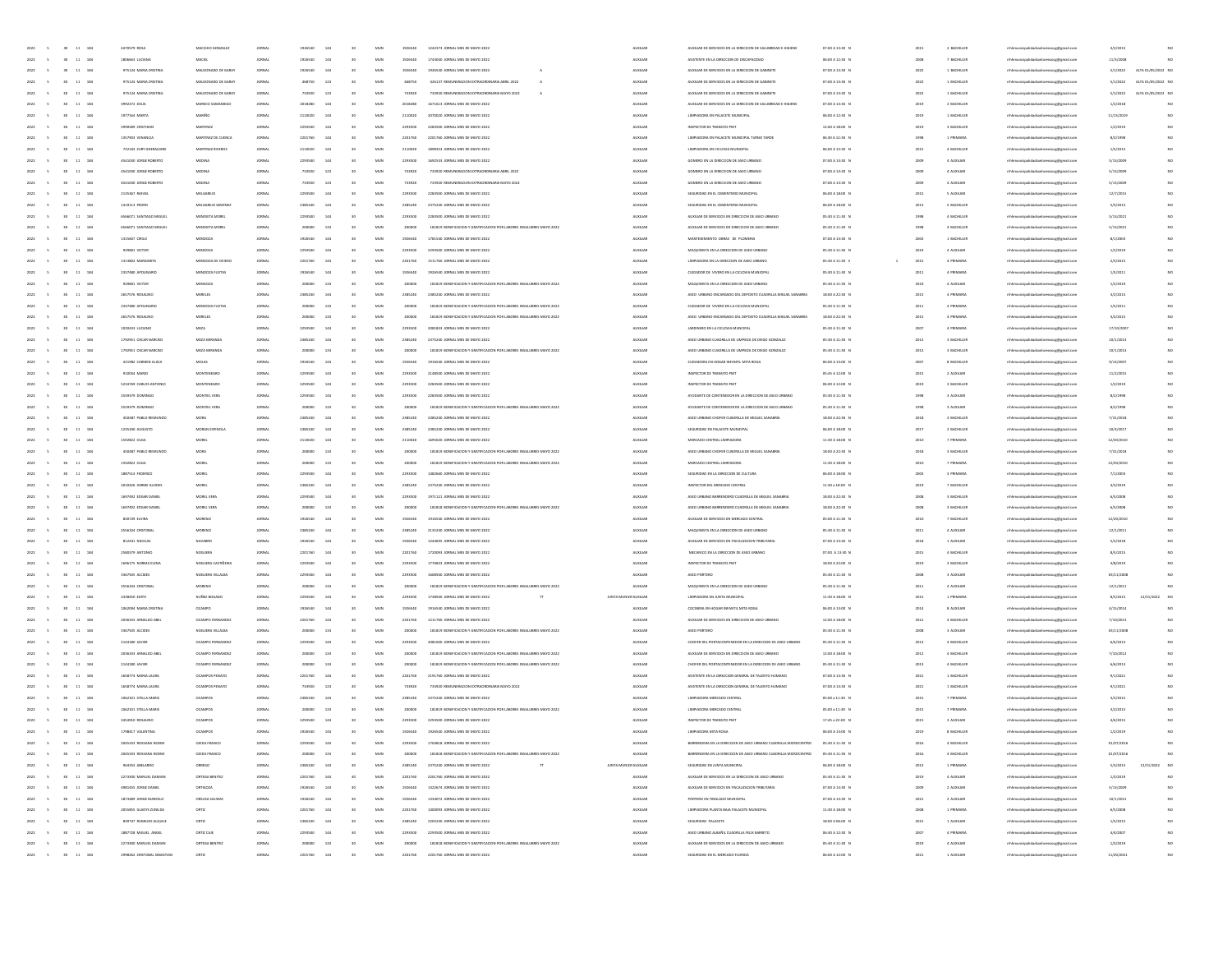| $30 - 11 - 184$<br>2022<br>$\sim$                           | 4470579 ROSA                | MACCHIO GONZALEZ    | JORNAL        | 1926540 | 144 | 30              | MUN          | 1926540 | 1242373 JORNAL MES DE MAYO 2022                                      | <b>AUXILIAR</b>        | AUXILIAR DE SERVICIOS EN LA DIRECCIÓN DE SALUBRIDAD E HIGIENE                   | 07:00 A 13:30 N                 | 2015 | 2 BACHILLER | mhhmunicipalidadsanlorenzocg@gmail.com | 3/2/2015   |                    |
|-------------------------------------------------------------|-----------------------------|---------------------|---------------|---------|-----|-----------------|--------------|---------|----------------------------------------------------------------------|------------------------|---------------------------------------------------------------------------------|---------------------------------|------|-------------|----------------------------------------|------------|--------------------|
| 2022<br>30 <sub>1</sub><br>$11\quad184$                     | 1806663 LUCIANA             | MACIEL              | <b>JORNAL</b> | 1926540 | 144 | 30              | MUN          | 1926540 | 1743040 JORNAL MES DE MAYO 2022                                      | <b>AUXILIAN</b>        | ASISTENTE EN LA DIRECCIÓN DE DISCAPACIDAD                                       | 06:00 A 12:30 N                 | 2008 | 7 BACHILLER | mhhmunicipalidadsanlorenzocg@gmail.com | 11/3/2008  |                    |
| 30 <sub>1</sub><br>$11\,$<br>184                            | 975124 MARIA ORISTIN        | DE GARAY            |               | 1926540 | 144 | $50 -$          | $_{\rm MUN}$ | 192654  | 1926540 JORNAL MES DE MAYO 2022                                      |                        | LIXILIAR DE SERVICIOS EN LA DIRECCION DE GABINETI                               | 07:00 A 13:30 0                 |      | 1 BACH      | aocg@gmail.cor                         | 5/1/2022   | ALTA 01/05/2022 NO |
| 11 184<br>2022<br>30 <sub>1</sub>                           | 975124 MARIA CRISTINA       | MALDONADO DE GARAY  | <b>JORNAL</b> | 468750  | 123 | 50 <sub>2</sub> | MUN          | 468750  | 426137 REMUNERACION EXTRAORDINARIA ABRIL 2022                        | AUXILIAR               | AUXILIAR DE SERVICIOS EN LA DIRECCIÓN DE GABINETE                               | 07:00 A 13:30 N                 | 2022 | 1 BACHILLER | mhhmunicipalidadsanlorenzocg@gmail.com | 5/1/2022   | ALTA 01/05/2022 NO |
|                                                             |                             |                     |               |         |     |                 |              |         |                                                                      |                        |                                                                                 |                                 |      |             |                                        |            |                    |
| 2022<br>30 <sub>1</sub><br>11 184                           | 975124 MARIA ORISTINA       | MALDONADO DE GARAY  | JORNA         | 733920  | 123 |                 | MUN          | 733920  | 733920 REMUNERACION EXTRAORDINARIA MAYO 2022                         | <b>AUXILIAR</b>        | AUXILIAR DE SERVICIOS EN LA DIRECCIÓN DE GABINETE                               | 07:00 A 13:30 N                 | 2022 | 1 BACHILLER | mhhmunicipalidadsanlorenzoce@email.com | 5/1/2022   | ALTA 01/05/2022 NO |
| 11 184<br>2022<br>30 <sub>2</sub>                           | 3992272 DELIA               | MARECO SAM          | <b>JORNAL</b> | 2018280 | 144 |                 | MUN          | 2018280 | 1671613 JORNAL MES DE MAYO 2022                                      | <b>AUXILIAR</b>        | AUXILIAR DE SERVICIOS EN LA DIRECCIÓN DE SALUBRIDAD E HIGIENE                   | 07:00 A 13:30 N                 | 2019 | 2 BACHILLER | mhhmunicipalidadsanlorenzocg@gmail.com | 1/2/2018   | NO                 |
| 2022<br>11 184<br>30 <sub>2</sub>                           | 1977164 MARTA               | MARIÑO              | <b>JORNAL</b> | 2110020 | 144 |                 | MUN          | 2110020 | 2070020 JORNAL MES DE MAYO 2022                                      | <b>AUXILIAN</b>        | LIMPIADORA EN PALACETE MUNICIPAL                                                | 06:00 A 12:30 N                 | 2019 | 1 BACHILLER | mhmunicipalidadsanlorenzocg@gmail.com  | 11/15/2019 | NO                 |
| 2022<br>30<br>$11\,$<br>184                                 | 5990589 CRISTHIA            | MARTINE             | JORNA         | 2203500 | 144 |                 | MUN          | 2293500 | 2283500 JORNAL MES DE MAYO 2022                                      | <b>AUXILIAN</b>        | INSPECTOR DE TRANSITO PMT                                                       | 12:00 A 18:00 0                 | 2019 | 3 BACHILLI  | naocg@gmail.cor                        | 1/2/201    | NO                 |
| 11 184<br>2022<br>30 <sub>1</sub>                           | 1357903 VENANCIA            | MARTINEZ DE CUENCA  | <b>JORNAL</b> | 2201760 | 144 |                 | MUN          | 2201760 | 2201760 JORNAL MES DE MAYO 2022                                      | <b>ALDELIAR</b>        | LIMPIADORA EN PALACETE MUNICIPAL TURNO TARDE                                    | 06.30 A 12:30 N                 | 1998 | 1 PRIMARIA  | mhmunicipalidadsanlorenzocg@gmail.com  | 8/2/1998   | NO                 |
| 2022<br>11 184<br>30 <sub>1</sub>                           | 722163 ZURY GHERALDINE      | MARTINEZ RIVERO     | <b>JORNAL</b> | 2110020 | 144 |                 | MUN          | 2110020 | 1898353 JORNAL MES DE MAYO 2022                                      | <b>AUXILIAR</b>        | LIMPIADORA EN CICLOVIA MUNICIPAL                                                | 06:00 A 12:30 N                 | 2015 | 4 BACHILLER | mhhmunicipalidadsanlorenzocg@gmail.com | 1/5/2015   | NO                 |
| 184                                                         |                             |                     |               |         | 144 |                 | MUN          |         |                                                                      | <b>AUXILIAR</b>        |                                                                                 |                                 |      |             |                                        |            | NO                 |
| 2022<br>30 <sub>2</sub><br>11                               | 4541030 JORGE ROBERTO       | MEDINA              | <b>JORNAL</b> | 2293500 |     |                 |              | 2293500 | 1692533 JORNAL MES DE MAYO 2022                                      |                        | GOMERO EN LA DIRECCIÓN DE ASEO URBANO                                           | 07:00 A 13:30 N                 | 2009 | 4 AUXILIAR  | mhhmunicipalidadsanlorenzocg@gmail.com | 5/13/2009  |                    |
| 2022<br>11 184<br>30 <sub>2</sub>                           | 4541030 JORGE ROBERTO       | MEDINA              | JORNA         | 733920  | 123 |                 | MUN          | 733920  | 733920 REMUNERACION EXTRAORDINARIA ABRIL 2022                        | <b>AUXILIAN</b>        | GOMERO EN LA DIRECCIÓN DE ASEO URBANO                                           | 07:00 A 13:30 N                 | 2009 | 4 AUXILIAR  | mhmunicipalidadsanlorenzocg@gmail.com  | 5/13/2009  |                    |
| 2022<br>30<br>$11\,$<br>184                                 | 4541030 JORGE ROBERTO       |                     |               | 733920  | 123 |                 | MUN          | 733920  | 733920 REMUNERACION EXTRAORDINARIA MAYO 2022                         | <b>AUXILIA</b>         | GOMERO EN LA DIRECCIÓN DE ASEO URBAN                                            | 07:00 A 13:30 N                 |      | 4 AUXILIA   | naocg@gmail.com                        | 5/13/200   | NO                 |
| 11 184<br>2022<br>30 <sub>1</sub>                           | 2135367 RAFAEL              | MELGAREIC           | <b>JORNAL</b> | 2203500 | 144 |                 | MUN          | 2293500 | 2283500 JORNAL MES DE MAYO 2022                                      | <b>ALDELIAR</b>        | SEGURIDAD EN EL CEMENTERIO MUNICIPAL                                            | 06:00 A 18:00 N                 | 2015 | 5 AUXILIAR  | mhmunicipalidadsanlorenzocg@gmail.com  | 12/7/2015  | NO                 |
| 2022<br>11 184<br>30 <sub>1</sub>                           | 1419113 PEDRO               | MELGAREIO GIMENE    | <b>JORNAL</b> | 2385240 | 144 |                 | MUN          | 2385240 | 2375240 JORNAL MES DE MAYO 2022                                      | <b>AUXILIAR</b>        | SEGURIDAD EN EL CEMENTERIO MUNICIPAL                                            | 06:00 A 18:00 N                 | 2013 | 5 BACHILLER | mhhmunicipalidadsanlorenzocg@gmail.com | 5/3/2013   | NO                 |
| 184<br>2022<br>30 <sub>2</sub><br>11                        | 6566071 SANTIAGO MIGUEL     | MENDIETA MORE       | <b>JORNAL</b> | 2293500 | 144 |                 | MUN          | 2293500 | 2283500 JORNAL MES DE MAYO 2022                                      | <b>AUXILIA</b>         | AUXILIAR DE SERVICIOS EN DIRECCIÓN DE ASEO URBANO                               | 05:30 A 11:30 N                 | 1998 | 4 BACHILLER | mhhmunicipalidadsanlorenzocg@gmail.com | 5/13/2021  |                    |
| 2022<br>184                                                 |                             |                     |               |         | 133 |                 | MUN          |         |                                                                      | <b>AUXILIAN</b>        | AUXILIAR DE SERVICIOS EN DIRECCIÓN DE ASEO URBANO                               |                                 |      |             |                                        |            |                    |
| 30 <sub>2</sub><br>11                                       | 6566071 SANTIAGO MIGUEL     | MENDIETA MORE       | JORNA         | 200000  |     |                 |              | 200000  | 181819 BONIFICACION Y GRATIFICACION POR LABORES INSALUBRES MAYO 2022 |                        |                                                                                 | 05:30 A 11:30 N                 | 1998 | 4 BACHILLER | mhmunicipalidadsanlorenzocg@gmail.com  | 5/13/2021  |                    |
| 2022<br>$11\,$<br>184                                       | 1315607 CRLO                | MENDOZA             | JORNA         |         | 144 |                 | MUN          | 192654  | 1781540 JORNAL MES DE MAYO 2022                                      | <b>AUXILIA</b>         | IENTO OBRAS DE PLOMÉRIA                                                         | 07:00 A 13:30 0                 | 2003 | 1 BACHILL   | naocg@gmail.com                        | 8/1/200    | NO                 |
| 2022<br>11<br>184                                           | 929801 VICTOR               | MENDOZA             | <b>JORNAL</b> | 2203500 | 144 |                 | MUN          | 2293500 | 2293500 JORNAL MES DE MAYO 2022                                      | <b>ALDELIAR</b>        | MAQUINISTA EN LA DIRECCIÓN DE ASEO URBANO                                       | 05:30 A 11:30 N                 | 2019 | 4 AUXILIAR  | mhmunicipalidadsanlorenzocg@gmail.com  | 1/2/2019   | NO                 |
| 2022<br>11 184<br>30 <sub>1</sub>                           | 1313802 MARGARITA           | MENDOZA DE OVIED    | <b>JORNAL</b> | 2201760 | 144 |                 | MUN          | 2201760 | 1511760 JORNAL MES DE MAYO 2022                                      | <b>AUXILIAR</b>        | LIMPIADORA EN LA DIRECCIÓN DE ASEO URBANO                                       | 05:30 A 11:30 S<br>$\mathbf{1}$ | 2015 | 4 PRIMARIA  | mhhmunicipalidadsanlorenzocg@gmail.com | 2/3/2015   | NO                 |
| 2022<br>184<br>30 <sub>2</sub><br>11                        | 2337480 APOUNARE            | MENDOZA FLEITAS     | <b>JORNAL</b> | 1926540 | 144 |                 | MUN          | 1926540 | 1926540 JORNAL MES DE MAYO 2022                                      | <b>AUXILIA</b>         | CUIDADOR DE VIVERO EN LA OCLOVIA MUNICIPAL                                      | 05:30 A 11:30 N                 | 2011 | 4 PRIMARY   | mhhmunicipalidadsanlorenzocg@gmail.com | 1/5/2011   |                    |
| 2022<br>11 184<br>30 <sub>2</sub>                           | 929801 VICTOR               | MENDOZA             | JORNA         | 200000  | 133 |                 | MUN          | 200000  | 181819 BONIFICACION Y GRATIFICACION POR LABORES INSALUBRES MAYO 2022 | <b>AUXILIAN</b>        | MAQUINISTA EN LA DIRECCIÓN DE ASEO URBANO                                       | 05:30 A 11:30 N                 | 2019 | 4 AUXILIAR  | mhhmunicipalidadsanlorenzocg@gmail.com | 1/2/2015   |                    |
| 2022<br>$11\,$<br>184                                       | 2657576 ROSALING            |                     |               | 238524  | 144 |                 | $_{\rm MUN}$ | 238524  |                                                                      |                        | ASEO URBANO ENCARGADO DEL DEPOSITO CUADRILLA MIGUEL SANABRI                     | 18:00 A 22:30 0                 | 2015 |             |                                        | 3/2/201    | NO                 |
|                                                             |                             |                     |               |         |     |                 |              |         |                                                                      |                        |                                                                                 |                                 |      |             | naocg@gmail.com                        |            |                    |
| 11 184<br>2022                                              | 2337480 APOUNARIO           | MENDOZA FLEITAS     | <b>JORNAL</b> | 200000  | 133 |                 | MUN          | 200000  | 181819 BONIFICACION Y GRATIFICACION POR LABORES INSALUBRES MAYO 2022 | <b>ALDELIAR</b>        | CUIDADOR DE VIVERO EN LA OCLOVIA MUNICIPAL                                      | 05:30 A 11:30 N                 | 2011 | 4 PRIMARIA  | mhmunicipalidadsanlorenzocg@gmail.com  | 1/5/2011   | NO                 |
| 2022<br>11 184<br>30 <sub>1</sub>                           | 2657576 ROSALINO            | MERELES             | <b>JORNAL</b> | 200000  | 133 |                 | MUN          | 200000  | 181819 BONIFICACION Y GRATIFICACION POR LABORES INSALUBRES MAYO 2022 | <b>AUXILIAR</b>        | ASEO URBANO ENCARGADO DEL DEPOSITO CUADRILLA MIGUEL SANABRIA                    | 18:00 A 22:30 N                 | 2015 | 4 PRIMARIA  | mhhmunicipalidadsanlorenzocg@gmail.com | 3/2/2015   | NO                 |
| 2022<br>184<br>30<br>11                                     | 1020433 LUCIANO             | MEZA                | <b>JORNAL</b> | 2293500 | 144 |                 | MUN          | 2293500 | 2081833 JORNAL MES DE MAYO 2022                                      | <b>AUXILIA</b>         | JARDINERO EN LA OCLOVIA MUNCIPAL                                                | 05:30 A 11:30 N                 | 2007 | 4 PRIMARV   | mhhmunicipalidadsanlorenzocg@gmail.com | 17/10/200  |                    |
| 184<br>2022<br>30 <sub>2</sub><br>11                        | 1792951 OSCAR NARCISO       | MEZA MIRANDI        | JORNA         | 2385240 | 144 |                 | MUN          | 2385240 | 2375240 JORNAL MES DE MAYO 2022                                      | <b>AUXILIAN</b>        | ASEO URBANO CUADRILLA DE LIMPIEZA DE DIEGO GONZALEZ                             | 05:30 A 11:30 N                 | 2013 | 3 BACHILLER | mhhmunicipalidadsanlorenzocg@gmail.com | 10/1/2013  |                    |
| 2022<br>$11\,$<br>184                                       | 1792951 OSCAR NARCIS        |                     |               |         | 133 |                 | $_{\rm MUN}$ |         | 181819 BONIFICACIÓN Y GRATIFICACIÓN POR LABORES INSALUBRES MAYO 2022 | <b>AUXILIA</b>         | ASEO URBANO CUADRILLA DE LIMPIEZA DE DIEGO GONZALEZ                             | 05:30 A 11:30 0                 | 2013 | 3 BACHII    | naocg@gmail.com                        | 10/1/201   | NO                 |
| 184<br>2022<br>11                                           | 431982 CARMEN ALICIA        | MOLAS               | <b>JORNAL</b> | 1926540 | 144 |                 | MUN          | 1926540 | 1916540 JORNAL MES DE MAYO 2022                                      | <b>ALDELIAR</b>        | CUIDADORA EN HOGAR INFANTIL MITA ROGA                                           | 06:00 A 13:00 N                 | 2007 | 8 BACHILLER | mhmunicipalidadsanlorenzocg@gmail.com  | 9/14/2007  | NO                 |
|                                                             |                             |                     |               |         |     |                 |              |         |                                                                      |                        |                                                                                 |                                 |      |             |                                        |            |                    |
| 2022<br>11 184<br>30 <sub>1</sub>                           | 910054 MARIO                | MONTENEGRO          | <b>JORNAL</b> | 2293500 | 144 |                 | MUN          | 2293500 | 2148500 JORNAL MES DE MAYO 2022                                      | <b>AUXILIAR</b>        | INSPECTOR DE TRANSITO PMT                                                       | 05:45 A 12:00 N                 | 2015 | 2 AUXILIAR  | mhhmunicipalidadsanlorenzocg@gmail.com | 11/2/2015  | NO                 |
| 184<br>2022<br>11                                           | 5234769 CARLOS ANTON        | MONTENEGR           | <b>JORNAL</b> | 2203500 | 144 |                 | MUN          | 2293500 | 2283500 JORNAL MES DE MAYO 2022                                      | <b>AUXILIA</b>         | INSPECTOR DE TRANSITO PM                                                        | 06:00 A 12:00 N                 | 2019 | 3 BACHILLER | mhhmunicipalidadsanlorenzocg@gmail.com | 1/2/2019   |                    |
| 2022<br>184<br>30 <sub>2</sub><br>11                        | 2559379 DOMINGO             | MONTIEL VERA        | JORNA         | 2203500 | 144 |                 | MUN          | 2293500 | 2283500 JORNAL MES DE MAYO 2022                                      | <b>AUXILIAN</b>        | AYUDANTE DE CONTENEDOR EN LA DIRECCION DE ASEO URBANO                           | 05:30 A 11:30 N                 | 1998 | 3 AUXILIAR  | mhmunicipalidadsanlorenzocg@gmail.com  | 8/2/1998   |                    |
| 2022<br>184                                                 | 2559379 DOMINO              | MONTIEL VER         |               |         | 133 |                 | MUN          |         | 181819 BONIFICACIÓN Y GRATIFICACIÓN POR LABORES INSALUBRES MAYO 2022 | <b>AUXILIA</b>         | AYUDANTE DE CONTENEDOR EN LA DIRECCIÓN DE ASEO URBAN                            | 05:30 A 11:30 1                 |      | 3 AUXILIA   | naocg@gmail.com                        | 8/2/199    | NO                 |
| 11 184<br>2022                                              | 450487 PABLO REIMUNDO       | MORA                | <b>JORNAL</b> | 2385240 | 144 |                 | MUN          | 2385240 | 2385240 JORNAL MES DE MAYO 2022                                      | <b>ALDELIAR</b>        | ASEO URBANO CHOFER CUADRILLA DE MIGUEL SANABRIA                                 | 18:00 A 22:30 N                 | 2018 | 3 BACHILLER | mhmunicipalidadsanlorenzocg@gmail.com  | 7/31/2018  | NO                 |
| 2022<br>11 184<br>30 <sub>1</sub>                           | 1235340 AUGUSTO             | MORAN ESPINOLI      | <b>JORNAL</b> | 2385240 | 144 |                 | MUN          | 2385240 | 2385240 JORNAL MES DE MAYO 2022                                      | <b>AUXILIAR</b>        | SEGURIDAD EN PALACETE MUNICIPAL                                                 | 06:00 A 18:00 N                 | 2017 | 2 BACHILLER | mhhmunicipalidadsanlorenzocg@gmail.com | 10/4/2017  | NO                 |
| 184                                                         | 1592822 OLGA                |                     |               |         |     |                 | MUN          |         |                                                                      | <b>AUXILIA</b>         | MERCADO CENTRAL LIMPIADORA                                                      |                                 |      |             |                                        |            |                    |
| 2022<br>30<br>11                                            |                             | MOREL               | JORNA         | 2110020 | 144 |                 |              | 2110020 | 1695020 JORNAL MES DE MAYO 2022                                      |                        |                                                                                 | 11:30 A 18:00 N                 | 2010 | 7 PRIMARV   | mhhmunicipalidadsanlorenzocg@gmail.com | 12/20/2010 |                    |
| 2022<br>184<br>11<br>30 <sub>2</sub>                        | 450487 PABLO REIMUNDO       | MORA                | JORNA         | 200000  | 133 |                 | MUN          | 200000  | 181819 BONIFICACIÓN Y GRATIFICACIÓN POR LABORES INSALUBRES MAYO 2022 | <b>AUXILIAN</b>        | ASEO URBANO CHOFER CUADRILLA DE MIGUEL SANABINA                                 | 18:00 A 22:30 N                 | 2018 | 3 BACHILLER | mhhmunicipalidadsanlorenzocg@gmail.com | 7/31/2018  |                    |
| 2022<br>184                                                 | 1592822 OLG                 |                     |               |         | 133 |                 | MUN          |         | 181819 BONIFICACION Y GRATIFICACION POR LABORES INSALUBRES MAYO 2022 |                        | MERCADO CENTRAL LIMPIADOR                                                       | 11:30 A 18:00 f                 |      |             | naocg@gmail.com                        | 12/20/201  | NO                 |
| 2022<br>11 184<br>30 <sub>0</sub>                           | 1887514 FEDERICO            | MOREL               | <b>JORNAL</b> | 2203500 | 144 |                 | MUN          | 2293500 | 1482650 IOBNAL MFS DE MAYO 2022                                      | <b>ALDELIAR</b>        | SEGURIDAD EN LA DIRECCIÓN DE CULTURA                                            | 06:00 A 18:00 N                 | 2003 | 3 PRIMARIA  | mhmunicipalidadsanlorenzocg@gmail.com  | 7/1/2003   | NO                 |
| 2022<br>11 184<br>30 <sub>1</sub>                           | 2010426 HERME ALCIDES       | MOREL               | <b>JORNAL</b> | 2385240 | 144 |                 | MUN          | 2385240 | 2375240 JORNAL MES DE MAYO 2022                                      | <b>AUXILIAR</b>        | INSPECTOR DEL MERCADO CENTRAL                                                   | 11:30 a 18:00 N                 | 2019 | 7 BACHILLER | mhhmunicipalidadsanlorenzoce@email.com | 4/3/2019   | NO                 |
| 184<br>2022<br>30<br>11                                     | 1697492 EDGAR DANIE         | MOREL VER           | <b>JORNAL</b> | 2203500 | 144 |                 | MUN          | 2293500 | 1971121 JORNAL MES DE MAYO 2022                                      | <b>AUXILIA</b>         | ASEO URBANO BARRENDERO CUADRILLA DE MIGUEL SANABRIA                             | 18:00 A 22:30 N                 | 2008 | 3 BACHILLER | mhhmunicipalidadsanlorenzocg@gmail.com | 6/5/2008   |                    |
|                                                             |                             |                     |               |         |     |                 |              |         |                                                                      | <b>AUXILIAN</b>        | ASEO URBANO BARRENDERO CUADRILLA DE MIGUEL SANABRIA                             |                                 |      |             |                                        |            |                    |
| 2022<br>184<br>11<br>30 <sub>2</sub>                        | 1697492 EDGAR DANIE         | MOREL VER           | JORNA         | 200000  | 133 |                 | MUN          | 200000  | 181818 BONIFICACIÓN Y GRATIFICACIÓN POR LABORES INSALUBRES MAYO 2022 |                        |                                                                                 | 18:00 A 22:30 N                 | 2008 | 3 BACHILLER | mhhmunicipalidadsanlorenzocg@gmail.com | 6/5/2008   |                    |
| 2022<br>184                                                 | 830729 ELVI                 |                     |               |         | 144 |                 | MUN          |         | 1916540 JORNAL MES DE MAYO 202:                                      |                        | AUXILIAR DE SERVICIOS EN MERCADO CENTRA                                         | 05:00 A 11:30 f                 |      |             | naocg@gmail.com                        | 12/20/20   | NO                 |
| 2022<br>11 184<br>30 <sub>1</sub>                           | 2556104 CRISTOBAL           | MORENO              | <b>JORNAL</b> | 2385240 | 144 |                 | MUN          | 2385240 | 2135240 JORNAL MES DE MAYO 2022                                      | AUXILIAR               | MAQUINISTA EN LA DIRECCIÓN DE ASEO URBANO                                       | 05:30 A 11:30 N                 | 2011 | 4 AUXILIAR  | mhmunicipalidadsanlorenzocg@gmail.com  | 12/1/2011  | NO                 |
| 2022<br>30 <sub>1</sub><br>11 184                           | 812441 NICOLAS              | NAVARRO             | <b>JORNAL</b> | 1926540 | 144 |                 | MUN          | 1926540 | 1244695 JORNAL MES DE MAYO 2022                                      | <b>AUXILIAR</b>        | AUXILIAR DE SERVICIOS EN FISCAUZACIÓN TRIBUTARIA                                | 07:00 A 13:30 N                 | 2018 | 1 AUXILIAR  | mhhmunicipalidadsanlorenzocg@gmail.com | 5/2/2018   | NO                 |
| 184<br>2022<br>30 <sub>2</sub><br>11                        | 2580379 ANTONIO             | NOGUERA             | <b>JORNAL</b> | 2201760 | 144 |                 | MUN          | 2201760 | 1720093 JORNAL MES DE MAYO 2022                                      | <b>AUXILIAN</b>        | MECANICO EN LA DIRECCIÓN DE ASEO URBANI                                         | 07:00 A 13:30 N                 | 2015 | 4 BACHILLER | mhhmunicipalidadsanlorenzocg@gmail.com | 8/5/2015   | NO                 |
| 2022<br>11 184<br>30 <sub>2</sub>                           | 1696175 NORMA ELEN          | NOGUERA CASTIÑEI    | JORNA         | 2203500 | 144 |                 | MUN          | 2293500 | 1776833 JORNAL MES DE MAYO 2022                                      | <b>AUXILIAN</b>        | INSPECTOR DE TRANSITO PM                                                        | 18:00 A 22:00 N                 | 2019 | 3 BACHILLER | mhhmunicipalidadsanlorenzocg@gmail.com | 3/8/2019   |                    |
|                                                             |                             |                     |               |         | 144 |                 |              | 229350  |                                                                      | <b>AUXILIA</b>         |                                                                                 |                                 |      |             |                                        |            | NO                 |
| 2022<br>184                                                 | 3367505 ALCIDE              | NOGUERA VIL         |               |         |     |                 | MUN          |         |                                                                      |                        |                                                                                 | 05:30 A 11:30 f                 |      | 3 AUXILIA   | naocg@gmail.com                        | 03/11/20   |                    |
| 2022<br>11 184<br>30 <sub>1</sub>                           | 2556104 CRISTOBAL           | MORENO              | <b>JORNAL</b> | 200000  | 133 | to.             | MUN          | 200000  | 181819 BONIFICACION Y GRATIFICACION POR LABORES INSALUBRES MAYO 2022 | AUXILIAR               | MAQUINISTA EN LA DIRECCIÓN DE ASEO URBANO                                       | 05:30 A 11:30 N                 | 2011 | 4 AUXILIAR  | mhmunicipalidadsanlorenzocg@gmail.com  | 12/1/2011  |                    |
| 2022<br>11 184<br>30 <sub>1</sub>                           | 3338450 EDITH               | NUREZ BOGADO        | <b>JORNAL</b> | 2293500 | 144 |                 | MUN          | 2293500 | 1738500 JORNAL MES DE MAYO 2022                                      | JUNTA MUNICIFALIXILIAR | LIMPIADORA EN JUNTA MUNICIPAL                                                   | 11:30 A 18:00 N                 | 2015 | 1 PRIMARIA  | mhhmunicipalidadsanlorenzocg@gmail.com | 8/5/2015   | NO<br>12/31/2022   |
| 2022<br>184<br>30 <sub>2</sub><br>11                        | 1062094 MARIA CRISTINA      | OCAMPO              | <b>JORNAL</b> | 1926540 | 144 |                 | MUN          | 1926540 | 1916540 JORNAL MES DE MAYO 2022                                      | <b>AUXILIAR</b>        | COCINERA EN HOGAR INFANTIL MITA ROG                                             | 06:00 A 13:00 N                 | 2014 | 8 AUXILIAR  | mhhmunicipalidadsanlorenzocg@gmail.com | 4/15/2014  |                    |
| 2022<br>11 184<br>30 <sub>2</sub>                           | 2036333 ARNALDO ABE         | OCAMPO FER          | JORNA         | 2201760 | 144 |                 | MUN          | 2201760 | 1211760 JORNAL MES DE MAYO 2022                                      | <b>AUXILIAN</b>        | AUXILIAR DE SERVICIOS EN DIRECCIÓN DE ASEO URBANO                               | 12:00 A 18:00 0                 | 2012 | 4 BACHILLER | mhhmunicipalidadsanlorenzocg@gmail.com | 7/10/2012  |                    |
| 2022<br>184                                                 | 3367505 ALCIDE              | NOGUERA VILLALB     |               |         | 133 |                 | MUN          |         | 181819 BONIFICACION Y GRATIFICACION POR LABORES INSALUBRES MAYO 2022 | <b>AUXILIA</b>         |                                                                                 | 05:30 A 11:30 0                 |      | 3 AUXILIA   | enzocg@gmail.com                       | 03/11/200  | NO                 |
| 11 184<br>2022<br>30 <sub>1</sub>                           | 2144180 JAVIER              | OCAMPO FERNANDE     | <b>JORNAL</b> | 2203500 | 144 |                 | MUN          | 2293500 | 2081000 JORNAL MES DE MAYO 2022                                      | AUXILIAR               | CHOFER DEL PORTACONTENEDOR EN LA DIRECCIÓN DE ASEO URBANO                       | 05:30 A 11:30 N                 | 2013 | 4 BACHILLER | mhmunicipalidadsanlorenzocg@gmail.com  | 6/6/2013   | NO                 |
|                                                             |                             |                     |               |         |     |                 |              |         |                                                                      |                        |                                                                                 |                                 |      |             |                                        |            |                    |
| 2022<br>$30-1$<br>11 184                                    | 2036333 ARNALDO ABEI        | OCAMPO FERNANDE     | <b>JORNAL</b> | 200000  | 133 |                 | MUN          | 200000  | 181819 BONIFICACION Y GRATIFICACION POR LABORES INSALUBRES MAYO 2022 | <b>AUXILIAR</b>        | AUXILIAR DE SERVICIOS EN DIRECCIÓN DE ASEO URBANO                               | 12:00 A 18:00 N                 | 2012 | 4 BACHILLER | mhhmunicipalidadsanlorenzocg@gmail.com | 7/10/2012  | NO                 |
| 2022<br>11 184<br>30 <sub>1</sub>                           | 2144180 JAVIER              | OCAMPO FERNA        | <b>JORNAL</b> | 200000  | 133 |                 | MUN          | 200000  | 181819 BONIFICACION Y GRATIFICACION POR LABORES INSALUBRES MAYO 2022 | <b>AUXILIAR</b>        | CHOFER DEL PORTACONTENEDOR EN LA DIRECCIÓN DE ASEO URBANO                       | 05:30 A 11:30 N                 | 2013 | 4 BACHILLER | mhhmunicipalidadsanlorenzocg@gmail.com | 6/6/2013   | NO                 |
| 2022<br>$11-184\,$<br>30 <sub>1</sub>                       | 1658774 MARIA LAURA         | OCAMPOS PENAYO      | JORNA         | 2201760 | 144 |                 | MUN          | 2201760 | 2191760 JORNAL MES DE MAYO 2022                                      | <b>AUXILIAN</b>        | ASISTENTE EN LA DIRECCIÓN GENERAL DE TALENTO HUMANO                             | 07:00 A 13:30 N                 | 2021 | 1 BACHILLER | mhhmunicipalidadsanlorenzocg@gmail.com | 9/1/2021   |                    |
| 2022<br>184                                                 | 1658774 MARIA LAURA         |                     |               | 733920  | 123 |                 | MUN          | 733920  | 733920 REMUNERACION EXTRAORI                                         | <b>AUXILIA</b>         | ASISTENTE EN LA DIRECCIÓN GENERAL DE TALENTO HUMANO                             | 07:00 A 13:30 1                 |      |             | naocg@gmail.com                        | 9/1/202    | NO                 |
| 2022<br>30 <sub>1</sub><br>11 184                           | 1062101 STELLA MARIS        | <b>OCAMPOS</b>      | <b>JORNAL</b> | 2385240 | 144 |                 | MUN          | 2385240 | 2375240 JORNAL MES DE MAYO 2022                                      | AUXILIAR               | LIMPIADORA MERCADO CENTRA                                                       | 05:00 a 11:30 N                 | 2015 | 7 PRIMARIA  | mhmunicipalidadsanlorenzocg@gmail.com  | 3/2/2015   | NO                 |
| 2022<br>$30-1$<br>11 184                                    | 1062101 STELLA MARIS        | <b>OCAMPOS</b>      | JORNA         | 200000  | 133 |                 | MUN          | 200000  | 181819 BONIFICACION Y GRATIFICACION POR LABORES INSALUBRES MAYO 2022 | <b>AUXILIAR</b>        | LIMPIADORA MERCADO CENTRA                                                       | 05:00 a 11:30 N                 | 2015 | 7 PRIMARIA  | mhhmunicipalidadsanlorenzoce@email.com | 3/2/2015   | NO                 |
|                                                             |                             |                     |               |         |     |                 |              |         |                                                                      |                        |                                                                                 |                                 |      |             |                                        |            |                    |
| 2022 5<br>30 11 184                                         | 3454910 ROSALINO            | <b>OCAMPOS</b>      | <b>JORNAL</b> | 2293500 | 144 |                 | MUN          | 2293500 | 2293500 JORNAL MES DE MAYO 2022                                      | <b>AUXILIAR</b>        | INSPECTOR DE TRANSITO PM                                                        | 17:45 a 22:00 N                 | 2015 | 3 AUXILIAR  | mhhmunicipalidadsanlorenzocg@gmail.com | 4/6/2015   |                    |
| $2022 \qquad \quad 5 \qquad \quad 30 \qquad 11 \quad \ 184$ | 1798417 VALENTINA           | OCAMPOS             | JORNA         | 1926540 | 144 | 30              | MUN          | 1926540 | 1926540 JORNAL MES DE MAYO 2023                                      | <b>AUXILIAN</b>        | LIMPIADORA MITA ROGA                                                            | 06:00 A 13:00 N                 | 2019 | 8 BACHILLER | mhmunicipalidadsanlorenzoog@gmail.com  | 1/2/2019   |                    |
|                                                             |                             |                     |               |         |     |                 |              |         |                                                                      |                        |                                                                                 |                                 |      |             |                                        |            |                    |
| 2022 5 30 11 184                                            | 2045333 BOSSANA NOFMI       | <b>QIEDA FRANCO</b> | <b>JORNAL</b> | 200000  | 133 | 30              | MUN          | 200000  | 181818 BONIFICACION Y GRATIFICACION POR LABORES INSALUBRES MAYO 2022 | <b>AUXILIAR</b>        | BARRENDERA EN LA DIRECCIÓN DE ASEO URBANO CUADRILLA MICROCENTRO 05:30 A 11:30 N |                                 | 2016 | 4 BACHILLER | mhmunicipalidadsanlorenzocg@gmail.com  | 01/07/2016 | NO                 |
| 2022 5<br>30 11 184                                         | 964353 ABELARDO             | ORREGO              | <b>JORNAL</b> | 2385240 | 144 | 30              | MUN          | 2385240 | 2375240 JORNAL MES DE MAYO 2022                                      | JUNTA MUNICI AUXILIAR  | SEGURIDAD EN JUNTA MUNICIPAL                                                    | 06:00 A 18:00 N                 | 2013 | 1 PRIMARIA  | mhhmunicipalidadsanlorenzoce@email.com | 5/3/2013   | 12/31/2022 NO      |
| 2022<br>$\sim$<br>30 11 184                                 | 2273300 MANUEL DAMIAN       | ORTEGA BENITEZ      | JORNAL        | 2201760 | 144 | 30              | MUN          | 2201760 | 2201760 JORNAL MES DE MAYO 2022                                      | <b>AUXILIAR</b>        | AUXUAR DE SERVICIOS EN LA DIRECCIÓN DE ASEO URBANO                              | 05:30 A 11:30 N                 | 2019 | 4 AUXILIAR  | mhhmunicipalidadsanlorenzocg@gmail.com | 1/2/2019   | NO                 |
|                                                             |                             |                     |               |         |     |                 |              |         |                                                                      |                        |                                                                                 |                                 |      |             |                                        |            |                    |
| 2022<br>$\sim$<br>$30$ $11$ $184$                           | 4981455 JORGE DANIEL        | ORTIGOZA            | JORNAL        | 1926540 | 144 | 30              | MUN          | 1926540 | 1322674 JORNAL MES DE MAYO 2022                                      | <b>AUXILIAN</b>        | AUXUAR DE SERVICIOS EN FISCALIZACIÓN TRIBUTARIA                                 | 07:00 A 13:30 N                 | 2009 | 2 AUXILIAR  | mhmunicipalidadsanlorenzoog@gmail.com  | 5/13/2009  | NO                 |
| 2022<br>$\sim$<br>$30$ $11$ $184$                           | 1873489 JORGE MARCELO       | ORSUSA SALINA       | JORNAL        | 1926540 | 144 | 30              | $_{\rm MUN}$ | 1926540 | 1334072 JORNAL MES DE MAYO 2022                                      | <b>AUXILIAN</b>        | PORTERO EN TINGLADO MUNICIPAL                                                   | 07:00 A 13:30 N                 | 2021 | 2 AUXILIA   | mhhmunicipalidadsanlorenzocg@gmail.com | 10/1/2021  | NO                 |
| 2022<br>30 11 184<br>$\sim$                                 | 2055855 GLADYS ZUNILDA      | ORTIZ               | <b>JORNAL</b> | 2201760 | 144 | 30              | MUN          | 2201760 | 1400093 JORNAL MES DE MAYO 2022                                      | <b>AUXILIAR</b>        | LIMPIADORA PLANTA BAJA PALACETE MUNICIPAL                                       | 11:30 A 18:00 N                 | 2008 | 1 PRIMARIA  | mhmunicipalidadsanlorenzocg@gmail.com  | 6/5/2008   | NO                 |
| 2022 5<br>30 11 184                                         | 839747 RUMILDO ALQUILE      | ORTIZ               | JORNAL        | 2385240 | 144 | 30              | MUN          | 2385240 | 2205240 JORNAL MES DE MAYO 2022                                      | <b>AUXILIAR</b>        | SEGURIDAD PALACETE                                                              | 18:00 A 06:00 N                 | 2015 | 1 AUXILIAR  | mhhmunicipalidadsanlorenzoce@email.com | 1/5/2015   | NO                 |
| 2022<br>$\sim$<br>$30 \t 11 \t 184$                         | 1887728 MIGUEL ANGEL        | ORTIZ CAJE          | <b>JORNAL</b> | 2293500 | 144 | 30              | MUN          | 2293500 | 2293500 JORNAL MES DE MAYO 2022                                      | <b>AUXILIAR</b>        | ASEO URBANO ALBAÑIL CUADIELLA FELIX BARRETO                                     | 06:30 A 12:30 N                 | 2007 | 4 PRIMARIA  | mhhmunicipalidadsanlorenzocg@gmail.com | 4/4/2007   | $_{\rm NO}$        |
| 2022<br>$\sim$<br>$30 - 11 - 184$                           | 2273300 MANUEL DAMIAN       | ORTEGA BENITEZ      | <b>JORNAL</b> | 200000  | 133 | 30              | MUN          | 200000  | 181818 BONIFICACIÓN Y GRATIFICACIÓN POR LABORES INSALUBRES MAYO 2022 | <b>AUXILIAN</b>        | AUXILIAR DE SERVICIOS EN LA DIRECCIÓN DE ASEO URBANO                            | 05:30 A 11:30 N                 | 2019 | 4 AUXILIAR  | mhmunicipalidadsanlorenzocg@gmail.com  | 1/2/2019   | $_{\rm NO}$        |
| 2022 5<br>$30\qquad11\qquad184$                             |                             |                     |               |         |     |                 |              |         | 2201760 JORNAL MES DE MAYO 2022                                      |                        |                                                                                 |                                 |      |             |                                        |            |                    |
|                                                             | 2938262 CRISTOBAL SEBASTIAN | ORTIZ               | JORNAL        | 2201760 | 144 | 30              | MUN          | 2201760 |                                                                      | <b>AUXILIAN</b>        | SEGURIDAD EN EL MERCADO FLORIDA                                                 | 06:00 A 12:00 N                 | 2021 | 1 AUXILIAR  | mhmunicipalidadsanlorenzocg@gmail.com  | 11/20/2021 | $_{\rm NO}$        |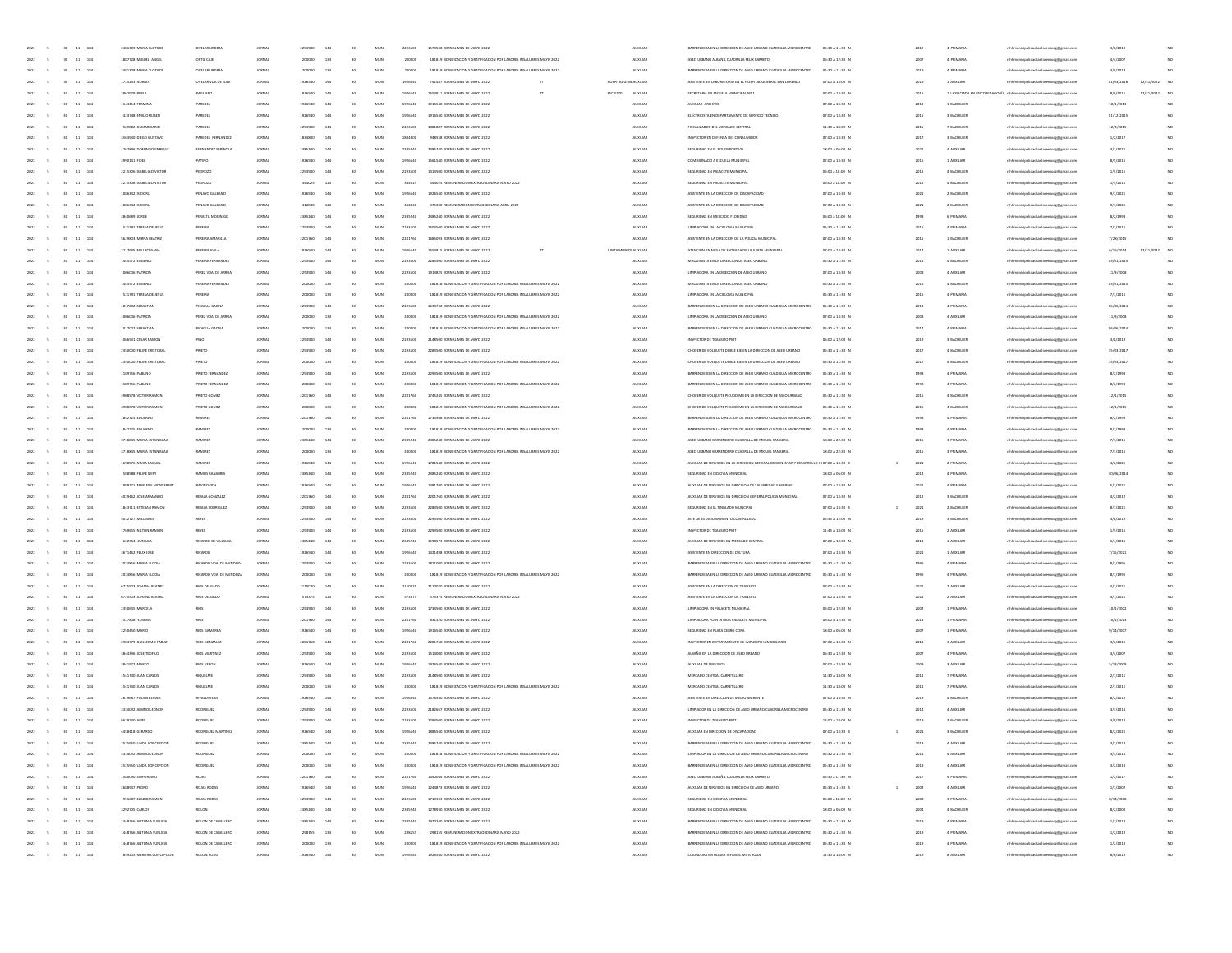| $\sim$                           | $30 - 11 - 184$                               | 2481309 MARIA CLOTILD     | OVELAR URDER           | <b>JORNAL</b> | 2293500 | 144 | 30              | MUN          | 2293500 | 1573500 JORNAL MES DE MAYO 2022                                      | AUXILIAR             | BARRENDERA EN LA DIRECCIÓN DE ASEO URBANO CUADRILLA MICROCENTRO                            | 05:30 A 11:30 P                 | 2019 | 4 PRIMARI                  | rhhmunicipalidadsanlorenzoog@gmail.cor | 3/8/2019   |                  |
|----------------------------------|-----------------------------------------------|---------------------------|------------------------|---------------|---------|-----|-----------------|--------------|---------|----------------------------------------------------------------------|----------------------|--------------------------------------------------------------------------------------------|---------------------------------|------|----------------------------|----------------------------------------|------------|------------------|
| 2022<br>$\sim$                   | $30$ $11$ $184$                               | 1887728 MIGUEL ANGEL      | ORTIZ CAJE             | <b>JORNAL</b> | 200000  | 133 | 30              | MUN          | 200000  | 181819 BONIFICACION Y GRATIFICACION POR LABORES INSALUBRES MAYO 2022 | <b>AUXILIAR</b>      | ASEO URBANO ALBAÑIL CUADRILLA FEUX BARRETO                                                 | 06:30 A 12:30 N                 | 2007 | 4 PRIMARIA                 | mhhmunicipalidadsanlorenzocg@gmail.com | 4/4/2001   | NO               |
| 2022<br>$\sim$                   | 30 11 184                                     | 2481309 MARIA CLOTILDE    | OVELAR URDERA          | JOINAL        | 200000  | 133 | 30              | MUN          | 200000  | 181819 BONIFICACION Y GRATIFICACION POR LABORES INSALUBRES MAYO 2022 | <b>AUXILIAR</b>      | BARRENDERA EN LA DIRECCIÓN DE ASEO URBANO CUADRILLA MICROCENTRO                            | 05:30 A 11:30 N                 | 2019 | 4 PRIMARIA                 | mhhmunicipalidadsanlorenzocg@gmail.com | 3/8/2019   | NO               |
| 2022<br>$\sim$                   | $11 - 184$<br>30 <sub>2</sub>                 | 1725233 NORMA             | OVELAR VDA DE ISAS     | <b>JORNAL</b> | 1926540 | 144 | 30              | $_{\rm MUN}$ | 1926540 | 741447 JORNAL MES DE MAYO 2022                                       | HOSPITAL GENEALXILIA | ASISTENTE EN LABORATORIO EN EL HOSPITAL GENERAL SAN LORENZO                                | 07:00 A 13:00 0                 | 2016 | 1 AUXILIAN                 | mhhmunicipalidadsanlorenzoog@gmail.com | 01/03/2016 | 12/31/2022<br>NC |
| 2022<br>$\mathsf{s}$             | $30 -$<br>11 184                              | 2962979 PERLA             | PAGLIARO               | ORNA          | 1926540 |     | 30              | MUM          | 1926540 | 1553911 JORNAL MES DE MAYO 2022                                      | ESC 4170<br>AUXILIAR | SECRETARIA EN ESCUELA MUNICIPAL Nº 1                                                       | 07:00 A 13:30 N                 | 2015 | 1 LICENCIADA EN PSICOPEDAD | mhmunicipalidadsanlorenzocg@gmail.com  | 8/6/2019   | 12/31/2022<br>NC |
| 2022                             | 11 184<br>30 <sub>1</sub>                     | 1144154 FERMINA           | PAREDES                | <b>JORNAL</b> | 1926540 |     | 30              | MUN          | 1926540 | 1916540 JORNAL MES DE MAYO 2022                                      | <b>AUXILIAR</b>      | AUXUAR ARCHIVO                                                                             | 07:00 A 13:30 N                 | 2013 | 1 BACHILLER                | mhhmunicipalidadsanlorenzocg@gmail.com | 10/1/2019  | NO               |
| 2022<br>$\sim$                   | 11 184<br>30 <sub>1</sub>                     | 423748 EMILIO RUBER       | PAREDES                | <b>JORNAL</b> | 1926540 | 144 | 30              | MUN          | 1926540 | 1916540 JORNAL MES DE MAYO 2022                                      | <b>AUXILIAR</b>      | ELECTRICISTA EN DEPARTAMENTO DE SERVICIO TECNICO                                           | 07:00 A 13:30 N                 | 2015 | 3 BACHILLER                | mhhmunicipalidadsanlorenzocg@gmail.com | 01/12/2015 | NO               |
| 2022<br>$\sim$                   | $30 \t 11 \t 184$                             | 569802 OSMAR DARIO        | PAREDES                | JOINAL        | 2293500 | 144 | 30              | MUN          | 2293500 | 1881807 JORNAL MES DE MAYO 2022                                      | <b>AUXILIAR</b>      | FISCALIZADOR DEL MERCADO CENTRAL                                                           | 11:30 A 18:00 N                 | 2015 | 7 BACHILLER                | mhhmunicipalidadsanlorenzoce@email.com | 12/4/2015  | NO               |
| 2022<br>$\sim$                   | $11 - 184$                                    | 3563930 DIEGO GUSTAVO     | PAREDES FEI            | JORNAL        | 1834800 | 144 | 30              | MUN          | 1834800 | 948558 JORNAL MES DE MAYO 2022                                       | AUXILIA              | INSPECTOR EN DEFENSA DEL CONSUMIDO                                                         | 07:00 A 13:30 0                 | 2017 | 3 BACHILLER                | lorenzocg@gmail.com                    | 1/2/2011   | NO               |
| 2022                             | $11\,$<br>184                                 | 1262896 DOMINGO ENRIQU    | FERNANDE               | <b>ORNA</b>   | 2385240 |     |                 | MU           | 238524  | 2385240 JORNAL MES DE MAYO 2022                                      | <b>AUXILIA</b>       | SEGURIDAD EN EL POLIDEPORTIVO                                                              | 18:00 A 06:00 0                 | 2021 | 4 AUXILIA                  | rhhmunicipalidadsanlorenzocg@gmail.com | 3/2/2021   | NO               |
| 2022                             | 11 184<br><b>SO</b>                           | 3990141 FIDEL             | PATIÑO                 | <b>JORNAL</b> | 1926540 |     | 30              | MUN          | 1926540 | 1561540 JORNAL MES DE MAYO 2022                                      | <b>AUXILIAR</b>      | COMISIONADO A ESCUELA MUNICIPAL                                                            | 07:00 A 13:30 N                 | 2015 | 1 AUXILIAN                 | mhhmunicipalidadsanlorenzocg@gmail.com | 8/5/2015   | NO.              |
|                                  | 11 184                                        | 2215306 ISABELINO VICTOR  | PEDROZO                | <b>JORNAL</b> | 2203500 | 144 |                 | MUN          | 2293500 | 1413500 JORNAL MES DE MAYO 2022                                      | <b>AUXILIAR</b>      | SEGURIDAD EN PALACETE MUNICIPAL                                                            | 06:00 a 18:00 N                 | 2015 | 4 BACHILLER                |                                        | 1/5/2015   | NO               |
| 2022<br>$\sim$                   | 30 <sub>1</sub>                               |                           |                        |               |         |     | 30              |              |         |                                                                      |                      |                                                                                            |                                 |      |                            | mhhmunicipalidadsanlorenzocg@gmail.com |            |                  |
| 2022<br>$\sim$                   | $30$ 11 184                                   | 2215306 ISABELINO VICTOR  | PEDROZO                | JOINAL        | 344025  | 123 | 30              | MUN          | 344025  | 344025 REMUNERACION EXTRAORDINARIA MAYO 2022                         | <b>AUXILIAR</b>      | SEGURIDAD EN PALACETE MUNICIPAL                                                            | 06:00 a 18:00 N                 | 2015 | 4 BACHILLER                | mhhmunicipalidadsanlorenzocg@gmail.com | 1/5/2015   | NO               |
| 2022<br>$\sim$                   | $11 - 184$                                    | 1086342 ISDORA            | PENAYO GALEAN          | JORNAL        | 1926540 |     | 30              | MUN          | 1926540 | 1926540 JORNAL MES DE MAYO 2022                                      | AUXILIA              | ASISTENTE EN LA DIRECCIÓN DE DISCAPACIÓN                                                   | 07:00 A 13:30 0                 | 2021 | 2 BACHILLER                | prenaocg@gmail.com                     | 9/1/2021   | NO               |
| 2022                             | $11\,$<br>184                                 | 1086342 ISIDORA           | PENAYO GALEAN          | ORNA          | 412830  | 123 |                 | MU           | 41283   | 375300 REMUNERACION EXTRAORDINARIA ABRIL 2022                        | <b>AUXILIA</b>       | ASISTENTE EN LA DIRECCIÓN DE DISCAPACIDAD                                                  | 07:00 A 13:30 0                 | 2021 | 2 BACHILLER                | nhhmunicipalidadsanlorenzocg@gmail.com | 9/1/2021   | NO               |
| 2022                             | 11 184<br><b>SO</b>                           | 3840589 JORGE             | PERALTA MORINIG        | <b>JORNAL</b> | 2385240 | 144 | $^{46}$         | MUN          | 2385240 | 2385240 JORNAL MES DE MAYO 2022                                      | <b>AUXILIAR</b>      | SEGURIDAD EN MERCADO FLORIDAD                                                              | 06:00 a 18:00 N                 | 1998 | 6 PRIMARIA                 | mhhmunicipalidadsanlorenzocg@gmail.com | 8/2/1998   | NO               |
| 2022<br>$\sim$                   | 11 184<br>30 <sub>1</sub>                     | 521791 TERESA DE JESUS    | PEREIRA                | <b>JORNAL</b> | 2203500 | 144 | 30              | MUN          | 2293500 | 1603500 JORNAL MES DE MAYO 2022                                      | <b>AUXILIAR</b>      | LIMPIADORA EN LA CICLOVIA MUNICIPAL                                                        | 05:30 A 11:30 N                 | 2015 | 4 PRIMARIA                 | mhhmunicipalidadsanlorenzocg@gmail.com | 7/1/2015   | NO               |
| 2022<br>$\sim$                   | $30$ 11 184                                   | 5629803 MIRNA BEATRIZ     | PEREIRA AMARILLA       | <b>JORNAL</b> | 2201760 | 144 | 30              | MUN          | 2201760 | 1685093 JORNAL MES DE MAYO 2022                                      | <b>AUXILIAR</b>      | ASISTENTE EN LA DIRECCIÓN DE LA POLICIA MUNICIPAL                                          | 07:00 A 13:30 N                 | 2015 | 1 BACHILLER                | mhhmunicipalidadsanlorenzocg@gmail.com | 7/28/2015  | NO               |
| 2022<br>$\sim$                   | $11 - 184$                                    | 2217095 MILI ROSSAN       | PEREIRA AVILA          | <b>JORNAL</b> | 1926540 |     | 30              | MUN          | 1926540 | 1554815 JORNAL MES DE MAYO 2022                                      | JUNTA MUNICIFADOLIAE | ATENCION EN MESA DE ENTRADA DE LA JUNTA MUNICIPA                                           | 07:00 A 13:30 0                 | 2014 | 1 AUXUJAR                  | enzocg@gmail.com                       | 6/16/2014  | NO<br>12/31/2022 |
| 2022                             | $11\,$<br>184                                 | 1445572 EUGENIO           | PEREIRA FERNANDI       | <b>ORNA</b>   | 2203500 |     |                 | MU           | 229350  | 2283500 JORNAL MES DE MAYO 2022                                      | <b>AUXILIA</b>       | MAQUINISTA EN LA DIRECCIÓN DE ASEO URBANO                                                  | 05:30 A 11:30 0                 | 2015 | 4 BACHILLE                 | rhhmunicipalidadsanlorenzocg@gmail.com | 05/01/201  |                  |
| 2022<br>$\sim$                   | 11 184<br><b>SO</b>                           | 1006006 PATRICIA          | PEREZ VDA DE ARRIA     | <b>JORNAL</b> | 2203500 | 144 | $^{46}$         | MUN          | 2293500 | 1913825 JORNAL MES DE MAYO 2022                                      | <b>AUXILIAR</b>      | LIMPIADORA EN LA DIRECCIÓN DE ASEO URBANO                                                  | 07:00 A 13:30 N                 | 2008 | 4 AUXILIAR                 | mhhmunicipalidadsanlorenzocg@gmail.com | 11/3/2008  | NO.              |
| 2022<br>$\sim$                   | 11 184<br>30 <sub>1</sub>                     | 1445572 EUGENIO           | PEREIRA FERNANDE       | <b>JORNAL</b> | 200000  | 133 | 30              | MUN          | 200000  | 181818 BONIFICACION Y GRATIFICACION POR LABORES INSALUBRES MAYO 2022 | <b>AUXILIAR</b>      | MAQUINISTA EN LA DIRECCIÓN DE ASEO URBANO                                                  | 05:30 A 11:30 N                 | 2015 | 4 BACHILLER                | mhhmunicipalidadsanlorenzocg@gmail.com | 05/01/2015 | NO               |
| 2022<br>$\sim$                   | $30$ 11 184                                   | 521791 TERESA DE JESUS    | PEREIRA                | <b>JORNAL</b> | 200000  | 133 | 30              | MUM          | 200000  | 181819 BONIFICACION Y GRATIFICACION POR LABORES INSALUBRES MAYO 2022 | <b>AUXILIAR</b>      | LIMPIADORA EN LA CICLOVIA MUNICIPAL                                                        | 05:30 A 11:30 N                 | 2015 | 4 PRIMARIA                 | mhhmunicipalidadsanlorenzocg@gmail.com | 7/1/2015   | NO               |
| 2022<br>$\sim$                   | $11 - 184$                                    | 1017002 SEBASTIAN         | PICAGUA GAONA          | JORNAL        | 2293500 |     | 30              | MUN          | 2293500 | 1633732 JORNAL MES DE MAYO 2022                                      | AUXILIA              | BARRENDERO EN LA DIRECCIÓN DE ASEO URBANO CUADRILLA MICROCENTRO                            | 05:30 A 11:30                   | 2014 | 4 PRIMARI                  | enzocg@gmail.com                       | 06/06/2014 | NO               |
| 2022                             | $\bf{11}$<br>184                              | 1006006 PATRICIA          | PEREZ VDA DE AI        | <b>ORNA</b>   |         |     |                 | MU           | 2000    | 181819 BONIFICACION Y GRATIFICACION POR LABORES INSALUBRES MAYO 2022 | <b>AUXILIA</b>       | LIMPIADORA EN LA DIRECCIÓN DE ASEO URBANO                                                  | 07:00 A 13:30 0                 | 2001 | 4 AUXILIA                  | rhhmunicipalidadsanlorenzocg@gmail.com | 11/3/2008  | NO               |
| 2022<br>$\sim$                   | 11 184<br>30 <sub>1</sub>                     | 1017002 SEBASTIAN         | PICAGUA GAONA          | <b>JORNAL</b> | 200000  | 133 | $^{46}$         | MUN          | 200000  | 181819 BONIFICACION Y GRATIFICACION POR LABORES INSALUBRES MAYO 2022 | <b>AUXILIAR</b>      | BARRENDERO EN LA DIRECCIÓN DE ASEO URBANO CUADRILLA MICROCENTRO                            | 05:30 A 11:30 N                 | 2014 | 4 PRIMARIA                 |                                        | 06/06/2014 | NO               |
|                                  |                                               |                           |                        |               |         |     |                 |              |         |                                                                      |                      |                                                                                            |                                 |      |                            | mhhmunicipalidadsanlorenzocg@gmail.com |            |                  |
| 2022<br>$\sim$                   | 11 184<br>30 <sub>1</sub>                     | 1066531 CESAR RAMON       | PINO                   | <b>JORNAL</b> | 2203500 | 144 | 30              | MUN          | 2293500 | 2148500 JORNAL MES DE MAYO 2022                                      | <b>AUXILIAR</b>      | INSPECTOR DE TRANSITO PMT                                                                  | 06:00 A 12:00 N                 | 2019 | 3 BACHILLER                | mhhmunicipalidadsanlorenzocg@gmail.com | 3/8/2019   | NO               |
| 2022<br>$\sim$                   | $30$ 11 184                                   | 2350000 FELIPE CRISTOBAL  | PRIETO                 | JORNAL        | 2293500 | 144 | 30              | MUM          | 2293500 | 2283500 JORNAL MES DE MAYO 2022                                      | <b>AUXILIAR</b>      | CHOFER DE VOLQUETE DOBLE EJE EN LA DIRECCIÓN DE ASEO URBANO                                | 05:30 A 11:30 N                 | 2017 | 4 BACHILLER                | mhhmunicipalidadsanlorenzoce@email.com | 15/03/2017 | NO               |
| 2022<br>$\overline{\phantom{a}}$ | $11 - 184$                                    | 2350000 FELIPE CRISTOBAL  | PRIETO                 | JORNAL        | 200000  | 133 | 30              | MUN          | 200000  | 181819 BONIFICACION Y GRATIFICACION POR LABORES INSALUBRES MAYO 2022 | AUXILIA              | CHOFER DE VOLQUETE DOBLE EJE EN LA DIRECCIÓN DE ASEO URBANO                                | 05:30 A 11:30                   | 2017 | 4 BACHILLER                | enzocg@gmail.com                       | 15/03/201  | NO               |
| 2022                             | $\bf{11}$<br>184                              | 1189756 PABLINO           | PRIETO FER             | <b>ORNA</b>   | 2293500 |     |                 | MU           | 229350  | 2293500 JORNAL MES DE MAYO 2022                                      | <b>ALOCILIA</b>      | BARRENDERO EN LA DIRECCIÓN DE ASEO URBANO CUADRILLA MICROCENTRO                            | 05:30 A 11:30 0                 | 1991 | 4 PRIMARI                  | nhhmunicipalidadsanlorenzocg@gmail.com | 8/2/1998   | NO               |
| 2022<br>$\sim$                   | 11 184<br>30 <sub>1</sub>                     | 1189756 PABUNO            | PRIETO FERIN           | <b>JORNAL</b> | 200000  | 133 | 30              | MUN          | 200000  | 181819 BONIFICACIÓN Y GRATIFICACIÓN DOR LARORES INSALIBRES MAYO 2022 | <b>AUXILIAR</b>      | BARRENDERO EN LA DIRECCIÓN DE ASEO URBANO CUADRILLA MICROCENTRO                            | 05:30 A 11:30 N                 | 1998 | 4 PRIMARIA                 | mhhmunicipalidadsanlorenzocg@gmail.com | 8/2/1998   | NO               |
| 2022<br>$\sim$                   | 30 <sub>1</sub><br>11 184                     | 3908578 VICTOR RAMON      | PRIETO GOMEZ           | <b>JORNAL</b> | 2201760 | 144 | 30              | MUN          | 2201760 | 1745245 JORNAL MES DE MAYO 2022                                      | <b>AUXILIAR</b>      | CHOFFILDE VOLOUETE RICURO MR EN LA DIRECTION DE ASEO URBANO                                | 05:30 A 11:30 N                 | 2015 | 4 BACHILLER                | mhhmunicipalidadsanlorenzocg@gmail.com | 12/1/2019  | NO               |
| 2022<br>$\sim$                   | 30 <sub>2</sub><br>11 184                     | 3908578 VICTOR RAMON      | PRIETO GOMEZ           | JORNAL        | 200000  | 133 | 30              | MUM          | 200000  | 181819 BONIFICACION Y GRATIFICACION POR LABORES INSALUBRES MAYO 2022 | <b>AUXILIAR</b>      | CHOFER DE VOLQUETE PICUDO MB EN LA DIRECCIÓN DE ASEO URBANO                                | 05:30 A 11:30 0                 | 2015 | 4 BACHILLER                | mhhmunicipalidadsanlorenzocg@gmail.com | 12/1/201   | NO               |
| 2022<br>$\sim$                   | $11 - 184$                                    | 1842725 EDUARDO           | RAMIREZ                | JORNAL        | 2201760 |     | 30              | MUN          | 2201760 | 1735948 JORNAL MES DE MAYO 2022                                      | AUXILIA              | BARRENDERO EN LA DIRECCIÓN DE ASEO URBANO CUADRILLA MICROCENTRO                            | 05:30 A 11:30                   | 1998 | 4 PRIMARI                  | enzocg@gmail.com                       | 8/2/1998   | NO               |
| 2022                             | $\bf{11}$<br>184                              | 1842725 EDUARDO           | <b>BAMRE</b>           |               |         |     |                 | MU           | 2000    | 181819 BONIFICACIÓN Y GRATIFICACIÓN POR LABORES INSALUBRES MAYO 2022 | <b>ALOCILIA</b>      | BARRENDERO EN LA DIRECCIÓN DE ASEO URBANO CUADRILLA MICROCENTRO                            | 05:30 A 11:30 0                 | 1991 | 4 PRIMARI                  | nhhmunicipalidadsanlorenzocg@gmail.com | 8/2/1998   | NO               |
| 2022<br>$\sim$                   | 11 184<br>30 <sub>1</sub>                     | 3718845 MARIA ESTANISLA   | <b>NAMIREZ</b>         | <b>JORNAL</b> | 2385240 | 144 | 30              | MUN          | 2385240 | 2385240 JORNAL MES DE MAYO 2022                                      | <b>AUXILIAR</b>      | ASEO URBANO BARRENDERO CUADRILLA DE MIGUEL SANABRIA                                        | 18:00 A 22:30 N                 | 2015 | 3 PRIMARIA                 | mhhmunicipalidadsanlorenzocg@gmail.com | 7/3/2015   | NO               |
| 2022<br>$\sim$                   | 30 <sub>1</sub><br>11 184                     | 3718845 MARIA ESTANISLAA  | <b>BAMIREZ</b>         | <b>JORNAL</b> | 200000  | 133 | 30              | MUN          | 200000  | 181819 BONIFICACION Y GRATIFICACION POR LABORES INSALUBRES MAYO 2022 | <b>AUXILIAR</b>      | ASEO URBANO BARRENDERO CUADRILLA DE MIGUEL SANABRIA                                        | 18:00 A 22:30 N                 | 2015 | 3 PRIMARIA                 | mhhmunicipalidadsanlorenzocg@gmail.com | 7/3/2015   | NO               |
| 2022<br>$\sim$                   | 11 184<br>30 <sub>2</sub>                     | 1698576 NIMIA RAQUEL      | <b>RAMIREZ</b>         | JORNAL        | 1926540 | 144 | 30              | MUM          | 1926540 | 1781540 JORNAL MES DE MAYO 2022                                      | <b>AUXILIAR</b>      | AUXILIAR DE SERVICIOS EN LA DIRECCIÓN GENERAL DE BIENESTAR Y DESARROLLO HI 07:00 A 13:30 S |                                 | 2021 | 2 PRIMARIA                 | mhhmunicipalidadsanlorenzocg@gmail.com | 4/2/2021   | NO               |
| 2022<br>$\sim$                   | $11 - 184$                                    | <b>SIBSBI FELIPE NER</b>  | <b>RAMOS SANABR</b>    | JORNAL        | 2385240 |     | 30              | MUN          | 2385240 | 2385240 JORNAL MES DE MAYO 2022                                      | AUXILIA              | SEGURIDAD EN CICLOVIA MUNICIPAL                                                            | 18:00 A 06:00 0                 | 2014 | 4 PRIMARI                  | renzocg@gmail.com                      | 30/06/2014 | NO               |
| 2022                             | $\bf{11}$<br>184                              | 1989221 MARLENE MONSERRAT | <b>BAVINOVICI</b>      | <b>ORNA</b>   | 192654  |     |                 | MU           | 192654  | 1481790 JORNAL MES DE MAYO 2022                                      | <b>AUXILIA</b>       | AUXILIAR DE SERVICIOS EN DIRECCION DE SALUBRIDAD E HIGIENE                                 | 07:00 A 13:30 0                 | 2021 | 4 PRIMARI                  | rhhmunicipalidadsanlorenzocg@gmail.com | 5/1/2021   | NO               |
| 2022<br>$\sim$                   | 11 184<br>30 <sub>1</sub>                     | 4029462 JOSE ARMANDO      | REIALA GONZALEZ        | <b>JORNAL</b> | 2201760 |     | 30              | MUN          | 2201760 | 2201760 JORNAL MES DE MAYO 2022                                      | <b>AUXILIAR</b>      | AUXILIAR DE SERVICIOS EN DIRECCIÓN GENERAL POLICIA MUNICIPA                                | 07:00 A 13:30 N                 | 2012 | 3 BACHILLER                |                                        | 4/2/2012   | NO               |
|                                  |                                               |                           |                        |               |         |     |                 |              |         |                                                                      |                      |                                                                                            |                                 |      |                            | mhhmunicipalidadsanlorenzocg@gmail.com |            |                  |
| 2022<br>$\sim$                   | $30-1$<br>11 184                              | 1843711 ESTEBAN RAMON     | REIALA ROOMGUEZ        | <b>JORNAL</b> | 2203500 | 144 | 30              | MUN          | 2293500 | 2283500 JORNAL MES DE MAYO 2022                                      | <b>AUXILIAR</b>      | SEGURIDAD EN EL TINGLADO MUNOPAL                                                           | 07:00 A 13:30 S                 | 2021 | 2 BACHILLER                | mhhmunicipalidadsanlorenzocg@gmail.com | 8/1/2021   | NO               |
| 2022<br>$\sim$                   | 11 184<br>30 <sub>2</sub>                     | 5032727 MILCIADES         | REYES                  | JORNAL        | 2293500 | 144 | 30              | MUM          | 2293500 | 2293500 JORNAL MES DE MAYO 2022                                      | <b>AUXILIAR</b>      | JEFE DE ESTACIONAMIENTO CONTROLADO                                                         | 05:55 A 12:00 N                 | 2019 | 3 BACHILLER                | mhhmunicipalidadsanlorenzocg@gmail.com | 3/8/2019   | NO               |
| 2022<br>$\sim$                   | $11 - 184$                                    | 1769655 NILTON RAMOR      | REYES                  | JORNAL        | 2293500 |     | 30              | MUN          | 2293500 | 2293500 JORNAL MES DE MAYO 2022                                      | <b>AUXILIAR</b>      | INSPECTOR DE TRANSITO PM                                                                   | 11:45 A 18:00 8                 | 2015 | 2 AUXILIAR                 | lorenzocg@gmail.com                    | 1/5/2015   | NO               |
| 2022                             | $11\,$<br>184                                 | 622354 ZUNILDA            | RICARDO DE VILLALBA    | OINA          | 2385240 |     |                 | MUZ          | 238524  | 1598573 JORNAL MES DE MAYO 2022                                      | <b>AUXILIA</b>       | AUXILIAR DE SERVICIOS EN MERCADO CENTRA                                                    | 07:00 A 13:30 0                 | 201  | 1 AUXILIA                  | rhhmunicipalidadsanlorenzocg@gmail.com | 1/4/2011   | NO               |
| 2022<br>$\sim$                   | 11 184<br>30 <sub>1</sub>                     | 3671462 FELIX JOSE        | RICARDO                | <b>JORNAL</b> | 1926540 |     | 30              | MUN          | 1926540 | 1321498 JORNAL MES DE MAYO 2022                                      | <b>AUXILIAR</b>      | ASISTENTE EN DIRECCIÓN DE CULTURA                                                          | 07:00 A 13:30 N                 | 2021 | 1 AUXILIAR                 | mhhmunicipalidadsanlorenzocg@gmail.com | 7/15/2023  | NO               |
| 2022<br>$\sim$                   | $30-1$<br>11 184                              | 2033856 MARIA ELODIA      | RICARDO VDA DE MENDOZA | <b>JORNAL</b> | 2293500 | 144 | 30              | MUN          | 2293500 | 1811000 JORNAL MES DE MAYO 2022                                      | <b>AUXILIAR</b>      | BARRENDERA EN LA DIRECCIÓN DE ASEO URBANO CUADRILLA MICROCENTRO                            | 05:30 A 11:30 N                 | 1996 | 4 PRIMARIA                 | mhhmunicipalidadsanlorenzocg@gmail.com | 8/1/1996   | NO               |
| 2022<br>$\sim$                   | 11 184<br>30 <sup>°</sup>                     | 2033856 MARIA ELODIA      | RICARDO VDA DE MENDOZA | JORNAL        | 200000  | 133 | 30              | MUM          | 200000  | 181819 BONIFICACION Y GRATIFICACION POR LABORES INSALUBRES MAYO 2022 | <b>AUXILIAR</b>      | BARRENDERA EN LA DIRECCIÓN DE ASEO URBANO CUADRILLA MICROCENTRO                            | 05:30 A 11:30 N                 | 1996 | 4 PRIMARIA                 | mhhmunicipalidadsanlorenzocg@gmail.com | 8/1/1996   | NO               |
| 2022<br>$\sim$                   | $11 - 184$                                    | 6725503 JOHANA BEATRO     | RIOS DELGADO           | <b>JORNAL</b> | 2110020 |     | 30              | MUN          | 2110020 | 2110020 JORNAL MES DE MAYO 2022                                      | AUXILIA              | ASSTENTE EN LA DIRECCIÓN DE TRANSITO                                                       | 07:00 A 13:30 0                 | 2021 | 2 AUXILIAR                 | mhhmunicipalidadsanlorenzoog@gmail.com | 4/1/2021   | NO               |
| 2022                             | $^{30}$<br>11 184                             | 6725503 JOHANA BEATRO     | <b>RIOS DELGADO</b>    | <b>ORNA</b>   | 573375  | 123 |                 | MUZ          | 573375  | 573375 REMUNERACION EXTRAORDINARIA MAYO 202                          | <b>AUXILIA</b>       | ASISTENTE EN LA DIRECCIÓN DE TRANSITO                                                      | 07:00 A 13:30 N                 | 2021 | 2 AUXILIA                  | rhhmunicipalidadsanlorenzocg@gmail.com | 4/1/2021   | NO               |
| 2022<br>$\sim$                   | 11 184<br>30 <sub>1</sub>                     | 2350645 MARCELA           | <b>RIOS</b>            | <b>JORNAL</b> | 2203500 |     | 30              | MUN          | 2293500 | 1733500 JORNAL MES DE MAYO 2022                                      | <b>AUXILIAR</b>      | LIMPIADORA EN PALACETE MUNICIPAL                                                           | 06:00 A 12:30 N                 | 2002 | 1 PRIMARIA                 | mhhmunicipalidadsanlorenzocg@gmail.com | 10/1/2002  | NO.              |
| 2022<br>$\sim$                   | $30-1$<br>11 184                              | 1527808 EUSEBIA           | <b>RIOS</b>            | <b>JORNAL</b> | 2201760 | 144 | 30              | MUN          | 2201760 | 831320 JORNAL MES DE MAYO 2022                                       | <b>AUXILIAR</b>      | LIMPIADORA PLANTA BAJA PALACETE MUNICIPAL                                                  | 06:00 A 12:30 N                 | 2013 | 1 PRIMARIA                 | mhhmunicipalidadsanlorenzocg@gmail.com | 10/1/2013  | NO               |
| 2022<br>$\sim$                   | 11 184<br>30 <sup>°</sup>                     | 2250450 MARIO             | RIOS GAMARIS           | JOINAL        | 1926540 | 144 | 30              | MUN          | 1926540 | 1916540 JORNAL MES DE MAYO 2022                                      | <b>AUXILIAR</b>      | SEGURIDAD EN PLAZA CERRO CORA                                                              | 18:00 A 06:00 N                 | 2007 | 1 PRIMARIA                 | mhhmunicipalidadsanlorenzocg@gmail.com | 9/14/200   | NO.              |
| 2022<br>$\sim$                   | 11 184                                        | 2904779 GUILLERMO FABIAN  | RIOS GONZALE           | <b>JORNAL</b> | 2201760 |     | 30              | MUN          | 2201760 | 2201760 JORNAL MES DE MAYO 2022                                      | <b>AUXILIAR</b>      | INSPECTOR EN DEPARTAMENTO DE IMPUESTO INMOBILIARIO                                         | 07:00 A 13:30 0                 | 2011 | 1 AUXILIAN                 | mhmunicipalidadsanlorenzocg@gmail.com  | 3/2/2011   | NO               |
| 2022                             | $^{30}$<br>11 184                             | 3844396 JOSE TEOFILO      | RIOS MARTINE           | JORNA         | 2293500 |     |                 | MUZ          | 229350  | 1514000 JORNAL MES DE MAYO 2022                                      | <b>AUXILIA</b>       | ALBAÑIL EN LA DIRECCIÓN DE ASEO URBANO                                                     | 06:30 A 12:30 N                 | 200  | 4 PRIMARI                  | rhhmunicipalidadsanlorenzocg@gmail.com | 4/4/2001   | NO               |
| 2022<br>$\sim$                   | 30 <sub>1</sub><br>11 184                     | 3841972 MARCO             | RIOS VERON             | <b>JORNAL</b> | 1926540 |     | 30              | MUN          | 1926540 | 1926540 IOBNALMES DE MAYO 2022                                       | <b>AUXILIAR</b>      | AUXUAR DE SERVICIOS                                                                        | 07:00 A 13:30 N                 | 2009 | 3 AUXILIAR                 |                                        | 5/13/2001  | NO.              |
|                                  |                                               |                           |                        |               |         |     |                 |              |         |                                                                      |                      |                                                                                            |                                 |      |                            | mhhmunicipalidadsanlorenzocg@gmail.com |            |                  |
| 2022<br>$\sim$                   | $30$ $11$ $184$                               | 1541740 JUAN CARLOS       | <b>RIQUELME</b>        | JORNAL        | 2203500 | 144 | 30              | MUN          | 2293500 | 2148500 JORNAL MES DE MAYO 2022                                      | <b>AUXILIAR</b>      | MERCADO CENTRAL CARBETELERO                                                                | 11:30 A 18:00 N                 | 2011 | 7 PRIMARIA                 | mhhmunicipalidadsanlorenzocg@gmail.com | 2/1/2011   | NO               |
| 2022<br>$\sim$                   | $30 \t 11 \t 184$                             | 1541740 JUAN CARLOS       | RIQUELME               | <b>JORNAL</b> | 200000  | 133 | 30              | MUN          | 200000  | 181819 BONIFICACION Y GRATIFICACION POR LABORES INSALUBRES MAYO 2022 | <b>AUXILIAR</b>      | MERCADO CENTRAL CARRETILLERO                                                               | 11:30 A 18:00 N                 | 2011 | 7 PRIMARIA                 | mhhmunicipalidadsanlorenzocg@gmail.com | 2/1/2011   | NO               |
| 2022<br>$\sim$                   | $11 - 184$                                    | 2619687 FULVIA ELIANA     | <b>RIVALDI VERA</b>    | <b>JORNAL</b> | 1926540 | 144 | 30              | MUN          | 1926540 | 1376540 JORNAL MES DE MAYO 2022                                      | AUXILIA              | ASISTENTE EN DIRECCIÓN DE MEDIO AMBIENTE                                                   | 07:00 A 13:30 0                 | 2019 | 4 BACHILLER                | mhhmunicipalidadsanlorenzoog@gmail.com | 8/2/2019   | NO               |
| 2022<br>$\sim$                   | $30 -$<br>$11 - 184$                          | 3334092 ALBINO LEONO      | ROORIGUEZ              | JORNA         | 2293500 |     |                 | MUZ          | 2293500 | 2182667 JORNAL MES DE MAYO 2022                                      | <b>AUXILIA</b>       | LIMPIADOR EN LA DIRECCIÓN DE ASEO URBANO CUADRILLA MICROCENTRO                             | 05:30 A 11:30 0                 | 2014 | 4 AUXILIAN                 | rhhmunicipalidadsanlorenzocg@gmail.com | 3/3/2014   | NO               |
| 2022 5                           | 30 11 184                                     | 6629730 ANEL              | ROORIGUEZ              | <b>JORNAL</b> | 2203500 |     | 30              | MUN          | 2293500 | 2293500 JORNAL MES DE MAYO 2022                                      | <b>AUXILIAR</b>      | INSPECTOR DE TRANSITO PMT                                                                  | 12:00 A 18:00 N                 | 2019 | 3 BACHILLER                | mhhmunicipalidadsanlorenzocg@gmail.com | 3/8/2019   | NO               |
| 2022 5                           | $30 - 11 - 184$                               | 4458418 GERARDO           | RODRIGUEZ MARTINEZ     | <b>JORNAL</b> | 1926540 | 144 | 30              | MUN          | 1926540 | 1886540 JORNAL MES DE MAYO 2022                                      | <b>AUXILIAR</b>      | AUXILIAR EN DIRECCIÓN DE DISCAPACIDAD                                                      | 07:00 A 13:30 S<br>$\mathbf{1}$ | 2021 | 3 BACHILLER                | mhhmunicipalidadsanlorenzocg@gmail.com | 8/2/2021   | NO               |
| 2022 5                           | 11 184<br>30 <sup>°</sup>                     |                           |                        |               |         |     |                 | MUN          |         |                                                                      |                      |                                                                                            |                                 |      |                            |                                        |            |                  |
| 2022<br>$\sim$                   | $30\qquad11\qquad184$                         | 3334092 ALBINO LEONOR     | RODRIGUEZ              | <b>JORNAL</b> | 200000  | 133 | 30 <sub>2</sub> | $_{\rm MUN}$ | 200000  | 181818 BONIFICACION Y GRATIFICACION POR LABORES INSALUBRES MAYO 2022 | <b>AUXILIAR</b>      | LIMPIADOR EN LA DIRECCIÓN DE ASEO URBANO CUADRILLA MICROCENTRO                             | 05:30 A 11:30 N                 | 2014 | $4$ AUXILIAR               | mhmunicipalidadsanlorenzocg@gmail.com  | 3/3/2014   | NO               |
| 2022<br>$\sim$                   | $11 - 184$<br>30 <sub>2</sub>                 | 2525950 LINDA CONCEPCION  | ROORIGUEZ              | JORNAL        | 200000  | 133 | 30 <sub>°</sub> | $_{\rm MUN}$ | 200000  | 181819 BONIFICACIÓN Y GRATIFICACIÓN POR LABORES INSALUBRES MAYO 2022 | <b>AUXILIAR</b>      | BARRENDERA EN LA DIRECCIÓN DE ASEO URBANO CUADRILLA MICROCENTRO                            | 05:30 A 11:30 N                 | 2018 | 4 AUXILIAR                 | mhmunicipalidadsanlorenzocg@gmail.com  | 3/2/2018   | NO               |
| 2022<br>$\sim$                   | 30 11 184                                     | 1580090 SINFORIANO        | <b>ZALOR</b>           | <b>JORNAL</b> | 2201760 | 144 | 30 <sub>1</sub> | MUN          | 2201760 | 1490044 JORNAL MES DE MAYO 2022                                      | <b>AUXILIAR</b>      | ASEO URBANO ALBAÑIL CUADRILLA FEUX BARRETO                                                 | 05:30 a 11:30 N                 | 2017 | 4 PRIMARIA                 | mhmunicipalidadsanlorenzocg@gmail.com  | 1/2/2017   | NO               |
| 2022<br>$\sim$                   | $30$ $11$ $184$                               | 2688947 PEDRO             | ROJAS RODAS            | JORNAL        | 1926540 | 144 | 30 <sub>2</sub> | MUN          | 1926540 | 1244873 JORNAL MES DE MAYO 2022                                      | <b>AUXILIAR</b>      | AUXILIAR DE SERVICIOS EN DIRECCIÓN DE ASEO URBANO                                          | 05:30 A 11:30 S<br>$\mathbf{1}$ | 2002 | 4 AUXILIAR                 | mhmunicipalidadsanlorenzocg@gmail.com  | 1/1/2002   | NO               |
| 2022 5                           | 30 11 184                                     | 951607 ELADIO RAMON       | ROJAS RODAS            | JORNAL        | 2293500 | 144 | 30 <sub>2</sub> | MUN          | 2293500 | 1719333 JORNAL MES DE MAYO 2022                                      | <b>AUXILIAR</b>      | SEGURIDAD EN CICLOVIA MUNICIPAL                                                            | 06:00 a 18:00 N                 | 2008 | 3 PRIMARIA                 | mhhmunicipalidadsanlorenzocg@gmail.com | 8/14/2008  | NO               |
| 2022<br>$\sim$                   | $30 - 11 - 184$                               |                           |                        | JORNAL        |         | 144 | 30              | $_{\rm MUN}$ |         | 1278930 JORNAL MES DE MAYO 2022                                      | <b>AUXILIAR</b>      | SEGURIDAD EN OCLOVIA MUNICIPAL                                                             | 18:00 A 06:00 N                 | 2004 | 4 BACHILLER                |                                        | 8/2/2004   | NO               |
|                                  |                                               | 3292705 CARLOS            | ROLON                  |               | 2385240 |     |                 |              | 2385240 |                                                                      |                      |                                                                                            |                                 |      |                            | mhmunicipalidadsanlorenzocg@gmail.com  |            |                  |
| 2022<br>$\sim$                   | $30 -$<br>$11 - 184$                          | 1448766 ANTONIA SUPLICIA  | ROLON DE CABALLERO     | JORNAL        | 2385240 | 144 | 30 <sub>°</sub> | MUN          | 2385240 | 1970240 JORNAL MES DE MAYO 2022                                      | <b>AUXILIAR</b>      | BARRENDERA EN LA DIRECCIÓN DE ASEO URBANO CUADRILLA MICROCENTRO                            | 05:30 A 11:30 N                 | 2019 | 4 PRIMARIA                 | rhhmunicipalidadsanlorenzocg@gmail.com | 1/2/2019   | NO               |
| 2022<br>$\sim$                   | $30$ $11$ $184$                               | 1448766 ANTONIA SUPLICIA  | ROLON DE CABALLERO     | JORNAL        | 208155  | 133 | 30              | MUN          | 298155  | 298155 REMUNERACION EXTRAORDINARIA MAYO 2022                         | <b>AUXILIAR</b>      | BARRENDERA EN LA DIRECCIÓN DE ASEO URBANO CUADRILLA MICROCENTRO                            | 05:30 A 11:30 N                 | 2019 | 4 PRIMARIA                 | mhmunicipalidadsanlorenzocg@gmail.com  | 1/2/2019   | NO               |
| 2022 5                           | 30 11 184                                     | 1448766 ANTONIA SUPLICIA  | ROLON DE CABALLERO     | JORNAL        | 200000  | 133 | 30              | MUN          | 200000  | 181819 BONIFICACION Y GRATIFICACION POR LABORES INSALUBRES MAYO 2022 | <b>AUXILIAR</b>      | BARRENDERA EN LA DIRECCIÓN DE ASEO URBANO CUADRILLA MICROCENTRO                            | 05:30 A 11:30 N                 | 2019 | 4 PRIMARIA                 | mhmunicipalidadsanlorenzoog@gmail.com  | 1/2/2019   | NO               |
|                                  | $2022 \qquad 5 \qquad 30 \qquad 11 \quad 184$ | 859215 MERUNA CONCEPCION  | ROLON ROJAS            | JORNAL        | 1926540 | 144 | 30              | MUN          | 1926540 | 1926540 JORNAL MES DE MAYO 2022                                      | <b>AUXILIAR</b>      | CUIDADORA EN HOGAR INFANTIL MITA ROGA                                                      | 11:30 A 18:00 N                 | 2019 | 8 AUXILIAR                 | mhhmunicipalidadsanlorenzocg@gmail.com | 6/6/2019   | NO               |
|                                  |                                               |                           |                        |               |         |     |                 |              |         |                                                                      |                      |                                                                                            |                                 |      |                            |                                        |            |                  |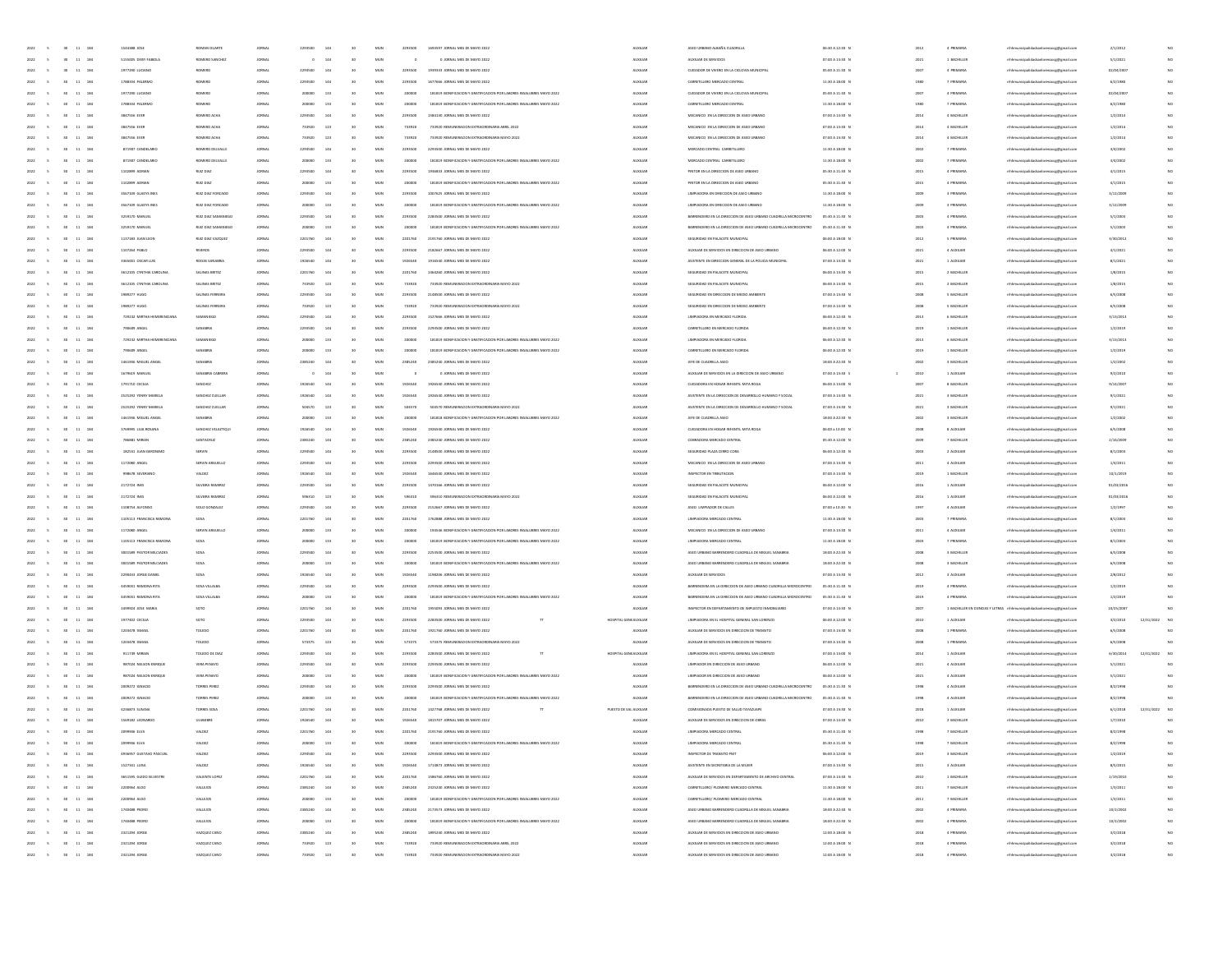| 2022 5         | $30 - 11 - 184$                                                       | 1544388 JOSE               | ROMAN DUARTE             | JORNAL        | 2293500 | 144 | 30              | MUN          | 2293500 | 1693597 JORNAL MES DE MAYO 2022                                      | <b>AUXILIAR</b>        | ASEO URBANO ALBAÑIL CUADRILLA                                   | 06:30 A 12:30 N | 2012 | 4 PRIMARIA  | mhhmunicipalidadsanlorenzocg@gmail.com                                  | 2/1/2012   |               |  |
|----------------|-----------------------------------------------------------------------|----------------------------|--------------------------|---------------|---------|-----|-----------------|--------------|---------|----------------------------------------------------------------------|------------------------|-----------------------------------------------------------------|-----------------|------|-------------|-------------------------------------------------------------------------|------------|---------------|--|
| 2022<br>$\sim$ | $30 \t 11 \t 184$                                                     | 5155005 DEISY FABIOL       | ROMERO SANCHEZ           | JOINAL        | $\circ$ | 144 | 30 <sub>2</sub> | MUN          |         | 0 JORNAL MES DE MAYO 2022                                            | AUXILIAR               | AUXILIAR DE SERVICIOS                                           | 07:00 A 13:30 N | 2021 | 1 BACHILLER | nhhmunicipalidadsanlorenzocg@gmail.com                                  | 5/1/2021   | NO            |  |
| 2022<br>$\sim$ | 30 <sub>2</sub><br>11 184                                             | 1977290 LUCIANO            | ROMERO                   | JOINAL        | 2293500 | 144 | 30 <sub>°</sub> | $_{\rm MUN}$ | 2293500 | 1939333 JORNAL MES DE MAYO 2022                                      | AUXILIAR               | CUIDADOR DE VIVERO EN LA CICLOVIA MUNICIPAL                     | 05:00 A 11:30 N | 2007 | 4 PRIMARIA  | mhhmunicipalidadsanlorenzocg@gmail.com                                  | 02/04/2007 | NO            |  |
|                | $^{30}$<br>$11\,$<br>184                                              | 1788334 PALERMO            | ROMERO                   | <b>ORNA</b>   | 2203500 | 144 | 30              | MUN          | 229350  | 1677666 JORNAL MES DE MAYO 2022                                      | <b>AUXILIA</b>         | CARRETILLERO MERCADO CENTRA                                     | 11:30 A 18:00 N |      | 7 PRIMARV   | mhmunicipalidadsanlorenzocg@gmail.com                                   | 6/2/1980   | NO.           |  |
| 2022           | 11 184<br>30 <sub>1</sub>                                             | 1977290 LUCIANO            | ROMERO                   | <b>JORNAL</b> | 200000  | 133 | 30              | MUN          | 20000   | 181819 BONIFICACION Y GRATIFICACION POR LABORES INSALUBRES MAYO 2022 | AUXILIAR               | CUIDADOR DE VIVERO EN LA CICLOVIA MUNICIPAL                     | 05:00 A 11:30 N | 2007 | 4 PRIMARY   | mhhmunicipalidadsanlorenzocg@gmail.com                                  | 02/04/2007 | NO.           |  |
| 2022<br>$\sim$ | 30 <sub>1</sub><br>11 184                                             | 1788334 PALERMO            | ROMERO                   | JOINAL        | 200000  | 133 | 30              | MUN          | 200000  | 181819 BONIFICACION Y GRATIFICACION POR LABORES INSALUBRES MAYO 2022 | <b>AUXILIAR</b>        | CARRETILLERO MERCADO CENTRAL                                    | 11:30 A 18:00 N | 1980 | 7 PRIMARIA  | mhhmunicipalidadsanlorenzocg@gmail.com                                  | 6/2/1980   | NO.           |  |
| 2022<br>$\sim$ | 30<br>11 184                                                          | 3847556 EVER               | ROMERO ACHA              | JOINAL        | 2293500 | 144 | 30              | MUN          | 2293500 | 1584130 JORNAL MES DE MAYO 2022                                      | AUXILIAR               | MECANICO EN LA DIRECCIÓN DE ASEO URBANC                         | 07:00 A 13:30 N | 2014 | 4 BACHILLER | mhhmunicipalidadsanlorenzocg@gmail.com                                  | 1/2/2014   | NO.           |  |
| 2022<br>$\sim$ | 11 184<br>30 <sub>2</sub>                                             | 3847556 EVER               | ROMERO ACHA              | JORNAL        | 733920  | 123 | 30              | MUN          | 733920  | 733920 REMUNERACION EXTRAORDINARIA ABRIL 2022                        | AUXILIAI               | MECANICO EN LA DIRECCIÓN DE ASEO URBANO                         | 07:00 A 13:30 8 | 2014 | 4 BACHILLEI | mhhmunicipalidadsanlorenzoog@gmail.com                                  | 1/2/2014   | NO            |  |
| 2022           | $11\,$<br>184                                                         |                            | ROMERO ACHA              | ORNA          | 733920  | 123 |                 | MU           | 73392   | 733920 REMUNERACION EXTRAORDINARIA MAYO 202                          | <b>AUXILIA</b>         | MECANICO EN LA DIRECCIÓN DE ASEO URBANO                         |                 | 2014 | 4 BACHILLEI |                                                                         |            | NO            |  |
|                |                                                                       | 3847556 EVER               |                          |               |         |     |                 |              |         |                                                                      |                        |                                                                 | 07:00 A 13:30 N |      |             | mhmunicipalidadsanlorenzocg@gmail.com                                   | 1/2/2014   |               |  |
| 2022           | 11 184<br>30 <sub>1</sub>                                             | 871907 CANDELANO           | ROMERO DELVALLE          | <b>JORNAL</b> | 2203500 | 144 | 30              | MUN          | 2293500 | 2293500 JORNAL MES DE MAYO 2022                                      | <b>AUXILIAR</b>        | MERCADO CENTRAL CARRETILLERO                                    | 11:30 A 18:00 N | 2002 | 7 PRIMARIA  | mhhmunicipalidadsanlorenzocg@gmail.com                                  | 3/4/2002   | NO            |  |
| 2022<br>$\sim$ | 30 <sub>1</sub><br>11 184                                             | 871907 CANDELANO           | ROMERO DELVALLE          | JOINAL        | 200000  | 133 | 30              | MUN          | 200000  | 181819 BONIFICACION Y GRATIFICACION POR LABORES INSALUBRES MAYO 2022 | <b>AUXILIAR</b>        | MERCADO CENTRAL CARRETILLERO                                    | 11:30 A 18:00 N | 2002 | 7 PRIMARIA  | mhhmunicipalidadsanlorenzocg@gmail.com                                  | 3/4/2002   | NO.           |  |
| 2022<br>$\sim$ | 11 184<br>30 <sup>°</sup>                                             | 1102899 ADRAN              | RUIZ DIAZ                | JOINAL        | 2293500 | 144 | 30              | MUN          | 2293500 | 1936833 JORNAL MES DE MAYO 2022                                      | AUXILIAR               | PINTOR EN LA DIRECCIÓN DE ASEO URBANO                           | 05:30 A 11:30 N | 2015 | 4 PRIMARIA  | mhhmunicipalidadsanlorenzocg@gmail.com                                  | 4/1/2015   | NO.           |  |
| 2022<br>$\sim$ | 30 <sub>2</sub><br>$11\quad 184$                                      | 1102899 ADRAN              | RUIZ DIAZ                | JORNAL        | 200000  | 133 | 30              | MUN          | 200001  | 181819 BONIFICACIÓN Y GRATIFICACIÓN POR LABORES INSALUBRES MAYO 2022 | AUXILIAI               | PINTOR EN LA DIRECCIÓN DE ASEO URBAN                            | 05:30 A 11:30 8 | 2015 | 4 PRIMARIA  | mhhmunicipalidadsanlorenzoog@gmail.com                                  | 4/1/2015   | NO            |  |
| 2022           | $^{30}$<br>11 184                                                     | 3567109 GLADYS INES        | RUIZ DIAZ FORCADO        | ORNA          | 2293500 |     |                 | MUN          | 229350  | 1007625 JORNAL MES DE MAYO 2022                                      | <b>AUXILIA</b>         | LIMPIADORA EN DIRECCIÓN DE ASEO URBANO                          | 11:30 A 18:00 f | 2005 | 3 PRIMARY   | mhmunicipalidadsanlorenzocg@gmail.com                                   | 3/12/200   | NO            |  |
| 2022           | 11 184<br>30 <sub>1</sub>                                             | 3567109 GLADYS INES        | <b>RUIZ DIAZ FORCADO</b> | <b>JORNAL</b> | 200000  | 133 | 30              | MUN          | 20000   | 181819 BONIFICACION Y GRATIFICACION POR LABORES INSALUBRES MAYO 2022 | <b>AUXILIAI</b>        | LIMPIADORA EN DIRECCIÓN DE ASEO URBANO                          | 11:30 A 18:00 N | 2005 | 3 PRIMARIA  | mhhmunicipalidadsanlorenzocg@gmail.com                                  | 3/12/2009  | NO            |  |
| 2022<br>$\sim$ | 30 <sub>1</sub><br>11 184                                             | 3259170 MANUEL             | RUIZ DIAZ SAMANIEGO      | JORNAL        | 2293500 | 144 | 30              | MUN          | 2293500 | 2283500 JORNAL MES DE MAYO 2022                                      | AUXILIAR               | BARRENDERO EN LA DIRECCIÓN DE ASEO URBANO CUADRILLA MICROCENTRO | 05:30 A 11:30 N | 2003 | 4 PRIMARIA  | mhhmunicipalidadsanlorenzoce@email.com                                  | 5/1/2003   | NO.           |  |
| 2022<br>$\sim$ | 11 184<br>30 <sup>°</sup>                                             | 3259170 MANUEL             | RUIZ DIAZ SAMANIEGO      | JORNAL        | 200000  | 133 | 30              | MUN          | 200000  | 181819 BONIFICACION Y GRATIFICACION POR LABORES INSALUBRES MAYO 2022 | AUXILIAR               | BARRENDERO EN LA DIRECCIÓN DE ASEO URBANO CUADRILLA MICROCENTRO | 05:30 A 11:30 N | 2003 | 4 PRIMARIA  | mhhmunicipalidadsanlorenzocg@gmail.com                                  | 5/1/2003   | NO.           |  |
| 2022<br>$\sim$ | 11 184<br>30 <sub>2</sub>                                             | 1137183 JUAN LEOT          | RUIZ DIAZ VAZQUEZ        | <b>JORNAL</b> | 2201760 | 144 | 30              | MUN          | 2201760 | 2191760 JORNAL MES DE MAYO 2022                                      | AUXILIAI               | SEGURIDAD EN PALACETE MUNICIPAL                                 | 06:00 A 18:00 1 | 2012 | 5 PRIMARIA  | mhhmunicipalidadsanlorenzoog@gmail.com                                  | 3/30/2012  | NO            |  |
| 2022           | $^{30}$<br>11 184                                                     | 1107264 PABLO              | <b>RIVEROS</b>           | ORNA          | 2293500 |     |                 | MUN          | 229350  | 2182667 JORNAL MES DE MAYO 2022                                      | <b>AUXILIA</b>         | AUXILIAR DE SERVICIOS EN DIRECCIÓN DE ASEO URBANO               | 06:00 A 12:00 f | 2021 | 4 AUXILIA   | mhmunicipalidadsanlorenzocg@gmail.com                                   | 4/1/2021   | NO            |  |
| 2022           | 11 184<br>30 <sub>1</sub>                                             | 3365001 OSCAR LUIS         | RODAS SANABRIA           | <b>JORNAL</b> | 1926540 | 144 | 30              | MUN          | 1926546 | 1916540 JORNAL MES DE MAYO 2022                                      | AUXILIAR               | ASISTENTE EN DIRECCIÓN GENERAL DE LA POLICIA MUNICIPAL          | 07:00 A 13:30 N | 2021 | 1 AUXUJAR   | mhhmunicipalidadsanlorenzocg@gmail.com                                  | 8/1/2021   | NO            |  |
| 2022<br>$\sim$ | 30 <sub>1</sub><br>11 184                                             | 3612105 CYNTHIA CAROLINA   | SALINAS BRITEZ           | JORNAL        | 2201760 | 144 | 30 <sub>2</sub> | MUN          | 2201760 | 1464260 JORNAL MES DE MAYO 2022                                      | <b>AUXILIAR</b>        | SEGURIDAD EN PALACETE MUNICIPAL                                 | 06:00 A 13:30 N | 2015 | 2 BACHILLER | mhhmunicipalidadsanlorenzocg@gmail.com                                  | 1/8/2015   | NO.           |  |
| $\sim$         | 30 <sup>°</sup>                                                       |                            |                          |               |         | 123 | 30              |              |         |                                                                      |                        |                                                                 |                 |      |             |                                                                         |            | NO.           |  |
| 2022           | 11 184                                                                | 3612105 CYNTHIA CAROLINA   | SALINAS BRITEZ           | JOINAL        | 733920  |     |                 | MUN          | 733920  | 733920 REMUNERACION EXTRAORDINARIA MAYO 2022                         | AUXILIAR               | SEGURIDAD EN PALACETE MUNICIPAL                                 | 06:00 A 13:30 N | 2015 | 2 BACHILLER | mhhmunicipalidadsanlorenzocg@gmail.com                                  | 1/8/2015   |               |  |
| 2022<br>$\sim$ | 11 184<br>30 <sub>2</sub>                                             | 1989277 HUGO               | SALINAS FERREIF          | JOINAL        | 2293500 | 144 | 30              | MUN          | 229350  | 2148500 JORNAL MES DE MAYO 2022                                      | AUXILIAI               | SEGURIDAD EN DIRECCIÓN DE MEDIO AMBIENT                         | 07:00 A 13:30 8 | 2008 | 5 BACHILLEI | nhhmunicipalidadsanlorenzocg@gmail.com                                  | 6/5/2008   | NO            |  |
| 2022           | <b>vs</b><br>$11\,$<br>184                                            | 1989277 HUGC               | SALINAS FER              | ORNA          | 733920  | 123 |                 | MU           | 73392   | 733920 REMUNERACION EXTRAORDINARIA MAYO 2022                         | <b>AUXILIA</b>         | SEGURIDAD EN DIRECCIÓN DE MEDIO AMBIENT                         | 07:00 A 13:30 1 | 2006 | 5 BACHILLEI | mhmunicipalidadsanlorenzocg@gmail.com                                   | 6/5/2008   | NO            |  |
| 2022           | 11 184<br>30 <sub>1</sub>                                             | 729232 MIRTHA HEMERENCIANA | SAMANIEGO                | <b>JORNAL</b> | 2293500 | 144 | 30              | MUN          | 2293500 | 1527666 JORNAL MES DE MAYO 2022                                      | <b>AUXILIAR</b>        | LIMPIADORA EN MERCADO FLORIDA                                   | 06:00 A 12:30 N | 2013 | 6 BACHILLER | nhhmunicipalidadsanlorenzocg@gmail.com                                  | 3/13/2013  | NO            |  |
| 2022<br>$\sim$ | 30<br>11 184                                                          | 790509 ANGEL               | SANABRIA                 | JOINAL        | 2293500 | 144 | 30              | MUN          | 2293500 | 2293500 JORNAL MES DE MAYO 2022                                      | <b>AUXILIAR</b>        | CARRETILLERO EN MERCADO FLORIDA                                 | 06:00 A 12:30 N | 2019 | 1 BACHILLER | mhhmunicipalidadsanlorenzocg@gmail.com                                  | 1/2/2019   | NO.           |  |
| 2022<br>$\sim$ | 30 <sub>2</sub><br>11 184                                             | 729232 MIRTHA HEMERENCIANA | SAMANIEGO                | JOINAL        | 200000  | 133 | 30              | MUN          | 200000  | 181819 BONIFICACION Y GRATIFICACION POR LABORES INSALUBRES MAYO 2022 | AUXILIAR               | LIMPIADORA EN MERCADO FLORIDA                                   | 06:00 A 12:30 N | 2013 | 6 BACHILLER | mhhmunicipalidadsanlorenzocg@gmail.com                                  | 3/13/2013  | NO.           |  |
| 2022<br>$\sim$ | $11 - 184$<br>30                                                      | 790509 ANGEL               | SANABRI                  | JOINAL        | 200000  | 133 | 30              | MUN          | 200001  | 181819 BONIFICACIÓN Y GRATIFICACIÓN POR LABORES INSALUBRES MAYO 2022 | AUXILIAI               | CARRETILLERO EN MERCADO FLORIDA                                 | 06:00 A 12:30 1 | 2019 | 1 BACHILLEI | mhhmunicipalidadsanlorenzoog@gmail.com                                  | 1/2/2015   | NO            |  |
| 2022           | $11\,$<br>184                                                         | 1461936 MIGUEL ANGE        | SANABRI                  | ORNA          | 2385240 |     |                 | MUN          | 238524  | 2385240 JORNAL MES DE MAYO 2022                                      | <b>AUXILIA</b>         | JEFE DE CUADRILLA ASEO                                          | 18:00 A 22:30 1 | 2002 | 3 BACHILLEI | mhmunicipalidadsanlorenzocg@gmail.com                                   | 1/2/2002   | NO            |  |
| 2022           | 11 184<br>30 <sub>1</sub>                                             | 1679619 MANUEL             | SANABRIA CABRERA         | <b>JORNAL</b> |         | 144 | 30              | MUN          |         | 0 JORNAL MES DE MAYO 2022                                            | AUXILIAR               | AUXILIAR DE SERVICIOS EN LA DIRECCIÓN DE ASEO URBANO            | 07:00 A 13:30 S | 2010 | 1 AUXUJAR   | mhhmunicipalidadsanlorenzocg@gmail.com                                  | 9/2/2010   | NO            |  |
| 2022<br>$\sim$ | 30<br>11 184                                                          | 1791710 CECILIA            | SANCHEZ                  | JORNAL        | 1926540 | 144 | 30              | MUN          | 1926540 | 1926540 JORNAL MES DE MAYO 2022                                      | <b>AUXILIAR</b>        | CUDADORA EN HOGAR INFANTIL MITA ROGA                            | 06:00 A 13:00 N | 2007 | 8 BACHILLER | mhhmunicipalidadsanlorenzocg@gmail.com                                  | 9/14/2007  | NO.           |  |
| 2022<br>$\sim$ | 30 <sub>2</sub><br>11 184                                             | 2525292 YENNY MARIELA      | SANCHEZ CUELLAR          | JOINAL        | 1926540 | 144 | 30              | MUN          | 1926540 | 1926540 JORNAL MES DE MAYO 2022                                      | <b>AUXILIAR</b>        | ASISTENTE EN LA DIRECCIÓN DE DESARROLLO HUMANO Y SOCIAL         | 07:00 A 13:30 N | 2021 | 3 BACHILLER | mhhmunicipalidadsanlorenzocg@gmail.com                                  | 9/1/2021   | NO.           |  |
| 2022<br>$\sim$ | $11 - 184$<br>30                                                      | 2525292 YENNY MARIEL       | SANCHEZ CUELLA           | JORNAL        | 504570  | 123 | 30              | MUN          | 50457   | 504570 REMUNERACION EXTRAORDINARIA MAYO 2022                         | <b>AUXILIAI</b>        | ASISTENTE EN LA DIRECCIÓN DE DESARROLLO HUMANO Y SOCIA          | 07:00 A 13:30 8 | 2021 | 3 BACHILLEI | mhhmunicipalidadsanlorenzocg@gmail.com                                  | 9/1/2021   |               |  |
| 2022           | $11\,$<br>184                                                         | 1461936 MIGUEL ANGEL       | SANABRIA                 | <b>ORNA</b>   |         |     |                 | MU           | 20000   | 181818 BONIFICACION Y GRATIFICACION POR LABORES INSALUBRES MAYO 2022 | <b>AUXILIA</b>         | JEFE DE CUADRILLA ASEO                                          | 18:00 A 22:30 1 | 2002 | 3 BACHILLEI | mhmunicipalidadsanlorenzocg@gmail.com                                   | 1/2/2002   | NO            |  |
| 2022           | 11 184<br>30 <sub>1</sub>                                             | 3769995 LILIA ROSANA       | SANCHEZ VELAZTIQU        | <b>JORNAL</b> | 1926540 | 144 | 30              | MUN          | 1926540 | 1926540 JORNAL MES DE MAYO 2022                                      | AUXILIAR               | CUIDADORA EN HOGAR INFANTIL MITA ROGA                           | 06:00 a 13:00 N | 2006 | 8 AUXILIAR  | mhhmunicipalidadsanlorenzocg@gmail.com                                  | 6/5/2008   | NO            |  |
| 2022<br>$\sim$ | 30<br>11 184                                                          | 786881 M/RIAN              | SANTACRUZ                | JORNAL        | 2385240 | 144 | 30 <sub>2</sub> | MUN          | 2385240 | 2385240 JORNAL MES DE MAYO 2022                                      | <b>AUXILIAR</b>        | COBRADORA MERCADO CENTRAL                                       | 05:30 A 12:00 N | 2005 | 7 BACHILLER | mhhmunicipalidadsanlorenzocg@gmail.com                                  | 2/16/2009  | NO.           |  |
|                |                                                                       |                            |                          |               |         |     |                 |              |         |                                                                      |                        |                                                                 |                 |      |             |                                                                         |            |               |  |
| 2022<br>$\sim$ | 30 11 184                                                             | 182551 JUAN GERONIMO       | SERVIN                   | JOINAL        | 2293500 | 144 | 30 <sub>2</sub> | MUN          | 2293500 | 2148500 JORNAL MES DE MAYO 2022                                      | <b>AUXILIAR</b>        | SEGURIDAD PLAZA CERRO CORA                                      | 06:00 A 12:30 N | 2003 | 2 AUXILIAR  | mhhmunicipalidadsanlorenzoce@email.com                                  | 8/1/2003   | NO.           |  |
| 2022<br>$\sim$ | $11 - 184$                                                            | 1172080 ANGEL              | SERVIN ARGUELLI          | JORNAL        | 2293500 | 144 | 30              | MUN          | 229350  | 2293500 JORNAL MES DE MAYO 2022                                      | <b>AUXILIAI</b>        | MECANICO EN LA DIRECCIÓN DE ASEO URBANO                         | 07:00 A 13:30 1 | 2011 | 4 AUXILIA   | dorenzocg@gmail.com                                                     | 1/4/2011   |               |  |
|                | $11\,$<br>184                                                         | 938678 SEVERIAN            | VALDEZ                   | ORNA          |         |     |                 | MU           | 192654  | 1646540 JORNAL MES DE MAYO 2022                                      | <b>AUXILIA</b>         | INSPECTOR EN TRIBUTACIÓN                                        | 07:00 A 13:30 1 | 2019 | 1 BACHILLEI | mhmunicipalidadsanlorenzocg@gmail.com                                   | 10/1/201   |               |  |
| 2022           | 11 184<br>30 <sub>1</sub>                                             | 2172724 INES               | SLVEIRA RAMIREZ          | <b>JORNAL</b> | 2203500 | 144 | 30              | MUN          | 2293500 | 1470166 JORNAL MES DE MAYO 2022                                      | AUXILIAR               | SEGURIDAD EN PALACETE MUNICIPAL                                 | 06:00 A 12:00 N | 2016 | 1 AUXUJAR   | mhhmunicipalidadsanlorenzocg@gmail.com                                  | 01/03/2016 | NO.           |  |
| 2022<br>$\sim$ | 30<br>11 184                                                          | 2172724 INES               | SLVEIRA RAMIREZ          | JORNAL        | 596310  | 123 | 30              | MUN          | 596310  | 596310 REMUNERACION EXTRAORDINARIA MAYO 2022                         | <b>AUXILIAR</b>        | SEGURIDAD EN PALACETE MUNICIPAL                                 | 06:00 A 12:00 N | 2016 | 1 AUXILIAR  | mhhmunicipalidadsanlorenzocg@gmail.com                                  | 01/03/2016 | NO            |  |
| 2022<br>$\sim$ | 30<br>11 184                                                          | 1108754 AUFONSO            | SOLIZ GONZALEZ           | JOINAL        | 2293500 | 144 | 30              | MUN          | 2293500 | 2152667 JORNAL MES DE MAYO 2022                                      | <b>AUXILIAR</b>        | ASEO LIMPIADOR DE CALLES                                        | 07:00 a 13:30 N | 1997 | 4 AUXILIAR  | mhhmunicipalidadsanlorenzocg@gmail.com                                  | 1/2/1997   | NO.           |  |
| 2022<br>$\sim$ | $11 - 184$                                                            | 1105113 FRANCISCA RAMONA   | SOSA                     | JORNAL        | 2201760 | 144 | 30              | MUN          | 2201760 | 1762888 JORNAL MES DE MAYO 2022                                      | <b>AUXILIAI</b>        | LIMPIADORA MERCADO CENTRAL                                      | 11:30 A 18:00 f | 2003 | 7 PRIMARI   | crenzocg@gmail.com                                                      | 8/1/2003   |               |  |
|                | $\bf{11}$<br>184                                                      | 1172080 ANGEL              | SERVIN ARGI              |               |         |     |                 | MU           | 2000    | 194546 BONIFICACIÓN Y GRATIFICACIÓN POR LABORES INSALUBRES MAYO 2022 | <b>AUXILIA</b>         | MECANICO EN LA DIRECCION DE ASEO URBANO                         | 07:00 A 13:30 1 | 2011 | 4 AUXU14    | mhhmunicipalidadsanlorenzocg@gmail.com                                  | 1/4/201    |               |  |
| 2022<br>$\sim$ | 11 184<br>30 <sub>1</sub>                                             | 1105113 FRANCISCA RAMONA   | <b>SOSA</b>              | <b>JORNAL</b> | 200000  | 133 | 30              | MUN          | 200000  | 181819 BONIFICACION Y GRATIFICACION POR LABORES INSALUBRES MAYO 2022 | AUXILIAR               | LIMPIADORA MERCADO CENTRAL                                      | 11:30 A 18:00 N | 2003 | 7 PRIMARIA  | mhhmunicipalidadsanlorenzocg@gmail.com                                  | 8/1/2003   | NO.           |  |
| 2022<br>$\sim$ | 30<br>11 184                                                          | 3001589 PASTOR MILCIADES   | SOSA                     | JOINAL        | 2293500 | 144 | 30              | MUN          | 2293500 | 2253500 JORNAL MES DE MAYO 2022                                      | <b>AUXILIAR</b>        | ASEO URBANO BARRENDERO CUADRILLA DE MIGUEL SANABRIA             | 18:00 A 22:30 N | 2008 | 3 BACHILLER | mhhmunicipalidadsanlorenzocg@gmail.com                                  | 6/5/2008   | NO            |  |
| 2022<br>$\sim$ | 30 11 184                                                             | 3001589 PASTOR MILCIADES   | SOSA                     | JOINAL        | 200000  | 133 | 30              | MUN          | 200000  | 181819 BONIFICACION Y GRATIFICACION POR LABORES INSALUBRES MAYO 2022 | AUXILIAR               | ASEO URBANO BARRENDERO CUADRILLA DE MIGUEL SANABRIA             | 18:00 A 22:30 N | 2008 | 3 BACHILLER | mhhmunicipalidadsanlorenzocg@gmail.com                                  | 6/5/2008   | NO.           |  |
| 2022<br>$\sim$ | $11 - 184$                                                            | 2200433 JORGE DANIEL       | SOSA                     | JORNAL        | 1926540 | 144 | 30              | MUN          | 192654  | 1198206 JORNAL MES DE MAYO 2022                                      | <b>AUXILIAI</b>        | AUXILIAR DE SERVICIOS                                           | 07:00 A 13:30 1 | 2012 | 3 AUXILIAN  | renzocg@gmail.com                                                       | 2/8/2012   | NO            |  |
|                | $\bf{11}$<br>184                                                      | 4459031 RAMONA RITA        | SOSA VILLALI             | <b>ORNA</b>   |         |     |                 | MU           | 229350  | 2293500 JORNAL MES DE MAYO 2022                                      | <b>AUXILIA</b>         | BARRENDERA EN LA DIRECCIÓN DE ASEO URBANO CUADRILLA MICROCENTRO | 05:30 A 11:30 1 | 2019 | 4 PRIMARY   | mhhmunicipalidadsanlorenzocg@gmail.com                                  | 1/2/2015   | NO            |  |
|                |                                                                       |                            |                          |               |         |     |                 |              |         |                                                                      |                        |                                                                 |                 |      |             |                                                                         |            |               |  |
| 2022<br>$\sim$ | 11 184<br>30 <sub>1</sub>                                             | 4459031 RAMONA RITA        | SOSA VILLALBA            | <b>JORNAL</b> | 200000  | 133 | 30              | MUN          | 200000  | 181819 BONIFICACIÓN Y GRATIFICACIÓN POR LABORES INSALUBRES MAYO 2022 | <b>AUXILIAR</b>        | BARRENDERA EN LA DIRECCIÓN DE ASEO URBANO CUADRILLA MICROCENTRO | 05:30 A 11:30 N | 2019 | 4 PRIMARIA  | mhhmunicipalidadsanlorenzoce@email.com                                  | 1/2/2019   | NO            |  |
| 2022<br>$\sim$ | 30<br>11 184                                                          | 2499924 JOSE MARIA         | SOTO                     | JOINAL        | 2201760 | 144 | 30              | MUN          | 2201760 | 1955093 JORNAL MES DE MAYO 2022                                      | AUXILIAR               | INSPECTOR EN DEPARTAMENTO DE IMPUESTO INMOBILIARIO              | 07:00 A 13:30 N | 2007 |             | 1 BACHILLER EN CIENCIAS Y LETRAS mhhmunicipalidadsanlorenzocg@gmail.com | 10/25/2007 | NO            |  |
| 2022<br>$\sim$ | 30 <sub>2</sub><br>11 184                                             | 1977402 CECILIA            | SOTO                     | JOINAL        | 2293500 | 144 | 30              | MUN          | 2293500 | 2283500 JORNAL MES DE MAYO 2022                                      | HOSPITAL GENEALXILIAR  | LIMPIADORA EN EL HOSPITAL GENERAL SAN LORENZO                   | 06:00 A 12:00 N | 2010 | 1 AUXILIAR  | mhhmunicipalidadsanlorenzocg@gmail.com                                  | 3/2/2010   | 12/31/2022 NO |  |
| 2022<br>$\sim$ | $11 - 184$                                                            | 1203478 ISMAE              | TOLEDO                   | JOINAL        | 2201760 | 144 | 30              | MUN          | 2201760 | 1921760 JORNAL MES DE MAYO 2022                                      | AUXILIAR               | AUXILIAR DE SERVICIOS EN DIRECCIÓN DE TRANSITO                  | 07:00 A 13:30 1 | 2008 | 1 PRIMARIA  | naocg@gmail.com                                                         | 6/5/2008   |               |  |
|                | $\bf{11}$<br>184                                                      | 1203478 ISMAE              | TOLEDO                   | <b>ORNA</b>   | 573375  | 123 |                 | MU           | 57337   | 573375 REMUNERACION EXTRAORDINARIA MAYO 2022                         | <b>AUXILIA</b>         | AUXILIAR DE SERVICIOS EN DIRECCIÓN DE TRANSITO                  | 07:00 A 13:30 1 | 200  | 1 PRIMARI   | mhmunicipalidadsanlorenzocg@gmail.com                                   | 6/5/200    |               |  |
| 2022<br>$\sim$ | 11 184<br>30 <sub>1</sub>                                             | 911739 MIRIAN              | TOLEDO DE DIA            | <b>JORNAL</b> | 2293500 | 144 | 30              | MUN          | 2293500 | 2283500 JORNAL MES DE MAYO 2022                                      | HOSPITAL GENEALXILIAR  | LIMPIADORA EN EL HOSPITAL GENERAL SAN LORENZO                   | 07:00 A 13:00 N | 2014 | 1 AUXUJAR   | nhhmunicipalidadsanlorenzocg@gmail.com                                  | 6/30/2014  | 12/31/2022 NO |  |
| 2022<br>$\sim$ | 30 <sub>2</sub><br>11 184                                             | 987024 NELSON ENROLE       | VERA PENAYO              | JORNAL        | 2293500 | 144 | 30              | MUN          | 2293500 | 2293500 JORNAL MES DE MAYO 2022                                      | <b>AUXILIAR</b>        | LIMPIADOR EN DIRECCIÓN DE ASEO URBANO                           | 06:00 A 12:00 N | 2021 | 4 AUXILIAR  | mhhmunicipalidadsanlorenzocg@gmail.com                                  | 5/1/2021   | NO            |  |
| 2022<br>$\sim$ | 30 11 184                                                             | 987024 NELSON ENRIQUE      | VERA PENAYO              | JOINAL        | 200000  | 133 | 30              | MUN          | 200000  | 181819 BONIFICACION Y GRATIFICACION POR LABORES INSALUBRES MAYO 2022 | AUXILIAR               | LIMPIADOR EN DIRECCIÓN DE ASEO URBANO                           | 06:00 A 12:00 N | 2021 | 4 AUXILIAR  | mhhmunicipalidadsanlorenzocg@gmail.com                                  | 5/1/2021   | NO            |  |
| 2022<br>$\sim$ | 30 <sub>2</sub><br>11 184                                             | 2009272 IGNACIO            | TORRES PEREZ             | JORNAL        | 2293500 | 144 | 30              | MUN          | 229350  | 2293500 JORNAL MES DE MAYO 2022                                      | <b>AUXILIAI</b>        | BARRENDERO EN LA DIRECCIÓN DE ASEO URBANO CUADRILLA MICROCENTRO | 05:30 A 11:30 f | 1998 | 4 AUXILIA   | crenzocg@gmail.com                                                      | 8/2/1998   | NO            |  |
|                | $\bf{11}$<br>184                                                      | 2009272 IGNACIO            | TORRES PERE              |               |         |     |                 | MU           | 2000    | 181819 BONIFICACIÓN Y GRATIFICACIÓN POR LABORES INSALUBRES MAYO 2022 | <b>AUXILIA</b>         | BARRENDERO EN LA DIRECCIÓN DE ASEO URBANO CUADRILLA MICROCENTRI | 05:30 A 11:30 1 |      | 4 AUXILIA   | mhmunicipalidadsanlorenzocg@gmail.com                                   | 8/2/199    |               |  |
| 2022<br>$\sim$ | 30 <sub>1</sub><br>11 184                                             | 4236873 SUSANA             | TORRES SOSA              | <b>JORNAL</b> | 2201760 | 144 | 30              | MUN          | 2201760 | 1427768 JORNAL MES DE MAYO 2022                                      | PUESTO DE SAU AUXILIAR | COMPONADA BUFSTO DE SALUD TAYAZUAR                              | 07:00 A 13:30 N | 2018 | 1 AUXUJAR   | nhhmunicipalidadsanlorenzocg@gmail.com                                  | 6/1/2018   | 12/31/2022 NO |  |
| 2022 5         | 30 11 184                                                             | 1569182 LEONARDO           | <b>ULIAMBRE</b>          | JOINAL        | 1926540 | 144 | 30              | MUN          | 1926540 | 1815707 JORNAL MES DE MAYO 2022                                      | <b>AUXILIAR</b>        | AUXILIAR DE SERVICIOS EN DIRECCION DE OBRAS                     | 07:00 A 13:30 N | 2010 | 2 BACHILLER | mhhmunicipalidadsanlorenzocg@gmail.com                                  | 1/7/2010   | NO.           |  |
| 2022 5         | $30 \t 11 \t 184$                                                     | 2099946 ELVA               |                          | JOINAL        |         |     |                 | MUN          |         | 2191760 JORNAL MES DE MAYO 2022                                      |                        | LIMPIADORA MERCADO CENTRAL                                      |                 |      |             |                                                                         |            | NO            |  |
|                |                                                                       |                            | VALDE2                   |               | 2201760 | 144 | 30              |              | 2201760 |                                                                      | AUXILIAR               |                                                                 | 05:30 A 11:30 N | 1998 | 7 BACHILLER | mhhmunicipalidadsanlorenzocg@gmail.com                                  | 8/2/1998   |               |  |
|                |                                                                       |                            |                          |               |         |     |                 |              |         |                                                                      |                        |                                                                 | 05:30 A 11:30 1 |      |             |                                                                         |            |               |  |
| 2022<br>$\sim$ | $30\qquad11\qquad184$                                                 | 4936957 GUSTAVO PASCUA     | VALDEZ                   | JORNAL        | 2293500 | 144 | 30 <sub>°</sub> | MUN          | 2293500 | 2293500 JORNAL MES DE MAYO 2022                                      | <b>AUXILIAR</b>        | INSPECTOR DE TRANSITO PMT                                       | 06:00 A 12:00 N | 2019 | 3 BACHILLER | mhmunicipalidadsanlorenzocg@gmail.com                                   | 1/2/201    |               |  |
| 2022<br>$\sim$ | 30 11 184                                                             | 1527341 LUISA              | VALDEZ                   | <b>JORNAL</b> | 1926540 | 144 | 30 <sub>2</sub> | MUN          | 1926540 | 1714873 JORNAL MES DE MAYO 2022                                      | <b>AUXILIAR</b>        | ASISTENTE EN SECRETARIA DE LA MUJER                             | 07:00 A 13:30 N | 2015 | 3 AUXILIAR  | mhhmunicipalidadsanlorenzocg@gmail.com                                  | 8/5/2015   | NO            |  |
| 2022<br>$\sim$ | 30 11 184                                                             | 3651595 GUIDO SILVESTRE    | VALIENTE LOPEZ           | JOINAL        | 2201760 | 144 | 30              | MUN          | 2201760 | 1586760 JORNAL MES DE MAYO 2022                                      | <b>AUXILIAR</b>        | AUXILIAR DE SERVICIOS EN DEPARTAMENTO DE ARCHIVO CENTRAL        | 07:00 A 13:30 N | 2010 | 1 BACHILLER | mhhmunicipalidadsanlorenzocg@gmail.com                                  | 1/19/2010  | NO            |  |
| 2022 5         | 30 11 184                                                             | 2200964 ALDO               | VALLEIOS                 | JOINAL        | 2385240 | 144 | 30              | MUN          | 2385240 | 2325240 JORNAL MES DE MAYO 2022                                      | <b>AUXILIAR</b>        | CARRETILLERO/ PLOMERO MERCADO CENTRAL                           | 11:30 A 18:00 N | 2011 | 7 BACHILLER | nhhmunicipalidadsanlorenzocg@gmail.com                                  | 1/3/2011   | NO            |  |
| 2022<br>$\sim$ | $30 -$<br>11 184                                                      | 2200964 ALDO               | VALLEIOS                 | JORNAL        | 200000  | 133 | 30              | $_{\rm MUN}$ | 200000  | 181819 BONIFICACIÓN Y GRATIFICACIÓN POR LABORES INSALUBRES MAYO 2022 | <b>AUXILIAR</b>        | CARRETILLERO/ PLOMERO MERCADO CENTRAL                           | 11:30 A 18:00 N | 2011 | 7 BACHILLER | mhhmunicipalidadsanlorenzocg@gmail.com                                  | 1/3/2011   | NO            |  |
| 2022           | 30<br>$11 - 184$                                                      | 1740488 PEDRO              | VALLEIOS                 | JORNAL        | 2385240 | 144 | 30 <sub>°</sub> | MUN          | 2385240 | 2173573 JORNAL MES DE MAYO 2022                                      | <b>AUXILIAR</b>        | ASEO URBANO BARRENDERO CUADRILLA DE MIGUEL SANABRIA             | 18:00A22:30N    | 2002 | 4 PRIMARY   | thhmunicipalidadsanlorenzocg@gmail.com                                  | 10/2/2002  | NO            |  |
| 2022<br>$\sim$ | $30$ $11$ $184$                                                       | 1740488 PEDRO              | VALLEIOS                 | JORNAL        | 200000  | 133 | 30 <sub>1</sub> | MUN          | 200000  | 181819 BONIFICACION Y GRATIFICACION POR LABORES INSALUBRES MAYO 2022 | <b>AUXILIAR</b>        | ASEO URBANO BARRENDERO CUADRILLA DE MIGUEL SANABRIA             | 18:00 A 22:30 N | 2002 | 4 PRIMARIA  | mhmunicipalidadsanlorenzocg@gmail.com                                   | 10/2/2002  | NO            |  |
| 2022 5         | 30 11 184                                                             | 2321294 JORGE              | VAZQUEZ CANO             | JORNAL        | 2385240 | 144 | 30              | MUN          | 2385240 | 1895240 JORNAL MES DE MAYO 2022                                      | <b>AUXILIAR</b>        | AUXILIAR DE SERVICIOS EN DIRECCIÓN DE ASEO URBANO               | 12:00 A 18:00 N | 2018 | 4 PRIMARIA  | mhhmunicipalidadsanlorenzoce@email.com                                  | 3/2/2018   | NO            |  |
| 2022 5         | 30 11 184                                                             | 2321294 JORGE              | VAZQUEZ CANO             | JOINAL        | 733920  | 123 | 30              | MUN          | 733920  | 733920 REMUNERACION EXTRAORDINARIA ABRIL 2022                        | <b>AUXILIAR</b>        | AUXILIAR DE SERVICIOS EN DIRECCIÓN DE ASEO URBANO               | 12:00 A 18:00 N | 2018 | 4 PRIMARIA  | mhhmunicipalidadsanlorenzocg@gmail.com                                  | 3/2/2018   | NO            |  |
|                | $2022 \qquad \  \, 5 \qquad \quad \  \, 30 \qquad \, 11 \quad \, 184$ | 2321294 JORGE              | VAZQUEZ CANO             | JORNAL        | 733920  | 123 | 30 <sub>°</sub> | $_{\rm MUN}$ | 733920  | 733920 REMUNERACION EXTRAORDINARIA MAYO 2022                         | <b>AUXILIAR</b>        | AUXILIAR DE SERVICIOS EN DIRECCIÓN DE ASEO URBANO               | 12:00 A 18:00 N | 2018 | 4 PRIMARIA  | mhhmunicipalidadsanlorenzocg@gmail.com                                  | 3/2/2018   | NO            |  |
|                |                                                                       |                            |                          |               |         |     |                 |              |         |                                                                      |                        |                                                                 |                 |      |             |                                                                         |            |               |  |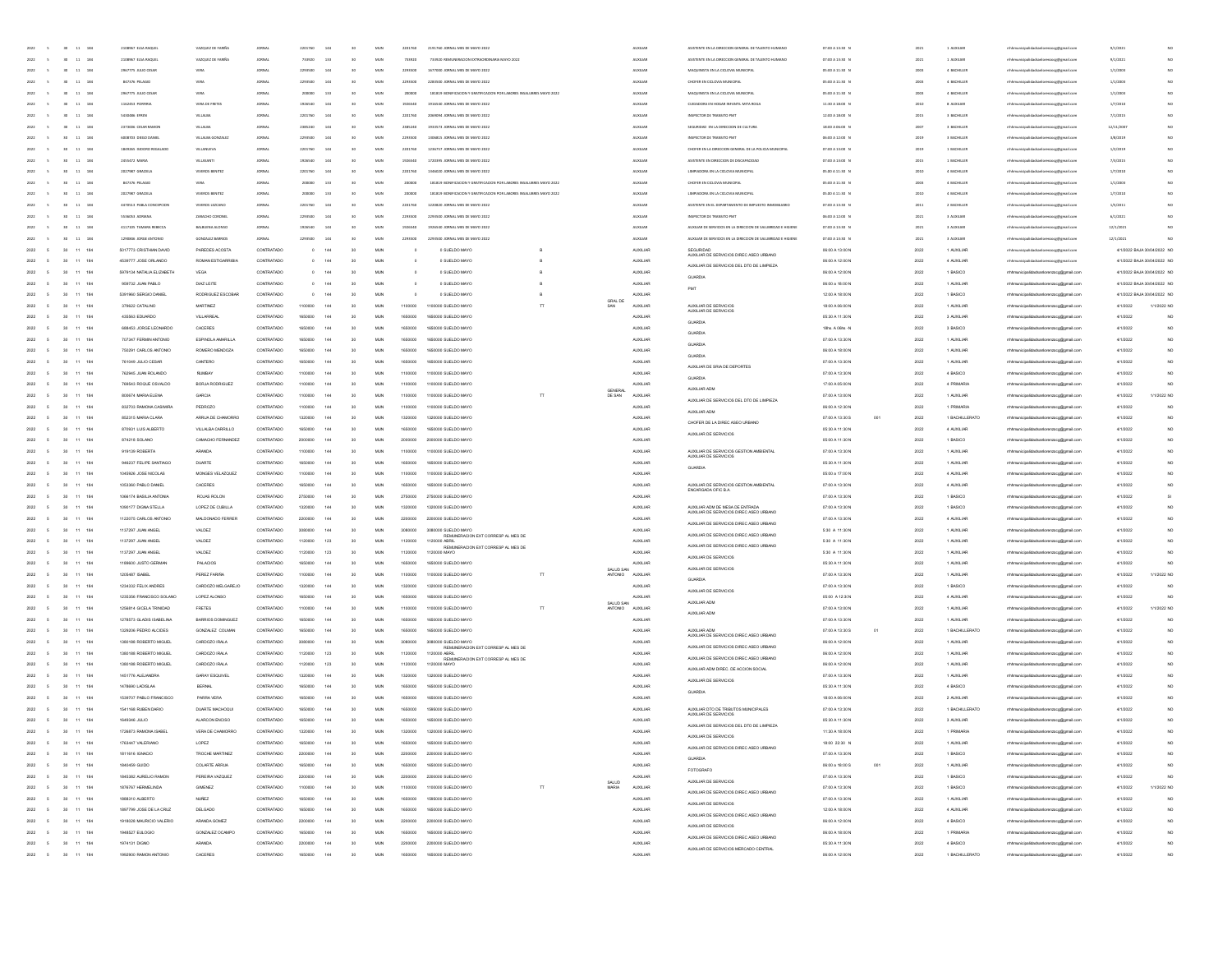| 2022   |                  | 11<br>184               | 2108967 ELSA RAQUE        | VAZQUEZ DE FANÑA         |               | 2201760       | 144 | $\mathbf{e}$    | MUN        | 2201760 | 2191760 JORNAL MES DE MAYO 2022                                                                                                                                                                                                                                                                                                                                                                                                     |                      | AUXILIAR        | ASISTENTE EN LA DIRECCIÓN GENERAL DE TALENTO HUI                           | 07:00 A 13:30 N  |    | 2021          | 1 AUXU14       | mhhmunicipalidadsanlorenzoce@email.co   | 9/1/202    |                             |
|--------|------------------|-------------------------|---------------------------|--------------------------|---------------|---------------|-----|-----------------|------------|---------|-------------------------------------------------------------------------------------------------------------------------------------------------------------------------------------------------------------------------------------------------------------------------------------------------------------------------------------------------------------------------------------------------------------------------------------|----------------------|-----------------|----------------------------------------------------------------------------|------------------|----|---------------|----------------|-----------------------------------------|------------|-----------------------------|
|        |                  | $\,$ 11 $\,$<br>184     | 2108967 ELSA RAO          | VAZQUEZ DE FARIÑ         |               | 733920        | 133 | $^{50}$         | MUN        | 733920  |                                                                                                                                                                                                                                                                                                                                                                                                                                     |                      |                 | INTE EN LA DIRECCIÓN GENERAL DE TALENTO HI                                 | 07:00 A 13:30    |    |               | 1 AUXILIA      |                                         | 9/1/202    |                             |
|        |                  | $_{134}$<br>$_{\rm 11}$ | 2967775 JULIO CESA        |                          |               | 229350        | 144 |                 | MUN        | 2293500 | 1677000 JORNAL MES DE MAYO 2022                                                                                                                                                                                                                                                                                                                                                                                                     |                      | <b>AUXILIA</b>  | MAQUINISTA EN LA CICLOVIA MUNICIPA                                         | 05:00 A 11:30    |    | 2003          | 4 BACHILLE     |                                         | 1/1/200    | NO                          |
|        |                  | 184<br>$11\,$           | 847376 PELAGIO            |                          |               | 229350        | 144 |                 | MUN        | 2293500 | 2283500 JORNAL MES DE MAYO 2022                                                                                                                                                                                                                                                                                                                                                                                                     |                      | <b>AUXILIAR</b> | CHOFER EN CICLOVIA MUNICIPA                                                | 05:00 A 11:30 8  |    | 2003          | 4 BACHILLER    | raocg@gmail.cor                         | 1/1/2003   | NQ                          |
|        |                  |                         |                           |                          |               |               |     |                 |            |         |                                                                                                                                                                                                                                                                                                                                                                                                                                     |                      |                 |                                                                            |                  |    |               |                |                                         |            |                             |
| 2022   |                  | 184<br>$11\,$           | 2967775 JULIO CESA        | VERA                     | JORNAL        | 20000         | 133 | 30              | MUN        | 200000  | 181819 BONIFICACION Y GRATIFICACION POR LABORES INSALUBRES MAYO 2022                                                                                                                                                                                                                                                                                                                                                                |                      | <b>AUXILIAR</b> | MAQUINISTA EN LA CICLOVIA MUNICIPA                                         | 05:00 A 11:30 N  |    | 2003          | 4 BACHILLER    | reoce@gmail.com                         | 1/1/2003   | NO                          |
| 2022   |                  | 184<br>11               | 1162453 PORFIRM           | VERA DE FRETES           | JORNAL        | 1926540       | 144 | 30              | MUN        | 1926540 | 1916540 JORNAL MES DE MAYO 2022                                                                                                                                                                                                                                                                                                                                                                                                     |                      | <b>AUXILIAR</b> | CUDADORA EN HOGAR INFANTIL MITA ROGA                                       | 11:30 A 18:00 N  |    | 2010          | 8 AUXILIA      | inzocg@gmail.cor                        | 1/7/2010   | NO                          |
| 2022   |                  | 11 184                  | <b>5430486 EFREN</b>      | VILLALBA                 | JORNAL        | 2201760       | 144 | $\mathbf{e}$    | <b>MUN</b> | 2201760 | 2069094 JORNAL MES DE MAYO 2022                                                                                                                                                                                                                                                                                                                                                                                                     |                      | <b>AUXILIAR</b> | INSPECTOR DE TRANSITO PMT                                                  | 12:00 A 18:00 N  |    | 2015          | 3 BACHILLER    | mhhmunicipalidadsanlorenzoce/Remail.com | 7/1/2015   | NO                          |
| 2022   | 30 <sup>2</sup>  | 11 184                  | 2373006 CESAR RAMOR       | <b>MILALBA</b>           | JORNAL        | 2385240       | 144 | 30              | <b>MUN</b> | 2385240 | 1933573 JORNAL MES DE MAYO 2022                                                                                                                                                                                                                                                                                                                                                                                                     |                      | <b>AUXILIAR</b> | SEGURIDAD EN LA DIRECCIÓN DE CULTURA                                       | 18:00 A 06:00 N  |    | 2007          | 3 BACHILLER    | mhhmunicipalidadsanlorenzoce@email.com  | 12/11/2007 | NO                          |
| 2022   |                  | 11 184                  | 6008703 DIEGO DANIEI      | VILLALBA GONZALE         | JORNAL        | 2293500       | 144 | 30              | MUN        | 2293500 | 1306815 JORNAL MES DE MAYO 2022                                                                                                                                                                                                                                                                                                                                                                                                     |                      | <b>AUXILIAR</b> | INSPECTOR DE TRANSITO PMT                                                  | 06:00 A 12:00 N  |    | 2019          | 3 BACHILLER    | mhhmunicipalidadsanlorenzocg@gmail.com  | 3/8/2019   | NO                          |
| 2022   | $\mathbf{m}$     | 11 184                  | 1849265 ISIDORO REGALAD   | VIII ANIIFVA             | iness         | 2201760       | 144 | $\mathbf{e}$    | MUN        | 2201760 | 1236252 IOBNALMES DE MAYO 2022                                                                                                                                                                                                                                                                                                                                                                                                      |                      | <b>AUXILIAR</b> | CHOFER EN LA DIRECCIÓN GENERAL DE LA POLICIA MUNICIPA                      | 07:00 A 13:00 N  |    | 2019          | 1 BACHILLER    |                                         | 1/2/2019   | $1$                         |
|        |                  |                         |                           |                          |               |               |     |                 |            |         |                                                                                                                                                                                                                                                                                                                                                                                                                                     |                      |                 |                                                                            |                  |    |               |                |                                         |            |                             |
|        |                  | 184                     | 2455472 MARL              | VILLASANTI               |               | 192654        |     |                 | MUN        | 1926540 | 1720395 JORNAL MES DE MAYO 202                                                                                                                                                                                                                                                                                                                                                                                                      |                      | <b>AUXILIAR</b> | ASISTENTE EN DIRECCIÓN DE DISCAPACIDA                                      | 07:00 A 13:00 N  |    | 2015          | 1 BACHILLER    |                                         | 7/3/201    |                             |
| 2022   | 30 <sub>2</sub>  | 11 184                  | 2027987 GRACIELA          | VIVEROS BENITEZ          | JORNAL        | 2201760       | 144 | 30              | MUN        | 2201760 | 1346020 JORNAL MES DE MAYO 2022                                                                                                                                                                                                                                                                                                                                                                                                     |                      | <b>AUXILIAR</b> | LIMPIADORA EN LA CICLOVIA MUNICIPA                                         | 05.00 A 11:30 N  |    | 2010          | 4 BACHILLER    | renzocg@gmail.con                       | 1/7/2010   |                             |
| 2022   | $30 -$           | $11 - 184$              | 847376 PELAGIO            | <b>VERA</b>              | <b>JORNAL</b> | 200000        | 133 | 30              | MUN        | 200000  | 181819 BONIFICACIÓN Y GRATIFICACIÓN POR LABORES INSALUBRES MAYO 2022                                                                                                                                                                                                                                                                                                                                                                |                      | <b>AUXILIAR</b> | CHOFER EN CICLOVIA MUNICIPAL                                               | 05:00 A 11:30 N  |    | 2003          | 4 BACHILLER    | renzoce@email.com                       | 1/1/2003   |                             |
| 2022   | 30 <sub>1</sub>  | 11 184                  | 2027987 GRACIELA          | VIVEROS BENITEZ          | <b>JORNAL</b> |               | 133 | 30              | MUN        | 200000  | 181819 BONIFICACION Y GRATIFICACION POR LABORES INSALUBRES MAYO 2022                                                                                                                                                                                                                                                                                                                                                                |                      | <b>AUXILIAR</b> | LIMPIADORA EN LA CICLOVIA MUNICIPAL                                        | 05.00 A 11:30 N  |    | 2010          | 4 BACHILLER    | mhhmunicipalidadsanlorenzoce@email.com  | 1/7/2010   |                             |
| 2022   | 30 <sub>1</sub>  | 11 184                  | 4470513 PABLA CONCEPCION  | VIVEROS LEZCANO          | <b>JORNAL</b> | 2201760       | 144 | 30              | MUN        | 2201760 | 1220820 JORNAL MES DE MAYO 2022                                                                                                                                                                                                                                                                                                                                                                                                     |                      | <b>AUXILIAR</b> | ASSTENTE EN EL DEPARTAMENTO DE IMPUESTO INMOBILIARIO                       | 07:00 A 13:30 N  |    | 2011          | 2 BACHILLER    | mhhmunicipalidadsanlorenzocg@gmail.com  | 1/5/2011   |                             |
| 2022   | sn.              | 11 184                  | 5536053 ADRIANA           | ZARACHO CORONEL          | JORNAL        | 2203500       | 144 | $\mathbf{e}$    | <b>MUN</b> | 2293500 | 2293500 JORNAL MES DE MAYO 2022                                                                                                                                                                                                                                                                                                                                                                                                     |                      | <b>AUXILIAR</b> | INSPECTOR DE TRANSITO PMT                                                  | 06:00 A 12:00 N  |    | 2021          | 3 AUXILIA      | mhhmunicipalidadsanlorenzoce@email.com  | 6/1/2021   |                             |
|        |                  |                         |                           |                          |               |               |     |                 |            |         |                                                                                                                                                                                                                                                                                                                                                                                                                                     |                      |                 |                                                                            |                  |    |               |                |                                         |            |                             |
| 2022   |                  | $11 - 184$              | 4117105 TAMARA REBECCA    | <b>BALBURNA ALONSO</b>   |               | 192654        |     |                 | MUN        | 1926546 | 1926540 IOBNALMES DE MAYO 2022                                                                                                                                                                                                                                                                                                                                                                                                      |                      | <b>AUXILIAR</b> | AUXILIAR DE SERVICIOS EN LA DIRECCIÓN DE SALUBRIDAD E HIGIENE              | 07:00 A 13:30 N  |    | $\frac{1}{2}$ | 3 AUXILIA      |                                         | 12/1/202   |                             |
| 2022   |                  | $11\quad 184$           | 1290846 JORGE ANTONIC     | CONZALEZ RABBICH         |               | <b>220350</b> |     |                 | MUN        | 229350  | JORNAL MES DE MAYO 202                                                                                                                                                                                                                                                                                                                                                                                                              |                      | <b>AUXILIAR</b> | AUXILIAR DE SERVICIOS EN LA DIRECCIÓN DE SALUBRIDAD E HIGIENI              | 07:00 A 13:30 P  |    |               | 3 AUXILIA      |                                         | 12/1/202   |                             |
|        |                  | $11 - 184$              | 5017773 CRISTHAN DAVID    | PAREDES ACOSTA           | CONTRATADO    |               | 144 |                 | Mub        |         | 0 SUELDO MAYO                                                                                                                                                                                                                                                                                                                                                                                                                       |                      | AUXILIA         |                                                                            | 06:00 A 13:00 M  |    | 2022          |                | eocg@gmail.cor                          |            | 4/1/2022 BAJA 30/04/2022 NO |
| 2022   |                  | $\pm\pm$<br>184         | 4539777 JOSE ORLANDO      | ROMAN ESTIG              |               |               | 144 |                 | MLB        |         | 0 SUELDO MAYO                                                                                                                                                                                                                                                                                                                                                                                                                       |                      | AUXILIAR        | SEGURILIAR<br>ALIXILIAR DE SERVICIOS DIREC ASEO URBANO                     | 06:00 A 12:00 N  |    | 2022          | 4 AUXILIAR     | reoce@gmail.cor                         |            | 4/1/2022 BAJA 30/04/2022 NO |
| 2022   |                  | 184<br>11               | 5979134 NATALIA ELIZABETH | VEGA                     | CONTRATADO    |               | 144 | 30              | MUN        |         | 0 SUELDO MAYO                                                                                                                                                                                                                                                                                                                                                                                                                       |                      | <b>AUXILIAR</b> | AUXILIAR DE SERVICIOS DEL DTO DE LIMPIEZA                                  | 06:00 A 12:00 N  |    | 2022          | 1 BASICO       | idadsanlorenzoog@gmail.com              |            | 4/1/2022 BAJA 30/04/2022 NO |
|        |                  |                         |                           |                          |               |               |     |                 |            |         |                                                                                                                                                                                                                                                                                                                                                                                                                                     |                      |                 | GUARDIA                                                                    |                  |    |               |                |                                         |            |                             |
| 2022   | 30               | 11 184                  | 959732 JUAN PABLO         | DIAZ LEITE               | CONTRATADO    |               | 144 | 30              | MUN        | $\circ$ | 0 SUELDO MAYO                                                                                                                                                                                                                                                                                                                                                                                                                       |                      | <b>AUXILIAR</b> |                                                                            | 06:00 a 18:00 N  |    | 2022          | 1 AUXILIAR     | mhmunicipalidadsanlorenzoog@gmail.com   |            | 4/1/2022 BAJA 30/04/2022 NO |
| 2022   | 20 <sub>1</sub>  | 11 184                  | 5391960 SERGIO DANEL      | RODRIGUEZ ESCOBAR        | CONTRATADO    |               | 144 | 30              | <b>MUN</b> |         | 0 SUELDO MAYO                                                                                                                                                                                                                                                                                                                                                                                                                       |                      | <b>AUXILIAR</b> |                                                                            | 12:00 A 18:00 N  |    | 2022          | 1 BASICO       | rrhhmunicipalidadsanlorenzoog@gmail.com |            | 4/1/2022 BAJA 30/04/2022 NO |
| 2022   | 20 <sub>1</sub>  | 11 184                  | 379622 CATALINO           | MARTINEZ                 | CONTRATADO    | 1100000       | 144 | 30              | <b>MUN</b> | 1100000 | 1100000 SUELDO MAYO                                                                                                                                                                                                                                                                                                                                                                                                                 | GRAL DE<br>SAN       | <b>AUXILIAR</b> | AUXILIAR DE SERVICIOS<br>AUXILIAR DE SERVICIOS                             | 18:00 A 06:00 N  |    | 2022          | 1 AUXILIAR     | mhmunicipalidadsanlorenzoog@gmail.com   | 4/1/2022   | 1/1/2022 NO                 |
| 2022   |                  | 11 184                  | 435563 EDUARDO            | VILLARREAL               | CONTRATADO    | 1650000       | 144 | 30              | <b>MUN</b> | 1650000 | 1650000 SUELDO MAYO                                                                                                                                                                                                                                                                                                                                                                                                                 |                      | <b>AUXILIAR</b> |                                                                            | 05:30 A 11:30 N  |    | 2022          | 3 AUXILIAR     | mhmunicipalidadsanlorenzoog@gmail.com   | 4/1/2022   | NO <sub>1</sub>             |
| 2022   |                  | 11 184                  | 688453 JORGE LEONARDO     | CACERES                  | CONTRATADO    | 1650000       | 144 | 30              | M.N.       | 1650000 | 1650000 SLELDO MAYO                                                                                                                                                                                                                                                                                                                                                                                                                 |                      | 44 001 145      | GUARDIA                                                                    | 18hs, A 06hs - N |    | 2022          | 3 BASICO       | mhmunicipalidadsanlorenzoog@gmail.com   | 4/1/2022   | MO.                         |
|        |                  | 184                     | 707347 FERMIN ANTONO      | ESPINOLA AMARILLA        | CONTRATADO    |               | 144 |                 | MLB        | 1650000 | 1650000 SUELDO MAYO                                                                                                                                                                                                                                                                                                                                                                                                                 |                      | AUXILIAR        | GUARDIA                                                                    | 07:00 A 13:30 M  |    | 2022          | 1 AUXILIAR     | mhhmunicipalidadsanlorenzoog@gmail.com  | 4/1/2022   | NC                          |
|        |                  |                         |                           |                          |               |               |     |                 |            |         |                                                                                                                                                                                                                                                                                                                                                                                                                                     |                      |                 | GLIARDIA                                                                   |                  |    |               |                |                                         |            |                             |
|        |                  | 184                     | 750291 CARLOS ANTONIC     | ROMERO MENDOZA           | CONTRATADO    | 165000        |     | 30              | MUN        | 1650000 | 1650000 SUELDO MAYO                                                                                                                                                                                                                                                                                                                                                                                                                 |                      | AUXILIAR        | GUARDIA                                                                    | 06:00 A 18:00 N  |    | 2022          | 1 AUXILIAR     | mhmunicipalidadsanlorenzoog@gmail.com   | 4/1/2022   |                             |
| 2022   |                  | 184<br>11               | 761049 JULIO CESAR        | CANTERO                  | CONTRATADO    | 165000        | 144 | 30              | MUN        | 1650000 | 1650000 SUELDO MAYO                                                                                                                                                                                                                                                                                                                                                                                                                 |                      | AUXILIAR        | AUXILIAR DE SRIA DE DEPORTES                                               | 07:00 A 13:30 N  |    | 2022          | 1 AUXILIAR     | mhhmunicipalidadsanlorenzoog@gmail.com  | 4/1/2022   | NO                          |
| 2022   |                  | 184<br>11               | 762945 JUAN ROLANDO       | <b>NUMBAY</b>            | CONTRATADO    | 1100000       | 144 | 30              | MUN        | 1100000 | 1100000 SUELDO MAYO                                                                                                                                                                                                                                                                                                                                                                                                                 |                      | <b>AUXILIAR</b> | GUARDIA                                                                    | 07:00 A 13:30 N  |    | 2022          | 4 BASICO       | mhmunicipalidadsanlorenzoog@gmail.com   | 4/1/2022   | NC                          |
| 2022   |                  | 11<br>184               | 769543 ROQUE OSVALDO      | BORJA RODRIGUEZ          | CONTRATADO    | 1100000       | 144 | 30              | MUN        | 1100000 | 1100000 SUELDO MAYO                                                                                                                                                                                                                                                                                                                                                                                                                 |                      | <b>AUXILIAR</b> |                                                                            | 17:00 A 05:00 N  |    | 2022          | 4 PRIMARIA     | mhmunicipalidadsanlorenzoog@gmail.com   | 4/1/2022   | NO                          |
| 2022   |                  | 11 184                  | 800674 MARIA ELENA        | GARCIA                   | CONTRATADO    | 110000        | 144 | 30              | MUN        | 1100000 | 1100000 SUELDO MAYO                                                                                                                                                                                                                                                                                                                                                                                                                 | DE SAN               | <b>AUXILIAR</b> | AUXILIAR ADM                                                               | 07:00 A 13:00 N  |    | 2022          | 1 AUXILIAR     | rrhhmunicipalidadsanlorenzoog@gmail.co  | 4/1/2022   | 1/1/2022 NO                 |
| 2022   |                  | 11 184                  | 832703 RAMONA CASIMIR     | PEDROZO                  | CONTRATADO    | 110000        | 144 | 30              | <b>MUN</b> | 1100000 | 1100000 SUFLDO MAYO                                                                                                                                                                                                                                                                                                                                                                                                                 |                      | ALCOHOL:        | AUXILIAR DE SERVICIOS DEL DTO DE LIMPIEZA                                  | 06:00 A 12:30 N  |    | 2022          | 1 PRIMARIA     | rrhhmunicipalidadsanlorenzoog@omail.co  | 4/1/2022   | NO.                         |
|        |                  |                         |                           |                          |               |               |     |                 |            |         |                                                                                                                                                                                                                                                                                                                                                                                                                                     |                      |                 | AUXILIAR ADM                                                               |                  |    |               |                |                                         |            |                             |
|        |                  | $11 - 184$              | 852315 MARIA CLARA        | <b>IRRUA DE CHAM</b>     | CONTRATADO    | 13200         | 144 | 30              | MUN        | 1320000 | 1320000 SUELDO MAYO                                                                                                                                                                                                                                                                                                                                                                                                                 |                      | <b>AUXILIA</b>  | CHOFER DE LA DIREC ASEO URBANO                                             | 07:00 A 13:30 S  |    | 2022          | 1 BACHILLERATO |                                         | 4/1/2022   | NO                          |
|        |                  | $\pm\pm$<br>184         | 870931 LUIS ALBERT        | VILLALBA CARRILL         |               |               | 144 |                 | MLN        |         | 000 SUELDO MAYO                                                                                                                                                                                                                                                                                                                                                                                                                     |                      | <b>ALDOLLA</b>  | AUXILIAR DE SERVICIOS                                                      | 05:30 A 11:30 N  |    | 2022          | 4 AUXILIA      | ipalidadsanlorenzoog@gmail              | 4/1/2022   | NO                          |
|        |                  | 184                     | 874218 SOLAND             | CAMACHO FE               |               |               | 144 |                 | <b>MUN</b> |         |                                                                                                                                                                                                                                                                                                                                                                                                                                     |                      | <b>ALDOLLA</b>  |                                                                            | 05:00 A 11:30 N  |    | 2022          | 1 BASICO       | icipalidadsanlorenzoog@gmail.co         |            | NO                          |
| 2022   |                  | 184<br>11               | 919139 ROBERTA            | ARANDA                   | CONTRATADO    | 110000        | 144 | 30              | MUN        | 1100000 | 1100000 SUELDO MAYO                                                                                                                                                                                                                                                                                                                                                                                                                 |                      | <b>AUXILIAR</b> | AUXILIAR DE SERVICIOS GESTION AMBIENTAL<br>AUXILIAR DE SERVICIOS           | 07:00 A 13:30 N  |    | 2022          | 1 AUXILIAR     | mhmunicipalidadsanlorenzoog@gmail.com   | 4/1/2022   | NO                          |
| 2022   | 30               | 11 184                  | 946237 FELIPE SANTIAGO    | DUARTE                   | CONTRATADO    | 165000        | 144 | 30              | MUN        | 1650000 | 1650000 SUELDO MAYO                                                                                                                                                                                                                                                                                                                                                                                                                 |                      | <b>AUXILIAR</b> |                                                                            | 05:30 A 11:30 N  |    | 2022          | 1 AUXILIAR     | mhmunicipalidadsanlorenzoog@gmail.com   | 4/1/2022   | NO                          |
| 2022   | 20 <sub>1</sub>  | 11 184                  | 1045926 JOSE NICOLAS      | MONGES VELAZQUEZ         | CONTRATADO    | 1100000       | 144 | 30              | MUN        | 1100000 | 1100000 SUELDO MAYO                                                                                                                                                                                                                                                                                                                                                                                                                 |                      | <b>AUXILIAR</b> | GUARDIA                                                                    | 05:00 a 17:00 N  |    | 2022          | 4 AUXILIAR     | mhmunicipalidadsanlorenzoog@gmail.com   | 4/1/2022   | NO                          |
|        |                  |                         |                           |                          |               |               |     |                 |            |         |                                                                                                                                                                                                                                                                                                                                                                                                                                     |                      |                 |                                                                            |                  |    |               |                |                                         |            |                             |
| 2022   | 20 <sub>1</sub>  | 11 184                  | 1053360 PABLO DANEL       | CACERES                  | CONTRATADO    | 165000        | 144 | 30              | <b>MUN</b> | 1650000 | 1650000 SUELDO MAYO                                                                                                                                                                                                                                                                                                                                                                                                                 |                      | <b>AUXILIAR</b> | AUXILIAR DE SERVICIOS GESTION AMBIENTAL<br>ENCARGADA OFIC B.A.             | 07:00 A 13:30 N  |    | 2022          | 4 AUXILIAR     | rrhhmunicipalidadsanlorenzoco@omail.com | 4/1/2022   | NO.                         |
| 2022   | 30               | 11 184                  | 1066174 BASILIA ANTONIA   | ROJAS ROLON              | CONTRATADO    | 2750000       | 144 | 30              | <b>MUN</b> | 2750000 | 2750000 SUELDO MAYO                                                                                                                                                                                                                                                                                                                                                                                                                 |                      | <b>AUXILIAR</b> |                                                                            | 07:00 A 13:30 N  |    | 2022          | 1 BASICO       | mhmunicipalidadsanlorenzoog@gmail.com   | 4/1/2022   | sı                          |
|        |                  | $11$<br>184             | 1090177 DIGNA STELLA      | LOPEZ DE CUBILLA         | CONTRATADO    |               | 144 | 30              | MUN        | 1320000 | 1320000 SUELDO MAYO                                                                                                                                                                                                                                                                                                                                                                                                                 |                      | AUXILIAR        | AUXILIAR ADM DE MESA DE ENTRADA<br>AUXILIAR DE SERVICIOS DIREC ASEO URBANO | 07:00 A 13:30 N  |    | 2022          | 1 BASICO       | ildadsanlorenzoog@gmail.co              | 4/1/2022   | NO                          |
|        | 30               | $\pm 1$<br>184          | 1122075 CARLOS ANTONIO    | MALDONADO FERRE          | CONTRATAD     |               | 144 | 30              | MUN        | 2200000 | 2200000 SUELDO MAYO                                                                                                                                                                                                                                                                                                                                                                                                                 |                      | AUXILIAR        |                                                                            | 07:00 A 13:30 N  |    | 2022          | 4 AUXILIAR     | idadsanlorenzoog@gmail.co               | 4/1/2022   | NC                          |
| 2022   | 30               | $11$<br>184             | 1137297 JUAN ANGEL        | <b>VALDEZ</b>            | CONTRATADO    |               |     | 30              | MUN        | 3080000 | 3080000 SUELDO MAY                                                                                                                                                                                                                                                                                                                                                                                                                  |                      | AUXILIAR        | ALIXILIAR DE SERVICIOS DIREC ASEO URBANO                                   | 5:30 A 11:30 N   |    | 2022          | 1 AUXILIAR     | mhmunicipalidadsanlorenzoog@gmail.com   | 4/1/2022   |                             |
|        | 30               | $11$<br>184             | 1137297 JUAN ANGEL        | VALDEZ                   | CONTRATADO    |               | 123 | 30              | MUN        | 1120000 | REMUNERACION EXT CORRESP AL MES DE<br>1120000 ABRIL                                                                                                                                                                                                                                                                                                                                                                                 |                      |                 | AUXILIAR DE SERVICIOS DIREC ASEO URBANO                                    | 5:30 A 11:30 N   |    | 2022          | 1 AUXILIAR     |                                         | 4/1/2022   |                             |
| 2022   |                  |                         |                           |                          |               | 112000        |     |                 |            |         | REMUNERACION EXT CORRESP AL MES DE<br>1120000 MAYO                                                                                                                                                                                                                                                                                                                                                                                  |                      | AUXILIAR        | AUXILIAR DE SERVICIOS DIREC ASEO URBANO                                    |                  |    |               |                | adsanlorenzoog@gmail.com                |            |                             |
| 2022   | $30 -$           | 11 184                  | 1137297 JUAN ANGEL        | VALDEZ                   | CONTRATADO    | 1120000       | 123 | 30              | MUN        | 1120000 |                                                                                                                                                                                                                                                                                                                                                                                                                                     |                      | <b>AUXILIAR</b> | AUXILIAR DE SERVICIOS                                                      | 5:30 A 11:30 N   |    | 2022          | 1 AUXILIAR     | mhmunicipalidadsanlorenzoog@gmail.com   | 4/1/2022   | NC                          |
| 2022   | $30 -$           | 11 184                  | 1189600 JUSTO GERMAN      | PALACIOS                 | CONTRATADO    | 165000        | 144 | 30              | <b>MUN</b> | 1650000 | 1650000 SUELDO MAYO                                                                                                                                                                                                                                                                                                                                                                                                                 | SALID SAN            | <b>AUXILIAR</b> | AUXILIAR DE SERVICIOS                                                      | 05:30 A 11:30 N  |    | 2022          | 1 AUXILIAR     | mhhmunicipalidadsanlorenzoog@gmail.com  | 4/1/2022   | NC                          |
| 2022   | 30               | 11 184                  | 1205487 ISABEL            | PEREZ FARIÑA             | CONTRATADO    | 110000        | 144 | 30              | MUN        | 1100000 | 1100000 SUELDO MAYO                                                                                                                                                                                                                                                                                                                                                                                                                 | CINTEN               | <b>AUXILIAR</b> |                                                                            | 07:00 A 13:30 N  |    | 2022          | 1 AUXILIAR     | cipalidadsanlorenzoco@gmail.com         | 4/1/2022   | 1/1/2022 NO                 |
| 2022   | 20 <sup>1</sup>  | 11 184                  | 1234332 FFLIX ANDRES      | CARDOZO MELGAREJO        | CONTRATADO    | 132000        | 144 | 30              | <b>MUN</b> | 1320000 | 1320000 SUELDO MAYO                                                                                                                                                                                                                                                                                                                                                                                                                 |                      | 44 001 145      | GUARDIA                                                                    | 07:00 A 13:30 N  |    | 2022          | 1 BASICO       | alidadsanlorenzoog@gmail.com            | 4/1/2022   | NC                          |
| 2022   | 20 <sup>1</sup>  | 11 184                  | 1235356 FRANCISCO SOLANO  | LOPEZ ALONSO             | CONTRATADO    | 165000        | 144 | 30              | MUN        | 1650000 | 1650000 SLELDO MAYO                                                                                                                                                                                                                                                                                                                                                                                                                 |                      | <b>AUXILIAR</b> | AUXILIAR DE SERVICIOS                                                      | 05:00 A 12:30N   |    | 2022          | 4 AUXILIAR     |                                         | 4/1/2022   | NO                          |
|        |                  |                         |                           | FRETES                   | CONTRATADO    |               | 144 |                 |            |         | 1100000 SUELDO MAYO                                                                                                                                                                                                                                                                                                                                                                                                                 | SALUD SAN<br>ANTONIO | <b>AUXILIAR</b> | AUXILIAR ADM                                                               |                  |    |               |                |                                         |            |                             |
|        |                  | 11 184                  | 1256814 GICELA TRINDAD    |                          |               |               |     |                 | MUN        |         |                                                                                                                                                                                                                                                                                                                                                                                                                                     |                      |                 | AUXILIAR ADM                                                               | 07:00 A 13:00 N  |    | 2022          | 1 AUXILIAR     | alidadsanlorenzoog@gmail.co             | 4/1/2022   | 1/1/2022 NO                 |
| 2022   | 30               | $11$<br>184             | 1278573 GLADIS ISABELINA  | <b>BARRIOS DOMINGUEZ</b> | CONTRATADO    | 16500         | 144 | 30              | MUN        | 1650000 | 1650000 SUELDO MAYO                                                                                                                                                                                                                                                                                                                                                                                                                 |                      | <b>AUXILIAR</b> |                                                                            | 07:00 A 13:30 N  |    | 2022          | 1 AUXILIAR     | lorenzoog@gmail.com                     | 4/1/2022   | $_{NC}$                     |
| 2022   | 30               | 184<br>11               | 1329206 PEDRO ALCIDES     | GONZALEZ COLMAN          | CONTRATADO    | 165000        | 144 | 30              | MUN        | 1650000 | 1650000 SUELDO MAYO                                                                                                                                                                                                                                                                                                                                                                                                                 |                      | <b>AUXILIAR</b> | AUXILIAR ADM<br>AUXILIAR DE SERVICIOS DIREC ASEO URBANO                    | 07:00 A 13:30 S  | 01 | 2022          | 1 BACHILLERATO | alidadsanlorenzoog@gmail.com            | 4/1/2022   | NO.                         |
| 2022   | 30               | 11 184                  | 1380188 ROBERTO MIGUEL    | CARDOZO IRALA            | CONTRATADO    | 3080000       | 144 | 30              | MUN        | 3080000 | 3080000 SUELDO MAYO                                                                                                                                                                                                                                                                                                                                                                                                                 |                      | <b>AUXILIAR</b> |                                                                            | 06:00 A 12:00 N  |    | 2022          | 1 AUXILIAR     | mhmunicipalidadsanlorenzoog@gmail.com   | 4/1/2022   | NO <sub>1</sub>             |
| 2022   | 30               | 11 184                  | 1380188 ROBERTO MIGUEL    | CARDOZO IRALA            | CONTRATADO    | 1120000       | 123 | 30              | MUN        | 1120000 | $\begin{array}{c} \begin{array}{c} \text{R.} & \text{R.} \\ \text{R.} \\ \text{R.} \\ \text{R.} \end{array} \\ \text{R.} \\ \text{R.} \\ \text{R.} \\ \text{R.} \\ \text{R.} \\ \text{R.} \\ \text{R.} \\ \text{R.} \\ \text{R.} \\ \text{R.} \\ \text{R.} \\ \text{R.} \\ \text{R.} \\ \text{R.} \\ \text{R.} \\ \text{R.} \\ \text{R.} \\ \text{R.} \\ \text{R.} \\ \text{R.} \\ \text{R.} \\ \text{R.} \\ \text{R.} \\ \text{R.$ |                      | <b>AUXILIAR</b> | AUXILIAR DE SERVICIOS DIREC ASEO URBANO                                    | 06:00 A 12:00 N  |    | 2022          | 1 AUXILIAR     | mhmunicipalidadsanlorenzoog@gmail.com   | 4/1/2022   | NO.                         |
| 2022   | 30               | 11 184                  | 1380188 ROBERTO MIGUEL    | CARDOZO IRALA            | CONTRATADO    | 1120000       | 123 | 30              | <b>MUN</b> | 1120000 | REMUNERACION EXT CORRESP AL MES DE<br>1120000 MAYO                                                                                                                                                                                                                                                                                                                                                                                  |                      | <b>AUXILIAR</b> | AUXILIAR DE SERVICIOS DIREC ASEO URBANO                                    | 06:00 A 12:00 N  |    | 2022          | 1 AUXILIAR     | rrhhmunicipalidadsanlorenzoog@omail.com | 4/1/2022   | NO <sub>1</sub>             |
|        |                  |                         |                           |                          |               |               |     |                 |            |         |                                                                                                                                                                                                                                                                                                                                                                                                                                     |                      |                 | AUXILIAR ADM DIREC. DE ACCION SOCIAL                                       |                  |    |               |                |                                         |            |                             |
| 2022   |                  | 11 184                  | 1451776 ALEJANDRA         | GARAY ESQUIVE            | CONTRATADO    | 132000        | 144 | 30 <sub>1</sub> | <b>MUN</b> | 1320000 | 1320000 SUELDO MAYO                                                                                                                                                                                                                                                                                                                                                                                                                 |                      | <b>AUXILIAR</b> | AUXILIAR DE SERVICIOS                                                      | 07:00 A 13:30 N  |    | 2022          | 1 AUXILIAR     | rhhmunicipalidadsanlorenzoog@gmail.cor  | 4/1/2022   | NO <sub>1</sub>             |
|        |                  | 11<br>184               | 1478690 LADISLAA          | <b>BERNAL</b>            | CONTRATADO    | 165000        | 144 | 30              | MUN        | 1650000 | 1650000 SUELDO MAYO                                                                                                                                                                                                                                                                                                                                                                                                                 |                      | AUXILIAR        | GUARDIA                                                                    | 05:30 A 11:30 N  |    | 2022          | 4 BASICO       | rhhmunicipalidadsanlorenzoog@gmail.co   | 4/1/2022   | NO.                         |
|        |                  | 11<br>184               | 1539707 PABLO FRANCISCO   | PARRA VERA               | CONTRATADO    |               | 144 | 30              | MUN        | 1650000 | 1650000 SUELDO MAYO                                                                                                                                                                                                                                                                                                                                                                                                                 |                      | AUXILIAR        |                                                                            | 18:00 A 06:00 N  |    | 2022          | 2 AUXILIAR     | rhhmunicipalidadsanlorenzoog@gmail.cor  | 4/1/2022   | NO <sub>1</sub>             |
|        |                  | 184                     | 1541168 RUBEN DARK        | DUARTE MACHOQUI          | CONTRATADO    |               |     | 30              | MUN        | 1650000 | 1595000 SUELDO MAYO                                                                                                                                                                                                                                                                                                                                                                                                                 |                      | AUXILIAR        | AUXILIAR DTO DE TRIBUTOS MUNICIPALES<br>AUXILIAR DE SERVICIOS              | 07:00 A 13:30 N  |    | 2022          | 1 BACHILLERATI | mhmunicipalidadsanlorenzoog@gmail.com   | 4/1/2022   |                             |
|        |                  | 11<br>184               | 1649346 JULIO             | ALARCON ENCISO           | CONTRATADO    | 165000        | 144 | 30              | MUN        | 1650000 | 1650000 SUELDO MAYO                                                                                                                                                                                                                                                                                                                                                                                                                 |                      | AUXILIAR        |                                                                            | 05:30 A 11:30 N  |    | 2022          | 3 AUXILIAR     | mhhmunicipalidadsanlorenzoog@gmail.com  | 4/1/2022   |                             |
|        |                  |                         |                           |                          |               |               |     |                 |            |         |                                                                                                                                                                                                                                                                                                                                                                                                                                     |                      |                 | AUXILIAR DE SERVICIOS DEL DTO DE LIMPIEZA                                  |                  |    |               |                |                                         |            |                             |
| 2022   |                  | 11 184                  | 1726873 RAMONA ISABEL     | VERA DE CHAMORRO         | CONTRATADO    | 1320000       | 144 | 30 <sub>1</sub> | MUN        | 1320000 | 1320000 SUELDO MAYO                                                                                                                                                                                                                                                                                                                                                                                                                 |                      | <b>AUXILIAR</b> | AUXILIAR DE SERVICIOS                                                      | 11:30 A 18:00 N  |    | 2022          | 1 PRIMARIA     | mhhmunicipalidadsanlorenzoog@gmail.com  | 4/1/2022   | NO.                         |
| 2022   |                  | 11 184                  | 1763447 VALERIANO         | LOPEZ                    | CONTRATADO    | 165000        | 144 | 30              | <b>MUN</b> | 1650000 | 1650000 SUELDO MAYO                                                                                                                                                                                                                                                                                                                                                                                                                 |                      | <b>AUXILIAR</b> | AUXILIAR DE SERVICIOS DIREC ASEO URBANO                                    | 18:00 22:30 N    |    | 2022          | 1 AUXILIAR     | mhhmunicipalidadsanlorenzoog@gmail.com  | 4/1/2022   | NO <sub>1</sub>             |
| 2022   |                  | 11 184                  | 1811616 IGNACIO           | TROCHE MARTINEZ          | CONTRATADO    | 220000        | 144 | 30              | <b>MUN</b> | 2200000 | 2200000 SUELDO MAYO                                                                                                                                                                                                                                                                                                                                                                                                                 |                      | <b>AUXILIAR</b> | GUARDIA                                                                    | 07:00 A 13:30 N  |    | 2022          | 1 BASICO       | mhmunicipalidadsanlorenzoog@gmail.co    | 4/1/2022   | NO <sub>1</sub>             |
| 2022   |                  | 11 184                  | OCLUD PANARI              | COLARTE ARRIVE           | CONTRATADO    | 165000        | 144 | 30 <sub>1</sub> | MUN        | 1650000 | 1650000 SLELDO MAYO                                                                                                                                                                                                                                                                                                                                                                                                                 |                      | ALCOHOL:        |                                                                            | 0600 a 1800 S    |    | 2022          | 1.40 DOI 146   | mhmunicipalidadsanlorenzoog@gmail.co    | 4/1/2022   | NO                          |
|        |                  | 11 184                  | 1845382 AURELIO RAMON     | PERFIRA VAZOLIEZ         | CONTRATADO    | 220000        | 144 | $\infty$        | <b>MUN</b> | 2200000 | 2200000 SUELDO MAYO                                                                                                                                                                                                                                                                                                                                                                                                                 |                      | <b>AUXILIAR</b> | FOTOGRAFO                                                                  | 07:00 A 13:30 N  |    | 2022          | 1 BASICO       | mhmunicipalidadsanlorenzoog@gmail.      | 4/1/2022   | NO                          |
|        |                  | 184                     | 1876767 HERMELINDA        |                          |               |               |     |                 | MUN        |         |                                                                                                                                                                                                                                                                                                                                                                                                                                     |                      |                 | ALIXILIAR DE SERVICIOS                                                     | 07:00 A 13:30 N  |    |               |                |                                         |            | 1/1/2022 NO                 |
| 2022   |                  |                         |                           | GIMENEZ                  | CONTRATADO    |               |     | 30              |            | 1100000 | 1100000 SUELDO MAYO                                                                                                                                                                                                                                                                                                                                                                                                                 |                      | <b>AUXILIAR</b> | AUXILIAR DE SERVICIOS DIREC ASEO URBANO                                    |                  |    | 2022          | 1 BASICO       | ricipalidadsanlorenzoog@gmail.com       | 4/1/2022   |                             |
| 2022   |                  | 184<br>11               | 1888310 ALBERTO           | NUÑEZ                    | CONTRATADO    |               | 144 | 30              | MUN        | 1650000 | 1595000 SUELDO MAYO                                                                                                                                                                                                                                                                                                                                                                                                                 |                      | <b>AUXILIAR</b> | AUXILIAR DE SERVICIOS                                                      | 07:00 A 13:30 N  |    | 2022          | 1 AUXILIAR     | ladsanlorenzoog@gmail.com               | 4/1/2022   | NO                          |
| 2022   |                  | 11 184                  | 1897799 JOSE DE LA CRUZ   | DELGADO                  | CONTRATADO    | 165000        | 144 | 30              | <b>MUN</b> | 1650000 | 1650000 SUELDO MAYO                                                                                                                                                                                                                                                                                                                                                                                                                 |                      | AUXILIAR        | AUXILIAR DE SERVICIOS DIREC ASEO URBANO                                    | 12:00 A 18:00 N  |    | 2022          | 4 AUXILIAR     | mhmunicipalidadsanlorenzoog@gmail.com   | 4/1/2022   | NO.                         |
| 2022   | 30               | 11 184                  | 1918028 MAURICIO VALERIO  | ARANDA GOMEZ             | CONTRATADO    | 220000        | 144 | 30              | MUN        | 2200000 | 2200000 SUELDO MAYO                                                                                                                                                                                                                                                                                                                                                                                                                 |                      | <b>AUXILIAR</b> |                                                                            | 06:00 A 12:00 N  |    | 2022          | 4 BASICO       | mhmunicipalidadsanlorenzoog@gmail.com   | 4/1/2022   | NO <sub>1</sub>             |
| 2022 5 |                  | 30 11 184               | 1948527 EULOGIO           | GONZALEZ OCAMPO          | CONTRATADO    | 1650000       | 144 | 30              | MUN        | 1650000 | 1650000 SUELDO MAYO                                                                                                                                                                                                                                                                                                                                                                                                                 |                      | <b>AUXILIAR</b> | AUXILIAR DE SERVICIOS                                                      | 06:00 A 18:00 N  |    | 2022          | 1 PRIMARIA     | mhmunicipalidadsanlorenzoog@gmail.com   | 4/1/2022   | NO                          |
|        | 2022 5 30 11 184 |                         | 1974131 DIGNO             | ARANDA                   | CONTRATADO    | 2200000       | 144 | 30              | MUN        | 2200000 | 2200000 SUELDO MAYO                                                                                                                                                                                                                                                                                                                                                                                                                 |                      | <b>AUXILIAR</b> | AUXILIAR DE SERVICIOS DIREC ASEO URBANO                                    | 05:30 A 11:30 N  |    | 2022          | 4 BASICO       | mhmunicipalidadsanlorenzoog@gmail.com   | 4/1/2022   | NO <sub>1</sub>             |
|        |                  |                         |                           |                          |               |               |     |                 |            |         |                                                                                                                                                                                                                                                                                                                                                                                                                                     |                      |                 | AUXILIAR DE SERVICIOS MERCADO CENTRAL                                      |                  |    |               |                |                                         |            |                             |
|        | 2022 5 30 11 184 |                         | 1992900 RAMON ANTONIC     | CACERES                  | CONTRATADO    | sesonni       | 144 | 30              | MUN        | 1650000 | 1650000 SLIELDO MAYO                                                                                                                                                                                                                                                                                                                                                                                                                |                      | 44001146        |                                                                            | 06:00 A 12:00 N  |    | 2022          | 1 BACHILLERATO |                                         | 4/1/2022   |                             |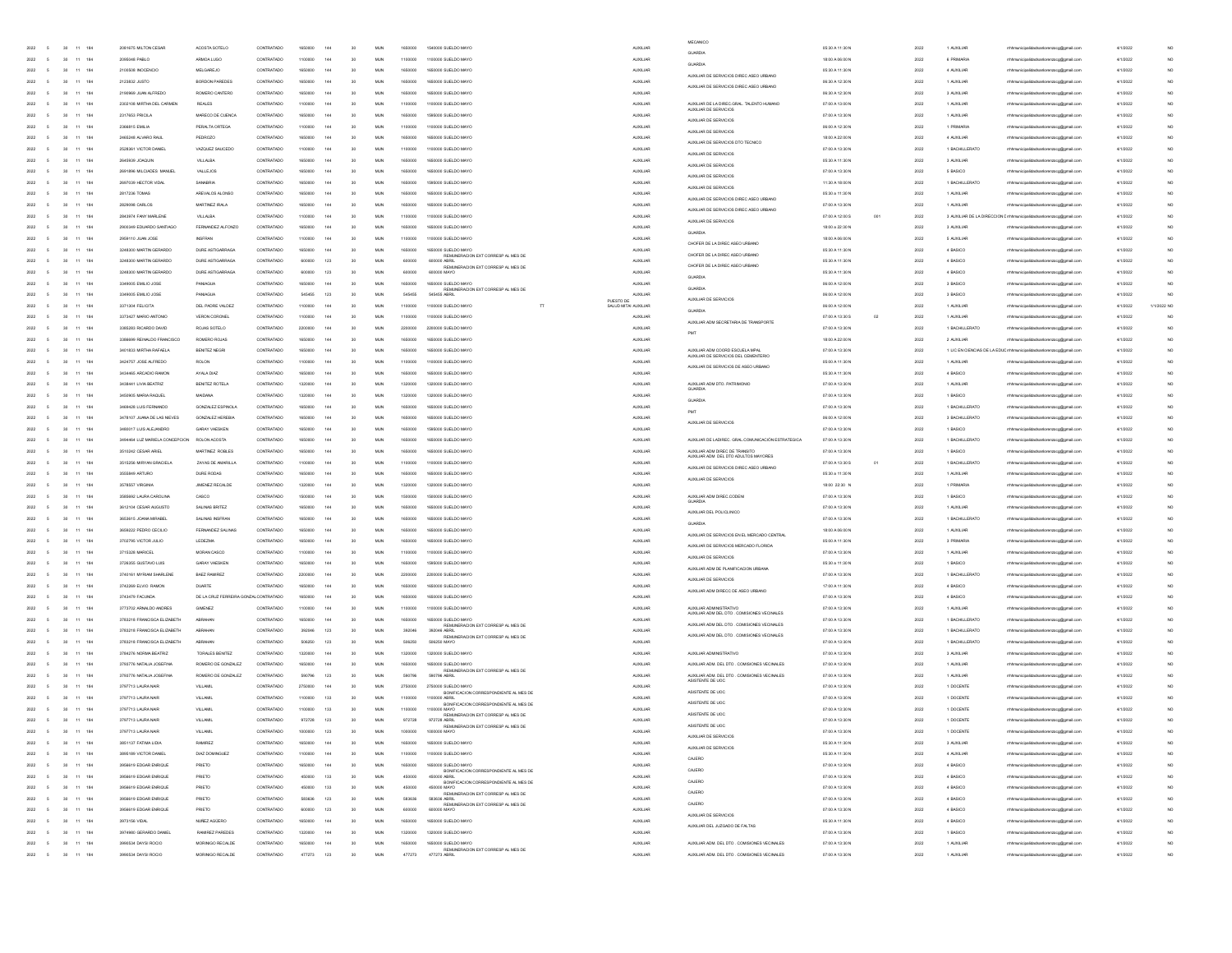|                      |                                                                       |                                |                                       |            |         |            |                 |            |                    |                                                                                                |                      | MECANCO                                                                |                                   |     |      |                |                                                                               |          |                 |
|----------------------|-----------------------------------------------------------------------|--------------------------------|---------------------------------------|------------|---------|------------|-----------------|------------|--------------------|------------------------------------------------------------------------------------------------|----------------------|------------------------------------------------------------------------|-----------------------------------|-----|------|----------------|-------------------------------------------------------------------------------|----------|-----------------|
| 2022<br>$-5$         | 30 11 184                                                             | 2081675 MILTON CESAR           | ACOSTA SOTELO                         | CONTRATADO | 1650000 | 144        | 30              | <b>MUN</b> | 1650000            | 1540000 SUELDO MAYO                                                                            | <b>ALDOLIAR</b>      | <b>GUARDIA</b>                                                         | 05:30 A 11:30 N                   |     | 2022 | 1 AUXILIAR     | rhhmunicipalidadsanlorenzoog@gmail.com                                        | 4/1/2022 |                 |
| 2022                 | 11 184<br>30                                                          | 2095048 PABLO                  | ARMOA LUGO                            | CONTRATADO | 1100000 | 144        | 20              | <b>MUN</b> | 1100000            | 1100000 SUELDO MAYO                                                                            | <b>ALDOLIAR</b>      | GUARDIA                                                                | 18:00 A 06:00 N                   |     | 2022 | 6 PRIMARIA     | mhmunicipalidadsanlorenzoog@gmail.com                                         | 4/1/2022 | NO.             |
| 2022                 | 11<br>184<br>30                                                       | 2100508 INDCENCIO              | <b>MELGAREJO</b>                      | CONTRATADO | 1650000 | 144        | 30              | <b>MUN</b> | 1650000            | 1650000 SUELDO MAYO                                                                            | AUXILIAR             |                                                                        | 05:30 A 11:30 N                   |     | 2022 | 4 AUXILIAR     | mhhmunicipalidadsanlorenzoog@gmail.com                                        | 4/1/2022 | NO.             |
| 2022                 | 184                                                                   | 2123832 JUSTO                  | <b>BORDON PAREDES</b>                 | CONTRATADO |         | 144        | 30              | MUN        | 1650000            | 1650000 SUELDO MAYO                                                                            | <b>AUXILIAR</b>      | AUXILIAR DE SERVICIOS DIREC ASEO URBANO                                | 06:30 A 12:30 N                   |     | 2022 | 1 AUXILIAR     | mhhmunicipalidadsanlorenzoog@gmail.com                                        | 4/1/2022 | NO              |
| 2022                 | 11<br>184                                                             | 2190969 JUAN ALFREDO           | ROMERO CANTERO                        | CONTRATADO | 165000  | 144        | 30              | <b>MUN</b> | 1650000            | 1650000 SUELDO MAYO                                                                            | <b>AUXILIAR</b>      | AUXILIAR DE SERVICIOS DIREC ASEO URBANO                                | 06:30 A 12:30 N                   |     | 2022 | 3 AUXILIAR     | rhhmunicipalidadsanlorenzoog@gmail.cor                                        | 4/1/2022 | NO              |
| 2022                 | 184<br>11                                                             | 2302108 MIRTHA DEL CARMEN      | <b>REALES</b>                         | CONTRATADO | 1100000 | 144        | 30              | <b>MUN</b> | 1100000            | 1100000 SUELDO MAYO                                                                            | <b>AUXILIAR</b>      | AUXILIAR DE LA DIREC.GRAL. TALENTO HUMANO                              | 07:00 A 13:00 N                   |     | 2022 | 1 AUXILIAR     | rhhmunicipalidadsanlorenzoog@gmail.com                                        | 4/1/2022 | NO <sub>1</sub> |
| 2022                 | 11 184<br>30                                                          | 2317653 PRICILA                | MARECO DE CUENCA                      | CONTRATADO | 1650000 | 144        | 30              | <b>MUN</b> | 1650000            | 1595000 SUELDO MAYO                                                                            | <b>AUXILIAR</b>      |                                                                        | 07:00 A 13:30 N                   |     | 2022 | 1 AUXILIAR     | rrhhmunicipalidadsanlorenzoog@gmail.com                                       | 4/1/2022 | NO.             |
| 2022                 | 11<br>184<br>30                                                       | 2366815 EMILIA                 | PERALTA ORTEGA                        | CONTRATADO | 1100000 | 144        | 30              | <b>MUN</b> | 1100000            | 1100000 SUELDO MAYO                                                                            | <b>AUXILIAR</b>      | AUXILIAR DE SERVICIOS                                                  | 06:00 A 12:30 N                   |     | 2022 | 1 PRIMARIA     | mhhmunicipalidadsanlorenzoog@gmail.com                                        | 4/1/2022 | NO.             |
| 2022                 | 184                                                                   | 2465248 ALVARO RAUL            | PEDROZO                               | CONTRATADO |         | 144        | 30              | MUN        | 1650000            | 1650000 SUELDO MAYO                                                                            | <b>AUXILIAR</b>      | AUXILIAR DE SERVICIOS                                                  | 18:00 A 22:00 N                   |     | 2022 | 4 AUXILIAR     | mhhmunicipalidadsanlorenzoog@gmail.com                                        | 4/1/2022 |                 |
| 2022                 | 11.<br>184                                                            | 2528361 VICTOR DANIE           | VAZQUEZ SAUCEDO                       | CONTRATADO | 110000  | 144        | 30              | <b>MUN</b> | 1100000            | 1100000 SLELDO MAYO                                                                            | <b>AUXILIAR</b>      | AUXILIAR DE SERVICIOS DTO TECNICO                                      | 07:00 A 13:30 N                   |     | 2022 | 1 BACHILLERATO | rhhmunicipalidadsanlorenzoog@gmail.co                                         | 4/1/2022 | NO <sub>1</sub> |
| 2022                 | 184<br>30<br>11                                                       | 2645939 JOAQUIN                | <b>VILLALBA</b>                       | CONTRATADO | 1650000 | 144        | 30              | <b>MUN</b> | 1650000            | 1650000 SUELDO MAYO                                                                            | <b>AUXILIAR</b>      | AUXILIAR DE SERVICIOS                                                  | 05:30 A 11:30 N                   |     | 2022 | 3 AUXILIAR     | rrhhmunicipalidadsanlorenzoog@gmail.com                                       | 4/1/2022 | NO <sub>1</sub> |
|                      | 11 184<br>30                                                          | 2691896 MILCIADES MANUEL       | <b>VALLEJOS</b>                       | CONTRATADO | 1650000 |            | 30              | <b>MUN</b> | 1650000            | 1650000 SUELDO MAYO                                                                            | <b>AUXILIAR</b>      | AUXILIAR DE SERVICIOS                                                  | 07:00 A 13:30 N                   |     | 2022 | 5 BASICO       |                                                                               | 4/1/2022 | NO.             |
| 2022                 |                                                                       |                                |                                       |            |         | 144        |                 |            |                    |                                                                                                |                      | AUXILIAR DE SERVICIOS                                                  |                                   |     |      |                | rrhhmunicipalidadsanlorenzoog@gmail.com                                       |          |                 |
| 2022                 | 11<br>184<br>30                                                       | 2697039 HECTOR VIDA            | SANABRIA                              | CONTRATADO | 1650000 | 144        | 30              | MUN        | 1650000            | 1595000 SUELDO MAYO                                                                            | <b>AUXILIAR</b>      | AUXILIAR DE SERVICIOS                                                  | 11:30 A 18:00 N                   |     | 2022 | 1 BACHILLERATO | mhhmunicipalidadsanlorenzoog@gmail.com                                        | 4/1/2022 | NO.             |
| 2022                 | 184                                                                   | 2817236 TOMAS                  | AREVALOS ALONSO                       | CONTRATADO |         | 144        | 30              | MUN        | 1650000            | 1650000 SUELDO MAYO                                                                            | <b>AUXILIAR</b>      | AUXILIAR DE SERVICIOS DIREC ASEO URBANO                                | 05:30 a 11:30 N                   |     | 2022 | 1 AUXILIAR     | mhhmunicipalidadsanlorenzoog@gmail.com                                        | 4/1/2022 | NO              |
|                      | 11<br>184                                                             | 2829098 CARLOS                 | MARTINEZ IRALA                        | CONTRATADO | 165000  | 144        | 30              | MUN        | 1650000            | 1650000 SUELDO MAYO                                                                            | <b>AUXILIAR</b>      | AUXILIAR DE SERVICIOS DIREC ASEO URBANO                                | 07:00 A 13:30 N                   |     | 2022 | 1 AUXILIAR     | rhhmunicipalidadsanlorenzoog@gmail.co                                         | 4/1/2022 | NO              |
| 2022                 | 184<br>30<br>11                                                       | 2843974 FANY MARLENE           | <b>VILLALBA</b>                       | CONTRATADO | 1100000 | 144        | 30              | <b>MUN</b> | 1100000            | 1100000 SUELDO MAYO                                                                            | <b>AUXILIAR</b>      | AUXILIAR DE SERVICIOS                                                  | 07:00 A 12:00 S                   | 001 | 2022 |                | 3 AUXILIAR DE LA DIRECCION Enfirmunicipalidadsaniorenzoco@gmail.com           | 4/1/2022 | NO <sub>1</sub> |
| 2022                 | 11 184<br>$\mathcal{R}$                                               | 2900349 EDUARDO SANTIAGO       | FERNANDEZ ALEONZO                     | CONTRATADO | 1650000 | 144        | 30              | <b>MUN</b> | 1650000            | 1650000 SUELDO MAYO                                                                            | <b>AUXILIAR</b>      | GUARDIA                                                                | 18:00 a 22:30 N                   |     | 2022 | 3 AUXILIAR     | rrhhmunicipalidadsanlorenzoog@gmail.com                                       | 4/1/2022 | NO.             |
| 2022                 | 11<br>184<br>30                                                       | 2959110 JUAN JOSE              | <b>INSFRAN</b>                        | CONTRATADO | 1100000 | 144        | 30              | MUN        | 1100000            | 1100000 SUELDO MAYO                                                                            | <b>AUXILIAR</b>      | CHOFER DE LA DIREC ASEO URBANO                                         | 18:00 A 06:00 N                   |     | 2022 | 5 AUXILIAR     | mhhmunicipalidadsanlorenzoog@gmail.com                                        | 4/1/2022 | NO.             |
| 2022                 | 184                                                                   | 3248300 MARTIN GERARDO         | DURE ASTIGA                           | CONTRATADO |         | 144        | 30              | MUN        |                    | 000 SUELDO MAYO                                                                                | <b>AUXILIAR</b>      | CHOFER DE LA DIREC ASEO URBANO                                         | 05:30 A 11:30 N                   |     | 2022 | 4 BASICO       | mhhmunicipalidadsanlorenzoog@gmail.com                                        | 4/1/2022 | NO              |
|                      | 11<br>184                                                             | 3248300 MARTIN GERARDO         | DURE ASTIGARRAGA                      | CONTRATADO | 60000   | 123        | 30              | <b>MUN</b> | 600000             | REMUNERACION EXT CORRESP AL MES DE<br>600000 ABRIL<br>REMUNERACION EXT CORRESP AL MES DI       | <b>AUXILIAR</b>      | CHOFER DE LA DIREC ASEO URBANI                                         | 05:30 A 11:30 N                   |     | 2022 | 4 BASICO       | hhmunicipalidadsanlorenzoog@gmail.co                                          | 4/1/2022 | NO              |
| 2022                 | 184<br>30<br>11                                                       | 3248300 MARTIN GERARDO         | DURE ASTIGARRAGA                      | CONTRATADO | 600000  | 123        | 30              | <b>MUN</b> | 600000             | 600000 MAYO                                                                                    | <b>AUXILIAR</b>      |                                                                        | 05:30 A 11:30 N                   |     | 2022 | 4 BASICO       | rrhhmunicipalidadsanlorenzoog@gmail.com                                       | 4/1/2022 | NO <sub>1</sub> |
| 2022                 | 11 184<br>$\mathcal{R}$                                               | 3349005 EMILIO JOSE            | PANAGUA                               | CONTRATADO | 1650000 | 144        | 30              | <b>MUN</b> | 1650000            | 1650000 SUELDO MAYO                                                                            | <b>AUXILIAR</b>      | GUARDIA                                                                | 06:00 A 12:00 N                   |     | 2022 | 3 BASICO       | mhmunicipalidadsanlorenzoog@gmail.com                                         | 4/1/2022 | NO.             |
| 2022                 | 11<br>184<br>30                                                       | 3349005 EMILIO JOSE            | PANJAGUA                              | CONTRATADO | 545455  | 123        | 30              | MUN        | 545455             | REMUNERACION EXT CORRESP AL MES DE<br>545455 ABRIL                                             | AUXILIAR             |                                                                        | 06:00 A 12:00 N                   |     | 2022 | 3 BASICO       | mhhmunicipalidadsanlorenzoog@gmail.com                                        | 4/1/2022 | NO              |
| 2022                 | 184                                                                   | 3371304 FELICITA               | DEL PADRE VALDEZ                      | CONTRATADO |         | 144        | 30              | MUN        | 1100000            | PLESTO DE<br>1100000 SUELDO MAYO<br>$\overline{\rm H}$                                         | SALUD MITAL AUXILIAR | AUXILIAR DE SERVICIOS                                                  | 06:00 A 12:00 N                   |     | 2022 | 1 AUXILIA      | mhhmunicipalidadsanlorenzoog@gmail.com                                        | 4/1/2022 | 1/1/2022 NO     |
| 2022                 | 11<br>184                                                             | 3373427 MARIO ANTONIO          | VERON CORONEI                         | CONTRATADO | 110000  | 144        | 30              | MUN        | 1100000            | 1100000 SUELDO MAYO                                                                            | <b>AUXILIAR</b>      | GUARDIA                                                                | 07:00 A 13:30 S<br>$_{02}$        |     | 2022 | 1 AUXILIAR     | hhmunicipalidadsanlorenzoog@gmail.co                                          | 4/1/2022 | NO              |
| 2022                 | 184<br>11                                                             | 3385283 RICARDO DAVID          | ROJAS SOTELO                          | CONTRATADO | 2200000 | 144        | 30              | <b>MUN</b> | 2200000            | 2200000 SUELDO MAYO                                                                            | <b>ALDOLLIAR</b>     | AUXILIAR ADM SECRETARIA DE TRANSPORTE                                  | 07:00 A 13:30 N                   |     | 2022 | 1 BACHILLERATO | rhhmunicipalidadsanlorenzoog@gmail.com                                        | 4/1/2022 | NO <sub>1</sub> |
| 2022                 | 11 184<br>$\mathcal{R}$                                               | 3386699 REINALDO FRANCISCO     | ROMERO ROJAS                          | CONTRATADO | 1650000 | 144        | 30              | <b>MUN</b> | 1650000            | 1650000 SUELDO MAYO                                                                            | <b>AUXILIAR</b>      |                                                                        | 18:00 A 22:00 N                   |     | 2022 | 2 AUXILIAR     | rrhhmunicipalidadsanlorenzoog@gmail.com                                       | 4/1/2022 | NO <sub>1</sub> |
| 2022                 | 11<br>184<br>30                                                       | 3401833 MIRTHA RAFAELA         | BENITEZ NEGRI                         | CONTRATADO | 1650000 | 144        | 30              | MUN        | 1650000            | 1650000 SUELDO MAYO                                                                            | <b>AUXILIAR</b>      | AUXILIAR ADM COORD ESCUELA MPAL                                        | 07:00 A 13:30 N                   |     | 2022 |                | 1 LIC EN CIENCIAS DE LA EDUC mhmunicipalidadsaniorenzoog@gmail.com            | 4/1/2022 | NO              |
| 2022                 | 184                                                                   | 3424757 JOSE ALFREDO           | ROLON                                 | CONTRATADO |         | 144        | 30              | MUN        |                    | 1100000 SUELDO MAYO                                                                            | <b>AUXILIAR</b>      | AUXILIAR DE SERVICIOS DEL CEMENTERIO                                   | 05:00 A 11:30 N                   |     | 2022 | 1 AUXILIAR     |                                                                               | 4/1/2022 |                 |
| 2022                 | 11.<br>184                                                            | 3434465 ARCADIO RAMON          | AYALA DIAZ                            | CONTRATADO | 165000  | 144        | 30              | <b>MUN</b> | 1100000<br>1650000 | 1650000 SLELDO MAYO                                                                            | <b>AUXILIAR</b>      | AUXILIAR DE SERVICIOS DE ASEO URBANO                                   | 05:30 A 11:30 N                   |     | 2022 | 4 BASICO       | mhmunicipalidadsanlorenzoog@gmail.com                                         | 4/1/2022 | NO <sub>1</sub> |
|                      |                                                                       |                                |                                       |            |         |            |                 |            |                    | 1320000 SUELDO MAYO                                                                            |                      | ALIXILIAR ADM DTO PATRIMONIO                                           |                                   |     |      |                | rhhmunicipalidadsanlorenzoog@gmail.co                                         |          |                 |
| 2022                 | 184<br>30<br>11                                                       | 3438441 LIVIA BEATRIZ          | BENITEZ ROTELA                        | CONTRATADO | 1320000 | 144        | 30              | <b>MUN</b> | 1320000            |                                                                                                | <b>AUXILIAR</b>      |                                                                        | 07:00 A 13:30 N                   |     | 2022 | 1 AUXILIAR     | mhmunicipalidadsanlorenzoog@gmail.com                                         | 4/1/2022 | NO <sub>1</sub> |
| 2022                 | 11 184<br>30                                                          | 3450905 MARIA RAQUEL           | MAIDANA                               | CONTRATADO | 1320000 | 144        | 30              | <b>MUN</b> | 1320000            | 1320000 SUELDO MAYO                                                                            | <b>AUXILIAR</b>      | GUARDIA                                                                | 07:00 A 13:30 N                   |     | 2022 | 1 BASICO       | rrhhmunicipalidadsanlorenzoog@gmail.com                                       | 4/1/2022 | NO.             |
| 2022                 | 30<br>11<br>184                                                       | 3469428 LUIS FERNANDO          | GONZALEZ ESPINOLA                     | CONTRATADO | 1650000 | 144        | 30              | MUN        | 1650000            | 1650000 SUELDO MAYO                                                                            | <b>AUXILIAR</b>      | PMT                                                                    | 07:00 A 13:30 N                   |     | 2022 | 1 BACHILLERATO | mhhmunicipalidadsanlorenzoog@gmail.com                                        | 4/1/2022 | NO.             |
| 2022                 | 184                                                                   | 3478107 JUANA DE LAS NEVES     | GONZALEZ HEREBIA                      | CONTRATADO |         | 144        | 30              | MUN        | 1650000            | 1650000 SUELDO MAYO                                                                            | AUXILIAR             | AUXILIAR DE SERVICIOS                                                  | 06:00 A 12:00 N                   |     | 2022 | 3 BACHILLERATO | mhhmunicipalidadsanlorenzoog@gmail.com                                        | 4/1/2022 |                 |
|                      | 11.<br>184                                                            | 3480017 LUIS ALEJANDRO         | GARAY VAESKEN                         | CONTRATADO | 165000  | 144        | 30              | MUN        | 1650000            | 1595000 SUELDO MAYO                                                                            | <b>AUXILIAR</b>      |                                                                        | 07:00 A 13:30 N                   |     | 2022 | 1 BASICO       | hhmunicipalidadsanlorenzoog@gmail.co                                          | 4/1/2022 | NO              |
| 2022                 | 184<br>30<br>11                                                       | 3494464 LUZ MARIELA CONCEPCION | ROLON ACOSTA                          | CONTRATADO | 1650000 | 144        | 30              | <b>MUN</b> | 1650000            | 1650000 SUELDO MAYO                                                                            | <b>AUXILIAR</b>      | ALDOLIAR DE LADIREC, GRAL COMUNICACIÓN ESTRATEGICA                     | 07:00 A 13:30 N                   |     | 2022 | 1 BACHILLERATO | mhmunicipalidadsanlorenzoog@gmail.com                                         | 4/1/2022 | NO <sub>1</sub> |
| 2022                 | 11 184<br>30                                                          | 3510242 CESAR ARIEL            | MARTINEZ ROBLES                       | CONTRATADO | 1650000 | 144        | 30              | <b>MUN</b> | 1650000            | 1650000 SUELDO MAYO                                                                            | <b>AUXILIAR</b>      | AUXILIAR ADM DIREC DE TRANSITO<br>AUXILIAR ADM DEL DTO ADULTOS MAYORES | 07:00 A 13:30 N                   |     | 2022 | 1 BASICO       | rrhhmunicipalidadsanlorenzoog@gmail.com                                       | 4/1/2022 | NO.             |
| 2022                 | 11<br>184<br>30                                                       | 3515256 MIRYAN GRACIELA        | ZAYAS DE AMARILLA                     | CONTRATADO | 1100000 | 144        | 30              | MUN        | 1100000            | 1100000 SUELDO MAYO                                                                            | <b>AUXILIAR</b>      | AUXILIAR DE SERVICIOS DIREC ASEO URBANO                                | 07:00 A 13:30 S<br>O <sub>1</sub> |     | 2022 | 1 BACHILLERATO | rrhhmunicipalidadsanlorenzoog@gmail.com                                       | 4/1/2022 | NO.             |
| 2022                 | 184                                                                   | 3555849 ARTURO                 | DURE RODAS                            | CONTRATADO |         | 144        | 30              | MUN        |                    | 1650000 SUELDO MAYO                                                                            | <b>AUXILIAR</b>      |                                                                        | 05:30 a 11:30 N                   |     | 2022 | 1 AUXILIAR     | rrhhmunicipalidadsanlorenzoog@gmail.com                                       | 4/1/2022 |                 |
|                      | 11<br>184                                                             | 3578557 VIRGINA                | JIMENEZ RECALDE                       | CONTRATADO | 132000  | 144        | 30              | MUN        | 1320000            | 1320000 SUELDO MAYO                                                                            | <b>AUXILIAR</b>      | AUXILIAR DE SERVICIOS                                                  | 18:00 22:30 N                     |     | 2022 | 1 PRIMARIA     | hhmunicipalidadsanlorenzoog@gmail.co                                          | 4/1/2022 | NO              |
| 2022                 | 11 184<br>30                                                          | 3585692 LAURA CAROLINA         | CASCO                                 | CONTRATADO | 1500000 | 144        | 30              | <b>MUN</b> | 1500000            | 1500000 SUELDO MAYO                                                                            | <b>AUXILIAR</b>      | AUXILIAR ADM DIREC.CODEN                                               | 07:00 A 13:30 N                   |     | 2022 | 1 BASICO       | mhmunicipalidadsanlorenzoog@gmail.com                                         | 4/1/2022 | NO <sub>1</sub> |
| 2022                 | 11 184<br>30                                                          | 3612104 CESAR AUGUSTO          | SALINAS BRITEZ                        | CONTRATADO | 1650000 | 144        | 30              | <b>MUN</b> | 1650000            | 1650000 SUELDO MAYO                                                                            | <b>AUXILIAR</b>      |                                                                        | 07:00 A 13:30 N                   |     | 2022 | 1 AUXILIAR     | rrhhmunicipalidadsanlorenzoog@gmail.com                                       | 4/1/2022 | NO.             |
| 2022                 | 11<br>184<br>30                                                       | 3653615 JOANA MIRABEL          | SALINAS INSFRAI                       | CONTRATADO | 1650000 | 144        | 30              | MUN        | 1650000            | 1650000 SUELDO MAYO                                                                            | <b>AUXILIAR</b>      | AUXILIAR DEL POLICLINICO                                               | 07:00 A 13:30 N                   |     | 2022 | 1 BACHILLERATO | mhhmunicipalidadsanlorenzoog@gmail.com                                        | 4/1/2022 | NO.             |
| 2022                 | 184                                                                   | 3659222 PEDRO CECILIO          | FERNANDEZ SALINA                      | CONTRATADO |         | 144        | 30              | MUN        |                    | 1650000 SUELDO MAYO                                                                            | <b>AUXILIAR</b>      | GUARDIA                                                                | 18:00 A 06:00 N                   |     | 2022 | 1 AUXILIAR     | rhhmunicipalidadsanlorenzoog@gmail.com                                        | 4/1/2022 |                 |
| 2022                 | 11<br>184                                                             | 3702795 VICTOR JULIO           | <b>LEDEZMA</b>                        | CONTRATADO | 16500C  | 144        | 30              | MUN        | 1650000            | 1650000 SUELDO MAYO                                                                            | <b>AUXILIAR</b>      | AUXILIAR DE SERVICIOS EN EL MERCADO CENTRAL                            | 05:00 A 11:30 N                   |     | 2022 | 3 PRIMARIA     |                                                                               | 4/1/2022 | NO              |
|                      |                                                                       |                                |                                       |            |         |            |                 |            |                    |                                                                                                |                      | AUXILIAR DE SERVICIOS MERCADO FLORIDA                                  |                                   |     |      |                | rhhmunicipalidadsanlorenzoog@gmail.cor                                        |          |                 |
| 2022                 | 11 184                                                                | 3715328 MARICEL                | MORAN CASCO                           | CONTRATADO | 1100000 | 144        | 30              | <b>MUN</b> | 1100000            | 1100000 SUELDO MAYO                                                                            | <b>AUXILIAR</b>      | AUXILIAR DE SERVICIOS                                                  | 07:00 A 13:30 N                   |     | 2022 | 1 AUXILIAR     | mhmunicipalidadsanlorenzoog@gmail.com                                         | 4/1/2022 | NO <sub>1</sub> |
| 2022                 | 11 184<br>$\mathcal{R}$                                               | 3726355 GUSTAVO LUIS           | GARAY VAESKEN                         | CONTRATADO | 1650000 | 144        | 30              | <b>MUN</b> | 1650000            | 1595000 SUELDO MAYO                                                                            | <b>AUXILIAR</b>      | AUXILIAR ADM DE PLANIFICACION URBANA                                   | 05:30 a 11:30 N                   |     | 2022 | 1 BASICO       | rrhhmunicipalidadsanlorenzoog@gmail.com                                       | 4/1/2022 | NO.             |
| 2022                 | 11<br>184<br>30                                                       | 3740161 MYRIAM SHARLENE        | <b>BAEZ RAMIREZ</b>                   | CONTRATADO | 2200000 | 144        | 30              | MUN        | 2200000            | 2200000 SUELDO MAYO                                                                            | <b>AUXILIAR</b>      | AUXILIAR DE SERVICIOS                                                  | 07:00 A 13:30 N                   |     | 2022 | 1 BACHILLERATO | mhhmunicipalidadsanlorenzoog@gmail.com                                        | 4/1/2022 | NO              |
| 2022                 | 184                                                                   | 3742269 ELVIO RAMON            | <b>DUARTE</b>                         | CONTRATADO |         | 144        | 30              | MUN        | 1650000            | 1650000 SUELDO MAYO                                                                            | <b>AUXILIAR</b>      | AUXILIAR ADM DIRECC DE ASEO URBANO                                     | 17:00 A 11:30 N                   |     | 2022 | 4 BASICO       | mhhmunicipalidadsanlorenzoog@gmail.com                                        | 4/1/2022 |                 |
| 2022                 | 11.<br>184                                                            | 3743479 FACUNDA                | DE LA CRUZ FERREIRA GONZAL CONTRATADO |            | 16500C  | 144        | 30              | <b>MUN</b> | 1650000            | 1650000 SLELDO MAYO                                                                            | <b>AUXILIAR</b>      |                                                                        | 07:00 A 13:30 N                   |     | 2022 | 4 BASICO       | rhhmunicipalidadsanlorenzoog@gmail.cor                                        | 4/1/2022 | NO <sub>1</sub> |
| 2022                 | 184<br>30<br>11                                                       | 3773702 ARNALDO ANDRES         | <b>GIMENEZ</b>                        | CONTRATADO | 1100000 | 144        | 30              | <b>MUN</b> | 1100000            | 1100000 SUELDO MAYO                                                                            | <b>AUXILIAR</b>      | AUXILIAR ADMINISTRATIVO<br>(ILIAR ADM DEL DTO . COMISIONES VECINALES   | 07:00 A 13:30 N                   |     | 2022 | 1 AUXILIAR     | mhmunicipalidadsanlorenzoog@gmail.com                                         | 4/1/2022 | NO <sub>1</sub> |
| 2022                 | 11 184<br>30                                                          | 3783218 FRANCISCA ELIZABETH    | <b>ABRAHAN</b>                        | CONTRATADO | 1650000 | 144        | 30              | <b>MUN</b> | 1650000            | 1650000 SUELDO MAYO                                                                            | <b>AUXILIAR</b>      | AUXILIAR ADM DEL DTO . COMISIONES VECINALES                            | 07:00 A 13:30 N                   |     | 2022 | 1 BACHILLERATO | rrhhmunicipalidadsanlorenzoog@gmail.com                                       | 4/1/2022 | NO.             |
| 2022                 | 11<br>184<br>30                                                       | 3783218 FRANCISCA ELIZABETH    | ABRAHAN                               | CONTRATADO | 392046  | 123        | 30              | MUN        | 392046             | REMUNERACION EXT CORRESP AL MES DE<br>392046 ABRIL                                             | <b>AUXILIAR</b>      | AUXILIAR ADM DEL DTO . COMISIONES VECINALES                            | 07:00 A 13:30 N                   |     | 2022 | 1 BACHILLERATO | mhhmunicipalidadsanlorenzoog@gmail.com                                        | 4/1/2022 | NO              |
| 2022                 | 184                                                                   | 3783218 FRANCISCA ELIZABETH    |                                       | CONTRATADO | 50625   | 123        | 30              | MUN        | 506250             | REMUNERACION EXT CORRESP AL MES DE<br>506250 MAYO                                              | <b>AUXILIAR</b>      |                                                                        | 07:00 A 13:30 N                   |     | 2022 | 1 BACHILLERATO | mhhmunicipalidadsanlorenzoog@gmail.com                                        | 4/1/2022 |                 |
| 2022                 | 11<br>184                                                             | 3784276 NORMA BEATRIZ          | TORALES BENTEZ                        | CONTRATADO | 1320000 | 144        | 30              | <b>MUN</b> | 1320000            | 1320000 SUELDO MAYO                                                                            | <b>AUXILIAR</b>      | AUXILIAR ADMINISTRATIVO                                                | 07:00 A 13:30 N                   |     | 2022 | 3 AUXILIAR     | hhmunicipalidadsanlorenzoog@gmail.co                                          | 4/1/2022 | NO <sub>1</sub> |
| 2022                 | 11 184<br>30                                                          | 3793776 NATALIA JOSEFINA       | BOMERO DE GONZALEZ                    | CONTRATADO | 1650000 | 144        | 30              | <b>MUN</b> | 1650000            | 1650000 SUELDO MAYO                                                                            | <b>AUXILIAR</b>      | AUXILIAR ADM. DEL DTO . COMISIONES VECINALES                           | 07:00 A 13:30 N                   |     | 2022 | 1 AUXILIAR     | mhmunicipalidadsanlorenzoog@gmail.com                                         | 4/1/2022 | NO <sub>1</sub> |
| 2022                 | 11 184<br>30                                                          | 3793776 NATALIA JOSEFINA       | ROMERO DE GONZALEZ                    | CONTRATADO | 590796  | 123        | 30              | <b>MUN</b> | 590796             | REMUNERACION EXT CORRESP AL MES DE<br>590796 ABRIL                                             | <b>AUXILIAR</b>      | AUXILIAR ADM. DEL DTO . COMISIONES VECINALES                           | 07:00 A 13:30 N                   |     | 2022 | 1 AUXILIAR     | rrhhmunicipalidadsanlorenzoog@gmail.com                                       | 4/1/2022 | NO.             |
| 2022                 | 11<br>184<br>30                                                       | 3797713 LAURA NAIR             | <b>VILLAMIL</b>                       | CONTRATADO | 2750000 | 144        | 30              | MUN        | 2750000            | 2750000 SUELDO MAYO                                                                            | <b>AUXILIAR</b>      | ASISTENTE DE UDC                                                       | 07:00 A 13:30 N                   |     | 2022 | 1 DOCENTE      | mhhmunicipalidadsanlorenzoog@gmail.com                                        | 4/1/2022 | NO.             |
| 2022                 | 184                                                                   | 3797713 LAURA NAIF             | VILLAME                               | CONTRATADO |         | 133        | 30              | MUN        | 1100001            | BONFICACION CORRESPONDIENTE AL MES DE<br>1100000 ABRIL                                         | <b>AUXILIAR</b>      | ASISTENTE DE UDC                                                       | 07:00 A 13:30 N                   |     | 2022 | 1 DOCENTE      |                                                                               | 4/1/2022 |                 |
| 2022                 | 30<br>11<br>184                                                       | 3797713 LAURA NAIR             | VILLAMI                               | CONTRATADO | 1100000 | 133        | 30              | <b>MUN</b> | 1100000            | BONFICACION CORRESPONDIENTE AL MES DE                                                          | <b>ALDOLIAR</b>      | ASISTENTE DE UOC                                                       | 07:00 A 13:30 N                   |     | 2022 | 1 DOCENTE      | mhmunicipalidadsanlorenzoog@gmail.com<br>hhmunicipalidadsanlorenzoog@gmail.co | 4/1/2022 |                 |
|                      |                                                                       |                                |                                       |            |         |            |                 |            |                    | REMUNERACION EXT CORRESP AL MES DE                                                             |                      | ASISTENTE DE UDO                                                       |                                   |     |      |                |                                                                               |          |                 |
|                      | 2022 5 30 11 184                                                      | 3797713 LAURA NAIR             | <b>VILLAMIL</b>                       | CONTRATADO | 972728  | 123        | 30              | <b>MUN</b> | 972728             | 972728 ABRIL<br>REMUNERACION EXT CORRESP AL MES DE                                             | <b>AUXILIAR</b>      | ASISTENTE DE UOC                                                       | 07:00 A 13:30 N                   |     | 2022 | 1 DOCENTE      | rrhhmunicipalidadsanlorenzoog@gmail.com                                       | 4/1/2022 | NO <sub>1</sub> |
|                      | $2022 \qquad \  \, 5 \qquad \quad \  \, 30 \qquad \, 11 \quad \, 184$ | 3797713 LAURA NAIR             | <b>VILLAMIL</b>                       | CONTRATADO | 1000000 | 123        | 30              | <b>MUN</b> | 1000000            | 1000000 MAYO                                                                                   | <b>ALDOLLIAR</b>     | AUXILIAR DE SERVICIOS                                                  | 07:00 A 13:30 N                   |     | 2022 | 1 DOCENTE      | rrhhmunicipalidadsanlorenzoog@gmail.com                                       | 4/1/2022 |                 |
|                      | 2022 5 30 11 184                                                      | 3851137 FATIMA LIDIA           | RAMIREZ                               | CONTRATADO | 1650000 | 144        | 30              | MUN        | 1650000            | 1650000 SUELDO MAYO                                                                            | <b>AUXILIAR</b>      | AUXILIAR DE SERVICIOS                                                  | 05:30 A 11:30 N                   |     | 2022 | 3 AUXILIAR     | mhhmunicipalidadsanlorenzoog@gmail.com                                        | 4/1/2022 | NO.             |
| $2022\qquad \quad 5$ | 30 11 184                                                             | 3895189 VICTOR DANIEL          | DIAZ DOMNGUEZ                         | CONTRATADO | 1100000 | 144        | 30              | MUN        | 1100000            | 1100000 SUELDO MAYO                                                                            | AUXILIAR             | CAJERO                                                                 | 05:30 A 11:30 N                   |     | 2022 | 4 AUXILIAR     | mhmunicipalidadsanlorenzoog@gmail.com                                         | 4/1/2022 | NO.             |
| $2022\qquad \quad 5$ | $30 - 11 - 184$                                                       | 3956619 EDGAR ENRIQUE          | PRIETO                                | CONTRATADO | 1650000 | 144        | 30              | <b>MUN</b> | 1650000            | 1650000 SUELDO MAYO                                                                            | <b>AUXILIAR</b>      | CAJERO                                                                 | 07:00 A 13:30 N                   |     | 2022 | $4$ BASICO     | rhhmunicipalidadsanlorenzoog@gmail.com                                        | 4/1/2022 | NO.             |
| 2022 5               | 30 11 184                                                             | 3956619 EDGAR ENRIQUE          | PRIETO                                | CONTRATADO | 450000  | 133        | 30 <sub>1</sub> | <b>MUN</b> | 450000             | BONFICACION CORRESPONDIENTE AL MES DE<br>450000 ABRIL<br>BONFICACION CORRESPONDIENTE AL MES DE | <b>AUXILIAR</b>      | CAJERO                                                                 | 07:00 A 13:30 N                   |     | 2022 | 4 BASICO       | mhmunicipalidadsanlorenzoog@gmail.com                                         | 4/1/2022 | NO.             |
| 2022 5               | 30 11 184                                                             | 3956619 EDGAR ENRIQUE          | PRIETO                                | CONTRATADO |         | 450000 133 | 30              | <b>MUN</b> | 450000             | 450000 MAYO                                                                                    | <b>AUXILIAR</b>      | CAJERO                                                                 | 07:00 A 13:30 N                   |     | 2022 | 4 BASICO       | rrhhmunicipalidadsanlorenzoog@gmail.com                                       | 4/1/2022 | NO.             |
| 2022 5               | 30 11 184                                                             | 3956619 EDGAR ENRIQUE          | PRIETO                                | CONTRATADO |         | 583636 123 | 30              | MUN        | 583636             | REMUNERACION EXT CORRESP AL MES DE<br>583636 ABRIL                                             | <b>AUXILIAR</b>      | CAJERO                                                                 | 07:00 A 13:30 N                   |     | 2022 | 4 BASICO       | mhhmunicipalidadsanlorenzoog@gmail.com                                        | 4/1/2022 | NO.             |
| $2022\qquad \quad 5$ | $30 - 11 - 184$                                                       | 3956619 EDGAR ENRIQUE          | PRIETO                                | CONTRATADO | 600000  | 123        | 30              | MUN        | 600000             | REMUNERACION EXT CORRESP AL MES DE<br>600000 MAYO                                              | <b>AUXILIAR</b>      |                                                                        | 07:00 A 13:30 N                   |     | 2022 | $4$ BASICO     | mhmunicipalidadsanlorenzoog@gmail.com                                         | 4/1/2022 | NO.             |
| 2022 5               | $30 - 11 - 184$                                                       | 3973156 VIDAL                  | NUNEZ AGÜERO                          | CONTRATADO | 1650000 | 144        | 30              | <b>MUN</b> | 1650000            | 1650000 SUELDO MAYO                                                                            | <b>AUXILIAR</b>      | AUXILIAR DE SERVICIOS                                                  | 05:30 A 11:30 N                   |     | 2022 | 4 BASICO       | rhhmunicipalidadsanlorenzoog@gmail.com                                        | 4/1/2022 | NO.             |
| 2022 5               | 30 11 184                                                             | 3974980 GERARDO DANIEL         | RAMIREZ PAREDES                       | CONTRATADO | 1320000 | 144        | 30              | <b>MUN</b> | 1320000            | 1320000 SUELDO MAYO                                                                            | <b>AUXILIAR</b>      | AUXILIAR DEL JUZGADO DE FALTAS                                         | 07:00 A 13:30 N                   |     | 2022 | 1 BASICO       | mhmunicipalidadsanlorenzoog@gmail.com                                         | 4/1/2022 | NO.             |
|                      | 2022 5 30 11 184                                                      | 3990534 DAVSLROCIO             | MORINIGO RECALDE                      | CONTRATADO | 1650000 | 144        | 30 <sub>1</sub> | <b>MUN</b> | 1650000            | 1650000 SUELDO MAYO                                                                            | <b>AUXILIAR</b>      | AUXILIAR ADM, DEL DTO . COMISIONES VECINALES                           | 07:00 A 13:30 N                   |     | 2022 | 1 AUXILIAR     | rrhhmunicipalidadsanlorenzoog@gmail.com                                       | 4/1/2022 | NO.             |
|                      | $2022$ 5 30 11 184                                                    | 3990534 DAYSI ROCIO            | MORINIGO RECALDE                      | CONTRATADO | 477273  | 123        | 30              | MUN        | 477273             | REMUNERACION EXT CORRESP AL MES DE<br>477273 ABRIL                                             | <b>AUXILIAR</b>      | AUXILIAR ADM. DEL DTO . COMISIONES VECINALES                           | 07:00 A 13:30 N                   |     | 2022 | 1 AUXILIAR     | mhhmunicipalidadsanlorenzoog@gmail.com                                        | 4/1/2022 | NO.             |
|                      |                                                                       |                                |                                       |            |         |            |                 |            |                    |                                                                                                |                      |                                                                        |                                   |     |      |                |                                                                               |          |                 |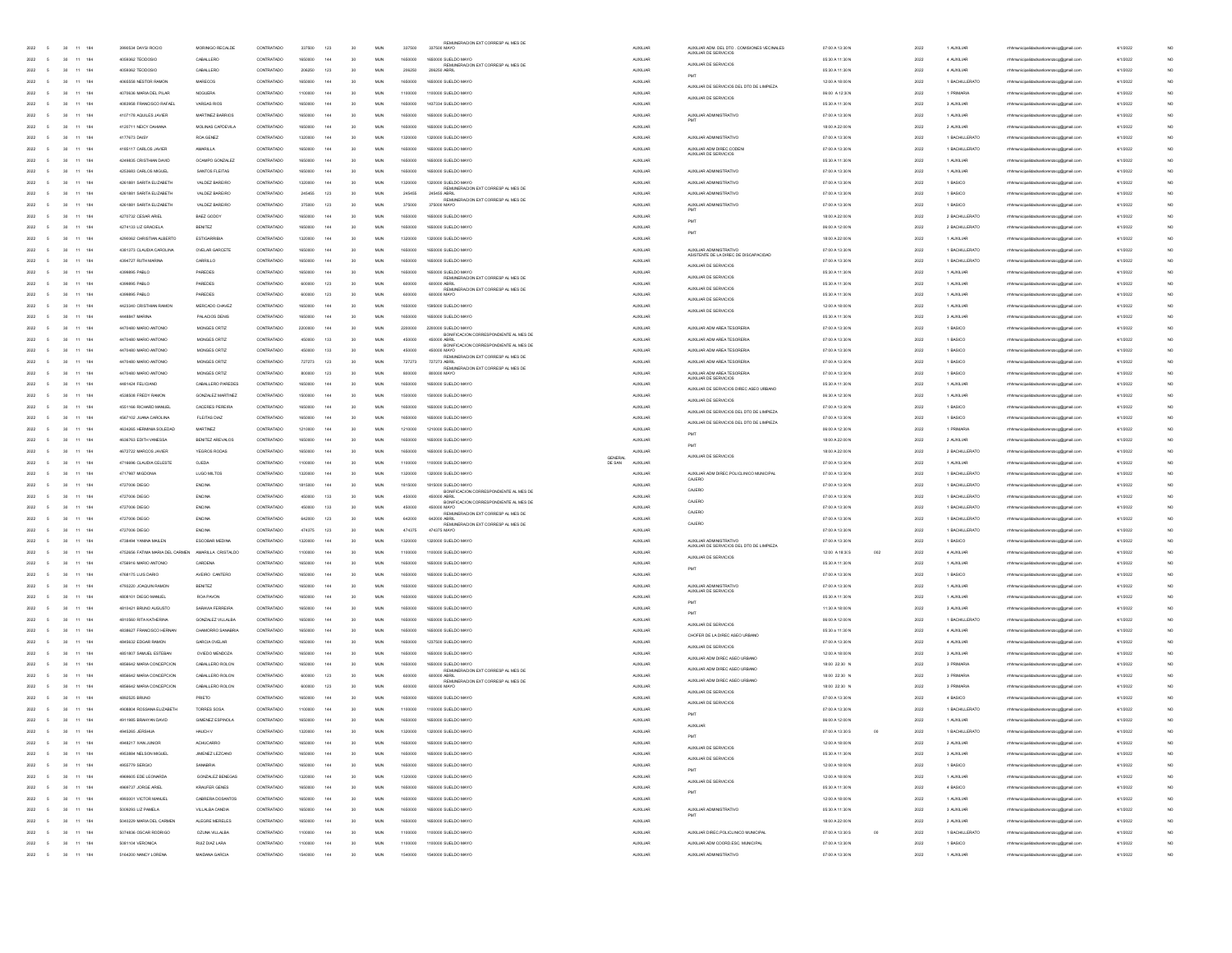| 2022 |                          |        |                     |            |                                 |                    |                                                     |                    |     |        |              |         |                                                           |        |                 |                                                                      |               |
|------|--------------------------|--------|---------------------|------------|---------------------------------|--------------------|-----------------------------------------------------|--------------------|-----|--------|--------------|---------|-----------------------------------------------------------|--------|-----------------|----------------------------------------------------------------------|---------------|
|      | 5                        |        | 30 11 184           |            | 3990534 DAYSLROCIO              | MORINIGO RECALDE   | CONTRATADO                                          | 337500             | 123 | 30     | <b>MUN</b>   | 337500  | REMUNERACION EXT CORRESP AL MES DE<br>337500 MAYO         |        | <b>AUXILIAR</b> | ALDOLLAR ADM, DEL DTO COMISIONES VECUMALES                           | 07:00 A 13:30 |
| 2022 | $\sim$                   | 30     |                     | 11 184     | 4059362 TEODOSIO                | CABALLERO          | CONTRATADO                                          | 1650000            | 144 | 30     | <b>MUN</b>   | 1650000 | 1650000 SUELDO MAYO                                       |        | <b>AUXILIAR</b> | AUXILIAR DE SERVICIOS                                                | 05:30 A 11:30 |
| 2022 | 5                        | 30     |                     | 11 184     | 4059362 TEODOSIO                | CABALLERO          | CONTRATADO                                          | 206250             | 123 | 30     | MUN          | 206250  | REMUNERACION EXT CORRESP AL MES DE<br>206250 ABRIL        |        | <b>AUXILIAR</b> | ALMIL IAR DE SERVICIOS                                               | 05:30 A 11:30 |
| 2022 |                          | 30     | 11                  | 184        | 4065558 NESTOR RAMON            | MARECOS            | CONTRATADO                                          | 1650000            | 144 | 30     | MUN          | 1650000 | 1650000 SUELDO MAYO                                       |        | <b>AUXILIAR</b> | PMT                                                                  | 12:00 A 18:00 |
| 2022 |                          | 30     |                     | 11 184     | 4070636 MARIA DEL PILAR         | <b>NOGUERA</b>     | CONTRATADO                                          | 1100000            | 144 | 30     | MUN          | 1100000 | 1100000 SUELDO MAYO                                       |        | <b>AUXILIAR</b> | AUXILIAR DE SERVICIOS DEL DTO DE LIMPIEZA                            | 06:00 A 12:3  |
| 2022 | ×,                       | 30     |                     | 11 184     | 4083958 FRANCISCO RAFAEL        | VARGAS RIOS        | CONTRATADO                                          | 1650000            | 144 | 30     | <b>MUN</b>   | 1650000 | 1437334 SUELDO MAYO                                       |        | <b>AUXILIAR</b> | AUXILIAR DE SERVICIOS                                                | 05:30 A 11:30 |
| 2022 | ×,                       | 30     |                     | 11 184     | 4107178 AQUILES JAVIER          | MARTINEZ BARRIOS   | CONTRATADO                                          | 1650000            | 144 | 30     | <b>MUN</b>   | 1650000 | 1650000 SUELDO MAYO                                       |        | <b>AUXILIAR</b> | AUXILIAR ADMINISTRATIVO                                              | 07:00 A 13:30 |
|      |                          |        |                     |            |                                 |                    |                                                     |                    |     |        |              |         |                                                           |        |                 |                                                                      |               |
| 2022 | 5                        | 30     |                     | 11 184     | 4120711 NEICY DAHIANA           | MOLINAS CAPDEVILA  | CONTRATADO                                          | 1650000            | 144 | 30     | MUN          | 1650000 | 1650000 SUELDO MAYO                                       |        | <b>AUXILIAR</b> |                                                                      | 18:00 A 22:00 |
| 2022 |                          | 30     | 11                  | 184        | 4177673 DAISY                   | ROA GENEZ          | CONTRATADO                                          | 1320000            | 144 | 30     | MUN          | 1320000 | 1320000 SUELDO MAYO                                       |        | AUXILIAR        | AUXILIAR ADMINISTRATIVO                                              | 07:00 A 13:30 |
| 2022 |                          | 30     |                     | 11 184     | 4185117 CARLOS JAVIER           | AMARILLA           | CONTRATADO                                          | 1650000            | 144 | 30     | MUN          | 1650000 | 1650000 SUELDO MAYO                                       |        | AUXILIAR        | AUXILIAR ADM DIREC.CODEN<br>AUXILIAR DE SERVICIOS                    | 07:00 A 13:30 |
| 2022 | ×,                       | 30     |                     | 11 184     | 4249835 CRISTHAN DAVID          | OCAMPO GONZALEZ    | CONTRATADO                                          | 1650000            | 144 | 30     | <b>MUN</b>   | 1650000 | 1650000 SUELDO MAYO                                       |        | <b>AUXILIAR</b> |                                                                      | 05:30 A 11:30 |
| 2022 |                          | 30     |                     | 11 184     | 4253683 CARLOS MIGUEL           | SANTOS FLEITAS     | CONTRATADO                                          | 1650000            | 144 | 30     | MUN          | 1650000 | 1650000 SUELDO MAYO                                       |        | <b>AUXILIAR</b> | AUXILIAR ADMINISTRATIVO                                              | 07:00 A 13:30 |
| 2022 | 5                        | 30     |                     | 11 184     | 4261881 SARITA ELIZABETH        | VALDEZ BAREIRO     | CONTRATADO                                          | 1320000            | 144 | 30     | MUN          | 1320000 | 1320000 SUELDO MAYO                                       |        | <b>AUXOLIAR</b> | AUXILIAR ADMINISTRATIVO                                              | 07:00 A 13:30 |
| 2022 |                          | 30     | 11                  | 184        | 4261881 SARITA ELIZABETH        | VALDEZ BAREIRO     | CONTRATADO                                          | 245455             | 123 | 30     | MUN          | 245455  | REMUNERACION EXT CORRESP AL MES DE 245455 ABRIL           |        | <b>AUXILIAR</b> | AUXILIAR ADMINISTRATIVO                                              | 07:00 A 13:30 |
| 2022 |                          | 30     |                     | 11 184     | 4261881 SARITA ELIZABETH        | VALDEZ BAREIRO     | CONTRATADO                                          | 375000             | 123 | 30     | MLIN         | 375000  | REMUNERACION EXT CORRESP AL MES DE 375000 MAYO            |        | <b>AUXILIAR</b> | AUXILIAR ADMINISTRATIVO                                              | 07:00 A 13:30 |
| 2022 | ×,                       | 30     |                     | 11 184     | 4270732 CESAR ARIEL             | BAEZ GODOY         | CONTRATADO                                          | 1650000            | 144 | 30     | <b>MUN</b>   | 1650000 | 1650000 SUELDO MAYO                                       |        | <b>AUXILIAR</b> |                                                                      | 18:00 A 22:00 |
| 2022 | ×,                       | 30     |                     | 11 184     | 4274133   IZ GRACIELA           | <b>BENITEZ</b>     | CONTRATADO                                          | 1650000            | 144 | 30     | <b>MUN</b>   | 1650000 | 1650000 SUELDO MAYO                                       |        | <b>AUXILIAR</b> | PMT                                                                  | 06:00 A 12:00 |
| 2022 | 5                        | 30     |                     | 11 184     | 4290062 CHRISTIAN ALBERTO       | ESTIGARRIBIA       | CONTRATADO                                          | 1320000            | 144 | 30     | MUN          | 1320000 | 1320000 SUELDO MAYO                                       |        | <b>AUXILIAR</b> | PMT                                                                  | 18:00 A 22:00 |
| 2022 |                          | 30     | 11                  | 184        | 4381373 CLAUDIA CAROLINA        | OVELAR GARCETE     | CONTRATADO                                          |                    | 144 | 30     |              |         | 1650000 SUELDO MAYO                                       |        |                 | AUXILIAR ADMINISTRATIVO                                              | 07:00 A 13:30 |
|      |                          |        |                     |            | 4394727 RUTH MARINA             |                    | CONTRATADO                                          | 1650000<br>1650000 |     |        | MUN          | 1650000 |                                                           |        | <b>AUXOLIAR</b> | ASISTENTE DE LA DIREC DE DISCAPACIDAD                                |               |
| 2022 |                          | 30     |                     | 11 184     |                                 | CARRILLO           |                                                     |                    | 144 | 30     | MUN          | 1650000 | 1650000 SUELDO MAYO                                       |        | <b>AUXILIAR</b> | AUXILIAR DE SERVICIOS                                                | 07:00 A 13:30 |
| 2022 | ×,                       | 30     |                     | 11 184     | 4399895 PABLO                   | PAREDES            | CONTRATADO                                          | 1650000            | 144 | 30     | <b>MUN</b>   | 1650000 | 1650000 SUELDO MAYO<br>REMUNERACION EXT CORRESP AL MES DE |        | <b>AUXILIAR</b> | AUXILIAR DE SERVICIOS                                                | 05:30 A 11:30 |
| 2022 | ×,                       | 30     |                     | 11 184     | 4399895 PABLO                   | PAREDES            | CONTRATADO                                          | 600000             | 123 | 30     | <b>MUN</b>   | 600000  | 600000 ABRIL<br>REMUNERACION EXT CORRESP AL MES DE        |        | <b>AUXILIAR</b> | AUXILIAR DE SERVICIOS                                                | 05:30 A 11:30 |
| 2022 | 5                        | 30     |                     | 11 184     | 4399895 PABLO                   | PAREDES            | CONTRATADO                                          | 600000             | 123 | 30     | MUN          | 600000  | 600000 MAYO                                               |        | <b>AUXILIAR</b> | AUXILIAR DE SERVICIOS                                                | 05:30 A 11:30 |
| 2022 |                          | 30     | 11                  | 184        | 4423340 CRISTHAN RAMON          | MERCADO CHAVEZ     | CONTRATADO                                          | 1650000            | 144 | 30     | MUN          | 1650000 | 1595000 SUELDO MAYO                                       |        | <b>AUXILIAR</b> | AUXILIAR DE SERVICIOS                                                | 12:00 A 18:00 |
| 2022 |                          | 30     |                     | 11 184     | 4448847 MARINA                  | PALACIOS DENIS     | CONTRATADO                                          | 1650000            | 144 | 30     | MUN          | 1650000 | 1650000 SUELDO MAYO                                       |        | <b>AUXILIAR</b> |                                                                      | 05:30 A 11:30 |
| 2022 | ß,                       | 30     |                     | 11 184     | 4470480 MARIO ANTONIO           | MONGES ORTIZ       | CONTRATADO                                          | 2200000            | 144 | 30     | <b>MUN</b>   | 2200000 | 2200000 SUELDO MAYO                                       |        | <b>AUXILIAR</b> | AUXILIAR ADM AREA TESORERIA                                          | 07:00 A 13:30 |
| 2022 | ×,                       | 30     |                     | 11 184     | 4470480 MARIO ANTONIO           | MONGES ORTIZ       | CONTRATADO                                          | 450000             | 133 | 30     | <b>MUN</b>   | 450000  | BONFICACION CORRESPONDIENTE AL MES DE<br>450000 ABRIL     |        | <b>AUXILIAR</b> | ALIXILIAR ADM AREA TESORERIA                                         | 07:00 A 13:30 |
| 2022 | 5                        | 30     |                     | 11 184     | 4470480 MARIO ANTONIO           | MONGES ORTIZ       | CONTRATADO                                          | 450000             | 133 | 30     | <b>MUN</b>   | 450000  | BONFICACION CORRESPONDIENTE AL MES DE<br>450000 MAYO      |        | <b>AUXOLIAR</b> | AUXILIAR ADM AREA TESORERIA                                          | 07:00 A 13:30 |
| 2022 |                          | 30     | 11                  | 184        | 4470480 MARIO ANTONIO           | MONGES ORTIZ       | CONTRATADO                                          | 727273             | 123 | 30     | MUN          | 727273  | REMUNERACION EXT CORRESP AL MES DE<br>727273 ABRIL        |        | <b>AUXILIAR</b> | AUXILIAR ADM AREA TESORERI                                           | 07:00 A 13:30 |
| 2022 |                          | 30     |                     | 11 184     | 4470480 MARIO ANTONIO           | MONGES ORTIZ       | CONTRATADO                                          | 800000             | 123 | 30     | MUN          | 800000  | REMUNERACION EXT CORRESP AL MES DE<br>R0000 MAYO          |        | <b>AUXILIAR</b> | ALIXII IAR ADM AREA TESORERIA                                        | 07:00 A 13:30 |
|      |                          |        |                     |            |                                 |                    |                                                     |                    |     |        |              |         |                                                           |        |                 | AUXILIAR DE SERVICIOS                                                |               |
| 2022 | ×,                       | 30     |                     | 11 184     | 4481424 FELICIANO               | CABALLERO PAREDES  | CONTRATADO                                          | 1650000            | 144 | 30     | <b>MUN</b>   | 1650000 | 1650000 SUELDO MAYO                                       |        | <b>AUXILIAR</b> | AUXILIAR DE SERVICIOS DIREC ASEO URBANO                              | 05:30 A 11:30 |
| 2022 | ×,                       | 30     |                     | 11 184     | 4538508 FREDY RAMON             | GONZALEZ MARTINEZ  | CONTRATADO                                          | 1500000            | 144 | 30     | <b>MUN</b>   | 1500000 | 1500000 SUELDO MAYO                                       |        | <b>AUXILIAR</b> | AUXILIAR DE SERVICIOS                                                | 06:30 A 12:30 |
| 2022 | 5                        | 30     |                     | 11 184     | 4551166 RICHARD MANUEL          | CACERES PEREIRA    | CONTRATADO                                          | 1650000            | 144 | 30     | <b>MUN</b>   | 1650000 | 1650000 SUELDO MAYO                                       |        | <b>AUXOLIAR</b> | AUXILIAR DE SERVICIOS DEL DTO DE LIMPIEZA                            | 07:00 A 13:30 |
| 2022 |                          | 30     | $\ddot{\mathbf{1}}$ | 184        | 4567102 JUANA CAROLINA          | FLEITAS DIAZ       | CONTRATADO                                          | 1650000            | 144 | 30     | MUN          | 1650000 | 1650000 SUELDO MAYO                                       |        | AUXILIAR        | AUXILIAR DE SERVICIOS DEL DTO DE LIMPIEZA                            | 07:00 A 13:30 |
| 2022 |                          | 30     | 11                  | 184        | 4634265 HERMINA SOLEDAD         | MARTINEZ           | CONTRATADO                                          | 1210000            | 144 | 30     | MUN          | 1210000 | 1210000 SUELDO MAYO                                       |        | <b>AUXILIAR</b> | PM                                                                   | 06:00 A 12:30 |
| 2022 | ×,                       | 30     |                     | 11 184     | 4636763 EDITH VANESSA           | BENITEZ AREVALOS   | CONTRATADO                                          | 1650000            | 144 | 30     | MUN          | 1650000 | 1650000 SUELDO MAYO                                       |        | <b>AUXILIAR</b> | PMT                                                                  | 18:00 A 22:00 |
| 2022 |                          | 30     |                     | 11 184     | 4672722 MARCOS JAVIER           | YEGROS RODAS       | CONTRATADO                                          | 1650000            | 144 | 30     | <b>MUN</b>   | 1650000 | 1650000 SUELDO MAYO                                       |        | <b>AUXILIAR</b> | ALIXILIAR DE SERVICIOS                                               | 18:00 A 22:00 |
| 2022 |                          |        |                     |            |                                 |                    |                                                     |                    |     |        |              |         |                                                           | GENERA |                 |                                                                      | 07:00 A 13:30 |
|      | 5                        | 30     | 11 184              |            | 4716696 CLAUDIA CELESTE         | <b>OJEDA</b>       | CONTRATADO                                          | 1100000            | 144 | 30     | <b>MUN</b>   | 1100000 | 1100000 SUELDO MAYO                                       | DE SAN | <b>AUXILIAR</b> |                                                                      |               |
| 2022 |                          | 30     | 11                  | 184        | 4717987 MIGDONIA                | LUGO MILTOS        | CONTRATADO                                          | 1320000            | 144 | 30     | MUN          | 1320000 | 1320000 SUELDO MAYO                                       |        | <b>AUXILIAR</b> | AUXILIAR ADM DIREC POLICLINICO MUNICIPAL                             | 07:00 A 13:30 |
| 2022 |                          | 30     |                     | 11 184     | 4727006 DIEGO                   | ENCINA             | CONTRATADO                                          | 1815000            | 144 | 30     | MUN          | 1815000 | 1815000 SUELDO MAYO                                       |        | <b>AUXILIAR</b> | CAJERO                                                               | 07:00 A 13:30 |
| 2022 | ×,                       | 30     |                     | 11 184     | 4727006 DIEGO                   | ENCINA             | CONTRATADO                                          | 450000             | 133 | 30     | <b>MUN</b>   | 450000  | BONFICACION CORRESPONDIENTE AL MES DE<br>450000 ABRIL     |        | <b>AUXILIAR</b> | CAJERO                                                               | 07:00 A 13:30 |
|      | ×,                       |        |                     |            |                                 |                    |                                                     |                    |     |        |              |         | BONFICACION CORRESPONDIENTE AL MES DE                     |        |                 | CAJERO                                                               |               |
| 2022 |                          | 30     |                     | 11 184     | 4727006 DIEGO                   | ENCINA             | CONTRATADO                                          | 450000             | 133 | 30     | <b>MUN</b>   | 450000  | 450000 MAYO<br>REMUNERACION EXT CORRESP AL MES DE         |        | <b>AUXILIAR</b> | CAJERO                                                               | 07:00 A 13:30 |
| 2022 | 5                        | 30     |                     | 11 184     | 4727006 DIEGO                   | ENCINA             | CONTRATADO                                          | 642000             | 123 | 30     | <b>MUN</b>   | 642000  | 642000 ABRIL<br>REMUNERACION EXT CORRESP AL MES DE        |        | <b>AUXILIAR</b> | CAJERO                                                               | 07:00 A 13:30 |
| 2022 |                          | 30     | 11                  | 184        | 4727006 DIEGO                   | ENCINA             | CONTRATADO                                          | 474375             | 123 | 30     | MUN          | 474375  | 474375 MAYO                                               |        | <b>AUXILIAR</b> |                                                                      | 07:00 A 13:30 |
| 2022 |                          | 30     |                     | 11 184     | 4738494 YANINA MAILEN           | ESCOBAR MEDINA     | CONTRATADO                                          | 1320000            | 144 | 30     | MUN          | 1320000 | 1320000 SUELDO MAYO                                       |        | <b>AUXILIAR</b> | AUXILIAR ADMINISTRATIVO<br>AUXILIAR DE SERVICIOS DEL DTO DE LIMPIEZA | 07:00 A 13:30 |
| 2022 | ×,                       | 30     |                     | 11 184     | 4752656 FATIMA MARIA DEL CARMEN | AMARILLA CRISTALDO | CONTRATADO                                          | 1100000            | 144 | 30     | <b>MUN</b>   | 1100000 | 1100000 SUELDO MAYO                                       |        | <b>AUXILIAR</b> | AUXILIAR DE SERVICIOS                                                | 12:00 A 18:3  |
| 2022 | ×,                       | 30     |                     | 11 184     | 4756916 MARIO ANTONIO           | CARDENA            | CONTRATADO                                          | 1650000            | 144 | 30     | <b>MUN</b>   | 1650000 | 1650000 SUELDO MAYO                                       |        | <b>AUXILIAR</b> | PMT                                                                  | 05:30 A 11:30 |
| 2022 | 5                        | 30     |                     | 11 184     | 4768175 LUIS DARIO              | AVEIRO CANTERO     | CONTRATADO                                          | 1650000            | 144 | 30     | <b>MUN</b>   | 1650000 | 1650000 SUELDO MAYO                                       |        | <b>AUXILIAR</b> |                                                                      | 07:00 A 13:30 |
| 2022 |                          | 30     | 11                  | 184        | 4793220 JOAQUIN RAMON           | <b>BENITEZ</b>     | CONTRATADO                                          | 1650000            | 144 | 30     | MUN          | 1650000 | 1650000 SUELDO MAYO                                       |        | <b>AUXILIAR</b> | AUXILIAR ADMINISTRATIVO                                              | 07:00 A 13:30 |
| 2022 |                          | 30     |                     | 11 184     | 4808101 DIEGO MANUEL            | ROA PAVON          | CONTRATADO                                          | 1650000            | 144 | 30     | MUN          | 1650000 | 1650000 SUELDO MAYO                                       |        | <b>AUXILIAR</b> | AUXILIAR DE SERVICIOS                                                | 05:30 A 11:30 |
| 2022 | $\sim$                   | 30     |                     | 11 184     | 4810421 BRUNO AUGUSTO           | SARAVIA FERREIRA   | CONTRATADO                                          | 1650000            | 144 | 30     | <b>MUN</b>   | 1650000 | 1650000 SUELDO MAYO                                       |        | <b>AUXILIAR</b> | PM                                                                   | 11:30 A 18:00 |
| 2022 | ×,                       | 30     |                     | 11 184     | 4810560 RITA KATHERINA          | GONZALEZ VILLALBA  | CONTRATADO                                          | 1650000            | 144 | 30     | <b>MUN</b>   | 1650000 | 1650000 SUELDO MAYO                                       |        | <b>AUXILIAR</b> | PMT                                                                  | 06:00 A 12:00 |
| 2022 | 5                        | 30     |                     | 11 184     | 4838627 FRANCISCO HERNAN        | CHAMORRO SANABRIA  | CONTRATADO                                          | 1650000            | 144 | 30     | <b>MUN</b>   | 1650000 | 1650000 SUELDO MAYO                                       |        | <b>AUXILIAR</b> | AUXILIAR DE SERVICIOS                                                | 05:30 a 11:30 |
| 2022 |                          | 30     | 11                  | 184        | 4845632 EDGAR RAMON             | GARCIA OVELAR      | CONTRATADO                                          | 1650000            | 144 | 30     | MUN          | 1650000 | 1237500 SUELDO MAYO                                       |        | <b>AUXILIAR</b> | CHOFER DE LA DIREC ASEO URBANO                                       | 07:00 A 13:30 |
| 2022 |                          | 30     |                     |            |                                 | OVIEDO MENDOZA     | CONTRATADO                                          | 1650000            | 144 | 30     |              | 1650000 |                                                           |        |                 | AUXILIAR DE SERVICIOS                                                |               |
|      |                          |        |                     | 11 184     | 4851807 SAMUEL ESTEBAN          |                    |                                                     |                    |     |        | MUN          |         | 1650000 SUELDO MAYO                                       |        | <b>AUXILIAR</b> | AUXILIAR ADM DIREC ASEO URBANO                                       | 12:00 A 18:00 |
| 2022 | $\sim$                   | 30     |                     | 11 184     | 4856642 MARIA CONCEPCION        | CABALLERO ROLON    | CONTRATADO                                          | 1650000            | 144 | 30     | <b>MUN</b>   | 1650000 | 1650000 SUELDO MAYO<br>REMUNERACION EXT CORRESP AL MES DE |        | <b>AUXILIAR</b> | AUXILIAR ADM DIREC ASEO URBANO                                       | 18:00 22:30   |
| 2022 | ×                        | 30     |                     | 11 184     | 4856642 MARIA CONCEPCION        | CABALLERO ROLON    | CONTRATADO                                          | 600000             | 123 | 30     | <b>MUN</b>   | 600000  | 600000 ABRIL<br>REMUNERACION EXT CORRESP AL MES DE        |        | <b>AUXILIAR</b> | AUXILIAR ADM DIREC ASEO URBANO                                       | 18:00 22:30   |
| 2022 | 5                        | 30     |                     | 11 184     | 4856642 MARIA CONCEPCION        | CABALLERO ROLON    | CONTRATADO                                          | 600000             | 123 | 30     | <b>MUN</b>   | 600000  | 600000 MAYO                                               |        | <b>AUXOLIAR</b> | AUXILIAR DE SERVICIOS                                                | 18:00 22:30   |
| 2022 |                          | 30     | 11                  | 184        | 4892525 BRUNO                   | PRIETO             | CONTRATADO                                          | 1650000            | 144 | 30     | MUN          | 1650000 | 1650000 SUELDO MAYO                                       |        | <b>AUXILIAR</b> |                                                                      | 07:00 A 13:30 |
| 2022 | 5                        | 30     |                     | 11 184     | 4908804 ROSSANA ELIZABETH       | TORRES SOSA        | CONTRATADO                                          | 1100000            | 144 | 30     | MLIN         | 1100000 | 1100000 SUELDO MAYO                                       |        | <b>AUXILIAR</b> | AUXILIAR DE SERVICIOS                                                | 07:00 A 13:30 |
| 2022 | <b>5</b>                 |        | 30 11 184           |            | 4911985 BRAHYAN DAVID           | GIMENEZ ESPINOLA   | CONTRATADO                                          | 1650000            | 144 | 30     | <b>MUN</b>   | 1650000 | 1650000 SUELDO MAYO                                       |        | <b>AUXILIAR</b> | PMT                                                                  | 06:00 A 12:00 |
| 2022 | 5                        |        | $30 - 11$           | 184        | 4945265 JERSHIA                 | HAUCH V            | CONTRATADO                                          | 1320000            | 144 | 30     | MUN          | 1320000 | 1320000 SUELDO MAYO                                       |        | <b>AUXILIAR</b> | <b>ALDGLIAR</b>                                                      | 07:00 A 13:30 |
| 2022 | $\overline{5}$           |        | 30 11 184           |            | 4948217 IVAN JUNIOR             | <b>ACHUCARRO</b>   | CONTRATADO                                          | 1650000            | 144 | 30     | MUN          | 1650000 | 1650000 SUELDO MAYO                                       |        | <b>AUXILIAR</b> | PM                                                                   | 12:00 A 18:00 |
| 2022 | $\mathsf{s}$             | 30     |                     | 11 184     |                                 | JIMENEZ LEZCANO    |                                                     | 1650000            | 144 |        |              | 1650000 |                                                           |        |                 | AUXILIAR DE SERVICIOS                                                | 05:30 A 11:30 |
|      |                          |        |                     |            | 4953884 NELSON MIGUEL           |                    | CONTRATADO                                          |                    |     | $30\,$ | $_{\rm MUN}$ |         | 1650000 SUELDO MAYO                                       |        | <b>AUXILIAR</b> | AUXILIAR DE SERVICIOS                                                |               |
| 2022 | 5                        | 30     |                     | $11 - 184$ | 4955779 SERGIO                  | SANABRIA           | CONTRATADO                                          | 1650000            | 144 | 30     | MUN          | 1650000 | 1650000 SUELDO MAYO                                       |        | AUXILIAR        | PMT                                                                  | 12:00 A 18:00 |
| 2022 | $\overline{5}$           |        | 30 11 184           |            | 4969605 EDE LEONARDA            | GONZALEZ BENEGAS   | CONTRATADO                                          | 1320000            | 144 | 30     | MUN          | 1320000 | 1320000 SUELDO MAYO                                       |        | <b>AUXILIAR</b> | AUXILIAR DE SERVICIOS                                                | 12:00 A 18:00 |
| 2022 | $\overline{5}$           |        | 30 11 184           |            | 4969737 JORGE ARIEL             | KRALEER GENES      | CONTRATADO                                          | 1650000            | 144 | 30     | MUN          | 1650000 | 1650000 SUELDO MAYO                                       |        | <b>AUXILIAR</b> | PMT                                                                  | 05:30 A 11:30 |
| 2022 | $\overline{5}$           | $30 -$ |                     | 11 184     | 4993001 VICTOR MANUEL           | CABRERA DOSANTOS   | CONTRATADO                                          | 1650000            | 144 | 30     | MUN          | 1650000 | 1650000 SUELDO MAYO                                       |        | <b>AUXILIAR</b> |                                                                      | 12:00 A 18:00 |
| 2022 | $\overline{5}$           | 30     |                     | 11 184     | 5009293 LIZ PAMELA              | VILLALBA CANDIA    | $\begin{array}{ll} \textbf{CONTRATADO} \end{array}$ | 1650000            | 144 | 30     | MUN          | 1650000 | 1650000 SUELDO MAYO                                       |        | <b>AUXILIAR</b> | AUXILIAR ADMINISTRATIVO                                              | 05:30 A 11:30 |
| 2022 | 5                        | 30     |                     | 11 184     | 5040229 MARIA DEL CARMEN        | ALEGRE MERELES     | CONTRATADO                                          | 1650000            | 144 | 30     | MUN          | 1650000 | 1650000 SUELDO MAYO                                       |        | <b>AUXILIAR</b> |                                                                      | 18:00 A 22:00 |
| 2022 | $\overline{5}$           |        | 30 11 184           |            | 5074836 OSCAR RODRIGO           | OZINA VIII ALRA    | CONTRATADO                                          | 1100000            | 144 | 30     | MUN          | 1100000 | 1100000 SUELDO MAYO                                       |        | <b>AUXILIAR</b> | AUXILIAR DIREC.POLICLINICO MUNICIPAL                                 | 07:00 A 13:30 |
| 2022 | $\overline{5}$           |        | 30 11 184           |            | 5081104 VERONICA                | RUIZ DIAZ LARA     | CONTRATADO                                          | 1100000            | 144 | 30     | <b>MUN</b>   | 1100000 | 1100000 SUELDO MAYO                                       |        | <b>AUXILIAR</b> | AUXILIAR ADM COORD ESC. MUNICIPAL                                    | 07:00 A 13:30 |
| 2022 | $\overline{\phantom{a}}$ |        | 30 11 184           |            | 5164200 NANCY LORENA            | MAIDANA GARCIA     | CONTRATADO                                          | 1540000            | 144 | 30     | <b>MUN</b>   | 1540000 | 1540000 SUELDO MAYO                                       |        | <b>AUXILIAR</b> | AUXILIAR ADMINISTRATIVO                                              | 07:00 A 13:30 |

|                                                                       | 07:00 A 13:30 N                    |     | 2022         | 1 AUXILIAR             | mhhmunicipalidadsanlorenz<br>oogger                                               | 4/1/2022             | NO                   |
|-----------------------------------------------------------------------|------------------------------------|-----|--------------|------------------------|-----------------------------------------------------------------------------------|----------------------|----------------------|
| AUXILIAR ADM. DEL DTO : COMISIONES VECINALES<br>AUXILIAR DE SERVICIOS | 05:30 A 11:30 N                    |     | 2022         | 4 AUXILIAR             | mhmunicipalidadsanlorenzoog@gmail.com                                             | 4/1/2022             | NO                   |
| AUXILIAR DE SERVICIOS                                                 | 05:30 A 11:30 N                    |     | 2022         | 4 AUXILIAR             | rrhhmunicipalidadsanlorenzoog@gmail.com                                           | 4/1/2022             | NO <sub></sub>       |
| PMT                                                                   | 12:00 A 18:00 N                    |     | 2022         | 1 BACHILLERATO         | mhhmunicipalidadsanlorenzoog@gmail.com                                            | 4/1/2022             | NO                   |
| AUXILIAR DE SERVICIOS DEL DTO DE LIMPIEZA                             |                                    |     |              |                        |                                                                                   |                      |                      |
| AUXILIAR DE SERVICIOS                                                 | 06:00 A 12:30N                     |     | 2022         | 1 PRIMARIA             | mhmunicipalidadsanlorenzoog@gmail.com                                             | 4/1/2022             | NO                   |
|                                                                       | 05:30 A 11:30 N                    |     | 2022         | 3 AUXILIAR             | rrhhmunicipalidadsanlorenzoog@gmail.co                                            | 4/1/2022             | NO                   |
| AUXILIAR ADMINISTRATIVO                                               | 07:00 A 13:30 N                    |     | 2022         | 1 AUXILIAR             | rrhmunicipalidadsanlorenzoog@gmail.com                                            | 4/1/2022             | NO                   |
|                                                                       | 18:00 A 22:00 N                    |     | 2022         | 2 AUXILIAR             | rrhhmunicipalidadsanlorenzoog@gmail.com                                           | 4/1/2022             | NO <sub></sub>       |
| AUXILIAR ADMINISTRATIVO                                               | 07:00 A 13:30 N                    |     | 2022         | 1 BACHILLERATO         | rrhhmunicipalidadsanlorenzoog@gmail.com                                           | 4/1/2022             | NO                   |
| AUXILIAR ADM DIREC.CODEN                                              | 07:00 A 13:30 N                    |     | 2022         | 1 BACHILLERATO         | mhmunicipalidadsanlorenzoog@gmail.com                                             | 4/1/2022             | NO                   |
| AUXILIAR DE SERVICIOS                                                 | 05:30 A 11:30 N                    |     | 2022         | 1 AUXILIAR             | mhmunicipalidadsanlorenzoog@gmail.co                                              | 4/1/2022             | NO                   |
| AUXILIAR ADMINISTRATIVO                                               | 07:00 A 13:30 N                    |     | 2022         | 1 AUXILIAR             | rrhmunicipalidadsanlorenzoog@gmail.com                                            | 4/1/2022             | NO                   |
|                                                                       |                                    |     |              |                        |                                                                                   |                      |                      |
| AUXILIAR ADMINISTRATIVO                                               | 07:00 A 13:30 N                    |     | 2022         | 1 BASICO               | rrhhmunicipalidadsanlorenzoog@gmail.com                                           | 4/1/2022             | NO <sub></sub>       |
| AUXILIAR ADMINISTRATIVO                                               | 07:00 A 13:30 N                    |     | 2022         | 1 BASICO               | mhhmunicipalidadsanlorenzoog@gmail.com                                            | 4/1/2022             | NO                   |
| AUXILIAR ADMINISTRATIVO<br>PMT                                        | 07:00 A 13:30 N                    |     | 2022         | 1 BASICO               | mhmunicipalidadsanlorenzoog@gmail.com                                             | 4/1/2022             | NO                   |
| PMT                                                                   | 18:00 A 22:00 N                    |     | 2022         | 2 BACHILLERATO         | mhmunicipalidadsanlorenzoog@gmail.co                                              | 4/1/2022             | NO                   |
| PMT                                                                   | 06:00 A 12:00 N                    |     | 2022         | 2 BACHILLERATO         | rrhmunicipalidadsanlorenzoog@gmail.com                                            | 4/1/2022             | NO                   |
|                                                                       | 18:00 A 22:00 N                    |     | 2022         | 1 AUXILIAR             | rrhhmunicipalidadsanlorenzoog@gmail.com                                           | 4/1/2022             | NO <sub></sub>       |
| AUXILIAR ADMINISTRATIVO                                               | 07:00 A 13:30 N                    |     | 2022         | 1 BACHILLERATO         | rrhhmunicipalidadsanlorenzoog@gmail.com                                           | 4/1/2022             | NO                   |
| ASISTENTE DE LA DIREC DE DISCAPACIDAD                                 | 07:00 A 13:30 N                    |     | 2022         | 1 BACHILLERATO         | mhmunicipalidadsanlorenzoog@gmail.com                                             | 4/1/2022             | NO                   |
| AUXILIAR DE SERVICIOS                                                 | 05:30 A 11:30 N                    |     | 2022         | 1 AUXILIAR             |                                                                                   | 4/1/2022             | NO                   |
| AUXILIAR DE SERVICIOS                                                 |                                    |     |              |                        | mhmunicipalidadsanlorenzoog@gmail.co                                              |                      |                      |
| AUXILIAR DE SERVICIOS                                                 | 05:30 A 11:30 N                    |     | 2022         | 1 AUXILIAR             | rrhmunicipalidadsanlorenzoog@gmail.com                                            | 4/1/2022             | NO                   |
| AUXILIAR DE SERVICIOS                                                 | 05:30 A 11:30 N                    |     | 2022         | 1 AUXILIAR             | rrhhmunicipalidadsanlorenzoog@gmail.com                                           | 4/1/2022             | NO <sub></sub>       |
| AUXILIAR DE SERVICIOS                                                 | 12:00 A 18:00 N                    |     | 2022         | 1 AUXILIAR             | mhhmunicipalidadsanlorenzoog@gmail.com                                            | 4/1/2022             | NO                   |
|                                                                       | 05:30 A 11:30 N                    |     | 2022         | 3 AUXILIAR             | mhmunicipalidadsanlorenzoog@gmail.com                                             | 4/1/2022             | NO                   |
| AUXILIAR ADM AREA TESORERIA                                           | 07:00 A 13:30 N                    |     | 2022         | 1 BASICO               | mhmunicipalidadsanlorenzoog@gmail.co                                              | 4/1/2022             | NO                   |
| AUXILIAR ADM AREA TESORERIA                                           | 07:00 A 13:30 N                    |     | 2022         | 1 BASICO               | rrhmunicipalidadsanlorenzoog@gmail.com                                            | 4/1/2022             | NO                   |
| AUXILIAR ADM AREA TESORERIA                                           | 07:00 A 13:30 N                    |     | 2022         | 1 BASICO               | rrhhmunicipalidadsanlorenzoog@gmail.com                                           | 4/1/2022             | NO <sub></sub>       |
| AUXILIAR ADM AREA TESORERIA                                           | 07:00 A 13:30 N                    |     | 2022         | 1 BASICO               | rrhhmunicipalidadsanlorenzoog@gmail.com                                           | 4/1/2022             | NO                   |
|                                                                       |                                    |     |              |                        |                                                                                   |                      |                      |
| AUXILIAR ADM AREA TESORERIA<br>AUXILIAR DE SERVICIOS                  | 07:00 A 13:30 N                    |     | 2022         | 1 BASICO               | mhhmunicipalidadsanlorenzoog@gmail.com                                            | 4/1/2022             | NO                   |
| AUXILIAR DE SERVICIOS DIREC ASEO URBANO                               | 05:30 A 11:30 N                    |     | 2022         | 1 AUXU JAR             | mhmunicipalidadsanlorenzoog@gmail.co                                              | 4/1/2022             | NO                   |
| AUXILIAR DE SERVICIOS                                                 | 06:30 A 12:30 N                    |     | 2022         | 1 AUXILIAR             | rrhmunicipalidadsanlorenzoog@gmail.com                                            | 4/1/2022             | NO                   |
| ALIXILIAR DE SERVICIOS DEL DTO DE LIMPIEZA                            | 07:00 A 13:30 N                    |     | 2022         | 1 BASICO               | rrhhmunicipalidadsanlorenzoog@gmail.com                                           | 4/1/2022             | NO <sub></sub>       |
|                                                                       | 07:00 A 13:30 N                    |     | 2022         | 1 BASICO               | rrhhmunicipalidadsanlorenzoog@gmail.com                                           | 4/1/2022             | NO                   |
| AUXILIAR DE SERVICIOS DEL DTO DE LIMPIEZA                             | 06:00 A 12:30 N                    |     | 2022         | 1 PRIMARIA             | mhhmunicipalidadsanlorenzoog@gmail.com                                            | 4/1/2022             | NO                   |
| PMT                                                                   | 18:00 A 22:00 N                    |     | 2022         | 2 AUXILIAR             | mhmunicipalidadsanlorenzoog@gmail.co                                              | 4/1/2022             | NO                   |
| PMT                                                                   | 18:00 A 22:00 N                    |     | 2022         | 2 BACHILLERATO         | rrhmunicipalidadsanlorenzoog@gmail.com                                            | 4/1/2022             | NO                   |
| AUXILIAR DE SERVICIOS                                                 | 07:00 A 13:30 N                    |     | 2022         | 1 AUXILIAR             | rrhhmunicipalidadsanlorenzoco@omail.com                                           | 4/1/2022             | NO <sub></sub>       |
|                                                                       |                                    |     |              |                        |                                                                                   |                      |                      |
| AUXILIAR ADM DIREC POLICLINICO MUNICIPAL<br>CAJERO                    | 07:00 A 13:30 N                    |     | 2022         | 1 BACHILLERATO         | mhhmunicipalidadsanlorenzoog@gmail.com                                            | 4/1/2022             | NO                   |
| CAJERO                                                                | 07:00 A 13:30 N                    |     | 2022         | 1 BACHILLERATO         | mhhmunicipalidadsanlorenzoog@gmail.com                                            | 4/1/2022             | NO                   |
| CAJERO                                                                | 07:00 A 13:30 N                    |     | 2022         | 1 BACHILLERATO         | unicipalidadsanlorenzoog@gmail.co                                                 | 4/1/2022             | NO                   |
| CAJERO                                                                | 07:00 A 13:30 N                    |     | 2022         | 1 BACHILLERATO         | rrhmunicipalidadsanlorenzoog@gmail.com                                            | 4/1/2022             | NO                   |
|                                                                       | 07:00 A 13:30 N                    |     | 2022         | 1 BACHILLERATO         | rrhhmunicipalidadsanlorenzoco@omail.com                                           | 4/1/2022             | NO <sub></sub>       |
| CAJERO                                                                | 07:00 A 13:30 N                    |     | 2022         | 1 BACHILLERATO         |                                                                                   |                      | NO                   |
| AUXILIAR ADMINISTRATIVO                                               |                                    |     |              |                        | mhhmunicipalidadsanlorenzoog@gmail.com                                            | 4/1/2022             |                      |
|                                                                       |                                    |     |              |                        |                                                                                   |                      |                      |
| AUXILIAR DE SERVICIOS DEL DTO DE LIMPIEZA                             | 07:00 A 13:30 N                    |     | 2022         | 1 BASICO               | mhhmunicipalidadsanlorenzoog@gmail.com                                            | 4/1/2022             | NO                   |
| AUXILIAR DE SERVICIOS                                                 | 12:00 A 18:30S                     | 002 | 2022         | 4 AUXILIAR             | mhmunicipalidadsanlorenzoog@gmail.co                                              | 4/1/2022             | NO                   |
| PMT                                                                   | 05:30 A 11:30 N                    |     | 2022         | 1 AUXILIAR             | rrhmunicipalidadsanlorenzoog@gmail.com                                            | 4/1/2022             | NO                   |
|                                                                       | 07:00 A 13:30 N                    |     | 2022         | 1 BASICO               | rrhhmunicipalidadsanlorenzoog@gmail.com                                           | 4/1/2022             | NO <sub></sub>       |
| AUXILIAR ADMINISTRATIVO                                               | 07:00 A 13:30 N                    |     | 2022         | 1 AUXILIAR             | mhhmunicipalidadsanlorenzoog@gmail.com                                            | 4/1/2022             | NO                   |
| AUXILIAR DE SERVICIOS                                                 | 05:30 A 11:30 N                    |     | 2022         | 1 AUXILIAR             | mhhmunicipalidadsanlorenzoog@gmail.com                                            | 4/1/2022             | NO                   |
| PMT                                                                   | 11:30 A 18:00 N                    |     | 2022         | 3 AUXILIAR             | mhmunicipalidadsanlorenzoog@gmail.co                                              | 4/1/2022             | NO                   |
| PMT                                                                   | 06:00 A 12:00 N                    |     | 2022         | 1 BACHILLERATO         |                                                                                   | 4/1/2022             | NO                   |
| AUXILIAR DE SERVICIOS                                                 | 05:30 a 11:30 N                    |     | 2022         | 4 AUXILIAR             | rrhmunicipalidadsanlorenzoog@gmail.com<br>rrhhmunicipalidadsanlorenzoog@gmail.com | 4/1/2022             | NO <sub></sub>       |
| CHOFER DE LA DIREC ASEO URBANO                                        |                                    |     |              |                        |                                                                                   |                      |                      |
| ALIXILIAR DE SERVICIOS                                                | 07:00 A 13:30 N                    |     | 2022         | 4 AUXILIAR             | mhhmunicipalidadsanlorenzoog@gmail.com                                            | 4/1/2022             | NO                   |
| AUXILIAR ADM DIREC ASEO URBANO                                        | 12:00 A 18:00 N                    |     | 2022         | 3 AUXILIAR             | mhhmunicipalidadsanlorenzoog@gmail.com                                            | 4/1/2022             | NO                   |
| AUXILIAR ADM DIREC ASEO URBANO                                        | 18:00 22:30 N                      |     | 2022         | 3 PRIMARIA             | mhmunicipalidadsanlorenzoog@gmail.co                                              | 4/1/2022             | NO                   |
| ALIXILIAR ADM DIREC ASEO LIRRANO                                      | 18:00 22:30 N                      |     | 2022         | 3 PRIMARIA             | rrhmunicipalidadsanlorenzoog@gmail.com                                            | 4/1/2022             | NO                   |
| AUXILIAR DE SERVICIOS                                                 | 18:00 22:30 N                      |     | 2022         | 3 PRIMARIA             | rrhhmunicipalidadsanlorenzoog@gmail.com                                           | 4/1/2022             | NO <sub></sub>       |
|                                                                       | 07:00 A 13:30 N                    |     | 2022         | 4 BASICO               | rrhhmunicipalidadsanlorenzoog@gmail.com                                           | 4/1/2022             | NO                   |
| ALIXILIAR DE SERVICIOS                                                | 07:00 A 13:30 N                    |     | 2022         | 1 BACHILLERATO         | mhmunicipalidadsanlorenzoog@gmail.com                                             | 4/1/2022             | NO                   |
| PMT                                                                   | 06:00 A 12:00 N                    |     | 2022         | 1 AUXILIAR             | mhmunicipalidadsanlorenzoog@gmail.com                                             | 4/1/2022             | NO                   |
| <b>ALDGLIAR</b>                                                       | 07:00 A 13:30 S                    | oo  | 2022         | 1 BACHILLERATO         |                                                                                   | 4/1/2022             | NO                   |
| PMT                                                                   |                                    |     |              |                        | rrhmunicipalidadsanlorenzoog@gmail.com                                            |                      |                      |
| AUXILIAR DE SERVICIOS                                                 |                                    |     |              |                        |                                                                                   |                      |                      |
| AUXILIAR DE SERVICIOS                                                 | 05:30 A 11:30 N                    |     | 2022         | 3 AUXILIAR             | mhhmunicipalidadsanlorenzoog@gmail.com                                            | 4/1/2022             | NO                   |
| PMT                                                                   | 12:00 A 18:00 N                    |     | 2022         | 1 BASICO               | mhmunicipalidadsanlorenzoog@gmail.com                                             | 4/1/2022             | NO                   |
|                                                                       | 12:00 A 18:00 N                    |     | 2022         | 1 AUXILIAR             | mhmunicipalidadsanlorenzoog@gmail.com                                             | 4/1/2022             | NO                   |
| AUXILIAR DE SERVICIOS<br>PMT                                          | 05:30 A 11:30 N                    |     | 2022         | 4 BASICO               | mhmunicipalidadsanlorenzoog@gmail.com                                             | 4/1/2022             | NO                   |
|                                                                       | 12:00 A 18:00 N                    |     | 2022         | 1 AUXILIAR             | mhmunicipalidadsanlorenzoog@gmail.com                                             | 4/1/2022             | NO <sub></sub>       |
| AUXILIAR ADMINISTRATIVO                                               | 05:30 A 11:30 N                    |     | 2022         | 3 AUXILIAR             | rrhhmunicipalidadsanlorenzoco@omail.com                                           | 4/1/2022             | NO                   |
| PMT                                                                   | 18:00 A 22:00 N                    |     | 2022         |                        | mhhmunicipalidadsanlorenzoog@gmail.com                                            |                      | NO                   |
|                                                                       |                                    | 0O  |              | 2 AUXILIAR             |                                                                                   | 4/1/2022             |                      |
| AUXILIAR DIREC POLICLINCO MUNICIPAL                                   | 07:00 A 13:30 S                    |     | 2022         | 1 BACHILLERATO         | mhmunicipalidadsanlorenzoog@gmail.com                                             | 4/1/2022             | NO                   |
| AUXILIAR ADM COORD.ESC. MUNICIPAL<br>AUXILIAR ADMINISTRATIVO          | 07:00 A 13:30 N<br>07:00 A 13:30 N |     | 2022<br>2022 | 1 BASICO<br>1 AUXILIAR | mhmunicipalidadsanlorenzoog@gmail.com<br>mhmunicipalidadsanlorenzoog@gmail.com    | 4/1/2022<br>4/1/2022 | NO<br>NO <sub></sub> |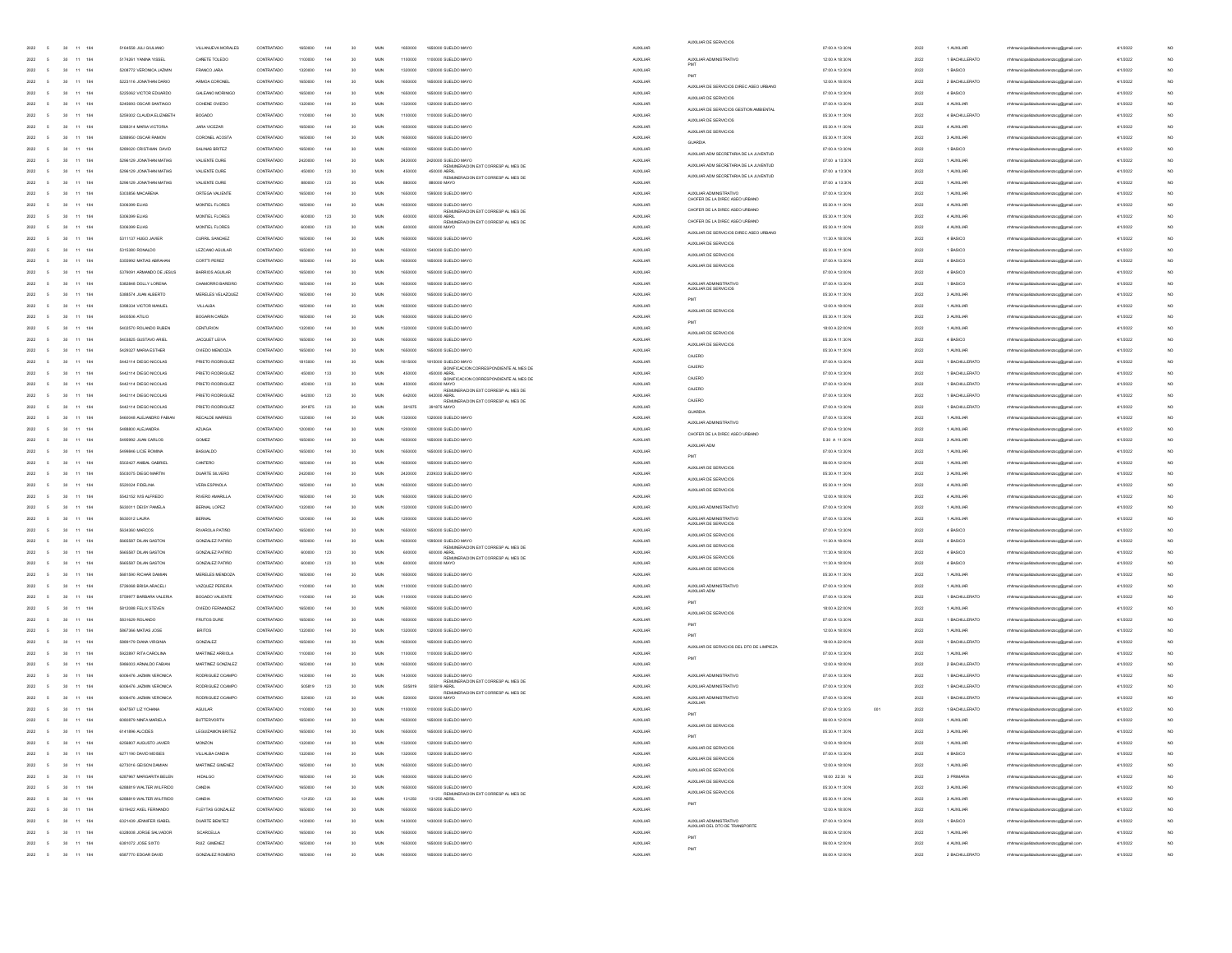| 2022<br>30<br>11 184                                                 | 5164558 JULI GIULIANO                              | VILLANUEVA MORALES                    | CONTRATADO               | 1650000            | 144        | 30              | MUN               | 1650000            | 1650000 SUELDO MAYO                                                       | <b>AUXILIAR</b>                    | AUXILIAR DE SERVICIOS                                            | 07:00 A 13:30 N                     | 2022         | 1 AUXILIAR                       | rhhmunicipalidadsanlorenzoog@gmail.com                                            | 4/1/2022             |  |
|----------------------------------------------------------------------|----------------------------------------------------|---------------------------------------|--------------------------|--------------------|------------|-----------------|-------------------|--------------------|---------------------------------------------------------------------------|------------------------------------|------------------------------------------------------------------|-------------------------------------|--------------|----------------------------------|-----------------------------------------------------------------------------------|----------------------|--|
| 2022<br>30<br>11<br>184                                              | 5174261 YANINA YISSE                               | CARETE TOLEDO                         | CONTRATADO               |                    |            |                 | MUN               | 1100000            | 1100000 SUELDO MAY                                                        | AUXILIAR                           | AUXILIAR ADMINISTRATIVO                                          | 12:00 A 18:30 N                     | 2022         | 1 BACHILLERATO                   | rhhmunicipalidadsanlorenzoog@gmail.com                                            | 4/1/2022             |  |
| 2022<br>11 184<br>30                                                 | 5208772 VERONICA JAZMIN                            | FRANCO JARA                           | CONTRATADO               | 1320000            | 144        | 30              | MUN               | 1320000            | 1320000 SLIELDO MAYO                                                      | <b>AUXILIAR</b>                    |                                                                  | 07:00 A 13:30 N                     | 2022         | 1 BASICO                         | hhmunicipalidadsanlorenzoog@gmail.co                                              | 4/1/2022             |  |
| 2022<br>30<br>11 184                                                 | 5223116 JONATHAN DARIO                             | ARMOA CORONEL                         | CONTRATADO               | 1650000            | 144        | 30              | <b>MUN</b>        | 1650000            | 1650000 SUELDO MAYO                                                       | <b>AUXILIAR</b>                    | PMT<br>AUXILIAR DE SERVICIOS DIREC ASEO URBANO                   | 12:00 A 18:00 N                     | 2022         | 2 BACHILLERATO                   | rrhhmunicipalidadsanlorenzoco@omail.com                                           | 4/1/2022             |  |
| 2022<br>30<br>11 184                                                 | 5225062 VICTOR EDUARDO                             | GALEANO MORINIGO                      | CONTRATADO               | 1650000            | 144        | 30              | MUN               | 1650000            | 1650000 SUELDO MAYO                                                       | <b>AUXILIAR</b>                    | AUXILIAR DE SERVICIOS                                            | 07:00 A 13:30 N                     | 2022         | 4 BASICO                         | mhhmunicipalidadsanlorenzoog@gmail.com                                            | 4/1/2022             |  |
| 2022<br>184<br>30                                                    | 5245693 OSCAR SANTIAGO                             | COHENE OVIEDO                         | CONTRATADO               |                    |            | 30              | MUN               | 132000             | 1320000 SLELDO MAYO                                                       | <b>AUXILIAR</b>                    | AUXILIAR DE SERVICIOS GESTION AMBIENTAL                          | 07:00 A 13:30 N                     | 2022         | 4 AUXILIAR                       | rhhmunicipalidadsanlorenzoog@gmail.com                                            | 4/1/2022             |  |
| 2022<br>30<br>11<br>184                                              | 5259302 CLAUDIA ELIZABETH                          | BOGADO                                | CONTRATADO               |                    |            | 30              | MUN               | 1100000            | 1100000 SUELDO MAYO                                                       | AUXILIAR                           | AUXILIAR DE SERVICIOS                                            | 05:30 A 11:30 N                     | 2022         | 4 BACHILLERATO                   | mhmunicipalidadsanlorenzoog@gmail.com                                             | 4/1/2022             |  |
| 2022<br>11 184<br>30                                                 | 5288314 MARIA VICTORIA                             | JARA VICEZAR                          | CONTRATADO               | 1650000            | 144        | 30              | MUN               | 1650000            | 1650000 SUELDO MAYO                                                       | AUXILIAR                           | AUXILIAR DE SERVICIOS                                            | 05:30 A 11:30 N                     | 2022         | 4 AUXILIAR                       | hhmunicipalidadsanlorenzoog@gmail.com                                             | 4/1/2022             |  |
| 2022<br>30<br>11 184<br>2022                                         | 5288950 OSCAR RAMON                                | CORONEL ACOSTA                        | CONTRATADO               | 1650000            | 144        | 30<br>30        | <b>MUN</b><br>MUN | 1650000            | 1650000 SUELDO MAYO                                                       | <b>AUXILIAR</b>                    | GUARDIA                                                          | 05:30 A 11:30 N                     | 2022         | 3 AUXILIAR                       | rrhhmunicipalidadsanlorenzoco@omail.com                                           | 4/1/2022             |  |
| 30<br>11 184<br>2022<br>184<br>30                                    | 5289020 CRISTHAN DAVID<br>5296129 JONATHAN MATIAS  | SALINAS BRITEZ<br>VALIENTE DURE       | CONTRATADO<br>CONTRATADO | 1650000<br>2420000 | 144        | 30              | MUN               | 1650000<br>2420000 | 1650000 SUELDO MAYO<br>2420000 SUELDO MAYO                                | <b>AUXILIAR</b><br><b>AUXILIAR</b> | AUXILIAR ADM SECRETARIA DE LA JUVENTUD                           | 07:00 A 13:30 N<br>$07.00$ a 13:3(N | 2022<br>2022 | 1 BASICO<br>1 AUXILIA            | mhhmunicipalidadsanlorenzoog@gmail.com<br>mhhmunicipalidadsanlorenzoog@gmail.com  | 4/1/2022<br>4/1/2022 |  |
| 2022<br>30<br>11<br>184                                              | 5296129 JONATHAN MATIAS                            | VALIENTE DURE                         | CONTRATADO               | 450000             | 123        | 30              | MUN               | 45000              | REMUNERACION EXT CORRESP AL MES DE<br>450000 ABRIL                        | <b>AUXILIAR</b>                    | AUXILIAR ADM SECRETARIA DE LA JUVENTUD                           | 07:00 a 13:30N                      | 2022         | 1 AUXILIAR                       | mhmunicipalidadsanlorenzoog@gmail.com                                             | 4/1/2022             |  |
| 2022<br>11 184<br>30                                                 | 5296129 JONATHAN MATIAS                            | VALIENTE DURE                         | CONTRATADO               | ssonno             | 123        | 30              | MUN               | 880000             | REMUNERACION EXT CORRESP AL MES DE<br>sannon M                            | <b>AUXILIAR</b>                    | AUXILIAR ADM SECRETARIA DE LA JUVENTUD                           | 07:00 a 13:30N                      | 2022         | 1 AUXILIAR                       | hhmunicipalidadsanlorenzoog@gmail.cor                                             | 4/1/2022             |  |
| 2022<br>30<br>11 184                                                 | 5303856 MACARENA                                   | ORTEGA VALIENTE                       | CONTRATADO               | 1650000            | 144        | 30              | <b>MUN</b>        | 1650000            | 1595000 SUELDO MAYO                                                       | <b>AUXILIAR</b>                    | AUXILIAR ADMINISTRATIVO                                          | 07:00 A 13:30 N                     | 2022         | 1 AUXILIAR                       | rrhhmunicipalidadsanlorenzoog@gmail.com                                           | 4/1/2022             |  |
| 2022<br>30<br>11 184<br>5                                            | 5306399 ELIAS                                      | MONTIEL FLORES                        | CONTRATADO               | 1650000            | 144        | 30              | MUN               | 1650000            | 1650000 SUELDO MAYO                                                       | <b>AUXILIAR</b>                    | CHOFER DE LA DIREC ASEO URBANO                                   | 05:30 A 11:30 N                     | 2022         | 4 AUXILIAR                       | mhhmunicipalidadsanlorenzoog@gmail.com                                            | 4/1/2022             |  |
| 2022<br>184<br>30                                                    | 5306399 ELIAS                                      | MONTIEL FLORES                        | CONTRATADO               |                    | 123        | 30              | MUN               | 60000              | REMUNERACION EXT CORRESP AL MES DE<br>600000 ABRI                         | <b>AUXILIAR</b>                    | CHOFER DE LA DIREC ASEO URBANO<br>CHOFER DE LA DIREC ASEO URBANO | 05:30 A 11:30 N                     | 2022         | 4 AUXILIAR                       | rhhmunicipalidadsanlorenzoog@gmail.cor                                            | 4/1/2022             |  |
| 2022<br>30<br>11 184                                                 | 5306399 ELIAS                                      | MONTIEL FLORES                        | CONTRATADO               |                    | 123        | 30              | MUN               | 60000              | REMUNERACION EXT CORRESP AL MES DE<br>600000 MAY                          | AUXILIAR                           | AUXILIAR DE SERVICIOS DIREC ASEO URBANO                          | 05:30 A 11:30 N                     | 2022         | 4 AUXILIAR                       | rrhmunicipalidadsanlorenzoog@gmail.com                                            | 4/1/2022             |  |
| 2022<br>11 184<br>30                                                 | 5311137 HUGO JAVIER                                | CURRIL SANCHEZ                        | CONTRATADO               | 1650000            | 144        | 30              | MUN               | 1650000            | 1650000 SUELDO MAYO                                                       | <b>AUXILIAR</b>                    | AUXILIAR DE SERVICIOS                                            | 11:30 A 18:00 N                     | 2022         | 4 BASICO                         | hhmunicipalidadsanlorenzoog@gmail.cor                                             | 4/1/2022             |  |
| 2022<br>30<br>11 184                                                 | 5315380 RONALDO                                    | LEZCANO AGUILAR                       | CONTRATADO               | 1650000            | 144        | 30              | <b>MUN</b>        | 1650000            | 1540000 SUELDO MAYO                                                       | <b>AUXILIAR</b>                    | AUXILIAR DE SERVICIOS                                            | 05:30 A 11:30 N                     | 2022         | 1 BASICO                         | rrhhmunicipalidadsanlorenzoco@omail.com                                           | 4/1/2022             |  |
| 2022<br>30<br>11 184<br>5                                            | 5355992 MATIAS ABRAHAN                             | CORTTI PEREZ                          | CONTRATADO               | 1650000            | 144        | 30              | MUN               | 1650000            | 1650000 SUELDO MAYO                                                       | <b>AUXILIAR</b>                    | AUXILIAR DE SERVICIOS                                            | 07:00 A 13:30 N                     | 2022         | 4 BASICO                         | mhhmunicipalidadsanlorenzoog@gmail.com                                            | 4/1/2022             |  |
| 2022<br>184<br>30                                                    | 5379091 ARMANDO DE JESUS                           | <b>BARRIOS AGUILAR</b>                | CONTRATADO               |                    |            | 30              | MUN               |                    | 650000 SUELDO MAYO                                                        | AUXILIAR                           |                                                                  | 07:00 A 13:00 N                     | 2022         | 4 BASICO                         | rhhmunicipalidadsanlorenzoog@gmail.cor                                            | 4/1/2022             |  |
| 2022<br>30<br>11<br>184<br>2022<br>11 184<br>30                      | 5382848 DOLLY LORENA<br>5388574 JUAN ALBERTO       | CHAMORRO BAREIRO<br>MERELES VELAZQUEZ | CONTRATADO<br>CONTRATADO | 1650000            | 144        | 30<br>30        | MUN<br>MUN        | 165000<br>1650000  | 1650000 SUELDO MAYO<br>1650000 SUELDO MAYO                                | AUXILIAR<br>AUXILIAR               | AUXILIAR ADMINISTRATIVO<br>AUXILIAR DE SERVICIOS                 | 07:00 A 13:30 N<br>05:30 A 11:30 N  | 2022<br>2022 | 1 BASICO<br>3 AUXILIAR           | mhmunicipalidadsanlorenzoog@gmail.com<br>hhmunicipalidadsanlorenzoog@gmail.com    | 4/1/2022<br>4/1/2022 |  |
| 2022<br>30<br>11 184                                                 | 5398334 VICTOR MANUEL                              | VILLALBA                              | CONTRATADO               | 1650000            | 144        | 30              | <b>MUN</b>        | 1650000            | 1650000 SUELDO MAYO                                                       | <b>AUXILIAR</b>                    | PMT                                                              | 12:00 A 18:00 N                     | 2022         | 1 AUXILIAR                       | rrhhmunicipalidadsanlorenzoco@omail.com                                           | 4/1/2022             |  |
| 2022<br>30<br>11 184                                                 | 5400506 ATILIO                                     | BOGARIN CAÑIZA                        | CONTRATADO               | 1650000            | 144        | 30              | MUN               | 1650000            | 1650000 SUELDO MAYO                                                       | <b>AUXILIAR</b>                    | AUXILIAR DE SERVICIOS                                            | 05:30 A 11:30 N                     | 2022         | 3 AUXILIAR                       | mhhmunicipalidadsanlorenzoog@gmail.com                                            | 4/1/2022             |  |
| 2022<br>184<br>30<br>11                                              | 5402570 ROLANDO RUBEN                              | CENTURION                             | CONTRATADO               |                    |            | 30              | MUN               | 132000             | 1320000 SLELDO MAYO                                                       | <b>AUXILIAR</b>                    | PMT                                                              | 18:00 A 22:00 N                     | 2022         | 1 AUXILIAR                       | mhhmunicipalidadsanlorenzoog@gmail.com                                            | 4/1/2022             |  |
| 2022<br>30<br>11<br>184                                              | 5403825 GUSTAVO ARIEL                              | JACQUET LEIVA                         | CONTRATADO               |                    |            | 30              | MUN               | 1650000            | 1650000 SUELDO MAYO                                                       | AUXILIAR                           | AUXILIAR DE SERVICIOS                                            | 05:30 A 11:30 N                     | 2022         | 4 BASICO                         | mhmunicipalidadsanlorenzoog@gmail.com                                             | 4/1/2022             |  |
| 2022<br>11 184<br>30                                                 | 5429327 MARIA ESTHER                               | OVIEDO MENDOZA                        | CONTRATADO               | 1650000            | 144        | 30              | MUN               | 1650000            | 1650000 SUELDO MAYO                                                       | <b>AUXILIAR</b>                    | AUXILIAR DE SERVICIOS<br>CAJERO                                  | 05:30 A 11:30 N                     | 2022         | 1 AUXILIAR                       | hhmunicipalidadsanlorenzoog@gmail.cor                                             | 4/1/2022             |  |
| 2022<br>30<br>11 184                                                 | 5442114 DIEGO NICOLAS                              | PRIETO RODRIGUEZ                      | CONTRATADO               | 1815000            | 144        | 30              | <b>MUN</b>        | 1815000            | 1815000 SUELDO MAYO<br>BONFICACION CORRESPONDIENTE AL MES DE              | <b>AUXILIAR</b>                    | CAJERO                                                           | 07:00 A 13:30 N                     | 2022         | 1 BACHILLERATO                   | rrhhmunicipalidadsanlorenzoog@gmail.com                                           | 4/1/2022             |  |
| 2022<br>30<br>11 184                                                 | 5442114 DIEGO NICOLAS                              | PRIETO RODRIGUEZ                      | CONTRATADO               | 450000             | 133        | 30              | MUN               | 450000             | 450000 ABRIL<br>BONFICACION CORRESPONDIENTE AL MES DE                     | <b>AUXILIAR</b>                    | CAJERO                                                           | 07:00 A 13:30 N                     | 2022         | 1 BACHILLERATO                   | rrhhmunicipalidadsanlorenzoog@gmail.com                                           | 4/1/2022             |  |
| 2022<br>184<br>30<br>11                                              | 5442114 DIEGO NICOLAS                              | PRIETO RODRIGUEZ                      | CONTRATADO               |                    | 133        | 30              | MUN               | 450000             | 450000 MAYC<br>REMUNERACION EXT CORRESP AL MES DE                         | AUXILIAR                           | CAJERO                                                           | 07:00 A 13:30 N                     | 2022         | 1 BACHILLERATO                   | mhhmunicipalidadsanlorenzoog@gmail.com                                            | 4/1/2022             |  |
| 2022<br>30<br>11<br>184                                              | 5442114 DIEGO NICOLAS                              | PRIETO RODRIGUEZ                      | CONTRATADO               | 642000             | 123        | 30              | MUN               | 642000             | 642000 ABRIL<br>REMUNERACION EXT CORRESP AL MES DE                        | AUXILIAR                           | CAJERO                                                           | 07:00 A 13:30 N                     | 2022         | 1 BACHILLERATO                   | mhmunicipalidadsanlorenzoog@gmail.com                                             | 4/1/2022             |  |
| 2022<br>11 184<br>30                                                 | 5442114 DIEGO NICOLAS                              | PRIETO RODRIGUEZ                      | CONTRATADO               | 391875             | 123        | 30              | MUN               | 391875             | 391875 MAY                                                                | <b>ALDOLLIAF</b>                   | <b>GUARDU</b>                                                    | 07:00 A 13:30 N                     | 2022         | 1 BACHILLERATO                   | hhmunicipalidadsanlorenzoog@gmail.com                                             | 4/1/2022             |  |
| 2022<br>30<br>11 184<br>2022<br>30<br>11 184<br>5                    | 5460048 ALEJANDRO FABIAN<br>5488800 ALEJANDRA      | RECALDE MARRES<br><b>AZUAGA</b>       | CONTRATADO<br>CONTRATADO | 1320000<br>1200000 | 144<br>144 | 30<br>30        | <b>MUN</b><br>MUN | 1320000<br>1200000 | 1320000 SUELDO MAYO<br>1200000 SUELDO MAYO                                | <b>AUXILIAR</b><br><b>AUXILIAR</b> | AUXILIAR ADMINISTRATIVO                                          | 07:00 A 13:30 N<br>07:00 A 13:30 N  | 2022<br>2022 | 1 AUXILIAR<br>1 AUXILIAR         | mhmunicipalidadsanlorenzoog@gmail.com<br>mhhmunicipalidadsanlorenzoog@gmail.com   | 4/1/2022<br>4/1/2022 |  |
| 2022<br>184<br>30                                                    | 5495992 JUAN CARLOS                                | GOMEZ                                 | CONTRATADO               |                    |            | 30              | MUN               |                    | 1650000 SUELDO MAYO                                                       | <b>AUXILIAR</b>                    | CHOEFR DE LA DIREC ASEO URBANO                                   | 5:30 A 11:30 N                      | 2022         | 3 AUXILIA                        | rhhmunicipalidadsanlorenzoog@gmail.cor                                            | 4/1/2022             |  |
| 2022<br>30<br>11<br>184                                              | 5499846 LICIE ROMINA                               | <b>BASUALDO</b>                       | CONTRATADO               |                    |            | 30              | MUN               |                    | 1650000 SUELDO MAY                                                        | AUXILIAR                           | AUXILIAR ADM                                                     | 07:00 A 13:30 N                     | 2022         | 1 AUXILIAR                       | mhmunicipalidadsanlorenzoog@gmail.com                                             | 4/1/2022             |  |
| 2022<br>11 184<br>30                                                 | 5502427 ANIBAL GABRIE                              | CANTERO                               | CONTRATADO               | 1650000            | 144        | 30              | MUN               | 1650000            | 1650000 SLELDO MAYO                                                       | <b>AUXILIAR</b>                    | PMT                                                              | 06:00 A 12:00 N                     | 2022         | 1 AUXILIAR                       | hhmunicipalidadsanlorenzoog@gmail.co                                              | 4/1/2022             |  |
| 2022<br>30<br>11 184                                                 | 5503075 DIEGO MARTIN                               | DUARTE SILVERO                        | CONTRATADO               | 2420000            | 144        | 30              | <b>MUN</b>        | 2420000            | 2339333 SUELDO MAYO                                                       | <b>AUXILIAR</b>                    | AUXILIAR DE SERVICIOS<br>ALIXILIAR DE SERVICIOS                  | 05:30 A 11:30 N                     | 2022         | 3 AUXILIAR                       | rrhhmunicipalidadsanlorenzoco@omail.com                                           | 4/1/2022             |  |
| 2022<br>30<br>11 184<br>5                                            | 5520024 FIDELINA                                   | <b>VERA ESPINOLA</b>                  | CONTRATADO               | 1650000            | 144        | 30              | MUN               | 1650000            | 1650000 SUELDO MAYO                                                       | <b>AUXILIAR</b>                    | AUXILIAR DE SERVICIOS                                            | 05:30 A 11:30 N                     | 2022         | 4 AUXILIAR                       | mhhmunicipalidadsanlorenzoog@gmail.com                                            | 4/1/2022             |  |
| 2022<br>11<br>184<br>30                                              | 5542152 IVIS ALFREDO                               | RIVERO AMARILLA                       | CONTRATADO               |                    |            | 30              | MUN               |                    | 1595000 SUELDO MAYO                                                       | AUXILIAR                           |                                                                  | 12:00 A 18:00 N                     | 2022         | 4 AUXILIAR                       | mhmunicipalidadsanlorenzoog@gmail.com                                             | 4/1/2022             |  |
| 2022<br>30<br>11<br>184                                              | 5630011 DEISY PAMELA                               | BERNAL LOPEZ                          | CONTRATADO               |                    |            | 30              | MUN               | 132000             | 1320000 SUELDO MAY                                                        | AUXILIAR                           | AUXILIAR ADMINISTRATIVO                                          | 07:00 A 13:30 N                     | 2022         | 1 AUXILIAR                       | mhmunicipalidadsanlorenzoog@gmail.com                                             | 4/1/2022             |  |
| 2022<br>$11 - 184$<br>30                                             | 5630012 LAURA                                      | BERNA                                 | CONTRATADO               | 1200000            | 144        | 30              | MUN               | 1200000            | 1200000 SUELDO MAYO                                                       | <b>AUXILIAR</b>                    | AUXILIAR ADMINISTRATIVO<br>AUXILIAR DE SERVICIOS                 | 07:00 A 13:30 N                     | 2022         | 1 AUXILIAR                       | hhmunicipalidadsanlorenzoog@gmail.com                                             | 4/1/2022             |  |
| 2022<br>30<br>11 184                                                 | 5634360 MARCOS                                     | RIVAROLA PATIÑO                       | CONTRATADO               | 1650000            | 144        | 30              | <b>MUN</b>        | 1650000            | 1650000 SUELDO MAYO                                                       | <b>AUXILIAR</b>                    | AUXILIAR DE SERVICIOS                                            | 07:00 A 13:30 N                     | 2022         | 4 BASICO                         | rrhhmunicipalidadsanlorenzoco@omail.com                                           | 4/1/2022             |  |
| 2022<br>30<br>11 184<br>2022<br>184<br>30<br>11                      | 5665587 DILAN GASTON<br>5665587 DILAN GASTON       | GONZALEZ PATIÑO<br>GONZALEZ PATIÑO    | CONTRATADO<br>CONTRATADO | 1650000            | 144<br>123 | 30<br>30        | MUN<br>MUN        | 1650000<br>60000   | 1595000 SUELDO MAYO<br>REMUNERACION EXT CORRESP AL MES DE<br>600000 ABRIL | <b>AUXILIAR</b>                    | AUXILIAR DE SERVICIOS                                            | 11:30 A 18:00 N<br>11:30 A 18:00 N  | 2022         | 4 BASICO<br>4 BASICO             | rhhmunicipalidadsanlorenzoog@gmail.com                                            | 4/1/2022<br>4/1/2022 |  |
| 2022<br>30<br>11<br>184                                              | 5665587 DILAN GASTON                               | GONZALEZ PATIÑO                       | CONTRATADO               | 600000             | 123        | 30              | MUN               | 600000             | REMUNERACION EXT CORRESP AL MES D<br>600000 MAYO                          | <b>AUXILIAR</b><br>AUXILIAR        | AUXILIAR DE SERVICIOS                                            | 11:30 A 18:00 N                     | 2022<br>2022 | 4 BASICO                         | mhhmunicipalidadsanlorenzoog@gmail.com<br>mhmunicipalidadsanlorenzoog@gmail.com   | 4/1/2022             |  |
| 2022<br>11 184<br>30                                                 | 5681590 RICHAR DAMIAN                              | MERELES MENDOZA                       | CONTRATADO               | 1650000            | 144        | 30              | MUN               | 1650000            | 1650000 SUELDO MAYO                                                       | <b>AUXILIAR</b>                    | AUXILIAR DE SERVICIOS                                            | 05:30 A 11:30 N                     | 2022         | 1 AUXILIAR                       | hhmunicipalidadsanlorenzoog@gmail.cor                                             | 4/1/2022             |  |
| 2022<br>30<br>11 184                                                 | 5726068 BRISA ARACELI                              | VAZQUEZ PEREIRA                       | CONTRATADO               | 1100000            | 144        | 30              | <b>MUN</b>        | 1100000            | 1100000 SUELDO MAYO                                                       | <b>AUXILIAR</b>                    | AUXILIAR ADMINISTRATIVO                                          | 07:00 A 13:30 N                     | 2022         | 1 AUXILIAR                       | mhmunicipalidadsanlorenzoog@gmail.com                                             | 4/1/2022             |  |
| 2022<br>30<br>11 184<br>5                                            | 5759977 BARBARA VALERIA                            | BOGADO VALIENTE                       | CONTRATADO               | 1100000            | 144        | 30              | MUN               | 1100000            | 1100000 SUELDO MAYO                                                       | <b>AUXILIAR</b>                    | AUXILIAR ADM                                                     | 07:00 A 13:30 N                     | 2022         | 1 BACHILLERATO                   | mhhmunicipalidadsanlorenzoog@gmail.com                                            | 4/1/2022             |  |
| 2022<br>11<br>184<br>30                                              | 5812088 FELIX STEVEN                               | OVIEDO FERNANDEZ                      | CONTRATADO               |                    |            | 30              | MUN               |                    | 1650000 SUELDO MAYO                                                       | <b>AUXILIAR</b>                    | PMT                                                              | 18:00 A 22:00 N                     | 2022         | 1 AUXILIAR                       | rhhmunicipalidadsanlorenzoog@gmail.com                                            | 4/1/2022             |  |
| 2022<br>30<br>11 184                                                 | 5831629 ROLANDO                                    | <b>FRUTOS DURE</b>                    | CONTRATADO               |                    |            | 30              | MUN               | 165000             | 1650000 SUELDO MAYO                                                       | AUXILIAR                           | AUXILIAR DE SERVICIOS<br>PMT                                     | 07:00 A 13:30 N                     | 2022         | 1 BACHILLERATO                   | rrhmunicipalidadsanlorenzoog@gmail.com                                            | 4/1/2022             |  |
| 2022<br>11 184<br>30                                                 | 5867366 MATIAS JOSE                                | <b>BRITOS</b>                         | CONTRATADO               | 1320000            | 144        | 30              | MUN               | 1320000            | 1320000 SUELDO MAYO                                                       | <b>AUXILIAR</b>                    | PMT                                                              | 12:00 A 18:00 N                     | 2022         | 1 AUXILIAR                       | hhmunicipalidadsanlorenzoog@gmail.cor                                             | 4/1/2022             |  |
| 2022<br>30<br>11 184                                                 | 5889179 DIANA VIRGINIA                             | GONZALEZ                              | CONTRATADO               | 1650000            | 144        | 30              | <b>MUN</b>        | 1650000            | 1650000 SUELDO MAYO                                                       | <b>AUXILIAR</b>                    | AUXILIAR DE SERVICIOS DEL DTO DE LIMPIEZA                        | 18:00 A 22:00 N                     | 2022         | 1 BACHILLERATO                   | rrhhmunicipalidadsanlorenzoog@gmail.com                                           | 4/1/2022             |  |
| 2022<br>30<br>11 184<br>5                                            | 5922897 RITA CAROLINA                              | MARTINEZ ARRIOLA                      | CONTRATADO               | 1100000            | 144        | 30              | MUN               | 1100000            | 1100000 SUELDO MAYO                                                       | <b>AUXILIAR</b>                    | PMT                                                              | 07:00 A 13:30 N                     | 2022         | 1 AUXILIAR                       | mhhmunicipalidadsanlorenzoog@gmail.com                                            | 4/1/2022             |  |
| 2022<br>30<br>11<br>184                                              | 5986003 ARNALDO FABIAN                             | MARTINEZ GONZALEZ                     | CONTRATADO               |                    |            | 30              | MUN               |                    | 650000 SUELDO MAYO                                                        | AUXILIAR                           |                                                                  | 12:00 A 18:00 N                     | 2022         | 2 BACHILLERATO                   | mhmunicipalidadsanlorenzoog@gmail.com                                             | 4/1/2022             |  |
| 2022<br>30<br>11<br>184                                              | 6006476 JAZMIN VERONICA                            | RODRIGUEZ OCAMPO                      | CONTRATADO               | 1430000            |            | 30              | MUN               | 1430000            | 1430000 SUELDO MAY<br>REMUNERACION EXT CORRESP AL MES DE                  | <b>AUXILIAR</b>                    | AUXILIAR ADMINISTRATIVO<br>AUXILIAR ADMINISTRATIVO               | 07:00 A 13:30 N                     | 2022         | 1 BACHILLERATO                   | mhmunicipalidadsanlorenzoog@gmail.com                                             | 4/1/2022             |  |
| 2022<br>$11 - 184$<br>30<br>2022<br>30<br>11 184<br>$\sim$           | 6006476 JAZMIN VERONICA<br>6006476 JAZMIN VERONICA | RODRIGUEZ OCAMPO<br>RODRIGUEZ OCAMPO  | CONTRATADO<br>CONTRATADO | 505819<br>520000   | 123<br>123 | 30<br>30        | MLN<br><b>MUN</b> | 505819<br>520000   | 505819 ABRIL<br>REMUNERACION EXT CORRESP AL MES DE<br>520000 MAYO         | <b>AUXILIAR</b><br><b>AUXILIAR</b> | ALIXILIAR ADMINISTRATIVO                                         | 07:00 A 13:30 N<br>07:00 A 13:30 N  | 2022<br>2022 | 1 BACHILLERATO<br>1 BACHILLERATO | cipalidadsanlorenzoog@gmail.co<br>rrhhmunicipalidadsanlorenzoog@gmail.com         | 4/1/2022<br>4/1/2022 |  |
| 2022<br>30 11 184<br><b>5</b>                                        | 6047597 LIZ YOHANA                                 | AGUILAR                               | CONTRATADO               | 1100000            | 144        | 30              | MUN               | 1100000            | 1100000 SUELDO MAYO                                                       | <b>AUXILIAR</b>                    | <b>AUXILIAR</b>                                                  | 07:00 A 13:30 S<br>001              | 2022         | 1 BACHILLERATO                   | mhhmunicipalidadsanlorenzoog@gmail.com                                            | 4/1/2022             |  |
| 2022<br>$\overline{5}$<br>30<br>11 184                               | 6080879 NNFA MARIELA                               | <b>BUTTERVORTH</b>                    | CONTRATADO               | 1650000            | 144        | 30              | MUN               | 1650000            | 1650000 SUELDO MAYO                                                       | <b>AUXILIAR</b>                    | PMT                                                              | 06:00 A 12:00 N                     | 2022         | 1 AUXILIAR                       | mhmunicipalidadsanlorenzoog@gmail.com                                             | 4/1/2022             |  |
| 2022 5<br>11<br>184<br>30                                            | 6141896 ALCIDES                                    | LEGUIZAMON BRITEZ                     | CONTRATADO               |                    |            |                 | MUN               | 1650000            | 1650000 SUELDO MA                                                         |                                    | AUXILIAR DE SERVICIOS                                            | 05:30 A 11:30 N                     | 2022         | 3 AUXILIAR                       |                                                                                   |                      |  |
| 2022<br>$30\phantom{.00}\phantom{.00}11\phantom{.0}184$<br>5         | 6256807 AUGUSTO JAMER                              | MONZON                                | CONTRATADO               | 1320000 144        |            | 30              | $\mathsf{MLN}$    | 1320000            | 1320000 SUELDO MAYO                                                       | <b>AUXILIAR</b>                    |                                                                  | 12:00 A 18:00 N                     | 2022         | 1 AUXILIAR                       | rhhmunicipalidadsanlorenzoog@gmail.com                                            | 4/1/2022             |  |
| 2022 5<br>30 11 184                                                  | 6271190 DAVID MOISES                               | VILLALBA CANDIA                       | CONTRATADO               | 1320000 144        |            | 30 <sub>2</sub> | <b>MUN</b>        | 1320000            | 1320000 SLELDO MAYO                                                       | <b>AUXILIAR</b>                    | AUXILIAR DE SERVICIOS<br>AUXILIAR DE SERVICIOS                   | 07:00 A 13:30 N                     | 2022         | 4 BASICO                         | rrhhmunicipalidadsanlorenzoog@gmail.com                                           | 4/1/2022             |  |
| 2022<br>$\overline{5}$<br>30 11 184                                  | 6273016 GEISON DAMIAN                              | MARTINEZ GIMENEZ                      | CONTRATADO               | 1650000            | 144        | 30              | <b>MUN</b>        | 1650000            | 1650000 SUELDO MAYO                                                       | AUXILIAR                           | AUXILIAR DE SERVICIOS                                            | 12:00 A 18:00 N                     | 2022         | 1 AUXILIAR                       | mhhmunicipalidadsanlorenzoog@gmail.com                                            | 4/1/2022             |  |
| 2022<br>11 184<br>$\overline{5}$<br>30                               | 6287967 MARGARITA BELEN                            | HIDALGO                               | CONTRATADO               | 1650000            | 144        | 30              | MUN               | 1650000            | 1650000 SUELDO MAYO                                                       | AUXILIAR                           | AUXILIAR DE SERVICIOS                                            | 18:00 22:30 N                       | 2022         | 3 PRIMARIA                       | rrhhmunicipalidadsanlorenzoog@gmail.com                                           | 4/1/2022             |  |
| 2022<br>30 11 184<br>$\overline{\phantom{a}}$                        | 6288819 WALTER WILFRIDO                            | CANDIA                                | CONTRATADO               | 1650000            | 144        | 30              | MUN               | 1650000            | 1650000 SUELDO MAYO<br>REMUNERACION EXT CORRESP AL MES DE                 | <b>AUXILIAR</b>                    | AUXILIAR DE SERVICIOS                                            | 05:30 A 11:30 N                     | 2022         | 3 AUXILIAR                       | mhmunicipalidadsanlorenzoog@gmail.com                                             | 4/1/2022             |  |
| 2022<br>30 11 184<br>$\sim$                                          | 6288819 WALTER WILFRIDO                            | CANDIA                                | CONTRATADO               | 131250             | 123        | 30              | MUN               | 131250             | 131250 ABRIL                                                              | <b>AUXILIAR</b>                    | PMT                                                              | 05:30 A 11:30 N                     | 2022         | 3 AUXILIAR                       | hhmunicipalidadsanlorenzoog@gmail.cor                                             | 4/1/2022             |  |
| 2022<br>30 11 184<br>- 5                                             | 6319422 AXEL FERNANDO                              | FLEYTAS GONZALEZ                      | CONTRATADO               | 1650000            | 144        | 30              | <b>MUN</b>        | 1650000            | 1650000 SUELDO MAYO                                                       | <b>AUXILIAR</b>                    | AUXILIAR ADMINISTRATIVO                                          | 12:00 A 18:00 N                     | 2022         | 1 AUXILIAR                       | rhhmunicipalidadsanlorenzoog@gmail.com<br>rrhhmunicipalidadsanlorenzoco@omail.com | 4/1/2022             |  |
| 30 11 184<br>2022 5<br>2022<br>30 11 184<br>$\overline{\phantom{a}}$ | 6321439 JENNIFER ISABEL<br>6328008 JORGE SALVADOR  | DUARTE BENTEZ<br>SCARCELLA            | CONTRATADO<br>CONTRATADO | 1430000<br>1650000 | 144<br>144 | 30<br>30        | <b>MUN</b><br>MUN | 1430000<br>1650000 | 1430000 SUELDO MAYO<br>1650000 SUELDO MAYO                                | <b>AUXILIAR</b><br><b>AUXILIAR</b> | AUXILIAR DEL DTO DE TRANSPORTE                                   | 07:00 A 13:30 N<br>06:00 A 12:00 N  | 2022<br>2022 | 1 BASICO<br>1 AUXILIAR           | mhmunicipalidadsanlorenzoog@gmail.com                                             | 4/1/2022<br>4/1/2022 |  |
| 2022 5 30 11 184                                                     | 6381072 JOSE SIXTO                                 | RUIZ GIMENEZ                          | CONTRATADO               | 1650000            | 144        | 30              | MUN               | 1650000            | 1650000 SUELDO MAYO                                                       | <b>AUXILIAR</b>                    | PMT                                                              | 06:00 A 12:00 N                     | 2022         | 4 AUXILIAR                       | mhmunicipalidadsanlorenzoog@gmail.com                                             | 4/1/2022             |  |
| 2022 5 30 11 184                                                     | 6587770 EDGAR DAVID                                | GONZALEZ ROMERO                       | CONTRATADO               | 1650000            | 144        | 30              | MUN               | 1650000            | 1650000 SUELDO MAYO                                                       | <b>AUXILIAR</b>                    | PMT                                                              | 06:00 A 12:00 N                     | 2022         | 2 BACHILLERATO                   | mhmunicipalidadsanlorenzoog@gmail.com                                             | 4/1/2022             |  |
|                                                                      |                                                    |                                       |                          |                    |            |                 |                   |                    |                                                                           |                                    |                                                                  |                                     |              |                                  |                                                                                   |                      |  |

2 BACHILERATO RRH 2022 20 100 2022 10:00 2022 10:00 2022 10:00 2022 10:00 2022 10:00 2022 10:00 2022 10:00 2022 10:00 2022 10:00 2022 10:00 2022 10:00 2022 10:00 2022 10:00 2022 10:00 2022 10:00 2022 10:00 2022 10:00 2022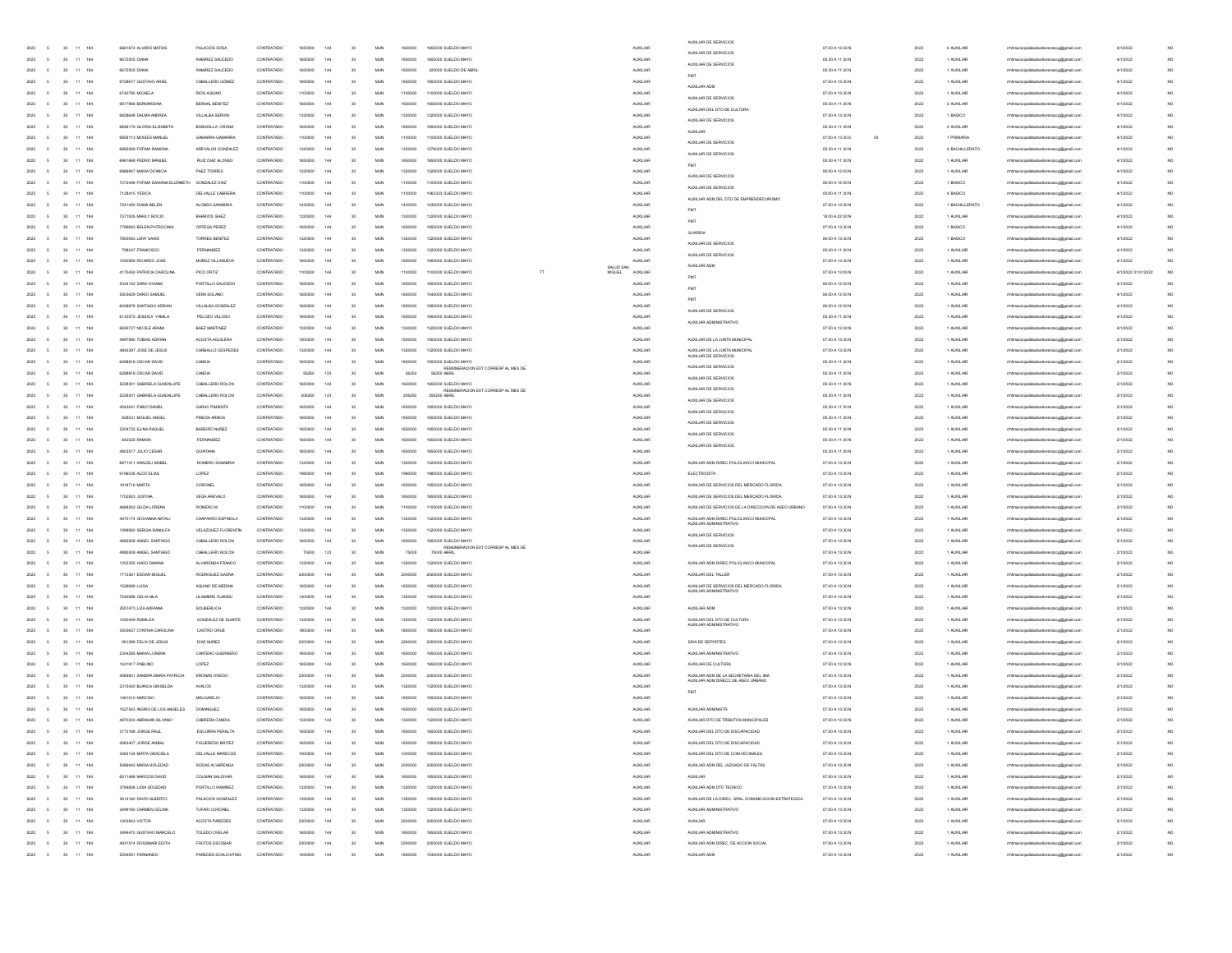|                                  |                                                                       |           |                                                |                        |            |         |     |        |            |         |                                                           |           |                  | AUXILIAR DE SERVICIOS                                                       |                            |      |                |                                         |                    |                 |
|----------------------------------|-----------------------------------------------------------------------|-----------|------------------------------------------------|------------------------|------------|---------|-----|--------|------------|---------|-----------------------------------------------------------|-----------|------------------|-----------------------------------------------------------------------------|----------------------------|------|----------------|-----------------------------------------|--------------------|-----------------|
| 2022 5                           |                                                                       | 30 11 184 | 6661674 ALVARO MATIAS                          | PALACIOS SOSA          | CONTRATADO | 1650000 | 144 | 30     | <b>MUN</b> | 1650000 | 1650000 SUELDO MAYO                                       |           | <b>AUXILIAR</b>  | AUXILIAR DE SERVICIOS                                                       | 07:00 A 13:30 N            | 2022 | 4 AUXILIAR     | mhmunicipalidadsanlorenzoog@gmail.com   | 4/1/2022           |                 |
| 2022                             |                                                                       | 184<br>11 | 6672505 DIANA                                  | RAMIREZ SAUCEDO        | CONTRATADO | 1650000 | 144 | 30     | <b>MUN</b> | 1650000 | 1650000 SUELDO MAYO                                       |           | <b>ALDOLLIAR</b> | AUXILIAR DE SERVICIOS                                                       | 05:30 A 11:30 N            | 2022 | 1 AUXILIAR     | mhmunicipalidadsanlorenzoog@gmail.com   | 4/1/2022           | NO              |
| 2022                             |                                                                       | 11<br>184 | 6672505 DIANA                                  | RAMIREZ SAUCEDO        | CONTRATADO | 1650000 | 144 | 30     | MUN        | 1650000 | 220000 SUELDO DE ABRIL                                    |           | <b>AUXILIAR</b>  | PMT                                                                         | 05:30 A 11:30 N            | 2022 | 1 AUXILIAR     | mhhmunicipalidadsanlorenzoog@gmail.com  | 4/1/2022           | NO              |
|                                  |                                                                       | 184       | 6728677 GUSTAVO ARIEL                          | CABALLERO GÓMEZ        | CONTRATADO |         | 144 | 30     | MUN        | 1650000 | 1650000 SUELDO MAYO                                       |           | <b>AUXILIAR</b>  | AUXILIAR ADM                                                                | 07:00 A 13:30 N            | 2022 | 1 AUXILIAR     | dadsanlorenzoog@gmail.com               | 4/1/2022           | NO.             |
|                                  |                                                                       | 184       | 6742780 MICAELA                                | RIOS AQUINO            | CONTRATADO | 110000  | 144 | 30     | MUN        | 1100000 | 1100000 SUELDO MAYO                                       |           | <b>AUXILIAR</b>  | AUXILIAR DE SERVICIOS                                                       | 07:00 A 13:30 N            | 2022 | 1 AUXILIAR     | hhmunicipalidadsanlorenzoog@gmail.co    | 4/1/2022           | NO.             |
| 2022                             |                                                                       | 184<br>11 | 6817966 BERNARDINA                             | BERNAL BENITEZ         | CONTRATADO | 1650000 | 144 | 30     | <b>MUN</b> | 1650000 | 1650000 SUELDO MAYO                                       |           | <b>AUXILIAR</b>  |                                                                             | 05:30 A 11:30 N            | 2022 | 3 AUXILIAR     | mhhmunicipalidadsanlorenzoog@gmail.com  | 4/1/2022           | NO              |
| 2022                             |                                                                       | 184<br>11 | 6828648 DALMA ANDREA                           | <b>VILLALBA SERVIN</b> | CONTRATADO | 1320000 | 144 | 30     | <b>MUN</b> | 1320000 | 1320000 SUELDO MAYO                                       |           | <b>AUXILIAR</b>  | AUXILIAR DEL DTO DE CULTURA                                                 | 07:00 A 13:30 N            | 2022 | 1 BASICO       | mhmunicipalidadsanlorenzoog@gmail.com   | 4/1/2022           | NO              |
| 2022                             |                                                                       | 11<br>184 | 6848179 GLORIA ELIZABETH                       | BOBADILLA ORONA        | CONTRATADO | 1650000 | 144 | 30     | MUN        | 1650000 | 1650000 SUELDO MAYO                                       |           | <b>AUXILIAR</b>  | ALIXILIAR DE SERVICIOS                                                      | 05:30 A 11:30 N            | 2022 | 4 AUXILIAR     | mhhmunicipalidadsanlorenzoog@gmail.com  | 4/1/2022           | NO.             |
|                                  |                                                                       | 184       | 6858113 MOISES MANUEL                          | GAMARRA GAI            | CONTRATADO |         | 144 | 30     | MUN        | 1100000 | 1100000 SUELDO MAYO                                       |           | <b>AUXILIAR</b>  | <b>ALDOLLIAR</b>                                                            | 07:00 A 13:30 S<br>$^{00}$ | 2022 | 1 PRIMARL      | mhmunicipalidadsanlorenzoog@gmail.com   | 4/1/2022           | NO.             |
| 2022                             |                                                                       | 184       | 6865269 FATIMA RAMONA                          | AREVALOS GONZALEZ      | CONTRATADO | 132000  | 144 | 30     | <b>MUN</b> | 1320000 | 1276000 SUELDO MAYO                                       |           | <b>AUXILIAR</b>  | AUXILIAR DE SERVICIOS                                                       | 05:30 A 11:30 N            | 2022 | 4 BACHILLERATO | hhmunicipalidadsanlorenzoog@gmail.co    | 4/1/2022           | NO.             |
| 2022                             |                                                                       | 184<br>11 | 6961668 PEDRO MANUEL                           | RUIZ DIAZ ALONSO       | CONTRATADO | 1650000 | 144 |        | <b>MUN</b> | 1650000 | 1650000 SUELDO MAYO                                       |           | <b>AUXILIAR</b>  | AUXILIAR DE SERVICIOS                                                       | 05:30 A 11:30 N            | 2022 | 1 AUXILIAR     | mhhmunicipalidadsanlorenzoog@gmail.com  | 4/1/2022           | NO <sub>1</sub> |
|                                  |                                                                       |           |                                                |                        |            |         |     | 30     |            |         |                                                           |           |                  |                                                                             |                            |      |                |                                         |                    |                 |
| 2022                             |                                                                       | 184<br>11 | 6986947 MARIA DIONICIA                         | PAEZ TORRES            | CONTRATADO | 1320000 | 144 | 30     | <b>MUN</b> | 1320000 | 1320000 SUELDO MAYO                                       |           | <b>AUXILIAR</b>  | AUXILIAR DE SERVICIOS                                                       | 06:00 A 12:00 N            | 2022 | 1 AUXILIAR     | mhmunicipalidadsanlorenzoog@gmail.com   | 4/1/2022           | NO              |
| 2022                             |                                                                       | 11<br>184 | 7072446 FATIMA DAHIANA ELIZABETH GONZALEZ DIAZ |                        | CONTRATADO | 1100000 | 144 | 30     | MUN        | 1100000 | 1100000 SUELDO MAYO                                       |           | <b>AUXILIAR</b>  | AUXILIAR DE SERVICIOS                                                       | 06:00 A 12:00 N            | 2022 | 1 BASICO       | mhhmunicipalidadsanlorenzoog@gmail.com  | 4/1/2022           | NO.             |
|                                  |                                                                       | 184       | 7128415 YESICA                                 | DELVALLE CABRERA       | CONTRATADO |         | 144 | 30     | MUN        | 1100000 | 1063333 SUELDO MAYO                                       |           | <b>AUXILIAR</b>  | AUXILIAR ADM DEL DTO DE EMPRENDEDURISMO                                     | 05:00 A 11:30 N            | 2022 | 4 BASICO       | mhmunicipalidadsanlorenzoog@gmail.com   | 4/1/2022           | NO.             |
| 2022                             |                                                                       | 184       | 7241450 DIANA BELEN                            | ALONSO SANABRIA        | CONTRATADO | 143000  | 144 | 30     | <b>MUN</b> | 1430000 | 1430000 SUELDO MAYO                                       |           | <b>AUXILIAR</b>  | PM                                                                          | 07:00 A 13:30 N            | 2022 | 1 BACHILLERATO | hhmunicipalidadsanlorenzoog@gmail.co    | 4/1/2022           | NO.             |
| 2022                             |                                                                       | 184<br>11 | 7571935 MARLY ROCIO                            | BARRIOS BAEZ           | CONTRATADO | 1320000 | 144 | 30     | <b>MUN</b> | 1320000 | 1320000 SUELDO MAYO                                       |           | <b>AUXILIAR</b>  | PM                                                                          | 18:00 A 22:00 N            | 2022 | 1 AUXILIAR     | mhmunicipalidadsanlorenzoog@gmail.com   | 4/1/2022           | NO <sub>1</sub> |
| 2022                             |                                                                       | 184<br>11 | 7789693 BELEN PATROCINIA                       | ORTEGA PEREZ           | CONTRATADO | 1650000 | 144 | 30     | <b>MUN</b> | 1650000 | 1650000 SUELDO MAYO                                       |           | <b>AUXILIAR</b>  |                                                                             | 07:00 A 13:30 N            | 2022 | 1 BASICO       | mhmunicipalidadsanlorenzoog@gmail.com   | 4/1/2022           | NO <sub>1</sub> |
| 2022                             |                                                                       | 11<br>184 | 7800063 LENY SAAID                             | TORRES BENTEZ          | CONTRATADO | 1320000 | 144 | 30     | MUN        | 1320000 | 1320000 SUELDO MAYO                                       |           | <b>AUXILIAR</b>  | GUARDIA                                                                     | 06:00 A 13:30 N            | 2022 | 1 BASICO       | mhhmunicipalidadsanlorenzoog@gmail.com  | 4/1/2022           | NO              |
| 2022                             |                                                                       | 184       | 798047 FRANCISCO                               | FERNANDEZ              | CONTRATADO | 132000  | 144 | 30     | MUN        | 1320000 | 1320000 SUELDO MAYO                                       |           | <b>ALDOLIA</b>   | AUXILIAR DE SERVICIOS                                                       | 05:00 A 11:30 N            | 2022 | 1 AUXILIAR     | mhhmunicipalidadsanlorenzoog@gmail.com  | 4/1/2022           | NO              |
|                                  |                                                                       | 184       | 1050959 RICARDO JOSE                           | MUÑOZ VILLANJEVA       | CONTRATADO | 165000  | 144 | 30     | MUN        | 1650000 | 1650000 SUELDO MAYO                                       |           | <b>AUXILIAR</b>  | AUXILIAR DE SERVICIOS                                                       | 07:00 A 13:30 N            | 2022 | 1 AUXILIAR     | hhmunicipalidadsanlorenzoog@gmail.co    | 4/1/2022           | NO              |
| 2022                             |                                                                       | 184<br>11 | 4170450 PATRICIA CAROLINA                      | PICO ORTIZ             | CONTRATADO | 1100000 | 144 | 30     | <b>MUN</b> | 1100000 | 1100000 SUELDO MAYO<br><b>MIGUEL</b>                      | SALUD SAN | <b>AUXILIAR</b>  | AUXILIAR ADM                                                                | 07:00 A 13:00 N            | 2022 | 1 AUXILIAR     | mhhmunicipalidadsanlorenzoog@gmail.com  | 4/1/2022 01/012022 | NO              |
|                                  |                                                                       |           |                                                |                        |            |         |     |        |            |         |                                                           |           |                  | PM                                                                          |                            |      |                |                                         |                    |                 |
| 2022                             |                                                                       | 184<br>11 | 5334152 SARA VIVIANA                           | PORTILLO SAUCEDO       | CONTRATADO | 1650000 | 144 | 30     | <b>MUN</b> | 1650000 | 1650000 SUELDO MAYO                                       |           | <b>AUXILIAR</b>  | PM                                                                          | 06:00 A 12:00 N            | 2022 | 1 AUXILIAR     | mhmunicipalidadsanlorenzoog@gmail.com   | 4/1/2022           | NO <sub>1</sub> |
| 2022                             |                                                                       | 11<br>184 | 5503629 DARIO SAMUEL                           | VERA SOLANO            | CONTRATADO | 165000  | 144 | 30     | MUN        | 1650000 | 1540000 SUELDO MAYO                                       |           | <b>AUXILIAR</b>  |                                                                             | 06:00 A 12:00 N            | 2022 | 1 AUXILIAR     | mhhmunicipalidadsanlorenzoog@gmail.com  | 4/1/2022           | NO              |
|                                  |                                                                       | 184       | 6008678 SANTIAGO ADRIA                         | VILLALBA GONZALEZ      | CONTRATADO |         | 144 | 30     | MUN        | 165000  | 1650000 SUELDO MAYO                                       |           | <b>AUXILIAR</b>  | AUXILIAR DE SERVICIOS                                                       | 06:00 A 12:00 N            | 2022 | 1 AUXILIAR     | dadsanlorenzoog@gmail.com               | 4/1/2022           | NO.             |
|                                  |                                                                       | 184       | 6130575 JESSICA YAMILA                         | PELOZO VELOSO          | CONTRATADO | 16500C  | 144 | 30     | MUN        | 1650000 | 1650000 SUELDO MAYO                                       |           | AUXILIAR         | AUXILIAR ADMINISTRATIVO                                                     | 05:30 A 11:30 N            | 2022 | 1 AUXILIAR     | hmunicipalidadsanlorenzoog@gmail.co     | 4/1/2022           | NO              |
| 2022                             |                                                                       | 184<br>11 | 6829727 NICOLE ARAMI                           | <b>BAEZ MARTINEZ</b>   | CONTRATADO | 1320000 | 144 | 30     | <b>MUN</b> | 1320000 | 1320000 SUELDO MAYO                                       |           | <b>AUXILIAR</b>  |                                                                             | 07:00 A 13:30 N            | 2022 | 1 AUXILIAR     | mhhmunicipalidadsanlorenzoog@gmail.com  | 4/1/2022           | NO <sub>1</sub> |
| 2022                             |                                                                       | 184<br>11 | 4997980 TOBIAS ADRIAN                          | ACOSTA AGUILERA        | CONTRATADO | 1500000 | 144 | 30     | <b>MUN</b> | 1500000 | 1500000 SUELDO MAYO                                       |           | <b>AUXILIAR</b>  | AUXILIAR DE LA JUNTA MUNICIPAL                                              | 07:00 A 13:30 N            | 2022 | 1 AUXILIAR     | mhmunicipalidadsanlorenzoog@gmail.com   | 2/1/2022           | NO              |
| 2022                             |                                                                       | 11<br>184 | 4845397 JOSE DE JESUS                          | CARBALLO CESPEDES      | CONTRATADO | 1320000 | 144 | 30     | MUN        | 1320000 | 1320000 SUELDO MAYO                                       |           | <b>AUXILIAR</b>  | AUXILIAR DE LA JUNTA MUNICIPAL                                              | 07:00 A 13:30 N            | 2022 | 1 AUXILIAR     | mhhmunicipalidadsanlorenzoog@gmail.com  | 2/1/2022           | NO.             |
|                                  |                                                                       | 184       | 6288818 OSCAR DAVID                            | CANDIA                 | CONTRATADO |         | 144 | 30     | MUN        | 1650000 | 1650000 SLELDO MAYO                                       |           | <b>AUXILIAR</b>  | AUXILIAR DE SERVICIOS                                                       | 05:30 A 11:30 N            | 2022 | 1 AUXILIAR     | adsanlorenzoog@gmail.com                | 2/1/2022           | NO.             |
|                                  |                                                                       | 184       | 6288818 OSCAR DAVID                            | CANDIA                 | CONTRATADO | 56250   | 123 | 30     | MUN        | 56250   | <br>REMUNERACION EXT CORRESP AL MES DE<br>56250 ABRIL     |           | <b>AUXILIAR</b>  | AUXILIAR DE SERVICIOS                                                       | 05:30 A 11:30 N            | 2022 | 1 AUXILIAR     | hhmunicipalidadsanlorenzoog@gmail.co    | 2/1/2022           | NO              |
| 2022                             |                                                                       | 184<br>11 | 5228301 GABRIELA GUADALUPE                     | CABALLERO ROLON        | CONTRATADO | 1650000 | 144 | 30     | <b>MUN</b> | 1650000 | 1650000 SUELDO MAYO                                       |           | <b>AUXILIAR</b>  | AUXILIAR DE SERVICIOS                                                       | 05:30 A 11:30 N            | 2022 | 1 AUXILIAR     | mhhmunicipalidadsanlorenzoog@gmail.com  | 2/1/2022           | NO <sub>1</sub> |
|                                  |                                                                       |           | 5228301 GABRIELA GLIADALLIPE                   |                        |            |         |     |        |            |         | REMUNERACION EXT CORRESP AL MES DE                        |           |                  | AUXILIAR DE SERVICIOS                                                       |                            |      |                | rrhhmunicipalidadsanlorenzoco@omail.com |                    |                 |
| 2022                             |                                                                       | 184<br>11 |                                                | CABALLERO ROLON        | CONTRATADO | 206250  | 123 | 30     | <b>MUN</b> | 206250  | 206250 ABRIL                                              |           | <b>AUXILIAR</b>  | AUXILIAR DE SERVICIOS                                                       | 05:30 A 11:30 N            | 2022 | 1 AUXILIAR     |                                         | 2/1/2022           | NO              |
| 2022                             |                                                                       | 11<br>184 | 4543041 FABIO DANIEL                           | <b>GARAY PIMIENTA</b>  | CONTRATADO | 1650000 | 144 | 30     | MUN        | 1650000 | 1650000 SUELDO MAYO                                       |           | <b>AUXILIAR</b>  | AUXILIAR DE SERVICIOS                                                       | 05:30 A 11:30 N            | 2022 | 1 AUXILIAR     | mhhmunicipalidadsanlorenzoog@gmail.com  | 2/1/2022           | NO.             |
|                                  |                                                                       | 184       | 828031 MIGUEL ANGEL                            | PINEDA ARMOA           | CONTRATADO |         | 144 | 30     | MUN        |         | 1650000 SUELDO MAYO                                       |           | <b>AUXILIAR</b>  | AUXILIAR DE SERVICIOS                                                       | 05:30 A 11:30 N            | 2022 | 1 AUXILIAR     | dadsanlorenzoog@gmail.com               | 2/1/2022           | NO.             |
|                                  |                                                                       | 184       | 2204732 ELINA RAQUEL                           | BAREIRO NUÑEZ          | CONTRATADO | 16500C  | 144 | 30     | MUN        |         | 1650000 SUELDO MAYO                                       |           | <b>AUXILIAR</b>  | AUXILIAR DE SERVICIOS                                                       | 05:30 A 11:30 N            | 2022 | 1 AUXILIAR     | hhmunicipalidadsanlorenzoog@gmail.co    | 2/1/2022           | NO              |
| 2022                             |                                                                       | 184<br>11 | 642525 RAMON                                   | FERNANDEZ              | CONTRATADO | 1650000 | 144 | 30     | <b>MUN</b> | 1650000 | 1650000 SUELDO MAYO                                       |           | <b>AUXILIAR</b>  | AUXILIAR DE SERVICIOS                                                       | 05:30 A 11:30 N            | 2022 | 1 AUXILIAR     | mhhmunicipalidadsanlorenzoog@gmail.com  | 2/1/2022           | NO              |
| 2022                             |                                                                       | 184<br>11 | 4803517 JULIO CESAR                            | <b>QUINTANA</b>        | CONTRATADO | 1650000 | 144 | 30     | <b>MUN</b> | 1650000 | 1650000 SUELDO MAYO                                       |           | <b>AUXILIAR</b>  |                                                                             | 05:30 A 11:30 N            | 2022 | 1 AUXILIAR     | mhmunicipalidadsanlorenzoog@gmail.com   | 2/1/2022           | NO              |
| 2022                             |                                                                       | 11<br>184 | 6871311 ARACELI MABEL                          | ROMERO SANABRIA        | CONTRATADO | 1320000 | 144 | 30     | MUN        | 1320000 | 1320000 SUELDO MAYO                                       |           | <b>AUXILIAR</b>  | AUXILIAR ADM DIREC POLICLINICO MUNICIPAL                                    | 07:00 A 13:30 N            | 2022 | 1 AUXILIAR     | mhhmunicipalidadsanlorenzoog@gmail.com  | 2/1/2022           | NO.             |
|                                  |                                                                       | 184       | 6196036 ALDO ELIAS                             | LOPEZ                  | CONTRATADO |         | 144 | 30     | MUN        |         | 1980000 SUELDO MAYO                                       |           | <b>AUXILIAR</b>  | ELECTRICISTA                                                                | 07:00 A 13:30 N            | 2022 | 1 AUXILIAR     | mhmunicipalidadsanlorenzoog@gmail.com   | 2/1/2022           | NO              |
| 2022                             |                                                                       | 184       | 1918716 MARTA                                  | CORONEL                | CONTRATADO | 16500C  | 144 | 30     | MUN        | 1650000 | 1650000 SUELDO MAYO                                       |           | <b>AUXILIAR</b>  | AUXILIAR DE SERVICIOS DEL MERCADO FLORIDA                                   | 07:00 A 13:30 N            | 2022 | 1 AUXILIAR     | hhmunicipalidadsanlorenzoog@gmail.cor   | 2/1/2022           | NO              |
| 2022                             |                                                                       | 184<br>11 | 1702923 JUSTINA                                | VEGA AREVALO           | CONTRATADO | 1650000 | 144 | 30     | <b>MUN</b> | 1650000 | 1650000 SUELDO MAYO                                       |           | <b>AUXILIAR</b>  | AUXILIAR DE SERVICIOS DEL MERCADO FLORIDA                                   | 07:00 A 13:30 N            | 2022 | 1 AUXILIAR     | mhmunicipalidadsanlorenzoog@gmail.com   | 2/1/2022           | NO              |
| 2022                             |                                                                       | 184<br>11 | 4668263 GILDA LORENA                           | ROMERO M.              | CONTRATADO | 1100000 | 144 | 30     | <b>MUN</b> | 1100000 | 1100000 SUELDO MAYO                                       |           | <b>AUXILIAR</b>  | AUXILIAR DE SERVICIOS DE LA DIRECCION DE ASEO URBANO                        | 07:00 A 13:30 N            | 2022 | 1 AUXILIAR     | mhmunicipalidadsanlorenzoog@gmail.com   | 2/1/2022           | NO              |
|                                  |                                                                       |           |                                                |                        |            |         |     |        |            |         |                                                           |           |                  |                                                                             |                            |      |                |                                         |                    |                 |
| 2022                             |                                                                       | 11<br>184 | 4970174 GIOVANNA NATALI                        | CHAPARRO ESPINOLA      | CONTRATADO | 1320000 | 144 | 30     | <b>MUN</b> | 1320000 | 1320000 SUELDO MAYO                                       |           | <b>AUXILIAR</b>  | AUXILIAR ADM DIREC POLICLINICO MUNICIPAL<br>AUXILIAR ADMINISTRATIVO         | 07:00 A 13:30 N            | 2022 | 1 AUXILIAR     | mhhmunicipalidadsanlorenzoog@gmail.com  | 2/1/2022           | NO.             |
|                                  |                                                                       | 184       | 1399560 SERGIA RANJLFA                         | VELAZQUEZ FLORENTIN    | CONTRATADO | 132000  | 144 | 30     | MUN        | 1320000 | 1320000 SUELDO MAYO                                       |           | <b>AUXILIAR</b>  | AUXILIAR DE SERVICIOS                                                       | 07:00 A 13:30 N            | 2022 | 1 AUXILIAR     | mhmunicipalidadsanlorenzoog@gmail.com   | 2/1/2022           | NO              |
| 2022                             |                                                                       | 11<br>184 | 4885508 ANGEL SANTIAGO                         | CABALLERO ROLON        | CONTRATADO | 165000  | 144 | 20     | <b>MUN</b> | 1650000 | 1650000 SUELDO MAYO<br>REMUNERACION EXT CORRESP AL MES DE |           | <b>AUXILIAR</b>  | AUXILIAR DE SERVICIOS                                                       | 07:00 A 13:30 N            | 2022 | 1 AUXILIAR     | hhmunicipalidadsanlorenzoog@gmail.co    | 2/1/2022           | NO.             |
| 2022                             |                                                                       | 184<br>11 | 4885508 ANGEL SANTIAGO                         | CABALLERO ROLON        | CONTRATADO | 75000   | 123 | 30     | <b>MUN</b> | 75000   | 75000 ABRI                                                |           | <b>AUXILIAR</b>  |                                                                             | 07:00 A 13:30 N            | 2022 | 1 AUXILIAR     | mhmunicipalidadsanlorenzoog@gmail.com   | 2/1/2022           | NO <sub>1</sub> |
| 2022                             |                                                                       | 184<br>11 | 1252355 HUGO DAMIAN                            | ALVARENGA FRANCO       | CONTRATADO | 1320000 | 144 | 30     | <b>MUN</b> | 1320000 | 1320000 SUELDO MAYO                                       |           | <b>AUXILIAR</b>  | AUXILIAR ADM DIREC POLICLINICO MUNICIPAL                                    | 07:00 A 13:30 N            | 2022 | 1 AUXILIAR     | mhmunicipalidadsanlorenzoog@gmail.com   | 2/1/2022           | NO              |
| 2022                             |                                                                       | 11<br>184 | 1713361 EDGAR MIGUEL                           | RODRIGUEZ GAONA        | CONTRATADO | 200000  | 144 | 30     | <b>MUN</b> | 2000000 | 2000000 SUELDO MAYO                                       |           | <b>AUXILIAR</b>  | AUXILIAR DEL TALLER                                                         | 07:00 A 13:30 N            | 2022 | 1 AUXILIAR     | mhhmunicipalidadsanlorenzoog@gmail.com  | 2/1/2022           | NO.             |
| 2022                             |                                                                       | 184       | 1526699 LUISA                                  | AQUINO DE MEDIN        | CONTRATADO |         | 144 | 30     | MUN        | 1650000 | 1650000 SUELDO MAYO                                       |           | <b>AUXILIAR</b>  | AUXILIAR DE SERVICIOS DEL MERCADO FLORIDA                                   | 07:00 A 13:30 N            | 2022 | 1 AUXILIAR     | mhmunicipalidadsanlorenzoog@gmail.com   | 2/1/2022           | NO.             |
| 2022                             |                                                                       | 184       | 7545986 CELIANILA                              | ULIAMBRE CUANDL        | CONTRATADO | 130000  | 144 | 30     | MUN        | 1300000 | 1300000 SUELDO MAYO                                       |           | <b>AUXILIAR</b>  | AUXILIAR ADMINISTRATIVO                                                     | 07:00 A 13:30 N            | 2022 | 1 AUXILIAR     | hhmunicipalidadsanlorenzoog@gmail.co    | 2/1/2022           | NO.             |
| 2022                             |                                                                       | 184<br>11 | 2551473 LIZA ADRIANA                           | SOUBERLICH             | CONTRATADO | 1320000 | 144 | 30     | <b>MUN</b> | 1320000 | 1320000 SUELDO MAYO                                       |           | <b>AUXILIAR</b>  | AUXILIAR ADM                                                                | 07:00 A 13:30 N            | 2022 | 1 AUXILIAR     | mhmunicipalidadsanlorenzoog@gmail.com   | 2/1/2022           | NO <sub>1</sub> |
| 2022                             |                                                                       | 184<br>11 | 1050409 RUMILDA                                | GONZALEZ DE DUARTE     | CONTRATADO | 1320000 | 144 | 30     | <b>MUN</b> | 1320000 | 1320000 SUELDO MAYO                                       |           | <b>AUXILIAR</b>  | AUXILIAR DEL DTO DE CULTURA                                                 | 07:00 A 13:30 N            | 2022 | 1 AUXILIAR     | mhmunicipalidadsanlorenzoog@gmail.com   | 2/1/2022           | NO <sub>1</sub> |
| 2022                             |                                                                       | 11<br>184 | 3500637 CYNTHIA CAROLINA                       | CASTRO ORUE            | CONTRATADO | 180000  | 144 | 30     | <b>MUN</b> | 1800000 | 1800000 SUELDO MAYO                                       |           | <b>AUXILIAR</b>  | AUXILIAR ADMINISTRATIV                                                      | 07:00 A 13:30 N            | 2022 | 1 AUXILIAR     | mhhmunicipalidadsanlorenzoog@gmail.com  | 2/1/2022           | NO              |
| 2022                             |                                                                       | 184       | 561599 FELIX DE JESUS                          | DIAZ NUÑEZ             | CONTRATADO | 22000   | 144 | 30     | MUN        | 2200000 | 2200000 SUELDO MAYO                                       |           | <b>AUXILIAR</b>  | SRIA DE DEPORTES                                                            | 07:00 A 13:30 N            | 2022 | 1 AUXILIAR     | lidadsanlorenzoog@gmail.com             | 2/1/2022           | NO.             |
|                                  |                                                                       | 11<br>184 | 2304285 MARIA LORENA                           | CANTERO GUERRERO       | CONTRATADO | 165000  | 144 | 30     | MUN        | 1650000 | 1650000 SUELDO MAYO                                       |           | <b>AUXILIAR</b>  | AUXILIAR ADMINISTRATIVO                                                     | 07:00 A 13:30 N            | 2022 | 1 AUXILIAR     | hmunicipalidadsanlorenzoog@gmail.co     | 2/1/2022           | NO              |
|                                  |                                                                       |           |                                                |                        |            |         |     |        |            |         | 1650000 SUELDO MAYO                                       |           |                  | ALIXILIAR DE CULTURA                                                        |                            |      |                |                                         |                    |                 |
| 2022                             |                                                                       | 184<br>11 | 1421917 PABLINO                                | LOPEZ                  | CONTRATADO | 1650000 | 144 | 30     | <b>MUN</b> | 1650000 |                                                           |           | <b>AUXILIAR</b>  |                                                                             | 07:00 A 13:30 N            | 2022 | 1 AUXILIAR     | mhhmunicipalidadsanlorenzoog@gmail.com  | 2/1/2022           | NO <sub>1</sub> |
| 2022                             |                                                                       | 184<br>11 | 4584601 SANDRA MARIA PATRICIA                  | KRONAS OVIEDO          | CONTRATADO | 2200000 | 144 | 30     | <b>MUN</b> | 2200000 | 2200000 SUELDO MAYO                                       |           | <b>AUXILIAR</b>  | AUXILIAR ADM DE LA SECRETARIA DEL IMA<br>AUXILIAR ADM DIRECC DE ASEO URBANO | 07:00 A 13:30 N            | 2022 | 1 AUXILIAR     | mhmunicipalidadsanlorenzoog@gmail.com   | 2/1/2022           | NO <sub>1</sub> |
| 2022                             |                                                                       | 11<br>184 | 2315420 BLANCA GRISELDA                        | <b>AVALOS</b>          | CONTRATADO | 1320000 | 144 | 30     | <b>MUN</b> | 1320000 | 1320000 SUELDO MAYO                                       |           | <b>AUXILIAR</b>  | PM                                                                          | 07:00 A 13:30 N            | 2022 | 1 AUXILIAR     | mhmunicipalidadsanlorenzoog@gmail.com   | 2/1/2022           | NO.             |
| 2022                             |                                                                       | 184       | 1361010 NARCISO                                | MELGAREJO              | CONTRATADO |         |     | 30     | MUN        | 165000  | 1650000 SUELDO MAYO                                       |           | <b>AUXILIA</b>   |                                                                             | 07:00 A 13:30 N            | 2022 | 1 AUXILIAR     | dadsanlorenzoog@gmail.com               | 2/1/2022           | NO              |
| 2022                             |                                                                       | 11<br>184 | 1527543 INGRID DE LOS ANGELES                  | <b>DOMINGUEZ</b>       | CONTRATADO | 165000  |     |        | MUN        | 1650000 | 1650000 SUELDO MAYO                                       |           | <b>AUXILIA</b>   | AUXILIAR ADMINISTR                                                          | 07:00 A 13:30 N            | 2022 | 1 AUXILIAR     | hmunicipalidadsanlorenzoog@gmail.co     | 2/1/2022           | NO              |
| 2022 5                           |                                                                       | 30 11 184 | 4870303 ABRAHAN SILVANO                        | CABRERA CANDIA         | CONTRATADO | 1320000 | 144 | 30     | <b>MUN</b> | 1320000 | 1320000 SUELDO MAYO                                       |           | <b>AUXILIAR</b>  | AUXILIAR DTO DE TRIBUTOS MUNICIPALES                                        | 07:00 A 13:30 N            | 2022 | 1 AUXILIAR     | mhmunicipalidadsanlorenzoog@gmail.com   | 2/1/2022           | NO <sub>1</sub> |
|                                  | $2022 \qquad \  \, 5 \qquad \quad \  \, 30 \qquad \, 11 \quad \, 184$ |           | 3172168 JORGE RALL                             | ESCURRA PERALTA        | CONTRATADO | 1650000 | 144 | $30\,$ | <b>MUN</b> | 1650000 | 1650000 SUELDO MAYO                                       |           | <b>AUXILIAR</b>  | AUXILIAR DEL DTO DE DISCAPACIDAD                                            | 07:00 A 13:30 N            | 2022 | 1 AUXILIAR     | mhmunicipalidadsanlorenzoog@gmail.com   | 2/1/2022           | NO.             |
| 2022 5                           | 30 11 184                                                             |           | 4563407 JORGE ANBAL                            | FIGUEREDO BRITEZ       | CONTRATADO | 1650000 | 144 | 30     | MUN        | 1650000 | 1595000 SUELDO MAYO                                       |           | <b>AUXILIAR</b>  | AUXILIAR DEL DTO DE DISCAPACIDAD                                            | 07:00 A 13:30 N            | 2022 | 1 AUXILIAR     | mhmunicipalidadsanlorenzoog@gmail.com   | 2/1/2022           | NO.             |
| 2022 5                           | 30                                                                    | 11 184    | 3462134 MIRTA GRACIELA                         | DELVALLE MARECOS       | CONTRATADO | 1000000 | 144 | 30     | MUN        | 1000000 | 1000000 SUELDO MAYO                                       |           | <b>AUXILIAR</b>  | AUXILIAR DEL DTO DE COM/VECINALES                                           | 07:00 A 13:30 N            | 2022 | 1 AUXILIAR     | mhmunicipalidadsaniorenzoog@gmail.com   | 2/1/2022           | NO              |
|                                  |                                                                       |           |                                                |                        |            |         |     |        |            |         |                                                           |           |                  |                                                                             |                            |      |                |                                         |                    |                 |
| 2022 5                           |                                                                       | 30 11 184 | 5086942 MARIA SOLEDAD                          | RODAS ALVARENGA        | CONTRATADO | 2200000 | 144 | 30     | MUN        | 2200000 | 2200000 SUELDO MAYO                                       |           | <b>AUXILIAR</b>  | AUXILIAR ADM DEL JUZGADO DE FALTAS                                          | 07:00 A 13:30 N            | 2022 | 1 AUXILIAR     | mhhmunicipalidadsanlorenzoog@gmail.com  | 2/1/2022           | NO              |
| 2022 5                           |                                                                       | 30 11 184 | 6511468 MARCOS DAVID                           | COLMAN SALDIVAR        | CONTRATADO | 1650000 | 144 | 30     | <b>MUN</b> | 1650000 | 1650000 SUELDO MAYO                                       |           | <b>AUXILIAR</b>  | <b>AUXILIAR</b>                                                             | 07:00 A 13:30 N            | 2022 | 1 AUXILIAR     | mhmunicipalidadsanlorenzoog@gmail.com   | 2/1/2022           | NO              |
| 2022 5                           |                                                                       | 30 11 184 | 3784826 LIDIA SOLEDAD                          | PORTILLO RAMIREZ       | CONTRATADO | 1320000 | 144 | 30     | <b>MUN</b> | 1320000 | 1320000 SUELDO MAYO                                       |           | <b>AUXILIAR</b>  | AUXILIAR ADM DTO TECNICO                                                    | 07:00 A 13:30 N            | 2022 | 1 AUXILIAR     | mhmunicipalidadsanlorenzoog@gmail.com   | 2/1/2022           | NO.             |
| 2022 5                           |                                                                       | 30 11 184 | 3614162 DAVID ALBERTO                          | PALACIOS GONZALEZ      | CONTRATADO | 1350000 | 144 | 30     | <b>MUN</b> | 1350000 | 1350000 SUELDO MAYO                                       |           | <b>AUXILIAR</b>  | AUXILIAR DE LA DIREC. GRAL.COMUNICACION ESTRATEGICA                         | 07:00 A 13:30 N            | 2022 | 1 AUXILIAR     | mhmunicipalidadsanlorenzoog@gmail.com   | 2/1/2022           | NO              |
| 2022<br>$\overline{\phantom{a}}$ | 30                                                                    | 11 184    | 3499160 CARMEN CELINA                          | TUFARI CORONEL         | CONTRATADO | 1320000 | 144 | 30     | MUN        | 1320000 | 1320000 SUELDO MAYO                                       |           | <b>AUXILIAR</b>  | AUXILIAR ADMINISTRATIVO                                                     | 07:00 A 13:30 N            | 2022 | 1 AUXILIAR     | mhhmunicipalidadsanlorenzoog@gmail.com  | 2/1/2022           | NO              |
| 2022<br>5                        |                                                                       | 30 11 184 | 1003843 VICTOR                                 | ACOSTA PAREDES         | CONTRATADO | 2200000 | 144 | 30     | MUN        | 2200000 | 2200000 SUELDO MAYO                                       |           | <b>AUXILIAR</b>  | <b>AUXILIAR</b>                                                             | 07:00 A 13:30 N            | 2022 | 1 AUXILIAR     | mhmunicipalidadsanlorenzoog@gmail.com   | 2/1/2022           | NO.             |
| 2022 5                           |                                                                       | 30 11 184 | 3494470 GUSTAVO MARCELO                        | TOLEDO OVELAR          | CONTRATADO | 1650000 | 144 | 30     | <b>MUN</b> | 1650000 | 1650000 SUELDO MAYO                                       |           | <b>AUXILIAR</b>  | AUXILIAR ADMINISTRATIVO                                                     | 07:00 A 13:30 N            | 2022 | 1 AUXILIAR     | mhmunicipalidadsanlorenzoog@gmail.com   | 2/1/2022           | NO              |
| 2022 5                           |                                                                       | 30 11 184 | 4931514 ROSSMARI EDITH                         | FRUTOS ESCOBAR         | CONTRATADO | 2200000 | 144 | 30     | <b>MUN</b> | 2200000 | 2200000 SUELDO MAYO                                       |           | <b>AUXILIAR</b>  | AUXILIAR ADM DIREC. DE ACCION SOCIAL                                        | 07:00 A 13:30 N            | 2022 | 1 AUXILIAR     | mhmunicipalidadsanlorenzoog@gmail.com   | 2/1/2022           | NO.             |
|                                  | 2022 5 30 11 184                                                      |           | 5209551 FERNANDO                               | PAREDES SCHLICHTING    | CONTRATADO | 1650000 | 144 | 30     | MUN        | 1650000 | 1540000 SUELDO MAYO                                       |           | <b>AUXILIAR</b>  | AUXILIAR ADM                                                                | 07:00 A 13:30 N            | 2022 | 1 AUXILIAR     | mhmunicipalidadsanlorenzoog@gmail.com   | 2/1/2022           | NO              |
|                                  |                                                                       |           |                                                |                        |            |         |     |        |            |         |                                                           |           |                  |                                                                             |                            |      |                |                                         |                    |                 |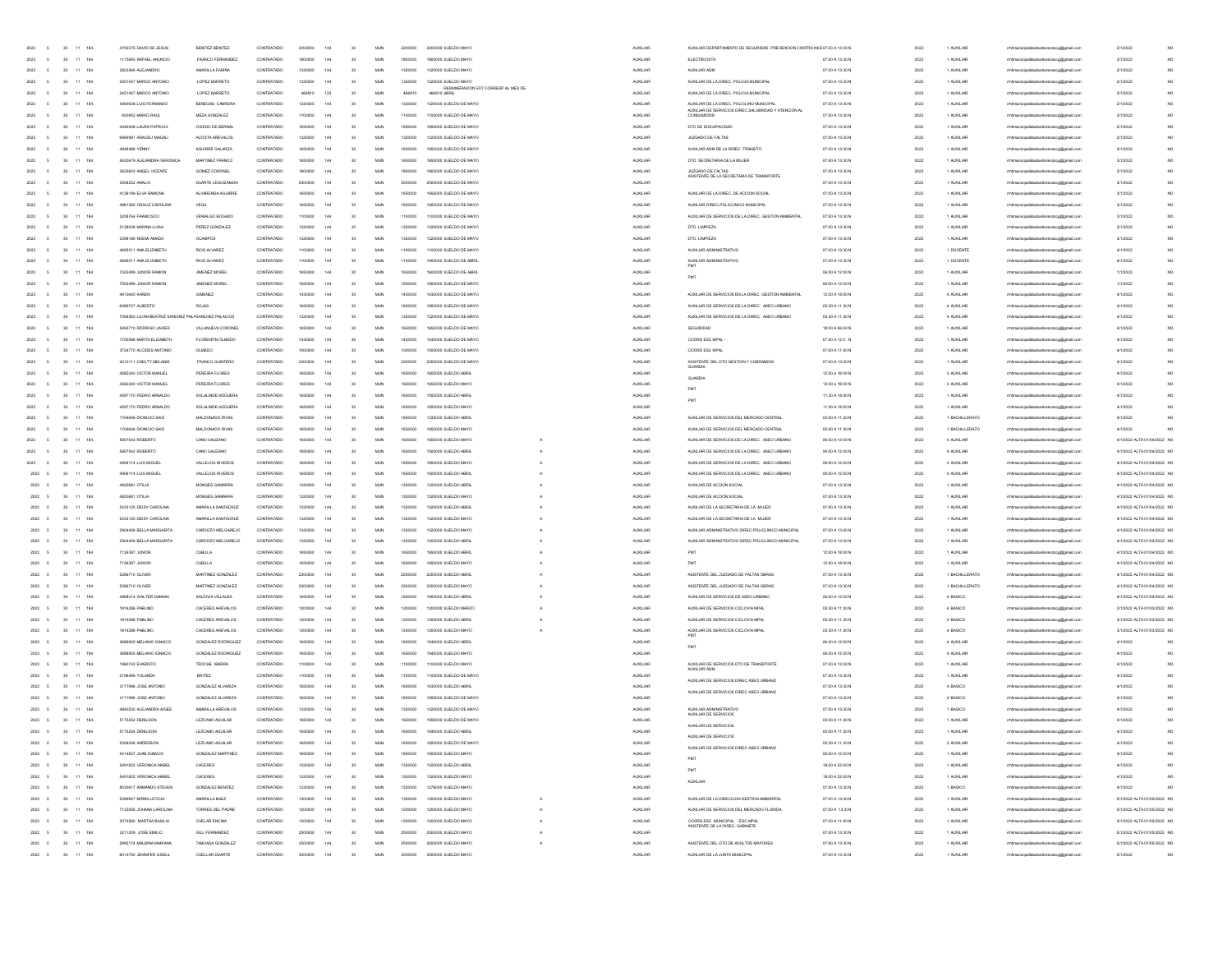|                                    |                |                              |            |                                                     |                                    |                          |         |                 |                 |                   |         |                                                    |                      | MENTO DE SECURIDAD RREVENCION C                                                                 | 7:00 A 13:301                      |              |                          |                                                                                 |                              |
|------------------------------------|----------------|------------------------------|------------|-----------------------------------------------------|------------------------------------|--------------------------|---------|-----------------|-----------------|-------------------|---------|----------------------------------------------------|----------------------|-------------------------------------------------------------------------------------------------|------------------------------------|--------------|--------------------------|---------------------------------------------------------------------------------|------------------------------|
| 2022                               |                | $30 - 11 - 184$              |            | 1173693 RAFAEL ANUNCH                               | FRANCO FERNANDEZ                   | CONTRATADO               | 1800000 | 144             | 30              | <b>MUN</b>        | 1800000 | 1800000 SUELDO MAY                                 | AUXILIAR             | ELECTRICISTA                                                                                    | 07:00 A 13:30 N                    | 2022         | 1 AUXILIA                | mhmunicipalidadsanlorenzoog@gmail.com                                           | 2/1/2022                     |
| 2022                               |                | 30 11 184                    |            | 3823566 ALEJANDRO                                   | AMARILLA FARIÑA                    | CONTRATADO               | 1320000 | 144             | 30              | MUN               | 1320000 | 1320000 SUELDO MAYO                                | <b>AUXILIAR</b>      | AUXILIAR ADM                                                                                    | 07:00 A 13:30 N                    | 2022         | 1 AUXILIAR               | mhmunicipalidadsanlorenzoog@gmail.com                                           | 2/1/2022                     |
| 2022                               |                | $30 - 11 - 184$              |            | 2451457 MARCO ANTONO                                | LOPEZ BARRETO                      | CONTRATADO               | 1320000 |                 | 30              | MUN               | 1320000 | 1320000 SUELDO MAYO                                | <b>AUXILIAR</b>      | AUXILIAR DE LA DIREC. POLICIA MUNICIPAL                                                         | 07:00 A 13:30 N                    | 2022         | 1 AUXILIAR               | mhmunicipalidadsanlorenzoog@gmail.com                                           | 2/1/2022                     |
| 2022                               |                | $30 - 11 - 184$              |            | 2451457 MARCO ANTONO                                | LOPEZ BARRETO                      | CONTRATADO               | 466910  | 123             | 30              | MUN               | 466910  | REMUNERACION EXT CORRESP AL MES DE<br>466910 ABRIL | <b>AUXILIAR</b>      | AUXILIAR DE LA DIREC. POLICIA MUNICIPAL                                                         | 07:00 A 13:30 N                    | 2022         | 1 AUXILIAR               | mhmunicipalidadsanlorenzoog@gmail.com                                           | 2/1/2022                     |
| 2022                               |                | 30 11 184                    |            |                                                     |                                    |                          |         | 144             | 30              | <b>MUN</b>        | 1320000 | 1320000 SUELDO DE MAYO                             |                      |                                                                                                 |                                    |              |                          |                                                                                 |                              |
|                                    |                |                              |            | 5460638 LUIS FERNANDO                               | BENEGAS CABRERA                    | CONTRATADO               | 1320000 |                 |                 |                   |         |                                                    | <b>AUXILIAR</b>      | AUXILIAR DE LA DIREC. POLICLINO MUNICIPA<br>AUXILIAR DE SERVICIOS DIREC.SALUBRIDAD Y ATENCION A | 07:00 A 13:30 N                    | 2022         | 1 AUXILIAR               | rrhmunicipalidadsanlorenzoog@gmail.com                                          | 2/1/2022                     |
| 2022                               | $\sim$         | 30 11 184                    |            | 920952 MARIO RAUL                                   | MEZA GONZALEZ                      | CONTRATADO               | 1100000 | 144             | 30              | MAN               | 1100000 | 1100000 SUELDO DE MAYO                             | <b>AUXILIAR</b>      | CONSUMIDOR                                                                                      | 07:00 A 13:30 N                    | 2022         | 1 AUXILIAR               | rrhhmunicipalidadsanlorenzoog@gmail.com                                         | 2/1/2022                     |
| 2022                               | $\sim$         | 30 11 184                    |            | 4349428 LAURA PATRICIA                              | OVIEDO DE BERNAL                   | CONTRATADO               | 1650000 | 144             | 30              | MAN               | 1650000 | 1650000 SUELDO DE MAYO                             | <b>AUXILIAR</b>      | DTO DE DISCAPACIDAD                                                                             | 07:00 A 13:30 N                    | 2022         | 1 AUXILIAR               | rrhhmunicipalidadsanlorenzoog@gmail.com                                         | 2/1/2022                     |
| 2022                               | $\sim$         | 30 11 184                    |            | 6984981 ARACELLMAGAL                                | ACOSTA AREVALOS                    | CONTRATADO               |         | 144             | 30 <sub>1</sub> | <b>MIN</b>        | 1220000 | 1320000 SUELDO DE MAYO                             | ALCOHOL:             | JUZGADO DE EM TAS                                                                               | 07:00 A 13:30 N                    | 2022         | 1 ALIXILIAR              | htmunicinalidadsanlocenzoon@omail.com                                           | 2/1/2022                     |
| 2022                               | $\sim$         | $30 - 11 - 184$              |            | 4948486 YENNY                                       | AGURBE GALARZA                     | CONTRATADO               |         | 144             | 30 <sub>2</sub> | <b>MIN</b>        |         | 1650000 SUELDO DE MAYO                             | ALCOHOL:             | AUXILIAR ADM DE LA DIREC. TRANSITO                                                              | 07:00 A 13:30 N                    | 2022         | 1.44 DOI 148             | hmunicipalidadsanlorenzoog@gmail.com                                            | 2/1/2022                     |
|                                    |                |                              |            |                                                     |                                    |                          |         |                 |                 |                   |         |                                                    |                      |                                                                                                 |                                    |              |                          |                                                                                 |                              |
| 2022                               |                | 30 11 184                    |            | 5420679 ALEJANDRA VERONICA                          | MARTINEZ FRANCO                    | CONTRATADO               |         | 144             | 30              | <b>MUN</b>        |         | 1650000 SUELDO DE MAYO                             | <b>AUXILIAR</b>      | DTO. SECRETARIA DE LA MUJER                                                                     | 07:00 A 13:30 N                    | 2022         | 1 AUXILIAR               | nunicipalidadsanlorenzoog@gmail.com                                             | 3/1/2022                     |
| 2022                               |                | $30 -$                       | 11 184     | 3625603 ANGEL VICENTE                               | GOMEZ CORONEL                      | CONTRATADO               |         |                 |                 | MUN               |         | 1800000 SUELDO DE MAYO                             | <b>AUXILIAR</b>      | JUZGADO DE FALTAS<br>ASISTENTE DE LA SECRETARIA DE TRANSPORTE                                   | 07:00 A 13:30 N                    | 2022         | 1 AUXILIAR               | mhmunicipalidadsanlorenzoog@gmail.com                                           | 3/1/2022                     |
| 2022                               |                | 30 11 184                    |            | 3508252 ANALIA                                      | DUARTE LEGUIZAMON                  | CONTRATADO               |         |                 |                 | MUN               |         | 2500000 SUELDO DE MAY                              | <b>AUXILIAR</b>      |                                                                                                 | 07:00 A 13:30 N                    | 2022         | 1 AUXILIAR               | rrhmunicipalidadsanlorenzoog@gmail.com                                          | 3/1/2022                     |
| 2022                               |                | 30 11 184                    |            | 4126199 ELVA RAMONA                                 | ALVARENGA AGUIRRE                  | CONTRATADO               |         | 144             | 30              | <b>MUN</b>        | 650000  | 1650000 SUELDO DE MAYO                             | <b>AUXILIAR</b>      | AUXILIAR DE LA DIREC. DE ACCION SOCIAL                                                          | 07:00 A 13:30 N                    | 2022         | 1 AUXILIAR               | mhmunicipalidadsanlorenzoog@gmail.com                                           | 3/1/2022                     |
|                                    |                |                              |            |                                                     |                                    |                          |         |                 |                 |                   |         |                                                    |                      |                                                                                                 |                                    |              |                          |                                                                                 |                              |
| 2022                               |                | 30 11 184                    |            | 4961365 ODALIZ CAROLINA                             | VEGA                               | CONTRATADO               |         | 144             | 30              | MUN               | 1650000 | 1650000 SUELDO DE MAYO                             | <b>AUXILIAR</b>      | AUXILIAR DIREC.POLICLINICO MUNICIPAL                                                            | 07:00 A 13:30 N                    | 2022         | 1 AUXILIAR               | rrhhmunicipalidadsanlorenzoog@gmail.com                                         | 3/1/2022                     |
| 2022                               | $\overline{5}$ | 30 11 184                    |            | 3208764 FRANCISCO                                   | VENIALGO BOGADO                    | CONTRATADO               | 1100000 | 144             | 30              | MUN               | 1100000 | 1100000 SUELDO DE MAYO                             | <b>AUXILIAR</b>      | AUXILIAR DE SERVICIOS DE LA DIREC. GESTION AMBIENTAL                                            | 07:00 A 13:30 N                    | 2022         | 1 AUXILIAR               | rrhhmunicipalidadsanlorenzoog@gmail.com                                         | 3/1/2022                     |
| 2022                               | $\sim$         | 30 11 184                    |            | 2128938 MARINA LUSA                                 | PEREZ GONZALEZ                     | CONTRATADO               | 1220000 | $\overline{1}$  | 30 <sub>1</sub> | <b>MIN</b>        | 1320000 | 1320000 SUELDO DE MAYO                             | <b>AUXILIAR</b>      | DTO. LIMPIEZA                                                                                   | 07:00 A 13:30 N                    | 2022         | 1 ALIXILIAR              | mhmunicipalidadsanlorenzoog@gmail.com                                           | 3/1/2022                     |
| 2022                               | $\sim$         | $30 - 11 - 184$              |            | 3398186 NOEMI AMADA                                 | OCAMPOS                            | CONTRATADO               | 1220000 | 144             | 30 <sub>1</sub> | <b>MIN</b>        | 1320000 | 1320000 SUELDO DE MAYO                             | <b>AUXILIAR</b>      | DTO, LIMPIEZA                                                                                   | 07:00 A 13:30 N                    | 2022         | 1 AUXILIAR               | rhhmunicipalidadsanlorenzoog@gmail.com                                          | 3/1/2022                     |
|                                    |                |                              |            |                                                     |                                    |                          |         |                 |                 |                   |         |                                                    |                      |                                                                                                 |                                    |              |                          |                                                                                 |                              |
| 2022                               | $\sim$         | $30 - 11 - 184$              |            | 4695311 ANA ELIZABETH                               | RIOS ALVAREZ                       | CONTRATADO               |         | 144             | 30              | <b>MJN</b>        | 100000  | 1100000 SUELDO DE MAY                              | <b>AUXILIAR</b>      | AUXILIAR ADMINISTRATIVO                                                                         | 07:00 A 13:30 N                    | 2022         | 1 DOCENTE                | thmunicipalidadsanlorenzoog@gmail.com                                           | 4/1/2022                     |
| 2022                               |                | 30 11 184                    |            | 4695311 ANA ELIZABETH                               | RIOS ALVAREZ                       | CONTRATADO               |         | $\overline{a}$  | 30              | MLIN              |         | 1000000 SUELDO DE ABR                              | AUXILIAR             | AUXILIAR ADMINISTRATIVO                                                                         | 07:00 A 13:30 N                    | 2022         | 1 DOCENTE                | thmunicipalidadsanlorenzoog@gmail.com                                           | 4/1/2022                     |
| 2022                               |                | $30 - 11 - 184$              |            | 7502489 JUNIOR RAMON                                | <b>JIMENEZ MOREL</b>               | CONTRATADO               |         | $\overline{a}$  | 30              | MLN               |         | 1605000 SUELDO DE ABR                              | AUXILIAR             |                                                                                                 | 06:00 A 12:00 N                    | 2022         | 1 AUXILIAR               | rhhmunicipalidadsanlorenzoog@gmail.com                                          | 1/1/2022                     |
| 2022                               | 5              | $30 - 11 - 184$              |            | 7502489 JUNIOR RAMON                                | JIMENEZ MOREL                      | CONTRATADO               |         | 144             | 30              | MUN               | 1650000 | 1650000 SUELDO DE MAYO                             | <b>AUXILIAR</b>      |                                                                                                 | 06:00 A 12:00 N                    | 2022         | 1 AUXILIAR               | mhmunicipalidadsanlorenzoog@gmail.com                                           | 1/1/2022                     |
|                                    |                |                              |            |                                                     |                                    |                          |         |                 |                 |                   |         |                                                    |                      |                                                                                                 |                                    |              |                          |                                                                                 |                              |
| 2022                               | 5              | 30 11 184                    |            | 4913640 KAREN                                       | GIMENEZ                            | CONTRATADO               | 1430000 | 144             | 30              | MUN               | 1430000 | 1430000 SUELDO DE MAYO                             | <b>AUXILIAR</b>      | AUXILIAR DE SERVICIOS EN LA DIREC. GESTION AMBIENTAL                                            | 12:00 A 18:00 N                    | 2022         | 4 AUXILIAR               | rrhhmunicipalidadsanlorenzoog@gmail.com                                         | 4/1/2022                     |
| 2022                               | 5              | 30 11 184                    |            | 6089707 ALBERTO                                     | ROJAS                              | CONTRATADO               |         | 144             | 30              | MUN               | 1650000 | 1650000 SUELDO DE MAYO                             | <b>AUXILIAR</b>      | AUXILIAR DE SERVICIOS DE LA DIREC. ASEO URBANO                                                  | 05:30 A 11:30 N                    | 2022         | 4 AUXILIAR               | mhmunicipalidadsanlorenzoog@gmail.com                                           | 4/1/2022                     |
| 2022                               | $\sim$         | 30 11 184                    |            | 7056362 LILIAN BEATRIZ SANCHEZ PALASANCHEZ PALACIOS |                                    | CONTRATADO               | 1320000 | 144             | 30              | MAN               | 1320000 | 1320000 SUELDO DE MAYO                             | <b>AUXILIAR</b>      | AUXILIAR DE SERVICIOS DE LA DIREC. ASEO URBANO                                                  | 05:30 A 11:30 N                    | 2022         | 4 AUXILIAR               | rrhhmunicipalidadsanlorenzoog@gmail.com                                         | 4/1/2022                     |
| 2022                               | $\sim$         | 30 11 184                    |            | 5493710 RODRIGO JAMER                               | VILLANUEVA CORONEL                 | CONTRATADO               | 1650000 | 144             | 30              | MAN               | 1650000 | 1650000 SUELDO DE MAYO                             | <b>AUXILIAR</b>      | SEGURIDAD                                                                                       | 18:00 A 06:00 N                    | 2022         | 1 AUXILIAR               | rrhhmunicipalidadsanlorenzoog@gmail.com                                         | 4/1/2022                     |
|                                    |                |                              |            |                                                     |                                    |                          |         |                 |                 |                   |         |                                                    |                      |                                                                                                 |                                    |              |                          |                                                                                 |                              |
| 2022                               |                | 30 11 184                    |            | 1750596 MARTA FLIZARETH                             | FLORENTIN OLMEDO                   | CONTRATADO               |         | 144             | 30              | MUN               |         | 1430000 SUELDO DE MAYO                             | <b>AUXILIAR</b>      | COORD ESC MPAL                                                                                  | 07:00 A 12:0 N                     | 2022         | 1 AUXILIAR               | unicipalidadsanlorenzoog@gmail.com                                              | 4/1/2022                     |
| 2022                               |                | $30 -$                       | 11 184     | 3724770 ALCIDES ANTONIC                             | OLMEDO                             | CONTRATADO               |         | 144             | 30              | MUN               |         | 1000000 SUELDO DE MAY                              | <b>AUXILIAR</b>      | COORD ESC MPA                                                                                   | 07:00 A 11:00 N                    | 2022         | AUXILIA                  | unicipalidadsanlorenzoog@gmail.com                                              | 4/1/2022                     |
| 2022                               |                | $_{30}$                      | $11 - 184$ | 4210111 CHELTY MELANI                               | FRANCO QUINTERO                    | CONTRATADO               |         | 144             | 30              | <b>MUN</b>        |         | 000 SUELDO DE MAY                                  | AUXILIAR             | ASISTENTE DEL DTO GESTION Y COBRANZAS                                                           | 07:00 A 13:30 N                    | 2022         | AUXILIA                  | municipalidadsanlorenzoog@gmail.com                                             | 4/1/2022                     |
| 2022                               |                | 30                           | 11 184     |                                                     |                                    |                          |         | 144             | 30              | MUN               |         | 1605000 SUELDO ABRIL                               |                      |                                                                                                 | 12:00 a 18:00 M                    | 2022         |                          |                                                                                 | 4/1/2022                     |
|                                    |                |                              |            | 4582240 VICTOR MANUEL                               | PEREIRA FLORES                     | CONTRATADO               |         |                 |                 |                   |         |                                                    | <b>AUXILIAR</b>      | <b>GUARDIA</b>                                                                                  |                                    |              | 3 AUXILIA                | mhmunicipalidadsanlorenzoog@gmail.com                                           |                              |
| 2022                               |                | 30                           | 11 184     | 4582240 VICTOR MANUEL                               | PEREIRA FLORES                     | CONTRATADO               |         | $\overline{14}$ | 30              | MUN               |         | 1650000 SUELDO MAYO                                | <b>AUXILIAR</b>      |                                                                                                 | 12:00 a 18:00 N                    | 2022         | 3 AUXILIAR               | rrhhmunicipalidadsanlorenzoog@gmail.com                                         | 4/1/2022                     |
| 2022                               |                | 30 11 184                    |            | 4597170 PEDRO ARNALDO                               | SOLALINDE NOGUERA                  | CONTRATADO               | 1650000 | 144             | 30              | MUN               | 1650000 | 1550000 SUELDO ABRIL                               | <b>AUXILIAR</b>      |                                                                                                 | 11:30 A 18:00 N                    | 2022         | 1 AUXILIAR               | rrhhmunicipalidadsanlorenzoog@gmail.com                                         | 4/1/2022                     |
| 2022                               |                | 30 11 184                    |            | 4597170 PEDRO ARNALDO                               | SOLALINDE NOGUERA                  | CONTRATADO               | 1650000 | 144             | 30 <sub>1</sub> | MAN               | 1650000 | 1650000 SUELDO MAYO                                | <b>AUXILIAR</b>      |                                                                                                 | 11:30 A 18:00 N                    | 2022         | 1 AUXILIAR               | rrhhmunicipalidadsanlorenzoog@omail.com                                         | 4/1/2022                     |
|                                    |                |                              |            |                                                     |                                    |                          |         |                 |                 |                   |         |                                                    |                      |                                                                                                 |                                    |              |                          |                                                                                 |                              |
| 2022                               |                | 30 11 184                    |            | 1704646 DIONICIO SAID                               | MALDONADO RIVAS                    | CONTRATADO               | 1650000 | 144             | 30              | MUN               | 1650000 | 1335000 SUELDO ABRIL                               | <b>AUXILIAR</b>      | AUXILIAR DE SERVICIOS DEL MERCADO CENTRAL                                                       | 05:00 A 11:30 N                    | 2022         | 1 BACHILLERATO           | rrhhmunicipalidadsanlorenzoog@omail.com                                         | 4/1/2022                     |
| 2022                               |                | 30 11 184                    |            | 1704646 DIONICIO SAID                               | MALDONADO RIVAS                    | CONTRATADO               | 1650000 | 144             | 30              | MUN               | 1650000 | 1650000 SUELDO MAYO                                | <b>AUXILIAR</b>      | AUXILIAR DE SERVICIOS DEL MERCADO CENTRAL                                                       | 05:00 A 11:30 N                    | 2022         | 1 BACHILLERATO           | rrhtmunicipalidadsanlorenzoog@gmail.com                                         | 4/1/2022                     |
| 2022                               |                | 30 11 184                    |            | 5907542 ROBERTO                                     | CAND GALEANO                       | CONTRATADO               | 1650000 | 144             | 30 <sub>1</sub> | <b>MIN</b>        | 1650000 | 1650000 SUELDO MAYO                                | ALCOHOL:             | ALDOL MR DE SERVICIOS DE LA DIREC. ASEO URBANO                                                  | 08:00 A 12:00 N                    | 2022         | 4 AUXU JAR               | rrhtmunicipalidadsanlorenzoog@gmail.com                                         | 4/1/2022 4/ TA 01/04/2022 NO |
| 2022                               |                | $30 -$                       | 11 184     | 5907542 ROBERTO                                     | CANO GALEANO                       | CONTRATADO               |         | 144             | 20              | <b>MJN</b>        |         | 1500000 SUELDO ABRI                                | AUXILIAR             | AUXILIAR DE SERVICIOS DE LA DIREC. ASEO URBANO                                                  | 06:00 A 12:00 N                    | 2022         | 4 AUXILIAR               | rhhmunicipalidadsanlorenzoog@gmail.com                                          | 4/1/2022 ALTA 01/04/2022 NO  |
| 2022                               |                |                              | 11 184     |                                                     | VALLEJOS RIVEROS                   | CONTRATADO               |         |                 |                 | MLIN              |         |                                                    | <b>AUXILIAR</b>      |                                                                                                 | 06:00 A 12:00 M                    | 2022         |                          |                                                                                 |                              |
|                                    |                |                              |            | 4906114 LUIS MIGUE                                  |                                    |                          |         |                 |                 |                   |         | 1650000 SUELDO MAYO                                |                      | AUXILIAR DE SERVICIOS DE LA DIREC. ASEO URBANI                                                  |                                    |              | 4 AUXILIAR               | rrhhmunicipalidadsanlorenzoog@gmail.com                                         | 4/1/2022 ALTA 01/04/2022 NO  |
|                                    |                | $30 -$                       |            |                                                     |                                    |                          |         |                 |                 |                   |         |                                                    |                      |                                                                                                 |                                    |              |                          |                                                                                 |                              |
| 2022 5                             |                | $30 - 11 - 184$              |            | 4906114 LUIS MIGUEL                                 | VALLEJOS RIVEROS                   | CONTRATADO               |         |                 |                 | MUN               | 1650000 | 1500000 SUELDO ABRIL                               | <b>AUXILIAR</b>      | AUXILIAR DE SERVICIOS DE LA DIREC. ASEO URBANI                                                  | 06:00 A 12:00 N                    | 2022         | 4 AUXILIAR               | rrhmunicipalidadsanlorenzoog@gmail.com                                          | 4/1/2022 ALTA 01/04/2022 NO  |
| 2022 5                             |                |                              |            | 4820681 OTILIA                                      | MONGES GAMARRA                     | CONTRATADO               |         |                 | 30              | MUN               | 1320000 | 1320000 SUELDO ABRIL                               | <b>AUXILIAR</b>      | AUXILIAR DE ACCION SOCIAL                                                                       | 07:00 A 13:30 N                    | 2022         | 1 AUXILIAR               | mhmunicipalidadsanlorenzoog@gmail.com                                           | 4/1/2022 ALTA 01/04/2022 NO  |
|                                    |                | $30 - 11 - 184$              |            |                                                     |                                    |                          |         |                 |                 |                   |         |                                                    |                      |                                                                                                 |                                    |              |                          |                                                                                 |                              |
| 2022 5                             |                | 30 11 184                    |            | 4820681 OTILIA                                      | MONGES GAMARRA                     | CONTRATADO               | 1320000 |                 | 30              | MUN               | 1320000 | 1320000 SUELDO MAYO                                | <b>AUXILIAR</b>      | AUXILIAR DE ACCION SOCIAL                                                                       | 07:00 A 13:30 N                    | 2022         | 1 AUXILIAR               | rrhmunicipalidadsanlorenzoog@gmail.com                                          | 4/1/2022 ALTA 01/04/2022 NO  |
| 2022 5                             |                | 30 11 184                    |            | 5433125 DEISY CAROLINA                              | AMARILLA SANTACRUZ                 | CONTRATADO               | 1320000 | 144             | 30              | MAN               | 1320000 | 1320000 SUELDO ABRIL                               | <b>AUXILIAR</b>      | AUXILIAR DE LA SECRETARIA DE LA MUJER                                                           | 07:00 A 13:30 N                    | 2022         | 1 AUXILIAR               | rrhhmunicipalidadsanlorenzoog@gmail.com                                         | 4/1/2022 ALTA 01/04/2022 NO  |
| 2022 5                             |                | 30 11 184                    |            | 5433125 DEISY CAROLINA                              | AMARILLA SANTACRUZ                 | CONTRATADO               | 1320000 | 144             | 30              | MAN               | 1320000 | 1320000 SUELDO MAYO                                | <b>AUXILIAR</b>      | AUXILIAR DE LA SECRETARIA DE LA MUJER                                                           | 07:00 A 13:30 N                    | 2022         | 1 AUXILIAR               | rrhhmunicipalidadsanlorenzoog@gmail.com                                         | 4/1/2022 ALTA 01/04/2022 NO  |
| 2022 5                             |                | 30 11 184                    |            | 2904406 RELLA MARGARITA                             | CARDOZO MELGAREJO                  | CONTRATADO               | 1220000 | 144             | 30 <sub>1</sub> | <b>MIN</b>        | 1220000 | 1320000 SUELDO MAYO                                | ALCOHOL:             | ALIXILIAR ADMINISTRATIVO DIRECIPOLICI INICO MUNICIPAL                                           | 07:00 A 13:00 N                    | 2022         | 1 ALIXILIAR              | rhhmunicipalidadsanlorenzoog@gmail.com                                          | 4/1/2022 4/ TA 01/04/2022 NO |
|                                    |                |                              |            |                                                     |                                    |                          |         |                 |                 |                   |         |                                                    |                      |                                                                                                 |                                    |              |                          |                                                                                 |                              |
| 2022 5                             |                | $30 - 11 - 184$              |            | 2904406 RFLLA MARGARITA                             | CARDOZO MELGAREJO                  | CONTRATADO               |         | 144             | 30 <sub>1</sub> | MUN               | saannor | 1200000 SUELDO 4BRI                                | ALCOHOL:             | AUXILIAR ADMINISTRATIVO DIREC.POLICLINICO MUNICIPAL                                             | 07:00 A 13:00 N                    | 2022         | 1 AUXILIAR               | hhmunicipalidadsanlorenzoog@gmail.com                                           | 4/1/2022 ALTA 01/04/2022 NO  |
| 2022 5                             |                | 30 11 184                    |            | 7126397 JUNIOR                                      | CUBILLA                            | CONTRATADO               |         | 144             | 30 <sub>1</sub> | MUN               |         | 1650000 SUELDO 48RL                                | ALCOHOL:             |                                                                                                 | 12:00 A 18:00 N                    | 2022         | 1 AUXILIAR               | hmunicipalidadsanlorenzoog@gmail.com                                            | 4/1/2022 ALTA 01/04/2022 NO  |
| 2022 5                             |                | $30 -$                       | 11 184     | 7126397 JUNIOR                                      | CUBILLA                            | CONTRATADO               |         |                 |                 | <b>MUN</b>        |         | 1650000 SUELDO MAYO                                | AUXILIAR             |                                                                                                 | 12:00 A 18:00 N                    | 2022         | 1 AUXILIAR               | rrhhmunicipalidadsanlorenzoog@gmail.com                                         | 4/1/2022 ALTA 01/04/2022 NO  |
| 2022 5                             |                | $30 -$                       | 11 184     | 5286710 OLIVER                                      | MARTINEZ GONZALEZ                  | CONTRATADO               |         |                 |                 | MUN               |         | 2200000 SUELDO ABRIL                               | <b>AUXILIAR</b>      | ASISTENTE DEL JUZGADO DE FALTAS OBRAS                                                           | 07:00 A 13:30 N                    | 2022         | 1 BACHILLERATO           | rrhmunicipalidadsanlorenzoog@gmail.com                                          | 4/1/2022 ALTA 01/04/2022 NO  |
|                                    |                | 30 11 184                    |            |                                                     |                                    | CONTRATADO               | 2200000 | 144             | 30              | MUN               | 2200000 | 2200000 SUELDO MAYO                                |                      |                                                                                                 |                                    |              |                          |                                                                                 |                              |
| 2022 5                             |                |                              |            | 5286710 OLIVER                                      | MARTINEZ GONZALEZ                  |                          |         |                 |                 |                   |         |                                                    | <b>AUXILIAR</b>      | ASISTENTE DEL JUZGADO DE FALTAS OBRAS                                                           | 07:00 A 13:30 N                    | 2022         | 1 BACHILLERATO           | rrhhmunicipalidadsanlorenzoog@gmail.com                                         | 4/1/2022 ALTA 01/04/2022 NO  |
| 2022 5                             |                | 30 11 184                    |            | 4968314 WALTER DAMIAN                               | SALDIVIA VILLALBA                  | CONTRATADO               |         | 144             | 30              | MUN               | 1650000 | 1650000 SUELDO ABRIL                               | <b>AUXILIAR</b>      | AUXILIAR DE SERVICIOS DE ASEO URBANO                                                            | 06:00 A 12:00 N                    | 2022         | 4 BASICO                 | rrhhmunicipalidadsanlorenzoog@gmail.com                                         | 4/1/2022 ALTA 01/04/2022 NO  |
| 2022 5                             |                | 30 11 184                    |            | 1814286 PABLINO                                     | CACERES AREVALOS                   | CONTRATADO               | 1200000 | 144             | 30              | MUN               | 1200000 | 1200000 SUELDO MARZO                               | <b>AUXILIAR</b>      | AUXILIAR DE SERVICIOS CICLOVIA MPAL                                                             | 05:30 A 11:30 N                    | 2022         | 4 BASICO                 | rrhhmunicipalidadsanlorenzoog@gmail.com                                         | 3/1/2022 ALTA 01/03/2022 NO  |
| $2022 - 5$                         |                | 30 11 184                    |            | 1814286 PARLINO                                     | CACERES AREVALOS                   | CONTRATADO               | 1200000 | $\overline{a}$  | 30 <sub>1</sub> | <b>MIN</b>        | 1200000 | 1200000 SUELDO 48RU                                | ALCOHOL:             | AUXILIAR DE SERVICIOS CICLOVIA MPAL                                                             | 05:30 A 11:30 N                    | 2022         | 4 BASICO                 | rrhtmunicipalidadsanlorenzoog@gmail.com                                         | 3/1/2022 & TA 01/03/2022 NO  |
| 2022 5                             |                | $30 - 11 - 184$              |            | 1814286 PABLINO                                     | CACERES AREVALOS                   | CONTRATADO               | 1200000 | 144             | 30 <sub>1</sub> | <b>MIN</b>        | 1200000 | 1200000 SUELDO MAYO                                | <b>AUXILIAR</b>      |                                                                                                 | 05:30 A 11:30 N                    | 2022         | 4 BASICO                 |                                                                                 | 3/1/2022 ALTA 01/03/2022 NO  |
|                                    |                |                              |            |                                                     |                                    |                          |         |                 |                 |                   |         |                                                    |                      | AUXILIAR DE SERVICIOS CICLOVIA MPAL                                                             |                                    |              |                          | rhhmunicipalidadsanlorenzoog@gmail.com                                          |                              |
| 2022 5                             |                | $30 - 11 - 184$              |            | 3688905 MELANO (GNACIO                              | GONZALEZ RODRIGUEZ                 | CONTRATADO               |         | 144             | 30 <sub>1</sub> | MUN               |         | 1540000 SUELDO ABRIL                               | <b>AUXILIAR</b>      |                                                                                                 | 06:00 A 12:00 N                    | 2022         | 4 AUXILIAR               | rhhmunicipalidadsanlorenzoog@gmail.com                                          | 4/1/2022                     |
| $2022\phantom{.00}$ $\phantom{0}5$ |                | $30 - 11 - 184$              |            | 3688905 MELANO IGNACIO                              | GONZALEZ RODRIGUEZ                 | CONTRATADO               |         | $\overline{a}$  | 30              | MLIN              |         | 1540000 SUELDO MAYO                                | AUXILIAR             |                                                                                                 | 06:00 A 12:00 N                    | 2022         | 4 AUXILIAR               | hmunicipalidadsanlorenzoog@gmail.com                                            | 4/1/2022                     |
| $2022\phantom{.00}$ $\phantom{0}5$ |                | $30 - 11 - 184$              |            | 1960742 EVARISTO                                    | TROCHE IBARRA                      | CONTRATADO               |         | 144             | 30              | <b>MJN</b>        |         | 1100000 SUELDO MAYO                                | AUXILIAR             |                                                                                                 | 07:00 A 13:30 N                    | 2022         | 1 AUXILIAR               | hhmunicipalidadsanlorenzoog@gmail.com                                           | 4/1/2022                     |
| 2022 5                             |                | 30 11 184                    |            |                                                     | <b>BRITEZ</b>                      | CONTRATADO               |         |                 | 30              | MAN               | 1100000 | 1100000 SUELDO DE MAYO                             | <b>AUXILIAR</b>      | AUXILIAR DE SERVICIOS DTO DE TRANSPORTE<br>AUXILIAR ADM                                         | 07:00 A 13:30 N                    | 2022         | 1 AUXILIAR               | rrhhmunicipalidadsanlorenzoog@gmail.com                                         | 4/1/2022                     |
|                                    |                |                              |            | 2196468 YOLANDA                                     |                                    |                          |         |                 |                 |                   |         |                                                    |                      | AUXILIAR DE SERVICIOS DIREC ASEO URBANO                                                         |                                    |              |                          |                                                                                 |                              |
| 2022 5                             |                | 30 11 184                    |            | 3171996 JOSE ANTONIO                                | GONZALEZ ALVARIZA                  | CONTRATADO               |         | 144             | 30              | MUN               | 1650000 | 1430000 SUELDO ABRIL                               | <b>AUXILIAR</b>      | AUXILIAR DE SERVICIOS DIREC ASEO URBANO                                                         | 07:00 A 13:30 N                    | 2022         | 4 BASICO                 | mhmunicipalidadsanlorenzoog@gmail.com                                           | 4/1/2022                     |
| 2022 5                             |                | 30 11 184                    |            | 3171996 JOSE ANTONIO                                | GONZALEZ ALVARIZA                  | CONTRATADO               | 1650000 | 144             | 30              | MUN               | 1650000 | 1595000 SUELDO DE MAYO                             | <b>AUXILIAR</b>      |                                                                                                 | 07:00 A 13:30 N                    | 2022         | 4 BASICO                 | rrhhmunicipalidadsanlorenzoog@gmail.com                                         | 4/1/2022                     |
| 2022 5                             |                | 30 11 184                    |            | 4840530 ALEJANDRA AIDEE                             | AMARILLA AREVALOS                  | CONTRATADO               | 1320000 | 144             | 30              | MAN               | 1320000 | 1320000 SUELDO DE MAYO                             | <b>AUXILIAR</b>      | AUXILIAR ADMINISTRATIVO                                                                         | 07:00 A 13:30 N                    | 2022         | 1 BASICO                 | rrhhmunicipalidadsanlorenzoog@gmail.com                                         | 4/1/2022                     |
| 2022 5                             |                | 30 11 184                    |            | 5175254 DENILSON                                    | LEZCANO AGUILAR                    | CONTRATADO               | 1650000 | 144             | 30              | MAN               | 1650000 | 1595000 SUELDO DE MAYO                             | <b>AUXILIAR</b>      | AUXILIAR DE SERVICIOS                                                                           | 05:00 A 11:30 N                    | 2022         | 1 AUXILIAR               | rrhhmunicipalidadsanlorenzoog@omail.com                                         | 4/1/2022                     |
|                                    |                |                              |            |                                                     |                                    |                          |         |                 |                 |                   |         |                                                    |                      | AUXILIAR DE SERVICIOS                                                                           |                                    |              |                          |                                                                                 |                              |
| 2022 5                             |                | 30 11 184                    |            | 5175254 DENILSON                                    | LEZCANO AGUILAR                    | CONTRATADO               |         | 144             | 30              | MAN               |         | 1540000 SUELDO 4BBI                                | 44001146             | AUXILIAR DE SERVICIOS                                                                           | 05:00 A 11:30 N                    | 2022         | 1 AUXILIAR               | hmunicipalidadsanlorenzoog@gmail.com                                            | 4/1/2022                     |
| 2022 5                             |                | $30 -$                       | 11 184     | 5306246 ANDERSON                                    | LEZCANO AGUILAR                    | CONTRATADO               |         | 144             | 30              | MUN               |         | 1650000 SUELDO DE MAYO                             | AUXILIAR             |                                                                                                 | 05:30 A 11:30 N                    | 2022         | 3 AUXILIAR               | unicipalidadsanlorenzoog@gmail.com                                              | 4/1/2022                     |
| $2022 - 5$                         |                | $30 -$                       | $11 - 184$ |                                                     | GONZALEZ MARTINEZ                  | CONTRATADO               |         | 144             | 30              | <b>MUN</b>        |         | 000 SUELDO MAYO                                    | AUXILIAR             | AUXILIAR DE SERVICIOS DIREC ASEO URBANO                                                         | 06:00 A 12:00                      | 2022         | AUXILIA                  | nunicipalidadsanlorenzoog@gmail.com                                             | 4/1/2022                     |
|                                    |                |                              |            |                                                     |                                    |                          |         |                 |                 |                   |         |                                                    |                      |                                                                                                 |                                    |              |                          |                                                                                 |                              |
| 2022 5                             |                | 30                           | 11 184     | 5491822 VERONICA MABEL                              | CACERES                            | CONTRATADO               |         | 144             | 30              | MUN               |         | 1320000 SUELDO ABRIL                               | <b>AUXILIAR</b>      |                                                                                                 | 18:00 A 22:00 N                    | 2022         | 1 AUXILIAR               | rrhhmunicipalidadsanlorenzoog@gmail.com                                         | 4/1/2022                     |
| 2022 5                             |                | $30 -$                       | 11 184     | 5491822 VERONICA MABEL                              | CACERES                            | CONTRATADO               |         |                 | 30              | MUN               |         | 1320000 SUELDO MAYO                                | <b>AUXILIAR</b>      | AUXILIAR                                                                                        | 18:00 A 22:00 N                    | 2022         | 1 AUXILIAR               | rrhhmunicipalidadsanlorenzoog@gmail.com                                         | 4/1/2022                     |
| 2022 5                             |                | 30 11 184                    |            | 8030617 ARMANDO STEVEN                              | GONZALEZ BEN TEZ                   | CONTRATADO               | 1320000 | 144             | 30              | MUN               | 1320000 | 1276000 SUELDO MAYO                                | <b>AUXILIAR</b>      |                                                                                                 | 07:00 A 13:30 N                    | 2022         | 1 BASICO                 | mhmunicipalidadsanlorenzoog@gmail.com                                           | 4/1/2022                     |
| 2022 5                             |                | 30 11 184                    |            | 5399927 MIRNA LETICIA                               | AMARILLA BAEZ                      | CONTRATADO               | 1300000 | 144             | 30              | <b>MUN</b>        | 1300000 | 1300000 SUELDO MAYO                                | <b>AUXILIAR</b>      | AUXILIAR DE LA DIRECCION GESTION AMBIENTAL                                                      | 07:00 A 13:30 N                    | 2022         | 1 AUXILIAR               | rrhhmunicipalidadsanlorenzoog@omail.com                                         | 5/1/2022 ALTA 01/05/2022 NO  |
|                                    |                |                              |            |                                                     |                                    |                          |         |                 |                 |                   |         |                                                    |                      |                                                                                                 |                                    |              |                          |                                                                                 |                              |
| 2022 5                             |                | 30 11 184                    |            | 7132056 JOHANA CAROLINA                             | TORRES DEL PADRE                   | CONTRATADO               | 1200000 | 144             | 30              | <b>MUN</b>        | 1200000 | 1200000 SUELDO MAYO                                | <b>AUXILIAR</b>      | AUXILIAR DE SERVICIOS DEL MERCADO FLORIDA                                                       | 07:00 A 13:30N                     | 2022         | 1 AUXILIAR               | rrhhmunicipalidadsanlorenzoog@omail.com                                         | 5/1/2022 ALTA 01/05/2022 NO  |
| 2022 5                             |                | 30 11 184                    |            | 2074560 MARTHA BASILIA                              | OVELAR ENCINA                      | CONTRATADO               | 1200000 | 144             | 30              | <b>MUN</b>        | 1200000 | 1200000 SLELDO MAYO                                | <b>AUXILIAR</b>      | COORD.ESC. MUNICIPAL - ESC.MPA<br>ASISTENTE DE LA DIREC. GABINETI                               | 07:00 A 11:00 N                    | 2022         | 1 AUXILIAR               | rrhhmunicipalidadsanlorenzoog@gmail.com                                         | 5/1/2022 ALTA 01/05/2022 NO  |
| $2022 - 5$                         |                | 30 11 184                    |            | 3211209 JOSE EMILIO                                 | GILL FERNANDEZ                     | CONTRATADO               | 2500000 | 144             | 30 <sub>1</sub> | <b>MIN</b>        | 2500000 | 2500000 SUELDO MAYO                                | ALCOHOL:             |                                                                                                 | 07:00 A 13:30 N                    | 2022         | 1 ALIXILIAR              | mhmunicipalidadsanlorenzoog@gmail.com                                           | 5/1/2022 ALTA 01/05/2022 NO  |
|                                    |                |                              |            |                                                     |                                    |                          |         | 144             | 30              |                   |         |                                                    |                      | ASISTENTE DEL DTO DE ADULTOS MAYORES                                                            |                                    |              |                          |                                                                                 | 5/1/2022 ALTA 01/05/2022 NO  |
| 2022 5<br>2022 5                   |                | $30 - 11 - 184$<br>30 11 184 |            | 2992174 MALBINA MARIANA<br>6013750 JENNIFER GISELL  | TABOADA GONZALEZ<br>CUELLAR DUARTE | CONTRATADO<br>CONTRATADO |         | 144             | 30              | <b>MUN</b><br>MUN | 3000000 | 2500000 SUELDO MAYO<br>3000000 SUELDO MAYO         | AUXILIAR<br>AUXILIAR | AUXILIAR DE LA JUNTA MUNICIPAL                                                                  | 07:00 A 13:30 N<br>07:00 A 13:30 M | 2022<br>2022 | 1 AUXILIAR<br>1 AUXILIAR | rrhmunicipalidadsanlorenzoog@gmail.com<br>mhmunicipalidadsanlorenzoog@gmail.com | 5/1/2022                     |

5/1/2022 ALTA 01/05/2022 NO<br>5/1/2022 ALTA 01/05/2022 NO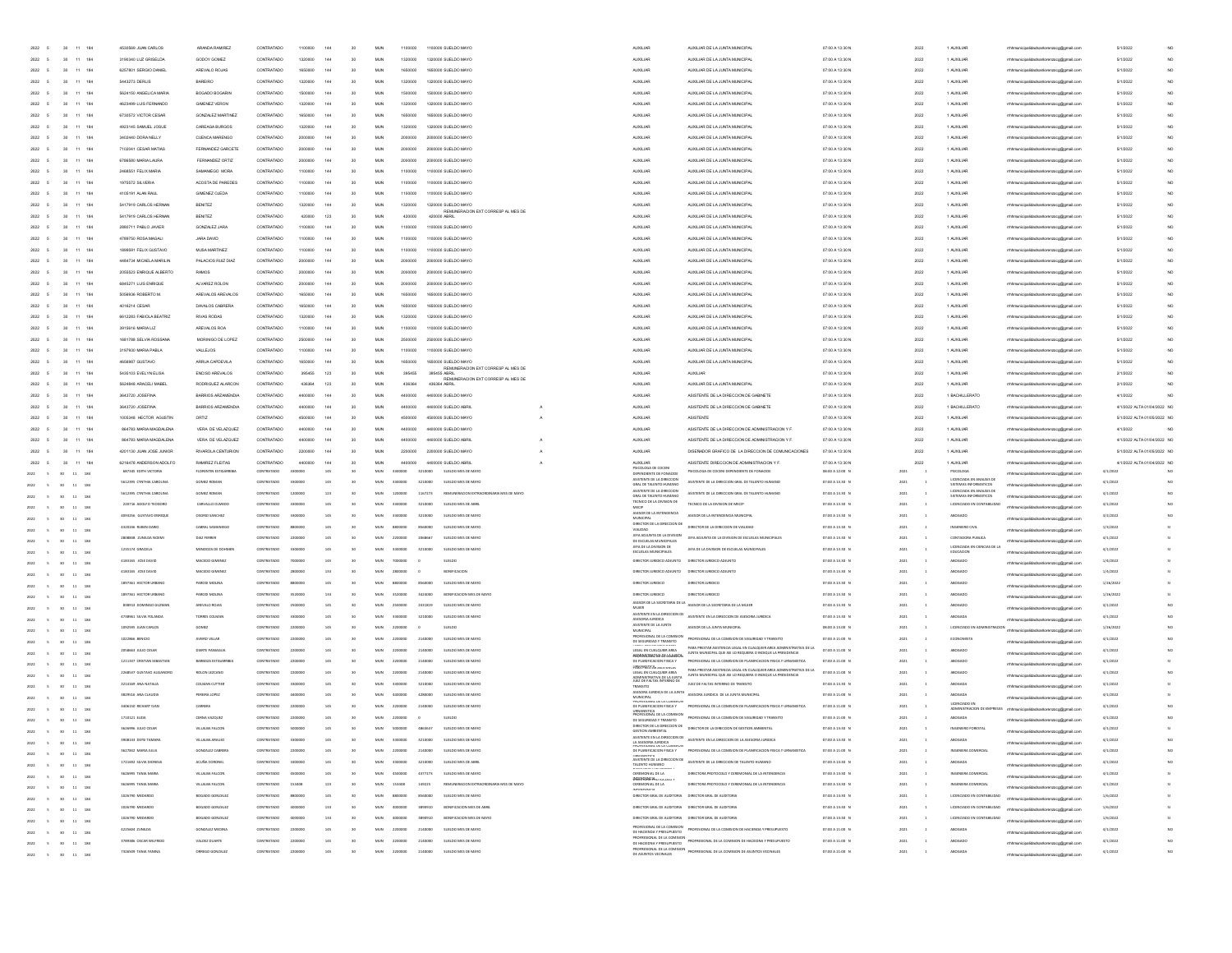|                      |                                                                     |                            |                        |            |          |     |                 |            |                           |                                                    |                                                                                 |                                                                                                                                      | 07:00 A 13:30   |      |                                                      |                                         |                             |                 |
|----------------------|---------------------------------------------------------------------|----------------------------|------------------------|------------|----------|-----|-----------------|------------|---------------------------|----------------------------------------------------|---------------------------------------------------------------------------------|--------------------------------------------------------------------------------------------------------------------------------------|-----------------|------|------------------------------------------------------|-----------------------------------------|-----------------------------|-----------------|
| 2022 5               | 11 184<br>30                                                        | 3190340 LUZ GRISELDA       | GODOY GOMEZ            | CONTRATADO | 1320000  | 144 | 30              | <b>MJN</b> | 1320000                   | 1320000 SUELDO MAYO                                | AUXILIAR                                                                        | AUXILIAR DE LA JUNTA MUNICIPA                                                                                                        | 07:00 A 13:30 N | 2022 | 1 AUXILIAR                                           | mhmunicipalidadsanlorenzoog@gmail.com   | 5/1/2022                    |                 |
| 2022                 | 30<br>11 184                                                        | 6257801 SERGIO DANEL       | AREVALO ROJAS          | CONTRATADO | 1650000  | 144 | 30              | <b>MUN</b> | 1650000                   | 1650000 SUELDO MAYO                                | <b>AUXILIAR</b>                                                                 | AUXILIAR DE LA JUNTA MUNICIPA                                                                                                        | 07:00 A 13:30 N | 2022 | 1 AUXILIAR                                           | rrhhmunicipalidadsanlorenzoog@gmail.com | 5/1/2022                    | NO <sub>1</sub> |
| 2022                 | 30<br>11 184                                                        | 5443273 DERLIS             | BAREIRO                | CONTRATADO | 1320000  | 144 | 30              | MUN        | 1320000                   | 1320000 SUELDO MAYO                                | <b>AUXILIAR</b>                                                                 | AUXILIAR DE LA JUNTA MUNICIPA                                                                                                        | 07:00 A 13:30 N | 2022 | 1 AUXILIAR                                           | rhhmunicipalidadsanlorenzoog@gmail.com  | 5/1/2022                    | NO              |
| 2022                 | 11 184<br>30.                                                       | 5624150 ANGELICA MARIA     | BOGADO BOGARIN         | CONTRATADO | 1500000  | 144 | 30 <sub>1</sub> | MUN        | 1500000                   | 1500000 SUELDO MAYO                                | <b>AUXILIAR</b>                                                                 | AUXILIAR DE LA JUNTA MUNICIPA                                                                                                        | 07:00 A 13:30 N | 2022 | 1 AUXILIAR                                           | thhmunicipalidadsanlorenzoog@gmail.com  | 5/1/2022                    | NO              |
| 2022                 | 11 184                                                              | 4623499 LUIS FERNANDO      | <b>GIMENEZ VERON</b>   | CONTRATADO | 1320000  | 144 | 30              | <b>MUN</b> | 1320000                   | 1320000 SUELDO MAYO                                | <b>AUXILIAR</b>                                                                 | AUXILIAR DE LA JUNTA MUNICIPAL                                                                                                       | 07:00 A 13:30 N | 2022 | 1 AUXILIAR                                           | thhmunicipalidadsanlorenzoog@gmail.com  | 5/1/2022                    | NO <sub>1</sub> |
| 2022                 | 11 184                                                              | 6730572 VICTOR CESAR       | GONZALEZ MARTINEZ      | CONTRATADO | 165000   | 144 | $\infty$        | MUN        | 1650000                   | 1650000 SLELDO MAYO                                | AUXILIAR                                                                        | AUXILIAR DE LA JUNTA MUNICIPA                                                                                                        | 07:00 A 13:30 N | 2022 | 1 AUXILIAR                                           |                                         | 5/1/2022                    | NO              |
| 2022                 | $11 - 184$                                                          | 4923145 SAMUEL JOSUE       | CAREAGA BURGOS         |            |          | 144 |                 | MUN        | 132000                    | 000 SUELDO MAYO                                    | <b>ALDOLIAR</b>                                                                 | AUXILIAR DE LA JUNTA MUNICIP                                                                                                         | 07:00 A 13:30 N | 2022 | 1 AUXILIA                                            | alidadsanlorenzoog@gmail.               | 5/1/202                     |                 |
|                      | $11 - 184$                                                          |                            |                        |            |          | 144 |                 |            |                           |                                                    |                                                                                 |                                                                                                                                      |                 |      |                                                      |                                         |                             |                 |
| 2022                 |                                                                     | 3402440 DORA NELLY         | CUENCA MARENGE         |            |          |     |                 | <b>MUN</b> |                           | 00 SUELDO MAYO                                     | <b>ALDOLIAR</b>                                                                 | AUXILIAR DE LA JUNTA MUNICIP                                                                                                         | 07:00 A 13:30 N | 2022 | 1 AUXILIA                                            | dadsanlorenzoog@gmail.com               | 5/1/2022                    | NO              |
| 2022                 | 184                                                                 | 7102041 CESAR MATIAS       | FERNANDEZ GARCETE      |            |          |     |                 | MUN        |                           | 000 SUELDO MAYO                                    | AUXILIAR                                                                        | AUXILIAR DE LA JUNTA MUNICIPA                                                                                                        | 07:00 A 13:30 N | 2022 | 1 AUXILIAR                                           | adsanlorenzoog@gmail.com                | 5/1/2022                    | NO.             |
| 2022                 | 184<br>$\mathbf{11}$                                                | 6786580 MARIA LAURA        | FERNANDEZ ORTIZ        | CONTRATADO |          | 144 | 30              | MUN        | 2000000                   | 2000000 SUELDO MAYO                                | AUXILIAR                                                                        | AUXILIAR DE LA JUNTA MUNICIPA                                                                                                        | 07:00 A 13:30 N | 2022 | 1 AUXILIAR                                           | lidadsanlorenzoog@gmail.com             | 5/1/2022                    | NO              |
| 2022 5               | 11 184                                                              | 2468551 FELIX MARIA        | SAMANIEGO MORA         | CONTRATADO | 110000   | 144 | 30              | MUN        | 1100000                   | 1100000 SUELDO MAYO                                | <b>AUXILIAR</b>                                                                 | AUXILIAR DE LA JUNTA MUNICIPAL                                                                                                       | 07:00 A 13:30 N | 2022 | 1 AUXILIAR                                           | rrhhmunicipalidadsanlorenzoog@gmail.com | 5/1/2022                    | NO.             |
| 2022 5               | 11 184<br>20 <sub>1</sub>                                           | 1975572 SILVERIA           | ACOSTA DE PAREDES      | CONTRATADO | 1100000  | 144 | 30              | <b>MUN</b> | 1100000                   | 1100000 SUELDO MAYO                                | <b>AUXILIAR</b>                                                                 | AUXILIAR DE LA JUNTA MUNICIPAL                                                                                                       | 07:00 A 13:30 N | 2022 | 1 AUXILIAR                                           | rrhhmunicipalidadsanlorenzoog@gmail.com | 5/1/2022                    | NO <sub>1</sub> |
| 2022 5               | 11 184<br>20 <sub>1</sub>                                           | 4105191 ALAN RAUL          | GIMENEZ OJEDA          | CONTRATADO | 1100000  | 144 | 30              | <b>MUN</b> | 1100000                   | 1100000 SUELDO MAYO                                | <b>AUXILIAR</b>                                                                 | AUXILIAR DE LA JUNTA MUNICIPAL                                                                                                       | 07:00 A 13:30 N | 2022 | 1 AUXILIAR                                           | rrhhmunicipalidadsanlorenzoog@gmail.com | 5/1/2022                    | NO <sub>1</sub> |
| 2022 5               | 11 184<br>30                                                        | 5417919 CARLOS HERNAN      | <b>BENITEZ</b>         | CONTRATADO | 1320000  | 144 | 30              | <b>MJN</b> | 1320000                   | 1320000 SUELDO MAYO                                | <b>AUXILIAR</b>                                                                 | AUXILIAR DE LA JUNTA MUNICIPA                                                                                                        | 07:00 A 13:30 N | 2022 | 1 AUXILIAR                                           | mhmunicipalidadsanlorenzoog@gmail.com   | 5/1/2022                    | NO.             |
| 2022                 | 11 184<br>20 <sub>1</sub>                                           | 5417919 CARLOS HERNAN      | <b>RENITEZ</b>         | CONTRATADO | 420000   | 123 | 30 <sub>1</sub> | M.N.       | 420000                    | REMUNERACION EXT CORRESP AL MES DE<br>420000 ABRIL | <b>AUXILIAR</b>                                                                 | AUXILIAR DE LA JUNTA MUNICIPA                                                                                                        | 07:00 A 13:30 N | 2022 | 1 40 000 148                                         | thhmunicipalidadsanlorenzoog@gmail.com  | 5/1/2022                    | NO <sub>1</sub> |
| 2022                 | $\bar{1}1$<br>184                                                   | 2880711 PABLO JAVIER       | GONZALEZ JARA          | CONTRATADO |          |     | 30              | MUN        | 1100000                   | 1100000 SUELDO MAYO                                | <b>ALDOLIAR</b>                                                                 | AUXILIAR DE LA JUNTA MUNICIPA                                                                                                        | 07:00 A 13:30 N | 2022 | 1 AUXILIA                                            | hhmunicipalidadsanlorenzoog@gmail.com   | 5/1/2022                    |                 |
| 2022                 | $\bar{1}1$<br>184<br>30                                             | 4789750 ROSA MAGAL         | JARA DAVID             | CONTRATADO |          |     | 30              | MUN        | 1100000                   | 1100000 SUELDO MAYO                                | AUXILIAR                                                                        | AUXILIAR DE LA JUNTA MUNICIPA                                                                                                        | 07:00 A 13:30 N | 2022 | 1 AUXILIA                                            | sankrenzoog@gmail.com                   | 5/1/2022                    |                 |
| 2022                 | $30$<br>$11$<br>184                                                 | 1899591 FELIX GUSTAVO      | MUSA MARTINEZ          | CONTRATADO | 110000   | 144 | 30              | MUN        | 1100000                   | 1100000 SUELDO MAYO                                | AUXILIAR                                                                        | AUXILIAR DE LA JUNTA MUNICIPA                                                                                                        | 07:00 A 13:30 N | 2022 | 1 AUXILIAR                                           | hhmunicipalidadsanlorenzoog@gmail.com   | 5/1/2022                    |                 |
| 2022                 | 30<br>11 184                                                        | 4484734 MICAELA MARILIN    | PALACIOS RUIZ DIAZ     | CONTRATADO | 200000   | 144 | 30              | MUN        | 2000000                   | 2000000 SUELDO MAYO                                | <b>AUXILIAR</b>                                                                 | AUXILIAR DE LA JUNTA MUNICIPA                                                                                                        | 07:00 A 13:30 N | 2022 | 1 AUXILIAR                                           | hhmunicipalidadsanlorenzoog@gmail.com   | 5/1/2022                    |                 |
| 2022                 | 11 184<br>30                                                        | 2055523 ENRIQUE ALBERTO    | RAMOS                  | CONTRATADO | 200000   | 144 | 30              | MUN        | 2000000                   | 2000000 SUELDO MAYO                                | <b>AUXILIAR</b>                                                                 | AUXILIAR DE LA JUNTA MUNICIPA                                                                                                        | 07:00 A 13:30 N | 2022 | 1 AUXILIAR                                           | thhmunicipalidadsanlorenzoog@gmail.com  | 5/1/2022                    | NO.             |
| 2022 5               | 11 184                                                              | 6845271 LUIS ENRIQUE       | ALVAREZ ROLON          | CONTRATADO | 200000   | 144 | 30              | <b>MUN</b> | 2000000                   | 2000000 SUELDO MAYO                                | <b>AUXILIAR</b>                                                                 | AUXILIAR DE LA JUNTA MUNICIPA                                                                                                        | 07:00 A 13:30 N | 2022 | 1 AUXILIAR                                           |                                         | 5/1/2022                    |                 |
|                      | 30                                                                  |                            |                        |            |          |     |                 |            |                           |                                                    |                                                                                 |                                                                                                                                      |                 |      |                                                      | palidadsanlorenzoog@gmail.com           |                             | NO              |
| 2022 5               | 11 184<br>$20 -$                                                    | 5056936 ROBERTO M          | AREVALOS AREVALOS      | CONTRATADO | 165000   | 144 | $\infty$        | MUN        | 1650000                   | 1650000 SUELDO MAYO                                | AUXILIAR                                                                        | ALDOL MR DE LA JUNTA MUNICIPA                                                                                                        | 07:00 A 13:30 N | 2022 | 1 40 000 148                                         | alidadsanlorenzoog@gmail.com            | 5/1/2022                    | NO.             |
| 2022 5               | 11 184<br>30                                                        | 4016214 CESAR              | DAVALOS CABRERA        | CONTRATADO | 165000   | 144 | $\infty$        | <b>MUN</b> | 1650000                   | 1650000 SUELDO MAYO                                | <b>AUXILIAR</b>                                                                 | AUXILIAR DE LA JUNTA MUNICIPA                                                                                                        | 07:00 A 13:30 N | 2022 | 1 AUXILIAR                                           | ildadsanlorenzoog@gmail.com             | 5/1/2022                    | NO.             |
| 2022                 | 30<br>11 184                                                        | 6612283 FABIOLA BEATRIZ    | <b>RIVAS RODAS</b>     | CONTRATADO | 13200    | 144 | $\infty$        | MUN        | 1320000                   | 1320000 SUELDO MAYO                                | AUXILIAR                                                                        | AUXILIAR DE LA JUNTA MUNICIPA                                                                                                        | 07:00 A 13:30 N | 2022 | 1 AUXILIAR                                           | alidadsanlorenzoog@gmail.com            | 5/1/2022                    | NO              |
| 2022                 | 11 184                                                              | 3915616 MARIA LIZ          | AREVALOS ROA           |            |          | 144 | 30              | <b>MUN</b> | 110000                    | 1000 SUELDO MAYO                                   | AUXILIAR                                                                        | AUXILIAR DE LA JUNTA MUNICIP                                                                                                         | 07:00 A 13:30 N | 2022 | 1 AUXILIAR                                           | idadsanlorenzoog@gmail.com              | 5/1/2022                    | NO              |
| 2022                 | 11 184<br>30                                                        | 1681788 SELVIA ROSSANA     | MORINIGO DE LOPEZ      | CONTRATADO | 250000   | 144 | 30              | <b>MJN</b> | 2500000                   | 2500000 SUELDO MAYO                                | AUXILIAR                                                                        | AUXILIAR DE LA JUNTA MUNICIPA                                                                                                        | 07:00 A 13:30 N | 2022 | 1 AUXILIAR                                           | rhhmunicipalidadsanlorenzoog@gmail.com  | 5/1/2022                    | NO.             |
| 2022 5               | 11 184<br>30                                                        | 3197930 MARIA PABLA        | <b>VALLEJOS</b>        | CONTRATADO | 110000   | 144 | 30              | MUN        | 1100000                   | 1100000 SUELDO MAYO                                | <b>AUXILIAR</b>                                                                 | AUXILIAR DE LA JUNTA MUNICIPA                                                                                                        | 07:00 A 13:30 N | 2022 | 1 AUXILIAR                                           | rrhhmunicipalidadsanlorenzoog@gmail.com | 5/1/2022                    | NO.             |
| 2022 5               | 11 184<br>30                                                        | 4656987 GUSTAVO            | ARRUA CAPDEVILA        | CONTRATADO | 1650000  | 144 | 30              | MUN        | 1650000                   | 1650000 SUELDO MAYO                                | <b>AUXILIAR</b>                                                                 | AUXILIAR DE LA JUNTA MUNICIPAL                                                                                                       | 07:00 A 13:30 N | 2022 | 1 AUXILIAR                                           | rrhhmunicipalidadsanlorenzoog@gmail.com | 5/1/2022                    | NO              |
| 2022 5               | 11 184<br>30.                                                       | 5435103 EVELYN ELISA       | ENCISO AREVALOS        | CONTRATADO | 395455   | 123 | 30              | <b>MUN</b> | 395455                    | REMUNERACION EXT CORRESP AL MES DE<br>395455 ABRIL | <b>AUXILIAR</b>                                                                 | AUXILIAR                                                                                                                             | 07:00 A 13:30 N | 2022 | 1 AUXILIAR                                           | rrhhmunicipalidadsanlorenzoog@gmail.com | 2/1/2022                    | NO.             |
| 2022 5               | 11 184<br>30                                                        | 5624848 ARACELI MABEI      | RODRIGUEZ ALARCON      | CONTRATADO | 436364   | 123 | 30              | <b>MUN</b> | 436364                    | REMUNERACION EXT CORRESP AL MES DE<br>436364 ABRIL | <b>AUXILIAR</b>                                                                 | AUXILIAR DE LA JUNTA MUNICIPAL                                                                                                       | 07:00 A 13:30 N | 2022 | 1 AUXILIAR                                           | rrhhmunicipalidadsanlorenzoog@gmail.com | 2/1/2022                    | NO <sub>1</sub> |
| 2022                 | 11 184                                                              | 3643720 JOSEFINA           | BARRIOS ARZAMENDIA     | CONTRATADO | 440000   | 144 | 30              | <b>MUN</b> | 4400000                   | 4400000 SUELDO MAYO                                | AUXILIAR                                                                        | ASISTENTE DE LA DIRECCION DE GABINETE                                                                                                | 07:00 A 13:30 N | 2022 | 1 BACHILLERATO                                       | thhmunicipalidadsanlorenzoog@gmail.com  | 4/1/2022                    |                 |
| 2022                 | 11 184                                                              | 3643720 JOSEFINA           | BARRIOS ARZAMENDIA     | CONTRATADO |          | 144 | 30              | MUN        | 4400000                   | 4400000 SUELDO ABRIL                               | <b>AUXILIAR</b>                                                                 | ASISTENTE DE LA DIRECCIÓN DE GABINETE                                                                                                | 07:00 A 13:30 N | 2022 | 1 BACHILLERATO                                       | rhhmunicipalidadsanlorenzoog@gmail.com  | 4/1/2022 ALTA 01/04/2022 NO |                 |
| 2022                 | 11<br>184                                                           | 1005348 HECTOR AGUSTIN     | ORTIZ                  | CONTRATADO |          | 144 | 30              | MUN        | 4500000                   | 4500000 SUELDO MAYO                                | AUXILIAR                                                                        | ASISTENTE                                                                                                                            | 07:00 A 13:30 N | 2022 | 1 AUXILIAR                                           | hhmunicipalidadsanlorenzoog@gmail.com   | 5/1/2022 ALTA 01/05/2022 NO |                 |
| 2022                 | $\bar{1}1$<br>184                                                   | 864783 MARIA MAGDALENA     | VERA DE VELAZQUEZ      | CONTRATADO |          |     | 30              | MUN        | 4400000                   | 4400000 SUELDO MAYO                                | AUXILIAR                                                                        | ASISTENTE DE LA DIRECCIÓN DE ADMINISTRACIÓN Y F                                                                                      | 07:00 A 13:30 N | 2022 | 1 AUXILIAR                                           | unicipalidadsanlorenzoog@gmail.com      | 4/1/2022                    |                 |
|                      |                                                                     |                            |                        |            |          |     |                 |            |                           |                                                    |                                                                                 |                                                                                                                                      |                 |      |                                                      |                                         |                             |                 |
| 2022                 | $\bar{\mathbf{H}}$<br>184<br>30                                     | 864783 MARIA MAGDALENA     | VERA DE VELAZQUEZ      | CONTRATADO |          |     | 30              | MUN        | 4400000                   | 4400000 SUELDO ABRIL                               | AUXILIAR                                                                        | ASISTENTE DE LA DIRECCION DE ADMINISTRACION Y F                                                                                      | 07:00 A 13:30 N | 2022 | 1 AUXILIAR                                           | rhhmunicipalidadsanlorenzoog@gmail.com  | 4/1/2022 ALTA 01/04/2022 NO |                 |
| 2022 5               | 30<br>11 184                                                        | 4201130 JUAN JOSE JUNIOR   | RIVAROLA CENTURION     | CONTRATADO | 220000   | 144 | 30              | MUN        | 2200000                   | 2200000 SUELDO MAYO                                | <b>AUXILIAR</b>                                                                 | DISEÑADOR GRAFICO DE LA DIRECCION DE COMUNICACIONES                                                                                  | 07:00 A 13:30 N | 2022 | 1 AUXILIAR                                           | thhmunicipalidadsanlorenzoog@gmail.com  | 5/1/2022 ALTA 01/05/2022 NO |                 |
| 2022 5               | 11 184<br>20 <sub>1</sub>                                           | 6216478 ANDERSON ADOLFO    | RAMIREZ FLEITAS        | CONTRATADO | 440000   | 144 | 30              | <b>MUN</b> | 4400000                   | 4400000 SUELDO ABRIL                               | <b>AUXILIAR</b>                                                                 | ASISTENTE DIRECCION DE ADMINISTRACION Y F.                                                                                           | 07:00 A 13:30 N | 2022 | 1 AUXILIAR                                           | thhmunicipalidadsanlorenzoog@gmail.com  | 4/1/2022 ALTA 01/04/2022 NO |                 |
| 2022                 | 11 184<br>30 <sub>1</sub>                                           | 687345 EDITH VICTORIA      | FLORENTIN ESTIGARRIBLE | CONTRATADO | sannon   | 145 | 30              | <b>MUN</b> | 3210000<br>3300000        | SUELDO MES DE MAYO                                 | PSICOLOGA DE COCENI<br>DEPENDIENTE DE FONACIO                                   | PSICOLOGA DE COCENI DEPENDIENTE DE FONACIDE                                                                                          | 08:00 A 12:00 N | 2021 | PSICOLOGA                                            | nunicipalidadsanlorenzoog@gmail.com     | 4/1/2022                    |                 |
| 2022                 | $11 - 184$<br><b>An</b>                                             | 5612395 CYNTHIA CAROLINA   | GOMEZ ROMAN            | CONTRATADO | sannon   | 145 | 30              | <b>MUN</b> | 3210000<br>3300000        | SUELDO MES DE MAYO                                 | ASISTENTE DE LA DIRECCIO<br>GRAL DE TALENTO HUMANI                              | ASISTENTE DE LA DIRECCIÓN GRAL DE TALENTO HUMANO                                                                                     | 07:00 A 13.30 N | 2021 | LICENCIADA EN ANALISIS DE<br>SISTEMAS INFORMATICOS   | palidadsanlorenzoco@omail.com           | 4/1/202                     | NO              |
|                      |                                                                     | 5612395 CYNTHIA CAROLINA   | GOMEZ ROMAN            | CONTRATADO | 1200000  | 123 | 50              | MUN        | 1167273<br>1200000        | REMUNERACION EXTRAORDINARIA MES DE MAYO            |                                                                                 | ASISTENTE DE LA DIRECCIÓN GRAL DE TALENTO HUMANO                                                                                     | 07:00 A 13:30 N | 2021 |                                                      |                                         | 4/1/202                     | NO              |
|                      | 11 184                                                              | 220716 ADOLFO TEODORO      | CARVALLO OLMEDO        | CONTRATADO | sanno    | 145 | $\sim$          | MIN        | stomno<br>3210000         | SUPLOO MES OF ARRE                                 | ASISTENTE DE LA DIREO<br>ECNICO DE LA DIVISION DE                               | TECNICO DE LA DIVISION DE MEOP                                                                                                       | 07:00 A 13.30 N | 2021 | <b>UCENCIADO EN CONTABILIDA</b>                      | nicipalidadsanlorenzoog@gmail.com       | 4/1/2022                    | $1$             |
| 2022                 | $_{11}$<br>184                                                      | 4093256 GUSTAVO ENRIQU     | OSORIO SANCHEZ         | CONTRATADO |          |     |                 | MUN        | 3210000                   | SUELDO MES DE MAY                                  |                                                                                 | ASESOR DE LA INTENDENCIA MUNICIPA                                                                                                    | 07:00 A 13:30 N | 2021 |                                                      | ildadsanlorenzoog@gmail.com             | 3/2/202                     |                 |
| 2022                 | $\mathbf{u}$<br>184                                                 | 4320246 RUBEN DARK         | CABRAL SAMANIEGO       | CONTRATADO |          | 145 |                 | MUN        | 8560000                   | SUELDO MES DE MAYO                                 | MECH<br>MUNICIPAL<br>DIRECTOR DE LA DIRECCIÓN DE<br>DIRECTOR DE LA DIRECCIÓN DE | DIRECTOR DE LA DIRECCIÓN DE VIAUDAD                                                                                                  | 07:00 A 13:30 1 | 2021 | INGENIERO CIVI                                       | ladsanlorenzoog@gmail.com               | 1/3/2022                    |                 |
| 2022<br>s            | 184<br>$11\,$                                                       | 2808838 ZUNILDA NOEN       | DIAZ FERRER            | CONTRATADO | 2200000  |     | 30              | MUN        | 2068667                   | SUELDO MES DE MAYO                                 |                                                                                 | JEFA ADJUNTA DE LA DIVISIÓN DE ESCUELAS MUNICIPALES                                                                                  | 07:00 A 13:30 N | 2021 | CONTADORA PUBLICA                                    | palidadsanlorenzoog@gmail.com           | 4/1/2022                    |                 |
| 2022<br>$\mathbf{s}$ | 184<br>11                                                           | 1235174 GRACIELA           | MENDOZA DE DOHMET      | CONTRATADO | 3300000  |     | 50              | MUN        | 3300000<br>3210000        | SUELDO MES DE MAYO                                 | JEFA ADJUNTA DE LA DIVISION<br>DE ESCUELAS MUNICIPALES                          | JEFA DE LA DIVISION DE ESCUELAS MUNICIPALES                                                                                          | 07:00 A 13.30 N | 2021 |                                                      | hmunicipalidadsanlorenzoog@gmail.com    | 4/1/2022                    |                 |
| 2022<br>$\sim$       | 11 184                                                              |                            |                        | CONTRATADO |          | 145 | 30              | MUN        |                           | SUELDO                                             | JEFA DE LA DIVISION DE<br>ESCUELAS MUNICIPALES                                  | DIRECTOR JURIDICO ADJUNTO                                                                                                            |                 | 2021 | LICENCIADA EN CIENCIAS DE LA<br>EDUCACION<br>ABOGADO | hhmunicipalidadsanlorenzoog@gmail.com   |                             |                 |
| 2022<br>$\sim$       | 184<br>11                                                           | 4183165 JOSE DAVID         | MACEDO GIMENEZ         |            | 2800000  | 133 | 30              |            | 2800000                   | BONIFICACIÓN                                       | DIRECTOR JURIDICO ADJUNTO                                                       |                                                                                                                                      | 07:00 A 13:30 N | 2021 | ABOGADO                                              | thhmunicipalidadsanlorenzoog@gmail.com  | 1/4/2022                    |                 |
| 2022<br>$\epsilon$   | $\mathbf{11}$<br>184                                                | 4183165 JOSE DAVID         | MACEDO GIMENE          | CONTRATADO |          |     |                 | MUN        |                           |                                                    |                                                                                 | DIRECTOR JURIDICO ADJUNTO DIRECTOR JURIDICO ADJUNTO                                                                                  | 07:00 A 13:30 N |      |                                                      | thhmunicipalidadsanlorenzoog@gmail.com  | 1/4/2022                    |                 |
| 2022                 | $_{11}$<br>184                                                      | 1897361 HECTOR LIBRAN      | PARODI MOLINA          | CONTRATADO |          |     | $\sim$          | MIN        |                           | SUFLOO MES OF MAY                                  | DIRECTOR JURIDICO                                                               | DIRECTOR JURIDICO                                                                                                                    | 07:00 A 13:30 N |      |                                                      | thhmunicipalidadsanlorenzoog@gmail.com  | 1/26/2023                   |                 |
| 2022                 | 11<br>184                                                           | 1897361 HECTOR URBAN       | PARODI MOLINI          | CONTRATADO |          | 188 |                 | M.N        |                           |                                                    | <b>DIRECTOR LIBIDICO</b>                                                        | DIRECTOR JURIDICO                                                                                                                    | 07:00 A 13.30 N | 2021 |                                                      | thhmunicipalidadsanlorenzoog@gmail.com  | 1/26/2023                   |                 |
|                      | $_{11}$                                                             |                            | AREVALO ROJA           |            |          |     |                 |            |                           |                                                    |                                                                                 | ASESOR DE LA SECRETARIA DE LA ASESOR DE LA SECRETARIA DE LA MUJER                                                                    | 07:00 A 13:30 1 |      |                                                      | municipalidadsanlorenzoog@gmail.com     | 4/1/202                     |                 |
| 2022<br>$\sim$       | 11 184                                                              | 4738961 SILVIA YOLAND      |                        |            |          |     |                 |            |                           |                                                    | ASISTENTE EN LA DIRECCIÓN DE<br>ASESORIA JURIDICA                               | ASISTENTE EN LA DIRECCIÓN DE ASESORIA JURIDIO                                                                                        | 07:00 A 13.30 1 |      |                                                      | rhhmunicipalidadsanlorenzoog@gmail.com  | 4/1/202                     |                 |
| 2022<br>$\sim$       | $11 - 184$<br>30 <sup>°</sup>                                       | 1092595 JUAN CARLOS        | <b>GOMEZ</b>           | CONTRATADO |          |     |                 |            |                           | SUELDO                                             | ASISTENTE DE LA JUNTA<br>MUNICIPAL                                              | ASESOR DE LA JUNTA MUNICIPAL                                                                                                         | 08:00 A 13.00   | 2021 | LICENCIADO EN ADMINISTR                              | municipalidadsanlorenzoog@gmail.com     | 1/26/2022                   |                 |
| 2022<br>$\sim$       | 30 <sup>°</sup><br>11 184                                           | 1022866 BENICIO            | AVEIRO VILLAR          | CONTRATADO | 2200000  | 145 | 30              | MUN        | 2200000<br>2140000        | SUELDO MES DE MAYO                                 | ROFESIONAL DE LA CON<br>DE SEGURIDAD Y TRANSITO                                 | PROFESIONAL DE LA COMISION DE SEGURIDAD Y TRANSITO                                                                                   | 07:00 A 11:00 N | 2021 | ECONOMISTA                                           | rrhhmunicipalidadsanlorenzoog@gmail.com | 4/1/2022                    |                 |
| 2022<br>$\sim$       | n<br>11 184                                                         | 2058663 JULIO CESAR        | DIARTE PANIAGUA        | CONTRATADO | 2200000  | 145 | 50              | MUN        | 2200000<br>2140000        | SUELDO MES DE MAYO                                 | LEGAL EN CUALQUIER AREA<br>PROFESSIBLATOR DECOVIRED                             | PARA PRESTAR ASISTENCIA LEGAL EN CUALQUIER AREA ADMINISTRATIVA DE LA<br>JUNTA MUNICIPAL QUE ASI LO REQUIERA O INDIQUE LA PRESIDENCIA | 07:00 A 11:00 N | 2021 | ABOGADO                                              | rrhhmunicipalidadsanlorenzoog@gmail.com | 4/1/2022                    |                 |
| 2022<br>$\sim$       | 11 184<br>30                                                        | 1211337 CRISTIAN SEBASTIAN | BARBOZA ESTIGARRIBI    | CONTRATADO | 2200000  | 145 | $\mathbf{v}$    | <b>MUN</b> | 2200000<br>2140000        | SUELDO MES DE MAYO                                 | DE PLANIFICACIÓN FISICA Y<br><b>HANAHIESSA ASOLD</b>                            | PROFESIONAL DE LA COMISION DE PLANIFICACIÓN FISICA Y URNANISTICA                                                                     | 07:00 A 11:00 N | 2021 | ABOGADO                                              | rrhhmunicipalidadsanlorenzoco@omail.com | 4/1/2022                    |                 |
|                      | $11\quad184$                                                        | 2268537 GUSTAVO ALEJANDRO  | ROLON LEZCANO          | CONTRATADO | 2200000  | 145 | $\mathbf{v}$    | <b>MUN</b> | 2200000<br>2140000        | SUELDO MES DE MAYO                                 | LEGAL EN CUALQUIER AREA                                                         | PARA PRESTAR ASISTENCIA LEGAL EN CUALQUIER AREA ADMINISTRATIVA DE LA<br>JUNTA MUNICIPAL QUE ASI LO REQUIERA O INDIQUE LA PRESIDENCIA | 07:00 A 11:00 N | 2021 | ABOGADO                                              |                                         | 4/1/2022                    |                 |
|                      | $11\quad184$                                                        | 3214169 ANA NATALIA        | COLMAN CUTTIER         | CONTRATADO | 3300000  |     |                 | MUN        | 3210000<br>3300000        | SUELDO MES DE MAYO                                 | ADMINISTRATIVA DE LA LINITA<br>JUEZ DE FALTAS INTERINO DE                       | JUEZ DE FALTAS INTERINO DE TRANSITO                                                                                                  | 07:00 A 13.30 N | 2021 | ABOGAD/                                              | alidadsanlorenzoog@gmail                | 4/1/2022                    |                 |
|                      | 184<br>$_{\rm 11}$                                                  | 3829516 ANA CLAUDU         | PEREIRA LOPE           |            |          |     |                 |            |                           | SUELDO MES DE MAY                                  | ASESORA JURIDICA DE LA JUNTA                                                    | ASESORA JURDICA DE LA JUNTA MUNICIPA                                                                                                 | 07:00 A 11:00   |      | ABOGADA                                              | idadsanlorenzoog@gmail.com              | 4/1/202                     |                 |
|                      | 184<br>$_{11}$                                                      | 3406150 RICHART IVAL       |                        |            |          |     |                 | MUN        |                           | SUELDO MES DE MAY                                  | PRUFESIUNAL DE LA CUMISI<br>DE PLANIFICACIÓN FISICA Y                           | PROFESIONAL DE LA COMISION DE PLANIFICACIÓN FISICA Y URNANISTIC                                                                      | 07:00 A 11:00   |      |                                                      | anlorenzoog@gmail.com                   | 4/1/202                     |                 |
| 2022                 | $11 - 184$                                                          | 1710121 EUDA               | CERNA VAZQUEZ          | CONTRATADO |          |     |                 | MUN        |                           | SUELDO                                             | PROFESIONAL DE LA COMISION<br>DE SEGURIDAD Y TRANSITO                           | PROFESIONAL DE LA COMISION DE SEGURIDAD Y TRANSITO                                                                                   | 07:00 A 11:00 f | 2021 | ABOGADA                                              | hmunicipalidadsanlorenzoog@gmail.com    | 4/1/2022                    |                 |
| 2022                 | $11 \qquad 184$                                                     | 3626996 JULIO CESAR        | VILLALBA FALCON        | CONTRATADO |          |     | $^{50}$         | MUN        | 4863637                   | SUELDO MES DE MAYO                                 | DIRECTOR DE LA DIRECCIÓN DE<br>GESTION AMBIENTAL                                | DIRECTOR DE LA DIRECCIÓN DE GESTIÓN AMBIENTA                                                                                         | 07:00 A 13:30 1 | 2021 | INGENIERO FORESTAL                                   | rrhhmunicipalidadsanlorenzoog@gmail.com | 4/1/2022                    |                 |
| 2022                 | 11 184                                                              | 3908143 DEYSI TAMARA       | VILLALBA ARALUO        | CONTRATADO | 3300000  | 145 | 30              | <b>MUN</b> | 3300000<br>3210000        | SUELDO MES DE MAYO                                 | ASISTENTE EN LA DIRECCIÓN DE                                                    | ASISTENTE EN LA DIRECCIÓN DE LA ASESORIA JURIDICA                                                                                    | 07:00 A 13:30 N | 2021 | ABOGAD/                                              | thhmunicipalidadsanlorenzoog@gmail.com  | 4/1/2022                    |                 |
| 2022                 | 11 184                                                              | 3627832 MARIA JULIA        | GONZALEZ CABRERA       | CONTRATADO | 2200000  | 145 | $^{46}$         | <b>MUN</b> | 2200000<br>2140000        | SUELDO MES DE MAYO                                 | LA ASESORIA JURIDICA<br>DE PLANIFICACIÓN FISICA Y                               | PROFESIONAL DE LA COMISION DE PLANIFICACIÓN FISICA Y URNANISTICA                                                                     | 07:00 A 11:00 N | 2021 | INGENIERA COMERCIAL                                  | rrhhmunicipalidadsanlorenzoog@gmail.com | 4/1/2022                    |                 |
| 2022                 | $11 - 184$                                                          | 1721692 SILVIA DIONISIA    | ACUÑA CORONEL          | CONTRATADO | sannong  | 145 | $^{46}$         | <b>MUN</b> | 3300000<br>3210000        | SUELDO MES DE ABRIL                                | I INNIANATION<br>ASISTENTE DE LA DIRECCION DE                                   | ASISTENTE DE LA DIRECCIÓN DE TALENTO HUMANO                                                                                          | 07:00 A 13:30 N | 2021 | ABOGAD/                                              |                                         | 4/1/2022                    |                 |
| $\frac{1}{2}$        | 11 184                                                              | 3626995 TANJA MARIA        | VILLALBA FALCON        | CONTRATADO | especial |     | 30              | MUN        | 4377273<br><b>AROONAS</b> | SUELDO MES DE MAYO                                 | TALÉNTO HUMANO<br>CEREMONIAL DE LA                                              | DIRECTORA PROTOCOLO Y CEREMONIAL DE LA INTENDENCIA                                                                                   | 07:00 A 13:30 N | 2021 | INGENIERA COMERCIAL                                  | rhhmunicipalidadsanlorenzoog@gmail.com  | 4/1/202                     |                 |
|                      |                                                                     | 3626995 TANIA MARIA        | VIII ALBA FALCON       | CONTRATADO | 153408   | 128 | $\sim$          | MIN        | 149225<br>153408          | <b>REMINERA</b><br><b>MIA MES DE MAYO</b>          |                                                                                 | DIRECTORA PROTOCOLO Y CEREMONIAL DE LA INTENDENCIA                                                                                   | 07:00 A 13:30 N | 2021 | INDENESA COMERCIAL                                   | rrhhmunicipalidadsanlorenzoog@gmail.com | 4/1/202                     |                 |
|                      | $_{11}$                                                             | 1026790 MEDARDO            | BOGADO GONZALE         | CONTRATADO |          |     |                 |            |                           | SUELDO MES DE MAYO                                 | CERENUMMA<br>BREEFERCHILLICLE<br>CERENONIAL DE LA<br>DIRECTOR GRAL DE AUDITORIA | DIRECTOR GRAL DE AUDITORIA                                                                                                           | 07:00 A 13:30 N |      |                                                      | dadsanlorenzoog@gmail.com               | 1/6/202                     |                 |
|                      | $11 - 184$                                                          | 1026790 MEDARDO            | BOGADO GONZALEZ        | CONTRATADO |          | 133 | 30              | MUN        | 3890910                   | BONIFICACION MES DE ABRI                           |                                                                                 | DIRECTOR GRAL DE AUDITORIA DIRECTOR GRAL DE AUDITORIA                                                                                | 07:00 A 13:30 N | 2021 | LICENCIADO EN CONTABILIDAD                           | dadsanlorenzoog@gmail.com               | 1/6/2022                    |                 |
|                      | $11$ $\qquad 184$                                                   | 1026790 MEDARDO            | BOGADO GONZALEZ        | CONTRATADO |          | 133 | 30              | MUN        | 3890910                   | BONIFICACION MES DE MAYO                           |                                                                                 | DIRECTOR GRAL DE AUDITORIA DIRECTOR GRAL DE AUDITORIA                                                                                | 07:00 A 13:30 N | 2021 | LICENCIADO EN CONTABILIDAD                           | hhmunicipalidadsanlorenzoog@gmail.com   | 1/6/2022                    |                 |
| 2022<br>$\sim$       | 11 184                                                              | 4225604 ZUNLDA             | GONZALEZ MEDINA        | CONTRATADO | 2200000  | 145 | 50              | MUN        | 2200000<br>2140000        | SUELDO MES DE MAYO                                 |                                                                                 |                                                                                                                                      | 07:00 A 11:00 N | 2021 | ABOGAD/                                              | nicipalidadsanlorenzoog@gmail.com       | 4/1/2022                    | NO              |
| 2022<br>$\sim$       | 30<br>11 184                                                        | 3789386 OSCAR WILFRIDG     | VALDEZ DUARTE          | CONTRATADO | 2200000  | 145 | 30              | MUN        | 2200000<br>2140000        | SUELDO MES DE MAYO                                 |                                                                                 | PROFESIONAL DE LA COMISION<br>DE HACIENDA Y PRESUPUESTO - PROFESIONAL DE LA COMISION DE HACIENDA Y PRESUPUESTO                       | 07:00 A 11:00 N | 2021 | ABOGADO                                              | rrhhmunicipalidadsanlorenzoog@gmail.com | 4/1/2022                    | NO              |
| 2022 5               | $30 \t 11 \t 184$<br>$2022 \qquad 5 \qquad 30 \qquad 11 \qquad 184$ | 7326509 TANIA YANINA       | ORREGO GONZALEZ        | CONTRATADO | 2200000  | 145 | 30 <sub>°</sub> | MUN        | 2200000<br>2140000        | SUELDO MES DE MAYO                                 | DE HACIEDNA Y PRESUPUESTO<br>DE ASUNTOS VECINALES                               | PROFRESIONAL DE LA COMISION<br>PROFRESIONAL DE LA COMISION PROFRESIONAL DE LA COMISION DE ASUNTOS VECNALES                           | 07:00 A 11:00 N | 2021 | ABOGADA                                              | cipalidadsanlorenzoog@gmail.com         | 4/1/2022                    | NO              |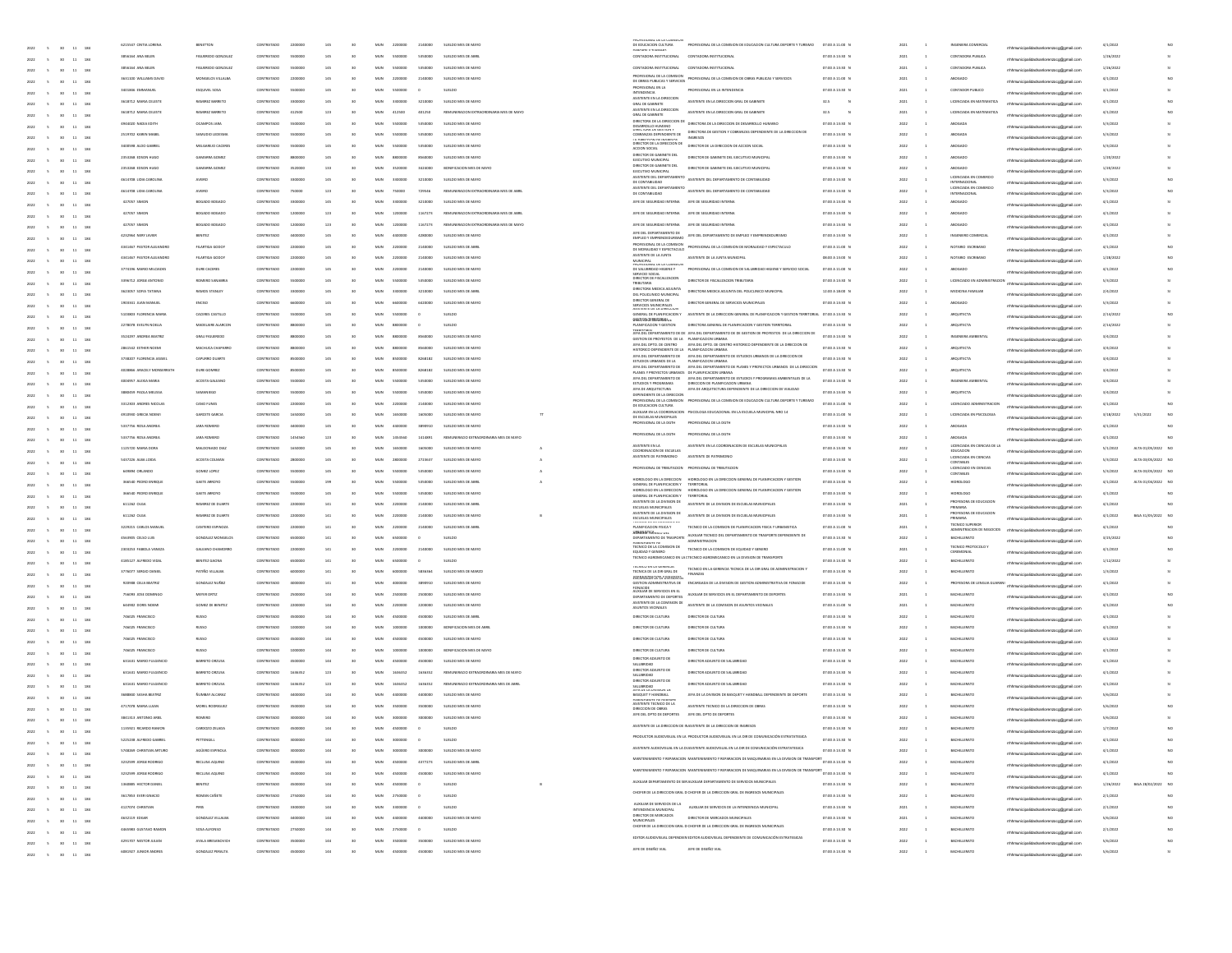| 2022<br>30 11 184<br>$\sim$                                      | 6215547 CINTIA LOREN         | BENETTON                |            |         |     |                 |                       |         |                                           | DE EDUCACIÓN CULTURA<br><b>DEDITEEY THIRKMY</b>                                | PROFESIONAL DE LA COMISION DE EDUCACION CULTURA DEPORTE Y TURISMO                                                                                      | 07:00 A 11:00 N |      |                          | NGENIERA COMERCIA                      | mhhmunicipalidadsanlorenzoog@gmail.com  | 4/1/2022  |                        |             |
|------------------------------------------------------------------|------------------------------|-------------------------|------------|---------|-----|-----------------|-----------------------|---------|-------------------------------------------|--------------------------------------------------------------------------------|--------------------------------------------------------------------------------------------------------------------------------------------------------|-----------------|------|--------------------------|----------------------------------------|-----------------------------------------|-----------|------------------------|-------------|
| 2022<br>30<br>11 184                                             | 1856164 ANA BELE             | FIGUEREDO GONZALE       | CONTRATADO | ssonno  | 145 |                 | MUN                   |         | SUELDO MES DE ABI                         |                                                                                | CONTADORA INSTITUCIONA                                                                                                                                 | 07:00 A 13:30 N | 2021 |                          | CONTADORA PUBLICA                      | mhhmunicipalidadsanlorenzoog@gmail.com  | 1/26/202  |                        |             |
| $11\,$<br>184<br>30<br>2022                                      | 3856164 ANA BELEN            | FIGUEREDO GONZALE       | CONTRATADO | 5500000 |     |                 | MUN<br>5500000        | 5350000 | SUELDO MES DE MAYO                        | CONTADORA INSTITUCIONAL                                                        | CONTADORA INSTITUCIONAL                                                                                                                                | 07:00 A 13:30 N | 2021 |                          | CONTADORA PUBLICA                      | mhhmunicipalidadsanlorenzoog@gmail.com  | 1/26/2022 |                        |             |
|                                                                  | 3631100 WILLIAMS DAVID       | MONGELOS VILLALBA       | CONTRATADO | 220000  | 145 |                 | MUN<br>2200000        | 2140000 | SUELDO MES DE MAYO                        | PROFESIONAL DE LA COMISION<br>DE OBRAS PUBLICAS Y SERVICIOS                    | PROFESIONAL DE LA COMISION DE OBRAS PUBLICAS Y SERVICIOS                                                                                               | 07:00 A 11:00 N | 2021 |                          | ABOGADO                                |                                         | 4/1/2022  |                        |             |
| $11\,$                                                           | 3401846 EMMANUEL             | ESQUIVEL SOSA           | CONTRATADO | 550000  | 145 |                 | MUN<br>5500000        |         | SUELDO                                    | PROFESIONAL EN LA                                                              | PROFESIONAL EN LA INTENDENCIA                                                                                                                          | 07:00 A 13:30 N | 2021 |                          | CONTADOR PUBLICO                       | hhmunicipalidadsanlorenzoog@gmail.co    | 3/1/2022  |                        |             |
| 11<br>2022<br><b>Vo</b><br>184                                   |                              |                         |            |         |     |                 |                       |         |                                           | INTENDENCIA<br>ASISTENTE EN LA DIRECCIÓN                                       |                                                                                                                                                        |                 |      |                          |                                        | mhmunicipalidadsanlorenzoog@gmail.com   |           |                        |             |
| 2022<br>$11\,$<br>184<br>30                                      | 3618712 MARIA CELESTE        | <b>RAMIREZ BARRETO</b>  | CONTRATADO | 330000  |     |                 |                       | 3210000 | SUELDO MES DE MAYO                        | GRAL DE GABINETE                                                               | ASISTENTE EN LA DIRECCIÓN GRAL DE GABINET                                                                                                              | 32.5            | 2021 |                          | LICENCIADA EN MATEMATICA               | rrhhmunicipalidadsanlorenzoog@gmail.com | 4/1/2022  |                        |             |
| 2022<br>$11\,$<br>184<br>30                                      | 1618712 MARIA CELESTE        | <b>RAMIREZ BARRETO</b>  |            |         | 123 |                 | MIN.                  |         |                                           | ASISTENTE EN LA DIRECCIÓN<br>GRAL DE GABINETE                                  | ASSTENTE EN LA DIRECCIÓN GRAL DE GABINET                                                                                                               | 32.5            | 2021 |                          |                                        | rrhhmunicipalidadsanlorenzoog@gmail.com | 4/1/2022  |                        |             |
| $11\,$<br>184<br>2022                                            | 4944020 NADIA EDITH          | OCAMPOS JARA            | CONTRATADO | ssonne  |     |                 | MUN<br>5500000        | 5350000 | SUELDO MES DE MAYO                        | DIRECTORA DE LA DIRECCIÓN DE<br>DESARROLLO HUMANO<br>LIMIEL IURA LE GESTIUN 1  | DIRECTORA DE LA DIRECCIÓN DE DESARROLLO HUMANO                                                                                                         | 07:00 A 13:30 N | 2022 |                          | ABOGADA                                | mhmunicipalidadsanlorenzoog@gmail.com   | 5/3/2022  |                        |             |
|                                                                  | 2519702 KAREN MABEL          | SAMUDIO LEDESM          | CONTRATADO | 550000  | 145 |                 | MUN<br>ssoong         | 5350000 | SUELDO MES DE MAYO                        | COBRANZAS DEPENDIENTE DE                                                       | DIRECTORA DE GESTION Y COBRANZAS DEPENDIENTE DE LA DIRECCIÓN DE<br>INGRESOS                                                                            | 07:00 A 13:30 N | 2022 |                          | ABOGADA                                |                                         | 5/3/2022  |                        |             |
| $11\,$                                                           | 3400598 ALDO GABRIEL         | MELGAREIO CACERES       | CONTRATADO | 550000  | 145 |                 | MUN<br>5500000        | 5350000 | SUELDO MES DE MAYO                        | DIRECTOR DE LA DIRECCIÓN DE                                                    | DIRECTOR DE LA DIRECCIÓN DE ACCIÓN SOCIAL                                                                                                              | 07:00 A 13:30 N | 2022 |                          | ABOGADO                                | hhmunicipalidadsanlorenzoog@gmail.or    | 5/3/2022  |                        |             |
| 11<br>2022<br>30 <sub>1</sub><br>184                             |                              |                         |            |         |     |                 |                       |         |                                           | ACCION SOCIAL<br>DIRECTOR DE GABINETE DEL                                      |                                                                                                                                                        |                 |      |                          |                                        | rrhhmunicipalidadsanlorenzoog@gmail.com |           |                        |             |
| 2022<br>11<br>184<br>$\sim$<br>30 <sub>1</sub>                   | 2353268 EDSON HUGO           | GAMARIA GOMEZ           | CONTRATADO |         |     |                 | 8800000               | 8560000 | SUELDO MES DE MAYO                        | EJECUTIVO MUNICIPAL<br>DIRECTOR DE GABINETE DEL                                | DIRECTOR DE GABINETE DEL EJECUTIVO MUNICIPAL                                                                                                           | 07:00 A 13:30 N |      |                          | ABOGADO                                | mhhmunicipalidadsanlorenzoog@gmail.com  | 1/20/2022 |                        |             |
| 2022<br>11<br>184<br>30 <sub>1</sub>                             | 2353268 EDSON HUGO           | GAMARIA GOM             |            |         | 133 |                 | MIN.                  |         |                                           | EJECUTIVO MUNICIPAL                                                            | DIRECTOR DE GABINETE DEL EJECUTIVO MUNICIPAL                                                                                                           | 07:00 A 13:30 N | 2022 |                          |                                        | rrhhmunicipalidadsanlorenzoog@gmail.com | 1/20/202  |                        |             |
| $11\,$<br>184<br>2022                                            | 4614708 LIDIA CAROLINA       | AVEIRO                  | CONTRATADO | 330000  |     |                 | MUN<br>3300000        | 3210000 | SUELDO MES DE MAYO                        |                                                                                | ASISTENTE DEL DEPARTAMENTO ASISTENTE DEL DEPARTAMENTO DE CONTABILIDAD                                                                                  | 07:00 A 13:30 N | 2022 |                          | LICENCIADA EN COMERCIO<br>ERNACIONAL   | hmunicipalidadsanlorenzoog@gmail.com    | 5/3/2022  |                        |             |
|                                                                  | 4614708 LIDIA CAROLINA       | AVEIRO                  | CONTRATADO | 250000  | 123 |                 | MUN<br>750000         | 729546  | REMUNERACION EXTRAORDINARIA MES DE ABRI   | ASISTENTE DEL DEPARTAMENTO<br>DE CONTABILIDAD                                  | ASISTENTE DEL DEPARTAMENTO DE CONTABILIDAD                                                                                                             | 07:00 A 13:30 N | 2022 |                          | LICENCIADA EN COMERCIO<br>NTFRNACYONAL |                                         | 5/3/2022  |                        |             |
| $11\,$                                                           | 427057 SIMON                 | BOGADO BOGADO           | CONTRATADO | 330000  | 145 |                 | MUN<br>3300000        | 3210000 | SUELDO MES DE MAYO                        | JEFE DE SEGURIDAD INTERNA JEFE DE SEGURIDAD INTERNA                            |                                                                                                                                                        | 07:00 A 13:30 N | 2022 |                          | ABOGADO                                | unicipalidadsanlorenzoog@gmail.cr       | 4/1/2022  |                        |             |
| 11<br>2022<br>30 <sub>1</sub><br>184                             |                              |                         |            |         |     |                 |                       |         |                                           |                                                                                |                                                                                                                                                        |                 |      |                          |                                        | mhmunicipalidadsanlorenzoog@gmail.com   |           |                        |             |
| 2022<br>11<br>184<br>$\sim$<br>30 <sub>1</sub>                   | 427057 SIMON                 | BOGADO BOGADO           | CONTRATADO | 120000  | 123 |                 | 1200000               | 1167273 | REMUNERACION EXTRAORDINARIA MES DE ABRIL  | JEFE DE SEGURIDAD INTERNA JEFE DE SEGURIDAD INTERNA                            |                                                                                                                                                        | 07:00 A 13:30 N |      |                          | ABOGADO                                | mhhmunicipalidadsanlorenzoog@gmail.com  | 4/1/2022  |                        |             |
| 2022<br>30 <sub>2</sub><br>11<br>184                             | 427057 SIMON                 | BOGADO BOGAD            |            |         | 123 |                 | MIN.                  | 116227  | RESERVED AFTEN EVERAGING AREA THE PE SANT | JEFE DE SEGURIDAD INTERNA                                                      | JEFE DE SEGURIDAD INTERN                                                                                                                               | 07:00 A 13:30 N | 2022 |                          |                                        | rrhhmunicipalidadsanlorenzoog@gmail.com | 4/1/2022  |                        |             |
| $11\,$<br>184<br>2022                                            | 4232964 NERYJAVIER           | BENITEZ                 | CONTRATADO | 440000  | 145 |                 | MUN<br>4400000        | 4280000 | SUELDO MES DE MAYO                        | JEFE DEL DEPARTAMENTO DE<br><b>PLEO Y EMPREND</b>                              | JEFE DEL DEPARTAMENTO DE EMPLEO Y EMPRENDEDURISMO                                                                                                      | 07:00 A 13:30 N | 2022 |                          | INGENIERO COMERCIA                     | thmunicipalidadsanlorenzoog@gmail.com   | 4/1/2022  |                        |             |
| $11\,$                                                           | 4341467 PASTOR ALEJANDRO     | FILARTIGA GODOY         | CONTRATADO | 220000  | 145 |                 | MUN<br>2200000        | 2140000 | SUELDO MES DE ABRI                        | PROFESIONAL DE LA COMISION<br>DE MORALIDAD Y ESPECTACULO                       | PROFESIONAL DE LA COMISION DE MORALIDAD Y ESPECTACULO                                                                                                  | 07:00 A 11:00 N | 2022 |                          | NOTARIO ESCRIBANO                      | hhmunicipalidadsanlorenzoog@gmail.or    | 4/1/2022  |                        |             |
|                                                                  | 4341467 PASTOR ALEJANDRO     | FILARTIGA GODO          | CONTRATADO | 220000  | 145 |                 | MUN<br>2200000        | 2140000 | SUELDO MES DE MAYO                        | ASISTENTE DE LA JUNTA                                                          | ASISTENTE DE LA JUNTA MUNICIPAL                                                                                                                        | 08:00 A 13:00 N | 2022 |                          | NOTARIO ESCRIBANO                      |                                         | 1/28/2022 |                        |             |
| 11<br>2022<br>30 <sub>1</sub><br>184                             | 3774196 MARIO MILCIADES      | DURE CACERES            | CONTRATADO | 220000  |     |                 | 2200000               | 2140000 | SUELDO MES DE MAYO                        | MUNICIPAL<br>PRUFESIUNHL UE LA LU<br>DE SALUBRIDAD HIGIENE Y                   | PROFESIONAL DE LA COMISION DE SALUBRIDAD HIGIENE Y SERVICIO SOCIAL                                                                                     | 07:00 A 11:00 N | 2022 |                          | ABOGADO                                | rrhhmunicipalidadsanlorenzoog@gmail.com | 4/1/2022  |                        |             |
| 2022<br>11 184<br>$\sim$<br>30 <sub>1</sub>                      |                              |                         |            |         |     |                 |                       |         |                                           | SFINATIO SOCIAL<br>DIRECTOR DE FISCALIZACIÓN                                   |                                                                                                                                                        |                 |      |                          |                                        | mhmunicipalidadsanlorenzoog@gmail.com   |           |                        |             |
| 2022<br>30 <sub>2</sub><br>11<br>184                             | 3396712 JORGE ANTONI         | <b>BOMFRO SANARE</b>    |            |         |     |                 | MIN.                  |         |                                           | <b>TRIBUTARIA</b>                                                              | DIRECTOR DE FISCALIZACIÓN TRIBUTARIA                                                                                                                   | 07:00 A 13:30 N | 2022 |                          | LICENCIADO EN ADMINIS                  | rrhhmunicipalidadsanlorenzoog@gmail.com | 5/3/2022  |                        |             |
| $11\,$<br>184<br>2022                                            | 3623057 SOFIA TATIANA        | <b>RAMOS STANLEY</b>    | CONTRATADO | 330000  |     |                 | MUN<br>3300000        | 3210000 | SUELDO MES DE ABRI                        | DIRECTORA MEDICA ADJUNTA<br>DEL POLICLINICO MUNICIP                            | DIRECTORA MEDICA ADJUNTA DEL POUCUNICO MUNICIPA                                                                                                        | 12:00 A 18:00 N | 2022 |                          | MEDICINA FAMILIAR                      | mhhmunicipalidadsanlorenzoog@gmail.com  | 2/4/2022  |                        |             |
| 2022<br>$11\,$                                                   | 1903341 JUAN MANUEL          | ENOSO                   | CONTRATADO | 660000  | 145 |                 | MUN<br>6600000        | 6420000 | SUELDO MES DE MAYO                        | DIRECTOR GENERAL DE                                                            | DIRECTOR GENERAL DE SERVICIOS MUNICIPALES                                                                                                              | 07:00 A 13:30 N | 2022 |                          | ABOGADO                                | hhmunicipalidadsanlorenzoog@gmail.cr    | 5/3/2022  |                        |             |
| 11<br>30 <sub>1</sub>                                            | 5103803 FLORENCIA MARIA      | CACERES CASTILLO        | CONTRATADO | 550000  | 145 |                 | MUN<br>5500000        |         | SUELDO                                    | SERVICIOS MUNICIPALES<br>POISTENTE DE LA UNIELLA                               | GENERAL DE PLANIFICACION Y ASISTENTE DE LA DIRECCION GENERAL DE PLANIFICACION Y GESTION TERRITORIA                                                     | 07:00 A 13:30 N | 2022 |                          | ARQUITECTA                             |                                         | 2/14/2022 |                        |             |
| 2022<br>184                                                      | 2278078 EVELYN NOELIA        | MADELAIRE ALARCON       | CONTRATADO |         |     |                 |                       |         | SUELDO                                    | 0562006202909450<br>PLANIFICACION Y GESTION                                    | DIRECTORA GENERAL DE PLANIFICACIÓN Y GESTIÓN TERRITORIA                                                                                                | 07:00 A 13:30 N |      |                          | ARQUITECTA                             | mhmunicipalidadsanlorenzoog@gmail.com   | 2/14/2022 |                        |             |
| 2022<br>11 184<br>$\sim$<br>30 <sub>1</sub>                      |                              |                         |            |         |     |                 |                       |         |                                           |                                                                                | TFRIRTORIAL<br>JEFA DEL DEPARTAMENTO DE DE JEFA DEL DEPARTAMENTO DE DE GESTION DE PROYESTOS DE LA DIRECCIÓN DE                                         |                 |      |                          |                                        | mhhmunicipalidadsanlorenzoog@gmail.com  |           |                        |             |
| 2022<br>30 <sub>2</sub><br>11 184<br>$\sim$                      | 3524297 ANDREA BEATRO        | GRAU FIGUERED           |            |         |     |                 | MIN.                  |         | SUELDO MES DE MAYO                        | GESTION DE PROYESTOS DE LA PLANIFICACIÓN URBAN                                 |                                                                                                                                                        | 07:00 A 13:30 N | 2022 |                          | INGENIERA AMBIENTA                     | mhhmunicipalidadsanlorenzoog@gmail.com  | 3/4/2022  |                        |             |
| 18<br>$11\,$<br>2022                                             | 2861542 ESTHER NOEMI         | MACHUCA CHAPARIC        | CONTRATADO | sannon  | 145 |                 | MUN<br>8800000        | 8560000 | SUELDO MES DE MAYO                        | HISTORICO DEDENDIENTE DE LA DI ANIEK ACION LIBRANA                             | JEFA DEL DPTO. DE CENTRO JEFA DEL DPTO. DE CENTRO HISTORICO DEPENDIENTE DE LA DIRECCIÓN DE                                                             | 07:00 A 13:30 N | 2022 |                          | <b>ARQUITECTA</b>                      | mhhmunicipalidadsanlorenzoog@gmail.com  | 3/4/2022  |                        |             |
| 2022<br>$11\,$                                                   | 3738207 FLORENCIA JASSIEL    | CAPURRO DUARTE          | CONTRATADO | 850000  | 145 |                 | MUN<br>ssoong         | 8268182 | SUELDO MES DE MAYO                        | ESTUDIOS URBANOS DE LA                                                         | JEFA DEL DEPARTAMENTO DE JEFA DEL DEPARTAMENTO DE ESTUDIOS URBANOS DE LA DIRECCIÓN DE<br>PLANIFICACION URBANA                                          | 07:00 A 13:30 N | 2022 |                          | <b>ARQUITECTA</b>                      | hhmunicipalidadsanlorenzoog@gmail.co    | 3/4/2022  |                        |             |
| 11<br>30                                                         | 4028866 ARACELY MONSERRATH   | DURE GOMREZ             | CONTRATADO | 850000  | 145 |                 | MUN<br>8500000        | 8268182 | SUELDO MES DE MAYO                        | JEFA DEL DEPARTAMENTO DE<br>PLANES Y PROYECTOS URBANOS DE PLANIFICACIÓN URBANA | JEFA DEL DEPARTAMENTO DE PLANES Y PROYECTOS URBANOS DE LA DIRECCION                                                                                    | 07:00 A 13:30 N | 2022 |                          | ARQUITECTA                             | rrhmunicipalidadsanlorenzoog@gmail.com  | 3/4/2022  |                        |             |
| 2022<br>18                                                       | 4004957 ALEXIA MARIA         | ACOSTA GALEAN           | CONTRATADO |         |     |                 | 5500000               | 5350000 | SUELDO MES DE MAYO                        |                                                                                | JEFA DEL DEPARTAMENTO DE JEFA DEL DEPARTAMENTO DE ESTUDIOS Y PROGRA<br>ESTUDIOS Y PROGRAMAS DIRECCION DE PLANIFICACION URBANA<br>MAS AMBIENTALES DE LA | 07:00 A 13:30 N |      |                          | INGENIERA AMBIENTA                     |                                         | 3/4/2022  |                        |             |
| 2022<br>11<br>184<br>$\sim$<br>30 <sub>1</sub>                   |                              |                         |            |         |     |                 | MIN.                  |         |                                           | JEFA DE ARQUITECTURA                                                           | JEFA DE ARQUITECTURA DEPENDIENTE DE LA DIRECCION DE VIAUDAD                                                                                            |                 |      |                          |                                        | rrhhmunicipalidadsanlorenzoco@omail.com |           |                        |             |
| 2022<br>11<br>184<br>30 <sub>1</sub>                             | <b>BEDASS PAOLA MELISSA</b>  | SAMANIEGO               |            |         |     |                 |                       |         |                                           | PENDIENTE DE LA DIRECCION                                                      | PROFESIONAL DE LA COMISION PROFESIONAL DE LA COMISION DE EDUCACION CULTURA DEPORTE Y TURISMO                                                           | 07:00 A 13:30 N | 2022 |                          | ARQUITECTA                             | rrhhmunicipalidadsanlorenzoog@gmail.com | 3/4/2022  |                        |             |
| 18<br>$11\,$<br>2022                                             | 3312303 ANDRES NICOLAS       | CAND FUNES              | CONTRATADO | 220000  | 145 |                 | MUN<br>2200000        | 2140000 | SUELDO MES DE MAYO                        | DE EDUCACIÓN CULTURA                                                           |                                                                                                                                                        | 07:00 A 11:00 N | 2022 |                          | LICENCIADO ADMINISTRACIO               | municipalidadsanlorenzoog@gmail.com     | 4/1/2022  |                        |             |
| 2022<br>$11\,$                                                   | 4910930 GRECIA NOEMI         | GARCETE GARCIA          | CONTRATADO | 1650000 | 145 |                 | MUN<br>1650000        | 1605000 | SUELDO MES DE MAYO                        | DE ESCUELAS MUNICIPALES                                                        | AUXILIAR EN LA COORDINACIÓN PSICOLOGA EDUCACIÓNAL EN LA ESCUELA MUNICIPAL NRO 14                                                                       | 07:00 A 11:00 N | 2022 |                          | LICENCIADA EN PSICOLOGIA               | hhmunicipalidadsanlorenzoog@gmail.co    | 3/18/2022 | 5/31/2022<br><b>NC</b> |             |
| 11<br>2022<br>30 <sub>1</sub><br>18                              | 5337756 ROSA ANDREA          | JARA ROMERO             | CONTRATADO | 440000  | 145 |                 | MUN<br>4400000        | 3890910 | SUELDO MES DE MAYO                        | PROFESIONAL DE LA DGTH                                                         | PROFESIONAL DE LA DGTH                                                                                                                                 | 07:00 A 13:30 N | 2022 |                          | ABOGADA                                | mhmunicipalidadsanlorenzoog@gmail.com   | 4/1/2022  |                        |             |
|                                                                  | 5337756 ROSA ANDREA          | JARA ROMERO             | CONTRATADO | 145456  | 123 |                 | 1454560               | 1414891 | REMUNERACIO EXTRAORDINARIA MES DE MAYO    | PROFESIONAL DE LA DGTH                                                         |                                                                                                                                                        | 07:00 A 13:30 N |      |                          | ABOGADA                                |                                         | 4/1/2022  |                        |             |
| 2022<br>11<br>184<br>$\sim$<br>30 <sub>1</sub>                   | 1125720 MARIA DOR            | MALDONADO DIA           |            |         |     |                 |                       |         |                                           | ASISTENTE EN LA                                                                | ASISTENTE EN LA COORDINACIÓN DE ESCUELAS MUNICIPALES                                                                                                   | 07:00 A 13:30 N | 2022 |                          | ICENCIADA EN CIENCIAS DE L             | mhhmunicipalidadsanlorenzoog@gmail.com  | 5/1/2022  | ALTA 01/05/2022 NO     |             |
| 2022<br>11<br>184<br>30 <sub>1</sub>                             |                              |                         |            |         |     |                 |                       |         |                                           | COORDINACION DE ESCUELAS<br>ASISTENTE DE PATRIMONIO ASISTENTE DE PATRIMONIC    |                                                                                                                                                        |                 |      |                          | EDUCACION<br>LICENCIADA EN CIENCIA:    | mhmunicipalidadsanlorenzoog@gmail.com   |           |                        |             |
| 18<br>$11\,$<br>2022                                             | 5437226 ALBA LOIDA           | ACOSTA COLMAN           | CONTRATADO | 280000  | 145 |                 | MUN<br>2800000        | 2723637 | SUELDO MES DE MAYO                        |                                                                                | PROFESIONAL DE TRIBUTACIÓN PROFESIONAL DE TRIBUTACIÓN                                                                                                  | 07:00 A 13:30 N | 2022 |                          |                                        | mhmunicipalidadsanlorenzoog@gmail.com   | 5/3/2022  | ALTA 03/05/2022 NO     |             |
| 2022<br>$11\,$                                                   | 649894 ORLANDO               | GOMEZ LOPEZ             | CONTRATADO | ssonne  | 145 |                 | MUN<br>ssoong         | sssoon  | SUELDO MES DE MAYO                        |                                                                                |                                                                                                                                                        | 07:00 A 13:30 N | 2022 |                          | LICENCIADO EN CIENCIAS<br>CONTABLES    | fmunicipalidadsanlorenzoog@gmail.co     | 5/3/2022  | ALTA 03/05/2022 NO     |             |
| 2022<br>30 <sub>2</sub><br>11<br>18                              | 366540 PEDRO ENRIQU          | GAETE ARROYO            | CONTRATADO | 550000  | 191 |                 | MUN<br>5500000        | 5350000 | SUELDO MES DE ABRI                        | HDROLOGO EN LA DRECCIÓN<br>GENERAL DE PLANIFICACIÓN Y TERRITORIAL              | HIDROLOGO EN LA DIRECCIÓN GENERAL DE PLANIFICACIÓN Y GESTIÓN                                                                                           | 07:00 A 13:30 N | 2022 |                          | HIDROLOGO                              | rrhhmunicipalidadsanlorenzoog@gmail.com | 4/1/2022  | ALTA 01/04/2022 NO     |             |
|                                                                  | 366540 PEDRO ENRIQU          | GAETE ARROYD            | CONTRATADO |         |     |                 |                       | 5350000 | SUELDO MES DE MAYO                        | GENERAL DE PLANIFICACIÓN Y                                                     | DROLOGO EN LA DIRECCIÓN - HIDROLOGO EN LA DIRECCIÓN GENERAL DE PLANIFICACIÓN Y GESTIÓN                                                                 | 07:00 A 13:30 N | 2022 |                          | HIDROLOGO                              |                                         | 4/1/2022  |                        |             |
| 2022<br>11<br>184<br>30 <sub>1</sub>                             | 611262 0104                  | <b>RAMIREZ DE DUART</b> |            |         |     |                 | MIN.                  |         |                                           | ASISTENTE DE LA DIVISION DE                                                    | <b>TERRITORIAL</b><br>ASISTENTE DE LA DIVISION DE ESCUELAS MUNICIPALE                                                                                  | 07:00 A 13:30 N | 2021 |                          | PROFESORA DE EDUCACION                 | mhhmunicipalidadsanlorenzoog@gmail.com  | 4/1/2022  |                        |             |
| 2022<br>11<br>184<br>30 <sub>1</sub>                             |                              |                         |            |         |     |                 |                       |         |                                           | <b>ESCUELAS MUNICIPALES</b><br>ASISTENTE DE LA DIVISION DE                     |                                                                                                                                                        |                 |      |                          | umaria<br>PROFESORA DE EDUCACION       | rrhhmunicipalidadsanlorenzoog@gmail.com |           |                        |             |
| 18<br>$11\,$<br>2022                                             | 611262 OLGA                  | RAMIREZ DE DUARTE       | CONTRATADO | 220000  | 141 |                 | MUN<br>2200000        | 2140000 | SUELDO MES DE MAYO                        | <b>ESCUELAS MUNICIPALES</b><br>IEUNIUU DE LA LUMBIU                            | ASISTENTE DE LA DIVISION DE ESCUELAS MUNICIPALES                                                                                                       | 07:00 A 13:30 N | 2021 |                          | <b>TECNICO SUPERIOR</b>                | hhmunicipalidadsanlorenzoog@gmail.com   | 4/1/2022  | BAJA 31/05/2022 NO     |             |
| 2022<br>$11\,$                                                   | 3229215 CARLOS MANUEL        | CANTERO ESPINOZA        | CONTRATADO | 220000  | 141 |                 | MUN<br>2200000        | 2140000 | SUELDO MES DE ABRI                        | PLANIFICACION FISICA Y<br>ADRIMATE CHALLERS                                    | TECNICO DE LA COMISION DE PLANIFICACIÓN FISICA Y URBANISTICA                                                                                           | 07:00 A 11:00 N | 2021 |                          | ADMINITRACION DE NEGOCIOS              | mhmunicipalidadsanlorenzoog@gmail.co    | 4/1/2022  |                        |             |
| 2022<br>30<br>11<br>18                                           | 4563905 CELSO LUIS           | GONZALEZ MONGELOS       | CONTRATADO | 650000  | 141 |                 | MUN<br>6500000        |         | SUELDO                                    | DEPARTAMENTO DE TRASPORTE                                                      | AUXILIAR TECNICO DEL DEPARTAMENTO DE TRASPORTE DEPENDIENTE DE<br><b>ADMINISTRACION</b>                                                                 | 07:00 A 13:30 N | 2022 |                          | <b>BACHILLERATO</b>                    | mhmunicipalidadsanlorenzoog@gmail.com   | 3/25/2022 |                        |             |
| 2022<br>11<br>184<br>30                                          | 2303253 FABIOLA VANEZA       | GALEANO CHAMORR         | CONTRATADO |         |     |                 |                       | 2140000 | SUELDO MES DE MAYO                        | PERMINIANTE PE<br>TÉCNICO DE LA COMISION DE<br>EQUIDAD Y GENERO                | TECNICO DE LA COMISION DE EQUIDAD Y GENERO                                                                                                             | 07:00 A 11:00 N |      |                          | ECNICO PROTOCOLO                       | rrhhmunicipalidadsanlorenzoog@gmail.com | 4/1/2022  |                        |             |
|                                                                  | 4185127 ALFREDO VIDA         | BENITEZ GAON            |            |         |     |                 | MIN.                  |         | SUELDO                                    |                                                                                | TECNICO AGROMECANICO EN LA L'TECNICO AGROMECANICO EN LA DIVISION DE TRANSPORTE                                                                         | 07:00 A 13:30 N | 2022 |                          | BACHILLERATO                           |                                         | 1/12/202  |                        |             |
| 2022<br>11<br>184<br>30                                          | 3776077 SERGIO DANIEL        | PATIÑO VILLALBA         | CONTRATADO | 600000  | 141 |                 | MUN<br>6000000        | 5836364 | SUELDO MES DE MARZO                       | <b>IEUNIU EN LA GERENLIA</b><br>TECNICA DE LA DIR GRAL DE                      | TECNICO EN LA GERENCIA TECNICA DE LA DIR GRAL DE ADMINISTRACION Y                                                                                      | 07:00 A 13:30 N | 2022 |                          | <b>BACHILLERATO</b>                    | mhhmunicipalidadsanlorenzoog@gmail.com  | 1/3/2022  |                        |             |
| $11\,$<br>18<br>2022                                             |                              |                         |            |         |     |                 |                       |         |                                           | <b>ERMANISTERCIPY/SINERSPS</b>                                                 |                                                                                                                                                        |                 |      |                          |                                        | mhhmunicipalidadsanlorenzoog@gmail.com  |           |                        |             |
| 2022<br>$11\,$                                                   | 920908 CELIA BEATRIZ         | GONZALEZ NUÑEZ          | CONTRATADO | ennon   | 141 |                 | MUN<br>4000000        | 3890910 | SUELDO MES DE MAYO                        |                                                                                | GESTION ADMINISTRATIVA DE ENCARGADA DE LA DIVISIÓN DE GESTION ADMINISTRATIVA DE FONACIDE                                                               | 07:00 A 13:30 N | 2022 |                          | PROFESORA DE LENGUA GU                 | hhmunicipalidadsanlorenzoog@gmail.co    | 4/1/2022  |                        |             |
| 11<br>2022<br>30 <sub>1</sub><br>18                              | 756093 JOSE DOM/NGC          | MEYER ORTIZ             | CONTRATADO | 250000  | 144 |                 | MUN<br>2500000        | 2500000 | SUELDO MES DE MAYO                        | AUXILIAR DE SERVICIOS EN EL<br>DEPARTAMENTO DE DEPORTES                        | AUXILIAR DE SERVICIOS EN EL DEPARTAMENTO DE DEPORTES                                                                                                   | 07:00 A 13:30 N | 2021 |                          | <b>BACHILLERATO</b>                    | mhmunicipalidadsanlorenzoog@gmail.com   | 4/1/2022  |                        |             |
| 2022<br>$11\,$<br>184<br>30                                      | 644902 DORIS NOEM            | GOMEZ DE BENITE         | CONTRATADO |         |     |                 |                       | 2200000 | SUELDO MES DE MAYO                        | ASISTENTE DE LA COMISION DE<br>ASUNTOS VECINALES                               | ASISTENTE DE LA COMISION DE ASUNTOS VECINALE                                                                                                           | 07:00 A 11:00 N |      |                          | MCHILLERATO                            | mhhmunicipalidadsanlorenzoog@gmail.com  | 4/1/2022  |                        |             |
|                                                                  | 746025 FRANCISCO             | RUSSO                   |            |         |     |                 | MUN                   |         |                                           | DIRECTOR DE CULTURA                                                            | DIRECTOR DE CULTUR                                                                                                                                     | 07:00 A 13:30 N | 2022 |                          |                                        |                                         | 4/1/2022  |                        |             |
| 2022<br>$11\,$<br>184<br>30                                      | 746025 FRANCISCO             | RUSSO                   | CONTRATADO | 1000001 | 144 |                 | MUN<br>1000000        | 1000000 | BONIFICACION MES DE ABRI                  | DIRECTOR DE CULTURA                                                            | DIRECTOR DE CULTURA                                                                                                                                    | 07:00 A 13:30 N | 2022 |                          | <b>BACHILLERATO</b>                    | mhhmunicipalidadsanlorenzoog@gmail.com  | 4/1/2022  |                        |             |
| 18<br>$11\,$<br>2022                                             | 746025 FRANCISCO             | RUSSO                   | CONTRATADO | espons  | 144 |                 | MUN<br>4500000        |         | SUELDO MES DE MAYO                        | DIRECTOR DE CULTURA                                                            | DIRECTOR DE CULTURA                                                                                                                                    | 07:00 A 13:30 N | 2022 |                          | <b>BACHILLERATO</b>                    | mhhmunicipalidadsanlorenzoog@gmail.com  |           |                        |             |
| 2022<br>$11\,$                                                   |                              |                         |            |         |     |                 |                       | 4500000 |                                           |                                                                                |                                                                                                                                                        |                 |      |                          |                                        | hhmunicipalidadsanlorenzoog@gmail.cr    | 4/1/2022  |                        |             |
| 11<br>2022<br>30 <sub>2</sub><br>18                              | 746025 FRANCISCO             | RUSSO                   | CONTRATADO | 100000  | 144 |                 | MUN<br>1000000        | 1000000 | BONIFICACION MES DE MAYO                  | DIRECTOR DE CULTURA                                                            | DIRECTOR DE CULTURA                                                                                                                                    | 07:00 A 13:30 N | 2022 |                          | BACHILLERATO                           | mhmunicipalidadsanlorenzoog@gmail.com   | 4/1/2022  |                        |             |
| 2022<br>$11\,$<br>184<br>30 <sub>1</sub>                         | 631631 MARIO FULGENCIO       | BARRETO ORZUS           | CONTRATADO |         |     |                 |                       | 4500000 | SUELDO MES DE MAYO                        | DIRECTOR ADJUNTO DE<br>SALUBRIDAD                                              | DIRECTOR ADJUNTO DE SALUBRIDAD                                                                                                                         | 07:00 A 13:30 N |      |                          | BACHILLERATO                           | mhhmunicipalidadsanlorenzoog@gmail.com  | 4/1/2022  |                        |             |
| 2022<br>30 <sub>2</sub><br>$11\,$<br>184                         | 631631 MARIO FULGENCI        | BARRETO ORZUS           |            |         | 123 |                 | MUN                   | 163635  |                                           | DIRECTOR ADJUNTO DE<br>SALUBRIDAD                                              | DIRECTOR ADJUNTO DE SALUBRIDAD                                                                                                                         | 07:00 A 13:30 N | 2022 |                          |                                        | mhhmunicipalidadsanlorenzoog@gmail.com  | 4/1/2022  |                        |             |
|                                                                  | 631631 MARIO FULGENCIO       | BARRETO ORZUSA          | CONTRATADO | 1636352 | 123 |                 | MUN<br>1636352        | 1636352 | REMUNERACIO EXTRAORDINARIA MES DE ABRIL   | DIRECTOR ADJUNTO DE                                                            | DIRECTOR ADJUNTO DE SALUBRIDAD                                                                                                                         | 07:00 A 13.30 N | 2022 |                          | <b>BACHILLERATO</b>                    |                                         | 4/1/2022  |                        |             |
| 184<br>$11\,$<br>2022                                            | 3688840 SASHA BEATRIZ        | <b>ÑUMBAY ALCARAZ</b>   | CONTRATADO | 440000  | 144 |                 | MUN<br>sennon         | 4400000 | SUELDO MES DE MAYO                        | SALUBRIDAD<br>JEFA DE LA UNIGRUN DE<br>BASQUET Y HANDBAL                       | JEFA DE LA DIVISION DE BASQUET Y HANDBALL DEPENDIENTE DE DEPORTE                                                                                       | 07:00 A 13:30 N | 2022 |                          | <b>BACHILLERATO</b>                    | mhmunicipalidadsanlorenzoog@gmail.com   | 5/6/2022  |                        |             |
| $11\,$                                                           |                              |                         |            |         |     |                 |                       |         |                                           | ASISTENTE TECNICO DE LA                                                        |                                                                                                                                                        |                 |      |                          |                                        | hhmunicipalidadsanlorenzoog@gmail.co    |           |                        |             |
| 11 184<br>2022<br>30 <sub>2</sub>                                | 4717078 MARIA LUJAN          | MOREL RODRIGUEZ         | CONTRATADO | 350000  | 144 |                 | MUN<br>3500000        | 3500000 | SUELDO MES DE MAYO                        | DIRECCIÓN DE OBRAS                                                             | ASISTENTE TECNICO DE LA DIRECCIÓN DE OBRAS                                                                                                             | 07:00 A 13:30 N | 2022 |                          | <b>BACHILLERATO</b>                    | mhmunicipalidadsanlorenzoog@gmail.com   | 5/6/2022  |                        |             |
| 2022 5<br>30 <sub>1</sub><br>11 184                              | <b>3841313 ANTONIO ARIEI</b> | ROMERO                  | CONTRATADO |         |     |                 | MUN<br>3000000        | 3000000 | SUELDO MES DE MAYO                        | JEFE DEL DPTO DE DEPORTES                                                      | JEFE DEL DPTO DE DEPORTES                                                                                                                              | 07:00 A 13:30 N | 2022 |                          | BACHILLERATO                           | mhhmunicipalidadsanlorenzoog@gmail.com  | 5/6/2022  |                        |             |
| 2022 5 30 11 184                                                 | 1135921 RICARDO RAMON        | CARDOZO ZELAD           |            |         | 144 |                 | MUN<br>4500000        |         | SUELDO                                    |                                                                                | ASISTENTE DE LA DIRECCIÓN DE IN ASISTENTE DE LA DIRECCIÓN DE INGRESOS                                                                                  | 07:00 A 13:30 N | 2022 |                          | <b>BACHILLERATO</b>                    | mhhmunicipalidadsanlorenzoog@gmail.com  | 1/7/2022  |                        |             |
|                                                                  | 5225238 AUFREDO GABRIEL      | <b>DETTENGEL</b>        | CONTRATADO | sonone  | 144 |                 | <b>MUN</b><br>3000000 |         | SUELDO                                    |                                                                                | PRODUCTOR AUDIOVISUAL EN LA PRODUCTOR AUDIOVISUAL EN LA DIR DE COMUNICACIÓN ESTRATATEGICA                                                              | 07:00 A 13.30 N | 2022 |                          | <b>BACHILLERATO</b>                    |                                         | 4/1/2022  |                        |             |
| 2022                                                             | 5748269 CHRISTIAN ARTURO     | AGÜERO ESPINOLA         | CONTRATADO | 3000000 | 144 | 30 <sub>1</sub> | 000000 000000 MUN     |         | SUELDO MES DE MAYO                        |                                                                                | ASISTENTE AUDIOVISUAL EN LA DI ASISTENTE AUDIOVISUAL EN LA DIR DE COMUNICACIÓN ESTRATATEGICA                                                           | 07:00 A 13:30 N | 2022 | $\overline{1}$           | BACHILLERATO                           | dsanlorenzoog@gmail.ce                  | 4/1/2022  |                        | NO          |
| $2022 \qquad \quad 5 \qquad \quad 30 \qquad \quad 11 \qquad 184$ |                              |                         |            |         |     |                 |                       |         |                                           |                                                                                | MANTENIMIENTO Y REPARACIÓN IMANTENIMIENTO Y REPARACIÓN DE MAQUINARIAS EN LA DIVISIÓN DE TRANSPORT 07:00 A 13.30 N                                      |                 |      |                          |                                        | mhmunicipalidadsanlorenzoog@gmail.com   |           |                        |             |
| 2022 5 30 11 184                                                 | 3232599 JORGE RODRIGO        | RECLUSA AQUINO          | CONTRATADO | 4500000 | 144 | 30              | MUN 4500000 4377273   |         | SUELDO MES DE ABRIL                       |                                                                                | -<br>INTENIMIENTO Y REPARACIÓN MANTENIMIENTO Y REPARACIÓN DE MAQUINARIAS EN LA DIVISIÓN DE TRANSPORT<br>07:00 A 13.30 N                                |                 | 2022 | $\overline{1}$           | <b>BACHILLERATO</b>                    | mhmunicipalidadsanlorenzoog@gmail.com   | 4/1/2022  | NO                     |             |
| 2022 5 30 11 184                                                 | 3232599 JORGE RODRIGO        | RECLUSA AQUINO          | CONTRATADO | 4500000 |     |                 | MUN<br>4500000        | 4500000 | SUELDO MES DE MAYO                        |                                                                                |                                                                                                                                                        |                 | 2022 |                          | BACHILLERATO                           | mhhmunicipalidadsanlorenzoog@gmail.com  | 4/1/2022  |                        | NO          |
| 2022 5 30 11 184                                                 | 1360885 HECTOR DANIS         | BENITEZ                 | CONTRATADO | 450000  | 144 |                 | MUN<br>4500000        |         | SUELDO                                    |                                                                                | AUXILIAR DEPARTAMENTO DE SER AUXILIAR DEPARTAMENTO DE SERVICIOS MUNICIPALES                                                                            | 07:00 A 13:30 N | 2022 |                          | BACHILLERATO                           | mhmunicipalidadsanlorenzoog@gmail.com   | 1/26/2022 | BAIA 28/02/2022 NO     |             |
| 2022 5 30 11 184                                                 | 3617853 EVER IGNACIO         | ROMAN CAÑETE            | CONTRATADO | 2750000 | 144 | 30              | MUN 2750000           |         | <b>SUELDO</b>                             |                                                                                | CHOFER DE LA DIRECCIÓN GRAL D'CHOFER DE LA DIRECCIÓN GRAL DE INGRESOS MUNICIPALES                                                                      | 07:00 A 13:30 N | 2022 | $\overline{1}$           | <b>BACHILLERATO</b>                    |                                         | 2/1/2022  |                        | NO          |
|                                                                  | 4127074 CHRISTIAN            | PIRIS                   | CONTRATADO | 3300000 | 144 | 30              | MUN 3300000           | $\circ$ | <b>SUELDO</b>                             |                                                                                | AUXILIAR DE SERVICIOS DE LA AUXILIAR DE SERVICIOS DE LA INTERDENCIA MUNICIPAL                                                                          | 07:00 A 13:30 N | 2021 | $\overline{1}$           | <b>BACHILLERATO</b>                    | mhmunicipalidadsanlorenzoog@gmail.com   | 2/1/2022  |                        | NO          |
| 2022<br>$5$ $30$ $11$ $184$                                      |                              |                         |            |         |     |                 |                       |         |                                           | DIRECTOR DE MERCADOS                                                           |                                                                                                                                                        |                 |      |                          |                                        | hhmunicipalidadsanlorenzoog@gmail.com   |           |                        |             |
| 2022 5 30 11 184                                                 | 4632119 EDGAR                | GONZALEZ VILLALBA       | CONTRATADO | 4400000 | 144 | 30              | MUN 4400000           | 4400000 | SUELDO MES DE MAYO                        | <b>MUNICIPALES</b>                                                             | DIRECTOR DE MERCADOS MUNICIPALES<br>CHOFER DE LA DIRECCIÓN GRAL DI CHOFER DE LA DIRECCIÓN GRAL DE INGRESOS MUNICIPALES                                 | 07:00 A 13:30 N | 2021 | $\overline{1}$           | BACHILLERATO                           | mhmunicipalidadsanlorenzoog@gmail.com   | 5/6/2022  |                        | NO          |
| 2022 5 30 11 184                                                 | 4465983 GUSTAVO RAMON        | SOSA ALFONSO            | CONTRATADO | 2750000 | 144 |                 | MUN<br>2750000        |         | SUELDO                                    |                                                                                | EDITOR AUDIOVISUAL DEPENDIEN EDITOR AUDIOVISUAL DEPENDIENTE DE COMUNICACIÓN ESTRATEGICAS                                                               | 07:00 A 13:30 N | 2022 | $\overline{1}$           | <b>BACHILLERATO</b>                    | mhhmunicipalidadsanlorenzoog@gmail.com  | 2/1/2022  |                        | NO          |
| 2022 5 30 11 184                                                 | 4291707 NESTOR JULIAN        | AYALA BRESANOVICH       |            | 3500000 | 144 | 30              | MUN<br>3500000        | 3500000 | SUELDO MES DE MAYO                        |                                                                                |                                                                                                                                                        | 07:00 A 13:30 N | 2022 |                          | <b>BACHILLERATO</b>                    | mhhmunicipalidadsanlorenzoog@gmail.com  | 5/6/2022  |                        | $_{\rm NO}$ |
| $2022 \qquad \quad 5 \qquad \quad 30 \qquad \quad 11 \qquad 184$ | 6081927 JUNIOR ANDRES        | GONZALEZ PERALTA        | CONTRATADO | 4500000 | 144 | 30 <sub>2</sub> |                       |         | MUN 4500000 4500000 SUELDO MES DE MAYO    | JEFE DE DISEÑO VIAL JEFE DE DISEÑO VIAL                                        |                                                                                                                                                        | 07:00 A 13.30 N | 2022 | $\overline{\phantom{a}}$ | BACHILLERATO                           | mhmunicipalidadsanlorenzoog@gmail.com   | 5/6/2022  | \$1                    |             |
|                                                                  |                              |                         |            |         |     |                 |                       |         |                                           |                                                                                |                                                                                                                                                        |                 |      |                          |                                        |                                         |           |                        |             |

PROFESIONAL DE LA COMISION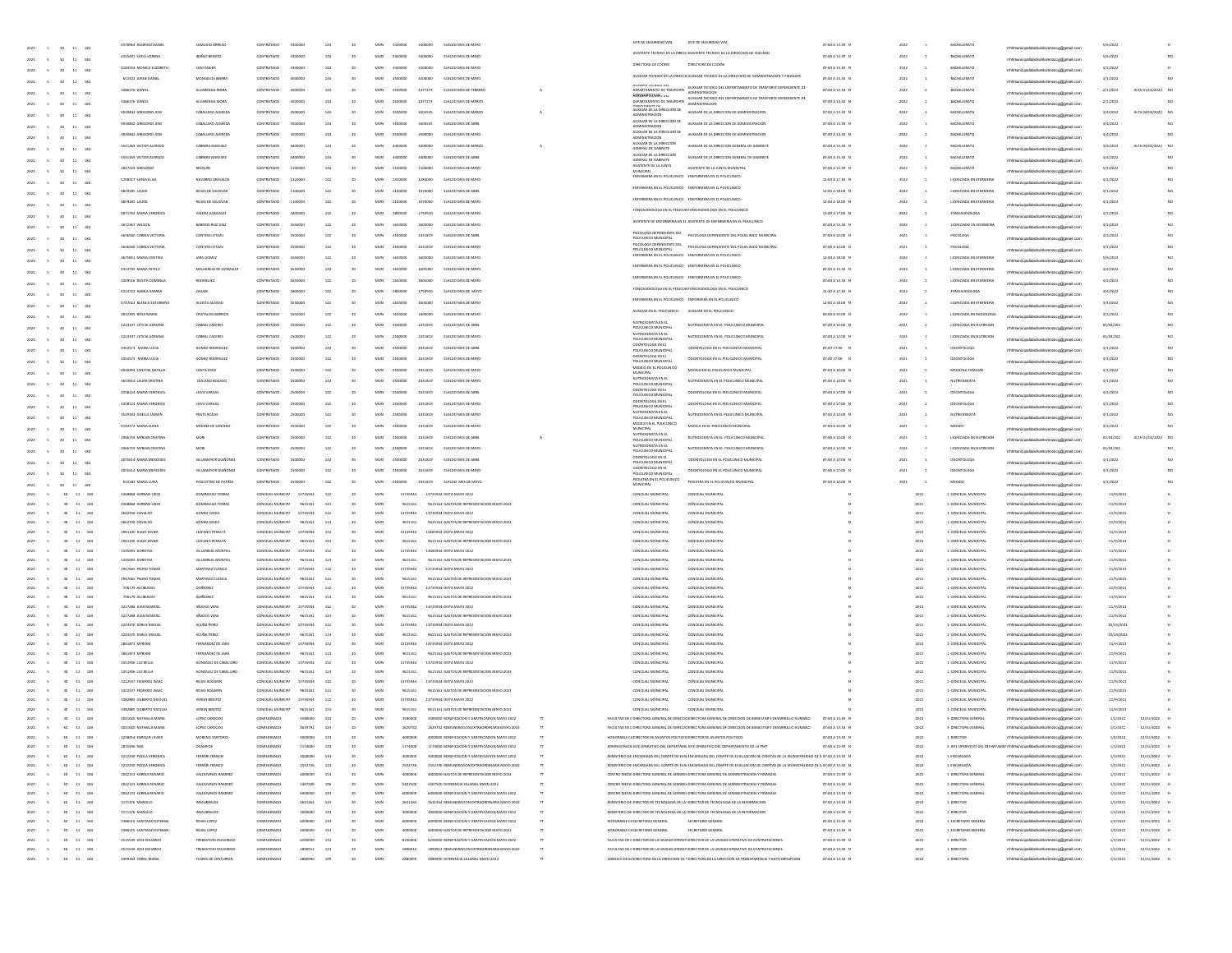|                                                                                                 |                                             |                                             |                            |                            |     |                                    |                |          |                                                                                                |                                                    | IFFF DE SEGUIDAD VM                                                     | JEFE DE SEGURIDAD VIA                                                                                                                                                                                 |                                    |              |                                |                                                                                  |                      |                                |
|-------------------------------------------------------------------------------------------------|---------------------------------------------|---------------------------------------------|----------------------------|----------------------------|-----|------------------------------------|----------------|----------|------------------------------------------------------------------------------------------------|----------------------------------------------------|-------------------------------------------------------------------------|-------------------------------------------------------------------------------------------------------------------------------------------------------------------------------------------------------|------------------------------------|--------------|--------------------------------|----------------------------------------------------------------------------------|----------------------|--------------------------------|
| 5 30 11 184<br>2022                                                                             | 4378964 RODRIGO DAN                         | SAMUDIO ORREG                               | CONTRATADO                 | 330000                     | 144 |                                    | MUN<br>3300000 | 3300000  | SUELDO MES DE MAYO                                                                             |                                                    |                                                                         | ASISTENTE TECNICO DE LA DIRECC ASISTENTE TECNICO DE LA DIRECCIÓN DE VIALIDAD                                                                                                                          | 07:00 A 13:30 N                    | 2022         | <b>BACHILLERAT</b>             | rrhhmunicipalidadsanlorenzoog@gmail.com                                          | 5/6/2022             |                                |
| $11\,$<br>184<br>2022<br>30                                                                     | 4325401 SOFIA LORENA                        | <b>BAÑEZ BENITEZ</b>                        | CONTRATADO                 | 3300000                    | 144 |                                    | MUN<br>3300000 | 3300000  | SUELDO MES DE MAYO                                                                             |                                                    |                                                                         |                                                                                                                                                                                                       | 07:00 A 13.30 N                    | 2022         | <b>BACHILLERATO</b>            | mhmunicipalidadsanlorenzoog@gmail.cor                                            | 5/6/2022             | MC                             |
| 2022<br>$^{46}$<br>$11\,$<br>184                                                                | 4183594 MONICA ELIZABETH                    | SANTANDER                                   | CONTRATADO                 | 3300000                    | 144 |                                    | MUN<br>3300000 | 3300000  | SUELDO MES DE MAYO                                                                             |                                                    | DIRECTORA DE CODENI                                                     | DIRECTORA DE CODEN                                                                                                                                                                                    | 07:00 A 13:30 N                    | 2022         | BACHILLERATO                   | rhhmunicipalidadsanlorenzoog@gmail.c                                             | 4/1/2022             | $\overline{\mathbf{S}}$        |
| 11<br>2022<br>30 <sub>2</sub><br>18                                                             | 651922 JORGE DANIEL                         | MONGELOS IBARRA                             | CONTRATADO                 | 4500000                    | 144 |                                    | MUN<br>4500000 | 4500000  | SUELDO MES DE MAYO                                                                             |                                                    |                                                                         | AUXILIAR TECNICO DE LA DIRECCI, AUXILIAR TECNICO DE LA DIRECCIÓN DE ADMINISTRACIÓN Y FINANZAS                                                                                                         | 07:00 A 13.30 N                    | 2022         | BACHILLERATO                   | mhmunicipalidadsanlorenzoog@gmail.com                                            | 3/1/2022             |                                |
| 2022<br>30 <sub>2</sub><br>11<br>184<br>$\sim$                                                  | 3486376 DANIEL                              | ALVARENGA MOR                               | CONTRATADO                 | 450000                     | 144 |                                    | MUN            | 4377273  | SUELDO MES DE FEBRERO                                                                          | A                                                  | AUAILIAN I EUNILU UEL<br>DEPARTAMENTO DE TRASPORTE                      | AUXILIAR TECNICO DEL DEPARTAMENTO DE TRASPORTE DEPENDIENTE DI<br><b>IDMINISTRACIÓN</b>                                                                                                                | 07:00 A 13:30 0                    | 2022         | BACHILLERATO                   | mhhmunicipalidadsanlorenzoog@gmail.com                                           | 2/1/2022             | ALTA 01/02/2022 NC             |
|                                                                                                 | 3486376 DANIE                               | ALVARENGA MOR                               | CONTRATAD                  |                            |     |                                    |                | 4377273  | SUELDO MES DE MARZO                                                                            |                                                    | REMEMBERED FOR                                                          | ANNAPA LAARINA USL<br>EPARTAMENTO DE TRASPORTE - ANAHANCHA TECNICO DEL DEPARTAMENTO DE TRASPORTE DEPENDIENTE DE                                                                                       | 07:00 A 13:30 0                    |              | MCHILLERATO                    |                                                                                  | 2/1/202              |                                |
| $11\,$<br>18<br>2022<br>30                                                                      | 4930842 GREGORIO JOSE                       | CABALLERO ALMEIDA                           | CONTRATADO                 | 350000                     | 144 |                                    | MUN<br>3500000 | 3404545  | SUELDO MES DE MARZO                                                                            |                                                    |                                                                         | DESFAINIENTE DE<br>AUXILIAR DE LA DIRECCIÓN DE ALIXULIAR DE LA DIRECCIÓN DE ADMINISTRACIÓN                                                                                                            | 07:00 A 13:30 N                    | 2022         | <b>BACHILLERATO</b>            | mhhmunicipalidadsanlorenzoog@gmail.com                                           | 3/4/2022             | ALTA 04/03/2022 NO             |
| $11\,$<br>18<br>2022<br>30<br>- 5                                                               |                                             |                                             |                            |                            |     |                                    |                |          |                                                                                                |                                                    | AUXILIAR DE LA DIRECCIÓN DE                                             |                                                                                                                                                                                                       |                                    |              |                                | mhmunicipalidadsanlorenzoog@gmail.com                                            |                      |                                |
| 2022<br>$^{46}$<br>$11\,$<br>184                                                                | 4930842 GREGORIO JOSE                       | CABALLERO ALMEIDA                           | CONTRATADO                 | 3500000                    | 144 |                                    | MUN<br>3500000 | 3404545  | SUELDO MES DE ABRIL                                                                            |                                                    | <b>IDMINISTRACION</b>                                                   | AUXILIAR DE LA DIRECCIÓN DE ADMINISTRACIÓN                                                                                                                                                            | 07:00 A 13:30 N                    | 2022         | BACHILLERATO                   | rhhmunicipalidadsanlorenzoog@gmail.c                                             | 3/4/2022             |                                |
| 11<br>2022<br>30 <sub>2</sub><br>184                                                            | 4930842 GREGORIO JOSE                       | CABALLERO ALMEIDA                           | CONTRATADO                 | 3500000                    | 144 |                                    | MUN<br>3500000 | 3500000  | SUELDO MES DE MAYO                                                                             |                                                    | AUXILIAR DE LA DIRECCIÓN DE<br><b>ADMINISTRACION</b>                    | AUXILIAR DE LA DIRECCIÓN DE ADMINISTRACIÓN                                                                                                                                                            | 07:00 A 13:30 N                    | 2022         | BACHILLERATO                   | mhmunicipalidadsanlorenzoog@gmail.com                                            | 3/4/202              |                                |
| $11\,$<br>2022<br>$\sim$<br>30 <sub>2</sub><br>184                                              | 5541269 VICTOR ALFREDO                      | CABRERA NARVAE                              |                            |                            |     |                                    |                |          | SUELDO MES DE MARZ                                                                             |                                                    | AUXILIAR DE LA DIRECCIÓN<br>GENERAL DE GABINETE                         | AUXILIAR DE LA DIRECCIÓN GENERAL DE GABINET                                                                                                                                                           | 07:00 A 13:30 P                    | 2022         | BACHILLERATO                   | mhhmunicipalidadsanlorenzoog@gmail.com                                           | 3/4/2022             | ALTA 04/03/2022 NC             |
|                                                                                                 | 5541269 VICTOR ALFREDO                      | CABRERA NARVAE                              |                            |                            |     |                                    |                |          | SUELDO MES DE ABRI                                                                             |                                                    | AUXILIAR DE LA DIRECCIÓN<br>GENERAL DE GABINETE                         | AUXILIAR DE LA DIRECCIÓN GENERAL DE GABINET                                                                                                                                                           | 07:00 A 13:30 0                    |              | MCHILLERATO                    |                                                                                  | 3/4/202              |                                |
| $11\,$<br>184<br>2022<br>30                                                                     | 1827324 GREGORIO                            | RESOUR                                      | CONTRATADO                 | 110000                     | 144 |                                    | MUN<br>1100000 | 1100000  | SUELDO MES DE MAYO                                                                             |                                                    | ASISTENTE DE LA JUNTA                                                   | ASSTENTE DE LA JUNTA MUNICIPAL                                                                                                                                                                        | 07:00 A 13.30 N                    | 2022         | <b>BACHILLERATO</b>            | mhhmunicipalidadsanlorenzoog@gmail.com                                           | 5/1/2022             |                                |
| $11\,$<br>184<br>2022<br>30<br>$\sim$                                                           |                                             |                                             |                            |                            |     |                                    |                |          |                                                                                                |                                                    |                                                                         | ENFERMERA EN EL POLICUNICO ENEFERMERA EN EL POLICUNICO                                                                                                                                                |                                    |              |                                | mhmunicipalidadsanlorenzoog@gmail.com                                            |                      |                                |
| 2022<br>30 <sub>2</sub><br>$11\,$<br>184                                                        | 5248317 SONIA ELISA                         | NAVARRO AREVALOS                            | CONTRATADO                 | 1320000                    | 142 |                                    | MUN<br>1320000 | 1284000  | SUELDO MES DE MAYO                                                                             |                                                    |                                                                         | ENFERMERA EN EL POLICLINICO ENEFERMERA EN EL POLICLINICO                                                                                                                                              | 12:00 A 17:30 N                    | 2022         | LICENCIADA EN EFERMERIA        | icipalidadsanlorenzoog@gmail.c                                                   | 4/1/2022             | NO.                            |
| 11 184<br>2022<br>30 <sub>1</sub>                                                               | 4859185 LAURA                               | ROIAS DE SALDIVAI                           | CONTRATADO                 | 1100000                    | 142 |                                    | MUN<br>1100000 | 1070000  | SUELDO MES DE ABRI                                                                             |                                                    |                                                                         |                                                                                                                                                                                                       | 12:00 A 18:00 N                    | 2022         | LICENCIADA EN EFERMERIA        | rrhhmunicipalidadsanlorenzoog@gmail.com                                          | 4/1/2022             |                                |
| $11\,$<br>2022<br>$\sim$<br>30 <sub>2</sub><br>184                                              | 4859185 LAUNA                               | ROIAS DE SALDIVAI                           |                            | 110000                     | 142 |                                    |                | 1070000  | SUELDO MES DE MAYO                                                                             |                                                    |                                                                         | ENFERMERA EN EL POLICLINICO ENEFERMERA EN EL POLICLINICO                                                                                                                                              | 12:00 A 18.00 8                    | 2022         | LICENCIADA EN EFERMERIA        | mhmunicipalidadsanlorenzoog@gmail.com                                            | 4/1/202              |                                |
|                                                                                                 | 4871763 MARIA VERONIC                       | VALDEZ GONZALE                              |                            |                            |     |                                    |                |          | SUELDO MES DE MAYO                                                                             |                                                    |                                                                         | FONOAUDIOLOGA EN EL POLICIJN FONOAUDIOLOGA EN EL POLICUNICO                                                                                                                                           | 13:00 A 17:00 N                    | 8022         | ONOAUDIOLOG                    |                                                                                  | 4/1/202              |                                |
| $11\,$<br>184<br>2022<br>30                                                                     | 3672367 WILSON                              | BARRIOS RUIZ DIAZ                           | CONTRATADO                 | 1650000                    | 142 |                                    | MUN<br>1650000 | 1605000  | SUELDO MES DE MAYO                                                                             |                                                    |                                                                         | ASISTENTE DE ENFERMERIA EN EL ASISTENTE DE ENFERMERIA EN EL POLICUNICO                                                                                                                                | 07:00 A 13.30 N                    | 2022         | <b>UCENCIADO EN EFERMERIA</b>  | mhhmunicipalidadsanlorenzoog@gmail.com                                           | 4/1/2022             |                                |
| $11\,$<br>18<br>2022<br>30<br>$\sim$                                                            |                                             |                                             |                            |                            |     |                                    |                |          |                                                                                                |                                                    |                                                                         | PSICOLOGA DEPENDIENTE DEL PSICOLOGA DEPENDIENTE DEL POLICIJNICO MUNICIPAL                                                                                                                             |                                    |              |                                | mhmunicipalidadsanlorenzoog@gmail.com                                            |                      |                                |
| 2022<br>30 <sub>2</sub><br>$11\,$<br>184                                                        | 3636560 CARINA VICTORIA                     | CONTESSI OTAZU                              | CONTRATADO                 | 250000                     | 142 |                                    | MUN<br>2500000 | 2431819  | SUELDO MES DE ABRIL                                                                            |                                                    |                                                                         |                                                                                                                                                                                                       | 07:00 A 12:00 N                    | 2021         | PSICOLOGA                      | ipalidadsanlorenzoog@gmail.c                                                     | 4/1/2022             | NO.                            |
| 11 184<br>2022<br>$\sim$<br>30 <sub>1</sub>                                                     | 3636560 CARINA VICTORIA                     | CONTESSI OTAZU                              | CONTRATADO                 | 250000                     | 142 |                                    | MUN<br>2500000 | 2431819  | SUELDO MES DE MAYO                                                                             |                                                    |                                                                         |                                                                                                                                                                                                       | 07:00 A 12:00 N                    | 2021         | PSICOLOGA                      | rrhhmunicipalidadsanlorenzoog@gmail.com                                          | 4/1/2022             |                                |
| $11\,$<br>2022<br>$\sim$<br>30 <sub>2</sub><br>184                                              | 4675851 MARIA ORISTIN                       | JARA GOMEZ                                  |                            |                            | 142 |                                    |                |          | SUELDO MES DE MAYO                                                                             |                                                    |                                                                         | ENFERMERA EN EL POLICLINICO ENEFERMERA EN EL POLICLINICO                                                                                                                                              | 12:00 A 18.00 8                    |              | LICENCIADA EN EFERMERIA        | rrhhmunicipalidadsanlorenzoog@gmail.com                                          | 5/6/2022             |                                |
|                                                                                                 | 4314792 MARIA ESTELA                        | MELGAREIO DE GONZALEZ                       |                            |                            |     |                                    |                |          | SUELDO MES DE MAYO                                                                             |                                                    |                                                                         | ENFERMERA EN EL POLICLINICO ENEFERMERA EN EL POLICLINICO                                                                                                                                              | 07:00 A 13.30 0                    | 8022         |                                |                                                                                  | 3/4/202              |                                |
| $11\,$<br>184<br>2022<br>30                                                                     | 2409516 ROSITA DOMINGA                      | RODRIGUEZ                                   | CONTRATADO                 | 1650000                    | 142 |                                    | MUN<br>1650000 | 1605000  | SUELDO MES DE MAYO                                                                             |                                                    |                                                                         | ENFERMERA EN EL POLICLINICO ENEFERMERA EN EL POLICLINICO                                                                                                                                              | 07:00 A 13.30 N                    | 2022         | LICENCIADA EN EFERMERIA        | mhmunicipalidadsanlorenzoog@gmail.com                                            | 4/1/2022             |                                |
| $11\,$<br>18<br>2022<br>$\sim$<br>30                                                            |                                             |                                             |                            |                            |     |                                    |                |          |                                                                                                |                                                    |                                                                         | FONDAUDIOLOGA EN EL POLICIAI FONDAUDIOLOGA EN EL POLICUNIDO                                                                                                                                           |                                    |              |                                | mhmunicipalidadsanlorenzoog@gmail.com                                            |                      |                                |
| 2022<br>$^{30}$<br>$11\,$<br>184                                                                | 4213722 NABLA SAMINA                        | ZAGAIB                                      | CONTRATADO                 | 180000                     | 142 |                                    | MUN<br>1800000 | 1750910  | SUELDO MES DE MAYO                                                                             |                                                    |                                                                         | ENFERMERA EN EL POLICLINICO ENFERMERA EN EL POLICLINICO                                                                                                                                               | 12:30 A 17:30 N                    | 2022         | <b>FONOAUDIOLOGA</b>           | vicipalidadsanlorenzoog@gmail.c                                                  | 3/4/2022             | NO.                            |
| 11 184<br>2022<br>$\sim$<br>30 <sub>1</sub>                                                     | 4747023 BLANCA SATURNINA                    | ACOSTA ALONSO                               | CONTRATADO                 | 1650000                    | 142 |                                    | MUN<br>1650000 | 1605000  | SUELDO MES DE MAYO                                                                             |                                                    |                                                                         |                                                                                                                                                                                                       | 12:00 A 18:00 N                    | 2022         | LICENCIADA EN EFERMERIA        | rrhhmunicipalidadsanlorenzoog@gmail.com                                          | 3/4/2022             |                                |
| 2022<br>$\sim$<br>30 <sub>2</sub><br>11<br>184                                                  | 4832305 ROSA MARIA                          | CRISTALDO BARRIO                            |                            |                            | 142 |                                    |                | 1605000  | SUELDO MES DE MAYO                                                                             |                                                    | AUXILIAR EN EL POLICLINICO                                              | AUXILIAR EN EL POLICLINICO                                                                                                                                                                            | 06:00 A 12:00 8                    | 2022         | LICENCIADA EN RADIOLOGIA       | rrhhmunicipalidadsanlorenzoog@gmail.com                                          | 4/1/2022             |                                |
|                                                                                                 | 4224197 LETICIA ADRIANA                     | CABRAL CACERES                              |                            |                            |     |                                    |                | 2431819  | SUELDO MES DE ABRI                                                                             |                                                    | NUTRICIONISTA EN EL<br>POLICLINICO MUNICIP                              | <b>IUTROONISTA EN EL POLICLINICO MUNICIPA</b>                                                                                                                                                         | 07:00 A 12:00 0                    | 8021         |                                |                                                                                  | 01/04/20             |                                |
| $11\,$<br>184<br>2022<br>30                                                                     | 4224197 LETICIA ADRIANA                     | CABRAL CACERES                              | CONTRATADO                 | 250000                     | 142 |                                    | MUN<br>2500000 | 2431819  | SUELDO MES DE MAYO                                                                             |                                                    | NUTRICIONISTA EN EL                                                     | NUTROON/STA FN FL IROLD INIOD MUNICIPAL                                                                                                                                                               | 07:00 A 12:00 N                    | 2021         | <b>INFRICIADA EN NUTBICIOS</b> | mhmunicipalidadsanlorenzoog@gmail.com                                            | 01/04/202            |                                |
| $11\,$<br>18<br>2022<br>$\sim$<br>30                                                            |                                             |                                             |                            |                            |     |                                    |                |          |                                                                                                |                                                    | OUCLINICO MUNICI<br>ODONTOLOGA EN EL                                    |                                                                                                                                                                                                       |                                    |              |                                | rrhhmunicipalidadsanlorenzoog@gmail.com                                          |                      |                                |
| 30<br>$11\,$<br>184                                                                             | 3454573 MARA LUCIA                          | GOMEZ RODRIGUEZ                             | CONTRATADO                 | 250000                     | 142 |                                    | MUN<br>2500000 | 2431819  | SUELDO MES DE ABRIL                                                                            |                                                    | POUCLINICO MUNICIPA                                                     | ODONTOLOGA EN EL POLICLINICO MUNICIPAL                                                                                                                                                                | 07:00 17:00 N                      | 2021         | COONTOLOGA                     | nicipalidadsanlorenzoog@gmail.c                                                  | 4/1/2022             | NO                             |
| 11 184<br>2022<br>$\sim$<br>30 <sub>1</sub>                                                     | 3454573 MARA LUCIA                          | GOMEZ RODRIGUEZ                             | CONTRATADO                 | 250000                     | 142 |                                    | MUN<br>2500000 | 2431819  | SUELDO MES DE MAYO                                                                             |                                                    | ODONTOLOGA EN EL<br>POLICLINICO MUNICIPA                                | ODONTOLOGA EN EL POLICLINICO MUNICIPAL                                                                                                                                                                | 07:00 17:00 N                      | 2021         | ODONTOLOGA                     | rrhhmunicipalidadsanlorenzoog@gmail.com                                          | 4/1/2022             | NO.                            |
| 2022<br>$\sim$<br>30 <sub>2</sub><br>11<br>184                                                  | 4030494 CYNTHIA NATALIA                     | SANTA CRUZ                                  | CONTRATADO                 |                            | 142 |                                    |                | 2431819  | SUELDO MES DE MAYO                                                                             |                                                    | <b>MEDICO EN EL POLICUNICO</b><br><b>MUNICIPAL</b>                      | MEDICO EN EL POLICUNICO MUNICIPAL                                                                                                                                                                     | 07:00 A 12:00 0                    | 2021         | MEDICINA FAMILIA               | rrhhmunicipalidadsanlorenzoog@gmail.com                                          | 4/1/2022             |                                |
|                                                                                                 | 1653614 LAURA CRISTINA                      | LEZCANO BOGADI                              | CONTRATADO                 |                            |     |                                    | wuw            | 2431819  | SUELDO MES DE MAYO                                                                             |                                                    | NUTRICIONISTA EN EL<br>POLICLINICO MUNICIP                              | <b>IUTROONISTA EN EL POLICLINICO MUNICIPA</b>                                                                                                                                                         | 07:00 A 12:00 N                    | 2021         | VUTRICIONISTA                  |                                                                                  | 4/1/202              |                                |
| $11\,$<br>184<br>30<br>2022                                                                     | 4358124 MARIA VERONICA                      | LEIVA VARGAS                                | CONTRATADO                 | 250000                     | 142 |                                    | MUN<br>2500000 | 2431819  | SUELDO MES DE ABRIL                                                                            |                                                    | ODONTOLOGA EN EL                                                        | ODONTOLOGA EN EL POLICI INICO MUNICIPAL                                                                                                                                                               | 07:00 A 17:00 N                    | 2021         | COONTOLOGA                     | mhhmunicipalidadsanlorenzoog@gmail.com                                           | 4/1/202              |                                |
| $11\,$<br>2022<br>30<br>18<br>$\sim$                                                            |                                             |                                             |                            |                            |     |                                    |                |          |                                                                                                |                                                    | OUCLINICO MUNICI<br>ODONTOLOGA EN EL                                    |                                                                                                                                                                                                       |                                    |              |                                | mhmunicipalidadsanlorenzoog@gmail.cor                                            |                      |                                |
| 30<br>$11\,$                                                                                    | 4358124 MARIA VERONICA                      | LEIVA VARGAS                                | CONTRATADO                 | 2500000                    | 142 |                                    | MUN<br>2500000 | 2431819  | SUELDO MES DE MAYO                                                                             |                                                    | POUCUNICO MUNICIPAL                                                     | ODONTOLOGA EN EL POLICLINICO MUNICIPAL                                                                                                                                                                | 07:00 A 17:00 N                    | 2021         | COONTOLOGA                     | rhhmunicipalidadsanlorenzoog@gmail.                                              | 4/1/2022             | NO.                            |
| 2022<br>11 184<br>$\sim$<br>30 <sub>1</sub>                                                     | 3529183 GISELLE JAZMIN                      | PRATS RODAS                                 | CONTRATADO                 | 2500000                    | 142 |                                    | MUN<br>2500000 | 2431819  | SUELDO MES DE MAYO                                                                             |                                                    | NUTRICIONISTA EN EL<br>POLICLINICO MUNICIPA                             | NUTRICIONISTA EN EL POLICLINICO MUNICIPAL                                                                                                                                                             | 07:00 A 12:00 N                    | 2021         | NUTRICIONISTA                  | mhmunicipalidadsanlorenzoog@gmail.com                                            | 4/1/2022             |                                |
| 2022<br>30 <sub>1</sub><br>11<br>184<br>$\sim$                                                  | 4192372 MARIA ELENA                         | MEDINA DE SANCHEZ                           | CONTRATADO                 | 250000                     | 142 |                                    | MUN            | 2431819  | SUELDO MES DE MAYO                                                                             |                                                    | MEDICA EN EL POLICUNICO<br><b>MUNICIPAL</b>                             | MEDICA EN EL POLICUNICO MUNICIPAL                                                                                                                                                                     | 07:00 A 12:00 0                    | 2021         | MEDICO                         | mhmunicipalidadsanlorenzoog@gmail.com                                            | 4/1/2022             |                                |
|                                                                                                 | 1966759 MYRIAN CRISTIN                      | MORI                                        | CONTRATADO                 |                            | 142 |                                    | wuw            | 2431819  | SUELDO MES DE ABRI                                                                             |                                                    | NUTRICIONISTA EN EL<br>POLICLINICO MUNICIP                              | <b>IUTROONSTA EN EL POLICLINICO MUNICIPA</b>                                                                                                                                                          | 07:00 A 12:00 N                    | 2021         | LICENCIADA EN NUTRICION        |                                                                                  | 01/04/202            | ALTA 01/04/2022                |
| $11\,$<br>184<br>2022<br>30                                                                     | 1966759 MYRIAN CRISTINA                     | MORE                                        | CONTRATADO                 | 250000                     | 142 |                                    | MUN<br>2500000 | 2431819  | SUELDO MES DE MAYO                                                                             |                                                    | NUTRICIONISTA EN EL                                                     | NUTRICIONISTA EN EL POLICUNICO MUNICIPA                                                                                                                                                               | 07:00 A 12:00 N                    | 2021         | LICENCIADA EN NUTRICION        | thhmunicipalidadsanlorenzoog@gmail.com                                           | 01/04/202            |                                |
| $11\,$<br>2022<br>30<br>18                                                                      |                                             |                                             |                            |                            |     |                                    |                |          |                                                                                                |                                                    | OUCLINICO MUNICIP<br>ODONTOLOGO EN EL                                   |                                                                                                                                                                                                       |                                    |              |                                | rhimunicipalidadsanlorenzoog@gmail.com                                           |                      |                                |
| $11\,$<br>184                                                                                   | 2055614 MARIA MERCEDES                      | VILLAMAYOR QUIÑONEZ                         | CONTRATADO                 | 2500000                    | 142 |                                    | MUN<br>2500000 | 2431819  | SUELDO MES DE ABRIL                                                                            |                                                    | POUCUNICO MUNICIPAL                                                     | COONTOLOGO EN EL POLICUNICO MUNICIPAL                                                                                                                                                                 | 07:00 A 17:00 N                    | 2021         | COONTOLOGA                     | rhhmunicipalidadsanlorenzoog@gmail.c                                             | 4/1/2022             | NO.                            |
| 2022<br>11 184<br>$\sim$<br>30 <sub>1</sub>                                                     | 2055614 MARIA MERCEDES                      | VILLAMAYOR QUIÑONEZ                         | CONTRATADO                 | 2500000                    | 142 |                                    | MUN<br>2500000 | 2431819  | SUELDO MES DE MAYO                                                                             |                                                    | ODONTOLOGO EN EL<br>POLICLINICO MUNICIPA                                | COONTOLOGO EN EL POLICUNICO MUNICIPAL                                                                                                                                                                 | 07:00 A 17:00 N                    | 2021         | COONTOLOGA                     | rrhhmunicipalidadsanlorenzoog@gmail.com                                          | 4/1/2022             |                                |
| 2022<br>$\sim$<br>30 <sub>2</sub><br>11<br>184                                                  | 614183 MARIA LUISA                          | PASCOTTINI DE PATIÑO                        | CONTRATADO                 | 250000                     | 142 |                                    | MUN<br>2500000 | 2431819  | SUELDO MES DE MAYO                                                                             |                                                    | EDIATRA EN EL POLICLINICO<br>MUNICIPAL                                  | PEDIATRA EN EL POLICLINICO MUNICIPA                                                                                                                                                                   | 07:00 A 12:00 8                    | 2021         | MEDICO                         | rrhhmunicipalidadsanlorenzoog@gmail.com                                          | 4/1/2022             |                                |
| 2022<br>$\overline{\phantom{a}}$<br>30 11 184                                                   | 4368868 HERNAN LIDIO                        | DOMINGUEZ FERRAS                            | CONCEIAL MUNICIPA          | 13735944                   | 112 |                                    | MUN            | 13735944 | 13735944 DIETA MAYO 2022                                                                       |                                                    | CONCEIAL MUNICIPAL                                                      | CONCEIAL MUNICIPAL                                                                                                                                                                                    |                                    | 2021         | 1 CONCEIAL MUNICIPAL           | mhmunicipalidadsanlorenzoog@gmail.com                                            | 11/9/202             |                                |
| 2022<br>30 <sup>°</sup><br>11 184                                                               | 4368868 HERNAN LIDIO                        | <b>DOMINGUEZ FERRAS</b>                     | CONCEIAL MUNICIPA          | 9615161                    | 113 |                                    | MUN            | 9615161  | 9615161 GASTOS DE REPRESENTACION MAYO 2022                                                     |                                                    | CONCEIAL MUNICIPAL                                                      | CONCEIAL MUNICIPAL                                                                                                                                                                                    |                                    | 2021         | 1 CONCEIAL MUNICIPAL           | mhmunicipalidadsanlorenzoog@gmail.com                                            | 11/9/2021            |                                |
| 2022<br>30<br>11 184                                                                            | 2662740 OSVALDO                             | GOMEZ CIEDA                                 | CONCEIAL MUNICIPA          | 13735944                   | 112 |                                    | MUN            | 13735944 | 13735944 DIETA MAYO 2022                                                                       |                                                    | CONCEIAL MUNICIPAL                                                      | CONCEJAL MUNICIPAL                                                                                                                                                                                    |                                    | 2021         | 1 CONCEIAL MUNICIPAL           | mhmunicipalidadsanlorenzoog@gmail.com                                            | 11/9/2021            |                                |
| 2022<br>30 <sub>1</sub><br>11 184                                                               | 2662740 OSVALDO                             | GOMEZ CIEDA                                 | CONCEIAL MUNICIPA          | 9615161                    | 113 |                                    | MUN            | 9615161  | 9615161 GASTOS DE REPRESENTACION MAYO 2022                                                     |                                                    | CONCEIAL MUNICIPAL                                                      | CONCEJAL MUNICIPAL                                                                                                                                                                                    |                                    | 2021         | 1 CONCEIAL MUNICIPAL           | mhmunicipalidadsanlorenzoog@gmail.com                                            | 11/9/2021            |                                |
| 2022<br>30 <sub>1</sub><br>11 184                                                               | 1961100 HUGO JAVIER                         | LEZCANO PERALTA                             | CONCEIAL MUNICIPA          | 13735944                   | 112 |                                    | MUN            | 13735944 | 13685944 DIETA MAYO 2022                                                                       |                                                    | CONCEIAL MUNICIPAL                                                      | CONCEIAL MUNICIPAL                                                                                                                                                                                    |                                    | 2021         | 1 CONCEIAL MUNICIPAL           | mhmunicipalidadsanlorenzoog@gmail.com                                            | 11/9/2021            |                                |
| 2022<br>30<br>11 184                                                                            | 1961100 HUGO JAVIEI                         | LEZCANO PERALTA                             | CONCEIAL MUNICIPA          | 9615161                    | 113 |                                    | MUN            | 9615161  | 9615161 GASTOS DE REPRESENTACION MAYO 2022                                                     |                                                    | CONCEIAL MUNICIPAL                                                      | CONCEJAL MUNICIPAL                                                                                                                                                                                    |                                    | 2021         | 1 CONCEIAL MUNICIPAL           | mhmunicipalidadsanlorenzoog@gmail.com                                            | 11/9/2021            |                                |
| 2022<br>30 <sub>1</sub><br>11 184                                                               | 1335093 DOROTEA                             | VILLARIEAL MONTIEL                          | CONCEIAL MUNICIPA          | 13735944                   | 112 |                                    | MUN            | 13735944 | 13685944 DIETA MAYO 2022                                                                       |                                                    | CONCEIAL MUNICIPAL                                                      | CONCEJAL MUNICIPAL                                                                                                                                                                                    |                                    | 2021         | 1 CONCEIAL MUNICIPAL           | mhmunicipalidadsanlorenzoog@gmail.com                                            | 11/9/2021            |                                |
| 2022<br>30 <sub>1</sub><br>11 184                                                               | 1335093 DOROTEA                             | VILLARIEAL MONTIEL                          | CONCEIAL MUNICIPA          | 9615161                    | 113 | 30 <sub>1</sub>                    | MUN            | 9615161  | 9615161 GASTOS DE REPRESENTACION MAYO 2022                                                     |                                                    | CONCEIAL MUNICIPAL                                                      | CONCEIAL MUNICIPAL                                                                                                                                                                                    |                                    | 2021         | 1 CONCEIAL MUNICIPAL           | mhmunicipalidadsanlorenzoog@gmail.com                                            | 11/9/2021            |                                |
| 2022<br>30 <sub>1</sub><br>11 184                                                               | 1947665 PEDRO TOMAS                         | MARTINEZ CUENCA                             | CONCEIAL MUNICIPA          | 13735944                   | 112 |                                    | MUN            | 13735944 | 13735944 DIETA MAYO 2022                                                                       |                                                    | CONCEIAL MUNICIPAL                                                      | CONCEJAL MUNICIPAL                                                                                                                                                                                    |                                    | 2021         | 1 CONCEIAL MUNICIPAL           | mhmunicipalidadsanlorenzoog@gmail.com                                            | 11/9/2021            |                                |
| 2022<br>30 <sub>1</sub><br>11 184                                                               | 1947665 PEDRO TOMAS                         | MARTINEZ CUENCA                             | CONCEIAL MUNICIPA          | 9615161                    | 113 |                                    | MUN            | 9615161  | 9615161 GASTOS DE REPRESENTACION MAYO 2022                                                     |                                                    | CONCEIAL MUNICIPAL                                                      | CONCEJAL MUNICIPAL                                                                                                                                                                                    |                                    | 2021         | 1 CONCEIAL MUNICIPAL           | mhmunicipalidadsanlorenzoog@gmail.com                                            | 11/9/2021            |                                |
| 2022<br>30 <sub>1</sub><br>11 184                                                               | 706179 ALCIBIADES                           | QUIÑONEZ                                    | CONCEIAL MUNICIPA          | 13735944                   | 112 |                                    | MUN            | 13735944 | 13735944 DIETA MAYO 2022                                                                       |                                                    | CONCEIAL MUNICIPAL                                                      | CONCEIAL MUNICIPAL                                                                                                                                                                                    |                                    | 2021         | 1 CONCEIAL MUNICIPAL           | mhmunicipalidadsanlorenzoog@gmail.com                                            | 11/9/2021            |                                |
| 2022<br>30<br>11 184                                                                            | 706179 ALCIBIADES                           | QUIÑONEZ                                    | CONCEIAL MUNICIPA          | 9615161                    | 113 | 30 <sub>1</sub>                    | MUN            | 9615161  | 9615161 GASTOS DE REPRESENTACION MAYO 2022                                                     |                                                    | CONCEIAL MUNICIPAL                                                      | CONCEJAL MUNICIPAL                                                                                                                                                                                    |                                    | 2021         | 1 CONCEIAL MUNICIPAL           | mhmunicipalidadsanlorenzoog@gmail.com                                            | 11/9/2021            |                                |
| 2022<br>30 <sub>1</sub><br>11 184                                                               | 3217288 JUAN MANUEL                         | AÑAZCO VERA                                 | CONCEIAL MUNICIPA          | 13735944                   | 112 |                                    | MUN            | 13735944 | 13735944 DIETA MAYO 2022                                                                       |                                                    | CONCEIAL MUNICIPAL                                                      | CONCEJAL MUNICIPAL                                                                                                                                                                                    |                                    | 2021         | 1 CONCEIAL MUNICIPAL           | mhmunicipalidadsanlorenzoog@gmail.com                                            | 11/9/2021            |                                |
| 2022<br>30 <sub>1</sub><br>11 184                                                               | 3217288 JUAN MANUEL                         | AÑAZCO VERA                                 | CONCEIAL MUNICIPA          | 9615161                    | 113 |                                    | MUN            | 9615161  | 9615161 GASTOS DE REPRESENTACION MAYO 2022                                                     |                                                    | CONCEIAL MUNICIPAL                                                      | CONCEJAL MUNICIPAL                                                                                                                                                                                    |                                    | 2021         | 1 CONCEIAL MUNICIPAL           | mhmunicipalidadsanlorenzoog@gmail.com                                            | 11/9/2021            |                                |
| 2022<br>30 <sub>1</sub><br>11 184                                                               | 3243370 DERUS MIGUEL                        | ACUÑA PEREZ                                 | CONCEIAL MUNICIPA          | 13735944                   | 112 |                                    | MUN            | 13735944 | 13735944 DIETA MAYO 2022                                                                       |                                                    | CONCEIAL MUNICIPAL                                                      | CONCEJAL MUNICIPAL                                                                                                                                                                                    |                                    | 2021         | 1 CONCEIAL MUNICIPAL           | mhmunicipalidadsanlorenzoog@gmail.com                                            | 10/13/2021           |                                |
| 2022<br>30 <sub>1</sub><br>11 184                                                               | 3243370 DERUS MIGUEL                        | ACUÑA PEREZ                                 | CONCEIAL MUNICIPA          | 9615161                    | 113 |                                    | MUN            | 9615161  | 9615161 GASTOS DE REPRESENTACION MAYO 2022                                                     |                                                    | CONCEIAL MUNICIPAL                                                      | CONCEJAL MUNICIPAL                                                                                                                                                                                    |                                    | 2021         | 1 CONCEIAL MUNICIPAL           | mhmunicipalidadsanlorenzoog@gmail.com                                            | 10/13/2021           |                                |
| 2022<br>30 <sub>1</sub><br>11 184                                                               | 1861873 MYRIAM                              | FERNANDEZ DE JARA                           | CONCEIAL MUNICIPA          | 13735944                   | 112 |                                    | MUN            | 13735944 | 13735944 DIETA MAYO 2022                                                                       |                                                    | CONCEIAL MUNICIPAL                                                      | CONCEJAL MUNICIPAL                                                                                                                                                                                    |                                    | 2021         | 1 CONCEIAL MUNICIPAL           | mhmunicipalidadsanlorenzoog@gmail.com                                            | 11/9/2021            |                                |
| 2022<br>30 <sub>1</sub><br>11 184                                                               | 1861873 MYRIAM                              | FERNANDEZ DE JARA                           | CONCEIAL MUNICIPA          | 9615161                    | 113 |                                    | MUN            | 9615161  | 9615161 GASTOS DE REPRESENTACION MAYO 2022                                                     |                                                    | CONCEIAL MUNICIPAL                                                      | CONCEJAL MUNICIPAL                                                                                                                                                                                    |                                    | 2021         | 1 CONCEIAL MUNICIPAL           | rrhmunicipalidadsanlorenzoog@gmail.com                                           | 11/9/2021            |                                |
| 2022<br>30 <sub>2</sub><br>11 184                                                               | 2451906 LUZ BELLA                           | GONZALEZ DE CABALLERO                       | CONCEIAL MUNICIPA          | 13735944                   | 112 |                                    | MUN            | 13735944 | 13735044 DIFTA MAYO 2022                                                                       |                                                    | CONCEIAL MUNICIPAL                                                      | CONCEJAL MUNICIPAL                                                                                                                                                                                    |                                    | 2021         | 1 CONCEIAL MUNICIPAL           | mhmunicipalidadsanlorenzoog@gmail.com                                            | 11/9/2021            |                                |
| 2022<br>30 <sub>1</sub><br>11 184                                                               | 2451906 LUZ BELLA                           | GONZALEZ DE CABALLERO                       | CONCEIAL MUNICIPA          | 9615161                    | 113 |                                    | MUN            | 9615161  | 9615161 GASTOS DE REPRESENTACION MAYO 2022                                                     |                                                    | CONCEIAL MUNICIPAL                                                      | CONCEJAL MUNICIPAL                                                                                                                                                                                    |                                    | 2021         | 1 CONCEIAL MUNICIPAL           | mhmunicipalidadsanlorenzoog@gmail.com                                            | 11/9/2021            |                                |
| 2022<br>30 <sup>°</sup><br>11 184                                                               | 2322537 FEDERICO ISAAO                      | ROIAS BOGARIN                               | CONCEIAL MUNICIPA          | 13735944                   | 112 |                                    | MUN            | 13735944 | 13735944 DIETA MAYO 2022                                                                       |                                                    | CONCEIAL MUNICIPAL                                                      | CONCEJAL MUNICIPAL                                                                                                                                                                                    |                                    | 2021         | 1 CONCEIAL MUNICIPAL           | mhmunicipalidadsanlorenzoog@gmail.com                                            | 11/9/2021            |                                |
| 2022<br>30 <sub>2</sub><br>11 184                                                               | 2322537 FEDERICO ISAAO                      | ROIAS BOGARIN                               | CONCEIAL MUNICIPA          | 9615161                    | 113 |                                    | MUN            | 9615161  | 9615161 GASTOS DE REPRESENTACION MAYO 2022                                                     |                                                    | CONCEIAL MUNICIPAL                                                      | CONCEJAL MUNICIPAL                                                                                                                                                                                    |                                    | 2021         | 1 CONCEIAL MUNICIPAL           | mhmunicipalidadsanlorenzoog@gmail.com                                            | 11/9/2021            |                                |
| 2022<br>$30$ 11 184<br>$\sim$                                                                   | 3382885 GILBERTO NICOLAS                    | VERON BENITEZ                               | CONCEIAL MUNICIPA          | 13735944                   | 112 |                                    | MUN            | 13735944 | 13735044 DIFTA MAYO 2022                                                                       |                                                    | CONCEIAL MUNICIPAL                                                      | CONCEIAL MUNICIPAL                                                                                                                                                                                    |                                    | 2021         | 1 CONCEIAL MUNICIPAL           | rrhmunicipalidadsanlorenzoog@gmail.com                                           | 11/9/2021            |                                |
| 2022<br>$\overline{\phantom{a}}$<br>30 11 184                                                   | 3382885 GILBERTO NICOLAS                    | VERON BENITEZ                               | CONCEIAL MUNICIPA          | 9615161                    | 113 |                                    | MUN            | 9615161  | 9615161 GASTOS DE REPRESENTACION MAYO 2022                                                     |                                                    | CONCEIAL MUNICIPAL                                                      | CONCEIAL MUNICIPAL                                                                                                                                                                                    |                                    | 2021         | 1 CONCEIAL MUNICIPAL           | mhmunicipalidadsanlorenzoog@gmail.com                                            | 11/9/2021            |                                |
| 30 11 184<br>2022<br>$\sim$                                                                     | 2041020 NATHALIA MARIA                      | LOPEZ CARDOZO                               | COMISIONADO                | 3580000                    | 133 |                                    | MUN            | 3580000  | 3580000 BONIFICACION Y GRATIFICACION MAYO 2022                                                 |                                                    |                                                                         | FACULTAD DE COIRECTORA GENERAL DE DIRECCIO DIRECTORA GENERAL DE DIRECCION DE BIENESTAR Y DESARROLLO HUMANO 07:00 A 13:30 N                                                                            |                                    | 2022         | 3 DIRECTORA GENERAL            | mhmunicipalidadsanlorenzoog@gmail.com                                            | 1/1/2022             | 12/31/2022                     |
| $30 - 11 - 184$<br>2022<br>$\sim$                                                               | 2041020 NATHALIA MARIA                      | LOPEZ CARDOZO                               | COMISIONADO                | 1629792                    | 123 |                                    | MUN            | 1629792  | 1629792 REMUNERACION EXTRAORDINARIA MAYO 2022                                                  |                                                    |                                                                         | FACULTAD DE COIRECTORA GENERAL DE DIRECCIO DIRECTORA GENERAL DE DIRECCION DE BIENESTAR Y DESARROLLO HUMANO                                                                                            | 07:00 A 13:30 N                    | 2022         | 3 DIRECTORA GENERAL            | mhmunicipalidadsanlorenzoog@gmail.com                                            | 1/1/2022             | 12/31/2022 St                  |
| $2022 \qquad \  \, 5 \qquad \quad \  \, 30 \qquad \  \, 11 \quad \  \, 184$                     | 2238414 ENRIQUE JAVIER                      | MORENO SARTORIO                             | COMISIONADO                | 4000000                    | 133 | 30                                 | MUN            | 4000000  | 4000000 BONIFICACION Y GRATIFICACION MAYO 2022                                                 |                                                    | HONORABLE CADIRECTOR DE ASUNTOS POLITICOS DIRECTOR DE ASUNTOS POLITICOS |                                                                                                                                                                                                       | 07:00 A 13:30 N                    | 2022         | 1 DIRECTOR                     | rrhhmunicipalidadsanlorenzoog@gmail.com                                          | 1/2/2022             | 12/31/2022 51                  |
| 2022 5 30 11 184                                                                                | 1815496 NEL                                 | <b>OCAMPOS</b>                              | COMISIONADO                | 1174000 133                |     | 30 <sub>1</sub>                    | MUN            |          | 1174000 1174000 BONIFICACION Y GRATIFICACION MAYO 2022                                         |                                                    |                                                                         | ADMINISTIACIC JEFE OPERATIVO DEL DEPARTAME JEFE OPERATIVO DEL DEPARTAMENTO DE LA PMT                                                                                                                  | 07:00 A 13:30 N                    | 2022         |                                | 3 JEFE OPERATIVO DEL DEPARTAMEN mhhmunicipalidadsaniorenzoog@gmail.com           | 1/1/2022             | 12/31/2022 51                  |
| $30 \t 11 \t 184$<br>2022 5                                                                     |                                             | FERRARI FRANCO                              | COMISIONADO                | 3000000 133                |     | 30 <sub>1</sub>                    | MUN            | 3000000  | 3000000 BONIFICACIÓN Y GRATIFICACIÓN MAYO 2022                                                 |                                                    |                                                                         | MINISTERIO DE ENCARGADA DEL COMITÉ DE EVALENCARGADA DEL COMITÉ DE EVALUACION DE OFERTAS DE LA MUNICIPALIDAD DE S.07:00 A 13:30 N                                                                      |                                    | 2022         | 1 ENCARGADA                    | mhmunicipalidadsanlorenzoog@gmail.com                                            | 1/1/2022             | 12/31/2022 51                  |
|                                                                                                 | 3212230 PAOLA VERONICA                      | FERRARI FRANCO                              | COMISIONADO                | 2552736 123                |     | 30                                 | MUN            | 2552736  | 2552736 REMUNERACION EXTRAORDINARIA MAYO 2022                                                  | T                                                  |                                                                         | MINISTERIO DE ENCARGADA DEL COMITÉ DE EVALENCARGADA DEL COMITÉ DE EVALUACION DE OFERTAS DE LA MUNICIPALIDAD DE S.07:00 A 13:30 N                                                                      |                                    | 2022         | 1 ENCARGADA                    | mhmunicipalidadsanlorenzoog@gmail.com                                            | 1/1/2022             | 12/31/2022 51                  |
| $30 \t 11 \t 184$<br>2022 5                                                                     | 3212230 PAOLA VERONICA                      |                                             |                            |                            |     | 30                                 | MUN            | 4000000  | 4000000 GASTOS DE REPRESENTACIÓN MAYO 2022                                                     |                                                    |                                                                         | CENTRO MEDIO DIRECTORA GENERAL DE ADMINIS DIRECTORA GENERAL DE ADMINISTRACIÓN Y FINANZAS                                                                                                              | 07:00 A 13:30 N                    | 2022         | 1 DIRECTORA GENERAL            | mhmunicipalidadsanlorenzoog@gmail.com                                            | 1/1/2022             | 12/31/2022 51                  |
| 30 11 184<br>2022 5                                                                             | 2042153 KARINA ROSARIO                      | VALDOVINOS RAMIREZ                          | COMISIONADO                | 4000000 113                |     |                                    |                |          |                                                                                                |                                                    |                                                                         |                                                                                                                                                                                                       |                                    |              |                                |                                                                                  |                      |                                |
| $30 \t 11 \t 184$<br>2022 5                                                                     | 2042153 KARINA ROSARIO                      | VALDOVINOS RAMIREZ                          | COMISIONADO                | 5407500 199                |     | 30                                 | MUN            | 5407500  | 5407500 DIFERENCIA SALARIAL MAYO 2022                                                          |                                                    |                                                                         | CENTRO MEDIO DIRECTORA GENERAL DE ADMINIS DIRECTORA GENERAL DE ADMINISTRACIÓN Y FINANZAS                                                                                                              | 07:00 A 13:30 N                    | 2022         | 1 DIRECTORA GENERAL            | mhmunicipalidadsanlorenzoog@gmail.com                                            | 1/1/2022             | 12/31/2022 \$1                 |
| $30 \t 11 \t 184$<br>2022 5                                                                     | 2042153 KARINA ROSARIO                      | VALDOVINOS RAMIREZ                          | COMISIONADO                | 6000000 133                |     | 30                                 | MUN            | 6000000  | 6000000 BONIFICACIÓN Y GRATIFICACIÓN MAYO 2022                                                 |                                                    |                                                                         | CENTRO MEDIO DIRECTORA GENERAL DE ADMINIS DIRECTORA GENERAL DE ADMINISTRACIÓN Y FINANZAS                                                                                                              | 07:00 A 13:30 N                    | 2022         | 1 DIRECTORA GENERAL            | mhmunicipalidadsanlorenzoog@gmail.com                                            | 1/1/2022             | 12/31/2022 51                  |
| 30 11 184<br>2022 5                                                                             | 3171376 MARCELO                             | INSAURRALDE                                 | COMISIONADO                | 2631264 123                |     | 30                                 | MUN            | 2631264  | 2631264 REMUNERACION EXTRAORDINARIA MAYO 2022                                                  | $\mathbf{T} \mathbf{T}$                            |                                                                         | MINISTERIO DE DIRECTOR DE TECNOLOGIA DE LA IDIRECTOR DE TECNOLOGIA DE LA INFORMACION                                                                                                                  | 07:00 A 13:30 N                    | 2022         | 1 DIRECTOR                     | mhmunicipalidadsanlorenzoog@gmail.com                                            | 1/1/2022             | 12/31/2022 51                  |
| 30 11 184<br>2022<br>$\sim$ 5                                                                   | 3171376 MARCELO                             | INSAURRALDE                                 | COMISIONADO                | 3000000 133                |     | 30                                 | MUN            | 3000000  | 3000000 BONIFICACIÓN Y GRATIFICACIÓN MAYO 2022                                                 |                                                    |                                                                         | MINISTERIO DE DIRECTOR DE TECNOLOGIA DE LA IDIRECTOR DE TECNOLOGIA DE LA INFORMACION                                                                                                                  | 07:00 A 13:30 N                    | 2022         | 1 DIRECTOR                     | mhmunicipalidadsanlorenzoog@gmail.com                                            | 1/1/2022             | 12/31/2022 \$1                 |
| $30 \t 11 \t 184$<br>2022 5                                                                     | 3386515 SANTIAGO ESTEBAN                    | ROIAS LOPEZ                                 | COMISIONADO                | 6000000 133                |     | 30                                 | MUN            | 6000000  | 6000000 BONIFICACIÓN Y GRATIFICACIÓN MAYO 2022                                                 |                                                    | HONORABLE CASECRETARIO GENERAL SECRETARIO GENERAL                       |                                                                                                                                                                                                       | 07:00 A 13:30 N                    | 2022         | 1 SECRETARIO GENERAL           | mhmunicipalidadsanlorenzoog@gmail.com                                            | 1/2/2022             | 12/31/2022 51                  |
| 30 11 184<br>2022 5                                                                             | 3386515 SANTIAGO ESTEBAN                    | ROIAS LOPEZ                                 | COMISIONADO                | 4000000 113                |     | 30                                 | MUN            | 4000000  | 4000000 GASTOS DE REPRESENTACIÓN MAYO 2022                                                     |                                                    | HONORABLE CASECRETARIO GENERAL                                          | SECRETARIO GENERAL                                                                                                                                                                                    | 07:00 A 13:30 N                    | 2022         | 1 SECRETANO GENERAL            | mhmunicipalidadsanlorenzoog@gmail.com                                            | 1/2/2022             | 12/31/2022 51                  |
| 30 11 184<br>2022 5                                                                             | 2515549 JOSE EDUARDO                        | TREBASTONI FIGUEREDO                        | COMISIONADO                | 6240000 133                |     | 30 <sub>1</sub>                    | MUN            | 6240000  | 6240000 BONIFICACION Y GRATIFICACION MAYO 2022                                                 |                                                    |                                                                         | FACULTAD DE COIRECTOR DE LA UNIDAD OPERATI DIRECTOR DE LA UNIDAD OPERATIVA DE CONTRATACIONES                                                                                                          | 07:00 A 13:30 N                    | 2022         | 1 DIRECTOR                     | mhhmunicipalidadsanlorenzoog@gmail.com                                           | 1/1/2022             | 12/31/2022 51                  |
| 2022 5 30 11 184<br>$2022 \qquad \  \, 5 \qquad \quad \  \, 30 \qquad \  \, 11 \quad \  \, 184$ | 2515549 JOSE EDUARDO<br>2499362 CAROL MARIA | TREBASTONI FIGUEREDO<br>FLORES DE CENTURION | COMISIONADO<br>COMISIONADO | 1890912 123<br>2880990 199 |     | 30 <sub>1</sub><br>30 <sub>1</sub> | MUN<br>MUN     | 1890912  | 1890912 REMUNERACION EXTRAORDINARIA MAYO 2022<br>2880910 2880990 DIFERENCIA SALARIAL MAYO 2022 | $\mathbf{T} \mathbf{T}$<br>$\mathbf{T} \mathbf{T}$ |                                                                         | FACULTAD DE COIRECTOR DE LA UNIDAD OPERATI DIRECTOR DE LA UNIDAD OPERATIVA DE CONTRATACIONES<br>CONSEJO DE SUDIRECTORA DE LA DIRECCIÓN DE TORECTORA DE LA DIRECCIÓN DE TRANSPARENCIA Y ANTICORRUPCIÓN | 07:00 A 13:30 N<br>07:00 A 13:30 N | 2022<br>2022 | 1 DIRECTOR<br>1 DIRECTORA      | rrhhmunicipalidadsanlorenzoog@gmail.com<br>mhmunicipalidadsanlorenzoog@gmail.com | 1/1/2022<br>1/1/2022 | 12/31/2022 51<br>12/31/2022 St |